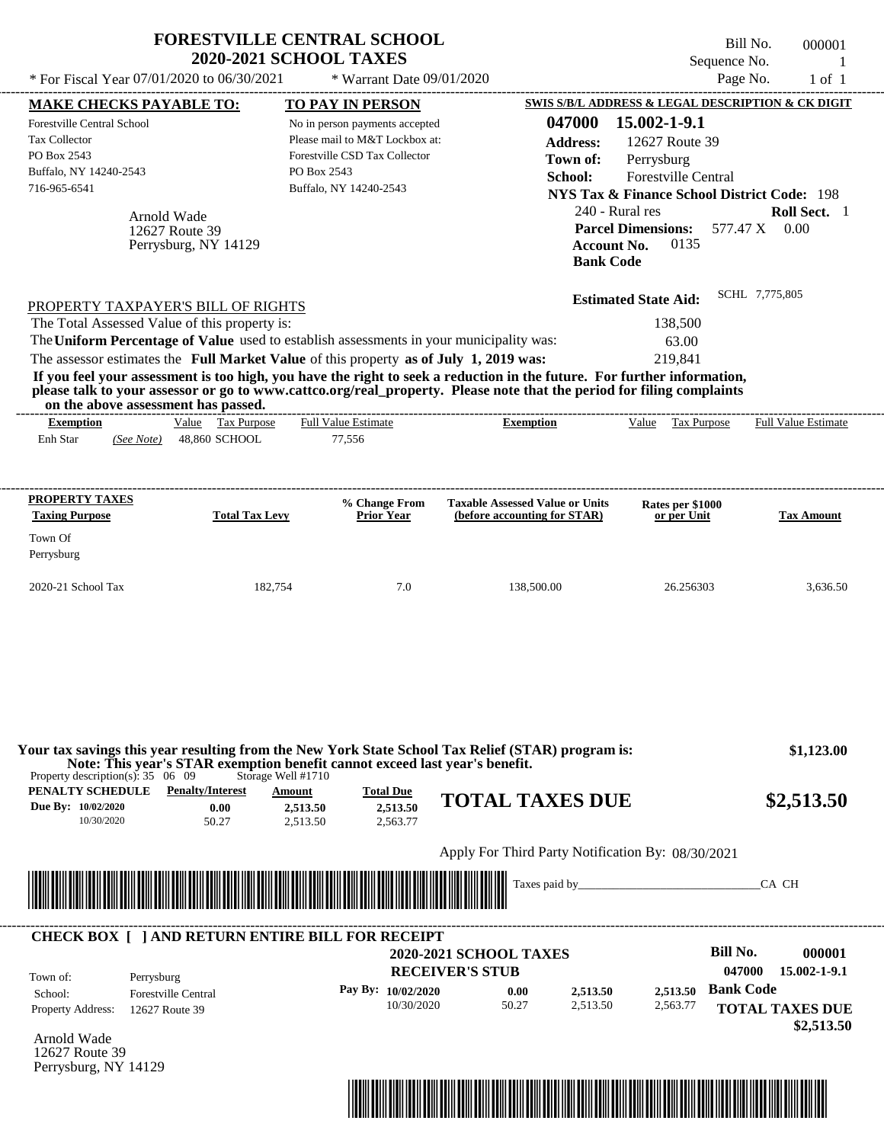|                                                                                                                                                                                                                                                                                                                                                                                                                                                                                                                                                                                                                                                        | <b>FORESTVILLE CENTRAL SCHOOL</b><br><b>2020-2021 SCHOOL TAXES</b>                                                                                                    |                                                                                           | Bill No.<br>Sequence No.<br>Page No.                                                                                                                                                                                                                                              | 000001<br>-1                                                   |
|--------------------------------------------------------------------------------------------------------------------------------------------------------------------------------------------------------------------------------------------------------------------------------------------------------------------------------------------------------------------------------------------------------------------------------------------------------------------------------------------------------------------------------------------------------------------------------------------------------------------------------------------------------|-----------------------------------------------------------------------------------------------------------------------------------------------------------------------|-------------------------------------------------------------------------------------------|-----------------------------------------------------------------------------------------------------------------------------------------------------------------------------------------------------------------------------------------------------------------------------------|----------------------------------------------------------------|
| * For Fiscal Year 07/01/2020 to 06/30/2021                                                                                                                                                                                                                                                                                                                                                                                                                                                                                                                                                                                                             | * Warrant Date 09/01/2020                                                                                                                                             |                                                                                           |                                                                                                                                                                                                                                                                                   | $1$ of $1$                                                     |
| <b>MAKE CHECKS PAYABLE TO:</b><br>Forestville Central School<br><b>Tax Collector</b><br>PO Box 2543<br>Buffalo, NY 14240-2543<br>716-965-6541<br>Arnold Wade<br>12627 Route 39<br>Perrysburg, NY 14129                                                                                                                                                                                                                                                                                                                                                                                                                                                 | <b>TO PAY IN PERSON</b><br>No in person payments accepted<br>Please mail to M&T Lockbox at:<br>Forestville CSD Tax Collector<br>PO Box 2543<br>Buffalo, NY 14240-2543 | 047000<br><b>Address:</b><br>Town of:<br>School:<br><b>Bank Code</b>                      | SWIS S/B/L ADDRESS & LEGAL DESCRIPTION & CK DIGIT<br>15.002-1-9.1<br>12627 Route 39<br>Perrysburg<br>Forestville Central<br><b>NYS Tax &amp; Finance School District Code: 198</b><br>240 - Rural res<br><b>Parcel Dimensions:</b><br>577.47 X 0.00<br><b>Account No.</b><br>0135 | Roll Sect. 1                                                   |
| PROPERTY TAXPAYER'S BILL OF RIGHTS<br>The Total Assessed Value of this property is:<br>The Uniform Percentage of Value used to establish assessments in your municipality was:<br>The assessor estimates the Full Market Value of this property as of July 1, 2019 was:<br>If you feel your assessment is too high, you have the right to seek a reduction in the future. For further information,<br>please talk to your assessor or go to www.cattco.org/real_property. Please note that the period for filing complaints<br>on the above assessment has passed.<br>Value Tax Purpose<br><b>Exemption</b><br>Enh Star<br>48,860 SCHOOL<br>(See Note) | <b>Full Value Estimate</b><br>77,556                                                                                                                                  | <b>Exemption</b>                                                                          | SCHL 7,775,805<br><b>Estimated State Aid:</b><br>138,500<br>63.00<br>219,841<br>Value Tax Purpose                                                                                                                                                                                 | <b>Full Value Estimate</b>                                     |
|                                                                                                                                                                                                                                                                                                                                                                                                                                                                                                                                                                                                                                                        |                                                                                                                                                                       |                                                                                           |                                                                                                                                                                                                                                                                                   |                                                                |
| <b>PROPERTY TAXES</b><br><b>Taxing Purpose</b><br><b>Total Tax Levy</b><br>Town Of<br>Perrysburg                                                                                                                                                                                                                                                                                                                                                                                                                                                                                                                                                       | % Change From<br><b>Prior Year</b>                                                                                                                                    | <b>Taxable Assessed Value or Units</b><br>(before accounting for STAR)                    | Rates per \$1000<br>or per Unit                                                                                                                                                                                                                                                   | <b>Tax Amount</b>                                              |
| 2020-21 School Tax<br>182,754                                                                                                                                                                                                                                                                                                                                                                                                                                                                                                                                                                                                                          | 7.0                                                                                                                                                                   | 138,500.00                                                                                | 26.256303                                                                                                                                                                                                                                                                         | 3,636.50                                                       |
| Your tax savings this year resulting from the New York State School Tax Relief (STAR) program is:<br>Note: This year's STAR exemption benefit cannot exceed last year's benefit.<br>Property description(s): $35 \quad 06 \quad 09$<br><b>PENALTY SCHEDULE</b><br><b>Penalty/Interest</b><br>Due Bv: 10/02/2020<br>0.00<br>10/30/2020<br>50.27                                                                                                                                                                                                                                                                                                         | Storage Well #1710<br><b>Total Due</b><br><b>Amount</b><br>2,513.50<br>2,513.50<br>2,513.50<br>2,563.77                                                               | <b>TOTAL TAXES DUE</b>                                                                    |                                                                                                                                                                                                                                                                                   | \$1,123.00<br>\$2,513.50                                       |
|                                                                                                                                                                                                                                                                                                                                                                                                                                                                                                                                                                                                                                                        |                                                                                                                                                                       | Apply For Third Party Notification By: 08/30/2021                                         |                                                                                                                                                                                                                                                                                   |                                                                |
|                                                                                                                                                                                                                                                                                                                                                                                                                                                                                                                                                                                                                                                        |                                                                                                                                                                       | Taxes paid by_                                                                            |                                                                                                                                                                                                                                                                                   | CA CH                                                          |
| <b>CHECK BOX [ ] AND RETURN ENTIRE BILL FOR RECEIPT</b><br>Perrysburg<br>Town of:<br>School:<br><b>Forestville Central</b><br><b>Property Address:</b><br>12627 Route 39<br>Arnold Wade                                                                                                                                                                                                                                                                                                                                                                                                                                                                | Pay By: $10/02/2020$<br>10/30/2020                                                                                                                                    | 2020-2021 SCHOOL TAXES<br><b>RECEIVER'S STUB</b><br>2,513.50<br>0.00<br>50.27<br>2,513.50 | Bill No.<br>047000<br><b>Bank Code</b><br>2,513.50<br>2,563.77                                                                                                                                                                                                                    | 000001<br>15.002-1-9.1<br><b>TOTAL TAXES DUE</b><br>\$2,513.50 |
| 12627 Route 39<br>Perrysburg, NY 14129                                                                                                                                                                                                                                                                                                                                                                                                                                                                                                                                                                                                                 |                                                                                                                                                                       |                                                                                           |                                                                                                                                                                                                                                                                                   |                                                                |

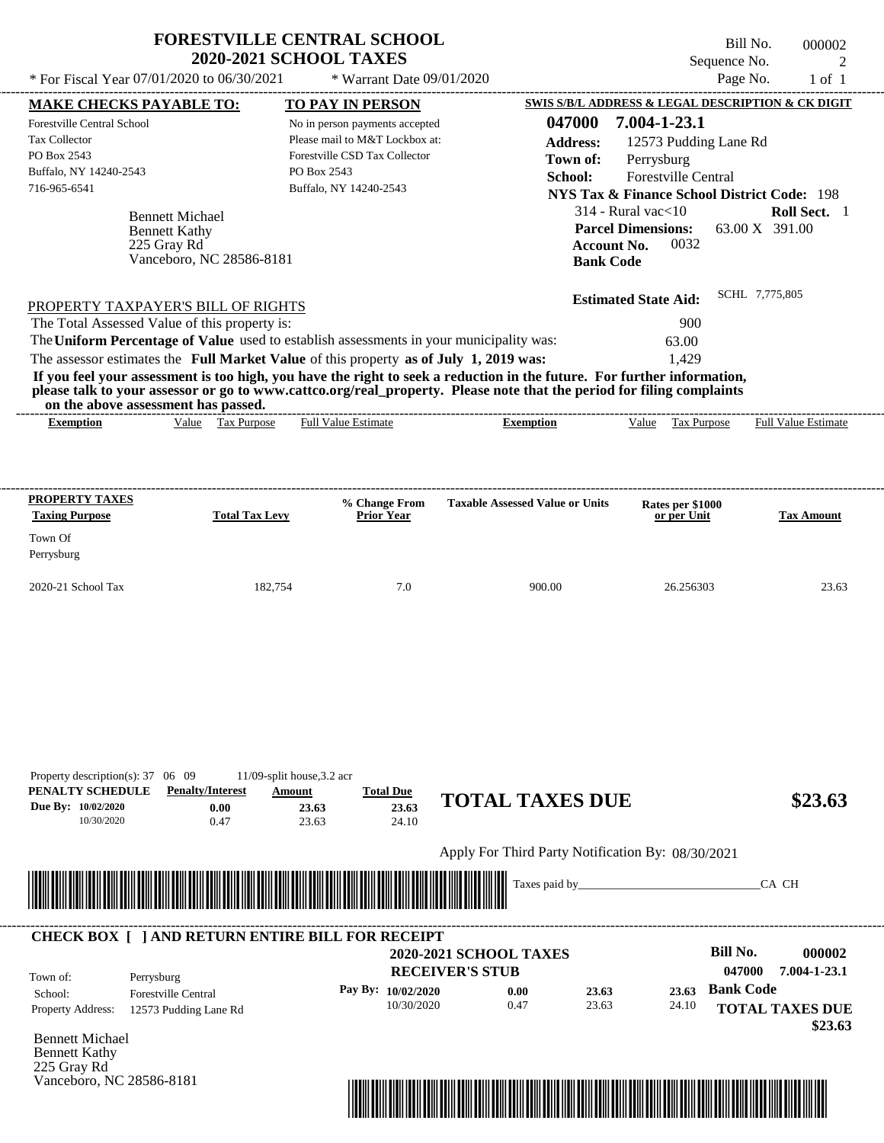|                                                                                                                 | <b>FORESTVILLE CENTRAL SCHOOL</b><br><b>2020-2021 SCHOOL TAXES</b>                                                                                                               |                                                                                                                             |                                                                                                                         | Bill No.<br>Sequence No.                                                                                                                                         | 000002<br>$\overline{2}$   |
|-----------------------------------------------------------------------------------------------------------------|----------------------------------------------------------------------------------------------------------------------------------------------------------------------------------|-----------------------------------------------------------------------------------------------------------------------------|-------------------------------------------------------------------------------------------------------------------------|------------------------------------------------------------------------------------------------------------------------------------------------------------------|----------------------------|
| * For Fiscal Year 07/01/2020 to 06/30/2021                                                                      |                                                                                                                                                                                  | * Warrant Date 09/01/2020                                                                                                   |                                                                                                                         | Page No.                                                                                                                                                         | $1$ of $1$                 |
| <b>MAKE CHECKS PAYABLE TO:</b>                                                                                  |                                                                                                                                                                                  | TO PAY IN PERSON                                                                                                            |                                                                                                                         | SWIS S/B/L ADDRESS & LEGAL DESCRIPTION & CK DIGIT                                                                                                                |                            |
| Forestville Central School<br>Tax Collector<br>PO Box 2543<br>Buffalo, NY 14240-2543<br>716-965-6541            | PO Box 2543<br><b>Bennett Michael</b>                                                                                                                                            | No in person payments accepted<br>Please mail to M&T Lockbox at:<br>Forestville CSD Tax Collector<br>Buffalo, NY 14240-2543 | 047000<br><b>Address:</b><br>Town of:<br>School:                                                                        | 7.004-1-23.1<br>12573 Pudding Lane Rd<br>Perrysburg<br>Forestville Central<br><b>NYS Tax &amp; Finance School District Code: 198</b><br>$314$ - Rural vac $<$ 10 | Roll Sect. 1               |
| <b>Bennett Kathy</b><br>225 Gray Rd                                                                             | Vanceboro, NC 28586-8181                                                                                                                                                         |                                                                                                                             | <b>Account No.</b><br><b>Bank Code</b>                                                                                  | <b>Parcel Dimensions:</b><br>63.00 X 391.00<br>0032                                                                                                              |                            |
| PROPERTY TAXPAYER'S BILL OF RIGHTS                                                                              |                                                                                                                                                                                  |                                                                                                                             |                                                                                                                         | SCHL 7,775,805<br><b>Estimated State Aid:</b>                                                                                                                    |                            |
| The Total Assessed Value of this property is:                                                                   | The Uniform Percentage of Value used to establish assessments in your municipality was:<br>The assessor estimates the Full Market Value of this property as of July 1, 2019 was: |                                                                                                                             | If you feel your assessment is too high, you have the right to seek a reduction in the future. For further information, | 900<br>63.00<br>1.429                                                                                                                                            |                            |
| on the above assessment has passed.                                                                             |                                                                                                                                                                                  |                                                                                                                             | please talk to your assessor or go to www.cattco.org/real_property. Please note that the period for filing complaints   |                                                                                                                                                                  |                            |
| <b>Exemption</b>                                                                                                | Value Tax Purpose                                                                                                                                                                | <b>Full Value Estimate</b>                                                                                                  | <b>Exemption</b>                                                                                                        | Value Tax Purpose                                                                                                                                                | <b>Full Value Estimate</b> |
|                                                                                                                 |                                                                                                                                                                                  |                                                                                                                             |                                                                                                                         |                                                                                                                                                                  |                            |
|                                                                                                                 | <b>Total Tax Levy</b>                                                                                                                                                            | % Change From<br><b>Prior Year</b>                                                                                          | <b>Taxable Assessed Value or Units</b>                                                                                  | Rates per \$1000<br>or per Unit                                                                                                                                  | <b>Tax Amount</b>          |
| <b>PROPERTY TAXES</b><br><b>Taxing Purpose</b><br>Town Of<br>Perrysburg                                         |                                                                                                                                                                                  |                                                                                                                             |                                                                                                                         |                                                                                                                                                                  |                            |
|                                                                                                                 | 182.754                                                                                                                                                                          | 7.0                                                                                                                         | 900.00                                                                                                                  | 26.256303                                                                                                                                                        |                            |
|                                                                                                                 | 11/09-split house, 3.2 acr<br><b>Penalty/Interest</b><br>Amount                                                                                                                  | <b>Total Due</b>                                                                                                            |                                                                                                                         |                                                                                                                                                                  | 23.63                      |
| 2020-21 School Tax<br>Property description(s): 37 06 09<br>PENALTY SCHEDULE<br>Due By: 10/02/2020<br>10/30/2020 | 0.00<br>23.63<br>0.47<br>23.63                                                                                                                                                   | 23.63<br>24.10                                                                                                              | <b>TOTAL TAXES DUE</b>                                                                                                  |                                                                                                                                                                  | \$23.63                    |



| Town of:                 | Perrysburg                 | <b>2020-2021 SCHOOL TAXES</b><br><b>RECEIVER'S STUB</b> |      |       |       | Bill No.<br>047000 | 000002<br>7.004-1-23.1 |
|--------------------------|----------------------------|---------------------------------------------------------|------|-------|-------|--------------------|------------------------|
| School:                  | <b>Forestville Central</b> | Pay By: 10/02/2020                                      | 0.00 | 23.63 | 23.63 | <b>Bank Code</b>   |                        |
| <b>Property Address:</b> | 12573 Pudding Lane Rd      | 10/30/2020                                              | 0.47 | 23.63 | 24.10 |                    | <b>TOTAL TAXES DUE</b> |

Bennett Michael Bennett Kathy 225 Gray Rd Vanceboro, NC 28586-8181

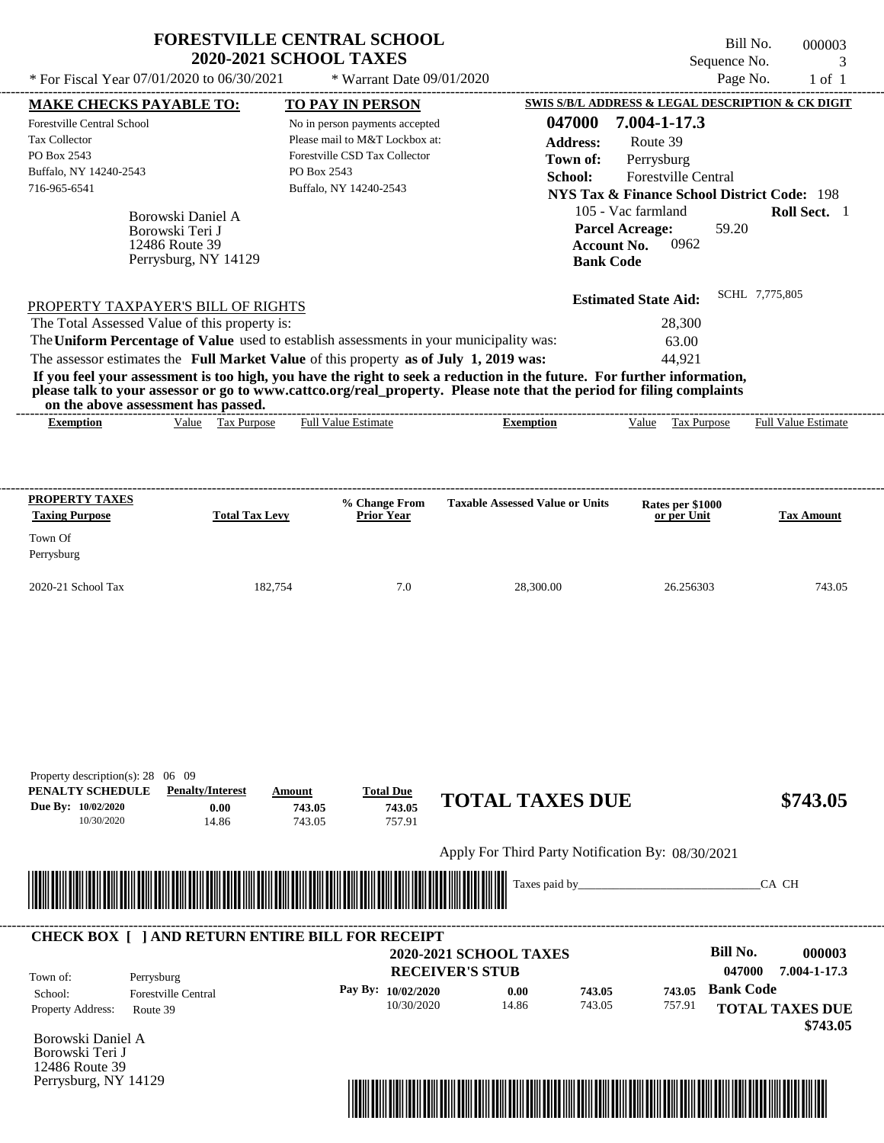|                                                                                                             |                                                                                     | <b>FORESTVILLE CENTRAL SCHOOL</b><br><b>2020-2021 SCHOOL TAXES</b>                                                                                                               |                                                                                                                                                                                                                                                  | Sequence No.                                                                                                                                                                                                          | Bill No.       | 000003<br>3                |
|-------------------------------------------------------------------------------------------------------------|-------------------------------------------------------------------------------------|----------------------------------------------------------------------------------------------------------------------------------------------------------------------------------|--------------------------------------------------------------------------------------------------------------------------------------------------------------------------------------------------------------------------------------------------|-----------------------------------------------------------------------------------------------------------------------------------------------------------------------------------------------------------------------|----------------|----------------------------|
|                                                                                                             | * For Fiscal Year 07/01/2020 to 06/30/2021                                          | * Warrant Date 09/01/2020                                                                                                                                                        |                                                                                                                                                                                                                                                  |                                                                                                                                                                                                                       | Page No.       | $1$ of $1$                 |
| <b>MAKE CHECKS PAYABLE TO:</b>                                                                              |                                                                                     | TO PAY IN PERSON                                                                                                                                                                 |                                                                                                                                                                                                                                                  | SWIS S/B/L ADDRESS & LEGAL DESCRIPTION & CK DIGIT                                                                                                                                                                     |                |                            |
| Forestville Central School<br><b>Tax Collector</b><br>PO Box 2543<br>Buffalo, NY 14240-2543<br>716-965-6541 | Borowski Daniel A<br>Borowski Teri J<br>12486 Route 39<br>Perrysburg, NY 14129      | No in person payments accepted<br>Please mail to M&T Lockbox at:<br>Forestville CSD Tax Collector<br>PO Box 2543<br>Buffalo, NY 14240-2543                                       | 047000<br><b>Address:</b><br>Town of:<br>School:<br><b>Bank Code</b>                                                                                                                                                                             | 7.004-1-17.3<br>Route 39<br>Perrysburg<br><b>Forestville Central</b><br><b>NYS Tax &amp; Finance School District Code: 198</b><br>105 - Vac farmland<br><b>Parcel Acreage:</b><br>59.20<br>0962<br><b>Account No.</b> |                | Roll Sect. 1               |
|                                                                                                             | PROPERTY TAXPAYER'S BILL OF RIGHTS<br>The Total Assessed Value of this property is: | The Uniform Percentage of Value used to establish assessments in your municipality was:<br>The assessor estimates the Full Market Value of this property as of July 1, 2019 was: | If you feel your assessment is too high, you have the right to seek a reduction in the future. For further information,<br>please talk to your assessor or go to www.cattco.org/real_property. Please note that the period for filing complaints | <b>Estimated State Aid:</b><br>28,300<br>63.00<br>44.921                                                                                                                                                              | SCHL 7,775,805 |                            |
|                                                                                                             | on the above assessment has passed.                                                 |                                                                                                                                                                                  |                                                                                                                                                                                                                                                  |                                                                                                                                                                                                                       |                |                            |
| <b>Exemption</b>                                                                                            | Value Tax Purpose                                                                   | <b>Full Value Estimate</b>                                                                                                                                                       | <b>Exemption</b>                                                                                                                                                                                                                                 | Value<br>Tax Purpose                                                                                                                                                                                                  |                | <b>Full Value Estimate</b> |
| PROPERTY TAXES<br><b>Taxing Purpose</b><br>Town Of<br>Perrysburg                                            | <b>Total Tax Levy</b>                                                               | % Change From<br>Prior Year                                                                                                                                                      | <b>Taxable Assessed Value or Units</b>                                                                                                                                                                                                           | Rates per \$1000<br>or per Unit                                                                                                                                                                                       |                | <b>Tax Amount</b>          |
| 2020-21 School Tax                                                                                          | 182,754                                                                             | 7.0                                                                                                                                                                              | 28,300.00                                                                                                                                                                                                                                        | 26.256303                                                                                                                                                                                                             |                | 743.05                     |

|  |  | Apply For Third Party Notification By: 08/30/2021 |  |
|--|--|---------------------------------------------------|--|
|--|--|---------------------------------------------------|--|



743.05 **743.05**

## **RECEIVER'S STUB Bill No. 000003 Bank Code 743.05** Property Address: Route 39 Perrysburg School: Forestville Central **TOTAL TAXES DUE \$743.05 2020-2021 SCHOOL TAXES 047000 7.004-1-17.3 Pay By: 10/02/2020** 10/30/2020 14.86 **0.00** 743.05 **743.05** 757.91 Town of: ---------------------------------------------------------------------------------------------------------------------------------------------------------------------------------------------------- **CHECK BOX [ ] AND RETURN ENTIRE BILL FOR RECEIPT**

757.91

Borowski Daniel A Borowski Teri J 12486 Route 39 Perrysburg, NY 14129

10/30/2020 14.86

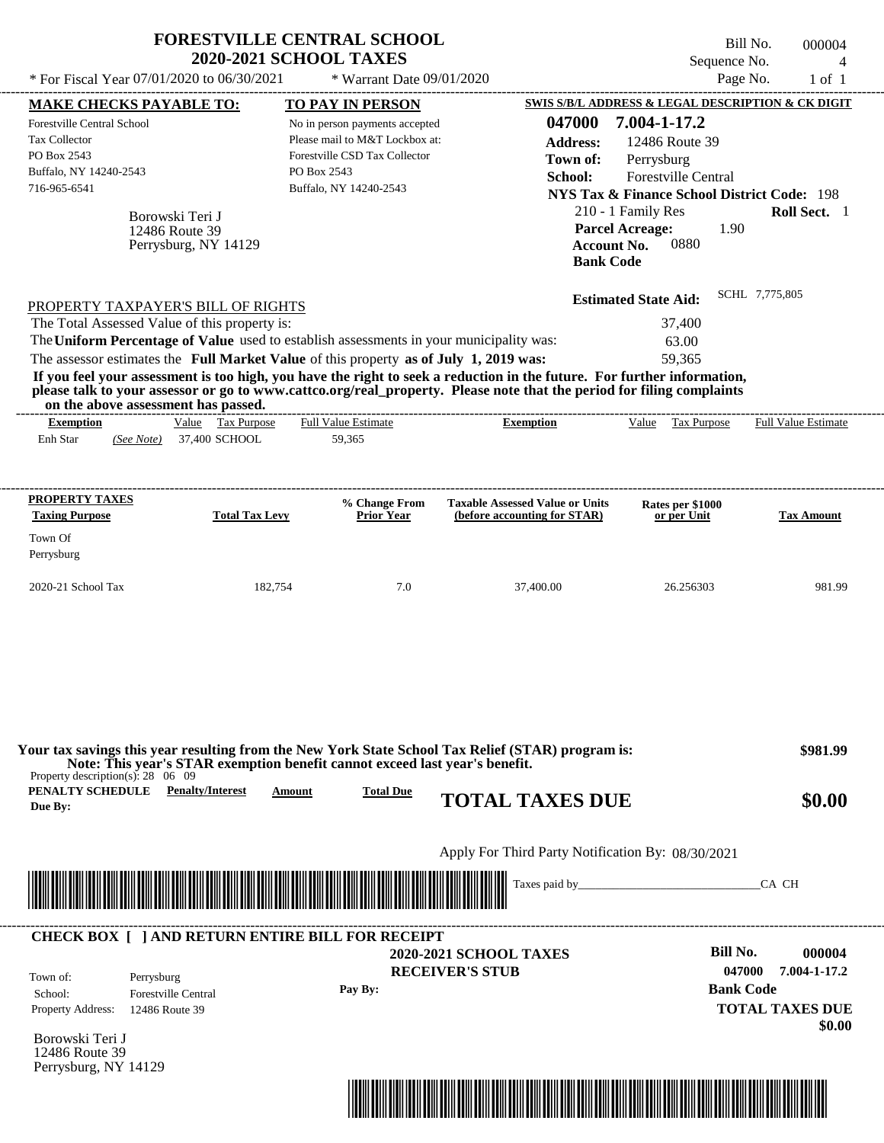| * For Fiscal Year 07/01/2020 to 06/30/2021                                                                                                                                                                                                                                                                     | <b>2020-2021 SCHOOL TAXES</b> | <b>FORESTVILLE CENTRAL SCHOOL</b><br>* Warrant Date 09/01/2020                                                                                         |                                                                                                                                                                                                                                                  | Sequence No.<br>Page No.                                                                                                                                                                                                 | Bill No.<br>000004<br>$\overline{A}$<br>$1$ of $1$ |
|----------------------------------------------------------------------------------------------------------------------------------------------------------------------------------------------------------------------------------------------------------------------------------------------------------------|-------------------------------|--------------------------------------------------------------------------------------------------------------------------------------------------------|--------------------------------------------------------------------------------------------------------------------------------------------------------------------------------------------------------------------------------------------------|--------------------------------------------------------------------------------------------------------------------------------------------------------------------------------------------------------------------------|----------------------------------------------------|
| <b>MAKE CHECKS PAYABLE TO:</b><br><b>Forestville Central School</b><br>Tax Collector<br>PO Box 2543<br>Buffalo, NY 14240-2543<br>716-965-6541<br>Borowski Teri J<br>12486 Route 39<br>Perrysburg, NY 14129                                                                                                     | PO Box 2543                   | <b>TO PAY IN PERSON</b><br>No in person payments accepted<br>Please mail to M&T Lockbox at:<br>Forestville CSD Tax Collector<br>Buffalo, NY 14240-2543 | 047000<br><b>Address:</b><br>Town of:<br>School:<br><b>Parcel Acreage:</b><br><b>Account No.</b><br><b>Bank Code</b>                                                                                                                             | SWIS S/B/L ADDRESS & LEGAL DESCRIPTION & CK DIGIT<br>7.004-1-17.2<br>12486 Route 39<br>Perrysburg<br>Forestville Central<br><b>NYS Tax &amp; Finance School District Code: 198</b><br>210 - 1 Family Res<br>1.90<br>0880 | Roll Sect. 1                                       |
| PROPERTY TAXPAYER'S BILL OF RIGHTS<br>The Total Assessed Value of this property is:<br>The Uniform Percentage of Value used to establish assessments in your municipality was:<br>The assessor estimates the Full Market Value of this property as of July 1, 2019 was:<br>on the above assessment has passed. |                               | -----------------------------                                                                                                                          | If you feel your assessment is too high, you have the right to seek a reduction in the future. For further information,<br>please talk to your assessor or go to www.cattco.org/real_property. Please note that the period for filing complaints | <b>Estimated State Aid:</b><br>37,400<br>63.00<br>59,365                                                                                                                                                                 | SCHL 7,775,805                                     |
| <b>Exemption</b><br>(See Note) 37,400 SCHOOL<br>Enh Star                                                                                                                                                                                                                                                       | Value Tax Purpose             | Full Value Estimate<br>59,365                                                                                                                          | <b>Exemption</b>                                                                                                                                                                                                                                 | Value Tax Purpose                                                                                                                                                                                                        | <b>Full Value Estimate</b>                         |
| <b>PROPERTY TAXES</b><br><b>Taxing Purpose</b><br>Town Of<br>Perrysburg                                                                                                                                                                                                                                        | <b>Total Tax Levy</b>         | % Change From<br><b>Prior Year</b>                                                                                                                     | <b>Taxable Assessed Value or Units</b><br>(before accounting for STAR)                                                                                                                                                                           | Rates per \$1000<br>or per Unit                                                                                                                                                                                          | <b>Tax Amount</b>                                  |
| 2020-21 School Tax                                                                                                                                                                                                                                                                                             | 182,754                       | 7.0                                                                                                                                                    | 37,400.00                                                                                                                                                                                                                                        | 26.256303                                                                                                                                                                                                                | 981.99                                             |
| Note: This year's STAR exemption benefit cannot exceed last year's benefit.<br>Property description(s): $28 \quad 06 \quad 09$<br><b>PENALTY SCHEDULE</b> Penalty/Interest                                                                                                                                     | Amount                        | <b>Total Due</b>                                                                                                                                       | Your tax savings this year resulting from the New York State School Tax Relief (STAR) program is:<br><b>TOTAL TAXES DUE</b>                                                                                                                      |                                                                                                                                                                                                                          | \$981.99<br>\$0.00                                 |
|                                                                                                                                                                                                                                                                                                                |                               |                                                                                                                                                        |                                                                                                                                                                                                                                                  |                                                                                                                                                                                                                          |                                                    |
| Due By:                                                                                                                                                                                                                                                                                                        |                               |                                                                                                                                                        | Apply For Third Party Notification By: 08/30/2021                                                                                                                                                                                                |                                                                                                                                                                                                                          |                                                    |
| <u> 1989 - Johann Stoff, Amerikaansk politiker (* 1958)</u>                                                                                                                                                                                                                                                    |                               |                                                                                                                                                        |                                                                                                                                                                                                                                                  |                                                                                                                                                                                                                          | CA CH                                              |

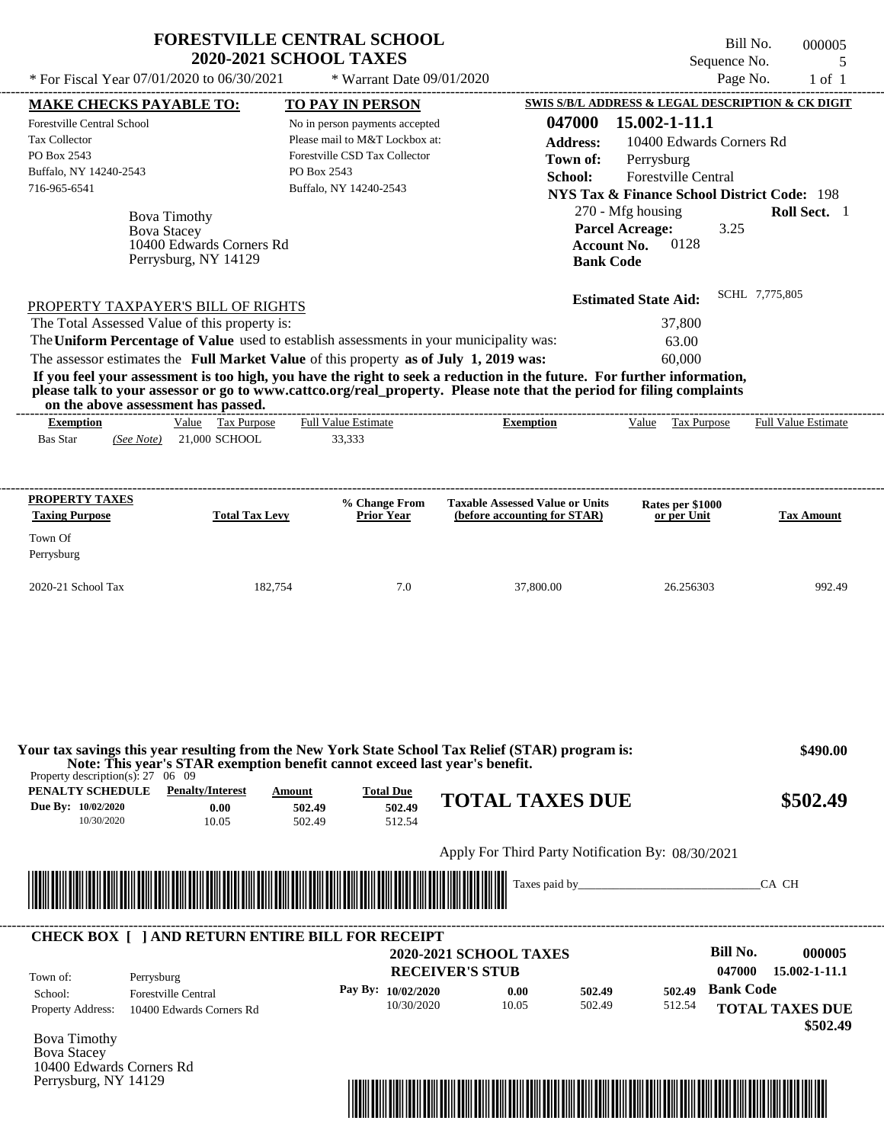| * For Fiscal Year $07/01/2020$ to $06/30/2021$ | <b>FORESTVILLE CENTRAL SCHOOL</b><br><b>2020-2021 SCHOOL TAXES</b><br>$*$ Warrant Date 09/01/2020 |          | Bill No.<br>Sequence No.<br>Page No.              | 000005<br>$1$ of $1$ |
|------------------------------------------------|---------------------------------------------------------------------------------------------------|----------|---------------------------------------------------|----------------------|
| <b>MAKE CHECKS PAYABLE TO:</b>                 | <b>TO PAY IN PERSON</b>                                                                           |          | SWIS S/B/L ADDRESS & LEGAL DESCRIPTION & CK DIGIT |                      |
| <b>Forestville Central School</b>              | No in person payments accepted                                                                    | 047000   | 15.002-1-11.1                                     |                      |
| Tax Collector                                  | Please mail to M&T Lockbox at:                                                                    | Address: | 10400 Edwards Corners Rd                          |                      |
| PO Box 2543                                    | Forestville CSD Tax Collector                                                                     | Town of: | Perrysburg                                        |                      |
| Buffalo, NY 14240-2543                         | PO Box 2543                                                                                       | School:  | <b>Forestville Central</b>                        |                      |

Bova Timothy **NYS Tax & Finance School District Code:** 198 270 - Mfg housing **Roll Sect.** 1 3.25 **Account No.** 0128 **Bank Code Estimated State Aid:** SCHL 7,775,805 PROPERTY TAXPAYER'S BILL OF RIGHTS The Total Assessed Value of this property is: 37,800 The **Uniform Percentage of Value** used to establish assessments in your municipality was: 63.00 716-965-6541 Buffalo, NY 14240-2543 **Parcel Acreage:** Bova Stacey 10400 Edwards Corners Rd Perrysburg, NY 14129

The assessor estimates the **Full Market Value** of this property **as of July 1, 2019 was:** 60,000

**If you feel your assessment is too high, you have the right to seek a reduction in the future. For further information, please talk to your assessor or go to www.cattco.org/real\_property. Please note that the period for filing complaints on the above assessment has passed.** ----------------------------------------------------------------------------------------------------------------------------------------------------------------------------------------------------

| <b>Exemption</b> |            | Value | Tax<br>. Purpose | <b>Full Value Estimate</b> | <b>Exemption</b> | Value | Tax Purpose | <b>Full Value Estimate</b> |
|------------------|------------|-------|------------------|----------------------------|------------------|-------|-------------|----------------------------|
| <b>Bas Star</b>  | (See Note) |       | 21,000 SCHOOL    | 33.333                     |                  |       |             |                            |
|                  |            |       |                  |                            |                  |       |             |                            |

| <b>PROPERTY TAXES</b><br><b>Taxing Purpose</b> | <b>Total Tax Levy</b> | % Change From<br><b>Prior Year</b> | <b>Taxable Assessed Value or Units</b><br>(before accounting for STAR) | Rates per \$1000<br>or per Unit | <b>Tax Amount</b> |
|------------------------------------------------|-----------------------|------------------------------------|------------------------------------------------------------------------|---------------------------------|-------------------|
| Town Of<br>Perrysburg                          |                       |                                    |                                                                        |                                 |                   |
| $2020-21$ School Tax                           | 182,754               | 7.0                                | 37,800.00                                                              | 26.256303                       | 992.49            |

| PENALTY SCHEDULE<br>Due By: 10/02/2020<br>10/30/2020 | <b>Penalty/Interest</b><br>0.00<br>10.05                | Amount<br>502.49<br>502.49 | <b>Total Due</b><br>502.49<br>512.54 | <b>TOTAL TAXES DUE</b>                                  |        | \$502.49                                      |
|------------------------------------------------------|---------------------------------------------------------|----------------------------|--------------------------------------|---------------------------------------------------------|--------|-----------------------------------------------|
|                                                      |                                                         |                            |                                      | Apply For Third Party Notification By: 08/30/2021       |        |                                               |
|                                                      |                                                         |                            |                                      |                                                         |        |                                               |
|                                                      | <b>CHECK BOX [ ] AND RETURN ENTIRE BILL FOR RECEIPT</b> |                            |                                      | Taxes paid by_                                          |        | CA CH                                         |
|                                                      |                                                         |                            |                                      | <b>2020-2021 SCHOOL TAXES</b><br><b>RECEIVER'S STUB</b> |        | Bill No.<br>000005<br>047000<br>15.002-1-11.1 |
| Town of:<br>School:                                  | Perrysburg<br><b>Forestville Central</b>                |                            | Pay By: $10/02/2020$                 | 502.49<br>0.00                                          | 502.49 | <b>Bank Code</b>                              |

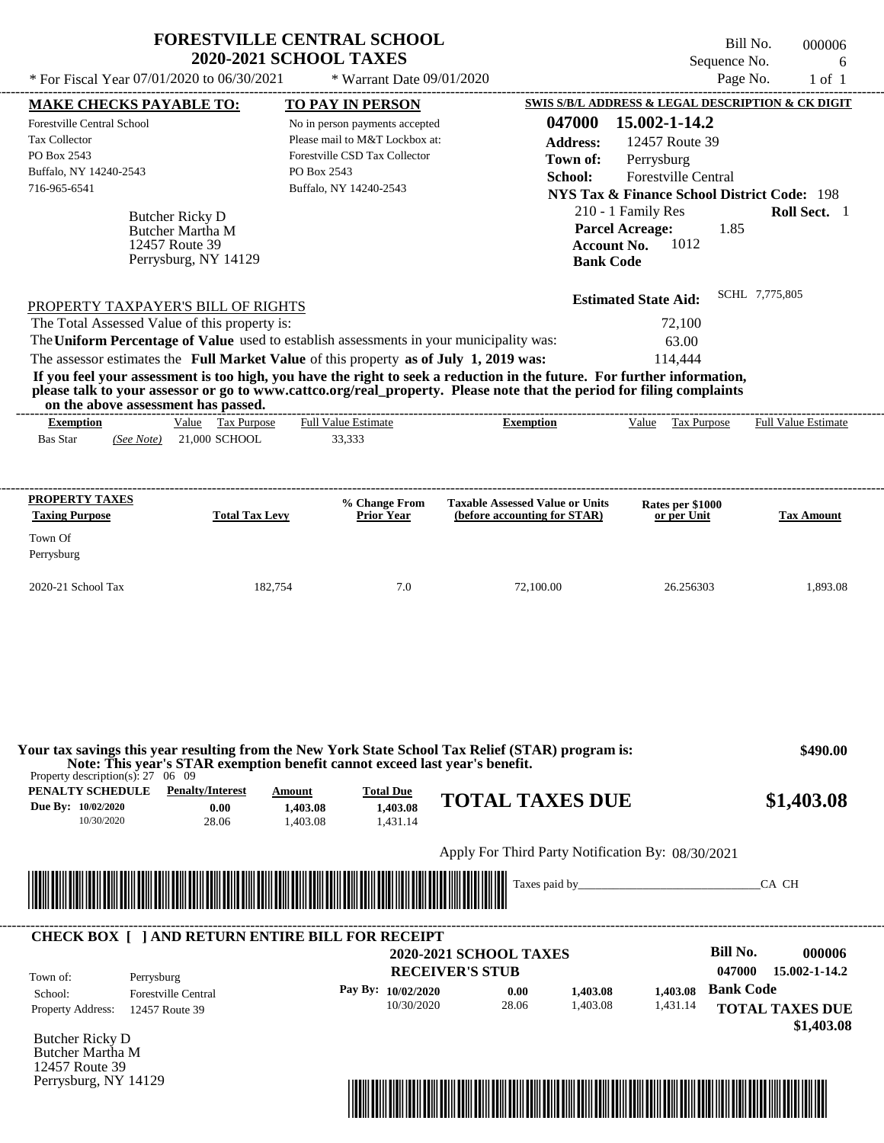| * For Fiscal Year 07/01/2020 to 06/30/2021                                                                                                                                                                                                                                                                                                                                                                                                                                                                                                                         |                                                                               | <b>FORESTVILLE CENTRAL SCHOOL</b><br><b>2020-2021 SCHOOL TAXES</b>                                                                                                    | * Warrant Date 09/01/2020         |                                                                        |                                                                                                                                                                                                                                                                                       | Bill No.<br>Sequence No.<br>Page No. | 000006<br>6<br>$1$ of $1$  |
|--------------------------------------------------------------------------------------------------------------------------------------------------------------------------------------------------------------------------------------------------------------------------------------------------------------------------------------------------------------------------------------------------------------------------------------------------------------------------------------------------------------------------------------------------------------------|-------------------------------------------------------------------------------|-----------------------------------------------------------------------------------------------------------------------------------------------------------------------|-----------------------------------|------------------------------------------------------------------------|---------------------------------------------------------------------------------------------------------------------------------------------------------------------------------------------------------------------------------------------------------------------------------------|--------------------------------------|----------------------------|
| <b>MAKE CHECKS PAYABLE TO:</b><br><b>Forestville Central School</b><br>Tax Collector<br>PO Box 2543<br>Buffalo, NY 14240-2543<br>716-965-6541                                                                                                                                                                                                                                                                                                                                                                                                                      | Butcher Ricky D<br>Butcher Martha M<br>12457 Route 39<br>Perrysburg, NY 14129 | <b>TO PAY IN PERSON</b><br>No in person payments accepted<br>Please mail to M&T Lockbox at:<br>Forestville CSD Tax Collector<br>PO Box 2543<br>Buffalo, NY 14240-2543 |                                   | 047000<br><b>Address:</b><br>Town of:<br>School:                       | SWIS S/B/L ADDRESS & LEGAL DESCRIPTION & CK DIGIT<br>15.002-1-14.2<br>12457 Route 39<br>Perrysburg<br>Forestville Central<br><b>NYS Tax &amp; Finance School District Code: 198</b><br>210 - 1 Family Res<br><b>Parcel Acreage:</b><br>1012<br><b>Account No.</b><br><b>Bank Code</b> | 1.85                                 | Roll Sect. 1               |
| PROPERTY TAXPAYER'S BILL OF RIGHTS<br>The Total Assessed Value of this property is:<br>The Uniform Percentage of Value used to establish assessments in your municipality was:<br>The assessor estimates the Full Market Value of this property as of July 1, 2019 was:<br>If you feel your assessment is too high, you have the right to seek a reduction in the future. For further information,<br>please talk to your assessor or go to www.cattco.org/real_property. Please note that the period for filing complaints<br>on the above assessment has passed. |                                                                               |                                                                                                                                                                       | --------------------------------- |                                                                        | <b>Estimated State Aid:</b><br>72,100<br>63.00<br>114,444                                                                                                                                                                                                                             | SCHL 7,775,805                       |                            |
| <b>Exemption</b><br><b>Bas Star</b>                                                                                                                                                                                                                                                                                                                                                                                                                                                                                                                                | Value Tax Purpose<br>$(See Note)$ 21,000 SCHOOL                               | Full Value Estimate<br>33,333                                                                                                                                         |                                   | <b>Exemption</b>                                                       | Value Tax Purpose                                                                                                                                                                                                                                                                     |                                      | <b>Full Value Estimate</b> |
| <b>PROPERTY TAXES</b><br><b>Taxing Purpose</b><br>Town Of<br>Perrysburg                                                                                                                                                                                                                                                                                                                                                                                                                                                                                            | <b>Total Tax Levy</b>                                                         | % Change From<br><b>Prior Year</b>                                                                                                                                    |                                   | <b>Taxable Assessed Value or Units</b><br>(before accounting for STAR) | Rates per \$1000<br>or per Unit                                                                                                                                                                                                                                                       |                                      | <b>Tax Amount</b>          |
| 2020-21 School Tax                                                                                                                                                                                                                                                                                                                                                                                                                                                                                                                                                 | 182,754                                                                       |                                                                                                                                                                       | 7.0                               | 72,100.00                                                              | 26.256303                                                                                                                                                                                                                                                                             |                                      | 1,893.08                   |
| Your tax savings this year resulting from the New York State School Tax Relief (STAR) program is:<br>Property description(s): $27 \quad 06 \quad 09$                                                                                                                                                                                                                                                                                                                                                                                                               |                                                                               | Note: This year's STAR exemption benefit cannot exceed last year's benefit.                                                                                           |                                   |                                                                        |                                                                                                                                                                                                                                                                                       |                                      | \$490.00                   |
| PENALTY SCHEDULE<br>Due By: 10/02/2020<br>10/30/2020                                                                                                                                                                                                                                                                                                                                                                                                                                                                                                               | <b>Penalty/Interest</b><br>0.00<br>28.06                                      | <b>Total Due</b><br>Amount<br>1,403.08<br>1,403.08<br>1,403.08<br>1,431.14                                                                                            |                                   | <b>TOTAL TAXES DUE</b>                                                 |                                                                                                                                                                                                                                                                                       |                                      | \$1,403.08                 |
|                                                                                                                                                                                                                                                                                                                                                                                                                                                                                                                                                                    |                                                                               |                                                                                                                                                                       |                                   | Apply For Third Party Notification By: 08/30/2021                      |                                                                                                                                                                                                                                                                                       |                                      |                            |
| <u> Indian American State of Barbara and The Barbara and The Barbara and The Barbara and The Barbara and The Barbara and The Barbara and The Barbara and The Barbara and The Barbara and The Barbara and The Barbara and The Bar</u>                                                                                                                                                                                                                                                                                                                               |                                                                               |                                                                                                                                                                       |                                   |                                                                        |                                                                                                                                                                                                                                                                                       |                                      | CA CH                      |
| <b>CHECK BOX [ ] AND RETURN ENTIRE BILL FOR RECEIPT</b>                                                                                                                                                                                                                                                                                                                                                                                                                                                                                                            |                                                                               |                                                                                                                                                                       |                                   |                                                                        |                                                                                                                                                                                                                                                                                       |                                      |                            |
|                                                                                                                                                                                                                                                                                                                                                                                                                                                                                                                                                                    |                                                                               |                                                                                                                                                                       |                                   | <b>2020-2021 SCHOOL TAXES</b>                                          |                                                                                                                                                                                                                                                                                       | <b>Bill No.</b><br>047000            | 000006<br>15.002-1-14.2    |

12457 Route 39 Perrysburg, NY 14129

\*04700000000600000000140308\*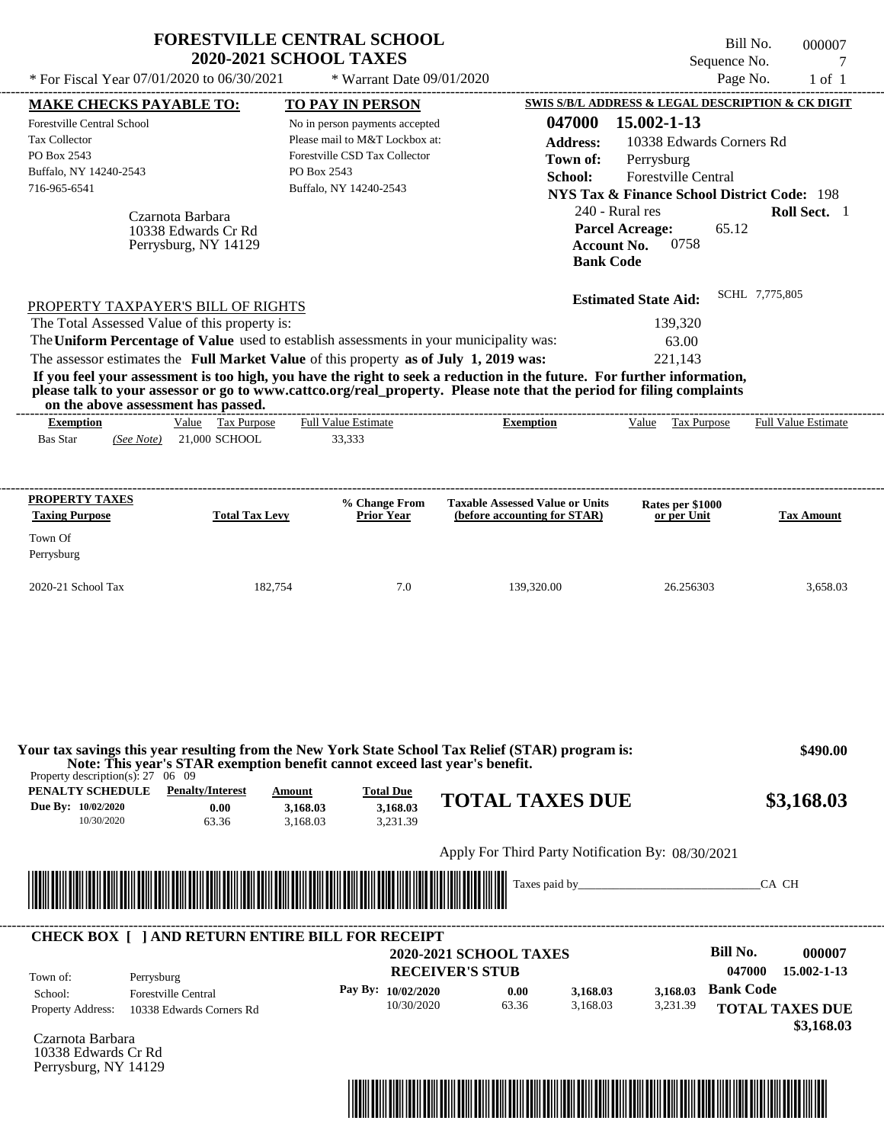|                                                                                                                                                                                                                                                                                                                                      | <b>FORESTVILLE CENTRAL SCHOOL</b><br><b>2020-2021 SCHOOL TAXES</b>                                |                                                   |                                                                                                                            | Bill No.<br>Sequence No. | 000007<br>7            |
|--------------------------------------------------------------------------------------------------------------------------------------------------------------------------------------------------------------------------------------------------------------------------------------------------------------------------------------|---------------------------------------------------------------------------------------------------|---------------------------------------------------|----------------------------------------------------------------------------------------------------------------------------|--------------------------|------------------------|
| * For Fiscal Year 07/01/2020 to 06/30/2021                                                                                                                                                                                                                                                                                           | * Warrant Date 09/01/2020                                                                         |                                                   |                                                                                                                            | Page No.                 | $1$ of $1$             |
| <b>MAKE CHECKS PAYABLE TO:</b>                                                                                                                                                                                                                                                                                                       | <b>TO PAY IN PERSON</b>                                                                           |                                                   | SWIS S/B/L ADDRESS & LEGAL DESCRIPTION & CK DIGIT                                                                          |                          |                        |
| Forestville Central School<br><b>Tax Collector</b><br>PO Box 2543                                                                                                                                                                                                                                                                    | No in person payments accepted<br>Please mail to M&T Lockbox at:<br>Forestville CSD Tax Collector | 047000<br><b>Address:</b><br>Town of:             | 15.002-1-13<br>10338 Edwards Corners Rd<br>Perrysburg                                                                      |                          |                        |
| Buffalo, NY 14240-2543<br>716-965-6541<br>Czarnota Barbara                                                                                                                                                                                                                                                                           | PO Box 2543<br>Buffalo, NY 14240-2543                                                             | School:                                           | Forestville Central<br><b>NYS Tax &amp; Finance School District Code: 198</b><br>240 - Rural res<br><b>Parcel Acreage:</b> | 65.12                    | Roll Sect. 1           |
| 10338 Edwards Cr Rd<br>Perrysburg, NY 14129                                                                                                                                                                                                                                                                                          |                                                                                                   |                                                   | 0758<br><b>Account No.</b><br><b>Bank Code</b>                                                                             |                          |                        |
| PROPERTY TAXPAYER'S BILL OF RIGHTS                                                                                                                                                                                                                                                                                                   |                                                                                                   |                                                   | <b>Estimated State Aid:</b>                                                                                                | SCHL 7,775,805           |                        |
| The Total Assessed Value of this property is:<br>The Uniform Percentage of Value used to establish assessments in your municipality was:                                                                                                                                                                                             |                                                                                                   |                                                   | 139,320<br>63.00                                                                                                           |                          |                        |
| The assessor estimates the Full Market Value of this property as of July 1, 2019 was:                                                                                                                                                                                                                                                |                                                                                                   |                                                   | 221,143                                                                                                                    |                          |                        |
| If you feel your assessment is too high, you have the right to seek a reduction in the future. For further information,<br>please talk to your assessor or go to www.cattco.org/real_property. Please note that the period for filing complaints                                                                                     |                                                                                                   |                                                   |                                                                                                                            |                          |                        |
| on the above assessment has passed.<br>Value Tax Purpose<br><b>Exemption</b>                                                                                                                                                                                                                                                         | <b>Full Value Estimate</b>                                                                        | <b>Exemption</b>                                  | Value Tax Purpose                                                                                                          |                          | Full Value Estimate    |
| <b>Bas Star</b><br>21,000 SCHOOL<br>(See Note)                                                                                                                                                                                                                                                                                       | 33,333                                                                                            |                                                   |                                                                                                                            |                          |                        |
|                                                                                                                                                                                                                                                                                                                                      |                                                                                                   |                                                   |                                                                                                                            |                          |                        |
| <b>PROPERTY TAXES</b>                                                                                                                                                                                                                                                                                                                | % Change From                                                                                     | <b>Taxable Assessed Value or Units</b>            | Rates per \$1000                                                                                                           |                          |                        |
| <b>Taxing Purpose</b><br><b>Total Tax Levy</b>                                                                                                                                                                                                                                                                                       | <b>Prior Year</b>                                                                                 | (before accounting for STAR)                      | or per Unit                                                                                                                |                          | <b>Tax Amount</b>      |
| Town Of<br>Perrysburg                                                                                                                                                                                                                                                                                                                |                                                                                                   |                                                   |                                                                                                                            |                          |                        |
| 2020-21 School Tax<br>182,754                                                                                                                                                                                                                                                                                                        | 7.0                                                                                               | 139,320.00                                        | 26.256303                                                                                                                  |                          | 3,658.03               |
| Your tax savings this year resulting from the New York State School Tax Relief (STAR) program is:<br>Note: This year's STAR exemption benefit cannot exceed last year's benefit.<br>Property description(s): $27 \quad 06 \quad 09$<br><b>PENALTY SCHEDULE</b> Penalty/Interest<br>Due By: 10/02/2020<br>0.00<br>10/30/2020<br>63.36 | <b>Total Due</b><br>Amount<br>3.168.03<br>3,168.03<br>3.168.03<br>3,231.39                        | <b>TOTAL TAXES DUE</b>                            |                                                                                                                            |                          | \$490.00<br>\$3,168.03 |
|                                                                                                                                                                                                                                                                                                                                      |                                                                                                   | Apply For Third Party Notification By: 08/30/2021 |                                                                                                                            |                          |                        |
|                                                                                                                                                                                                                                                                                                                                      |                                                                                                   |                                                   | Taxes paid by                                                                                                              | CA CH                    |                        |
| <b>CHECK BOX [ ] AND RETURN ENTIRE BILL FOR RECEIPT</b>                                                                                                                                                                                                                                                                              |                                                                                                   |                                                   |                                                                                                                            |                          |                        |
|                                                                                                                                                                                                                                                                                                                                      |                                                                                                   | 2020-2021 SCHOOL TAXES                            |                                                                                                                            | <b>Bill No.</b>          | 000007                 |
| Town of:<br>Perrysburg                                                                                                                                                                                                                                                                                                               |                                                                                                   | <b>RECEIVER'S STUB</b>                            |                                                                                                                            | 047000                   | 15.002-1-13            |
| <b>Forestville Central</b><br>School:<br>Property Address:<br>10338 Edwards Corners Rd                                                                                                                                                                                                                                               | Pay By: 10/02/2020<br>10/30/2020                                                                  | 3,168.03<br>0.00<br>63.36<br>3.168.03             | 3,168.03<br>3,231.39                                                                                                       | <b>Bank Code</b>         | <b>TOTAL TAXES DUE</b> |
| Czarnota Barbara<br>10338 Edwards Cr Rd                                                                                                                                                                                                                                                                                              |                                                                                                   |                                                   |                                                                                                                            |                          | \$3,168.03             |

Perrysburg, NY 14129

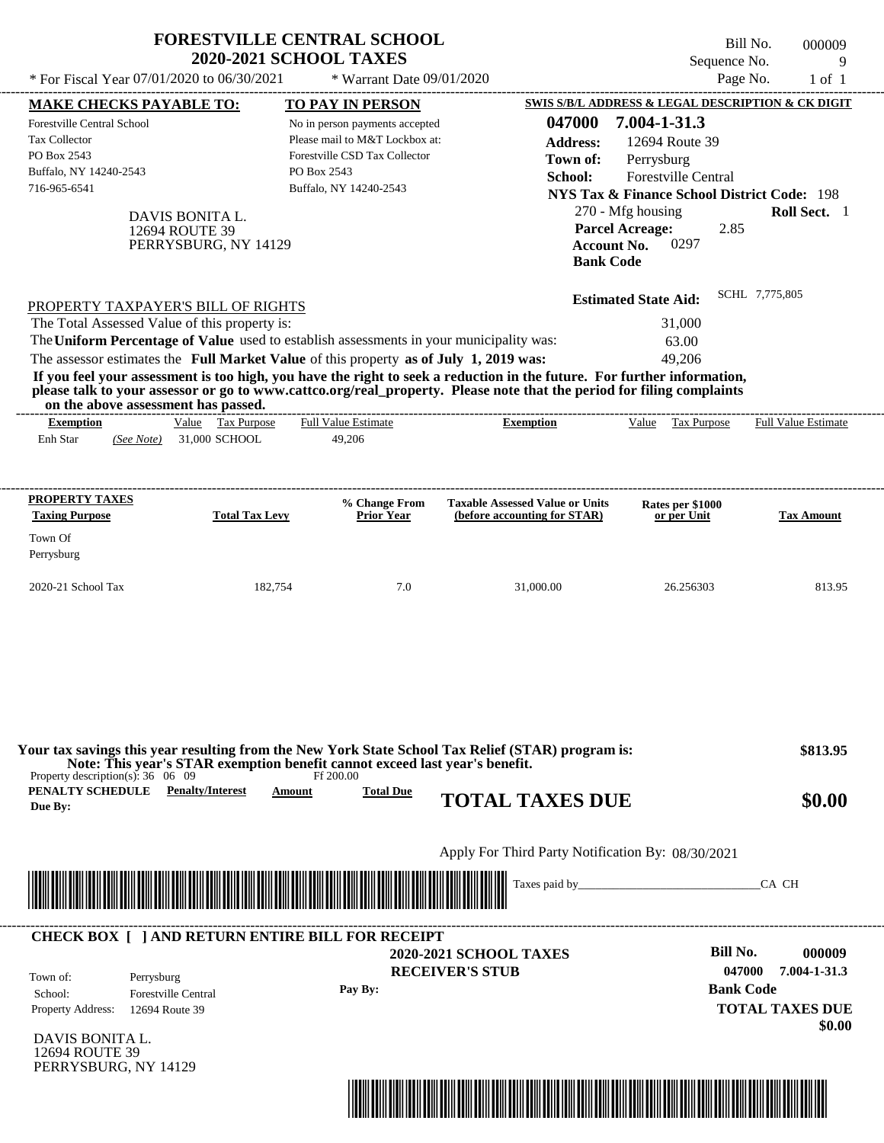| * For Fiscal Year 07/01/2020 to 06/30/2021                                                                                                    |                                                           | <b>FORESTVILLE CENTRAL SCHOOL</b><br><b>2020-2021 SCHOOL TAXES</b><br>* Warrant Date 09/01/2020                                                                                  |                                                                                                                                                                                                                                                  | Sequence No.                                                                                                                                                                                                                                      | Bill No.<br>000009<br>9<br>Page No.<br>$1$ of $1$ |
|-----------------------------------------------------------------------------------------------------------------------------------------------|-----------------------------------------------------------|----------------------------------------------------------------------------------------------------------------------------------------------------------------------------------|--------------------------------------------------------------------------------------------------------------------------------------------------------------------------------------------------------------------------------------------------|---------------------------------------------------------------------------------------------------------------------------------------------------------------------------------------------------------------------------------------------------|---------------------------------------------------|
| <b>MAKE CHECKS PAYABLE TO:</b><br><b>Forestville Central School</b><br>Tax Collector<br>PO Box 2543<br>Buffalo, NY 14240-2543<br>716-965-6541 | DAVIS BONITA L.<br>12694 ROUTE 39<br>PERRYSBURG, NY 14129 | <b>TO PAY IN PERSON</b><br>No in person payments accepted<br>Please mail to M&T Lockbox at:<br>Forestville CSD Tax Collector<br>PO Box 2543<br>Buffalo, NY 14240-2543            | 047000<br><b>Address:</b><br>Town of:<br>School:<br><b>Account No.</b><br><b>Bank Code</b>                                                                                                                                                       | SWIS S/B/L ADDRESS & LEGAL DESCRIPTION & CK DIGIT<br>7.004-1-31.3<br>12694 Route 39<br>Perrysburg<br>Forestville Central<br><b>NYS Tax &amp; Finance School District Code: 198</b><br>270 - Mfg housing<br><b>Parcel Acreage:</b><br>2.85<br>0297 | Roll Sect. 1                                      |
| PROPERTY TAXPAYER'S BILL OF RIGHTS<br>The Total Assessed Value of this property is:<br>on the above assessment has passed.                    |                                                           | The Uniform Percentage of Value used to establish assessments in your municipality was:<br>The assessor estimates the Full Market Value of this property as of July 1, 2019 was: | If you feel your assessment is too high, you have the right to seek a reduction in the future. For further information,<br>please talk to your assessor or go to www.cattco.org/real_property. Please note that the period for filing complaints | <b>Estimated State Aid:</b><br>31,000<br>63.00<br>49,206                                                                                                                                                                                          | SCHL 7,775,805                                    |
| <b>Exemption</b><br>Enh Star<br>(See Note)                                                                                                    | Value Tax Purpose<br>31,000 SCHOOL                        | <b>Full Value Estimate</b><br>49,206                                                                                                                                             | -----------------------------<br><b>Exemption</b>                                                                                                                                                                                                | Value Tax Purpose                                                                                                                                                                                                                                 | <b>Full Value Estimate</b>                        |
| <b>PROPERTY TAXES</b><br><b>Taxing Purpose</b><br>Town Of                                                                                     | <b>Total Tax Levy</b>                                     | % Change From<br><b>Prior Year</b>                                                                                                                                               | <b>Taxable Assessed Value or Units</b><br>(before accounting for STAR)                                                                                                                                                                           | Rates per \$1000<br>or per Unit                                                                                                                                                                                                                   | <b>Tax Amount</b>                                 |
| Perrysburg<br>2020-21 School Tax                                                                                                              | 182,754                                                   | 7.0                                                                                                                                                                              | 31,000.00                                                                                                                                                                                                                                        | 26.256303                                                                                                                                                                                                                                         | 813.95                                            |
| Property description(s): $36 \quad 06 \quad 09$                                                                                               |                                                           | Note: This year's STAR exemption benefit cannot exceed last year's benefit.<br>Ff 200.00                                                                                         | Your tax savings this year resulting from the New York State School Tax Relief (STAR) program is:                                                                                                                                                |                                                                                                                                                                                                                                                   | \$813.95                                          |
| <b>PENALTY SCHEDULE</b> Penalty/Interest<br>Due By:                                                                                           |                                                           | <b>Total Due</b><br>Amount                                                                                                                                                       | <b>TOTAL TAXES DUE</b>                                                                                                                                                                                                                           |                                                                                                                                                                                                                                                   | \$0.00                                            |
|                                                                                                                                               |                                                           |                                                                                                                                                                                  | Apply For Third Party Notification By: 08/30/2021                                                                                                                                                                                                |                                                                                                                                                                                                                                                   |                                                   |
| <u> 1989 - Andrea Stadt Britain, fransk politik forsk politik (f. 1989)</u>                                                                   |                                                           |                                                                                                                                                                                  |                                                                                                                                                                                                                                                  |                                                                                                                                                                                                                                                   | CA CH                                             |
|                                                                                                                                               |                                                           | <b>CHECK BOX [ ] AND RETURN ENTIRE BILL FOR RECEIPT</b>                                                                                                                          | <b>2020-2021 SCHOOL TAXES</b>                                                                                                                                                                                                                    | <b>Bill No.</b>                                                                                                                                                                                                                                   | 000009                                            |

\*04700000000900000000000000\*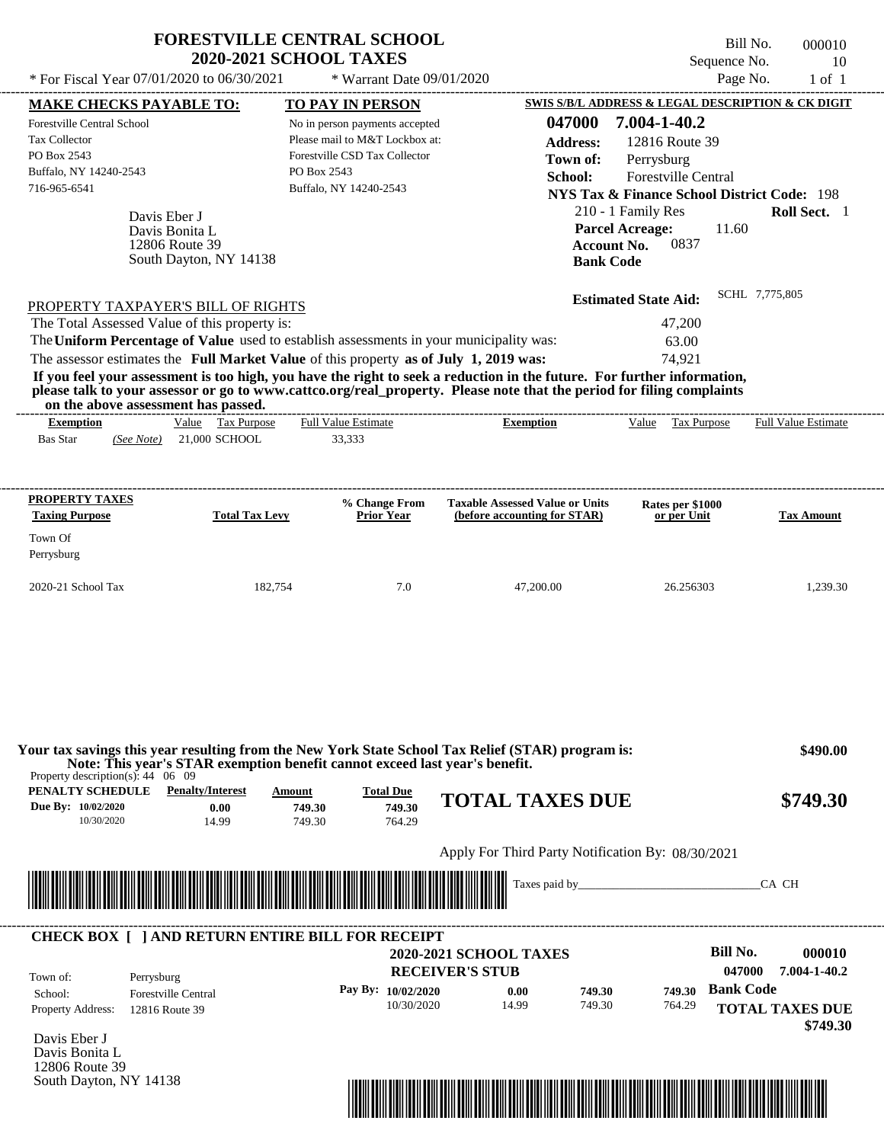|                                                                                         | <b>FORESTVILLE CENTRAL SCHOOL</b><br><b>2020-2021 SCHOOL TAXES</b> | Bill No.<br>000010<br>Sequence No.<br>10                                                                                                                                                                                                         |
|-----------------------------------------------------------------------------------------|--------------------------------------------------------------------|--------------------------------------------------------------------------------------------------------------------------------------------------------------------------------------------------------------------------------------------------|
| * For Fiscal Year 07/01/2020 to 06/30/2021                                              | * Warrant Date 09/01/2020                                          | Page No.<br>$1$ of $1$                                                                                                                                                                                                                           |
| <b>MAKE CHECKS PAYABLE TO:</b>                                                          | <b>TO PAY IN PERSON</b>                                            | SWIS S/B/L ADDRESS & LEGAL DESCRIPTION & CK DIGIT                                                                                                                                                                                                |
| Forestville Central School                                                              | No in person payments accepted                                     | 047000<br>7.004-1-40.2                                                                                                                                                                                                                           |
| <b>Tax Collector</b>                                                                    | Please mail to M&T Lockbox at:                                     | <b>Address:</b><br>12816 Route 39                                                                                                                                                                                                                |
| PO Box 2543                                                                             | Forestville CSD Tax Collector                                      | Town of:<br>Perrysburg                                                                                                                                                                                                                           |
| Buffalo, NY 14240-2543                                                                  | PO Box 2543                                                        | School:<br><b>Forestville Central</b>                                                                                                                                                                                                            |
| 716-965-6541                                                                            | Buffalo, NY 14240-2543                                             | <b>NYS Tax &amp; Finance School District Code: 198</b>                                                                                                                                                                                           |
| Davis Eber J                                                                            |                                                                    | <b>Roll Sect.</b> 1<br>210 - 1 Family Res                                                                                                                                                                                                        |
| Davis Bonita L                                                                          |                                                                    | <b>Parcel Acreage:</b><br>11.60                                                                                                                                                                                                                  |
| 12806 Route 39                                                                          |                                                                    | 0837<br><b>Account No.</b>                                                                                                                                                                                                                       |
| South Dayton, NY 14138                                                                  |                                                                    | <b>Bank Code</b>                                                                                                                                                                                                                                 |
| PROPERTY TAXPAYER'S BILL OF RIGHTS                                                      |                                                                    | SCHL 7,775,805<br><b>Estimated State Aid:</b>                                                                                                                                                                                                    |
| The Total Assessed Value of this property is:                                           |                                                                    | 47,200                                                                                                                                                                                                                                           |
| The Uniform Percentage of Value used to establish assessments in your municipality was: |                                                                    | 63.00                                                                                                                                                                                                                                            |
| The assessor estimates the Full Market Value of this property as of July 1, 2019 was:   |                                                                    | 74.921                                                                                                                                                                                                                                           |
| on the above assessment has passed.                                                     |                                                                    | If you feel your assessment is too high, you have the right to seek a reduction in the future. For further information,<br>please talk to your assessor or go to www.cattco.org/real_property. Please note that the period for filing complaints |

| vn me above assessment nas basseu. |            |       |               |                            |           |       |             |                            |
|------------------------------------|------------|-------|---------------|----------------------------|-----------|-------|-------------|----------------------------|
| Exemption                          |            | Value | Tax Purpose   | <b>Full Value Estimate</b> | Exemption | Value | Tax Purpose | <b>Full Value Estimate</b> |
| Bas Star                           | (See Note) |       | 21,000 SCHOOL | 33,333                     |           |       |             |                            |
|                                    |            |       |               |                            |           |       |             |                            |
|                                    |            |       |               |                            |           |       |             |                            |

| <b>PROPERTY TAXES</b><br><b>Taxing Purpose</b> | <b>Total Tax Levy</b> | % Change From<br><b>Prior Year</b> | <b>Taxable Assessed Value or Units</b><br>(before accounting for STAR) | Rates per \$1000<br>or per Unit | <b>Tax Amount</b> |
|------------------------------------------------|-----------------------|------------------------------------|------------------------------------------------------------------------|---------------------------------|-------------------|
| Town Of<br>Perrysburg                          |                       |                                    |                                                                        |                                 |                   |
| $2020-21$ School Tax                           | 182.754               | 7.0                                | 47,200.00                                                              | 26.256303                       | 1.239.30          |

| PENALTY SCHEDULE                                | <b>Penalty/Interest</b>                                 | Amount                                                                                                               | <b>Total Due</b>   |                                                   |        |                        |
|-------------------------------------------------|---------------------------------------------------------|----------------------------------------------------------------------------------------------------------------------|--------------------|---------------------------------------------------|--------|------------------------|
| Due By: 10/02/2020                              | 0.00                                                    | 749.30                                                                                                               | 749.30             | <b>TOTAL TAXES DUE</b>                            |        | \$749.30               |
| 10/30/2020                                      | 14.99                                                   | 749.30                                                                                                               | 764.29             |                                                   |        |                        |
|                                                 |                                                         |                                                                                                                      |                    | Apply For Third Party Notification By: 08/30/2021 |        |                        |
|                                                 |                                                         |                                                                                                                      |                    |                                                   |        |                        |
|                                                 |                                                         |                                                                                                                      |                    |                                                   |        |                        |
|                                                 |                                                         |                                                                                                                      |                    | Taxes paid by                                     |        | CA CH                  |
|                                                 |                                                         | <u> Maria Maria Maria Maria Maria Maria Maria Maria Maria Maria Maria Maria Maria Maria Maria Maria Maria Maria </u> |                    |                                                   |        |                        |
|                                                 |                                                         |                                                                                                                      |                    |                                                   |        |                        |
|                                                 | <b>CHECK BOX [ ] AND RETURN ENTIRE BILL FOR RECEIPT</b> |                                                                                                                      |                    |                                                   |        |                        |
|                                                 |                                                         |                                                                                                                      |                    | <b>2020-2021 SCHOOL TAXES</b>                     |        | Bill No.<br>000010     |
|                                                 | Perrysburg                                              |                                                                                                                      |                    | <b>RECEIVER'S STUB</b>                            |        | 047000<br>7.004-1-40.2 |
|                                                 | <b>Forestville Central</b>                              |                                                                                                                      | Pay By: 10/02/2020 | 0.00<br>749.30                                    | 749.30 | <b>Bank Code</b>       |
| Town of:<br>School:<br><b>Property Address:</b> | 12816 Route 39                                          |                                                                                                                      | 10/30/2020         | 749.30<br>14.99                                   | 764.29 | <b>TOTAL TAXES DUE</b> |

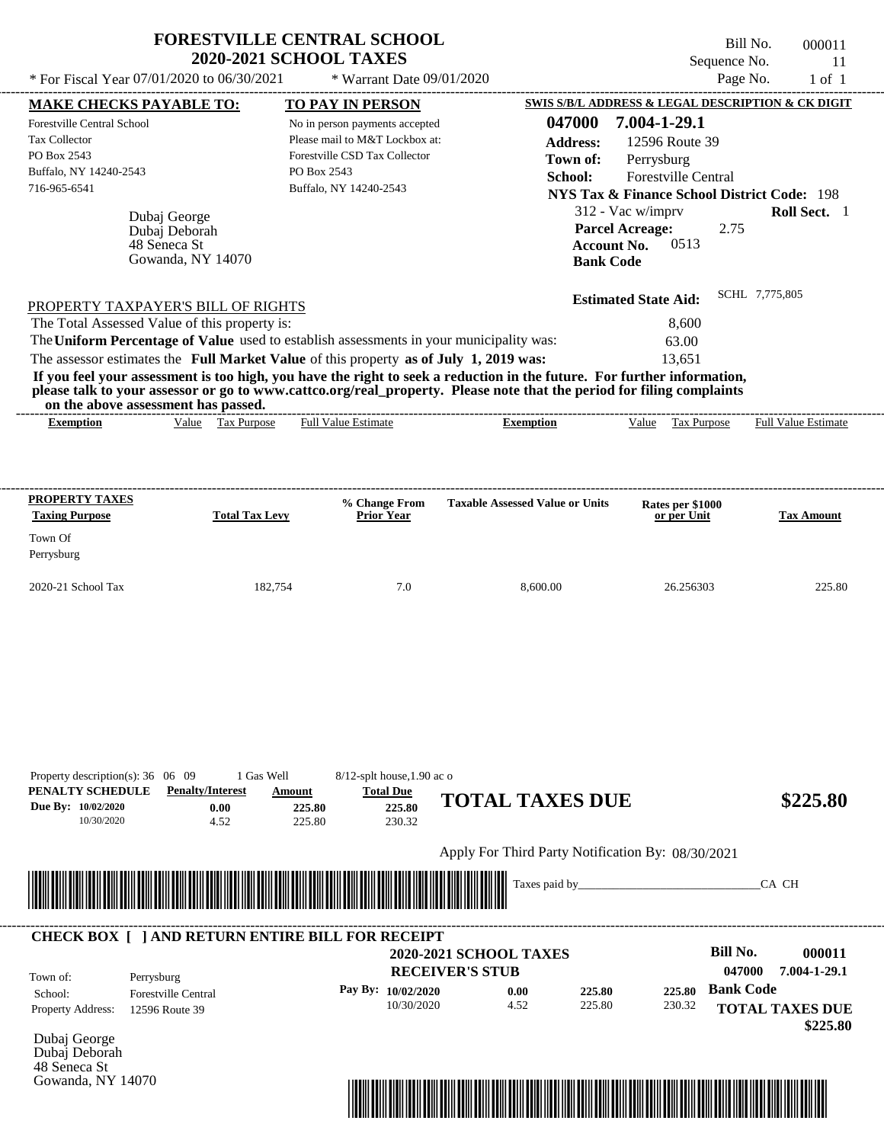|                                                                                                                                                                                                                                                  | <b>FORESTVILLE CENTRAL SCHOOL</b><br><b>2020-2021 SCHOOL TAXES</b> |                                                                                                   |                                                   | Sequence No.                                                                                       | Bill No.<br>000011<br>11 |
|--------------------------------------------------------------------------------------------------------------------------------------------------------------------------------------------------------------------------------------------------|--------------------------------------------------------------------|---------------------------------------------------------------------------------------------------|---------------------------------------------------|----------------------------------------------------------------------------------------------------|--------------------------|
| * For Fiscal Year 07/01/2020 to 06/30/2021                                                                                                                                                                                                       |                                                                    | * Warrant Date 09/01/2020                                                                         |                                                   | Page No.                                                                                           | $1$ of $1$               |
| <b>MAKE CHECKS PAYABLE TO:</b>                                                                                                                                                                                                                   |                                                                    | <b>TO PAY IN PERSON</b>                                                                           |                                                   | SWIS S/B/L ADDRESS & LEGAL DESCRIPTION & CK DIGIT                                                  |                          |
| Forestville Central School<br><b>Tax Collector</b><br>PO Box 2543                                                                                                                                                                                |                                                                    | No in person payments accepted<br>Please mail to M&T Lockbox at:<br>Forestville CSD Tax Collector | 047000<br><b>Address:</b><br>Town of:             | 7.004-1-29.1<br>12596 Route 39<br>Perrysburg                                                       |                          |
| Buffalo, NY 14240-2543<br>716-965-6541                                                                                                                                                                                                           | PO Box 2543                                                        | Buffalo, NY 14240-2543                                                                            | School:                                           | Forestville Central<br><b>NYS Tax &amp; Finance School District Code: 198</b><br>312 - Vac w/imprv | Roll Sect. 1             |
| Dubaj George<br>Dubaj Deborah<br>48 Seneca St<br>Gowanda, NY 14070                                                                                                                                                                               |                                                                    |                                                                                                   | <b>Bank Code</b>                                  | <b>Parcel Acreage:</b><br>2.75<br>0513<br><b>Account No.</b>                                       |                          |
| PROPERTY TAXPAYER'S BILL OF RIGHTS                                                                                                                                                                                                               |                                                                    |                                                                                                   |                                                   | <b>Estimated State Aid:</b>                                                                        | SCHL 7,775,805           |
| The Total Assessed Value of this property is:                                                                                                                                                                                                    |                                                                    |                                                                                                   |                                                   | 8,600                                                                                              |                          |
| The Uniform Percentage of Value used to establish assessments in your municipality was:                                                                                                                                                          |                                                                    |                                                                                                   |                                                   | 63.00                                                                                              |                          |
| The assessor estimates the Full Market Value of this property as of July 1, 2019 was:                                                                                                                                                            |                                                                    |                                                                                                   |                                                   | 13,651                                                                                             |                          |
| If you feel your assessment is too high, you have the right to seek a reduction in the future. For further information,<br>please talk to your assessor or go to www.cattco.org/real_property. Please note that the period for filing complaints |                                                                    |                                                                                                   |                                                   |                                                                                                    |                          |
| on the above assessment has passed.<br><b>Exemption</b>                                                                                                                                                                                          | Value Tax Purpose                                                  | <b>Full Value Estimate</b>                                                                        | <b>Exemption</b>                                  | Value Tax Purpose                                                                                  | Full Value Estimate      |
| <b>PROPERTY TAXES</b><br><b>Taxing Purpose</b>                                                                                                                                                                                                   | <b>Total Tax Levy</b>                                              | % Change From<br><b>Prior Year</b>                                                                | <b>Taxable Assessed Value or Units</b>            | Rates per \$1000<br>or per Unit                                                                    | <b>Tax Amount</b>        |
| Town Of<br>Perrysburg                                                                                                                                                                                                                            |                                                                    |                                                                                                   |                                                   |                                                                                                    |                          |
| 2020-21 School Tax                                                                                                                                                                                                                               | 182,754                                                            | 7.0                                                                                               | 8,600.00                                          | 26.256303                                                                                          | 225.80                   |
| Property description(s): $36 \quad 06 \quad 09$<br>PENALTY SCHEDULE<br><b>Penalty/Interest</b><br>Due By: 10/02/2020<br>0.00<br>10/30/2020<br>4.52                                                                                               | 1 Gas Well<br>Amount<br>225.80<br>225.80                           | $8/12$ -splt house, 1.90 ac o<br><b>Total Due</b><br>225.80<br>230.32                             | <b>TOTAL TAXES DUE</b>                            |                                                                                                    | \$225.80                 |
|                                                                                                                                                                                                                                                  |                                                                    |                                                                                                   | Apply For Third Party Notification By: 08/30/2021 |                                                                                                    |                          |
|                                                                                                                                                                                                                                                  |                                                                    |                                                                                                   | Taxes paid by_                                    |                                                                                                    | CA CH                    |
| <b>CHECK BOX [ ] AND RETURN ENTIRE BILL FOR RECEIPT</b>                                                                                                                                                                                          |                                                                    |                                                                                                   | 2020-2021 SCHOOL TAXES<br><b>RECEIVER'S STUB</b>  | <b>Bill No.</b><br>047000                                                                          | 000011<br>7.004-1-29.1   |
| Town of:<br>Perrysburg<br>School:<br><b>Forestville Central</b><br>Property Address:<br>12596 Route 39                                                                                                                                           |                                                                    | Pay By: 10/02/2020<br>10/30/2020                                                                  | 0.00<br>225.80<br>225.80<br>4.52                  | <b>Bank Code</b><br>225.80<br>230.32                                                               | <b>TOTAL TAXES DUE</b>   |
|                                                                                                                                                                                                                                                  |                                                                    |                                                                                                   |                                                   |                                                                                                    | \$225.80                 |

Dubaj George Dubaj Deborah 48 Seneca St Gowanda, NY 14070

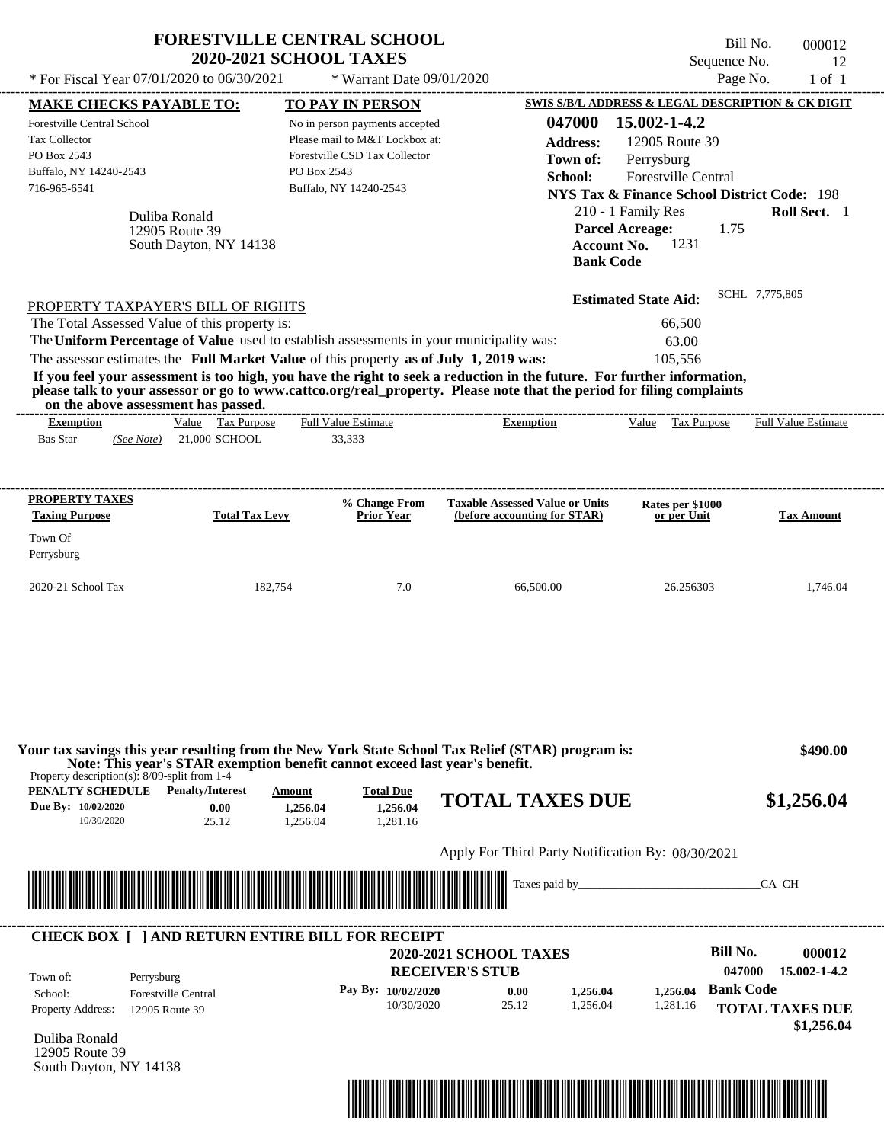| * For Fiscal Year 07/01/2020 to 06/30/2021                                                                                                                                                                                                                                                                                                                          | <b>2020-2021 SCHOOL TAXES</b>      | <b>FORESTVILLE CENTRAL SCHOOL</b><br>* Warrant Date 09/01/2020                                                                                                        |                                                                                                                                                                                                                                                                      | Sequence No.<br>Page No.                                                                                                                                                                                                                                                 | Bill No.<br>000012<br>12<br>$1$ of $1$                         |
|---------------------------------------------------------------------------------------------------------------------------------------------------------------------------------------------------------------------------------------------------------------------------------------------------------------------------------------------------------------------|------------------------------------|-----------------------------------------------------------------------------------------------------------------------------------------------------------------------|----------------------------------------------------------------------------------------------------------------------------------------------------------------------------------------------------------------------------------------------------------------------|--------------------------------------------------------------------------------------------------------------------------------------------------------------------------------------------------------------------------------------------------------------------------|----------------------------------------------------------------|
| <b>MAKE CHECKS PAYABLE TO:</b><br><b>Forestville Central School</b><br><b>Tax Collector</b><br>PO Box 2543<br>Buffalo, NY 14240-2543<br>716-965-6541<br>Duliba Ronald<br>12905 Route 39                                                                                                                                                                             | South Dayton, NY 14138             | <b>TO PAY IN PERSON</b><br>No in person payments accepted<br>Please mail to M&T Lockbox at:<br>Forestville CSD Tax Collector<br>PO Box 2543<br>Buffalo, NY 14240-2543 | 047000<br><b>Address:</b><br>Town of:<br>School:<br><b>Bank Code</b>                                                                                                                                                                                                 | SWIS S/B/L ADDRESS & LEGAL DESCRIPTION & CK DIGIT<br>15.002-1-4.2<br>12905 Route 39<br>Perrysburg<br>Forestville Central<br><b>NYS Tax &amp; Finance School District Code: 198</b><br>210 - 1 Family Res<br><b>Parcel Acreage:</b><br>1.75<br>1231<br><b>Account No.</b> | Roll Sect. 1                                                   |
| PROPERTY TAXPAYER'S BILL OF RIGHTS<br>The Total Assessed Value of this property is:<br>The Uniform Percentage of Value used to establish assessments in your municipality was:<br>The assessor estimates the Full Market Value of this property as of July 1, 2019 was:<br>on the above assessment has passed.<br><b>Exemption</b><br><b>Bas Star</b><br>(See Note) | Value Tax Purpose<br>21,000 SCHOOL | ------------------------<br><b>Full Value Estimate</b><br>33,333                                                                                                      | If you feel your assessment is too high, you have the right to seek a reduction in the future. For further information,<br>please talk to your assessor or go to www.cattco.org/real property. Please note that the period for filing complaints<br><b>Exemption</b> | <b>Estimated State Aid:</b><br>66,500<br>63.00<br>105,556<br>Value Tax Purpose                                                                                                                                                                                           | SCHL 7,775,805<br><b>Full Value Estimate</b>                   |
| PROPERTY TAXES<br><b>Taxing Purpose</b><br>Town Of                                                                                                                                                                                                                                                                                                                  | <b>Total Tax Levy</b>              | % Change From<br><b>Prior Year</b>                                                                                                                                    | <b>Taxable Assessed Value or Units</b><br>(before accounting for STAR)                                                                                                                                                                                               | Rates per \$1000<br>or per Unit                                                                                                                                                                                                                                          | Tax Amount                                                     |
| Perrysburg<br>2020-21 School Tax                                                                                                                                                                                                                                                                                                                                    | 182,754                            | 7.0                                                                                                                                                                   | 66,500.00                                                                                                                                                                                                                                                            | 26.256303                                                                                                                                                                                                                                                                | 1,746.04                                                       |
| Property description(s): $8/09$ -split from 1-4<br><b>PENALTY SCHEDULE</b> Penalty/Interest<br>Due By: 10/02/2020<br>10/30/2020                                                                                                                                                                                                                                     | Amount<br>0.00<br>25.12            | Note: This year's STAR exemption benefit cannot exceed last year's benefit.<br><b>Total Due</b><br>1.256.04<br>1,256.04<br>1,256.04<br>1.281.16                       | Your tax savings this year resulting from the New York State School Tax Relief (STAR) program is:<br><b>TOTAL TAXES DUE</b>                                                                                                                                          |                                                                                                                                                                                                                                                                          | \$490.00<br>\$1,256.04                                         |
|                                                                                                                                                                                                                                                                                                                                                                     |                                    |                                                                                                                                                                       | Apply For Third Party Notification By: 08/30/2021                                                                                                                                                                                                                    |                                                                                                                                                                                                                                                                          | CA CH                                                          |
| <b>CHECK BOX [ ] AND RETURN ENTIRE BILL FOR RECEIPT</b><br>Town of:<br>Perrysburg<br><b>Forestville Central</b><br>School:<br>Property Address:<br>12905 Route 39<br>Duliba Ronald<br>12905 Route 39<br>South Dayton, NY 14138                                                                                                                                      |                                    | Pay By: 10/02/2020<br>10/30/2020                                                                                                                                      | <b>2020-2021 SCHOOL TAXES</b><br><b>RECEIVER'S STUB</b><br>1,256.04<br>0.00<br>25.12<br>1,256.04                                                                                                                                                                     | <b>Bill No.</b><br>047000<br><b>Bank Code</b><br>1,256.04<br>1,281.16                                                                                                                                                                                                    | 000012<br>15.002-1-4.2<br><b>TOTAL TAXES DUE</b><br>\$1,256.04 |

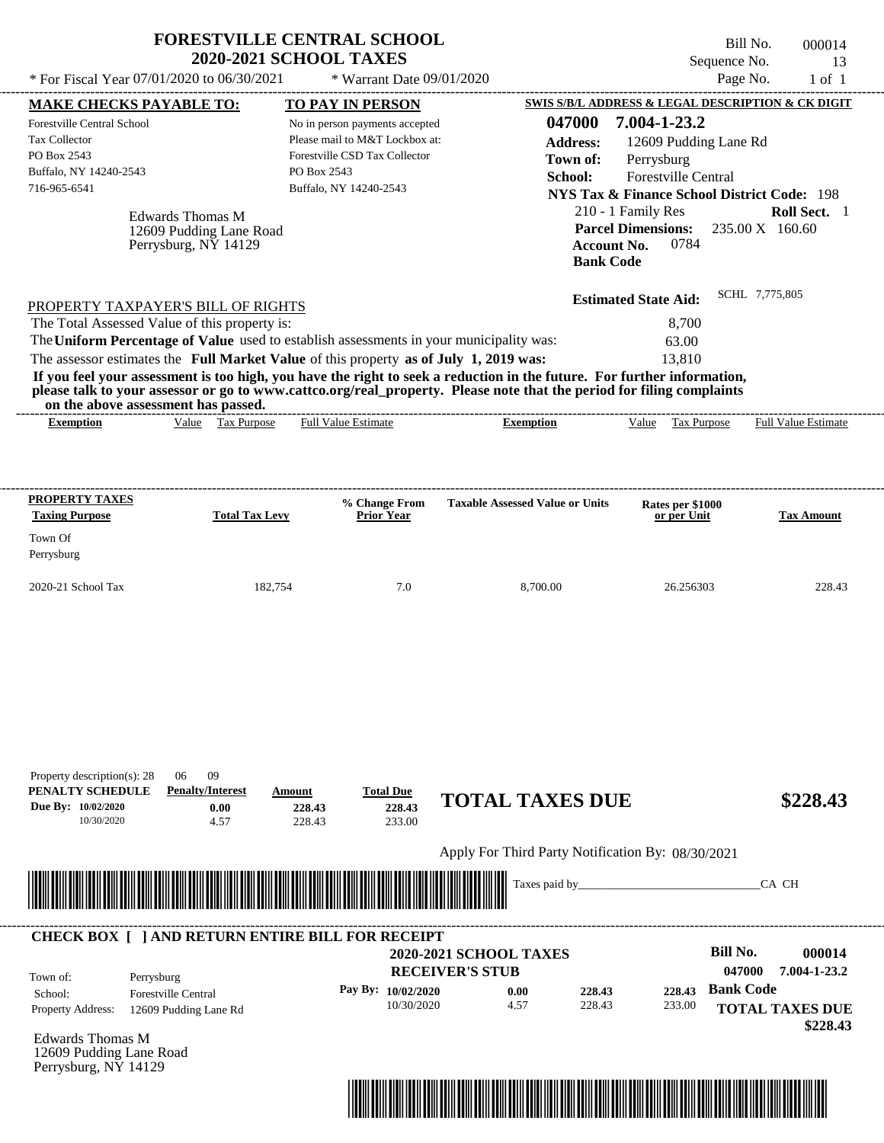|                                                                                                                                                                                                                                                                                                                                                                                                                                                                                                                                                                    | <b>FORESTVILLE CENTRAL SCHOOL</b><br><b>2020-2021 SCHOOL TAXES</b>         |                                                                                                                                                                |                                           |                                                                         |                                                                                                       |                                                                                                                                                                                   |                                              | Bill No.<br>Sequence No.                 |       | 000014<br>13                           |
|--------------------------------------------------------------------------------------------------------------------------------------------------------------------------------------------------------------------------------------------------------------------------------------------------------------------------------------------------------------------------------------------------------------------------------------------------------------------------------------------------------------------------------------------------------------------|----------------------------------------------------------------------------|----------------------------------------------------------------------------------------------------------------------------------------------------------------|-------------------------------------------|-------------------------------------------------------------------------|-------------------------------------------------------------------------------------------------------|-----------------------------------------------------------------------------------------------------------------------------------------------------------------------------------|----------------------------------------------|------------------------------------------|-------|----------------------------------------|
| * For Fiscal Year 07/01/2020 to 06/30/2021                                                                                                                                                                                                                                                                                                                                                                                                                                                                                                                         |                                                                            |                                                                                                                                                                | * Warrant Date $09/01/2020$               |                                                                         |                                                                                                       |                                                                                                                                                                                   |                                              | Page No.                                 |       | $1$ of $1$                             |
| <b>MAKE CHECKS PAYABLE TO:</b><br>Forestville Central School<br><b>Tax Collector</b><br>PO Box 2543<br>Buffalo, NY 14240-2543<br>716-965-6541                                                                                                                                                                                                                                                                                                                                                                                                                      | <b>Edwards Thomas M</b><br>12609 Pudding Lane Road<br>Perrysburg, NY 14129 | TO PAY IN PERSON<br>No in person payments accepted<br>Please mail to M&T Lockbox at:<br>Forestville CSD Tax Collector<br>PO Box 2543<br>Buffalo, NY 14240-2543 |                                           |                                                                         | SWIS S/B/L ADDRESS & LEGAL DESCRIPTION & CK DIGIT<br>047000<br><b>Address:</b><br>Town of:<br>School: | 7.004-1-23.2<br>Perrysburg<br><b>NYS Tax &amp; Finance School District Code: 198</b><br>210 - 1 Family Res<br><b>Parcel Dimensions:</b><br><b>Account No.</b><br><b>Bank Code</b> | Forestville Central<br>0784                  | 12609 Pudding Lane Rd<br>235.00 X 160.60 |       | Roll Sect. 1                           |
| PROPERTY TAXPAYER'S BILL OF RIGHTS<br>The Total Assessed Value of this property is:<br>The Uniform Percentage of Value used to establish assessments in your municipality was:<br>The assessor estimates the Full Market Value of this property as of July 1, 2019 was:<br>If you feel your assessment is too high, you have the right to seek a reduction in the future. For further information,<br>please talk to your assessor or go to www.cattco.org/real_property. Please note that the period for filing complaints<br>on the above assessment has passed. |                                                                            |                                                                                                                                                                |                                           |                                                                         |                                                                                                       | <b>Estimated State Aid:</b>                                                                                                                                                       | 8,700<br>63.00<br>13,810                     | SCHL 7,775,805                           |       |                                        |
| <b>Exemption</b>                                                                                                                                                                                                                                                                                                                                                                                                                                                                                                                                                   | Value Tax Purpose                                                          | <b>Full Value Estimate</b>                                                                                                                                     |                                           |                                                                         | <b>Exemption</b>                                                                                      | Value                                                                                                                                                                             | Tax Purpose                                  |                                          |       | <b>Full Value Estimate</b>             |
| <b>PROPERTY TAXES</b><br><b>Taxing Purpose</b><br>Town Of<br>Perrysburg<br>2020-21 School Tax                                                                                                                                                                                                                                                                                                                                                                                                                                                                      | <b>Total Tax Levy</b><br>182,754                                           |                                                                                                                                                                | % Change From<br><b>Prior Year</b><br>7.0 |                                                                         | <b>Taxable Assessed Value or Units</b><br>8,700.00                                                    |                                                                                                                                                                                   | Rates per \$1000<br>or per Unit<br>26.256303 |                                          |       | <b>Tax Amount</b><br>228.43            |
| Property description(s): 28<br>PENALTY SCHEDULE<br>Due By: 10/02/2020<br>10/30/2020                                                                                                                                                                                                                                                                                                                                                                                                                                                                                | 09<br>06<br><b>Penalty/Interest</b><br>0.00<br>4.57                        | Amount<br>228.43<br>228.43                                                                                                                                     | <b>Total Due</b><br>228.43<br>233.00      |                                                                         | <b>TOTAL TAXES DUE</b>                                                                                |                                                                                                                                                                                   |                                              |                                          |       | \$228.43                               |
|                                                                                                                                                                                                                                                                                                                                                                                                                                                                                                                                                                    |                                                                            |                                                                                                                                                                |                                           |                                                                         | Apply For Third Party Notification By: 08/30/2021                                                     |                                                                                                                                                                                   |                                              |                                          |       |                                        |
|                                                                                                                                                                                                                                                                                                                                                                                                                                                                                                                                                                    |                                                                            |                                                                                                                                                                |                                           |                                                                         | Taxes paid by                                                                                         |                                                                                                                                                                                   |                                              |                                          | CA CH |                                        |
| <b>CHECK BOX [ ] AND RETURN ENTIRE BILL FOR RECEIPT</b>                                                                                                                                                                                                                                                                                                                                                                                                                                                                                                            |                                                                            |                                                                                                                                                                |                                           |                                                                         |                                                                                                       |                                                                                                                                                                                   |                                              | <b>Bill No.</b>                          |       | 000014                                 |
| Town of:<br>Perrysburg<br><b>Forestville Central</b><br>School:<br>Property Address:                                                                                                                                                                                                                                                                                                                                                                                                                                                                               | 12609 Pudding Lane Rd                                                      |                                                                                                                                                                | Pay By: 10/02/2020<br>10/30/2020          | <b>2020-2021 SCHOOL TAXES</b><br><b>RECEIVER'S STUB</b><br>0.00<br>4.57 | 228.43<br>228.43                                                                                      |                                                                                                                                                                                   | 228.43<br>233.00                             | 047000<br><b>Bank Code</b>               |       | 7.004-1-23.2<br><b>TOTAL TAXES DUE</b> |

Edwards Thomas M 12609 Pudding Lane Road Perrysburg, NY 14129



 **\$228.43**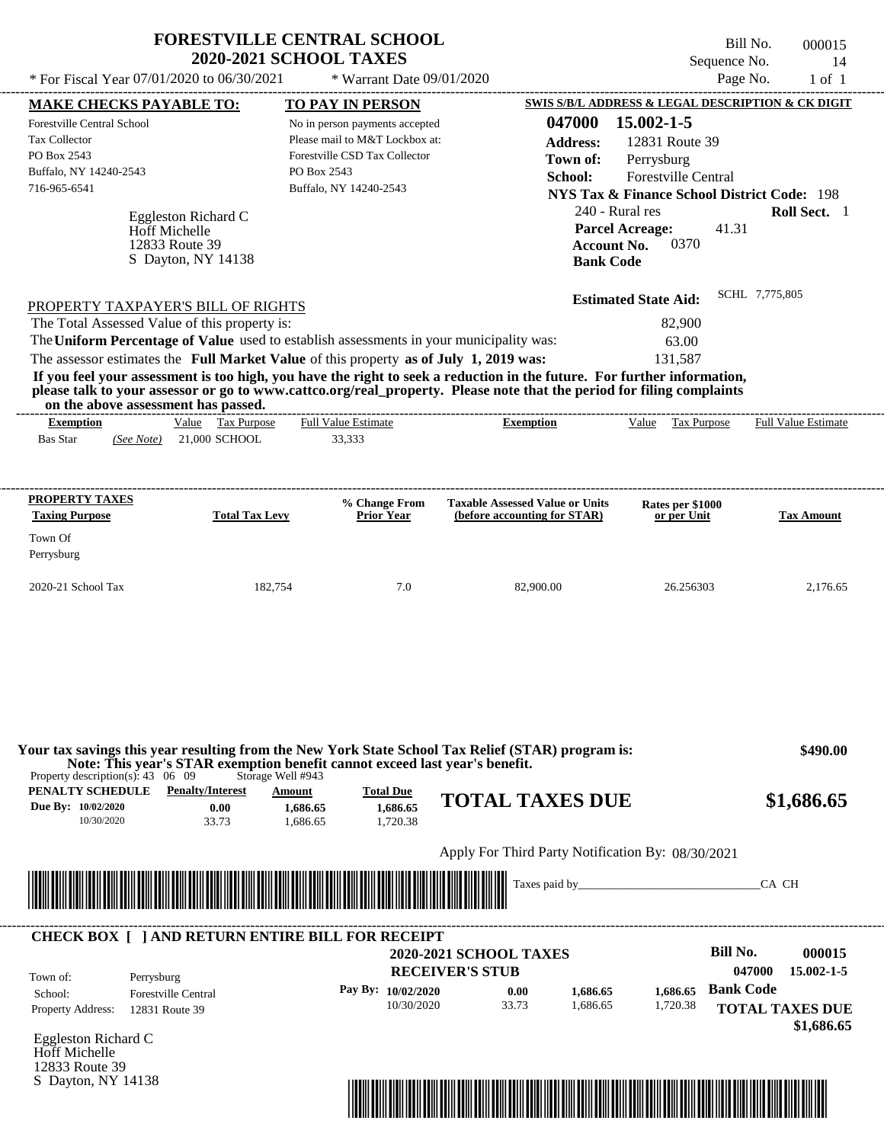|                                                                                                             |                                                                                     | <b>FORESTVILLE CENTRAL SCHOOL</b><br><b>2020-2021 SCHOOL TAXES</b>                                                                         |                                                                                                                                                                                                                                                  | Bill No.<br>Sequence No.                                                                                                                                                                                                            | 000015<br>14               |
|-------------------------------------------------------------------------------------------------------------|-------------------------------------------------------------------------------------|--------------------------------------------------------------------------------------------------------------------------------------------|--------------------------------------------------------------------------------------------------------------------------------------------------------------------------------------------------------------------------------------------------|-------------------------------------------------------------------------------------------------------------------------------------------------------------------------------------------------------------------------------------|----------------------------|
| * For Fiscal Year 07/01/2020 to 06/30/2021                                                                  |                                                                                     | * Warrant Date $09/01/2020$                                                                                                                |                                                                                                                                                                                                                                                  | Page No.                                                                                                                                                                                                                            | $1$ of $1$                 |
| <b>MAKE CHECKS PAYABLE TO:</b>                                                                              |                                                                                     | TO PAY IN PERSON                                                                                                                           |                                                                                                                                                                                                                                                  | SWIS S/B/L ADDRESS & LEGAL DESCRIPTION & CK DIGIT                                                                                                                                                                                   |                            |
| Forestville Central School<br><b>Tax Collector</b><br>PO Box 2543<br>Buffalo, NY 14240-2543<br>716-965-6541 | Eggleston Richard C<br><b>Hoff Michelle</b><br>12833 Route 39<br>S Dayton, NY 14138 | No in person payments accepted<br>Please mail to M&T Lockbox at:<br>Forestville CSD Tax Collector<br>PO Box 2543<br>Buffalo, NY 14240-2543 | 047000<br><b>Address:</b><br>Town of:<br>School:                                                                                                                                                                                                 | 15.002-1-5<br>12831 Route 39<br>Perrysburg<br>Forestville Central<br><b>NYS Tax &amp; Finance School District Code: 198</b><br>240 - Rural res<br><b>Parcel Acreage:</b><br>41.31<br>0370<br><b>Account No.</b><br><b>Bank Code</b> | Roll Sect. 1               |
| PROPERTY TAXPAYER'S BILL OF RIGHTS<br>The Total Assessed Value of this property is:                         |                                                                                     | The Uniform Percentage of Value used to establish assessments in your municipality was:                                                    |                                                                                                                                                                                                                                                  | <b>Estimated State Aid:</b><br>82,900<br>63.00                                                                                                                                                                                      | SCHL 7,775,805             |
| on the above assessment has passed.                                                                         |                                                                                     | The assessor estimates the Full Market Value of this property as of July 1, 2019 was:                                                      | If you feel your assessment is too high, you have the right to seek a reduction in the future. For further information,<br>please talk to your assessor or go to www.cattco.org/real_property. Please note that the period for filing complaints | 131,587                                                                                                                                                                                                                             |                            |
| <b>Exemption</b><br><b>Bas Star</b><br>(See Note)                                                           | Value Tax Purpose<br>21,000 SCHOOL                                                  | <b>Full Value Estimate</b><br>33,333                                                                                                       | <b>Exemption</b>                                                                                                                                                                                                                                 | Value<br><b>Tax Purpose</b>                                                                                                                                                                                                         | <b>Full Value Estimate</b> |
| <b>PROPERTY TAXES</b>                                                                                       |                                                                                     | % Change From                                                                                                                              | <b>Taxable Assessed Value or Units</b>                                                                                                                                                                                                           | Rates per \$1000                                                                                                                                                                                                                    |                            |
| <b>Taxing Purpose</b><br>Town Of<br>Perrysburg                                                              | <b>Total Tax Levy</b>                                                               | Prior Year                                                                                                                                 | (before accounting for STAR)                                                                                                                                                                                                                     | or per Unit                                                                                                                                                                                                                         | <b>Tax Amount</b>          |
| 2020-21 School Tax                                                                                          | 182,754                                                                             | 7.0                                                                                                                                        | 82,900.00                                                                                                                                                                                                                                        | 26.256303                                                                                                                                                                                                                           | 2,176.65                   |
|                                                                                                             |                                                                                     |                                                                                                                                            |                                                                                                                                                                                                                                                  |                                                                                                                                                                                                                                     |                            |
| Property description(s): $43 \quad 06 \quad 09$                                                             | Storage Well #943                                                                   | Note: This year's STAR exemption benefit cannot exceed last year's benefit.                                                                | Your tax savings this year resulting from the New York State School Tax Relief (STAR) program is:                                                                                                                                                |                                                                                                                                                                                                                                     |                            |
| <b>PENALTY SCHEDULE</b><br>Due By: 10/02/2020<br>10/30/2020                                                 | <b>Penalty/Interest</b><br>0.00<br>33.73                                            | <b>Total Due</b><br>Amount<br>1,686.65<br>1.686.65<br>1,720.38<br>1,686.65                                                                 | <b>TOTAL TAXES DUE</b>                                                                                                                                                                                                                           |                                                                                                                                                                                                                                     | \$490.00<br>\$1,686.65     |
|                                                                                                             |                                                                                     |                                                                                                                                            | Apply For Third Party Notification By: 08/30/2021                                                                                                                                                                                                |                                                                                                                                                                                                                                     |                            |

| Town of:                 | Perrysburg                 | <b>2020-2021 SCHOOL TAXES</b><br><b>RECEIVER'S STUB</b> |       |          |          | Bill No.<br>047000     | 000015<br>$15.002 - 1 - 5$ |
|--------------------------|----------------------------|---------------------------------------------------------|-------|----------|----------|------------------------|----------------------------|
| School:                  | <b>Forestville Central</b> | Pay By: $10/02/2020$                                    | 0.00  | 1.686.65 | 1.686.65 | <b>Bank Code</b>       |                            |
| <b>Property Address:</b> | 12831 Route 39             | 10/30/2020                                              | 33.73 | 1,686.65 | 1,720.38 | <b>TOTAL TAXES DUE</b> |                            |

Eggleston Richard C Hoff Michelle 12833 Route 39 S Dayton, NY 14138

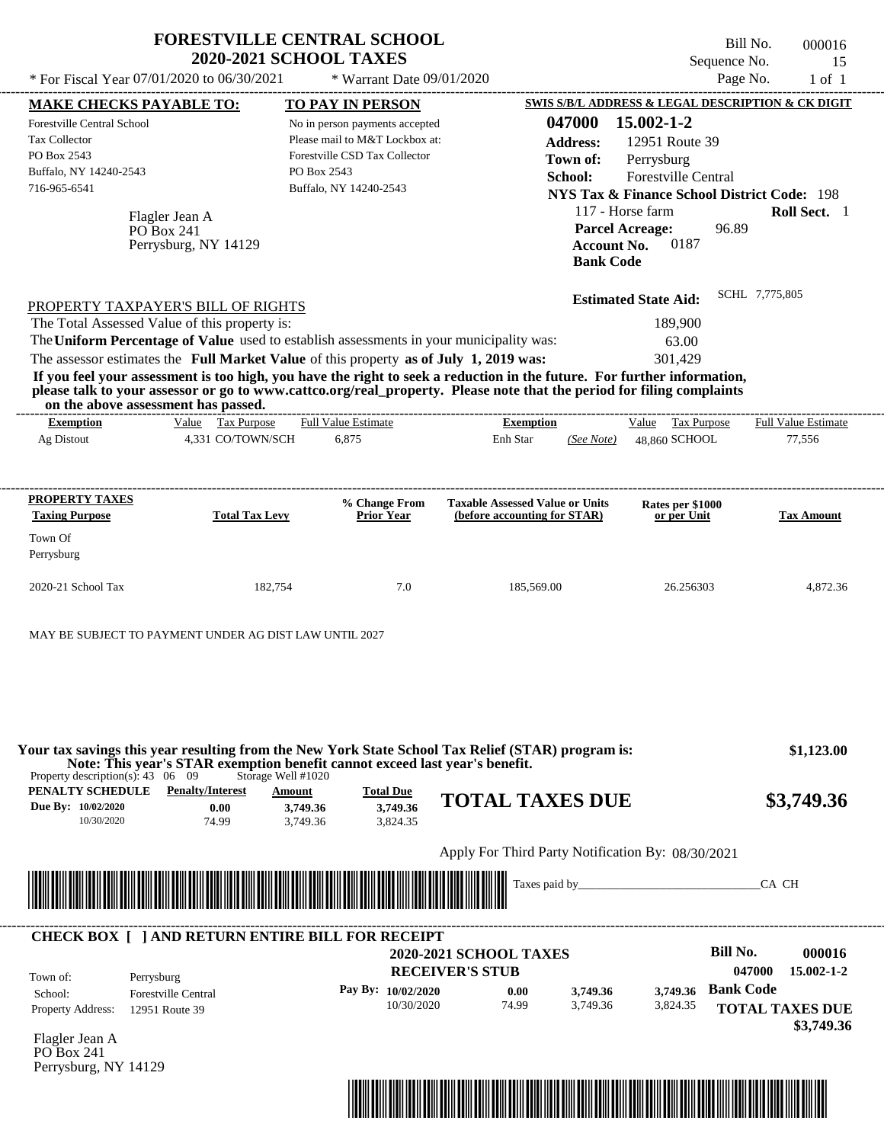|                                                                                                                                                                                                                                                       | <b>FORESTVILLE CENTRAL SCHOOL</b><br><b>2020-2021 SCHOOL TAXES</b>                                                                                                              |                                                   | Sequence No.                                                     | Bill No.<br>000016<br>15   |
|-------------------------------------------------------------------------------------------------------------------------------------------------------------------------------------------------------------------------------------------------------|---------------------------------------------------------------------------------------------------------------------------------------------------------------------------------|---------------------------------------------------|------------------------------------------------------------------|----------------------------|
| * For Fiscal Year 07/01/2020 to 06/30/2021                                                                                                                                                                                                            | * Warrant Date 09/01/2020                                                                                                                                                       |                                                   | Page No.                                                         | $1$ of $1$                 |
| <b>MAKE CHECKS PAYABLE TO:</b>                                                                                                                                                                                                                        | <b>TO PAY IN PERSON</b>                                                                                                                                                         |                                                   | <b>SWIS S/B/L ADDRESS &amp; LEGAL DESCRIPTION &amp; CK DIGIT</b> |                            |
| Forestville Central School                                                                                                                                                                                                                            | No in person payments accepted                                                                                                                                                  | 047000                                            | 15.002-1-2                                                       |                            |
| <b>Tax Collector</b>                                                                                                                                                                                                                                  | Please mail to M&T Lockbox at:                                                                                                                                                  | <b>Address:</b>                                   | 12951 Route 39                                                   |                            |
| PO Box 2543                                                                                                                                                                                                                                           | Forestville CSD Tax Collector                                                                                                                                                   | Town of:                                          | Perrysburg                                                       |                            |
| Buffalo, NY 14240-2543                                                                                                                                                                                                                                | PO Box 2543                                                                                                                                                                     | School:                                           | Forestville Central                                              |                            |
| 716-965-6541                                                                                                                                                                                                                                          | Buffalo, NY 14240-2543                                                                                                                                                          |                                                   | <b>NYS Tax &amp; Finance School District Code: 198</b>           |                            |
|                                                                                                                                                                                                                                                       |                                                                                                                                                                                 |                                                   | 117 - Horse farm                                                 | Roll Sect. 1               |
| Flagler Jean A<br>PO Box 241                                                                                                                                                                                                                          |                                                                                                                                                                                 |                                                   | 96.89<br><b>Parcel Acreage:</b>                                  |                            |
| Perrysburg, NY 14129                                                                                                                                                                                                                                  |                                                                                                                                                                                 |                                                   | 0187<br><b>Account No.</b>                                       |                            |
|                                                                                                                                                                                                                                                       |                                                                                                                                                                                 | <b>Bank Code</b>                                  |                                                                  |                            |
|                                                                                                                                                                                                                                                       |                                                                                                                                                                                 |                                                   | <b>Estimated State Aid:</b>                                      | SCHL 7,775,805             |
| PROPERTY TAXPAYER'S BILL OF RIGHTS<br>The Total Assessed Value of this property is:                                                                                                                                                                   |                                                                                                                                                                                 |                                                   | 189,900                                                          |                            |
| The Uniform Percentage of Value used to establish assessments in your municipality was:                                                                                                                                                               |                                                                                                                                                                                 |                                                   | 63.00                                                            |                            |
| The assessor estimates the Full Market Value of this property as of July 1, 2019 was:                                                                                                                                                                 |                                                                                                                                                                                 |                                                   | 301,429                                                          |                            |
| If you feel your assessment is too high, you have the right to seek a reduction in the future. For further information,                                                                                                                               |                                                                                                                                                                                 |                                                   |                                                                  |                            |
| please talk to your assessor or go to www.cattco.org/real_property. Please note that the period for filing complaints                                                                                                                                 |                                                                                                                                                                                 |                                                   |                                                                  |                            |
| on the above assessment has passed.                                                                                                                                                                                                                   |                                                                                                                                                                                 |                                                   |                                                                  |                            |
| Value Tax Purpose<br><b>Exemption</b>                                                                                                                                                                                                                 | <b>Full Value Estimate</b>                                                                                                                                                      | <b>Exemption</b>                                  | Value Tax Purpose                                                | <b>Full Value Estimate</b> |
| Ag Distout                                                                                                                                                                                                                                            | 4,331 CO/TOWN/SCH<br>6,875                                                                                                                                                      | Enh Star<br>(See Note)                            | 48,860 SCHOOL                                                    | 77,556                     |
|                                                                                                                                                                                                                                                       |                                                                                                                                                                                 |                                                   |                                                                  |                            |
| PROPERTY TAXES                                                                                                                                                                                                                                        | % Change From                                                                                                                                                                   | <b>Taxable Assessed Value or Units</b>            | Rates per \$1000                                                 |                            |
| <b>Taxing Purpose</b>                                                                                                                                                                                                                                 | <b>Total Tax Levy</b><br>Prior Year                                                                                                                                             | (before accounting for STAR)                      | or per Unit                                                      | <b>Tax Amount</b>          |
| Town Of                                                                                                                                                                                                                                               |                                                                                                                                                                                 |                                                   |                                                                  |                            |
| Perrysburg                                                                                                                                                                                                                                            |                                                                                                                                                                                 |                                                   |                                                                  |                            |
| 2020-21 School Tax                                                                                                                                                                                                                                    | 182,754<br>7.0                                                                                                                                                                  | 185,569.00                                        | 26.256303                                                        | 4,872.36                   |
|                                                                                                                                                                                                                                                       |                                                                                                                                                                                 |                                                   |                                                                  |                            |
| Your tax savings this year resulting from the New York State School Tax Relief (STAR) program is:<br>Property description(s): $43 \quad 06 \quad 09$<br><b>PENALTY SCHEDULE</b> Penalty/Interest<br>Due By: 10/02/2020<br>0.00<br>10/30/2020<br>74.99 | Note: This year's STAR exemption benefit cannot exceed last year's benefit.<br>Storage Well #1020<br><b>Total Due</b><br>Amount<br>3,749.36<br>3,749.36<br>3.749.36<br>3,824.35 | <b>TOTAL TAXES DUE</b>                            |                                                                  | \$1,123.00<br>\$3,749.36   |
|                                                                                                                                                                                                                                                       |                                                                                                                                                                                 | Apply For Third Party Notification By: 08/30/2021 |                                                                  |                            |
|                                                                                                                                                                                                                                                       |                                                                                                                                                                                 |                                                   |                                                                  |                            |
|                                                                                                                                                                                                                                                       |                                                                                                                                                                                 |                                                   | Taxes paid by                                                    | CA CH                      |
| <b>CHECK BOX [ ] AND RETURN ENTIRE BILL FOR RECEIPT</b>                                                                                                                                                                                               |                                                                                                                                                                                 |                                                   |                                                                  |                            |
|                                                                                                                                                                                                                                                       |                                                                                                                                                                                 | 2020-2021 SCHOOL TAXES                            | <b>Bill No.</b>                                                  | 000016                     |
| Town of:                                                                                                                                                                                                                                              |                                                                                                                                                                                 | <b>RECEIVER'S STUB</b>                            |                                                                  | 047000<br>$15.002 - 1 - 2$ |
| Perrysburg<br><b>Forestville Central</b><br>School:                                                                                                                                                                                                   | Pay By: 10/02/2020                                                                                                                                                              | 3,749.36<br>0.00                                  | <b>Bank Code</b><br>3,749.36                                     |                            |
| Property Address:<br>12951 Route 39                                                                                                                                                                                                                   | 10/30/2020                                                                                                                                                                      | 74.99<br>3,749.36                                 | 3,824.35                                                         | <b>TOTAL TAXES DUE</b>     |
|                                                                                                                                                                                                                                                       |                                                                                                                                                                                 |                                                   |                                                                  | \$3,749.36                 |
| Flagler Jean A                                                                                                                                                                                                                                        |                                                                                                                                                                                 |                                                   |                                                                  |                            |
| PO Box 241                                                                                                                                                                                                                                            |                                                                                                                                                                                 |                                                   |                                                                  |                            |

Perrysburg, NY 14129

\*04700000001600000000374936\*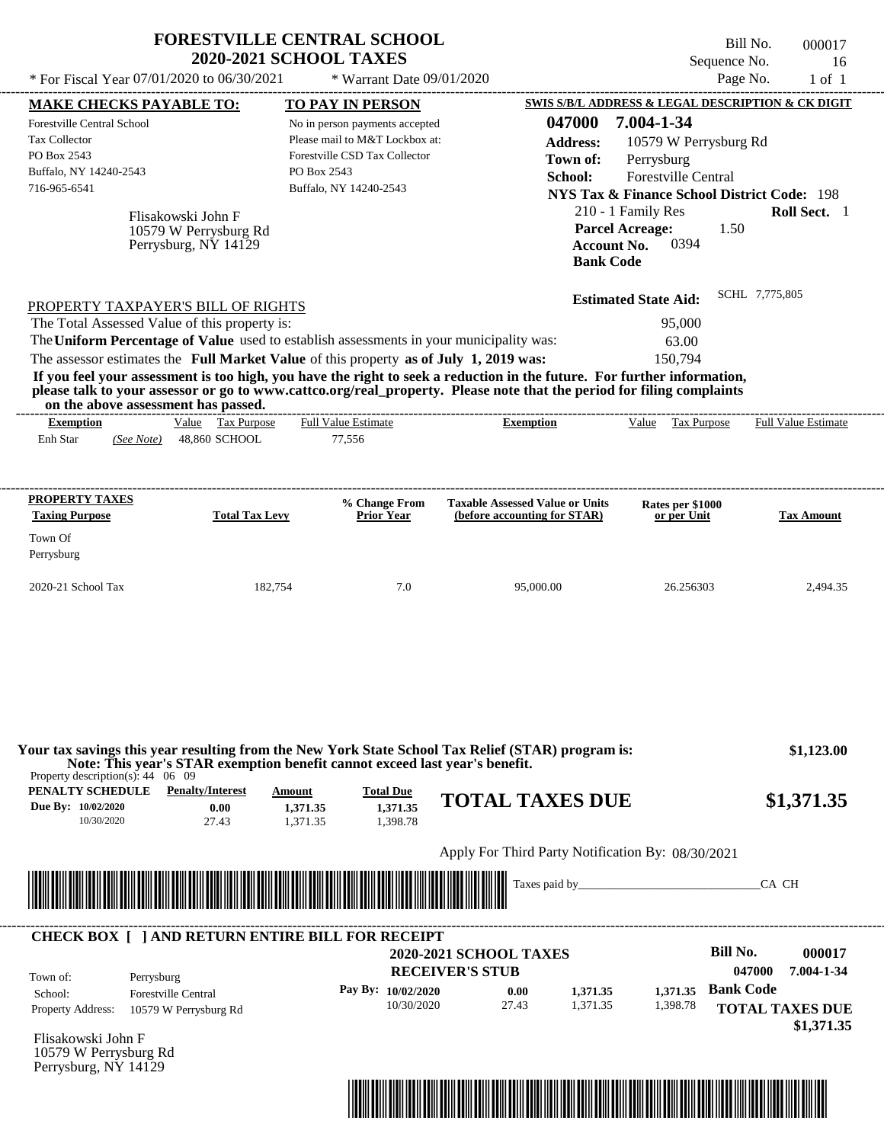| * For Fiscal Year 07/01/2020 to 06/30/2021                                                                                                    | <b>FORESTVILLE CENTRAL SCHOOL</b><br><b>2020-2021 SCHOOL TAXES</b>                                                                                                               | * Warrant Date 09/01/2020                                                                                                                                             |                                                                                                                                                                                                                                                  | Sequence No.                                                                                                                                                                                                                                            | Bill No.<br>000017<br>16<br>Page No.<br>$1$ of $1$                     |
|-----------------------------------------------------------------------------------------------------------------------------------------------|----------------------------------------------------------------------------------------------------------------------------------------------------------------------------------|-----------------------------------------------------------------------------------------------------------------------------------------------------------------------|--------------------------------------------------------------------------------------------------------------------------------------------------------------------------------------------------------------------------------------------------|---------------------------------------------------------------------------------------------------------------------------------------------------------------------------------------------------------------------------------------------------------|------------------------------------------------------------------------|
| <b>MAKE CHECKS PAYABLE TO:</b><br><b>Forestville Central School</b><br>Tax Collector<br>PO Box 2543<br>Buffalo, NY 14240-2543<br>716-965-6541 | Flisakowski John F<br>10579 W Perrysburg Rd<br>Perrysburg, NY 14129                                                                                                              | <b>TO PAY IN PERSON</b><br>No in person payments accepted<br>Please mail to M&T Lockbox at:<br>Forestville CSD Tax Collector<br>PO Box 2543<br>Buffalo, NY 14240-2543 | 047000<br><b>Address:</b><br>Town of:<br>School:<br><b>Account No.</b><br><b>Bank Code</b>                                                                                                                                                       | SWIS S/B/L ADDRESS & LEGAL DESCRIPTION & CK DIGIT<br>7.004-1-34<br>10579 W Perrysburg Rd<br>Perrysburg<br>Forestville Central<br><b>NYS Tax &amp; Finance School District Code: 198</b><br>210 - 1 Family Res<br><b>Parcel Acreage:</b><br>1.50<br>0394 | Roll Sect. 1                                                           |
| PROPERTY TAXPAYER'S BILL OF RIGHTS<br>The Total Assessed Value of this property is:<br>on the above assessment has passed.                    | The Uniform Percentage of Value used to establish assessments in your municipality was:<br>The assessor estimates the Full Market Value of this property as of July 1, 2019 was: |                                                                                                                                                                       | If you feel your assessment is too high, you have the right to seek a reduction in the future. For further information,<br>please talk to your assessor or go to www.cattco.org/real_property. Please note that the period for filing complaints | <b>Estimated State Aid:</b><br>95,000<br>63.00<br>150,794                                                                                                                                                                                               | SCHL 7,775,805                                                         |
| <b>Exemption</b><br>Enh Star<br>(See Note)                                                                                                    | Value Tax Purpose<br>48,860 SCHOOL                                                                                                                                               | <b>Full Value Estimate</b><br>77,556                                                                                                                                  | <b>Exemption</b>                                                                                                                                                                                                                                 | Value Tax Purpose                                                                                                                                                                                                                                       | <b>Full Value Estimate</b>                                             |
| <b>PROPERTY TAXES</b><br><b>Taxing Purpose</b>                                                                                                | <b>Total Tax Levy</b>                                                                                                                                                            | % Change From<br><b>Prior Year</b>                                                                                                                                    | <b>Taxable Assessed Value or Units</b><br>(before accounting for STAR)                                                                                                                                                                           | Rates per \$1000<br>or per Unit                                                                                                                                                                                                                         | <b>Tax Amount</b>                                                      |
| Town Of<br>Perrysburg                                                                                                                         |                                                                                                                                                                                  |                                                                                                                                                                       |                                                                                                                                                                                                                                                  |                                                                                                                                                                                                                                                         |                                                                        |
| 2020-21 School Tax                                                                                                                            | 182,754                                                                                                                                                                          | 7.0                                                                                                                                                                   | 95,000.00                                                                                                                                                                                                                                        | 26.256303                                                                                                                                                                                                                                               | 2,494.35                                                               |
| Property description(s): $44 \quad 06 \quad 09$                                                                                               | Note: This year's STAR exemption benefit cannot exceed last year's benefit.                                                                                                      |                                                                                                                                                                       | Your tax savings this year resulting from the New York State School Tax Relief (STAR) program is:                                                                                                                                                |                                                                                                                                                                                                                                                         | \$1,123.00                                                             |
| <b>PENALTY SCHEDULE</b> Penalty/Interest<br>Due By: 10/02/2020<br>10/30/2020                                                                  | Amount<br>0.00<br>1.371.35<br>27.43<br>1,371.35                                                                                                                                  | <b>Total Due</b><br>1,371.35<br>1,398.78                                                                                                                              | <b>TOTAL TAXES DUE</b>                                                                                                                                                                                                                           |                                                                                                                                                                                                                                                         | \$1,371.35                                                             |
|                                                                                                                                               |                                                                                                                                                                                  |                                                                                                                                                                       | Apply For Third Party Notification By: 08/30/2021                                                                                                                                                                                                |                                                                                                                                                                                                                                                         |                                                                        |
|                                                                                                                                               |                                                                                                                                                                                  |                                                                                                                                                                       | Taxes paid by_                                                                                                                                                                                                                                   |                                                                                                                                                                                                                                                         | CA CH                                                                  |
| Town of:<br>Perrysburg<br>School:<br><b>Property Address:</b><br>Flisakowski John F<br>10579 W Perrysburg Rd<br>Perrysburg, NY 14129          | <b>CHECK BOX [ ] AND RETURN ENTIRE BILL FOR RECEIPT</b><br><b>Forestville Central</b><br>10579 W Perrysburg Rd                                                                   | Pay By: 10/02/2020<br>10/30/2020                                                                                                                                      | <b>2020-2021 SCHOOL TAXES</b><br><b>RECEIVER'S STUB</b><br>0.00<br>1,371.35<br>27.43<br>1,371.35                                                                                                                                                 | Bill No.<br><b>Bank Code</b><br>1,371.35<br>1,398.78                                                                                                                                                                                                    | 000017<br>047000<br>7.004-1-34<br><b>TOTAL TAXES DUE</b><br>\$1,371.35 |

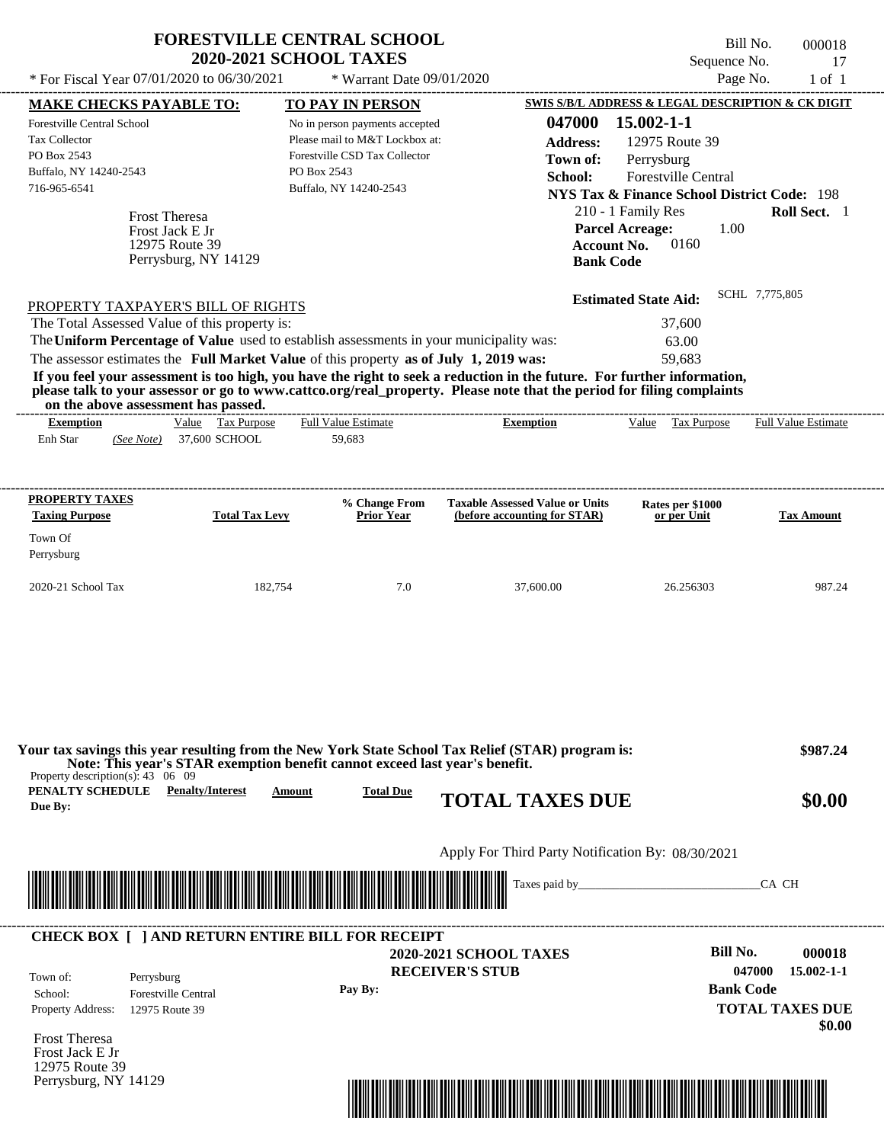|                                                                                                        |                                              | <b>FORESTVILLE CENTRAL SCHOOL</b>                                                       |                                                                                                                         | Bill No.                                               | 000018                                           |
|--------------------------------------------------------------------------------------------------------|----------------------------------------------|-----------------------------------------------------------------------------------------|-------------------------------------------------------------------------------------------------------------------------|--------------------------------------------------------|--------------------------------------------------|
|                                                                                                        |                                              | <b>2020-2021 SCHOOL TAXES</b>                                                           |                                                                                                                         | Sequence No.                                           | 17                                               |
| * For Fiscal Year 07/01/2020 to 06/30/2021                                                             |                                              | * Warrant Date 09/01/2020                                                               |                                                                                                                         | Page No.                                               | $1$ of $1$                                       |
| <b>MAKE CHECKS PAYABLE TO:</b>                                                                         |                                              | TO PAY IN PERSON                                                                        |                                                                                                                         | SWIS S/B/L ADDRESS & LEGAL DESCRIPTION & CK DIGIT      |                                                  |
| Forestville Central School                                                                             |                                              | No in person payments accepted                                                          | 047000                                                                                                                  | 15.002-1-1                                             |                                                  |
| <b>Tax Collector</b>                                                                                   |                                              | Please mail to M&T Lockbox at:                                                          | <b>Address:</b>                                                                                                         | 12975 Route 39                                         |                                                  |
| PO Box 2543                                                                                            |                                              | Forestville CSD Tax Collector                                                           | Town of:                                                                                                                | Perrysburg                                             |                                                  |
| Buffalo, NY 14240-2543<br>716-965-6541                                                                 |                                              | PO Box 2543<br>Buffalo, NY 14240-2543                                                   | School:                                                                                                                 | <b>Forestville Central</b>                             |                                                  |
|                                                                                                        |                                              |                                                                                         |                                                                                                                         | <b>NYS Tax &amp; Finance School District Code: 198</b> |                                                  |
|                                                                                                        | <b>Frost Theresa</b>                         |                                                                                         |                                                                                                                         | 210 - 1 Family Res                                     | Roll Sect. 1                                     |
|                                                                                                        | Frost Jack E Jr<br>12975 Route 39            |                                                                                         | <b>Account No.</b>                                                                                                      | <b>Parcel Acreage:</b><br>1.00<br>0160                 |                                                  |
|                                                                                                        | Perrysburg, NY 14129                         |                                                                                         | <b>Bank Code</b>                                                                                                        |                                                        |                                                  |
|                                                                                                        |                                              |                                                                                         |                                                                                                                         |                                                        |                                                  |
|                                                                                                        |                                              |                                                                                         |                                                                                                                         | <b>Estimated State Aid:</b>                            | SCHL 7,775,805                                   |
| PROPERTY TAXPAYER'S BILL OF RIGHTS                                                                     |                                              |                                                                                         |                                                                                                                         |                                                        |                                                  |
| The Total Assessed Value of this property is:                                                          |                                              | The Uniform Percentage of Value used to establish assessments in your municipality was: |                                                                                                                         | 37,600<br>63.00                                        |                                                  |
|                                                                                                        |                                              | The assessor estimates the Full Market Value of this property as of July 1, 2019 was:   |                                                                                                                         | 59,683                                                 |                                                  |
|                                                                                                        |                                              |                                                                                         | If you feel your assessment is too high, you have the right to seek a reduction in the future. For further information, |                                                        |                                                  |
|                                                                                                        |                                              |                                                                                         | please talk to your assessor or go to www.cattco.org/real_property. Please note that the period for filing complaints   |                                                        |                                                  |
| on the above assessment has passed.<br><b>Exemption</b>                                                | Value Tax Purpose                            | <b>Full Value Estimate</b>                                                              | <b>Exemption</b>                                                                                                        | Value Tax Purpose                                      | Full Value Estimate                              |
| Enh Star<br>(See Note)                                                                                 | 37,600 SCHOOL                                | 59,683                                                                                  |                                                                                                                         |                                                        |                                                  |
|                                                                                                        |                                              |                                                                                         |                                                                                                                         |                                                        |                                                  |
|                                                                                                        |                                              |                                                                                         |                                                                                                                         |                                                        |                                                  |
| <b>PROPERTY TAXES</b>                                                                                  |                                              | % Change From                                                                           | <b>Taxable Assessed Value or Units</b>                                                                                  | Rates per \$1000                                       |                                                  |
| <b>Taxing Purpose</b>                                                                                  | <b>Total Tax Levy</b>                        | <b>Prior Year</b>                                                                       | (before accounting for STAR)                                                                                            | or per Unit                                            | <b>Tax Amount</b>                                |
| Town Of                                                                                                |                                              |                                                                                         |                                                                                                                         |                                                        |                                                  |
|                                                                                                        |                                              |                                                                                         |                                                                                                                         |                                                        |                                                  |
|                                                                                                        |                                              |                                                                                         |                                                                                                                         |                                                        |                                                  |
|                                                                                                        |                                              |                                                                                         |                                                                                                                         |                                                        |                                                  |
|                                                                                                        | 182,754                                      | 7.0                                                                                     | 37,600.00                                                                                                               | 26.256303                                              | 987.24                                           |
|                                                                                                        |                                              |                                                                                         |                                                                                                                         |                                                        |                                                  |
| Perrysburg<br>2020-21 School Tax                                                                       |                                              |                                                                                         |                                                                                                                         |                                                        |                                                  |
|                                                                                                        |                                              |                                                                                         |                                                                                                                         |                                                        |                                                  |
|                                                                                                        |                                              |                                                                                         |                                                                                                                         |                                                        |                                                  |
|                                                                                                        |                                              |                                                                                         |                                                                                                                         |                                                        |                                                  |
|                                                                                                        |                                              |                                                                                         | Your tax savings this year resulting from the New York State School Tax Relief (STAR) program is:                       |                                                        |                                                  |
|                                                                                                        |                                              | Note: This year's STAR exemption benefit cannot exceed last year's benefit.             |                                                                                                                         |                                                        |                                                  |
|                                                                                                        |                                              | <b>Total Due</b><br>Amount                                                              |                                                                                                                         |                                                        |                                                  |
|                                                                                                        |                                              |                                                                                         | <b>TOTAL TAXES DUE</b>                                                                                                  |                                                        |                                                  |
|                                                                                                        |                                              |                                                                                         |                                                                                                                         |                                                        |                                                  |
|                                                                                                        |                                              |                                                                                         | Apply For Third Party Notification By: 08/30/2021                                                                       |                                                        |                                                  |
|                                                                                                        |                                              |                                                                                         |                                                                                                                         |                                                        |                                                  |
|                                                                                                        |                                              |                                                                                         |                                                                                                                         |                                                        | CA CH                                            |
| Property description(s): $43 \quad 06 \quad 09$<br><b>PENALTY SCHEDULE</b> Penalty/Interest<br>Due By: |                                              |                                                                                         |                                                                                                                         |                                                        |                                                  |
|                                                                                                        |                                              | <b>CHECK BOX [ ] AND RETURN ENTIRE BILL FOR RECEIPT</b>                                 |                                                                                                                         | <b>Bill No.</b>                                        |                                                  |
|                                                                                                        |                                              |                                                                                         | <b>2020-2021 SCHOOL TAXES</b>                                                                                           |                                                        | 047000                                           |
| Town of:<br>Perrysburg                                                                                 |                                              |                                                                                         | <b>RECEIVER'S STUB</b>                                                                                                  |                                                        | \$987.24<br>\$0.00<br>000018<br>$15.002 - 1 - 1$ |
| School:<br>Property Address:                                                                           | <b>Forestville Central</b><br>12975 Route 39 | Pay By:                                                                                 |                                                                                                                         | <b>Bank Code</b>                                       | <b>TOTAL TAXES DUE</b>                           |

Frost Theresa Frost Jack E Jr 12975 Route 39 Perrysburg, NY 14129

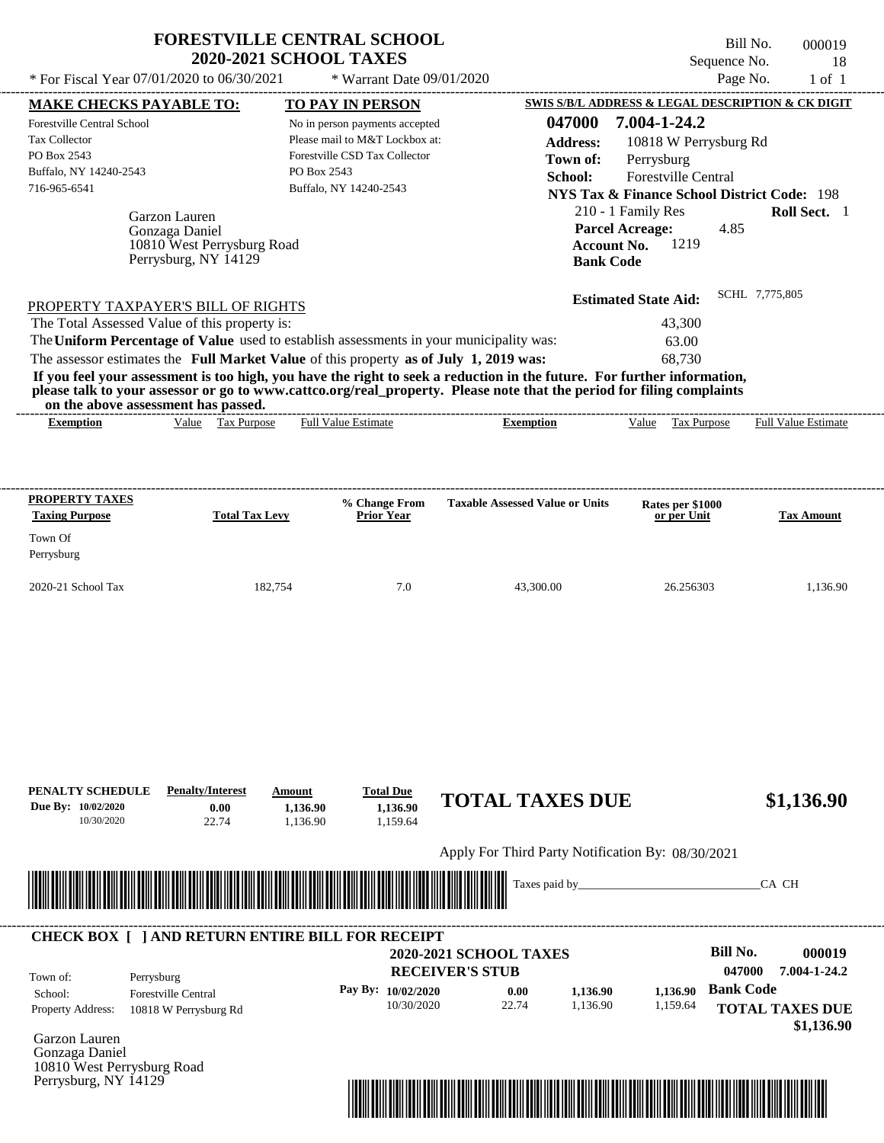| <b>FORESTVILLE CENTRAL SCHOOL</b> |  |
|-----------------------------------|--|
| <b>2020-2021 SCHOOL TAXES</b>     |  |

Bill No. 000019 Sequence No. 18

| * For Fiscal Year 07/01/2020 to 06/30/2021                                                                                                                                                                                                                                                                                                                                                                                                                                                                                                                         | * Warrant Date 09/01/2020                                                                                                                  |                                                                                                                                            | Page No.                                                                                                                                                    | $1$ of $1$                                                     |
|--------------------------------------------------------------------------------------------------------------------------------------------------------------------------------------------------------------------------------------------------------------------------------------------------------------------------------------------------------------------------------------------------------------------------------------------------------------------------------------------------------------------------------------------------------------------|--------------------------------------------------------------------------------------------------------------------------------------------|--------------------------------------------------------------------------------------------------------------------------------------------|-------------------------------------------------------------------------------------------------------------------------------------------------------------|----------------------------------------------------------------|
| <b>MAKE CHECKS PAYABLE TO:</b>                                                                                                                                                                                                                                                                                                                                                                                                                                                                                                                                     | TO PAY IN PERSON                                                                                                                           |                                                                                                                                            | SWIS S/B/L ADDRESS & LEGAL DESCRIPTION & CK DIGIT                                                                                                           |                                                                |
| <b>Forestville Central School</b><br>Tax Collector<br>PO Box 2543<br>Buffalo, NY 14240-2543<br>716-965-6541<br>Garzon Lauren<br>Gonzaga Daniel<br>10810 West Perrysburg Road<br>Perrysburg, NY 14129                                                                                                                                                                                                                                                                                                                                                               | No in person payments accepted<br>Please mail to M&T Lockbox at:<br>Forestville CSD Tax Collector<br>PO Box 2543<br>Buffalo, NY 14240-2543 | 047000<br><b>Address:</b><br>Town of:<br>School:<br>210 - 1 Family Res<br><b>Parcel Acreage:</b><br><b>Account No.</b><br><b>Bank Code</b> | 7.004-1-24.2<br>10818 W Perrysburg Rd<br>Perrysburg<br><b>Forestville Central</b><br><b>NYS Tax &amp; Finance School District Code: 198</b><br>4.85<br>1219 | Roll Sect. 1                                                   |
| PROPERTY TAXPAYER'S BILL OF RIGHTS<br>The Total Assessed Value of this property is:<br>The Uniform Percentage of Value used to establish assessments in your municipality was:<br>The assessor estimates the Full Market Value of this property as of July 1, 2019 was:<br>If you feel your assessment is too high, you have the right to seek a reduction in the future. For further information,<br>please talk to your assessor or go to www.cattco.org/real_property. Please note that the period for filing complaints<br>on the above assessment has passed. |                                                                                                                                            |                                                                                                                                            | SCHL 7,775,805<br><b>Estimated State Aid:</b><br>43,300<br>63.00<br>68,730                                                                                  |                                                                |
| Value Tax Purpose<br><b>Exemption</b>                                                                                                                                                                                                                                                                                                                                                                                                                                                                                                                              | <b>Full Value Estimate</b>                                                                                                                 | <b>Exemption</b>                                                                                                                           | Value Tax Purpose                                                                                                                                           | <b>Full Value Estimate</b>                                     |
| <b>PROPERTY TAXES</b><br><b>Taxing Purpose</b><br><b>Total Tax Levy</b><br>Town Of<br>Perrysburg<br>2020-21 School Tax                                                                                                                                                                                                                                                                                                                                                                                                                                             | % Change From<br><b>Prior Year</b><br>182,754<br>7.0                                                                                       | <b>Taxable Assessed Value or Units</b><br>43,300.00                                                                                        | Rates per \$1000<br>or per Unit<br>26.256303                                                                                                                | <b>Tax Amount</b><br>1,136.90                                  |
| PENALTY SCHEDULE<br><b>Penalty/Interest</b><br>Due By: 10/02/2020<br>0.00<br>10/30/2020<br>22.74                                                                                                                                                                                                                                                                                                                                                                                                                                                                   | <b>Total Due</b><br>Amount<br>1,136.90<br>1,136.90<br>1,136.90<br>1,159.64                                                                 | <b>TOTAL TAXES DUE</b>                                                                                                                     |                                                                                                                                                             | \$1,136.90                                                     |
|                                                                                                                                                                                                                                                                                                                                                                                                                                                                                                                                                                    |                                                                                                                                            | Apply For Third Party Notification By: 08/30/2021<br>Taxes paid by_                                                                        |                                                                                                                                                             | CA CH                                                          |
| <b>CHECK BOX [ ] AND RETURN ENTIRE BILL FOR RECEIPT</b><br>Town of:<br>Perrysburg<br>Forestville Central<br>School:<br>Property Address:<br>10818 W Perrysburg Rd<br>Garzon Lauren<br>Gonzaga Daniel                                                                                                                                                                                                                                                                                                                                                               | <b>RECEIVER'S STUB</b><br>Pay By: 10/02/2020<br>10/30/2020                                                                                 | 2020-2021 SCHOOL TAXES<br>0.00<br>1,136.90<br>22.74<br>1,136.90                                                                            | <b>Bill No.</b><br>047000<br><b>Bank Code</b><br>1,136.90<br>1,159.64                                                                                       | 000019<br>7.004-1-24.2<br><b>TOTAL TAXES DUE</b><br>\$1,136.90 |



10810 West Perrysburg Road Perrysburg, NY 14129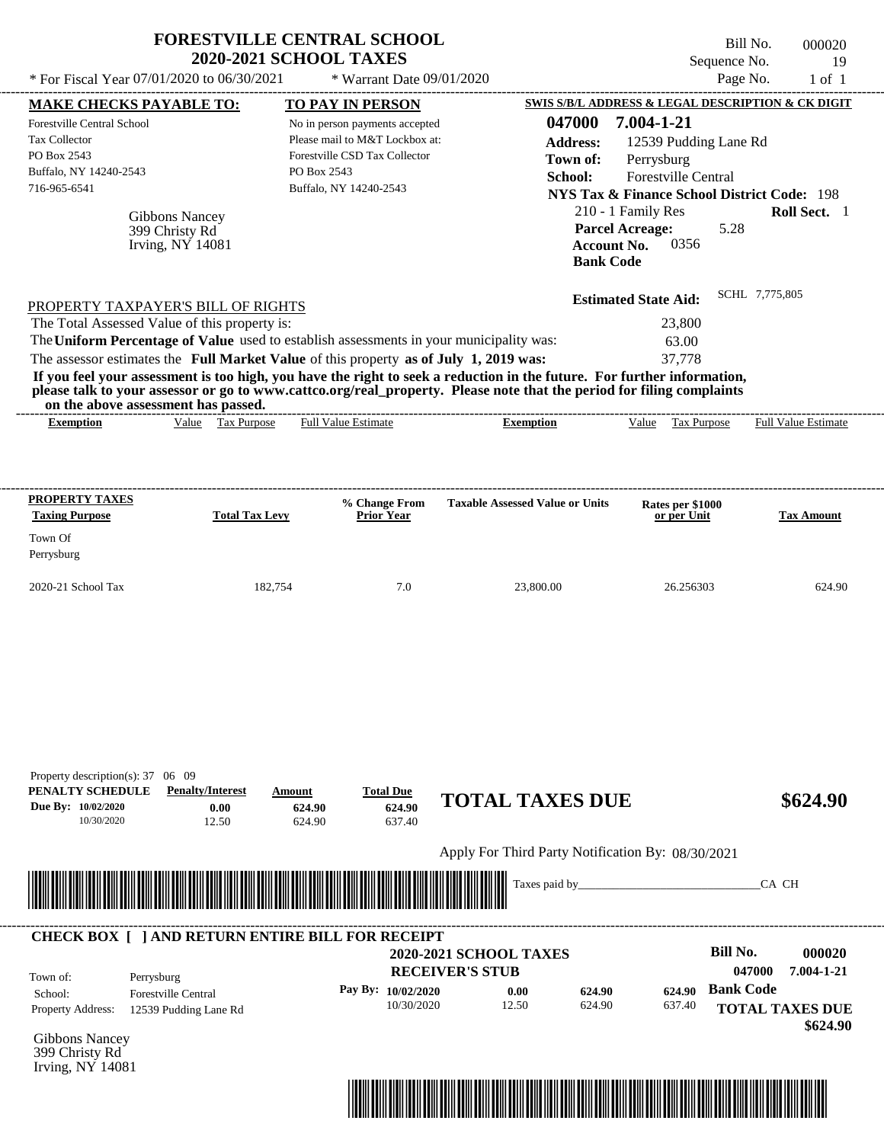| * For Fiscal Year 07/01/2020 to 06/30/2021                                                                                                    |                                                             | <b>FORESTVILLE CENTRAL SCHOOL</b><br><b>2020-2021 SCHOOL TAXES</b><br>* Warrant Date 09/01/2020                                                                                  |                                                                                                                                                                                                                                                  | Sequence No.<br>Page No.                                                                                                                                                                           | Bill No.<br>000020<br>19<br>$1$ of $1$ |
|-----------------------------------------------------------------------------------------------------------------------------------------------|-------------------------------------------------------------|----------------------------------------------------------------------------------------------------------------------------------------------------------------------------------|--------------------------------------------------------------------------------------------------------------------------------------------------------------------------------------------------------------------------------------------------|----------------------------------------------------------------------------------------------------------------------------------------------------------------------------------------------------|----------------------------------------|
|                                                                                                                                               |                                                             |                                                                                                                                                                                  |                                                                                                                                                                                                                                                  | SWIS S/B/L ADDRESS & LEGAL DESCRIPTION & CK DIGIT                                                                                                                                                  |                                        |
| <b>MAKE CHECKS PAYABLE TO:</b><br><b>Forestville Central School</b><br>Tax Collector<br>PO Box 2543<br>Buffalo, NY 14240-2543<br>716-965-6541 | <b>Gibbons Nancey</b><br>399 Christy Rd<br>Irving, NY 14081 | <b>TO PAY IN PERSON</b><br>No in person payments accepted<br>Please mail to M&T Lockbox at:<br>Forestville CSD Tax Collector<br>PO Box 2543<br>Buffalo, NY 14240-2543            | 047000<br><b>Address:</b><br>Town of:<br>School:<br><b>Account No.</b><br><b>Bank Code</b>                                                                                                                                                       | 7.004-1-21<br>12539 Pudding Lane Rd<br>Perrysburg<br>Forestville Central<br><b>NYS Tax &amp; Finance School District Code: 198</b><br>210 - 1 Family Res<br><b>Parcel Acreage:</b><br>5.28<br>0356 | <b>Roll Sect.</b> 1                    |
| PROPERTY TAXPAYER'S BILL OF RIGHTS<br>The Total Assessed Value of this property is:<br>on the above assessment has passed.                    |                                                             | The Uniform Percentage of Value used to establish assessments in your municipality was:<br>The assessor estimates the Full Market Value of this property as of July 1, 2019 was: | If you feel your assessment is too high, you have the right to seek a reduction in the future. For further information,<br>please talk to your assessor or go to www.cattco.org/real_property. Please note that the period for filing complaints | <b>Estimated State Aid:</b><br>23,800<br>63.00<br>37,778                                                                                                                                           | SCHL 7,775,805                         |
| <b>Exemption</b>                                                                                                                              | Value Tax Purpose                                           | Full Value Estimate                                                                                                                                                              | <b>Exemption</b>                                                                                                                                                                                                                                 | Value Tax Purpose                                                                                                                                                                                  | <b>Full Value Estimate</b>             |
| <b>PROPERTY TAXES</b><br><b>Taxing Purpose</b>                                                                                                | <b>Total Tax Levy</b>                                       | % Change From<br>Prior Year                                                                                                                                                      | <b>Taxable Assessed Value or Units</b>                                                                                                                                                                                                           | Rates per \$1000<br>or per Unit                                                                                                                                                                    | <b>Tax Amount</b>                      |
| Town Of<br>Perrysburg                                                                                                                         |                                                             |                                                                                                                                                                                  |                                                                                                                                                                                                                                                  |                                                                                                                                                                                                    |                                        |
| 2020-21 School Tax                                                                                                                            |                                                             | 182,754<br>7.0                                                                                                                                                                   | 23,800.00                                                                                                                                                                                                                                        | 26.256303                                                                                                                                                                                          | 624.90                                 |
| Property description(s): $37 \quad 06 \quad 09$<br>PENALTY SCHEDULE<br>Due By: 10/02/2020<br>10/30/2020                                       | <b>Penalty/Interest</b><br>0.00<br>12.50                    | <b>Total Due</b><br>Amount<br>624.90<br>624.90<br>624.90<br>637.40                                                                                                               | <b>TOTAL TAXES DUE</b>                                                                                                                                                                                                                           |                                                                                                                                                                                                    | \$624.90                               |
|                                                                                                                                               |                                                             |                                                                                                                                                                                  | Apply For Third Party Notification By: 08/30/2021                                                                                                                                                                                                |                                                                                                                                                                                                    |                                        |
|                                                                                                                                               |                                                             |                                                                                                                                                                                  | Taxes paid by_                                                                                                                                                                                                                                   |                                                                                                                                                                                                    | CA CH                                  |
|                                                                                                                                               |                                                             |                                                                                                                                                                                  |                                                                                                                                                                                                                                                  |                                                                                                                                                                                                    |                                        |
|                                                                                                                                               |                                                             | <b>CHECK BOX [ ] AND RETURN ENTIRE BILL FOR RECEIPT</b>                                                                                                                          | 2020-2021 SCHOOL TAXES                                                                                                                                                                                                                           | <b>Bill No.</b>                                                                                                                                                                                    | 000020                                 |

10/30/2020 12.50

Gibbons Nancey Property Address: 12539 Pudding Lane Rd

399 Christy Rd Irving, NY 14081



624.90

637.40

**TOTAL TAXES DUE**

 **\$624.90**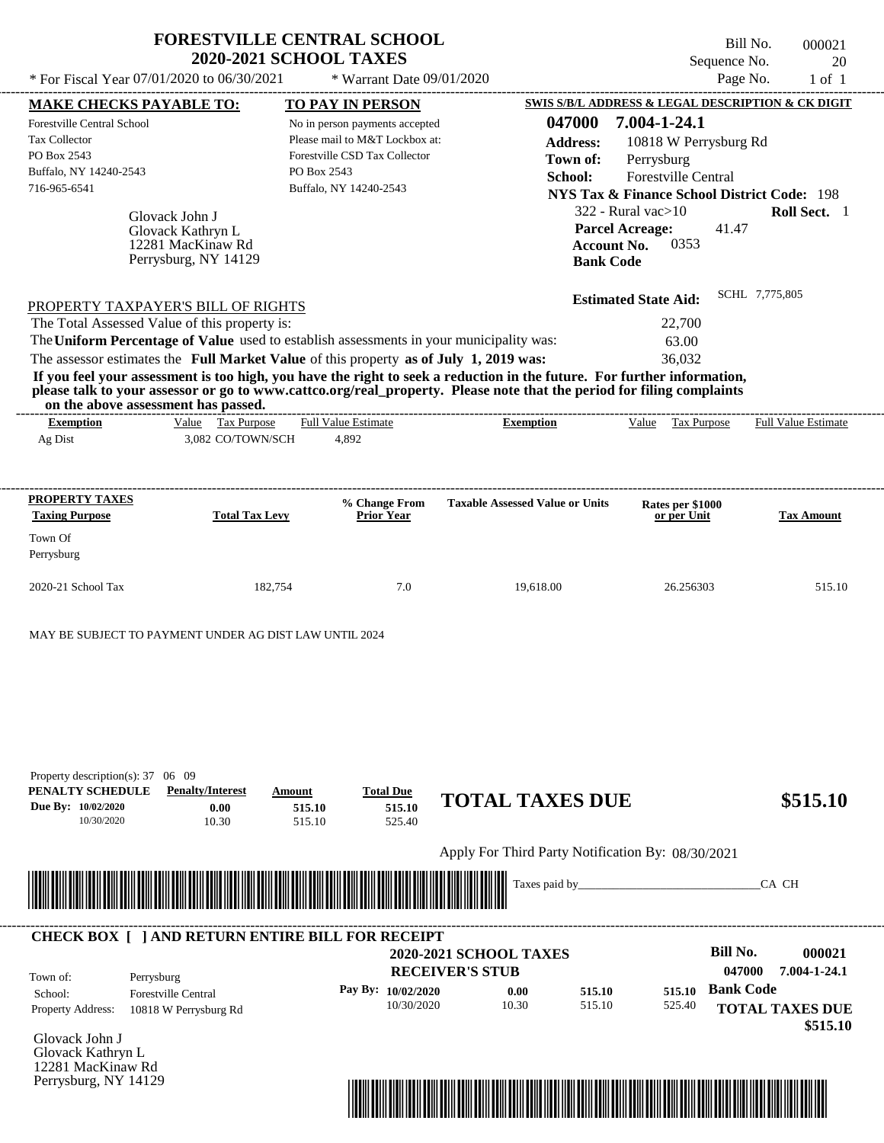|                                                                                                             | <b>FORESTVILLE CENTRAL SCHOOL</b><br><b>2020-2021 SCHOOL TAXES</b>               |                            |                                                                                                                             |                                                  | Sequence No.                                                                                                                                                                                                                                                          | Bill No.<br>000021<br>20   |
|-------------------------------------------------------------------------------------------------------------|----------------------------------------------------------------------------------|----------------------------|-----------------------------------------------------------------------------------------------------------------------------|--------------------------------------------------|-----------------------------------------------------------------------------------------------------------------------------------------------------------------------------------------------------------------------------------------------------------------------|----------------------------|
| * For Fiscal Year 07/01/2020 to 06/30/2021                                                                  |                                                                                  |                            | * Warrant Date 09/01/2020                                                                                                   |                                                  | Page No.                                                                                                                                                                                                                                                              | $1$ of $1$                 |
| <b>MAKE CHECKS PAYABLE TO:</b>                                                                              |                                                                                  |                            | TO PAY IN PERSON                                                                                                            |                                                  | SWIS S/B/L ADDRESS & LEGAL DESCRIPTION & CK DIGIT                                                                                                                                                                                                                     |                            |
| <b>Forestville Central School</b><br>Tax Collector<br>PO Box 2543<br>Buffalo, NY 14240-2543<br>716-965-6541 | Glovack John J<br>Glovack Kathryn L<br>12281 MacKinaw Rd<br>Perrysburg, NY 14129 | PO Box 2543                | No in person payments accepted<br>Please mail to M&T Lockbox at:<br>Forestville CSD Tax Collector<br>Buffalo, NY 14240-2543 | 047000<br><b>Address:</b><br>Town of:<br>School: | 7.004-1-24.1<br>10818 W Perrysburg Rd<br>Perrysburg<br>Forestville Central<br><b>NYS Tax &amp; Finance School District Code: 198</b><br>$322$ - Rural vac > 10<br><b>Parcel Acreage:</b><br>41.47<br><b>Account No.</b><br>0353<br><b>Bank Code</b>                   | Roll Sect. 1               |
| PROPERTY TAXPAYER'S BILL OF RIGHTS                                                                          |                                                                                  |                            |                                                                                                                             |                                                  | <b>Estimated State Aid:</b>                                                                                                                                                                                                                                           | SCHL 7,775,805             |
| The Total Assessed Value of this property is:                                                               |                                                                                  |                            |                                                                                                                             |                                                  | 22,700                                                                                                                                                                                                                                                                |                            |
| The Uniform Percentage of Value used to establish assessments in your municipality was:                     |                                                                                  |                            |                                                                                                                             |                                                  | 63.00                                                                                                                                                                                                                                                                 |                            |
| The assessor estimates the Full Market Value of this property as of July 1, 2019 was:                       |                                                                                  |                            |                                                                                                                             |                                                  | 36,032                                                                                                                                                                                                                                                                |                            |
| on the above assessment has passed.<br><b>Exemption</b>                                                     | Value Tax Purpose                                                                |                            | <b>Full Value Estimate</b>                                                                                                  | <b>Exemption</b>                                 | If you feel your assessment is too high, you have the right to seek a reduction in the future. For further information,<br>please talk to your assessor or go to www.cattco.org/real_property. Please note that the period for filing complaints<br>Value Tax Purpose | <b>Full Value Estimate</b> |
| Ag Dist                                                                                                     | 3,082 CO/TOWN/SCH                                                                |                            | 4,892                                                                                                                       |                                                  |                                                                                                                                                                                                                                                                       |                            |
| PROPERTY TAXES<br><b>Taxing Purpose</b>                                                                     | <b>Total Tax Levy</b>                                                            |                            | % Change From<br><b>Prior Year</b>                                                                                          | <b>Taxable Assessed Value or Units</b>           | Rates per \$1000<br>or per Unit                                                                                                                                                                                                                                       | <b>Tax Amount</b>          |
| Town Of<br>Perrysburg                                                                                       |                                                                                  |                            |                                                                                                                             |                                                  |                                                                                                                                                                                                                                                                       |                            |
| 2020-21 School Tax                                                                                          | 182,754                                                                          |                            | 7.0                                                                                                                         | 19,618.00                                        | 26.256303                                                                                                                                                                                                                                                             | 515.10                     |
| MAY BE SUBJECT TO PAYMENT UNDER AG DIST LAW UNTIL 2024                                                      |                                                                                  |                            |                                                                                                                             |                                                  |                                                                                                                                                                                                                                                                       |                            |
| Property description(s): 37 06 09<br>PENALTY SCHEDULE<br>Due By: 10/02/2020<br>10/30/2020                   | <b>Penalty/Interest</b><br>0.00<br>10.30                                         | Amount<br>515.10<br>515.10 | <b>Total Due</b><br>515.10<br>525.40                                                                                        | <b>TOTAL TAXES DUE</b>                           |                                                                                                                                                                                                                                                                       | \$515.10                   |
|                                                                                                             |                                                                                  |                            |                                                                                                                             |                                                  |                                                                                                                                                                                                                                                                       |                            |

Apply For Third Party Notification By: 08/30/2021



| Town of:                 | Perrysburg                 | <b>2020-2021 SCHOOL TAXES</b><br><b>RECEIVER'S STUB</b> |       |        |        | <b>Bill No.</b><br>047000 | 000021<br>7.004-1-24.1 |
|--------------------------|----------------------------|---------------------------------------------------------|-------|--------|--------|---------------------------|------------------------|
| School:                  | <b>Forestville Central</b> | Pay By: $10/02/2020$                                    | 0.00  | 515.10 | 515.10 | <b>Bank Code</b>          |                        |
| <b>Property Address:</b> | 10818 W Perrysburg Rd      | 10/30/2020                                              | 10.30 | 515.10 | 525.40 |                           | <b>TOTAL TAXES DUE</b> |

Glovack John J Glovack Kathryn L 12281 MacKinaw Rd Perrysburg, NY 14129

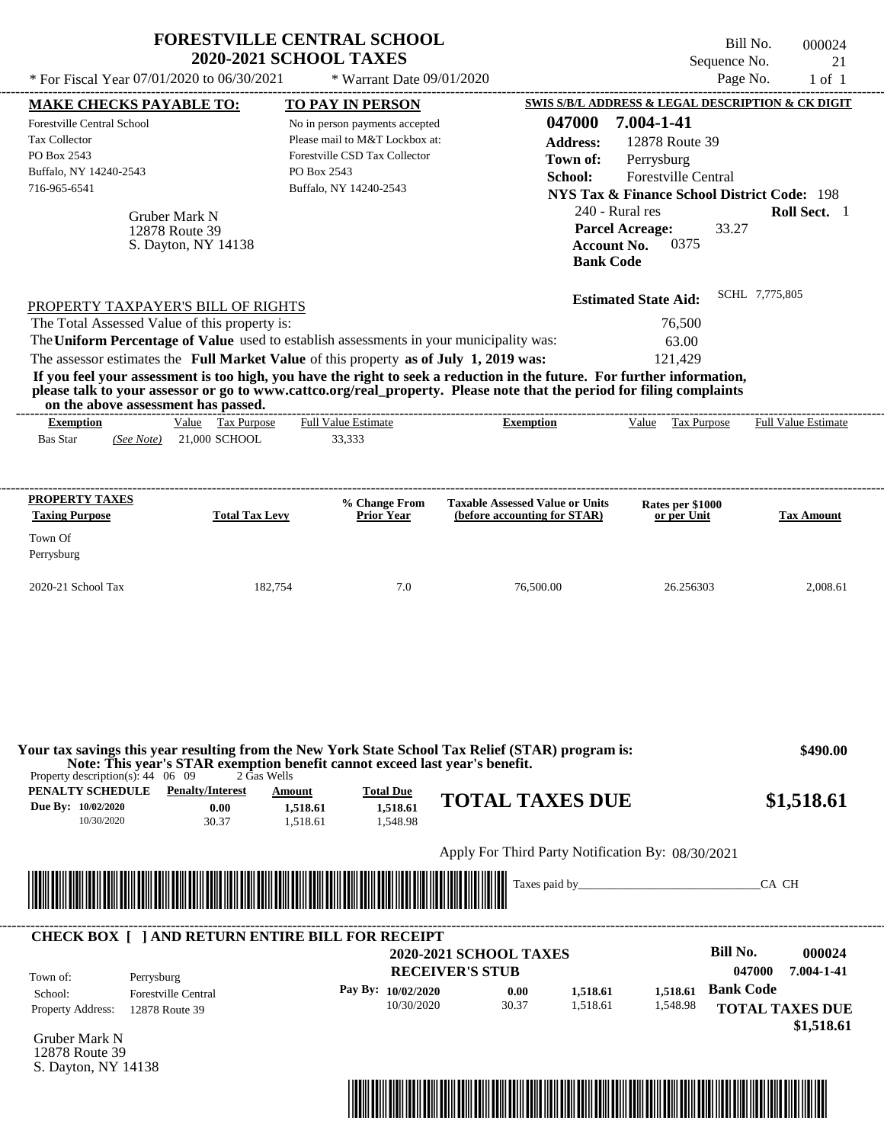| * For Fiscal Year 07/01/2020 to 06/30/2021                                                                                                                                                                                                                                                                     | <b>FORESTVILLE CENTRAL SCHOOL</b><br><b>2020-2021 SCHOOL TAXES</b>                         | * Warrant Date 09/01/2020                                                                                                                              |                                                                                                                                                                                                                                                  | Sequence No.<br>Page No.                                                                                                                                                                                                           | Bill No.<br>000024<br>21<br>$1$ of $1$                                 |
|----------------------------------------------------------------------------------------------------------------------------------------------------------------------------------------------------------------------------------------------------------------------------------------------------------------|--------------------------------------------------------------------------------------------|--------------------------------------------------------------------------------------------------------------------------------------------------------|--------------------------------------------------------------------------------------------------------------------------------------------------------------------------------------------------------------------------------------------------|------------------------------------------------------------------------------------------------------------------------------------------------------------------------------------------------------------------------------------|------------------------------------------------------------------------|
| <b>MAKE CHECKS PAYABLE TO:</b><br><b>Forestville Central School</b><br><b>Tax Collector</b><br>PO Box 2543<br>Buffalo, NY 14240-2543<br>716-965-6541<br>Gruber Mark N<br>12878 Route 39                                                                                                                        | PO Box 2543<br>S. Dayton, NY 14138                                                         | <b>TO PAY IN PERSON</b><br>No in person payments accepted<br>Please mail to M&T Lockbox at:<br>Forestville CSD Tax Collector<br>Buffalo, NY 14240-2543 | 047000<br><b>Address:</b><br>Town of:<br>School:<br>240 - Rural res<br><b>Account No.</b><br><b>Bank Code</b>                                                                                                                                    | SWIS S/B/L ADDRESS & LEGAL DESCRIPTION & CK DIGIT<br>7.004-1-41<br>12878 Route 39<br>Perrysburg<br><b>Forestville Central</b><br><b>NYS Tax &amp; Finance School District Code: 198</b><br>33.27<br><b>Parcel Acreage:</b><br>0375 | Roll Sect. 1                                                           |
| PROPERTY TAXPAYER'S BILL OF RIGHTS<br>The Total Assessed Value of this property is:<br>The Uniform Percentage of Value used to establish assessments in your municipality was:<br>The assessor estimates the Full Market Value of this property as of July 1, 2019 was:<br>on the above assessment has passed. |                                                                                            | ------------------------                                                                                                                               | If you feel your assessment is too high, you have the right to seek a reduction in the future. For further information,<br>please talk to your assessor or go to www.cattco.org/real_property. Please note that the period for filing complaints | <b>Estimated State Aid:</b><br>76,500<br>63.00<br>121,429                                                                                                                                                                          | SCHL 7,775,805                                                         |
| <b>Exemption</b><br><b>Bas Star</b><br>(See Note)                                                                                                                                                                                                                                                              | Value Tax Purpose<br>21,000 SCHOOL                                                         | <b>Full Value Estimate</b><br>33,333                                                                                                                   | <b>Exemption</b>                                                                                                                                                                                                                                 | Value Tax Purpose                                                                                                                                                                                                                  | <b>Full Value Estimate</b>                                             |
| PROPERTY TAXES<br><b>Taxing Purpose</b><br>Town Of<br>Perrysburg<br>2020-21 School Tax                                                                                                                                                                                                                         | <b>Total Tax Levy</b><br>182,754                                                           | % Change From<br><b>Prior Year</b><br>7.0                                                                                                              | <b>Taxable Assessed Value or Units</b><br>(before accounting for STAR)<br>76,500.00                                                                                                                                                              | Rates per \$1000<br>or per Unit<br>26.256303                                                                                                                                                                                       | Tax Amount<br>2,008.61                                                 |
| Property description(s): $44 \quad 06 \quad 09$                                                                                                                                                                                                                                                                | Note: This year's STAR exemption benefit cannot exceed last year's benefit.<br>2 Gas Wells |                                                                                                                                                        | Your tax savings this year resulting from the New York State School Tax Relief (STAR) program is:                                                                                                                                                |                                                                                                                                                                                                                                    | \$490.00                                                               |
| <b>PENALTY SCHEDULE</b> Penalty/Interest<br>Due By: 10/02/2020<br>10/30/2020                                                                                                                                                                                                                                   | Amount<br>0.00<br>1,518.61<br>30.37<br>1.518.61                                            | <b>Total Due</b><br>1.518.61<br>1,548.98                                                                                                               | <b>TOTAL TAXES DUE</b>                                                                                                                                                                                                                           |                                                                                                                                                                                                                                    | \$1,518.61                                                             |
|                                                                                                                                                                                                                                                                                                                |                                                                                            |                                                                                                                                                        | Apply For Third Party Notification By: 08/30/2021                                                                                                                                                                                                |                                                                                                                                                                                                                                    |                                                                        |
|                                                                                                                                                                                                                                                                                                                |                                                                                            |                                                                                                                                                        |                                                                                                                                                                                                                                                  |                                                                                                                                                                                                                                    | CA CH                                                                  |
| <b>CHECK BOX [ ] AND RETURN ENTIRE BILL FOR RECEIPT</b><br>Town of:<br>Perrysburg<br><b>Forestville Central</b><br>School:<br><b>Property Address:</b><br>12878 Route 39<br>Gruber Mark N<br>12878 Route 39<br>S. Dayton, NY 14138                                                                             |                                                                                            | Pay By: 10/02/2020<br>10/30/2020                                                                                                                       | <b>2020-2021 SCHOOL TAXES</b><br><b>RECEIVER'S STUB</b><br>1,518.61<br>0.00<br>30.37<br>1,518.61                                                                                                                                                 | <b>Bill No.</b><br><b>Bank Code</b><br>1,518.61<br>1,548.98                                                                                                                                                                        | 000024<br>047000<br>7.004-1-41<br><b>TOTAL TAXES DUE</b><br>\$1,518.61 |

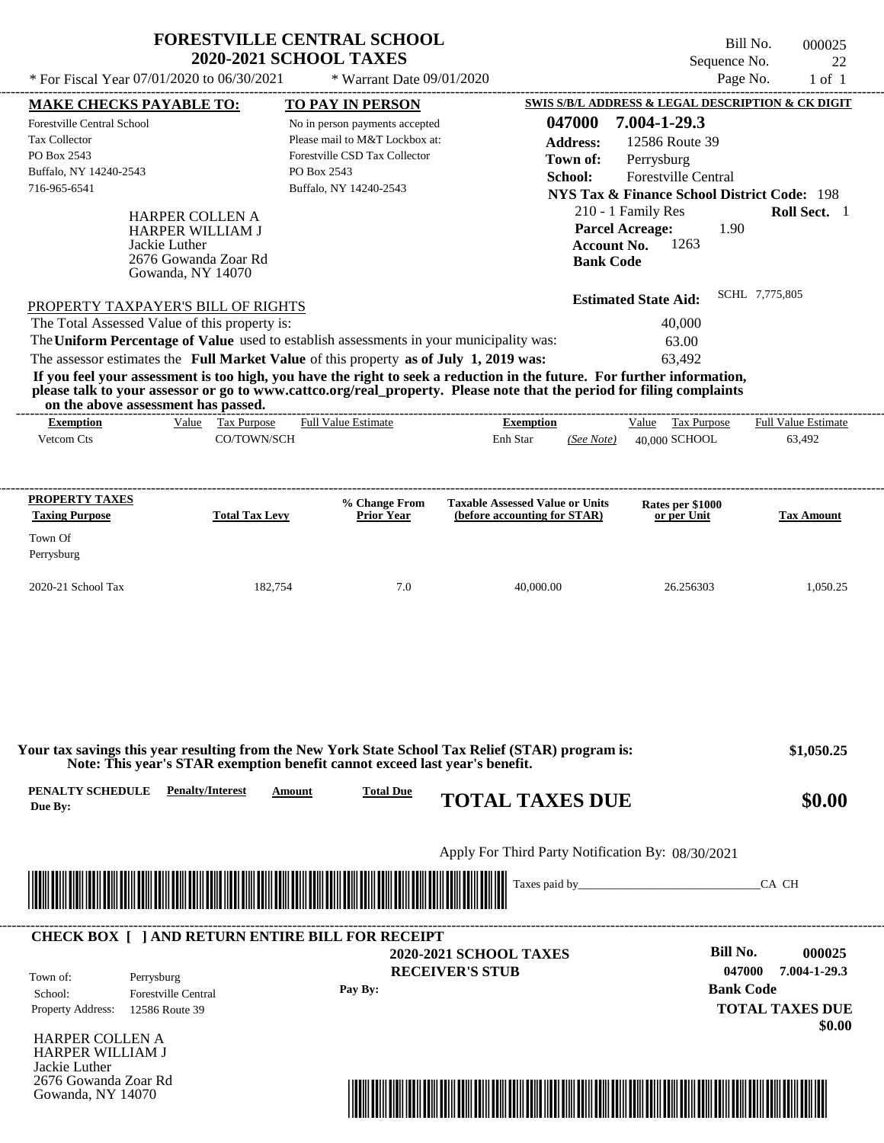|                                                                                                                         | <b>FORESTVILLE CENTRAL SCHOOL</b><br><b>2020-2021 SCHOOL TAXES</b> | Bill No.<br>000025<br>Sequence No.<br>22                                                                                      |
|-------------------------------------------------------------------------------------------------------------------------|--------------------------------------------------------------------|-------------------------------------------------------------------------------------------------------------------------------|
| * For Fiscal Year $07/01/2020$ to $06/30/2021$                                                                          | * Warrant Date 09/01/2020                                          | Page No.<br>$1$ of $1$                                                                                                        |
| <b>MAKE CHECKS PAYABLE TO:</b>                                                                                          | <b>TO PAY IN PERSON</b>                                            | SWIS S/B/L ADDRESS & LEGAL DESCRIPTION & CK DIGIT                                                                             |
| Forestville Central School                                                                                              | No in person payments accepted                                     | 047000<br>7.004-1-29.3                                                                                                        |
| <b>Tax Collector</b>                                                                                                    | Please mail to M&T Lockbox at:                                     | <b>Address:</b><br>12586 Route 39                                                                                             |
| PO Box 2543                                                                                                             | Forestville CSD Tax Collector                                      | Town of:<br>Perrysburg                                                                                                        |
| Buffalo, NY 14240-2543                                                                                                  | PO Box 2543                                                        | <b>Forestville Central</b><br><b>School:</b>                                                                                  |
| 716-965-6541                                                                                                            | Buffalo, NY 14240-2543                                             | <b>NYS Tax &amp; Finance School District Code: 198</b>                                                                        |
| <b>HARPER COLLEN A</b><br><b>HARPER WILLIAM J</b><br>Jackie Luther<br>2676 Gowanda Zoar Rd<br>Gowanda, NY 14070         |                                                                    | 210 - 1 Family Res<br><b>Roll Sect.</b> 1<br><b>Parcel Acreage:</b><br>1.90<br>1263<br><b>Account No.</b><br><b>Bank Code</b> |
| PROPERTY TAXPAYER'S BILL OF RIGHTS                                                                                      |                                                                    | SCHL 7,775,805<br><b>Estimated State Aid:</b>                                                                                 |
| The Total Assessed Value of this property is:                                                                           |                                                                    | 40,000                                                                                                                        |
| The Uniform Percentage of Value used to establish assessments in your municipality was:                                 |                                                                    | 63.00                                                                                                                         |
| The assessor estimates the Full Market Value of this property as of July 1, 2019 was:                                   |                                                                    | 63.492                                                                                                                        |
| If you feel your assessment is too high, you have the right to seek a reduction in the future. For further information, |                                                                    |                                                                                                                               |

**please talk to your assessor or go to www.cattco.org/real\_property. Please note that the period for filing complaints**

| on the above assessment has passed.            |       |                       |                                    |                                                                        |                                 |                            |
|------------------------------------------------|-------|-----------------------|------------------------------------|------------------------------------------------------------------------|---------------------------------|----------------------------|
| <b>Exemption</b>                               | Value | Tax Purpose           | <b>Full Value Estimate</b>         | <b>Exemption</b>                                                       | Tax Purpose<br>Value            | <b>Full Value Estimate</b> |
| Vetcom Cts                                     |       | CO/TOWN/SCH           |                                    | Enh Star<br>(See Note)                                                 | 40,000 SCHOOL                   | 63,492                     |
|                                                |       |                       |                                    |                                                                        |                                 |                            |
| <b>PROPERTY TAXES</b><br><b>Taxing Purpose</b> |       | <b>Total Tax Levy</b> | % Change From<br><b>Prior Year</b> | <b>Taxable Assessed Value or Units</b><br>(before accounting for STAR) | Rates per \$1000<br>or per Unit | <b>Tax Amount</b>          |
| Town Of                                        |       |                       |                                    |                                                                        |                                 |                            |
| Perrysburg                                     |       |                       |                                    |                                                                        |                                 |                            |
| 2020-21 School Tax                             |       | 182,754               | 7.0                                | 40,000.00                                                              | 26.256303                       | 1,050.25                   |
|                                                |       |                       |                                    |                                                                        |                                 |                            |

|                                                   |                                                         |        | Your tax savings this year resulting from the New York State School Tax Relief (STAR) program is:<br>Note: This year's STAR exemption benefit cannot exceed last year's benefit. |                  | \$1,050.25                       |
|---------------------------------------------------|---------------------------------------------------------|--------|----------------------------------------------------------------------------------------------------------------------------------------------------------------------------------|------------------|----------------------------------|
| PENALTY SCHEDULE<br>Due By:                       | <b>Penalty/Interest</b>                                 | Amount | <b>Total Due</b><br><b>TOTAL TAXES DUE</b>                                                                                                                                       |                  | \$0.00                           |
|                                                   |                                                         |        | Apply For Third Party Notification By: 08/30/2021                                                                                                                                |                  |                                  |
|                                                   |                                                         |        |                                                                                                                                                                                  |                  | CA CH                            |
|                                                   |                                                         |        |                                                                                                                                                                                  |                  |                                  |
|                                                   | <b>CHECK BOX [ ] AND RETURN ENTIRE BILL FOR RECEIPT</b> |        | <b>2020-2021 SCHOOL TAXES</b>                                                                                                                                                    | Bill No.         | 000025                           |
| Town of:                                          | Perrysburg                                              |        | <b>RECEIVER'S STUB</b>                                                                                                                                                           | 047000           | 7.004-1-29.3                     |
| School:                                           | <b>Forestville Central</b>                              |        | Pay By:                                                                                                                                                                          | <b>Bank Code</b> |                                  |
| Property Address:                                 | 12586 Route 39                                          |        |                                                                                                                                                                                  |                  | <b>TOTAL TAXES DUE</b><br>\$0.00 |
| <b>HARPER COLLEN A</b><br><b>HARPER WILLIAM J</b> |                                                         |        |                                                                                                                                                                                  |                  |                                  |
| Jackie Luther                                     |                                                         |        |                                                                                                                                                                                  |                  |                                  |
| 2676 Gowanda Zoar Rd<br>Gowanda, NY 14070         |                                                         |        |                                                                                                                                                                                  |                  |                                  |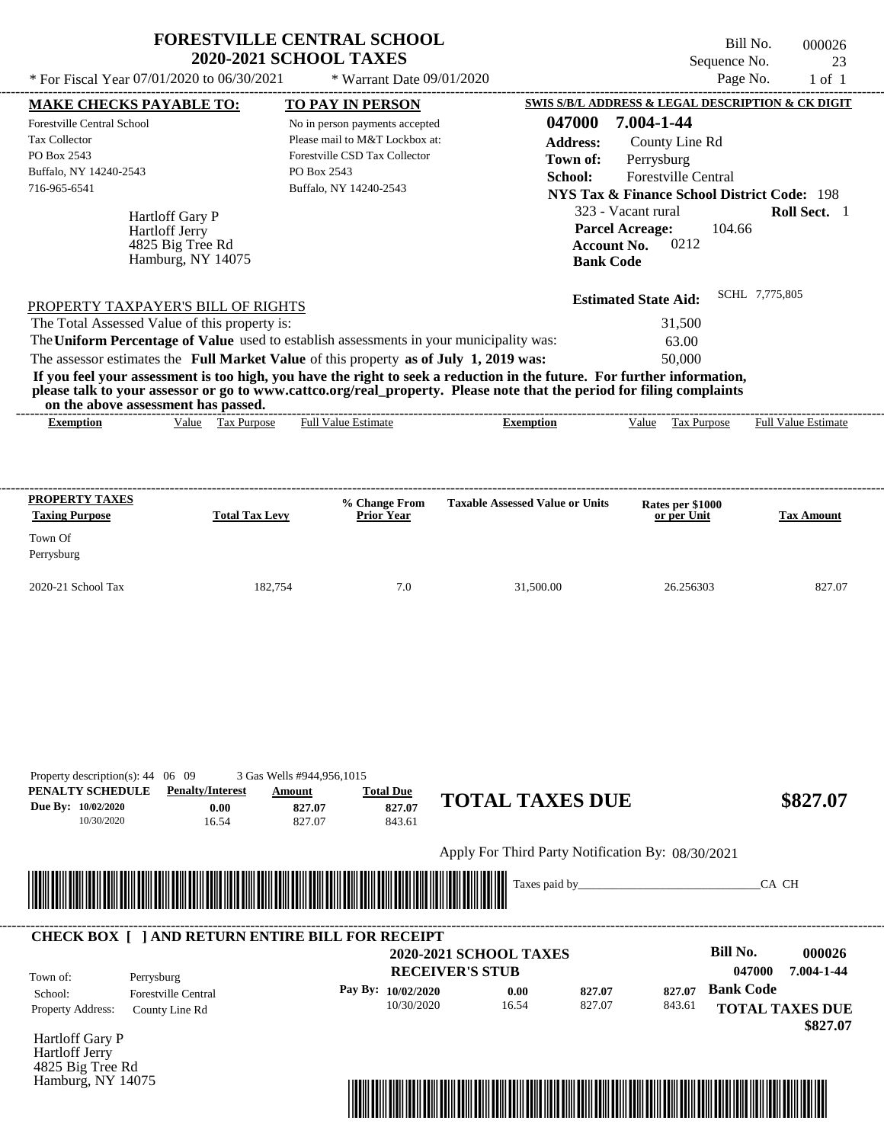|                                                                                                                            |                                                                                          | <b>FORESTVILLE CENTRAL SCHOOL</b><br><b>2020-2021 SCHOOL TAXES</b>                                                                                                               |                                                                                                                                                                                                                                                  | Sequence No.                                                                                                                                                                                                                        | Bill No.<br>000026<br>23   |
|----------------------------------------------------------------------------------------------------------------------------|------------------------------------------------------------------------------------------|----------------------------------------------------------------------------------------------------------------------------------------------------------------------------------|--------------------------------------------------------------------------------------------------------------------------------------------------------------------------------------------------------------------------------------------------|-------------------------------------------------------------------------------------------------------------------------------------------------------------------------------------------------------------------------------------|----------------------------|
| * For Fiscal Year 07/01/2020 to 06/30/2021                                                                                 |                                                                                          | * Warrant Date 09/01/2020                                                                                                                                                        |                                                                                                                                                                                                                                                  | Page No.                                                                                                                                                                                                                            | $1$ of $1$                 |
| <b>MAKE CHECKS PAYABLE TO:</b>                                                                                             |                                                                                          | TO PAY IN PERSON                                                                                                                                                                 |                                                                                                                                                                                                                                                  | SWIS S/B/L ADDRESS & LEGAL DESCRIPTION & CK DIGIT                                                                                                                                                                                   |                            |
| <b>Forestville Central School</b><br><b>Tax Collector</b><br>PO Box 2543<br>Buffalo, NY 14240-2543<br>716-965-6541         | <b>Hartloff Gary P</b><br><b>Hartloff Jerry</b><br>4825 Big Tree Rd<br>Hamburg, NY 14075 | No in person payments accepted<br>Please mail to M&T Lockbox at:<br>Forestville CSD Tax Collector<br>PO Box 2543<br>Buffalo, NY 14240-2543                                       | 047000<br><b>Address:</b><br>Town of:<br>School:                                                                                                                                                                                                 | 7.004-1-44<br>County Line Rd<br>Perrysburg<br><b>Forestville Central</b><br>NYS Tax & Finance School District Code: 198<br>323 - Vacant rural<br><b>Parcel Acreage:</b><br>104.66<br>0212<br><b>Account No.</b><br><b>Bank Code</b> | Roll Sect. 1               |
| PROPERTY TAXPAYER'S BILL OF RIGHTS<br>The Total Assessed Value of this property is:<br>on the above assessment has passed. |                                                                                          | The Uniform Percentage of Value used to establish assessments in your municipality was:<br>The assessor estimates the Full Market Value of this property as of July 1, 2019 was: | If you feel your assessment is too high, you have the right to seek a reduction in the future. For further information,<br>please talk to your assessor or go to www.cattco.org/real_property. Please note that the period for filing complaints | <b>Estimated State Aid:</b><br>31,500<br>63.00<br>50,000                                                                                                                                                                            | SCHL 7,775,805             |
| <b>Exemption</b>                                                                                                           | <b>Tax Purpose</b><br>Value                                                              | Full Value Estimate                                                                                                                                                              | <b>Exemption</b>                                                                                                                                                                                                                                 | <b>Tax Purpose</b><br>Value                                                                                                                                                                                                         | <b>Full Value Estimate</b> |
| PROPERTY TAXES<br><b>Taxing Purpose</b><br>Town Of<br>Perrysburg                                                           | <b>Total Tax Levy</b>                                                                    | % Change From<br>Prior Year                                                                                                                                                      | <b>Taxable Assessed Value or Units</b>                                                                                                                                                                                                           | Rates per \$1000<br>or per Unit                                                                                                                                                                                                     | <b>Tax Amount</b>          |
| 2020-21 School Tax                                                                                                         | 182.754                                                                                  | 7.0                                                                                                                                                                              | 31,500.00                                                                                                                                                                                                                                        | 26.256303                                                                                                                                                                                                                           | 827.07                     |

| PENALTY SCHEDULE<br>Due By: 10/02/2020<br>10/30/2020   | <b>Penalty/Interest</b><br>0.00<br>16.54                   | Amount<br>827.07<br>827.07                                    | <b>Total Due</b><br>827.07<br>843.61                       | <b>TOTAL TAXES DUE</b><br>Apply For Third Party Notification By: 08/30/2021 |                                      | \$827.07                                       |
|--------------------------------------------------------|------------------------------------------------------------|---------------------------------------------------------------|------------------------------------------------------------|-----------------------------------------------------------------------------|--------------------------------------|------------------------------------------------|
|                                                        |                                                            | <u> 1989 - Andrea Stadt British, fransk politik (d. 1989)</u> |                                                            | Taxes paid by                                                               |                                      | CA CH                                          |
| <b>CHECK BOX   JAND RETURN ENTIRE BILL FOR RECEIPT</b> |                                                            |                                                               |                                                            |                                                                             |                                      |                                                |
|                                                        |                                                            |                                                               |                                                            | <b>2020-2021 SCHOOL TAXES</b>                                               | <b>Bill No.</b>                      | 000026                                         |
| Town of:<br>School:<br>Property Address:               | Perrysburg<br><b>Forestville Central</b><br>County Line Rd |                                                               | <b>RECEIVER'S STUB</b><br>Pay By: 10/02/2020<br>10/30/2020 | 827.07<br>0.00<br>827.07<br>16.54                                           | <b>Bank Code</b><br>827.07<br>843.61 | 047000<br>7.004-1-44<br><b>TOTAL TAXES DUE</b> |

Hartloff Gary P Hartloff Jerry 4825 Big Tree Rd Hamburg, NY 14075

Property description(s): 44 06 09 3 Gas Wells #944,956,1015



 **\$827.07**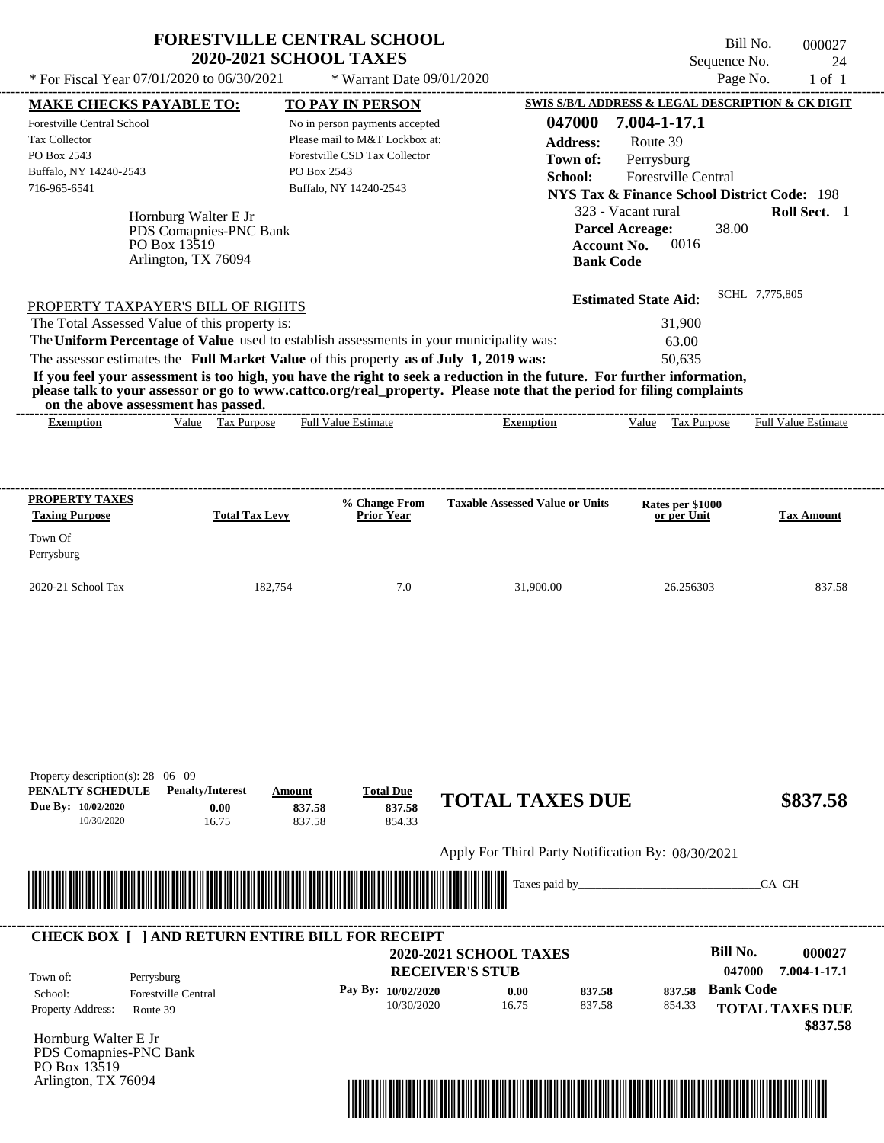| * For Fiscal Year $07/01/2020$ to $06/30/2021$                                                                                                                                                                                                                                                                                                                                                                                                                                                                                                                     | <b>FORESTVILLE CENTRAL SCHOOL</b><br><b>2020-2021 SCHOOL TAXES</b><br>* Warrant Date $09/01/2020$                                                              |                                                                      |                                                                                                                                                                                                                                                        | Bill No.<br>Sequence No.<br>Page No. | 000027<br>24<br>$1$ of $1$ |
|--------------------------------------------------------------------------------------------------------------------------------------------------------------------------------------------------------------------------------------------------------------------------------------------------------------------------------------------------------------------------------------------------------------------------------------------------------------------------------------------------------------------------------------------------------------------|----------------------------------------------------------------------------------------------------------------------------------------------------------------|----------------------------------------------------------------------|--------------------------------------------------------------------------------------------------------------------------------------------------------------------------------------------------------------------------------------------------------|--------------------------------------|----------------------------|
| <b>MAKE CHECKS PAYABLE TO:</b><br><b>Forestville Central School</b><br><b>Tax Collector</b><br>PO Box 2543<br>Buffalo, NY 14240-2543<br>716-965-6541<br>Hornburg Walter E Jr<br>PDS Comapnies-PNC Bank<br>PO Box 13519<br>Arlington, TX 76094                                                                                                                                                                                                                                                                                                                      | TO PAY IN PERSON<br>No in person payments accepted<br>Please mail to M&T Lockbox at:<br>Forestville CSD Tax Collector<br>PO Box 2543<br>Buffalo, NY 14240-2543 | 047000<br><b>Address:</b><br>Town of:<br>School:<br><b>Bank Code</b> | SWIS S/B/L ADDRESS & LEGAL DESCRIPTION & CK DIGIT<br>7.004-1-17.1<br>Route 39<br>Perrysburg<br><b>Forestville Central</b><br>NYS Tax & Finance School District Code: 198<br>323 - Vacant rural<br><b>Parcel Acreage:</b><br>0016<br><b>Account No.</b> | 38.00                                | Roll Sect. 1               |
| PROPERTY TAXPAYER'S BILL OF RIGHTS<br>The Total Assessed Value of this property is:<br>The Uniform Percentage of Value used to establish assessments in your municipality was:<br>The assessor estimates the Full Market Value of this property as of July 1, 2019 was:<br>If you feel your assessment is too high, you have the right to seek a reduction in the future. For further information,<br>please talk to your assessor or go to www.cattco.org/real_property. Please note that the period for filing complaints<br>on the above assessment has passed. |                                                                                                                                                                |                                                                      | <b>Estimated State Aid:</b><br>31,900<br>63.00<br>50.635                                                                                                                                                                                               | SCHL 7,775,805                       |                            |
| <b>Tax Purpose</b><br>Value<br><b>Exemption</b>                                                                                                                                                                                                                                                                                                                                                                                                                                                                                                                    | <b>Full Value Estimate</b>                                                                                                                                     | <b>Exemption</b>                                                     | Value<br>Tax Purpose                                                                                                                                                                                                                                   |                                      | <b>Full Value Estimate</b> |
| <b>PROPERTY TAXES</b><br><b>Total Tax Levy</b><br><b>Taxing Purpose</b>                                                                                                                                                                                                                                                                                                                                                                                                                                                                                            | % Change From<br><b>Prior Year</b>                                                                                                                             | <b>Taxable Assessed Value or Units</b>                               | Rates per \$1000<br>or per Unit                                                                                                                                                                                                                        |                                      | <b>Tax Amount</b>          |

2020-21 School Tax 182,754 7.0 31,900.00 26.256303 837.58

Town Of Perrysburg

Property description(s): 28 06 09

| PENALTY SCHEDULE       | <b>Penalty/Interest</b>                                                                                              | Amount | <b>Total Due</b>   |                                                   |        |        |                  |                        |
|------------------------|----------------------------------------------------------------------------------------------------------------------|--------|--------------------|---------------------------------------------------|--------|--------|------------------|------------------------|
| Due By: 10/02/2020     | 0.00                                                                                                                 | 837.58 | 837.58             | <b>TOTAL TAXES DUE</b>                            |        |        |                  | \$837.58               |
| 10/30/2020             | 16.75                                                                                                                | 837.58 | 854.33             |                                                   |        |        |                  |                        |
|                        |                                                                                                                      |        |                    | Apply For Third Party Notification By: 08/30/2021 |        |        |                  |                        |
|                        |                                                                                                                      |        |                    |                                                   |        |        |                  | CA CH                  |
|                        | <u> 1989 - Andrew Maria Maria Maria Maria Maria Maria Maria Maria Maria Maria Maria Maria Maria Maria Maria Mari</u> |        |                    |                                                   |        |        |                  |                        |
|                        |                                                                                                                      |        |                    |                                                   |        |        |                  |                        |
|                        | <b>CHECK BOX     AND RETURN ENTIRE BILL FOR RECEIPT</b>                                                              |        |                    |                                                   |        |        |                  |                        |
|                        |                                                                                                                      |        |                    | <b>2020-2021 SCHOOL TAXES</b>                     |        |        | Bill No.         | 000027                 |
| Town of:               | Perrysburg                                                                                                           |        |                    | <b>RECEIVER'S STUB</b>                            |        |        | 047000           | 7.004-1-17.1           |
| School:                | <b>Forestville Central</b>                                                                                           |        | Pay By: 10/02/2020 | 0.00                                              | 837.58 | 837.58 | <b>Bank Code</b> |                        |
| Property Address:      | Route 39                                                                                                             |        | 10/30/2020         | 16.75                                             | 837.58 | 854.33 |                  | <b>TOTAL TAXES DUE</b> |
|                        |                                                                                                                      |        |                    |                                                   |        |        |                  | \$837.58               |
| Hornburg Walter E Jr   |                                                                                                                      |        |                    |                                                   |        |        |                  |                        |
| PDS Comapnies-PNC Bank |                                                                                                                      |        |                    |                                                   |        |        |                  |                        |
| PO Box 13519           |                                                                                                                      |        |                    |                                                   |        |        |                  |                        |
| Arlington, TX 76094    |                                                                                                                      |        |                    |                                                   |        |        |                  |                        |

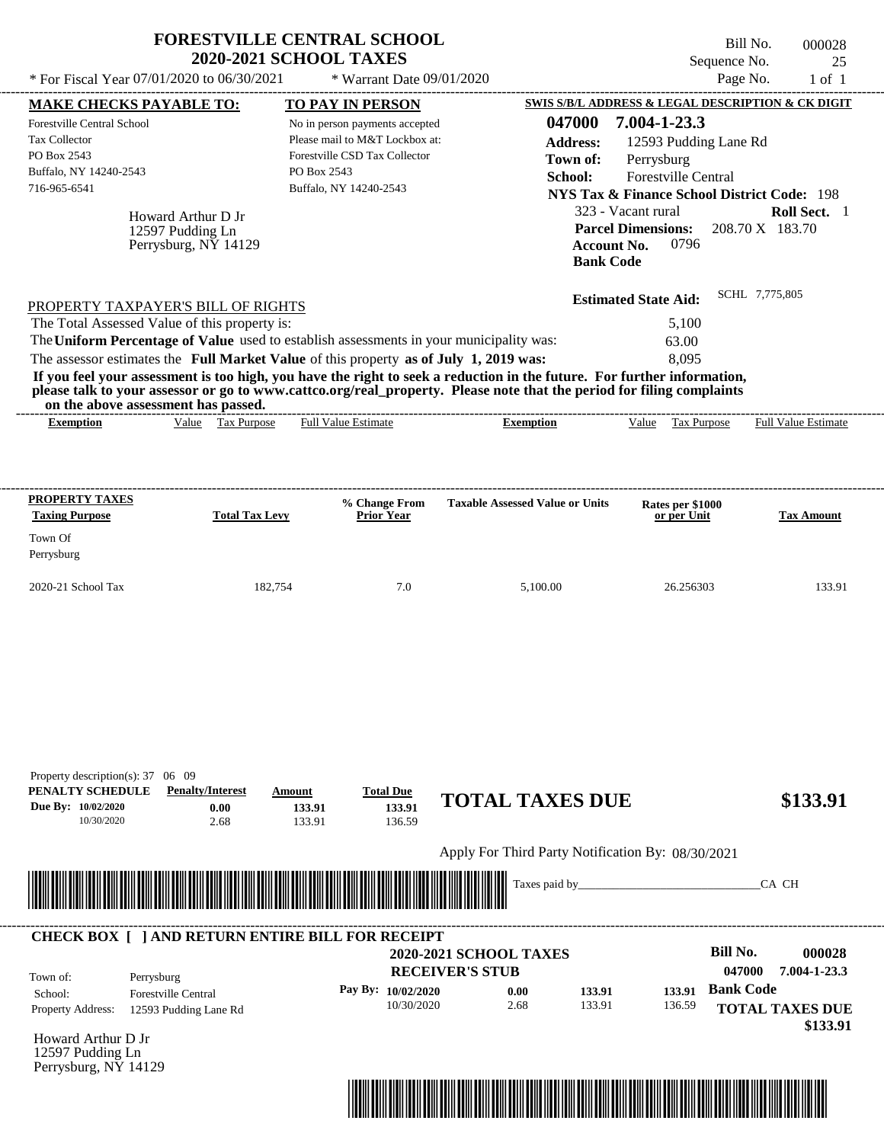|                                                                                                                                          | <b>FORESTVILLE CENTRAL SCHOOL</b>                              | <b>2020-2021 SCHOOL TAXES</b>                                                                                                              |                                    |                                                                                                                                                                                                                                                  | Sequence No.                                                                                                                         | Bill No.<br>000028<br>25        |
|------------------------------------------------------------------------------------------------------------------------------------------|----------------------------------------------------------------|--------------------------------------------------------------------------------------------------------------------------------------------|------------------------------------|--------------------------------------------------------------------------------------------------------------------------------------------------------------------------------------------------------------------------------------------------|--------------------------------------------------------------------------------------------------------------------------------------|---------------------------------|
| * For Fiscal Year 07/01/2020 to 06/30/2021                                                                                               |                                                                |                                                                                                                                            | * Warrant Date 09/01/2020          |                                                                                                                                                                                                                                                  | Page No.                                                                                                                             | $1$ of $1$                      |
| <b>MAKE CHECKS PAYABLE TO:</b>                                                                                                           |                                                                | TO PAY IN PERSON                                                                                                                           |                                    |                                                                                                                                                                                                                                                  | SWIS S/B/L ADDRESS & LEGAL DESCRIPTION & CK DIGIT                                                                                    |                                 |
| Forestville Central School<br><b>Tax Collector</b><br>PO Box 2543<br>Buffalo, NY 14240-2543<br>716-965-6541                              |                                                                | No in person payments accepted<br>Please mail to M&T Lockbox at:<br>Forestville CSD Tax Collector<br>PO Box 2543<br>Buffalo, NY 14240-2543 |                                    | 047000<br><b>Address:</b><br>Town of:<br>School:                                                                                                                                                                                                 | 7.004-1-23.3<br>12593 Pudding Lane Rd<br>Perrysburg<br>Forestville Central<br><b>NYS Tax &amp; Finance School District Code: 198</b> |                                 |
|                                                                                                                                          | Howard Arthur D Jr<br>12597 Pudding Ln<br>Perrysburg, NY 14129 |                                                                                                                                            |                                    | <b>Account No.</b><br><b>Bank Code</b>                                                                                                                                                                                                           | 323 - Vacant rural<br><b>Parcel Dimensions:</b><br>0796                                                                              | Roll Sect. 1<br>208.70 X 183.70 |
| PROPERTY TAXPAYER'S BILL OF RIGHTS                                                                                                       |                                                                |                                                                                                                                            |                                    |                                                                                                                                                                                                                                                  | <b>Estimated State Aid:</b>                                                                                                          | SCHL 7,775,805                  |
| The Total Assessed Value of this property is:<br>The Uniform Percentage of Value used to establish assessments in your municipality was: |                                                                |                                                                                                                                            |                                    |                                                                                                                                                                                                                                                  | 5,100<br>63.00                                                                                                                       |                                 |
| The assessor estimates the Full Market Value of this property as of July 1, 2019 was:                                                    |                                                                |                                                                                                                                            |                                    | If you feel your assessment is too high, you have the right to seek a reduction in the future. For further information,<br>please talk to your assessor or go to www.cattco.org/real_property. Please note that the period for filing complaints | 8,095                                                                                                                                |                                 |
| on the above assessment has passed.<br><b>Exemption</b>                                                                                  | Value Tax Purpose                                              | <b>Full Value Estimate</b>                                                                                                                 | -----------------------------      | <b>Exemption</b>                                                                                                                                                                                                                                 | Value Tax Purpose                                                                                                                    | <b>Full Value Estimate</b>      |
| <b>PROPERTY TAXES</b><br><b>Taxing Purpose</b><br>Town Of                                                                                | <b>Total Tax Levy</b>                                          |                                                                                                                                            | % Change From<br><b>Prior Year</b> | <b>Taxable Assessed Value or Units</b>                                                                                                                                                                                                           | Rates per \$1000<br>or per Unit                                                                                                      | <b>Tax Amount</b>               |
| Perrysburg                                                                                                                               |                                                                |                                                                                                                                            |                                    |                                                                                                                                                                                                                                                  |                                                                                                                                      |                                 |
| 2020-21 School Tax                                                                                                                       |                                                                | 182,754                                                                                                                                    | 7.0                                | 5,100.00                                                                                                                                                                                                                                         | 26.256303                                                                                                                            | 133.91                          |
|                                                                                                                                          |                                                                |                                                                                                                                            |                                    |                                                                                                                                                                                                                                                  |                                                                                                                                      |                                 |
| Property description(s): 37 06 09<br>PENALTY SCHEDULE<br>Due By: 10/02/2020<br>10/30/2020                                                | <b>Penalty/Interest</b><br>0.00<br>2.68                        | Amount<br>133.91<br>133.91                                                                                                                 | <b>Total Due</b><br>133.91         | <b>TOTAL TAXES DUE</b>                                                                                                                                                                                                                           |                                                                                                                                      |                                 |
|                                                                                                                                          |                                                                |                                                                                                                                            | 136.59                             |                                                                                                                                                                                                                                                  |                                                                                                                                      |                                 |
|                                                                                                                                          |                                                                |                                                                                                                                            |                                    | Apply For Third Party Notification By: 08/30/2021<br>Taxes paid by_                                                                                                                                                                              |                                                                                                                                      | \$133.91<br>CA CH               |
| <b>CHECK BOX [ ] AND RETURN ENTIRE BILL FOR RECEIPT</b>                                                                                  |                                                                |                                                                                                                                            |                                    |                                                                                                                                                                                                                                                  | <b>Bill No.</b>                                                                                                                      |                                 |

| Town of:                 | Perrysburg                 | <b>RECEIVER'S STUB</b> |      |        |        | 047000<br>7.004-1-23.3 |
|--------------------------|----------------------------|------------------------|------|--------|--------|------------------------|
| School:                  | <b>Forestville Central</b> | Pay By: $10/02/2020$   | 0.00 | 133.91 | 133.91 | <b>Bank Code</b>       |
| <b>Property Address:</b> | 12593 Pudding Lane Rd      | 10/30/2020             | 2.68 | 133.91 | 136.59 | <b>TOTAL TAXES DUE</b> |
|                          |                            |                        |      |        |        | \$133.91               |

Howard Arthur D Jr 12597 Pudding Ln Perrysburg, NY 14129

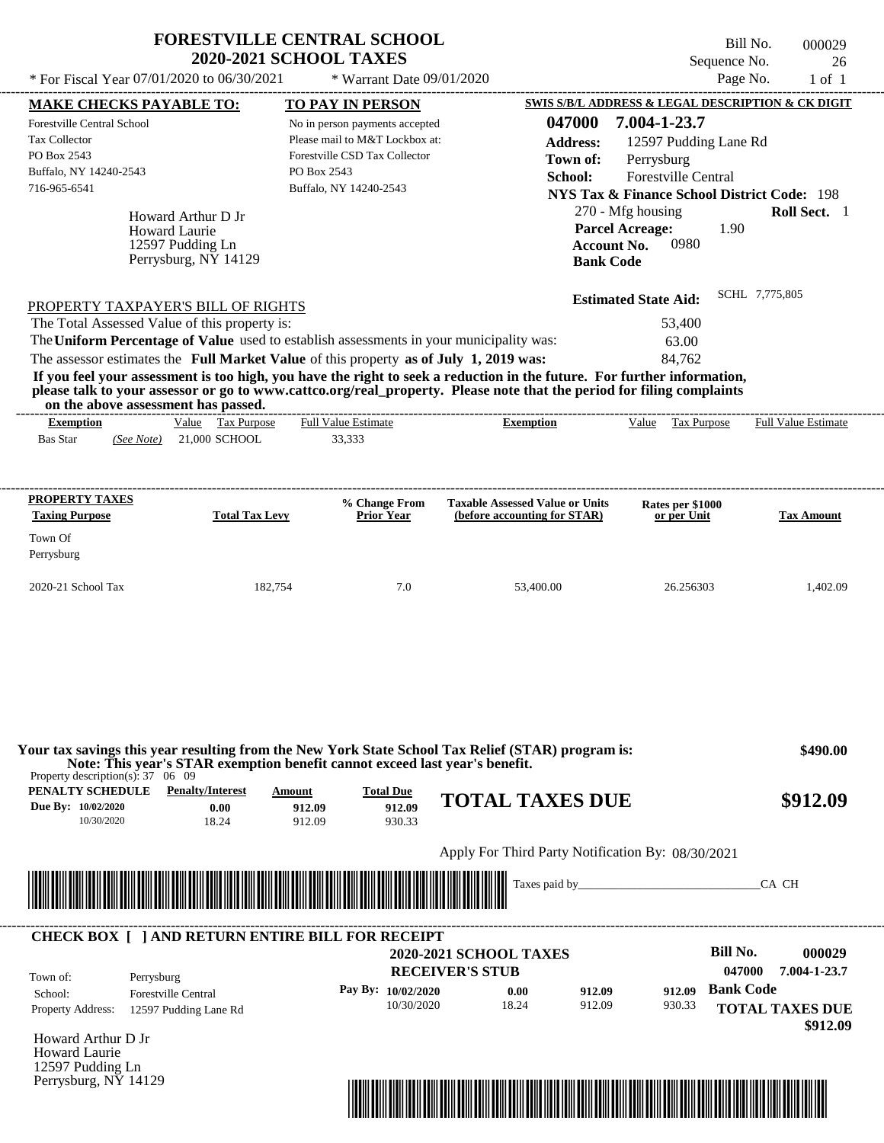| * For Fiscal Year 07/01/2020 to 06/30/2021                                                                                                                                                                                                                                              | <b>FORESTVILLE CENTRAL SCHOOL</b><br><b>2020-2021 SCHOOL TAXES</b><br>* Warrant Date 09/01/2020 |                                                                        |                                                                                        | Bill No.<br>Sequence No.<br>Page No. | 000029<br>26<br>$1$ of $1$ |
|-----------------------------------------------------------------------------------------------------------------------------------------------------------------------------------------------------------------------------------------------------------------------------------------|-------------------------------------------------------------------------------------------------|------------------------------------------------------------------------|----------------------------------------------------------------------------------------|--------------------------------------|----------------------------|
| <b>MAKE CHECKS PAYABLE TO:</b>                                                                                                                                                                                                                                                          | <b>TO PAY IN PERSON</b>                                                                         |                                                                        | SWIS S/B/L ADDRESS & LEGAL DESCRIPTION & CK DIGIT                                      |                                      |                            |
| <b>Forestville Central School</b>                                                                                                                                                                                                                                                       | No in person payments accepted                                                                  | 047000                                                                 | 7.004-1-23.7                                                                           |                                      |                            |
| <b>Tax Collector</b>                                                                                                                                                                                                                                                                    | Please mail to M&T Lockbox at:                                                                  | <b>Address:</b>                                                        | 12597 Pudding Lane Rd                                                                  |                                      |                            |
| PO Box 2543                                                                                                                                                                                                                                                                             | Forestville CSD Tax Collector                                                                   | Town of:                                                               | Perrysburg                                                                             |                                      |                            |
| Buffalo, NY 14240-2543                                                                                                                                                                                                                                                                  | PO Box 2543                                                                                     | School:                                                                | <b>Forestville Central</b>                                                             |                                      |                            |
| 716-965-6541                                                                                                                                                                                                                                                                            | Buffalo, NY 14240-2543                                                                          |                                                                        |                                                                                        |                                      |                            |
|                                                                                                                                                                                                                                                                                         |                                                                                                 |                                                                        | <b>NYS Tax &amp; Finance School District Code: 198</b>                                 |                                      |                            |
| Howard Arthur D Jr<br><b>Howard Laurie</b><br>12597 Pudding Ln<br>Perrysburg, NY 14129                                                                                                                                                                                                  |                                                                                                 |                                                                        | 270 - Mfg housing<br><b>Parcel Acreage:</b><br>0980<br>Account No.<br><b>Bank Code</b> | 1.90                                 | Roll Sect. 1               |
| PROPERTY TAXPAYER'S BILL OF RIGHTS<br>The Total Assessed Value of this property is:<br>The Uniform Percentage of Value used to establish assessments in your municipality was:                                                                                                          |                                                                                                 |                                                                        | <b>Estimated State Aid:</b><br>53,400<br>63.00                                         | SCHL 7,775,805                       |                            |
| The assessor estimates the Full Market Value of this property as of July 1, 2019 was:                                                                                                                                                                                                   |                                                                                                 |                                                                        | 84.762                                                                                 |                                      |                            |
| If you feel your assessment is too high, you have the right to seek a reduction in the future. For further information,<br>please talk to your assessor or go to www.cattco.org/real_property. Please note that the period for filing complaints<br>on the above assessment has passed. |                                                                                                 |                                                                        |                                                                                        |                                      |                            |
| Value Tax Purpose<br><b>Exemption</b>                                                                                                                                                                                                                                                   | <b>Full Value Estimate</b>                                                                      | <b>Exemption</b>                                                       | Value Tax Purpose                                                                      |                                      | <b>Full Value Estimate</b> |
| 21,000 SCHOOL<br>Bas Star<br>(See Note)                                                                                                                                                                                                                                                 | 33.333                                                                                          |                                                                        |                                                                                        |                                      |                            |
| PROPERTY TAXES<br><b>Taxing Purpose</b><br><b>Total Tax Levy</b>                                                                                                                                                                                                                        | % Change From<br><b>Prior Year</b>                                                              | <b>Taxable Assessed Value or Units</b><br>(before accounting for STAR) | Rates per \$1000<br>or per Unit                                                        |                                      | <b>Tax Amount</b>          |
| Town Of<br>Perrysburg                                                                                                                                                                                                                                                                   |                                                                                                 |                                                                        |                                                                                        |                                      |                            |
| 2020-21 School Tax<br>182,754                                                                                                                                                                                                                                                           | 7.0                                                                                             | 53,400.00                                                              | 26.256303                                                                              |                                      | 1,402.09                   |

| Property description(s): $37 \quad 06 \quad 09$ | Note: This year's STAR exemption benefit cannot exceed last year's benefit. |                  |                      |                                                   |      |                      |        |                  |              |
|-------------------------------------------------|-----------------------------------------------------------------------------|------------------|----------------------|---------------------------------------------------|------|----------------------|--------|------------------|--------------|
| PENALTY SCHEDULE                                | <b>Penalty/Interest</b>                                                     | Amount           | <b>Total Due</b>     | <b>TOTAL TAXES DUE</b>                            |      |                      |        |                  | \$912.09     |
| Due By: 10/02/2020<br>10/30/2020                | 0.00<br>18.24                                                               | 912.09<br>912.09 | 912.09<br>930.33     |                                                   |      |                      |        |                  |              |
|                                                 |                                                                             |                  |                      |                                                   |      |                      |        |                  |              |
|                                                 |                                                                             |                  |                      | Apply For Third Party Notification By: 08/30/2021 |      |                      |        |                  |              |
|                                                 |                                                                             |                  |                      |                                                   |      |                      |        |                  | CA CH        |
|                                                 |                                                                             |                  |                      |                                                   |      | Taxes paid by_______ |        |                  |              |
|                                                 |                                                                             |                  |                      |                                                   |      |                      |        |                  |              |
|                                                 | <b>CHECK BOX [ ] AND RETURN ENTIRE BILL FOR RECEIPT</b>                     |                  |                      | <b>2020-2021 SCHOOL TAXES</b>                     |      |                      |        | Bill No.         | 000029       |
|                                                 |                                                                             |                  |                      | <b>RECEIVER'S STUB</b>                            |      |                      |        | 047000           | 7.004-1-23.7 |
| Town of:<br>School:                             | Perrysburg<br><b>Forestville Central</b>                                    |                  | Pay By: $10/02/2020$ |                                                   | 0.00 | 912.09               | 912.09 | <b>Bank Code</b> |              |

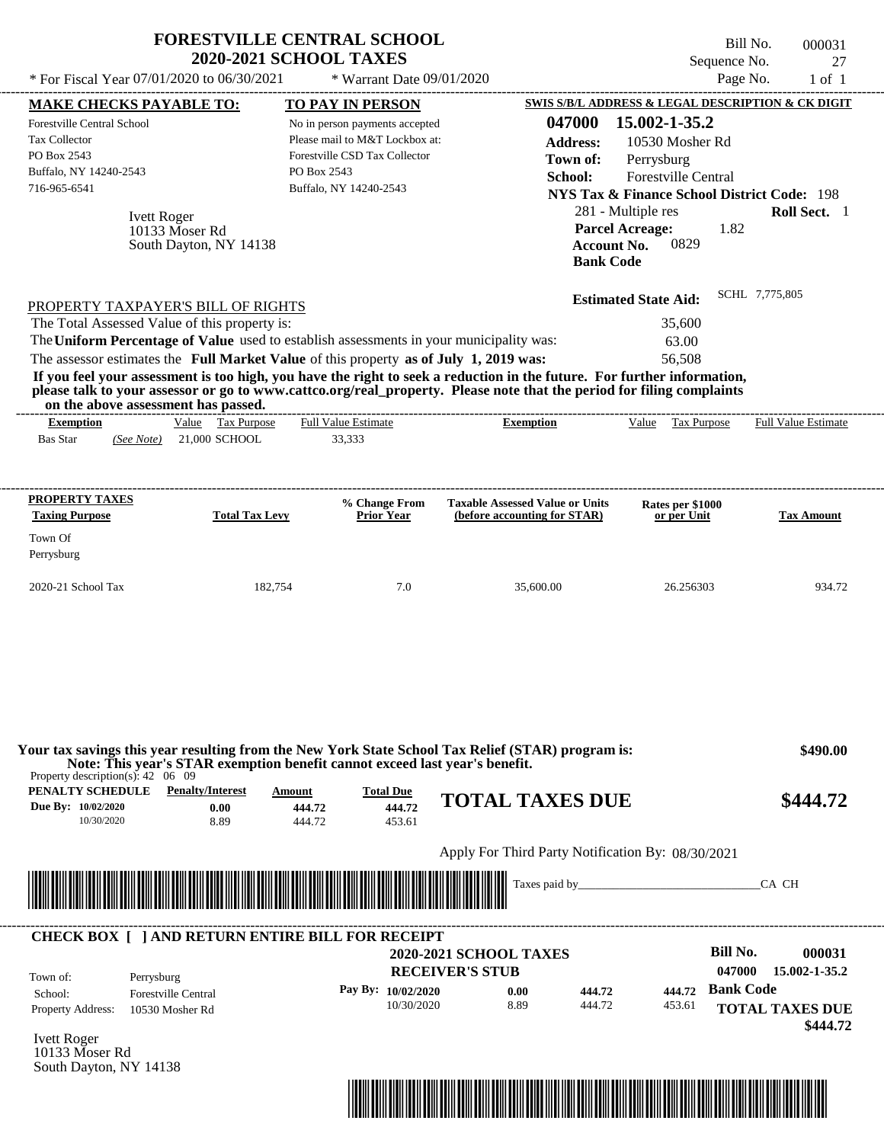| <b>FORESTVILLE CENTRAL SCHOOL</b>                                                                                                                                                                                                                                                                                                      | <b>2020-2021 SCHOOL TAXES</b>                                                                                    |                                      |                                                                        |                                                                                                     | Bill No.<br>Sequence No. | 000031<br>27                       |
|----------------------------------------------------------------------------------------------------------------------------------------------------------------------------------------------------------------------------------------------------------------------------------------------------------------------------------------|------------------------------------------------------------------------------------------------------------------|--------------------------------------|------------------------------------------------------------------------|-----------------------------------------------------------------------------------------------------|--------------------------|------------------------------------|
| * For Fiscal Year 07/01/2020 to 06/30/2021                                                                                                                                                                                                                                                                                             |                                                                                                                  | * Warrant Date 09/01/2020            |                                                                        |                                                                                                     | Page No.                 | $1$ of $1$                         |
| <b>MAKE CHECKS PAYABLE TO:</b>                                                                                                                                                                                                                                                                                                         | <b>TO PAY IN PERSON</b>                                                                                          |                                      |                                                                        | SWIS S/B/L ADDRESS & LEGAL DESCRIPTION & CK DIGIT                                                   |                          |                                    |
| <b>Forestville Central School</b><br>Tax Collector<br>PO Box 2543<br>Buffalo, NY 14240-2543                                                                                                                                                                                                                                            | No in person payments accepted<br>Please mail to M&T Lockbox at:<br>Forestville CSD Tax Collector<br>PO Box 2543 |                                      | 047000<br><b>Address:</b><br>Town of:                                  | 15.002-1-35.2<br>10530 Mosher Rd<br>Perrysburg                                                      |                          |                                    |
| 716-965-6541<br><b>Ivett Roger</b>                                                                                                                                                                                                                                                                                                     | Buffalo, NY 14240-2543                                                                                           |                                      | School:                                                                | Forestville Central<br><b>NYS Tax &amp; Finance School District Code: 198</b><br>281 - Multiple res |                          | Roll Sect. 1                       |
| 10133 Moser Rd<br>South Dayton, NY 14138                                                                                                                                                                                                                                                                                               |                                                                                                                  |                                      |                                                                        | <b>Parcel Acreage:</b><br>0829<br><b>Account No.</b><br><b>Bank Code</b>                            | 1.82                     |                                    |
| PROPERTY TAXPAYER'S BILL OF RIGHTS                                                                                                                                                                                                                                                                                                     |                                                                                                                  |                                      |                                                                        | <b>Estimated State Aid:</b>                                                                         | SCHL 7,775,805           |                                    |
| The Total Assessed Value of this property is:                                                                                                                                                                                                                                                                                          |                                                                                                                  |                                      |                                                                        | 35,600                                                                                              |                          |                                    |
| The Uniform Percentage of Value used to establish assessments in your municipality was:                                                                                                                                                                                                                                                |                                                                                                                  |                                      |                                                                        | 63.00                                                                                               |                          |                                    |
| The assessor estimates the Full Market Value of this property as of July 1, 2019 was:                                                                                                                                                                                                                                                  |                                                                                                                  |                                      |                                                                        | 56,508                                                                                              |                          |                                    |
| If you feel your assessment is too high, you have the right to seek a reduction in the future. For further information,<br>please talk to your assessor or go to www.cattco.org/real_property. Please note that the period for filing complaints<br>on the above assessment has passed.                                                |                                                                                                                  |                                      |                                                                        |                                                                                                     |                          |                                    |
| Value Tax Purpose<br><b>Exemption</b>                                                                                                                                                                                                                                                                                                  | <b>Full Value Estimate</b>                                                                                       | ----------------------------------   | <b>Exemption</b>                                                       | Value Tax Purpose                                                                                   |                          | <b>Full Value Estimate</b>         |
| $(See Note)$ 21,000 SCHOOL<br><b>Bas Star</b>                                                                                                                                                                                                                                                                                          | 33,333                                                                                                           |                                      |                                                                        |                                                                                                     |                          |                                    |
|                                                                                                                                                                                                                                                                                                                                        |                                                                                                                  |                                      |                                                                        |                                                                                                     |                          |                                    |
| <b>PROPERTY TAXES</b><br><b>Total Tax Levy</b><br><b>Taxing Purpose</b>                                                                                                                                                                                                                                                                |                                                                                                                  | % Change From<br><b>Prior Year</b>   | <b>Taxable Assessed Value or Units</b><br>(before accounting for STAR) | Rates per \$1000<br>or per Unit                                                                     |                          | <b>Tax Amount</b>                  |
| Town Of                                                                                                                                                                                                                                                                                                                                |                                                                                                                  |                                      |                                                                        |                                                                                                     |                          |                                    |
| Perrysburg                                                                                                                                                                                                                                                                                                                             |                                                                                                                  |                                      |                                                                        |                                                                                                     |                          |                                    |
| 2020-21 School Tax                                                                                                                                                                                                                                                                                                                     | 182,754                                                                                                          | 7.0                                  | 35,600.00                                                              | 26.256303                                                                                           |                          | 934.72                             |
| Your tax savings this year resulting from the New York State School Tax Relief (STAR) program is:<br>Note: This year's STAR exemption benefit cannot exceed last year's benefit.<br>Property description(s): $42 \quad 06 \quad 09$<br>PENALTY SCHEDULE<br><b>Penalty/Interest</b><br>Due By: 10/02/2020<br>0.00<br>10/30/2020<br>8.89 | Amount<br>444.72<br>444.72                                                                                       | <b>Total Due</b><br>444.72<br>453.61 | <b>TOTAL TAXES DUE</b>                                                 |                                                                                                     |                          | \$490.00<br>\$444.72               |
|                                                                                                                                                                                                                                                                                                                                        |                                                                                                                  |                                      | Apply For Third Party Notification By: 08/30/2021                      |                                                                                                     |                          |                                    |
|                                                                                                                                                                                                                                                                                                                                        |                                                                                                                  |                                      |                                                                        |                                                                                                     |                          |                                    |
| <u> Harry Harry Harry Harry Harry Harry Harry Harry Harry Harry Harry Harry Harry Harry Harry Harry Harry Harry Harry Harry Harry Harry Harry Harry Harry Harry Harry Harry Harry Harry Harry Harry Harry Harry Harry Harry Harr</u>                                                                                                   |                                                                                                                  |                                      |                                                                        |                                                                                                     |                          | CA CH                              |
| <b>CHECK BOX [ ] AND RETURN ENTIRE BILL FOR RECEIPT</b>                                                                                                                                                                                                                                                                                |                                                                                                                  |                                      |                                                                        |                                                                                                     |                          |                                    |
|                                                                                                                                                                                                                                                                                                                                        |                                                                                                                  |                                      | <b>2020-2021 SCHOOL TAXES</b>                                          |                                                                                                     | <b>Bill No.</b>          | 000031                             |
| Town of:<br>Perrysburg                                                                                                                                                                                                                                                                                                                 |                                                                                                                  | <b>RECEIVER'S STUB</b>               |                                                                        |                                                                                                     | 047000                   | 15.002-1-35.2                      |
| <b>Forestville Central</b><br>School:                                                                                                                                                                                                                                                                                                  |                                                                                                                  | Pay By: 10/02/2020                   | 444.72<br>0.00                                                         | 444.72                                                                                              | <b>Bank Code</b>         |                                    |
| <b>Property Address:</b><br>10530 Mosher Rd                                                                                                                                                                                                                                                                                            |                                                                                                                  | 10/30/2020                           | 8.89<br>444.72                                                         | 453.61                                                                                              |                          | <b>TOTAL TAXES DUE</b><br>\$444.72 |
| <b>Ivett Roger</b><br>10133 Moser Rd<br>South Dayton, NY 14138                                                                                                                                                                                                                                                                         |                                                                                                                  |                                      |                                                                        |                                                                                                     |                          |                                    |

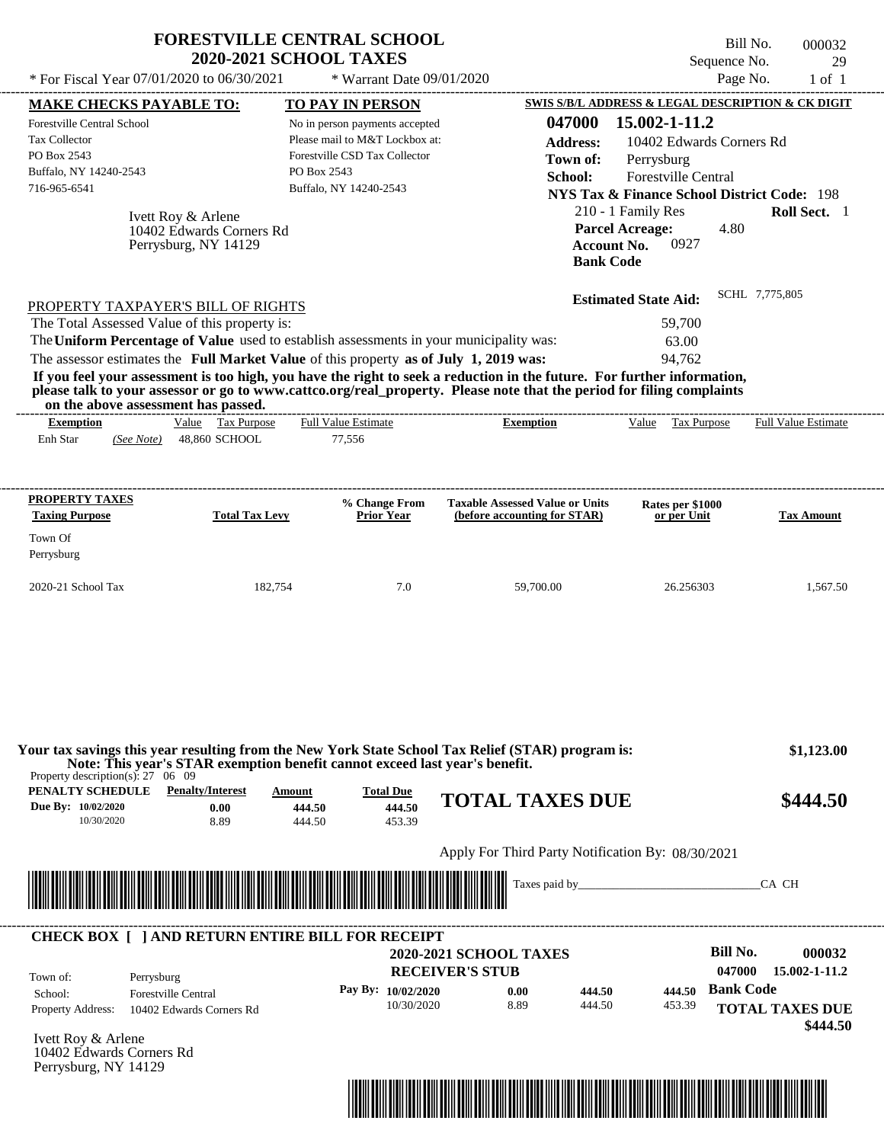| * For Fiscal Year 07/01/2020 to 06/30/2021                                                                                                                                                                                                                                                                                                                                                                                                                                                                      |                                                |             | * Warrant Date 09/01/2020                          |                                                                        |                                             | Sequence No.<br>Page No.        |                | 29<br>$1$ of $1$           |
|-----------------------------------------------------------------------------------------------------------------------------------------------------------------------------------------------------------------------------------------------------------------------------------------------------------------------------------------------------------------------------------------------------------------------------------------------------------------------------------------------------------------|------------------------------------------------|-------------|----------------------------------------------------|------------------------------------------------------------------------|---------------------------------------------|---------------------------------|----------------|----------------------------|
|                                                                                                                                                                                                                                                                                                                                                                                                                                                                                                                 |                                                |             |                                                    | SWIS S/B/L ADDRESS & LEGAL DESCRIPTION & CK DIGIT                      |                                             |                                 |                |                            |
| <b>MAKE CHECKS PAYABLE TO:</b><br>Forestville Central School                                                                                                                                                                                                                                                                                                                                                                                                                                                    |                                                |             | TO PAY IN PERSON<br>No in person payments accepted | 047000                                                                 | 15.002-1-11.2                               |                                 |                |                            |
| <b>Tax Collector</b>                                                                                                                                                                                                                                                                                                                                                                                                                                                                                            |                                                |             | Please mail to M&T Lockbox at:                     | <b>Address:</b>                                                        |                                             | 10402 Edwards Corners Rd        |                |                            |
| PO Box 2543                                                                                                                                                                                                                                                                                                                                                                                                                                                                                                     |                                                |             | Forestville CSD Tax Collector                      | Town of:                                                               | Perrysburg                                  |                                 |                |                            |
| Buffalo, NY 14240-2543                                                                                                                                                                                                                                                                                                                                                                                                                                                                                          |                                                | PO Box 2543 |                                                    | School:                                                                |                                             | <b>Forestville Central</b>      |                |                            |
| 716-965-6541                                                                                                                                                                                                                                                                                                                                                                                                                                                                                                    |                                                |             | Buffalo, NY 14240-2543                             |                                                                        | NYS Tax & Finance School District Code: 198 |                                 |                |                            |
|                                                                                                                                                                                                                                                                                                                                                                                                                                                                                                                 |                                                |             |                                                    |                                                                        | 210 - 1 Family Res                          |                                 |                | Roll Sect. 1               |
|                                                                                                                                                                                                                                                                                                                                                                                                                                                                                                                 | Ivett Roy & Arlene<br>10402 Edwards Corners Rd |             |                                                    |                                                                        | <b>Parcel Acreage:</b>                      | 4.80                            |                |                            |
|                                                                                                                                                                                                                                                                                                                                                                                                                                                                                                                 | Perrysburg, NY 14129                           |             |                                                    |                                                                        | <b>Account No.</b>                          | 0927                            |                |                            |
|                                                                                                                                                                                                                                                                                                                                                                                                                                                                                                                 |                                                |             |                                                    | <b>Bank Code</b>                                                       |                                             |                                 |                |                            |
|                                                                                                                                                                                                                                                                                                                                                                                                                                                                                                                 |                                                |             |                                                    |                                                                        | <b>Estimated State Aid:</b>                 |                                 | SCHL 7,775,805 |                            |
| PROPERTY TAXPAYER'S BILL OF RIGHTS                                                                                                                                                                                                                                                                                                                                                                                                                                                                              |                                                |             |                                                    |                                                                        |                                             |                                 |                |                            |
|                                                                                                                                                                                                                                                                                                                                                                                                                                                                                                                 |                                                |             |                                                    |                                                                        |                                             | 59,700                          |                |                            |
|                                                                                                                                                                                                                                                                                                                                                                                                                                                                                                                 |                                                |             |                                                    |                                                                        |                                             |                                 |                |                            |
|                                                                                                                                                                                                                                                                                                                                                                                                                                                                                                                 |                                                |             |                                                    |                                                                        |                                             | 63.00<br>94,762                 |                |                            |
| on the above assessment has passed.<br><b>Exemption</b>                                                                                                                                                                                                                                                                                                                                                                                                                                                         | Value Tax Purpose                              |             | Full Value Estimate                                | <b>Exemption</b>                                                       | Value                                       | Tax Purpose                     |                | <b>Full Value Estimate</b> |
| The Total Assessed Value of this property is:<br>The Uniform Percentage of Value used to establish assessments in your municipality was:<br>The assessor estimates the Full Market Value of this property as of July 1, 2019 was:<br>If you feel your assessment is too high, you have the right to seek a reduction in the future. For further information,<br>please talk to your assessor or go to www.cattco.org/real_property. Please note that the period for filing complaints<br>Enh Star<br>(See Note) | 48,860 SCHOOL                                  |             | 77,556                                             |                                                                        |                                             |                                 |                |                            |
|                                                                                                                                                                                                                                                                                                                                                                                                                                                                                                                 |                                                |             |                                                    |                                                                        |                                             |                                 |                |                            |
| PROPERTY TAXES<br><b>Taxing Purpose</b>                                                                                                                                                                                                                                                                                                                                                                                                                                                                         | <b>Total Tax Levy</b>                          |             | % Change From<br><b>Prior Year</b>                 | <b>Taxable Assessed Value or Units</b><br>(before accounting for STAR) |                                             | Rates per \$1000<br>or per Unit |                | <b>Tax Amount</b>          |
|                                                                                                                                                                                                                                                                                                                                                                                                                                                                                                                 |                                                |             |                                                    |                                                                        |                                             |                                 |                |                            |
|                                                                                                                                                                                                                                                                                                                                                                                                                                                                                                                 |                                                |             |                                                    |                                                                        |                                             |                                 |                |                            |
| Town Of<br>Perrysburg<br>2020-21 School Tax                                                                                                                                                                                                                                                                                                                                                                                                                                                                     |                                                | 182,754     | 7.0                                                | 59,700.00                                                              |                                             | 26.256303                       |                | 1.567.50                   |

|                          | <b>Allian</b><br><u> Tanzania (h. 1878).</u>           |                               | Taxes paid by | Apply For Third Party Notification By: 08/30/2021 |        | CA CH                   |
|--------------------------|--------------------------------------------------------|-------------------------------|---------------|---------------------------------------------------|--------|-------------------------|
|                          | <b>CHECK BOX   JAND RETURN ENTIRE BILL FOR RECEIPT</b> | <b>2020-2021 SCHOOL TAXES</b> |               |                                                   |        | Bill No.<br>000032      |
| Town of:                 | Perrysburg                                             | <b>RECEIVER'S STUB</b>        |               |                                                   |        | 047000<br>15.002-1-11.2 |
| School:                  | <b>Forestville Central</b>                             | Pay By: 10/02/2020            | 0.00          | 444.50                                            | 444.50 | <b>Bank Code</b>        |
| <b>Property Address:</b> | 10402 Edwards Corners Rd                               | 10/30/2020                    | 8.89          | 444.50                                            | 453.39 | <b>TOTAL TAXES DUE</b>  |

453.39

Ivett Roy & Arlene 10402 Edwards Corners Rd Perrysburg, NY 14129

**Due By: 10/02/2020**

Property description(s): 27 06 09

**PENALTY SCHEDULE Penalty/Interest Amount Total Due**

**0.00**

444.50 **444.50**

**Note: This year's STAR exemption benefit cannot exceed last year's benefit.**

10/30/2020 8.89



**444.50 TOTAL TAXES DUE \$444.50**

 **\$444.50**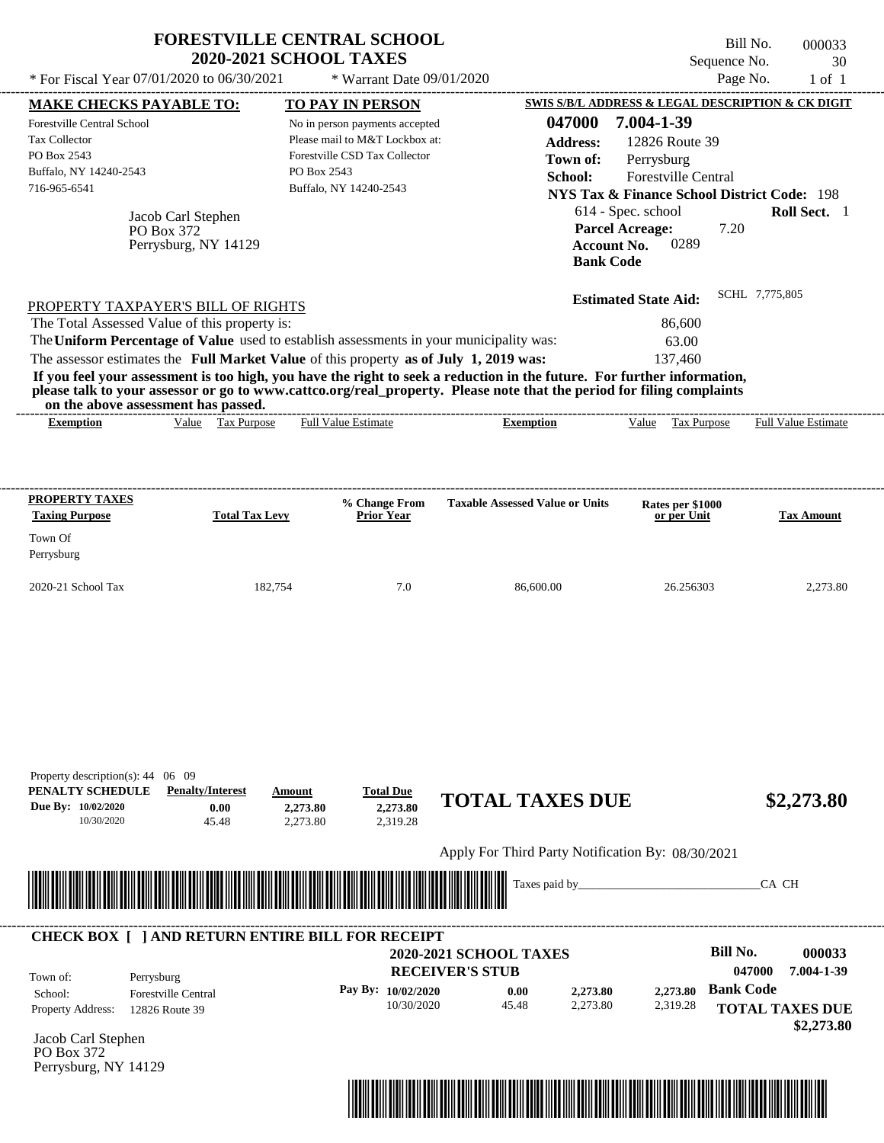| * For Fiscal Year 07/01/2020 to 06/30/2021                                                                                                                                                                                                                                                                     | <b>FORESTVILLE CENTRAL SCHOOL</b>                        |                                | <b>2020-2021 SCHOOL TAXES</b>                                                                                                                   |                                                                                                                                                                                                                                                  |                                                                                                                                                                                                                  | Bill No.<br>000033<br>Sequence No.<br>30 |
|----------------------------------------------------------------------------------------------------------------------------------------------------------------------------------------------------------------------------------------------------------------------------------------------------------------|----------------------------------------------------------|--------------------------------|-------------------------------------------------------------------------------------------------------------------------------------------------|--------------------------------------------------------------------------------------------------------------------------------------------------------------------------------------------------------------------------------------------------|------------------------------------------------------------------------------------------------------------------------------------------------------------------------------------------------------------------|------------------------------------------|
|                                                                                                                                                                                                                                                                                                                |                                                          |                                | * Warrant Date 09/01/2020                                                                                                                       |                                                                                                                                                                                                                                                  | <b>SWIS S/B/L ADDRESS &amp; LEGAL DESCRIPTION &amp; CK DIGIT</b>                                                                                                                                                 | Page No.<br>$1$ of $1$                   |
| <b>MAKE CHECKS PAYABLE TO:</b><br>Forestville Central School<br><b>Tax Collector</b><br>PO Box 2543<br>Buffalo, NY 14240-2543<br>716-965-6541                                                                                                                                                                  | Jacob Carl Stephen<br>PO Box 372<br>Perrysburg, NY 14129 | PO Box 2543                    | TO PAY IN PERSON<br>No in person payments accepted<br>Please mail to M&T Lockbox at:<br>Forestville CSD Tax Collector<br>Buffalo, NY 14240-2543 | 047000<br><b>Address:</b><br>Town of:<br>School:<br><b>Bank Code</b>                                                                                                                                                                             | 7.004-1-39<br>12826 Route 39<br>Perrysburg<br><b>Forestville Central</b><br><b>NYS Tax &amp; Finance School District Code: 198</b><br>614 - Spec. school<br><b>Parcel Acreage:</b><br>0289<br><b>Account No.</b> | Roll Sect. 1<br>7.20                     |
| PROPERTY TAXPAYER'S BILL OF RIGHTS<br>The Total Assessed Value of this property is:<br>The Uniform Percentage of Value used to establish assessments in your municipality was:<br>The assessor estimates the Full Market Value of this property as of July 1, 2019 was:<br>on the above assessment has passed. |                                                          |                                |                                                                                                                                                 | If you feel your assessment is too high, you have the right to seek a reduction in the future. For further information,<br>please talk to your assessor or go to www.cattco.org/real property. Please note that the period for filing complaints | <b>Estimated State Aid:</b><br>86,600<br>63.00<br>137,460                                                                                                                                                        | SCHL 7,775,805                           |
| <b>Exemption</b>                                                                                                                                                                                                                                                                                               | <b>Tax Purpose</b><br>Value                              |                                | <b>Full Value Estimate</b>                                                                                                                      | <b>Exemption</b>                                                                                                                                                                                                                                 | Value<br>Tax Purpose                                                                                                                                                                                             | <b>Full Value Estimate</b>               |
| PROPERTY TAXES<br><b>Taxing Purpose</b><br>Town Of<br>Perrysburg                                                                                                                                                                                                                                               | <b>Total Tax Levy</b>                                    |                                | % Change From<br><b>Prior Year</b>                                                                                                              | <b>Taxable Assessed Value or Units</b>                                                                                                                                                                                                           | Rates per \$1000<br>or per Unit                                                                                                                                                                                  | <b>Tax Amount</b>                        |
| 2020-21 School Tax                                                                                                                                                                                                                                                                                             |                                                          | 182,754                        | 7.0                                                                                                                                             | 86,600.00                                                                                                                                                                                                                                        | 26.256303                                                                                                                                                                                                        | 2,273.80                                 |
| Property description(s): 44 06 09<br>PENALTY SCHEDULE<br>Due By: 10/02/2020<br>10/30/2020                                                                                                                                                                                                                      | <b>Penalty/Interest</b><br>0.00<br>45.48                 | Amount<br>2,273.80<br>2,273.80 | <b>Total Due</b><br>2,273.80<br>2,319.28                                                                                                        | <b>TOTAL TAXES DUE</b>                                                                                                                                                                                                                           |                                                                                                                                                                                                                  | \$2,273.80                               |
|                                                                                                                                                                                                                                                                                                                |                                                          |                                |                                                                                                                                                 | Apply For Third Party Notification By: 08/30/2021                                                                                                                                                                                                |                                                                                                                                                                                                                  |                                          |
|                                                                                                                                                                                                                                                                                                                |                                                          |                                |                                                                                                                                                 | Taxes paid by_                                                                                                                                                                                                                                   |                                                                                                                                                                                                                  | CA CH                                    |
| <b>CHECK BOX [ ] AND RETURN ENTIRE BILL FOR RECEIPT</b>                                                                                                                                                                                                                                                        |                                                          |                                |                                                                                                                                                 | 2020-2021 SCHOOL TAXES                                                                                                                                                                                                                           |                                                                                                                                                                                                                  | <b>Bill No.</b><br>000033                |

**RECEIVER'S STUB**

10/30/2020 45.48

**Pay By: 10/02/2020 0.00**

Property Address: 12826 Route 39 Perrysburg School: Forestville Central Town of:

Jacob Carl Stephen PO Box 372 Perrysburg, NY 14129



2,273.80 **2,273.80** **Bank Code**

2,319.28 **2,273.80**

**TOTAL TAXES DUE**

**047000 7.004-1-39**

 **\$2,273.80**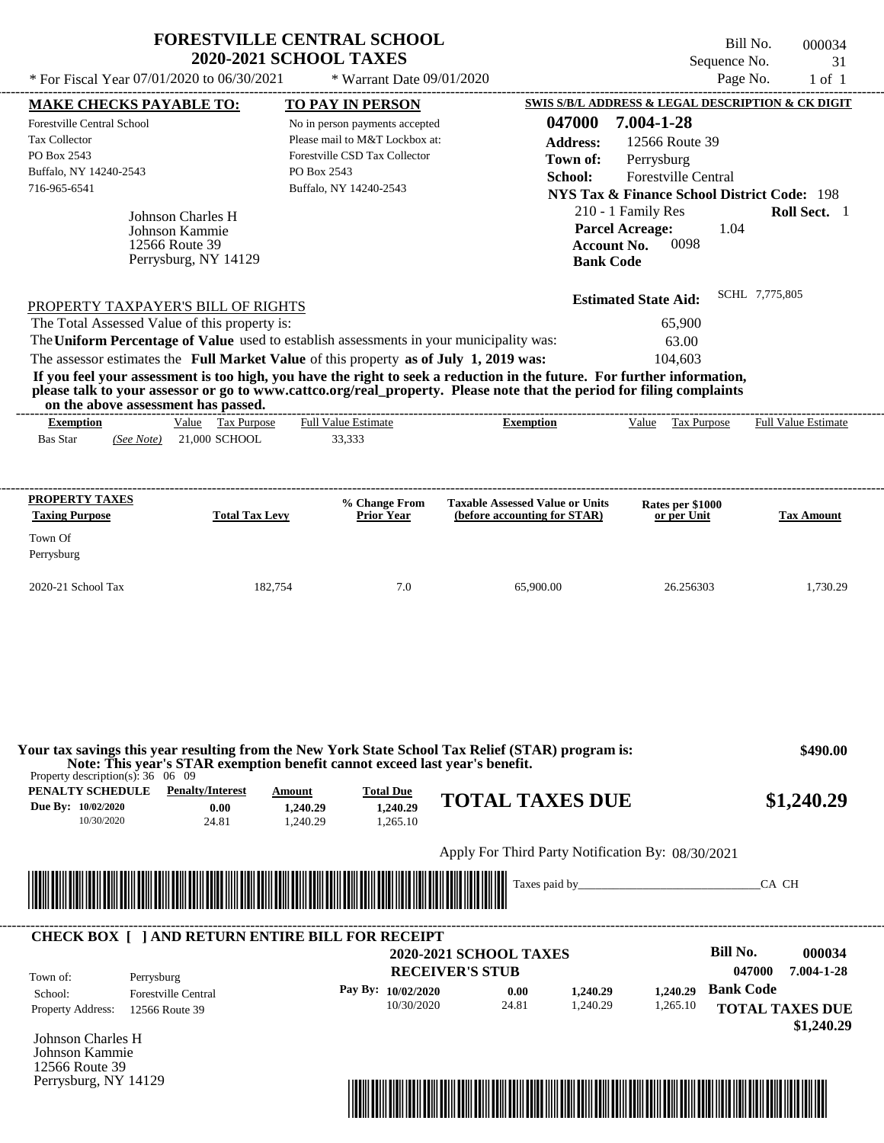| * For Fiscal Year 07/01/2020 to 06/30/2021<br>* Warrant Date 09/01/2020<br>Page No.<br>SWIS S/B/L ADDRESS & LEGAL DESCRIPTION & CK DIGIT<br><b>TO PAY IN PERSON</b><br><u>MAKE CHECKS PAYABLE TO:</u><br>047000<br>7.004-1-28<br>No in person payments accepted<br>Please mail to M&T Lockbox at:<br>12566 Route 39<br><b>Address:</b><br>Forestville CSD Tax Collector<br>Town of:<br>Perrysburg<br>PO Box 2543<br><b>Forestville Central</b><br>School:<br>Buffalo, NY 14240-2543<br><b>NYS Tax &amp; Finance School District Code: 198</b><br>210 - 1 Family Res<br>Roll Sect. 1<br>Johnson Charles H<br><b>Parcel Acreage:</b><br>1.04<br>Johnson Kammie<br>0098<br><b>Account No.</b><br>12566 Route 39<br>Perrysburg, NY 14129<br><b>Bank Code</b><br>SCHL 7,775,805<br><b>Estimated State Aid:</b><br>PROPERTY TAXPAYER'S BILL OF RIGHTS<br>The Total Assessed Value of this property is:<br>65,900<br>The Uniform Percentage of Value used to establish assessments in your municipality was:<br>63.00<br>The assessor estimates the Full Market Value of this property as of July 1, 2019 was:<br>104.603<br>If you feel your assessment is too high, you have the right to seek a reduction in the future. For further information,<br>please talk to your assessor or go to www.cattco.org/real property. Please note that the period for filing complaints<br>on the above assessment has passed.<br>Value Tax Purpose<br><b>Full Value Estimate</b><br>Value<br>Tax Purpose<br>Full Value Estimate<br><b>Exemption</b><br><b>Exemption</b><br>Bas Star<br>21,000 SCHOOL<br>(See Note)<br>33,333<br>PROPERTY TAXES<br>% Change From<br><b>Taxable Assessed Value or Units</b><br>Rates per \$1000<br><b>Taxing Purpose</b><br><b>Total Tax Levy</b><br><b>Prior Year</b><br>(before accounting for STAR)<br>or per Unit<br><b>Tax Amount</b><br>Town Of<br>Perrysburg<br>2020-21 School Tax<br>182,754<br>7.0<br>65,900.00<br>26.256303<br>Your tax savings this year resulting from the New York State School Tax Relief (STAR) program is:<br>Note: This year's STAR exemption benefit cannot exceed last year's benefit.<br>Property description(s): $36 \quad 06 \quad 09$<br><b>PENALTY SCHEDULE</b> Penalty/Interest<br>Amount<br><b>Total Due</b><br><b>TOTAL TAXES DUE</b><br>\$1,240.29<br>1.240.29<br>Due By: 10/02/2020<br>0.00<br>1,240.29<br>1,265.10<br>10/30/2020<br>24.81<br>1,240.29<br>Apply For Third Party Notification By: 08/30/2021<br><b>Taxes paid by the Common Common Common Common Common Common Common Common Common Common Common Common Common Co</b><br>CA CH |                                                                                                             | <b>FORESTVILLE CENTRAL SCHOOL</b><br><b>2020-2021 SCHOOL TAXES</b> |  |  | Bill No.<br>Sequence No. | 000034<br>31 |
|-----------------------------------------------------------------------------------------------------------------------------------------------------------------------------------------------------------------------------------------------------------------------------------------------------------------------------------------------------------------------------------------------------------------------------------------------------------------------------------------------------------------------------------------------------------------------------------------------------------------------------------------------------------------------------------------------------------------------------------------------------------------------------------------------------------------------------------------------------------------------------------------------------------------------------------------------------------------------------------------------------------------------------------------------------------------------------------------------------------------------------------------------------------------------------------------------------------------------------------------------------------------------------------------------------------------------------------------------------------------------------------------------------------------------------------------------------------------------------------------------------------------------------------------------------------------------------------------------------------------------------------------------------------------------------------------------------------------------------------------------------------------------------------------------------------------------------------------------------------------------------------------------------------------------------------------------------------------------------------------------------------------------------------------------------------------------------------------------------------------------------------------------------------------------------------------------------------------------------------------------------------------------------------------------------------------------------------------------------------------------------------------------------------------------------------------------------------------------------------------------------------------------------------------------------------------------------------------------------------|-------------------------------------------------------------------------------------------------------------|--------------------------------------------------------------------|--|--|--------------------------|--------------|
|                                                                                                                                                                                                                                                                                                                                                                                                                                                                                                                                                                                                                                                                                                                                                                                                                                                                                                                                                                                                                                                                                                                                                                                                                                                                                                                                                                                                                                                                                                                                                                                                                                                                                                                                                                                                                                                                                                                                                                                                                                                                                                                                                                                                                                                                                                                                                                                                                                                                                                                                                                                                           |                                                                                                             |                                                                    |  |  |                          | $1$ of $1$   |
|                                                                                                                                                                                                                                                                                                                                                                                                                                                                                                                                                                                                                                                                                                                                                                                                                                                                                                                                                                                                                                                                                                                                                                                                                                                                                                                                                                                                                                                                                                                                                                                                                                                                                                                                                                                                                                                                                                                                                                                                                                                                                                                                                                                                                                                                                                                                                                                                                                                                                                                                                                                                           |                                                                                                             |                                                                    |  |  |                          |              |
|                                                                                                                                                                                                                                                                                                                                                                                                                                                                                                                                                                                                                                                                                                                                                                                                                                                                                                                                                                                                                                                                                                                                                                                                                                                                                                                                                                                                                                                                                                                                                                                                                                                                                                                                                                                                                                                                                                                                                                                                                                                                                                                                                                                                                                                                                                                                                                                                                                                                                                                                                                                                           | Forestville Central School<br><b>Tax Collector</b><br>PO Box 2543<br>Buffalo, NY 14240-2543<br>716-965-6541 |                                                                    |  |  |                          |              |
|                                                                                                                                                                                                                                                                                                                                                                                                                                                                                                                                                                                                                                                                                                                                                                                                                                                                                                                                                                                                                                                                                                                                                                                                                                                                                                                                                                                                                                                                                                                                                                                                                                                                                                                                                                                                                                                                                                                                                                                                                                                                                                                                                                                                                                                                                                                                                                                                                                                                                                                                                                                                           |                                                                                                             |                                                                    |  |  |                          |              |
|                                                                                                                                                                                                                                                                                                                                                                                                                                                                                                                                                                                                                                                                                                                                                                                                                                                                                                                                                                                                                                                                                                                                                                                                                                                                                                                                                                                                                                                                                                                                                                                                                                                                                                                                                                                                                                                                                                                                                                                                                                                                                                                                                                                                                                                                                                                                                                                                                                                                                                                                                                                                           |                                                                                                             |                                                                    |  |  |                          |              |
|                                                                                                                                                                                                                                                                                                                                                                                                                                                                                                                                                                                                                                                                                                                                                                                                                                                                                                                                                                                                                                                                                                                                                                                                                                                                                                                                                                                                                                                                                                                                                                                                                                                                                                                                                                                                                                                                                                                                                                                                                                                                                                                                                                                                                                                                                                                                                                                                                                                                                                                                                                                                           |                                                                                                             |                                                                    |  |  |                          |              |
|                                                                                                                                                                                                                                                                                                                                                                                                                                                                                                                                                                                                                                                                                                                                                                                                                                                                                                                                                                                                                                                                                                                                                                                                                                                                                                                                                                                                                                                                                                                                                                                                                                                                                                                                                                                                                                                                                                                                                                                                                                                                                                                                                                                                                                                                                                                                                                                                                                                                                                                                                                                                           |                                                                                                             |                                                                    |  |  |                          |              |
|                                                                                                                                                                                                                                                                                                                                                                                                                                                                                                                                                                                                                                                                                                                                                                                                                                                                                                                                                                                                                                                                                                                                                                                                                                                                                                                                                                                                                                                                                                                                                                                                                                                                                                                                                                                                                                                                                                                                                                                                                                                                                                                                                                                                                                                                                                                                                                                                                                                                                                                                                                                                           |                                                                                                             |                                                                    |  |  |                          |              |
|                                                                                                                                                                                                                                                                                                                                                                                                                                                                                                                                                                                                                                                                                                                                                                                                                                                                                                                                                                                                                                                                                                                                                                                                                                                                                                                                                                                                                                                                                                                                                                                                                                                                                                                                                                                                                                                                                                                                                                                                                                                                                                                                                                                                                                                                                                                                                                                                                                                                                                                                                                                                           |                                                                                                             |                                                                    |  |  |                          | 1,730.29     |
|                                                                                                                                                                                                                                                                                                                                                                                                                                                                                                                                                                                                                                                                                                                                                                                                                                                                                                                                                                                                                                                                                                                                                                                                                                                                                                                                                                                                                                                                                                                                                                                                                                                                                                                                                                                                                                                                                                                                                                                                                                                                                                                                                                                                                                                                                                                                                                                                                                                                                                                                                                                                           |                                                                                                             |                                                                    |  |  |                          | \$490.00     |
|                                                                                                                                                                                                                                                                                                                                                                                                                                                                                                                                                                                                                                                                                                                                                                                                                                                                                                                                                                                                                                                                                                                                                                                                                                                                                                                                                                                                                                                                                                                                                                                                                                                                                                                                                                                                                                                                                                                                                                                                                                                                                                                                                                                                                                                                                                                                                                                                                                                                                                                                                                                                           |                                                                                                             |                                                                    |  |  |                          |              |
|                                                                                                                                                                                                                                                                                                                                                                                                                                                                                                                                                                                                                                                                                                                                                                                                                                                                                                                                                                                                                                                                                                                                                                                                                                                                                                                                                                                                                                                                                                                                                                                                                                                                                                                                                                                                                                                                                                                                                                                                                                                                                                                                                                                                                                                                                                                                                                                                                                                                                                                                                                                                           |                                                                                                             |                                                                    |  |  |                          |              |



**RECEIVER'S STUB Bill No. 000034 Bank Code 1,240.29 1,240.29** Property Address: 12566 Route 39 Perrysburg School: Forestville Central **TOTAL TAXES DUE \$1,240.29 2020-2021 SCHOOL TAXES 047000 7.004-1-28 Pay By: 10/02/2020** 10/30/2020 24.81 **0.00** 1,240.29 1,265.10 Town of: **CHECK BOX [ ] AND RETURN ENTIRE BILL FOR RECEIPT**

Johnson Charles H Johnson Kammie 12566 Route 39 Perrysburg, NY 14129

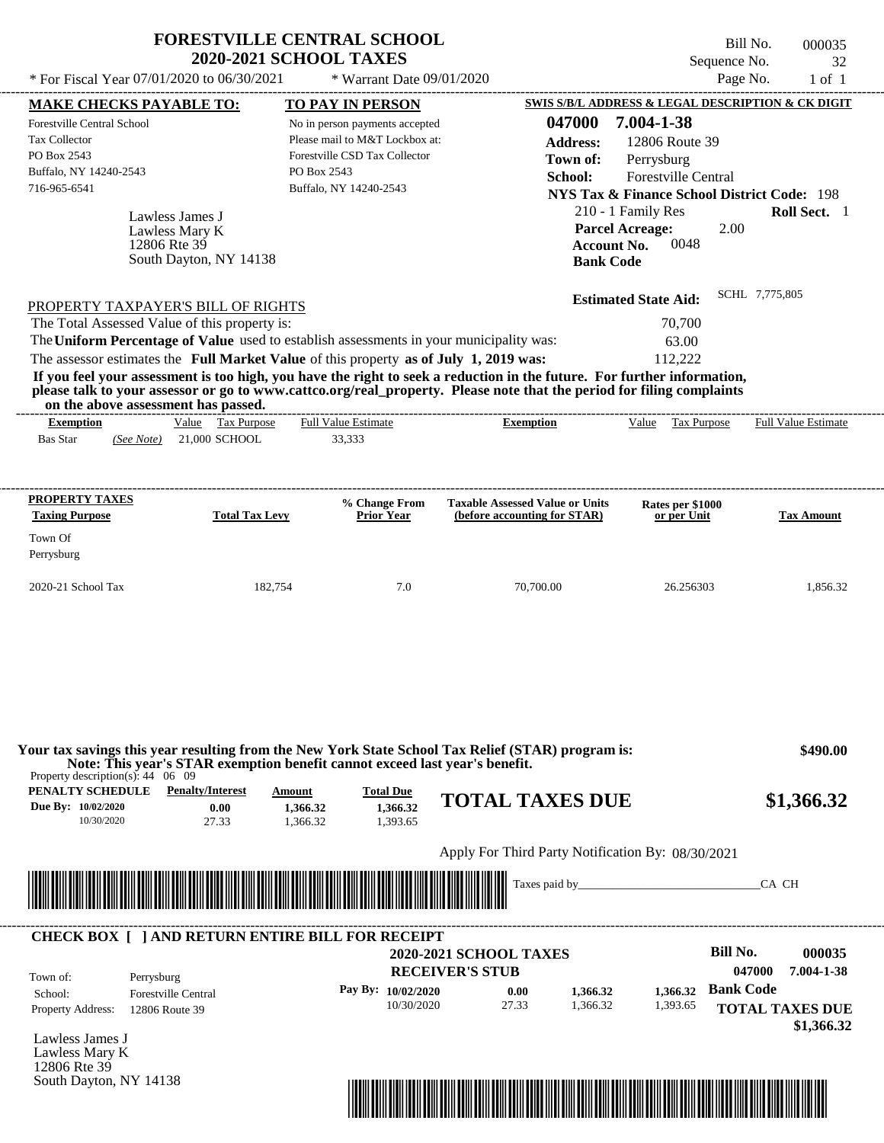|                                                                                                                             |                                                             | <b>FORESTVILLE CENTRAL SCHOOL</b><br><b>2020-2021 SCHOOL TAXES</b>                                                                                                               |                                                                                                                                                                                                                                                  | Sequence No.                                                                                                                                                                                       | Bill No.<br>000035<br>32 |
|-----------------------------------------------------------------------------------------------------------------------------|-------------------------------------------------------------|----------------------------------------------------------------------------------------------------------------------------------------------------------------------------------|--------------------------------------------------------------------------------------------------------------------------------------------------------------------------------------------------------------------------------------------------|----------------------------------------------------------------------------------------------------------------------------------------------------------------------------------------------------|--------------------------|
| * For Fiscal Year 07/01/2020 to 06/30/2021                                                                                  |                                                             | * Warrant Date 09/01/2020                                                                                                                                                        |                                                                                                                                                                                                                                                  | Page No.                                                                                                                                                                                           | $1$ of $1$               |
| <u>MAKE CHECKS PAYABLE TO:</u>                                                                                              |                                                             | <b>TO PAY IN PERSON</b>                                                                                                                                                          |                                                                                                                                                                                                                                                  | SWIS S/B/L ADDRESS & LEGAL DESCRIPTION & CK DIGIT                                                                                                                                                  |                          |
| Forestville Central School<br><b>Tax Collector</b><br>PO Box 2543<br>Buffalo, NY 14240-2543<br>716-965-6541<br>12806 Rte 39 | Lawless James J<br>Lawless Mary K<br>South Dayton, NY 14138 | No in person payments accepted<br>Please mail to M&T Lockbox at:<br>Forestville CSD Tax Collector<br>PO Box 2543<br>Buffalo, NY 14240-2543                                       | 047000<br><b>Address:</b><br>Town of:<br>School:<br><b>Account No.</b><br><b>Bank Code</b>                                                                                                                                                       | 7.004-1-38<br>12806 Route 39<br>Perrysburg<br><b>Forestville Central</b><br><b>NYS Tax &amp; Finance School District Code: 198</b><br>210 - 1 Family Res<br>2.00<br><b>Parcel Acreage:</b><br>0048 | Roll Sect. 1             |
| PROPERTY TAXPAYER'S BILL OF RIGHTS<br>The Total Assessed Value of this property is:                                         |                                                             | The Uniform Percentage of Value used to establish assessments in your municipality was:<br>The assessor estimates the Full Market Value of this property as of July 1, 2019 was: | If you feel your assessment is too high, you have the right to seek a reduction in the future. For further information,<br>please talk to your assessor or go to www.cattco.org/real_property. Please note that the period for filing complaints | <b>Estimated State Aid:</b><br>70,700<br>63.00<br>112,222                                                                                                                                          | SCHL 7,775,805           |
| on the above assessment has passed.<br><b>Exemption</b>                                                                     | Value Tax Purpose                                           | <b>Full Value Estimate</b>                                                                                                                                                       | <b>Exemption</b>                                                                                                                                                                                                                                 | Value<br>Tax Purpose                                                                                                                                                                               | Full Value Estimate      |
| PROPERTY TAXES                                                                                                              |                                                             | % Change From                                                                                                                                                                    | <b>Taxable Assessed Value or Units</b>                                                                                                                                                                                                           | Rates per \$1000                                                                                                                                                                                   |                          |
| <b>Taxing Purpose</b><br>Town Of<br>Perrysburg                                                                              | <b>Total Tax Levy</b>                                       | <b>Prior Year</b>                                                                                                                                                                | (before accounting for STAR)                                                                                                                                                                                                                     | or per Unit                                                                                                                                                                                        | <b>Tax Amount</b>        |
| 2020-21 School Tax                                                                                                          | 182,754                                                     | 7.0                                                                                                                                                                              | 70,700.00                                                                                                                                                                                                                                        | 26.256303                                                                                                                                                                                          | 1,856.32                 |
|                                                                                                                             |                                                             |                                                                                                                                                                                  |                                                                                                                                                                                                                                                  |                                                                                                                                                                                                    |                          |
| Property description(s): $44 \quad 06 \quad 09$<br><b>PENALTY SCHEDULE</b> Penalty/Interest                                 |                                                             | Note: This year's STAR exemption benefit cannot exceed last year's benefit.<br>Amount<br><b>Total Due</b>                                                                        | Your tax savings this year resulting from the New York State School Tax Relief (STAR) program is:<br><b>TOTAL TAXES DUE</b>                                                                                                                      |                                                                                                                                                                                                    | \$490.00<br>\$1,366.32   |
| Due By: 10/02/2020<br>10/30/2020                                                                                            | 0.00<br>27.33                                               | 1,366.32<br>1,366.32<br>1,393.65<br>1,366.32                                                                                                                                     | Apply For Third Party Notification By: 08/30/2021                                                                                                                                                                                                |                                                                                                                                                                                                    |                          |



| Town of:                 | Perrysburg                 | <b>2020-2021 SCHOOL TAXES</b><br><b>RECEIVER'S STUB</b> |       |          |          | Bill No.<br>047000     | 000035<br>7.004-1-38 |
|--------------------------|----------------------------|---------------------------------------------------------|-------|----------|----------|------------------------|----------------------|
| School:                  | <b>Forestville Central</b> | Pay By: $10/02/2020$                                    | 0.00  | 1,366.32 | 1.366.32 | <b>Bank Code</b>       |                      |
| <b>Property Address:</b> | 12806 Route 39             | 10/30/2020                                              | 27.33 | 1.366.32 | 1,393.65 | <b>TOTAL TAXES DUE</b> | \$1,366.32           |

Lawless Mary K 12806 Rte 39 South Dayton, NY 14138

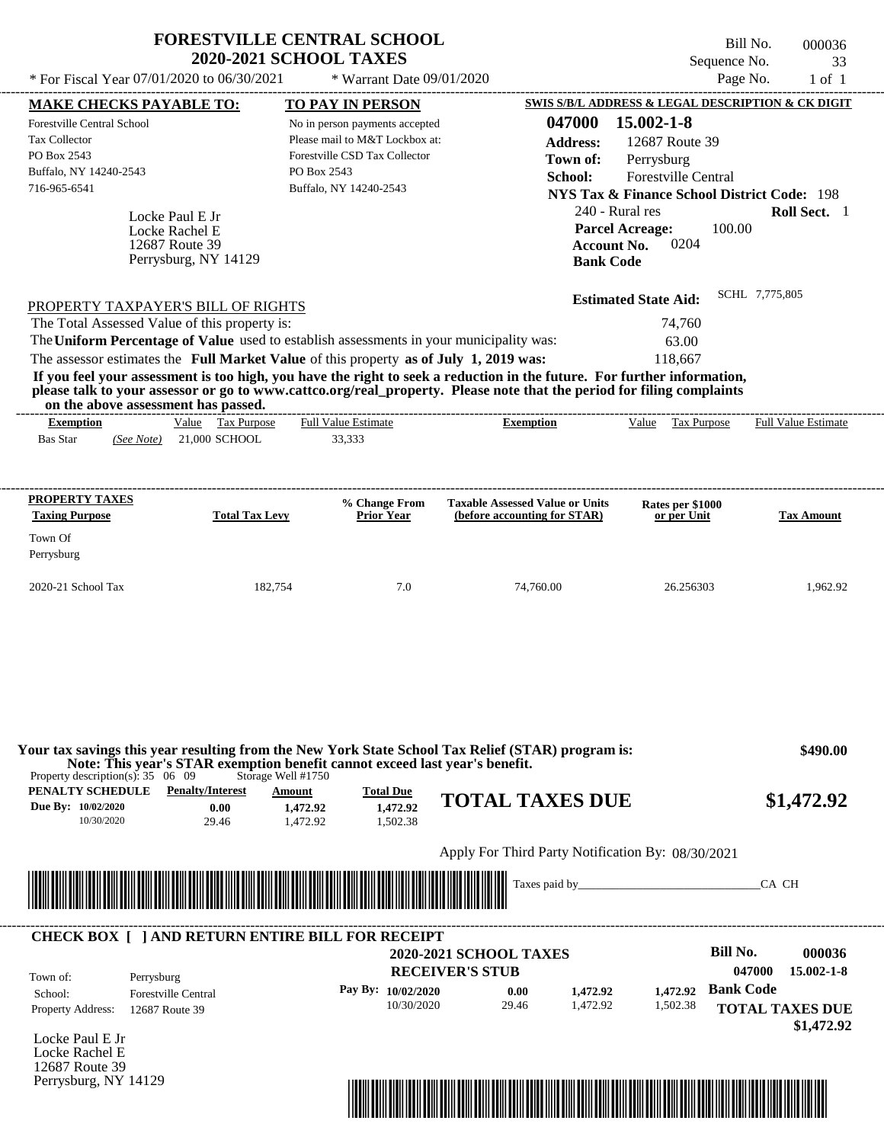|                                                                                                                                                                                                                                                                                         | <b>FORESTVILLE CENTRAL SCHOOL</b><br><b>2020-2021 SCHOOL TAXES</b> |                                                               |                                                                        |                                                        | Bill No.<br>Sequence No. | 000036<br>33               |
|-----------------------------------------------------------------------------------------------------------------------------------------------------------------------------------------------------------------------------------------------------------------------------------------|--------------------------------------------------------------------|---------------------------------------------------------------|------------------------------------------------------------------------|--------------------------------------------------------|--------------------------|----------------------------|
| * For Fiscal Year 07/01/2020 to 06/30/2021                                                                                                                                                                                                                                              |                                                                    | * Warrant Date 09/01/2020                                     |                                                                        |                                                        | Page No.                 | $1$ of $1$                 |
| <b>MAKE CHECKS PAYABLE TO:</b>                                                                                                                                                                                                                                                          |                                                                    | <b>TO PAY IN PERSON</b>                                       |                                                                        | SWIS S/B/L ADDRESS & LEGAL DESCRIPTION & CK DIGIT      |                          |                            |
| <b>Forestville Central School</b>                                                                                                                                                                                                                                                       |                                                                    | No in person payments accepted                                | 047000                                                                 | 15.002-1-8                                             |                          |                            |
| Tax Collector                                                                                                                                                                                                                                                                           |                                                                    | Please mail to M&T Lockbox at:                                | <b>Address:</b>                                                        | 12687 Route 39                                         |                          |                            |
| PO Box 2543                                                                                                                                                                                                                                                                             |                                                                    | Forestville CSD Tax Collector                                 | Town of:                                                               | Perrysburg                                             |                          |                            |
| Buffalo, NY 14240-2543                                                                                                                                                                                                                                                                  | PO Box 2543                                                        |                                                               | School:                                                                | Forestville Central                                    |                          |                            |
| 716-965-6541                                                                                                                                                                                                                                                                            |                                                                    | Buffalo, NY 14240-2543                                        |                                                                        | <b>NYS Tax &amp; Finance School District Code: 198</b> |                          |                            |
| Locke Paul E Jr                                                                                                                                                                                                                                                                         |                                                                    |                                                               |                                                                        | 240 - Rural res                                        |                          | Roll Sect. 1               |
| Locke Rachel E                                                                                                                                                                                                                                                                          |                                                                    |                                                               |                                                                        | <b>Parcel Acreage:</b>                                 | 100.00                   |                            |
| 12687 Route 39                                                                                                                                                                                                                                                                          |                                                                    |                                                               |                                                                        | 0204<br><b>Account No.</b>                             |                          |                            |
| Perrysburg, NY 14129                                                                                                                                                                                                                                                                    |                                                                    |                                                               |                                                                        | <b>Bank Code</b>                                       |                          |                            |
|                                                                                                                                                                                                                                                                                         |                                                                    |                                                               |                                                                        |                                                        | SCHL 7,775,805           |                            |
| PROPERTY TAXPAYER'S BILL OF RIGHTS                                                                                                                                                                                                                                                      |                                                                    |                                                               |                                                                        | <b>Estimated State Aid:</b>                            |                          |                            |
| The Total Assessed Value of this property is:                                                                                                                                                                                                                                           |                                                                    |                                                               |                                                                        | 74,760                                                 |                          |                            |
| The Uniform Percentage of Value used to establish assessments in your municipality was:                                                                                                                                                                                                 |                                                                    |                                                               |                                                                        | 63.00                                                  |                          |                            |
| The assessor estimates the Full Market Value of this property as of July 1, 2019 was:                                                                                                                                                                                                   |                                                                    |                                                               |                                                                        | 118,667                                                |                          |                            |
| If you feel your assessment is too high, you have the right to seek a reduction in the future. For further information,<br>please talk to your assessor or go to www.cattco.org/real_property. Please note that the period for filing complaints<br>on the above assessment has passed. |                                                                    |                                                               |                                                                        |                                                        |                          |                            |
| <b>Exemption</b>                                                                                                                                                                                                                                                                        | Value Tax Purpose                                                  | -------------------------------<br><b>Full Value Estimate</b> | <b>Exemption</b>                                                       | Value Tax Purpose                                      |                          | <b>Full Value Estimate</b> |
| $(See Note)$ 21,000 SCHOOL<br><b>Bas Star</b>                                                                                                                                                                                                                                           |                                                                    | 33,333                                                        |                                                                        |                                                        |                          |                            |
|                                                                                                                                                                                                                                                                                         |                                                                    |                                                               |                                                                        |                                                        |                          |                            |
| <b>PROPERTY TAXES</b>                                                                                                                                                                                                                                                                   |                                                                    |                                                               |                                                                        |                                                        |                          |                            |
| <b>Taxing Purpose</b>                                                                                                                                                                                                                                                                   | <b>Total Tax Levy</b>                                              | % Change From<br><b>Prior Year</b>                            | <b>Taxable Assessed Value or Units</b><br>(before accounting for STAR) | Rates per \$1000<br>or per Unit                        |                          | <b>Tax Amount</b>          |
| Town Of                                                                                                                                                                                                                                                                                 |                                                                    |                                                               |                                                                        |                                                        |                          |                            |
| Perrysburg                                                                                                                                                                                                                                                                              |                                                                    |                                                               |                                                                        |                                                        |                          |                            |
|                                                                                                                                                                                                                                                                                         |                                                                    |                                                               |                                                                        |                                                        |                          |                            |
| 2020-21 School Tax                                                                                                                                                                                                                                                                      | 182,754                                                            | 7.0                                                           | 74,760.00                                                              | 26.256303                                              |                          | 1,962.92                   |
|                                                                                                                                                                                                                                                                                         |                                                                    |                                                               |                                                                        |                                                        |                          |                            |
|                                                                                                                                                                                                                                                                                         |                                                                    |                                                               |                                                                        |                                                        |                          |                            |
|                                                                                                                                                                                                                                                                                         |                                                                    |                                                               |                                                                        |                                                        |                          |                            |
|                                                                                                                                                                                                                                                                                         |                                                                    |                                                               |                                                                        |                                                        |                          |                            |
|                                                                                                                                                                                                                                                                                         |                                                                    |                                                               |                                                                        |                                                        |                          |                            |
| Your tax savings this year resulting from the New York State School Tax Relief (STAR) program is:<br>Note: This year's STAR exemption benefit cannot exceed last year's benefit.                                                                                                        |                                                                    |                                                               |                                                                        |                                                        |                          | \$490.00                   |
| Property description(s): $35 \quad 06 \quad 09$<br>PENALTY SCHEDULE                                                                                                                                                                                                                     | Storage Well #1750<br><b>Penalty/Interest</b><br>Amount            | <b>Total Due</b>                                              |                                                                        |                                                        |                          |                            |
| Due By: 10/02/2020                                                                                                                                                                                                                                                                      | 0.00<br>1,472.92                                                   | 1,472.92                                                      | <b>TOTAL TAXES DUE</b>                                                 |                                                        |                          | \$1,472.92                 |
| 10/30/2020                                                                                                                                                                                                                                                                              | 1,472.92<br>29.46                                                  | 1.502.38                                                      |                                                                        |                                                        |                          |                            |
|                                                                                                                                                                                                                                                                                         |                                                                    |                                                               | Apply For Third Party Notification By: 08/30/2021                      |                                                        |                          |                            |
|                                                                                                                                                                                                                                                                                         |                                                                    |                                                               |                                                                        |                                                        |                          |                            |
|                                                                                                                                                                                                                                                                                         |                                                                    |                                                               |                                                                        |                                                        | CA CH                    |                            |
|                                                                                                                                                                                                                                                                                         |                                                                    |                                                               |                                                                        |                                                        |                          |                            |
| <b>CHECK BOX [ ] AND RETURN ENTIRE BILL FOR RECEIPT</b>                                                                                                                                                                                                                                 |                                                                    |                                                               |                                                                        |                                                        |                          |                            |
|                                                                                                                                                                                                                                                                                         |                                                                    |                                                               | <b>2020-2021 SCHOOL TAXES</b>                                          |                                                        | <b>Bill No.</b>          | 000036                     |
| Town of:<br>Perrysburg                                                                                                                                                                                                                                                                  |                                                                    |                                                               | <b>RECEIVER'S STUB</b>                                                 |                                                        | 047000                   | $15.002 - 1 - 8$           |
| <b>Forestville Central</b><br>School:                                                                                                                                                                                                                                                   |                                                                    | Pay By: 10/02/2020                                            | 0.00                                                                   | 1,472.92<br>1,472.92                                   | <b>Bank Code</b>         |                            |
|                                                                                                                                                                                                                                                                                         |                                                                    | 10/30/2020                                                    | 29.46                                                                  | 1,472.92<br>1,502.38                                   | <b>TOTAL TAXES DUE</b>   |                            |
|                                                                                                                                                                                                                                                                                         |                                                                    |                                                               |                                                                        |                                                        |                          |                            |

Locke Paul E Jr Locke Rachel E 12687 Route 39 Perrysburg, NY 14129



 **\$1,472.92**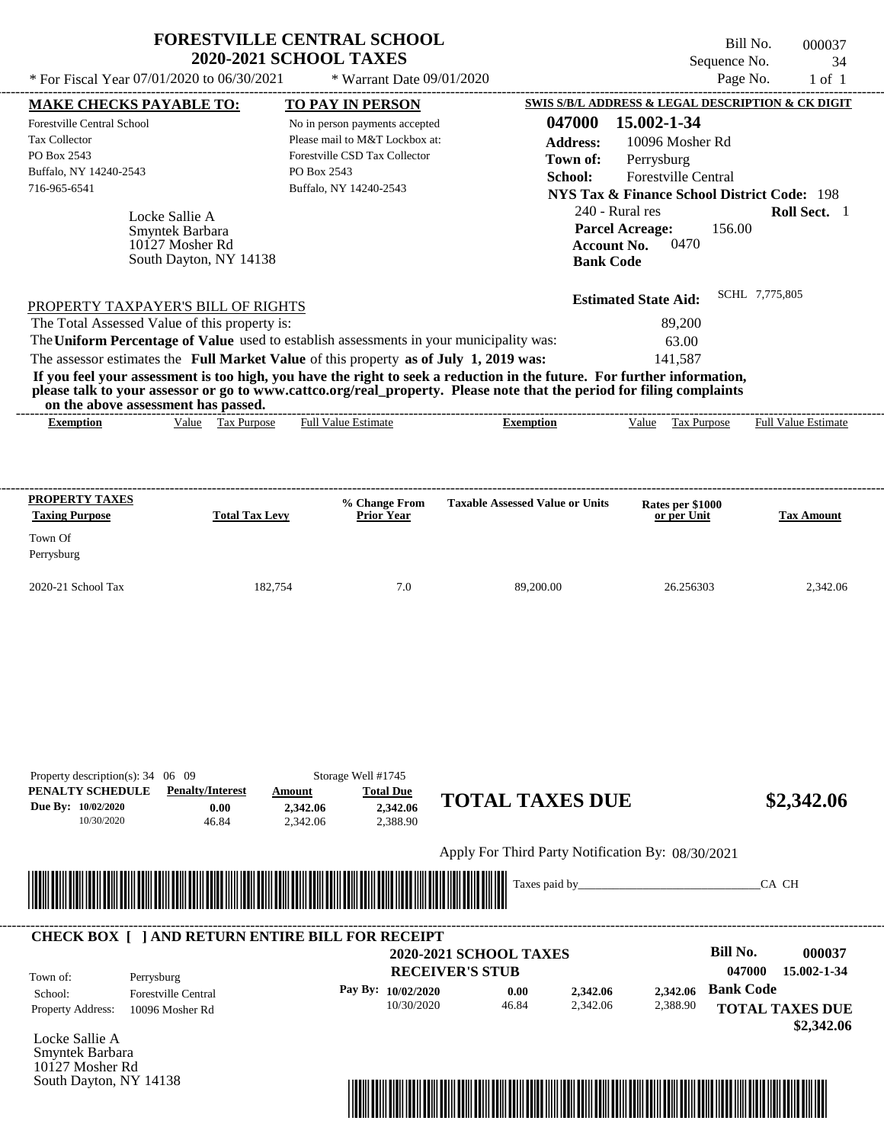| * For Fiscal Year 07/01/2020 to 06/30/2021                                                                                                                                                                                                                                                                                                                                                                                                                                                                                                                                                                  | <b>FORESTVILLE CENTRAL SCHOOL</b><br><b>2020-2021 SCHOOL TAXES</b><br>* Warrant Date $09/01/2020$                                                                     |                                                                      | Sequence No.<br>Page No.                                                                                                                                                                                                                                     | Bill No.<br>000037<br>34<br>$1$ of $1$       |
|-------------------------------------------------------------------------------------------------------------------------------------------------------------------------------------------------------------------------------------------------------------------------------------------------------------------------------------------------------------------------------------------------------------------------------------------------------------------------------------------------------------------------------------------------------------------------------------------------------------|-----------------------------------------------------------------------------------------------------------------------------------------------------------------------|----------------------------------------------------------------------|--------------------------------------------------------------------------------------------------------------------------------------------------------------------------------------------------------------------------------------------------------------|----------------------------------------------|
| <b>MAKE CHECKS PAYABLE TO:</b><br><b>Forestville Central School</b><br><b>Tax Collector</b><br>PO Box 2543<br>Buffalo, NY 14240-2543<br>716-965-6541<br>Locke Sallie A<br>Smyntek Barbara<br>10127 Mosher Rd<br>South Dayton, NY 14138                                                                                                                                                                                                                                                                                                                                                                      | <b>TO PAY IN PERSON</b><br>No in person payments accepted<br>Please mail to M&T Lockbox at:<br>Forestville CSD Tax Collector<br>PO Box 2543<br>Buffalo, NY 14240-2543 | 047000<br><b>Address:</b><br>Town of:<br>School:<br><b>Bank Code</b> | SWIS S/B/L ADDRESS & LEGAL DESCRIPTION & CK DIGIT<br>15.002-1-34<br>10096 Mosher Rd<br>Perrysburg<br><b>Forestville Central</b><br>NYS Tax & Finance School District Code: 198<br>240 - Rural res<br><b>Parcel Acreage:</b><br>156.00<br>0470<br>Account No. | Roll Sect. 1                                 |
| PROPERTY TAXPAYER'S BILL OF RIGHTS<br>The Total Assessed Value of this property is:<br>The Uniform Percentage of Value used to establish assessments in your municipality was:<br>The assessor estimates the Full Market Value of this property as of July 1, 2019 was:<br>If you feel your assessment is too high, you have the right to seek a reduction in the future. For further information,<br>please talk to your assessor or go to www.cattco.org/real_property. Please note that the period for filing complaints<br>on the above assessment has passed.<br>Value Tax Purpose<br><b>Exemption</b> | <b>Full Value Estimate</b>                                                                                                                                            | <b>Exemption</b>                                                     | <b>Estimated State Aid:</b><br>89,200<br>63.00<br>141.587<br>Value Tax Purpose                                                                                                                                                                               | SCHL 7,775,805<br><b>Full Value Estimate</b> |
| PROPERTY TAXES<br><b>Taxing Purpose</b><br><b>Total Tax Levy</b><br>Town Of<br>Perrysburg                                                                                                                                                                                                                                                                                                                                                                                                                                                                                                                   | % Change From<br><b>Prior Year</b>                                                                                                                                    | <b>Taxable Assessed Value or Units</b>                               | Rates per \$1000<br>or per Unit                                                                                                                                                                                                                              | <b>Tax Amount</b>                            |

2020-21 School Tax 182,754 7.0 89,200.00 26.256303 2,342.06

|                     | Property description(s): $34 \quad 06 \quad 09$ | Storage Well #1745                                      |                        |                                                   |          |                                      |
|---------------------|-------------------------------------------------|---------------------------------------------------------|------------------------|---------------------------------------------------|----------|--------------------------------------|
| PENALTY SCHEDULE    | <b>Penalty/Interest</b>                         | Amount                                                  | <b>Total Due</b>       |                                                   |          |                                      |
| Due By: 10/02/2020  | 0.00                                            | 2,342.06                                                | 2,342.06               | <b>TOTAL TAXES DUE</b>                            |          | \$2,342.06                           |
| 10/30/2020          | 46.84                                           | 2.342.06                                                | 2,388.90               |                                                   |          |                                      |
|                     |                                                 |                                                         |                        | Apply For Third Party Notification By: 08/30/2021 |          |                                      |
|                     |                                                 |                                                         |                        |                                                   |          |                                      |
|                     |                                                 | <u> Tanzania (1989)</u>                                 |                        | Taxes paid by                                     |          | CA CH                                |
|                     |                                                 |                                                         |                        |                                                   |          |                                      |
|                     |                                                 |                                                         |                        |                                                   |          |                                      |
|                     |                                                 | <b>CHECK BOX     AND RETURN ENTIRE BILL FOR RECEIPT</b> |                        |                                                   |          |                                      |
|                     |                                                 |                                                         |                        | <b>2020-2021 SCHOOL TAXES</b>                     |          | Bill No.<br>000037                   |
|                     |                                                 |                                                         | <b>RECEIVER'S STUB</b> |                                                   |          | 047000<br>15.002-1-34                |
| Town of:<br>School: | Perrysburg<br><b>Forestville Central</b>        |                                                         | Pay By: 10/02/2020     | 2,342.06<br>0.00                                  | 2,342.06 | <b>Bank Code</b>                     |
| Property Address:   | 10096 Mosher Rd                                 |                                                         | 10/30/2020             | 2,342.06<br>46.84                                 | 2,388.90 |                                      |
|                     |                                                 |                                                         |                        |                                                   |          | <b>TOTAL TAXES DUE</b><br>\$2,342.06 |

Locke Sallie A Smyntek Barbara 10127 Mosher Rd South Dayton, NY 14138

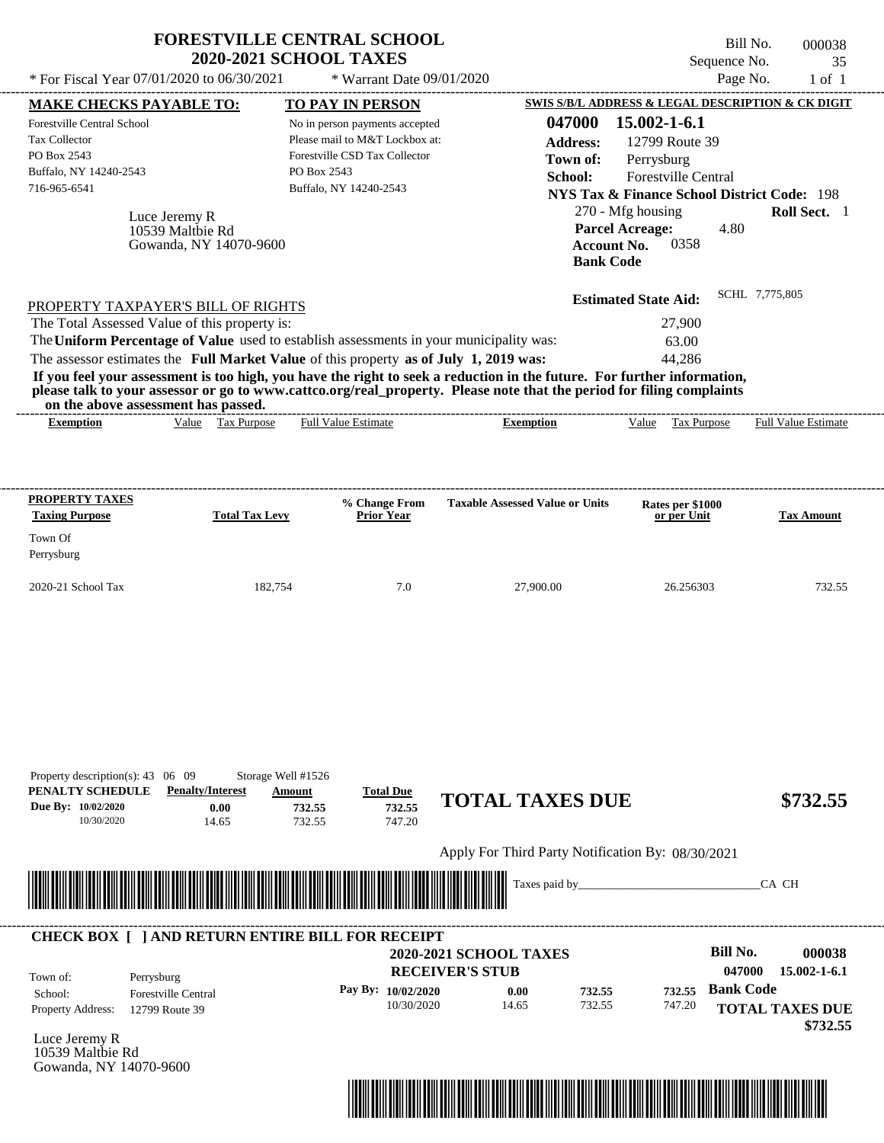| <b>FORESTVILLE CENTRAL SCHOOL</b>                                                                                                                                                                                                                                                                                                                                                                                                                                                                                           | 2020-2021 SCHOOL TAXES                           |                                                                                                                             |                                                   | Sequence No.                                                                                                                  | Bill No.<br>000038<br>35 |
|-----------------------------------------------------------------------------------------------------------------------------------------------------------------------------------------------------------------------------------------------------------------------------------------------------------------------------------------------------------------------------------------------------------------------------------------------------------------------------------------------------------------------------|--------------------------------------------------|-----------------------------------------------------------------------------------------------------------------------------|---------------------------------------------------|-------------------------------------------------------------------------------------------------------------------------------|--------------------------|
| * For Fiscal Year 07/01/2020 to 06/30/2021                                                                                                                                                                                                                                                                                                                                                                                                                                                                                  |                                                  | * Warrant Date $09/01/2020$                                                                                                 |                                                   |                                                                                                                               | Page No.<br>$1$ of $1$   |
| <b>MAKE CHECKS PAYABLE TO:</b>                                                                                                                                                                                                                                                                                                                                                                                                                                                                                              |                                                  | <b>TO PAY IN PERSON</b>                                                                                                     |                                                   | SWIS S/B/L ADDRESS & LEGAL DESCRIPTION & CK DIGIT                                                                             |                          |
| <b>Forestville Central School</b><br><b>Tax Collector</b><br>PO Box 2543<br>Buffalo, NY 14240-2543<br>716-965-6541                                                                                                                                                                                                                                                                                                                                                                                                          | PO Box 2543                                      | No in person payments accepted<br>Please mail to M&T Lockbox at:<br>Forestville CSD Tax Collector<br>Buffalo, NY 14240-2543 | 047000<br><b>Address:</b><br>Town of:<br>School:  | 15.002-1-6.1<br>12799 Route 39<br>Perrysburg<br>Forestville Central<br><b>NYS Tax &amp; Finance School District Code: 198</b> |                          |
| Luce Jeremy R<br>10539 Maltbie Rd<br>Gowanda, NY 14070-9600                                                                                                                                                                                                                                                                                                                                                                                                                                                                 |                                                  |                                                                                                                             | <b>Account No.</b><br><b>Bank Code</b>            | 270 - Mfg housing<br><b>Parcel Acreage:</b><br>4.80<br>0358                                                                   | Roll Sect. 1             |
| PROPERTY TAXPAYER'S BILL OF RIGHTS<br>The Total Assessed Value of this property is:<br>The Uniform Percentage of Value used to establish assessments in your municipality was:<br>The assessor estimates the Full Market Value of this property as of July 1, 2019 was:<br>If you feel your assessment is too high, you have the right to seek a reduction in the future. For further information,<br>please talk to your assessor or go to www.cattco.org/real_property. Please note that the period for filing complaints |                                                  |                                                                                                                             |                                                   | <b>Estimated State Aid:</b><br>27,900<br>63.00<br>44,286                                                                      | SCHL 7,775,805           |
| on the above assessment has passed.<br>Value Tax Purpose<br><b>Exemption</b>                                                                                                                                                                                                                                                                                                                                                                                                                                                |                                                  | <b>Full Value Estimate</b>                                                                                                  | <b>Exemption</b>                                  | <b>Tax Purpose</b><br>Value                                                                                                   | Full Value Estimate      |
| <b>PROPERTY TAXES</b><br><b>Taxing Purpose</b><br><b>Total Tax Levy</b><br>Town Of<br>Perrysburg                                                                                                                                                                                                                                                                                                                                                                                                                            |                                                  | % Change From<br><b>Prior Year</b>                                                                                          | <b>Taxable Assessed Value or Units</b>            | Rates per \$1000<br>or per Unit                                                                                               | <b>Tax Amount</b>        |
| 2020-21 School Tax                                                                                                                                                                                                                                                                                                                                                                                                                                                                                                          | 182,754                                          | 7.0                                                                                                                         | 27,900.00                                         | 26.256303                                                                                                                     | 732.55                   |
| Property description(s): 43 06 09<br>PENALTY SCHEDULE<br><b>Penalty/Interest</b><br>Due By: 10/02/2020<br>0.00<br>10/30/2020<br>14.65                                                                                                                                                                                                                                                                                                                                                                                       | Storage Well #1526<br>Amount<br>732.55<br>732.55 | <b>Total Due</b><br>732.55<br>747.20                                                                                        | <b>TOTAL TAXES DUE</b>                            |                                                                                                                               | \$732.55                 |
|                                                                                                                                                                                                                                                                                                                                                                                                                                                                                                                             |                                                  |                                                                                                                             | Apply For Third Party Notification By: 08/30/2021 |                                                                                                                               |                          |
|                                                                                                                                                                                                                                                                                                                                                                                                                                                                                                                             |                                                  |                                                                                                                             | Taxes paid by_                                    |                                                                                                                               | CA CH                    |
| <b>CHECK BOX [ ] AND RETURN ENTIRE BILL FOR RECEIPT</b>                                                                                                                                                                                                                                                                                                                                                                                                                                                                     |                                                  |                                                                                                                             |                                                   |                                                                                                                               |                          |

**Pay By: 10/02/2020**

10/30/2020 14.65

**0.00**

Property Address: 12799 Route 39 School: Forestville Central Town of:

Luce Jeremy R 10539 Maltbie Rd Gowanda, NY 14070-9600

Perrysburg



732.55 **732.55** **Bank Code 732.55**

747.20

**TOTAL TAXES DUE**

 **\$732.55**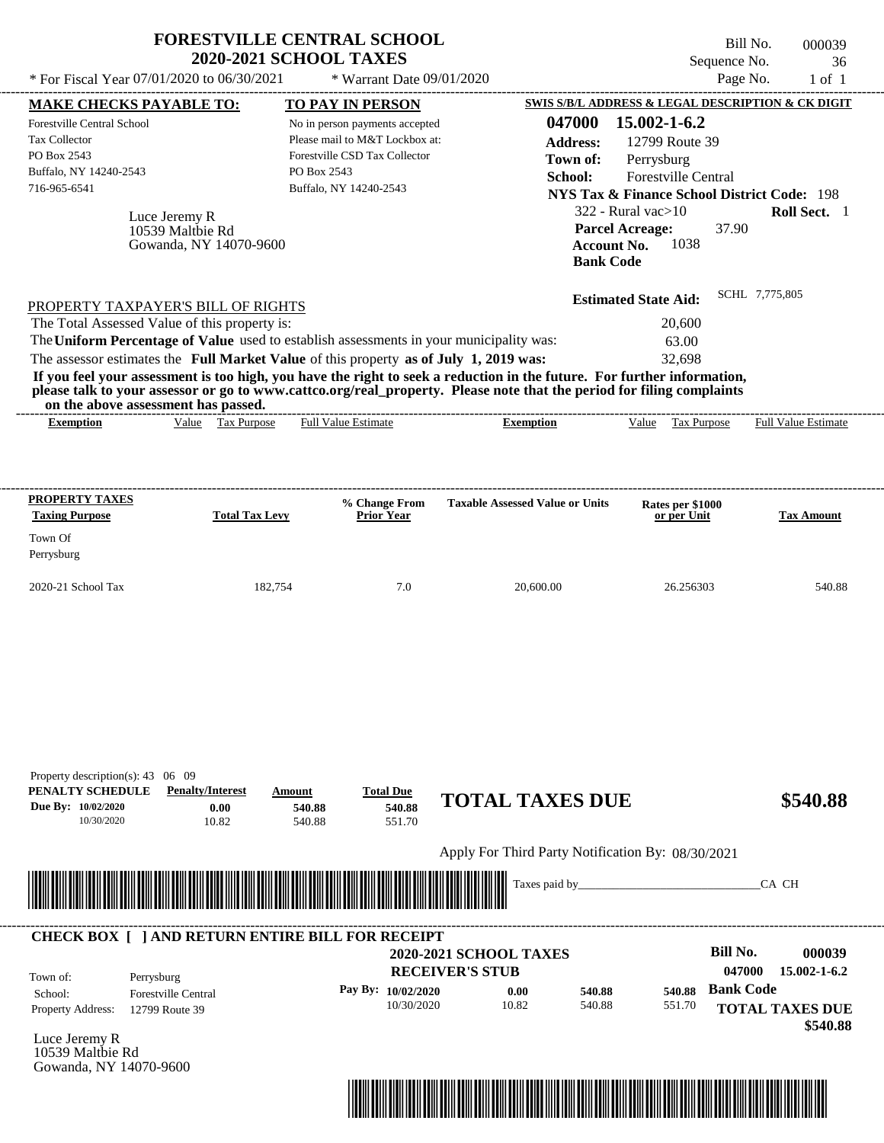|                                                                                                                                                                                                                                                                                                                                                                                                                                                                                                                                                                    | <b>FORESTVILLE CENTRAL SCHOOL</b><br><b>2020-2021 SCHOOL TAXES</b> |                                                                                                                             |                                                   |                                                                                                                               | Bill No.<br>000039<br>Sequence No.<br>36                  |
|--------------------------------------------------------------------------------------------------------------------------------------------------------------------------------------------------------------------------------------------------------------------------------------------------------------------------------------------------------------------------------------------------------------------------------------------------------------------------------------------------------------------------------------------------------------------|--------------------------------------------------------------------|-----------------------------------------------------------------------------------------------------------------------------|---------------------------------------------------|-------------------------------------------------------------------------------------------------------------------------------|-----------------------------------------------------------|
| * For Fiscal Year 07/01/2020 to 06/30/2021                                                                                                                                                                                                                                                                                                                                                                                                                                                                                                                         |                                                                    | * Warrant Date 09/01/2020                                                                                                   |                                                   |                                                                                                                               | Page No.<br>$1$ of $1$                                    |
| <b>MAKE CHECKS PAYABLE TO:</b>                                                                                                                                                                                                                                                                                                                                                                                                                                                                                                                                     |                                                                    | TO PAY IN PERSON                                                                                                            |                                                   | SWIS S/B/L ADDRESS & LEGAL DESCRIPTION & CK DIGIT                                                                             |                                                           |
| Forestville Central School<br>Tax Collector<br>PO Box 2543<br>Buffalo, NY 14240-2543<br>716-965-6541                                                                                                                                                                                                                                                                                                                                                                                                                                                               | PO Box 2543                                                        | No in person payments accepted<br>Please mail to M&T Lockbox at:<br>Forestville CSD Tax Collector<br>Buffalo, NY 14240-2543 | 047000<br><b>Address:</b><br>Town of:<br>School:  | 15.002-1-6.2<br>12799 Route 39<br>Perrysburg<br>Forestville Central<br><b>NYS Tax &amp; Finance School District Code: 198</b> |                                                           |
| Luce Jeremy R<br>10539 Maltbie Rd<br>Gowanda, NY 14070-9600                                                                                                                                                                                                                                                                                                                                                                                                                                                                                                        |                                                                    |                                                                                                                             |                                                   | $322$ - Rural vac $>10$<br><b>Parcel Acreage:</b><br>1038<br><b>Account No.</b><br><b>Bank Code</b>                           | Roll Sect. 1<br>37.90                                     |
| PROPERTY TAXPAYER'S BILL OF RIGHTS<br>The Total Assessed Value of this property is:<br>The Uniform Percentage of Value used to establish assessments in your municipality was:<br>The assessor estimates the Full Market Value of this property as of July 1, 2019 was:<br>If you feel your assessment is too high, you have the right to seek a reduction in the future. For further information,<br>please talk to your assessor or go to www.cattco.org/real_property. Please note that the period for filing complaints<br>on the above assessment has passed. |                                                                    |                                                                                                                             |                                                   | <b>Estimated State Aid:</b><br>20,600<br>63.00<br>32,698                                                                      | SCHL 7,775,805                                            |
| Value Tax Purpose<br><b>Exemption</b>                                                                                                                                                                                                                                                                                                                                                                                                                                                                                                                              |                                                                    | <b>Full Value Estimate</b>                                                                                                  | <b>Exemption</b>                                  | Value Tax Purpose                                                                                                             | <b>Full Value Estimate</b>                                |
|                                                                                                                                                                                                                                                                                                                                                                                                                                                                                                                                                                    |                                                                    |                                                                                                                             |                                                   |                                                                                                                               |                                                           |
| PROPERTY TAXES<br><b>Taxing Purpose</b>                                                                                                                                                                                                                                                                                                                                                                                                                                                                                                                            | <b>Total Tax Levy</b>                                              | % Change From<br><b>Prior Year</b>                                                                                          | <b>Taxable Assessed Value or Units</b>            | Rates per \$1000<br>or per Unit                                                                                               | <b>Tax Amount</b>                                         |
|                                                                                                                                                                                                                                                                                                                                                                                                                                                                                                                                                                    |                                                                    |                                                                                                                             |                                                   |                                                                                                                               |                                                           |
| Town Of<br>Perrysburg                                                                                                                                                                                                                                                                                                                                                                                                                                                                                                                                              |                                                                    |                                                                                                                             |                                                   |                                                                                                                               |                                                           |
| 2020-21 School Tax                                                                                                                                                                                                                                                                                                                                                                                                                                                                                                                                                 | 182,754                                                            | 7.0                                                                                                                         | 20,600.00                                         | 26.256303                                                                                                                     | 540.88                                                    |
|                                                                                                                                                                                                                                                                                                                                                                                                                                                                                                                                                                    |                                                                    |                                                                                                                             |                                                   |                                                                                                                               |                                                           |
| Property description(s): 43 06 09<br>PENALTY SCHEDULE<br><b>Penalty/Interest</b><br>Due Bv: 10/02/2020<br>0.00<br>10/30/2020<br>10.82                                                                                                                                                                                                                                                                                                                                                                                                                              | Amount<br>540.88<br>540.88                                         | <b>Total Due</b><br>540.88<br>551.70                                                                                        | <b>TOTAL TAXES DUE</b>                            |                                                                                                                               | \$540.88                                                  |
|                                                                                                                                                                                                                                                                                                                                                                                                                                                                                                                                                                    |                                                                    |                                                                                                                             | Apply For Third Party Notification By: 08/30/2021 |                                                                                                                               |                                                           |
|                                                                                                                                                                                                                                                                                                                                                                                                                                                                                                                                                                    |                                                                    |                                                                                                                             | Taxes paid by_                                    |                                                                                                                               | CA CH                                                     |
| <b>CHECK BOX [ ] AND RETURN ENTIRE BILL FOR RECEIPT</b>                                                                                                                                                                                                                                                                                                                                                                                                                                                                                                            |                                                                    |                                                                                                                             | 2020-2021 SCHOOL TAXES<br><b>RECEIVER'S STUB</b>  |                                                                                                                               | <b>Bill No.</b><br>000039<br>047000<br>$15.002 - 1 - 6.2$ |
| Town of:<br>Perrysburg<br>School:<br><b>Forestville Central</b><br><b>Property Address:</b><br>12799 Route 39                                                                                                                                                                                                                                                                                                                                                                                                                                                      |                                                                    | Pay By: 10/02/2020<br>10/30/2020                                                                                            | 0.00<br>10.82                                     | 540.88<br>540.88<br>540.88<br>551.70                                                                                          | <b>Bank Code</b><br><b>TOTAL TAXES DUE</b><br>\$540.88    |

Luce Jeremy R 10539 Maltbie Rd Gowanda, NY 14070-9600

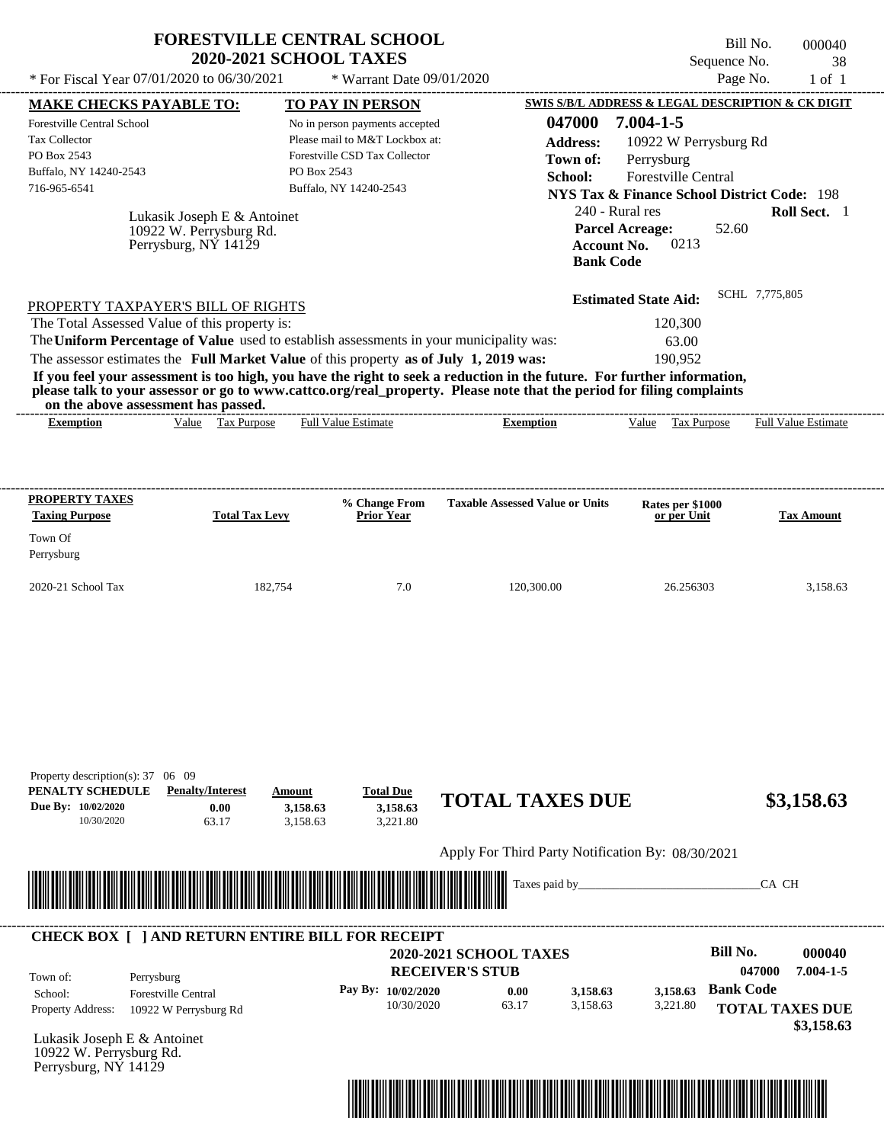| * For Fiscal Year 07/01/2020 to 06/30/2021                                                                                                           | <b>FORESTVILLE CENTRAL SCHOOL</b><br><b>2020-2021 SCHOOL TAXES</b>                                                                                                               | * Warrant Date 09/01/2020                                                                                                                                             |                                                                                                                                                                                                                                                  | Sequence No.<br>Page No.                                                                                                                                                                                                                                   | Bill No.<br>000040<br>38<br>$1$ of $1$ |
|------------------------------------------------------------------------------------------------------------------------------------------------------|----------------------------------------------------------------------------------------------------------------------------------------------------------------------------------|-----------------------------------------------------------------------------------------------------------------------------------------------------------------------|--------------------------------------------------------------------------------------------------------------------------------------------------------------------------------------------------------------------------------------------------|------------------------------------------------------------------------------------------------------------------------------------------------------------------------------------------------------------------------------------------------------------|----------------------------------------|
| <b>MAKE CHECKS PAYABLE TO:</b><br><b>Forestville Central School</b><br><b>Tax Collector</b><br>PO Box 2543<br>Buffalo, NY 14240-2543<br>716-965-6541 | Lukasik Joseph E & Antoinet<br>10922 W. Perrysburg Rd.<br>Perrysburg, NY 14129                                                                                                   | <b>TO PAY IN PERSON</b><br>No in person payments accepted<br>Please mail to M&T Lockbox at:<br>Forestville CSD Tax Collector<br>PO Box 2543<br>Buffalo, NY 14240-2543 | 047000<br><b>Address:</b><br>Town of:<br>School:<br><b>Account No.</b><br><b>Bank Code</b>                                                                                                                                                       | SWIS S/B/L ADDRESS & LEGAL DESCRIPTION & CK DIGIT<br>$7.004 - 1 - 5$<br>10922 W Perrysburg Rd<br>Perrysburg<br>Forestville Central<br><b>NYS Tax &amp; Finance School District Code: 198</b><br>240 - Rural res<br><b>Parcel Acreage:</b><br>52.60<br>0213 | Roll Sect. 1                           |
| PROPERTY TAXPAYER'S BILL OF RIGHTS<br>The Total Assessed Value of this property is:<br>on the above assessment has passed.                           | The Uniform Percentage of Value used to establish assessments in your municipality was:<br>The assessor estimates the Full Market Value of this property as of July 1, 2019 was: |                                                                                                                                                                       | If you feel your assessment is too high, you have the right to seek a reduction in the future. For further information,<br>please talk to your assessor or go to www.cattco.org/real_property. Please note that the period for filing complaints | <b>Estimated State Aid:</b><br>120,300<br>63.00<br>190,952                                                                                                                                                                                                 | SCHL 7,775,805                         |
| <b>Exemption</b>                                                                                                                                     | Value Tax Purpose                                                                                                                                                                | <b>Full Value Estimate</b>                                                                                                                                            | <b>Exemption</b>                                                                                                                                                                                                                                 | Tax Purpose<br>Value                                                                                                                                                                                                                                       | <b>Full Value Estimate</b>             |
| <b>PROPERTY TAXES</b><br><b>Taxing Purpose</b><br>Town Of<br>Perrysburg                                                                              | <b>Total Tax Levy</b>                                                                                                                                                            | % Change From<br><b>Prior Year</b>                                                                                                                                    | <b>Taxable Assessed Value or Units</b>                                                                                                                                                                                                           | Rates per \$1000<br>or per Unit                                                                                                                                                                                                                            | <b>Tax Amount</b>                      |
| 2020-21 School Tax                                                                                                                                   | 182,754                                                                                                                                                                          | 7.0                                                                                                                                                                   | 120,300.00                                                                                                                                                                                                                                       | 26.256303                                                                                                                                                                                                                                                  | 3,158.63                               |
|                                                                                                                                                      |                                                                                                                                                                                  |                                                                                                                                                                       |                                                                                                                                                                                                                                                  |                                                                                                                                                                                                                                                            |                                        |
| Property description(s): 37 06 09<br>PENALTY SCHEDULE<br>Due By: 10/02/2020<br>10/30/2020                                                            | <b>Penalty/Interest</b><br>Amount<br>0.00<br>3.158.63<br>63.17<br>3.158.63                                                                                                       | <b>Total Due</b><br>3,158.63<br>3,221.80                                                                                                                              | <b>TOTAL TAXES DUE</b>                                                                                                                                                                                                                           |                                                                                                                                                                                                                                                            | \$3,158.63                             |
|                                                                                                                                                      |                                                                                                                                                                                  |                                                                                                                                                                       | Apply For Third Party Notification By: 08/30/2021<br>Taxes paid by_                                                                                                                                                                              |                                                                                                                                                                                                                                                            | CA CH                                  |
|                                                                                                                                                      | <b>CHECK BOX [ ] AND RETURN ENTIRE BILL FOR RECEIPT</b>                                                                                                                          |                                                                                                                                                                       | 2020-2021 SCHOOL TAXES                                                                                                                                                                                                                           | <b>Bill No.</b>                                                                                                                                                                                                                                            | 000040                                 |

|                                                 |                                          |         | <i>LUZU-ZUZI SULTUUL TAALS</i><br><b>RECEIVER'S STUB</b> |       |          |          | иш 190.<br>047000      | vvvvu<br>$7.004 - 1 - 5$ |
|-------------------------------------------------|------------------------------------------|---------|----------------------------------------------------------|-------|----------|----------|------------------------|--------------------------|
| Town of:<br>School:                             | Perrysburg<br><b>Forestville Central</b> | Pay By: | 10/02/2020                                               | 0.00  | 3,158.63 | 3.158.63 | <b>Bank Code</b>       |                          |
| <b>Property Address:</b><br>_ _ _ _ _ _ _ _ _ _ | 10922 W Perrysburg Rd                    |         | 10/30/2020                                               | 63.17 | 3.158.63 | 3,221.80 | <b>TOTAL TAXES DUE</b> | \$3,158.63               |

Lukasik Joseph E & Antoinet 10922 W. Perrysburg Rd. Perrysburg, NY 14129

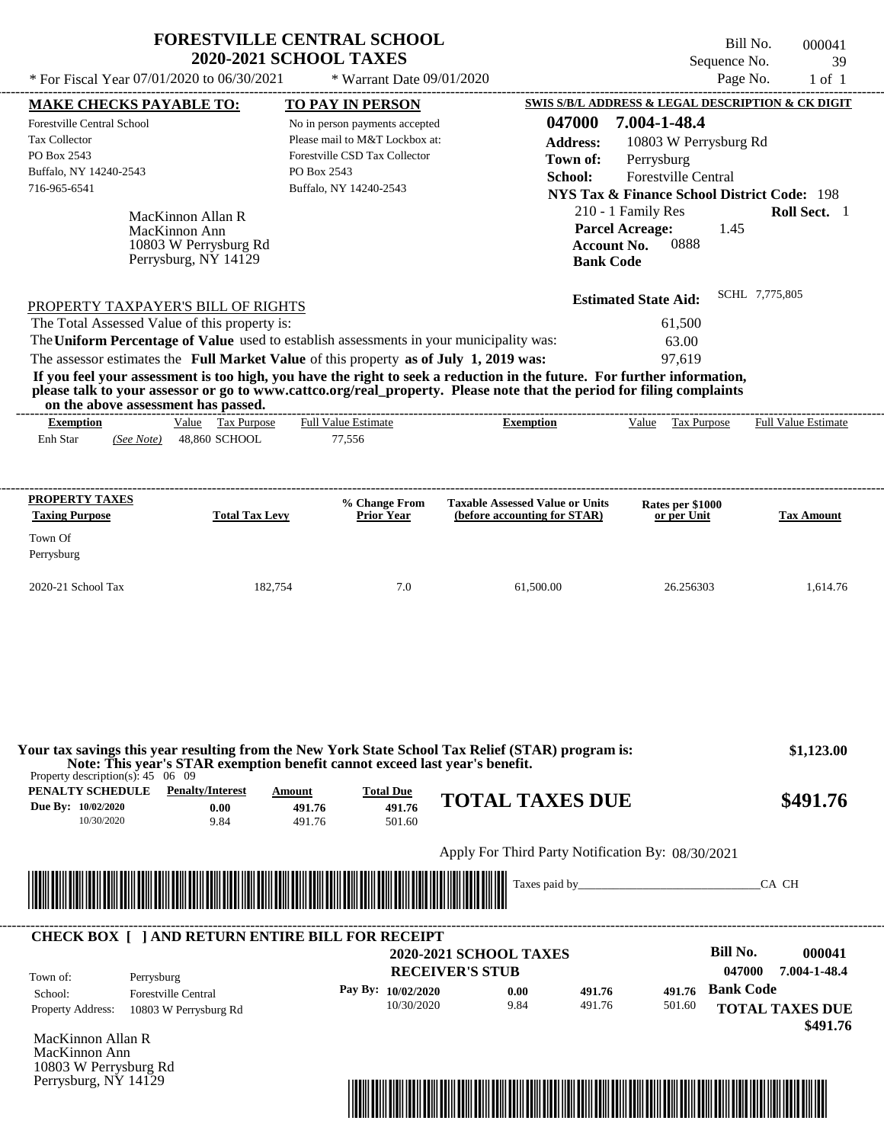| * For Fiscal Year $07/01/2020$ to $06/30/2021$                                                                                                                                                                                                                                                                                                                                                                                                                                                                                                                     | <b>FORESTVILLE CENTRAL SCHOOL</b><br><b>2020-2021 SCHOOL TAXES</b><br>* Warrant Date 09/01/2020                                            |                                                  | Bill No.<br>Sequence No.<br>Page No.                                                                                                                                                                | 000041<br>39<br>$1$ of $1$ |
|--------------------------------------------------------------------------------------------------------------------------------------------------------------------------------------------------------------------------------------------------------------------------------------------------------------------------------------------------------------------------------------------------------------------------------------------------------------------------------------------------------------------------------------------------------------------|--------------------------------------------------------------------------------------------------------------------------------------------|--------------------------------------------------|-----------------------------------------------------------------------------------------------------------------------------------------------------------------------------------------------------|----------------------------|
| <b>MAKE CHECKS PAYABLE TO:</b>                                                                                                                                                                                                                                                                                                                                                                                                                                                                                                                                     | TO PAY IN PERSON                                                                                                                           |                                                  | SWIS S/B/L ADDRESS & LEGAL DESCRIPTION & CK DIGIT                                                                                                                                                   |                            |
| Forestville Central School<br><b>Tax Collector</b><br>PO Box 2543<br>Buffalo, NY 14240-2543<br>716-965-6541<br>MacKinnon Allan R<br>MacKinnon Ann                                                                                                                                                                                                                                                                                                                                                                                                                  | No in person payments accepted<br>Please mail to M&T Lockbox at:<br>Forestville CSD Tax Collector<br>PO Box 2543<br>Buffalo, NY 14240-2543 | 047000<br><b>Address:</b><br>Town of:<br>School: | 7.004-1-48.4<br>10803 W Perrysburg Rd<br>Perrysburg<br><b>Forestville Central</b><br><b>NYS Tax &amp; Finance School District Code: 198</b><br>210 - 1 Family Res<br><b>Parcel Acreage:</b><br>1.45 | <b>Roll Sect.</b> 1        |
| 10803 W Perrysburg Rd<br>Perrysburg, NY 14129                                                                                                                                                                                                                                                                                                                                                                                                                                                                                                                      |                                                                                                                                            | <b>Bank Code</b>                                 | 0888<br><b>Account No.</b>                                                                                                                                                                          |                            |
| PROPERTY TAXPAYER'S BILL OF RIGHTS<br>The Total Assessed Value of this property is:<br>The Uniform Percentage of Value used to establish assessments in your municipality was:<br>The assessor estimates the Full Market Value of this property as of July 1, 2019 was:<br>If you feel your assessment is too high, you have the right to seek a reduction in the future. For further information,<br>please talk to your assessor or go to www.cattco.org/real property. Please note that the period for filing complaints<br>on the above assessment has passed. |                                                                                                                                            |                                                  | <b>Estimated State Aid:</b><br>61,500<br>63.00<br>97,619                                                                                                                                            | SCHL 7,775,805             |
| Value<br>Exemption                                                                                                                                                                                                                                                                                                                                                                                                                                                                                                                                                 | <b>Full Value Estimate</b><br>Tax Purpose                                                                                                  | <b>Exemption</b>                                 | Value<br>Tax Purpose                                                                                                                                                                                | <b>Full Value Estimate</b> |
| Enh Star<br>48,860 SCHOOL<br>(See Note)                                                                                                                                                                                                                                                                                                                                                                                                                                                                                                                            | 77.556                                                                                                                                     |                                                  |                                                                                                                                                                                                     |                            |
| PROPERTY TAXES                                                                                                                                                                                                                                                                                                                                                                                                                                                                                                                                                     | % Change From                                                                                                                              | <b>Taxable Assessed Value or Units</b>           | Rates per \$1000                                                                                                                                                                                    |                            |
| <b>Taxing Purpose</b><br>Town Of<br>Perrysburg                                                                                                                                                                                                                                                                                                                                                                                                                                                                                                                     | <b>Total Tax Levy</b><br><b>Prior Year</b>                                                                                                 | (before accounting for STAR)                     | or per Unit                                                                                                                                                                                         | <b>Tax Amount</b>          |
| 2020-21 School Tax                                                                                                                                                                                                                                                                                                                                                                                                                                                                                                                                                 | 182.754<br>7.0                                                                                                                             | 61.500.00                                        | 26.256303                                                                                                                                                                                           | 1.614.76                   |

|                                                      | Property description(s): $45 \quad 06 \quad 09$         |                            |                                      |                                                   |        |        |                    |                        |
|------------------------------------------------------|---------------------------------------------------------|----------------------------|--------------------------------------|---------------------------------------------------|--------|--------|--------------------|------------------------|
| PENALTY SCHEDULE<br>Due By: 10/02/2020<br>10/30/2020 | <b>Penalty/Interest</b><br>0.00<br>9.84                 | Amount<br>491.76<br>491.76 | <b>Total Due</b><br>491.76<br>501.60 | <b>TOTAL TAXES DUE</b>                            |        |        |                    | \$491.76               |
|                                                      |                                                         |                            |                                      | Apply For Third Party Notification By: 08/30/2021 |        |        |                    |                        |
|                                                      |                                                         |                            |                                      |                                                   |        |        | CA CH              |                        |
|                                                      | <b>CHECK BOX [ ] AND RETURN ENTIRE BILL FOR RECEIPT</b> |                            |                                      |                                                   |        |        |                    |                        |
|                                                      |                                                         |                            |                                      | <b>2020-2021 SCHOOL TAXES</b>                     |        |        | Bill No.<br>047000 | 000041<br>7.004-1-48.4 |
| Town of:<br>School:                                  | Perrysburg<br><b>Forestville Central</b>                |                            | Pay By: 10/02/2020                   | <b>RECEIVER'S STUB</b><br>0.00                    | 491.76 | 491.76 | <b>Bank Code</b>   |                        |

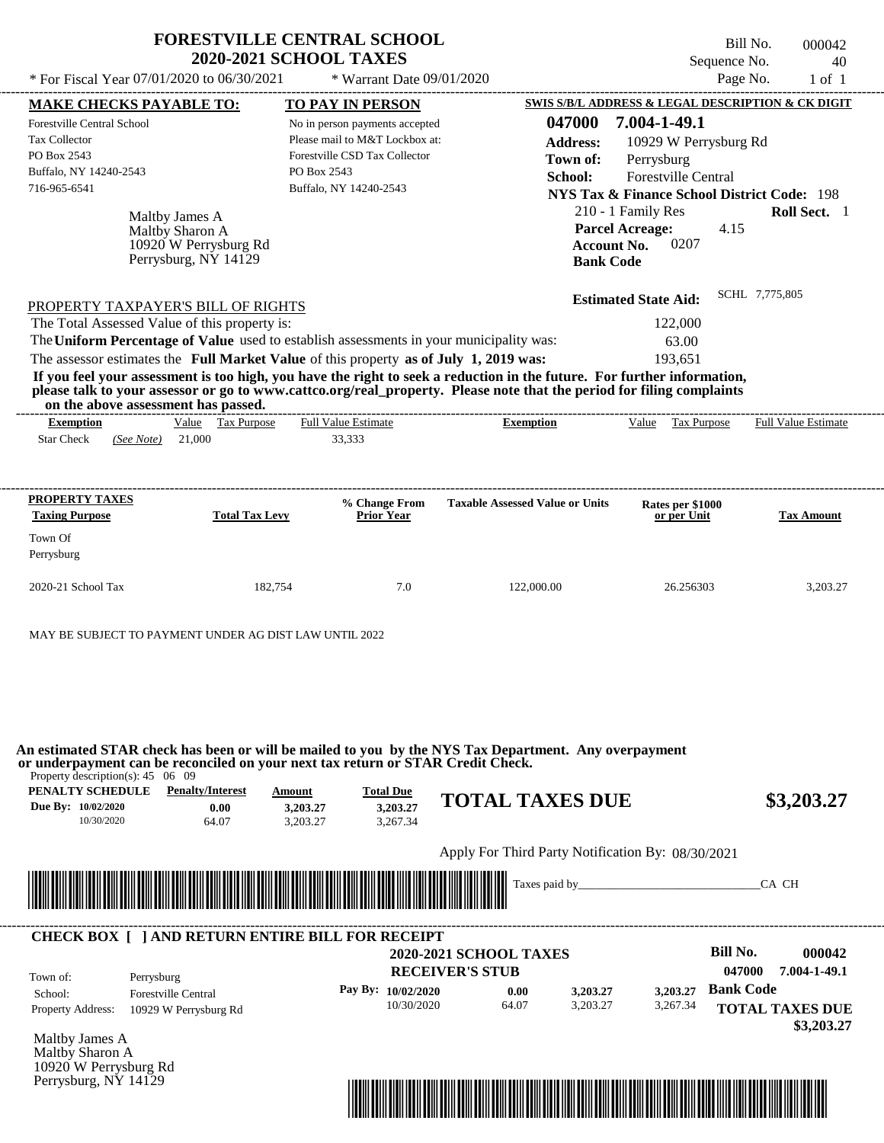| <b>2020-2021 SCHOOL TAXES</b><br>Sequence No.<br>* For Fiscal Year 07/01/2020 to 06/30/2021<br>* Warrant Date 09/01/2020<br>Page No.<br>$1$ of $1$                                                                                               |
|--------------------------------------------------------------------------------------------------------------------------------------------------------------------------------------------------------------------------------------------------|
| <b>SWIS S/B/L ADDRESS &amp; LEGAL DESCRIPTION &amp; CK DIGIT</b><br><b>MAKE CHECKS PAYABLE TO:</b><br><b>TO PAY IN PERSON</b>                                                                                                                    |
| 047000<br>7.004-1-49.1<br>Forestville Central School<br>No in person payments accepted                                                                                                                                                           |
| Please mail to M&T Lockbox at:<br><b>Tax Collector</b><br><b>Address:</b><br>10929 W Perrysburg Rd                                                                                                                                               |
| PO Box 2543<br>Forestville CSD Tax Collector<br>Perrysburg<br>Town of:                                                                                                                                                                           |
| Buffalo, NY 14240-2543<br>PO Box 2543<br><b>Forestville Central</b><br>School:                                                                                                                                                                   |
| 716-965-6541<br>Buffalo, NY 14240-2543<br><b>NYS Tax &amp; Finance School District Code: 198</b>                                                                                                                                                 |
| Roll Sect. 1                                                                                                                                                                                                                                     |
| 210 - 1 Family Res<br>Maltby James A                                                                                                                                                                                                             |
| <b>Parcel Acreage:</b><br>4.15<br>Maltby Sharon A                                                                                                                                                                                                |
| 0207<br><b>Account No.</b><br>10920 W Perrysburg Rd<br>Perrysburg, NY 14129                                                                                                                                                                      |
| <b>Bank Code</b>                                                                                                                                                                                                                                 |
| SCHL 7,775,805<br><b>Estimated State Aid:</b>                                                                                                                                                                                                    |
| PROPERTY TAXPAYER'S BILL OF RIGHTS                                                                                                                                                                                                               |
| The Total Assessed Value of this property is:<br>122,000                                                                                                                                                                                         |
| The Uniform Percentage of Value used to establish assessments in your municipality was:<br>63.00                                                                                                                                                 |
| The assessor estimates the Full Market Value of this property as of July 1, 2019 was:<br>193.651                                                                                                                                                 |
| If you feel your assessment is too high, you have the right to seek a reduction in the future. For further information,<br>please talk to your assessor or go to www.cattco.org/real_property. Please note that the period for filing complaints |
| on the above assessment has passed.<br>Value Tax Purpose<br><b>Full Value Estimate</b><br><b>Full Value Estimate</b><br>Value<br>Tax Purpose<br><b>Exemption</b><br><b>Exemption</b><br>21,000<br><b>Star Check</b><br>(See Note)<br>33,333      |
| PROPERTY TAXES<br>% Change From<br><b>Taxable Assessed Value or Units</b><br>Rates per \$1000<br><b>Taxing Purpose</b><br><b>Total Tax Levy</b><br>Prior Year<br>or per Unit<br><b>Tax Amount</b><br>Town Of                                     |
| Perrysburg                                                                                                                                                                                                                                       |

| PENALTY SCHEDULE   | <b>Penalty/Interest</b> | Amount   | <b>Total Due</b> |                                                                                            |            |
|--------------------|-------------------------|----------|------------------|--------------------------------------------------------------------------------------------|------------|
| Due By: 10/02/2020 | 0.00                    | 3,203,27 | 3,203.27         | <b>TOTAL TAXES DUE</b>                                                                     | \$3,203.27 |
| 10/30/2020         | 64.07                   | 3.203.27 | 3.267.34         |                                                                                            |            |
|                    |                         |          |                  | Apply For Third Party Notification By: 08/30/2021                                          |            |
|                    |                         |          |                  | <b>Taxes paid by Taxes paid by Taxes paid by Taxes</b> paid by Taxes paid by Taxes paid by | CA CH      |



Maltby James A Maltby Sharon A 10920 W Perrysburg Rd Perrysburg, NY 14129

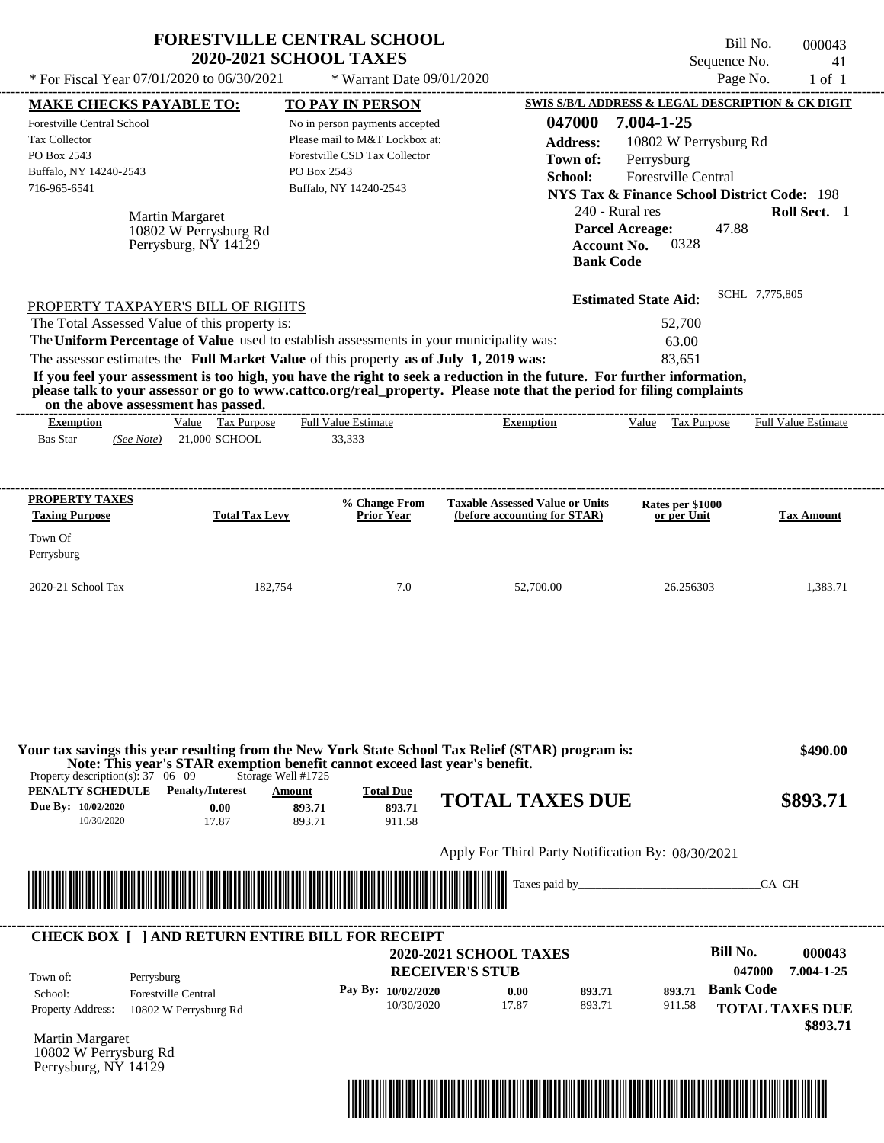|                                                                                                                                                                                                                                                                         | <b>FORESTVILLE CENTRAL SCHOOL</b><br><b>2020-2021 SCHOOL TAXES</b>                                  |                                                                                                                              |                                                                                                                                                                                                                                                  | Bill No.<br>Sequence No.                                                                                                                                          | 000043<br>41                                               |
|-------------------------------------------------------------------------------------------------------------------------------------------------------------------------------------------------------------------------------------------------------------------------|-----------------------------------------------------------------------------------------------------|------------------------------------------------------------------------------------------------------------------------------|--------------------------------------------------------------------------------------------------------------------------------------------------------------------------------------------------------------------------------------------------|-------------------------------------------------------------------------------------------------------------------------------------------------------------------|------------------------------------------------------------|
| * For Fiscal Year 07/01/2020 to 06/30/2021                                                                                                                                                                                                                              |                                                                                                     | * Warrant Date 09/01/2020                                                                                                    |                                                                                                                                                                                                                                                  | Page No.                                                                                                                                                          | $1$ of $1$                                                 |
| <b>MAKE CHECKS PAYABLE TO:</b><br>Forestville Central School<br>Tax Collector<br>PO Box 2543                                                                                                                                                                            |                                                                                                     | <b>TO PAY IN PERSON</b><br>No in person payments accepted<br>Please mail to M&T Lockbox at:<br>Forestville CSD Tax Collector | 047000<br><b>Address:</b><br>Town of:                                                                                                                                                                                                            | SWIS S/B/L ADDRESS & LEGAL DESCRIPTION & CK DIGIT<br>7.004-1-25<br>10802 W Perrysburg Rd<br>Perrysburg                                                            |                                                            |
| Buffalo, NY 14240-2543<br>716-965-6541<br>Martin Margaret<br>Perrysburg, NY 14129                                                                                                                                                                                       | PO Box 2543<br>10802 W Perrysburg Rd                                                                | Buffalo, NY 14240-2543                                                                                                       | School:                                                                                                                                                                                                                                          | Forestville Central<br><b>NYS Tax &amp; Finance School District Code: 198</b><br>240 - Rural res<br>47.88<br><b>Parcel Acreage:</b><br>0328<br><b>Account No.</b> | Roll Sect. 1                                               |
| PROPERTY TAXPAYER'S BILL OF RIGHTS<br>The Total Assessed Value of this property is:<br>The Uniform Percentage of Value used to establish assessments in your municipality was:<br>The assessor estimates the Full Market Value of this property as of July 1, 2019 was: |                                                                                                     |                                                                                                                              | <b>Bank Code</b>                                                                                                                                                                                                                                 | <b>Estimated State Aid:</b><br>52,700<br>63.00<br>83,651                                                                                                          | SCHL 7,775,805                                             |
| on the above assessment has passed.                                                                                                                                                                                                                                     |                                                                                                     |                                                                                                                              | If you feel your assessment is too high, you have the right to seek a reduction in the future. For further information,<br>please talk to your assessor or go to www.cattco.org/real_property. Please note that the period for filing complaints |                                                                                                                                                                   |                                                            |
| <b>Exemption</b><br>$(See Note)$ 21,000 SCHOOL<br><b>Bas Star</b>                                                                                                                                                                                                       | Value Tax Purpose                                                                                   | ----------------------------------<br><b>Full Value Estimate</b><br>33,333                                                   | <b>Exemption</b>                                                                                                                                                                                                                                 | Value Tax Purpose                                                                                                                                                 | <b>Full Value Estimate</b>                                 |
| <b>PROPERTY TAXES</b>                                                                                                                                                                                                                                                   |                                                                                                     | % Change From                                                                                                                | <b>Taxable Assessed Value or Units</b>                                                                                                                                                                                                           | Rates per \$1000                                                                                                                                                  |                                                            |
| <b>Taxing Purpose</b><br>Town Of<br>Perrysburg                                                                                                                                                                                                                          | <b>Total Tax Levy</b>                                                                               | <b>Prior Year</b>                                                                                                            | (before accounting for STAR)                                                                                                                                                                                                                     | or per Unit                                                                                                                                                       | <b>Tax Amount</b>                                          |
| 2020-21 School Tax                                                                                                                                                                                                                                                      | 182,754                                                                                             | 7.0                                                                                                                          | 52,700.00                                                                                                                                                                                                                                        | 26.256303                                                                                                                                                         | 1,383.71                                                   |
|                                                                                                                                                                                                                                                                         | Note: This year's STAR exemption benefit cannot exceed last year's benefit.                         |                                                                                                                              | Your tax savings this year resulting from the New York State School Tax Relief (STAR) program is:                                                                                                                                                |                                                                                                                                                                   | \$490.00                                                   |
| Property description(s): $37 \quad 06 \quad 09$<br>PENALTY SCHEDULE<br>Due By: 10/02/2020<br>10/30/2020                                                                                                                                                                 | Storage Well #1725<br><b>Penalty/Interest</b><br><b>Amount</b><br>0.00<br>893.71<br>17.87<br>893.71 | <b>Total Due</b><br>893.71<br>911.58                                                                                         | <b>TOTAL TAXES DUE</b>                                                                                                                                                                                                                           |                                                                                                                                                                   | \$893.71                                                   |
|                                                                                                                                                                                                                                                                         |                                                                                                     |                                                                                                                              | Apply For Third Party Notification By: 08/30/2021                                                                                                                                                                                                |                                                                                                                                                                   |                                                            |
|                                                                                                                                                                                                                                                                         |                                                                                                     |                                                                                                                              |                                                                                                                                                                                                                                                  |                                                                                                                                                                   | CA CH                                                      |
| <b>CHECK BOX [ ] AND RETURN ENTIRE BILL FOR RECEIPT</b>                                                                                                                                                                                                                 |                                                                                                     |                                                                                                                              | <b>2020-2021 SCHOOL TAXES</b>                                                                                                                                                                                                                    | <b>Bill No.</b>                                                                                                                                                   | 000043                                                     |
| Town of:<br>Perrysburg<br><b>Forestville Central</b><br>School:<br><b>Property Address:</b><br>10802 W Perrysburg Rd<br><b>Martin Margaret</b>                                                                                                                          |                                                                                                     | Pay By: 10/02/2020<br>10/30/2020                                                                                             | <b>RECEIVER'S STUB</b><br>893.71<br>0.00<br>17.87<br>893.71                                                                                                                                                                                      | <b>Bank Code</b><br>893.71<br>911.58                                                                                                                              | 047000<br>7.004-1-25<br><b>TOTAL TAXES DUE</b><br>\$893.71 |

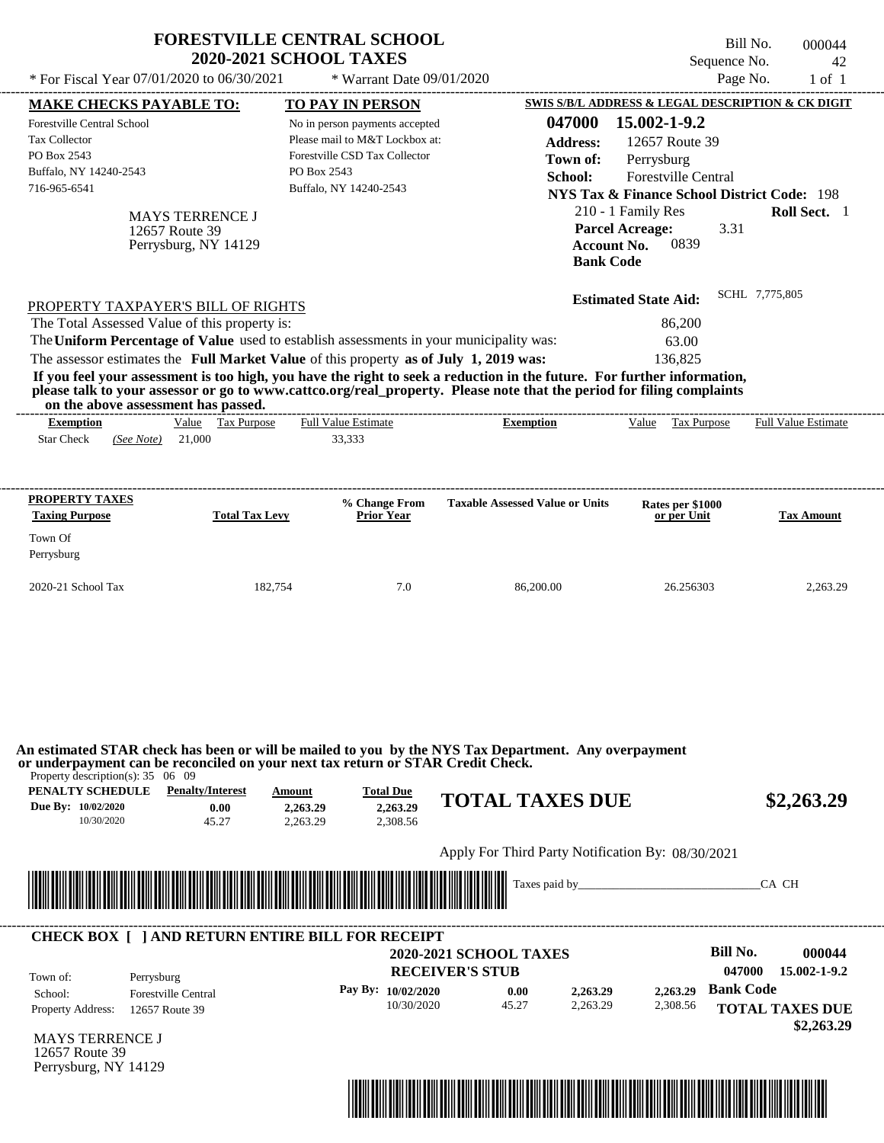|                                                                                                                                                                                            | <b>2020-2021 SCHOOL TAXES</b>                      | <b>FORESTVILLE CENTRAL SCHOOL</b>                                                                                                          |                                                                                                                                | Sequence No.                                                                                                                                                                                         | Bill No.<br>000044<br>42   |
|--------------------------------------------------------------------------------------------------------------------------------------------------------------------------------------------|----------------------------------------------------|--------------------------------------------------------------------------------------------------------------------------------------------|--------------------------------------------------------------------------------------------------------------------------------|------------------------------------------------------------------------------------------------------------------------------------------------------------------------------------------------------|----------------------------|
| * For Fiscal Year 07/01/2020 to 06/30/2021                                                                                                                                                 |                                                    | * Warrant Date 09/01/2020                                                                                                                  |                                                                                                                                | Page No.                                                                                                                                                                                             | $1$ of $1$                 |
| <b>MAKE CHECKS PAYABLE TO:</b>                                                                                                                                                             |                                                    | TO PAY IN PERSON                                                                                                                           |                                                                                                                                | SWIS S/B/L ADDRESS & LEGAL DESCRIPTION & CK DIGIT                                                                                                                                                    |                            |
| <b>Forestville Central School</b><br><b>Tax Collector</b><br>PO Box 2543<br>Buffalo, NY 14240-2543<br>716-965-6541<br>12657 Route 39                                                       | <b>MAYS TERRENCE J</b><br>Perrysburg, NY 14129     | No in person payments accepted<br>Please mail to M&T Lockbox at:<br>Forestville CSD Tax Collector<br>PO Box 2543<br>Buffalo, NY 14240-2543 | 047000<br><b>Address:</b><br>Town of:<br>School:<br><b>Account No.</b><br><b>Bank Code</b>                                     | 15.002-1-9.2<br>12657 Route 39<br>Perrysburg<br><b>Forestville Central</b><br><b>NYS Tax &amp; Finance School District Code: 198</b><br>210 - 1 Family Res<br><b>Parcel Acreage:</b><br>3.31<br>0839 | Roll Sect. 1               |
| PROPERTY TAXPAYER'S BILL OF RIGHTS                                                                                                                                                         |                                                    |                                                                                                                                            |                                                                                                                                | <b>Estimated State Aid:</b>                                                                                                                                                                          | SCHL 7,775,805             |
| The Total Assessed Value of this property is:                                                                                                                                              |                                                    |                                                                                                                                            |                                                                                                                                | 86,200                                                                                                                                                                                               |                            |
| The Uniform Percentage of Value used to establish assessments in your municipality was:                                                                                                    |                                                    |                                                                                                                                            |                                                                                                                                | 63.00                                                                                                                                                                                                |                            |
| The assessor estimates the Full Market Value of this property as of July 1, 2019 was:                                                                                                      |                                                    |                                                                                                                                            |                                                                                                                                | 136,825                                                                                                                                                                                              |                            |
|                                                                                                                                                                                            | Value Tax Purpose                                  | ---------------------------<br><b>Full Value Estimate</b>                                                                                  | <b>Exemption</b>                                                                                                               | Value Tax Purpose                                                                                                                                                                                    | <b>Full Value Estimate</b> |
| <b>Exemption</b><br><b>Star Check</b><br>(See Note)                                                                                                                                        | 21,000                                             | 33,333                                                                                                                                     |                                                                                                                                |                                                                                                                                                                                                      |                            |
| PROPERTY TAXES<br><b>Taxing Purpose</b>                                                                                                                                                    | <b>Total Tax Levy</b>                              | % Change From<br><b>Prior Year</b>                                                                                                         | <b>Taxable Assessed Value or Units</b>                                                                                         | Rates per \$1000<br>or per Unit                                                                                                                                                                      | <b>Tax Amount</b>          |
| Town Of<br>Perrysburg                                                                                                                                                                      |                                                    |                                                                                                                                            |                                                                                                                                |                                                                                                                                                                                                      |                            |
| 2020-21 School Tax                                                                                                                                                                         | 182,754                                            | 7.0                                                                                                                                        | 86,200.00                                                                                                                      | 26.256303                                                                                                                                                                                            | 2,263.29                   |
| or underpayment can be reconciled on your next tax return or STAR Credit Check.<br>Property description(s): $35 \quad 06 \quad 09$<br>PENALTY SCHEDULE<br>Due By: 10/02/2020<br>10/30/2020 | <b>Penalty/Interest</b><br>Amount<br>0.00<br>45.27 | <b>Total Due</b><br>2,263.29<br>2,263.29<br>2,308.56<br>2,263.29                                                                           | An estimated STAR check has been or will be mailed to you by the NYS Tax Department. Any overpayment<br><b>TOTAL TAXES DUE</b> |                                                                                                                                                                                                      | \$2,263.29                 |



| Town of:                 | Perrysburg                 | <b>2020-2021 SCHOOL TAXES</b><br><b>RECEIVER'S STUB</b> |       |          |          | Bill No.<br>047000 | 000044<br>15.002-1-9.2               |
|--------------------------|----------------------------|---------------------------------------------------------|-------|----------|----------|--------------------|--------------------------------------|
| School:                  | <b>Forestville Central</b> | Pay By: $10/02/2020$                                    | 0.00  | 2,263.29 | 2,263,29 | <b>Bank Code</b>   |                                      |
| <b>Property Address:</b> | 12657 Route 39             | 10/30/2020                                              | 45.27 | 2.263.29 | 2,308.56 |                    | <b>TOTAL TAXES DUE</b><br>\$2,263.29 |



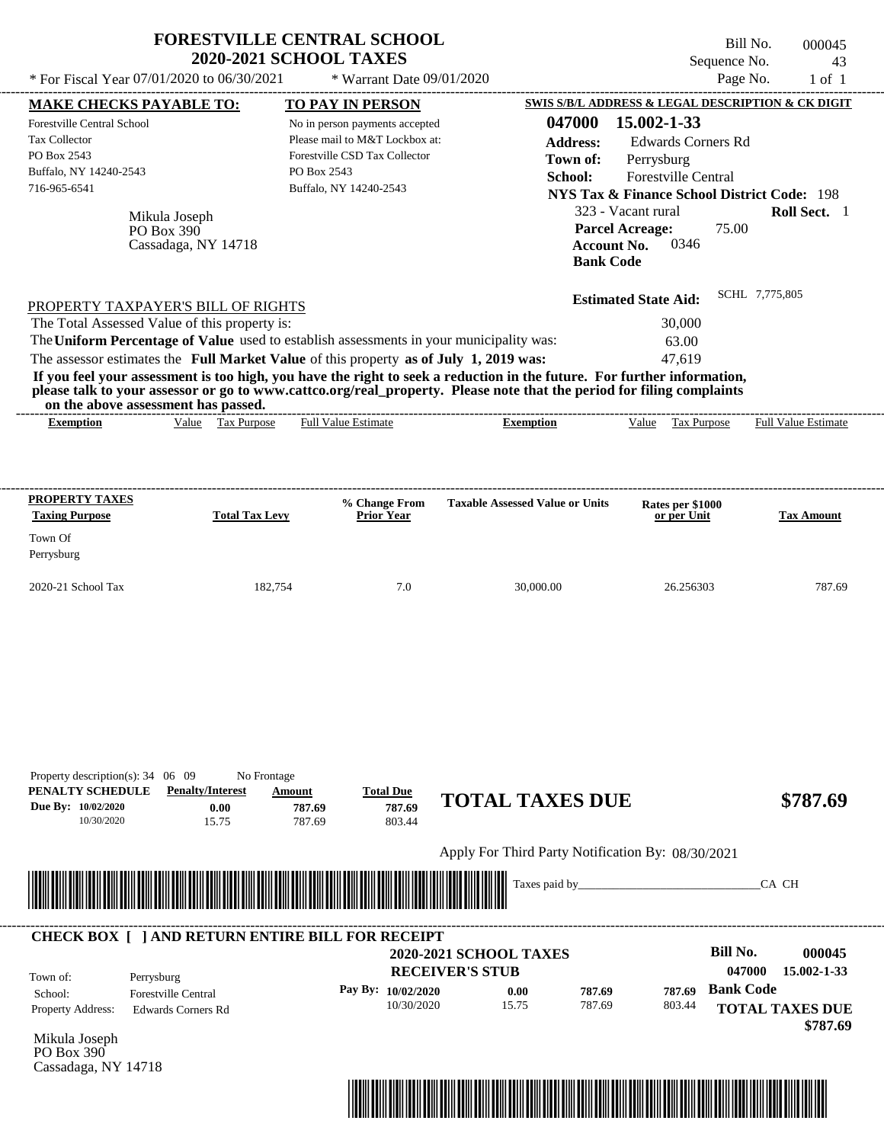| * For Fiscal Year 07/01/2020 to 06/30/2021                                                                                       |                                                         | <b>FORESTVILLE CENTRAL SCHOOL</b><br><b>2020-2021 SCHOOL TAXES</b><br>* Warrant Date 09/01/2020                                                                                  |                                                                                                                                                                                                                                                      | Bill No.<br>Sequence No.<br>Page No.                                                                                                                                                                                           | 000045<br>43<br>$1$ of $1$         |
|----------------------------------------------------------------------------------------------------------------------------------|---------------------------------------------------------|----------------------------------------------------------------------------------------------------------------------------------------------------------------------------------|------------------------------------------------------------------------------------------------------------------------------------------------------------------------------------------------------------------------------------------------------|--------------------------------------------------------------------------------------------------------------------------------------------------------------------------------------------------------------------------------|------------------------------------|
| <b>MAKE CHECKS PAYABLE TO:</b>                                                                                                   |                                                         | <b>TO PAY IN PERSON</b>                                                                                                                                                          |                                                                                                                                                                                                                                                      | SWIS S/B/L ADDRESS & LEGAL DESCRIPTION & CK DIGIT                                                                                                                                                                              |                                    |
| <b>Forestville Central School</b><br><b>Tax Collector</b><br>PO Box 2543<br>Buffalo, NY 14240-2543<br>716-965-6541<br>PO Box 390 | Mikula Joseph<br>Cassadaga, NY 14718                    | No in person payments accepted<br>Please mail to M&T Lockbox at:<br>Forestville CSD Tax Collector<br>PO Box 2543<br>Buffalo, NY 14240-2543                                       | 047000<br><b>Address:</b><br>Town of:<br>School:<br><b>Bank Code</b>                                                                                                                                                                                 | 15.002-1-33<br><b>Edwards Corners Rd</b><br>Perrysburg<br>Forestville Central<br><b>NYS Tax &amp; Finance School District Code: 198</b><br>323 - Vacant rural<br>75.00<br><b>Parcel Acreage:</b><br>0346<br><b>Account No.</b> | Roll Sect. 1                       |
| PROPERTY TAXPAYER'S BILL OF RIGHTS<br>The Total Assessed Value of this property is:<br>on the above assessment has passed.       |                                                         | The Uniform Percentage of Value used to establish assessments in your municipality was:<br>The assessor estimates the Full Market Value of this property as of July 1, 2019 was: | If you feel your assessment is too high, you have the right to seek a reduction in the future. For further information,<br>please talk to your assessor or go to www.cattco.org/real_property. Please note that the period for filing complaints<br> | <b>Estimated State Aid:</b><br>30,000<br>63.00<br>47,619                                                                                                                                                                       | SCHL 7,775,805                     |
| <b>Exemption</b>                                                                                                                 | Value Tax Purpose                                       | <b>Full Value Estimate</b>                                                                                                                                                       | <b>Exemption</b>                                                                                                                                                                                                                                     | Value Tax Purpose                                                                                                                                                                                                              | <b>Full Value Estimate</b>         |
| PROPERTY TAXES<br><b>Taxing Purpose</b><br>Town Of                                                                               | <b>Total Tax Levy</b>                                   | % Change From<br><b>Prior Year</b>                                                                                                                                               | <b>Taxable Assessed Value or Units</b>                                                                                                                                                                                                               | Rates per \$1000<br>or per Unit                                                                                                                                                                                                | <b>Tax Amount</b>                  |
| Perrysburg<br>2020-21 School Tax                                                                                                 | 182,754                                                 | 7.0                                                                                                                                                                              | 30,000.00                                                                                                                                                                                                                                            | 26.256303                                                                                                                                                                                                                      | 787.69                             |
| Property description(s): $34 \quad 06 \quad 09$<br>PENALTY SCHEDULE<br>Due By: 10/02/2020                                        | No Frontage<br><b>Penalty/Interest</b><br>0.00          | <b>Total Due</b><br>Amount<br>787.69<br>787.69                                                                                                                                   | <b>TOTAL TAXES DUE</b>                                                                                                                                                                                                                               |                                                                                                                                                                                                                                | \$787.69                           |
| 10/30/2020                                                                                                                       | 15.75                                                   | 787.69<br>803.44                                                                                                                                                                 | Apply For Third Party Notification By: 08/30/2021                                                                                                                                                                                                    |                                                                                                                                                                                                                                |                                    |
|                                                                                                                                  |                                                         |                                                                                                                                                                                  | Taxes paid by_                                                                                                                                                                                                                                       |                                                                                                                                                                                                                                | CA CH                              |
| Town of:<br>Perrysburg                                                                                                           |                                                         | <b>CHECK BOX [ ] AND RETURN ENTIRE BILL FOR RECEIPT</b>                                                                                                                          | 2020-2021 SCHOOL TAXES<br><b>RECEIVER'S STUB</b>                                                                                                                                                                                                     | <b>Bill No.</b><br>047000                                                                                                                                                                                                      | 000045<br>15.002-1-33              |
| School:<br>Property Address:                                                                                                     | <b>Forestville Central</b><br><b>Edwards Corners Rd</b> | Pay By: 10/02/2020<br>10/30/2020                                                                                                                                                 | 0.00<br>787.69<br>15.75<br>787.69                                                                                                                                                                                                                    | <b>Bank Code</b><br>787.69<br>803.44                                                                                                                                                                                           | <b>TOTAL TAXES DUE</b><br>\$787.69 |

Mikula Joseph PO Box 390 Cassadaga, NY 14718

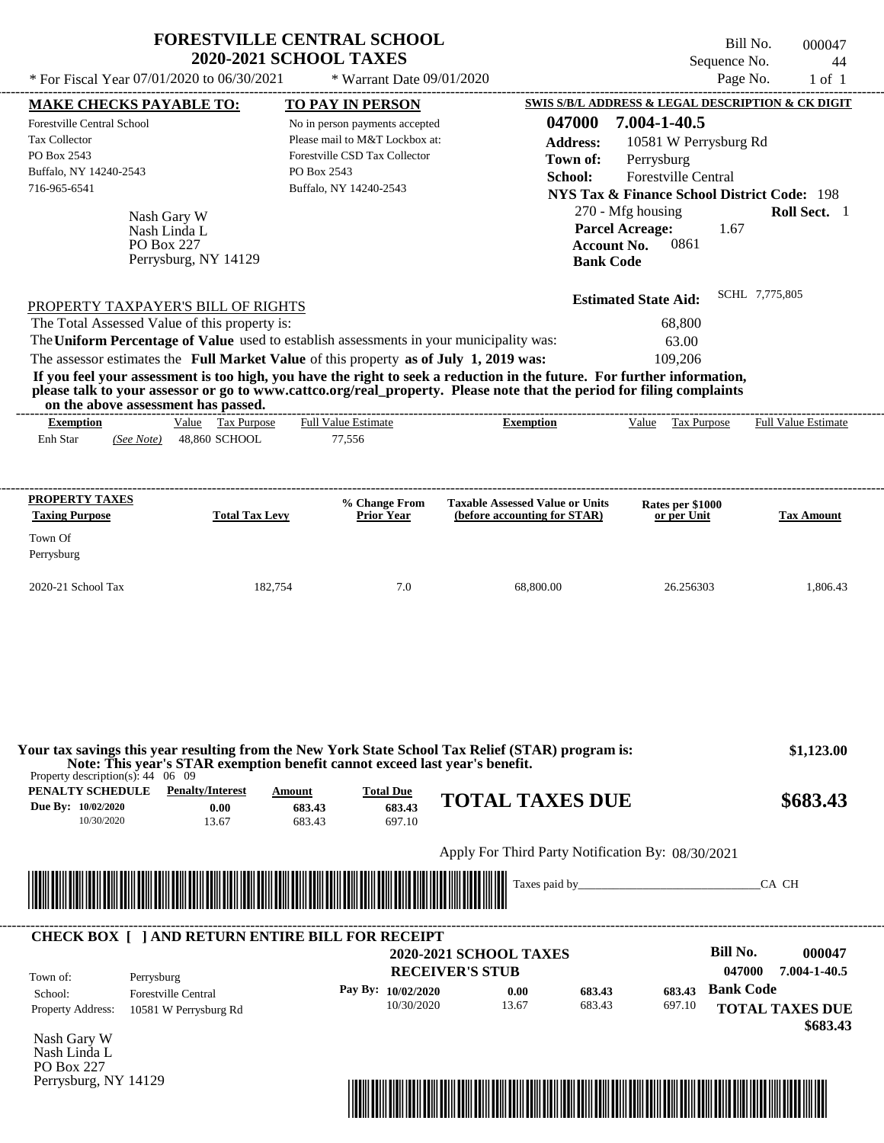| * For Fiscal Year 07/01/2020 to 06/30/2021                                                              |                                          | <b>FORESTVILLE CENTRAL SCHOOL</b><br><b>2020-2021 SCHOOL TAXES</b><br>* Warrant Date 09/01/2020                                                          |                                                                                                                             | Sequence No.<br>Page No.                               | Bill No.<br>000047<br>44<br>$1$ of $1$ |
|---------------------------------------------------------------------------------------------------------|------------------------------------------|----------------------------------------------------------------------------------------------------------------------------------------------------------|-----------------------------------------------------------------------------------------------------------------------------|--------------------------------------------------------|----------------------------------------|
| <b>MAKE CHECKS PAYABLE TO:</b>                                                                          |                                          | <b>TO PAY IN PERSON</b>                                                                                                                                  |                                                                                                                             | SWIS S/B/L ADDRESS & LEGAL DESCRIPTION & CK DIGIT      |                                        |
| <b>Forestville Central School</b>                                                                       |                                          | No in person payments accepted                                                                                                                           | 047000                                                                                                                      | 7.004-1-40.5                                           |                                        |
| Tax Collector                                                                                           |                                          | Please mail to M&T Lockbox at:                                                                                                                           | <b>Address:</b>                                                                                                             | 10581 W Perrysburg Rd                                  |                                        |
| PO Box 2543                                                                                             |                                          | Forestville CSD Tax Collector                                                                                                                            | Town of:                                                                                                                    | Perrysburg                                             |                                        |
| Buffalo, NY 14240-2543                                                                                  |                                          | PO Box 2543                                                                                                                                              | School:                                                                                                                     | Forestville Central                                    |                                        |
| 716-965-6541                                                                                            |                                          | Buffalo, NY 14240-2543                                                                                                                                   |                                                                                                                             | <b>NYS Tax &amp; Finance School District Code: 198</b> |                                        |
| Nash Gary W                                                                                             |                                          |                                                                                                                                                          |                                                                                                                             | 270 - Mfg housing                                      | Roll Sect. 1                           |
| Nash Linda L                                                                                            |                                          |                                                                                                                                                          |                                                                                                                             | <b>Parcel Acreage:</b><br>1.67                         |                                        |
| PO Box 227                                                                                              | Perrysburg, NY 14129                     |                                                                                                                                                          |                                                                                                                             | 0861<br><b>Account No.</b>                             |                                        |
|                                                                                                         |                                          |                                                                                                                                                          |                                                                                                                             | <b>Bank Code</b>                                       |                                        |
| PROPERTY TAXPAYER'S BILL OF RIGHTS                                                                      |                                          |                                                                                                                                                          |                                                                                                                             | <b>Estimated State Aid:</b>                            | SCHL 7,775,805                         |
| The Total Assessed Value of this property is:                                                           |                                          |                                                                                                                                                          |                                                                                                                             | 68,800                                                 |                                        |
|                                                                                                         |                                          | The Uniform Percentage of Value used to establish assessments in your municipality was:                                                                  |                                                                                                                             | 63.00                                                  |                                        |
|                                                                                                         |                                          | The assessor estimates the Full Market Value of this property as of July 1, 2019 was:                                                                    |                                                                                                                             | 109,206                                                |                                        |
|                                                                                                         |                                          |                                                                                                                                                          | If you feel your assessment is too high, you have the right to seek a reduction in the future. For further information,     |                                                        |                                        |
|                                                                                                         |                                          |                                                                                                                                                          | please talk to your assessor or go to www.cattco.org/real_property. Please note that the period for filing complaints       |                                                        |                                        |
| on the above assessment has passed.<br><b>Exemption</b>                                                 | Value Tax Purpose                        | Full Value Estimate                                                                                                                                      | -------------------------------<br><b>Exemption</b>                                                                         | Value Tax Purpose                                      | <b>Full Value Estimate</b>             |
| Enh Star<br>(See Note)                                                                                  | 48,860 SCHOOL                            | 77,556                                                                                                                                                   |                                                                                                                             |                                                        |                                        |
|                                                                                                         |                                          |                                                                                                                                                          |                                                                                                                             |                                                        |                                        |
|                                                                                                         |                                          |                                                                                                                                                          |                                                                                                                             |                                                        |                                        |
| <b>PROPERTY TAXES</b>                                                                                   | <b>Total Tax Levy</b>                    | % Change From                                                                                                                                            | <b>Taxable Assessed Value or Units</b>                                                                                      | Rates per \$1000                                       |                                        |
| <b>Taxing Purpose</b>                                                                                   |                                          | <b>Prior Year</b>                                                                                                                                        | (before accounting for STAR)                                                                                                | or per Unit                                            | <b>Tax Amount</b>                      |
| Town Of                                                                                                 |                                          |                                                                                                                                                          |                                                                                                                             |                                                        |                                        |
| Perrysburg                                                                                              |                                          |                                                                                                                                                          |                                                                                                                             |                                                        |                                        |
| 2020-21 School Tax                                                                                      | 182,754                                  | 7.0                                                                                                                                                      | 68,800.00                                                                                                                   | 26.256303                                              | 1,806.43                               |
|                                                                                                         |                                          |                                                                                                                                                          |                                                                                                                             |                                                        |                                        |
| Property description(s): $44 \quad 06 \quad 09$<br>PENALTY SCHEDULE<br>Due By: 10/02/2020<br>10/30/2020 | <b>Penalty/Interest</b><br>0.00<br>13.67 | Note: This year's STAR exemption benefit cannot exceed last year's benefit.<br><b>Total Due</b><br><b>Amount</b><br>683.43<br>683.43<br>683.43<br>697.10 | Your tax savings this year resulting from the New York State School Tax Relief (STAR) program is:<br><b>TOTAL TAXES DUE</b> |                                                        | \$1,123.00<br>\$683.43                 |
|                                                                                                         |                                          |                                                                                                                                                          |                                                                                                                             |                                                        |                                        |
|                                                                                                         |                                          |                                                                                                                                                          | Apply For Third Party Notification By: 08/30/2021                                                                           |                                                        |                                        |
|                                                                                                         |                                          |                                                                                                                                                          |                                                                                                                             |                                                        | CA CH                                  |
|                                                                                                         |                                          |                                                                                                                                                          |                                                                                                                             |                                                        |                                        |
|                                                                                                         |                                          | <b>CHECK BOX [ ] AND RETURN ENTIRE BILL FOR RECEIPT</b>                                                                                                  |                                                                                                                             |                                                        |                                        |
|                                                                                                         |                                          |                                                                                                                                                          | <b>2020-2021 SCHOOL TAXES</b>                                                                                               | <b>Bill No.</b>                                        | 000047                                 |
| Town of:<br>Perrysburg                                                                                  |                                          |                                                                                                                                                          | <b>RECEIVER'S STUB</b>                                                                                                      | 047000                                                 | 7.004-1-40.5                           |
| <b>Forestville Central</b><br>School:                                                                   |                                          | Pay By: 10/02/2020                                                                                                                                       | 0.00<br>683.43                                                                                                              | <b>Bank Code</b><br>683.43                             |                                        |
| Property Address:                                                                                       |                                          |                                                                                                                                                          | 13.67<br>683.43                                                                                                             | 697.10                                                 |                                        |
|                                                                                                         | 10581 W Perrysburg Rd                    | 10/30/2020                                                                                                                                               |                                                                                                                             |                                                        |                                        |
| Nash Gary W                                                                                             |                                          |                                                                                                                                                          |                                                                                                                             |                                                        | <b>TOTAL TAXES DUE</b><br>\$683.43     |

Nash Linda L PO Box 227 Perrysburg, NY 14129

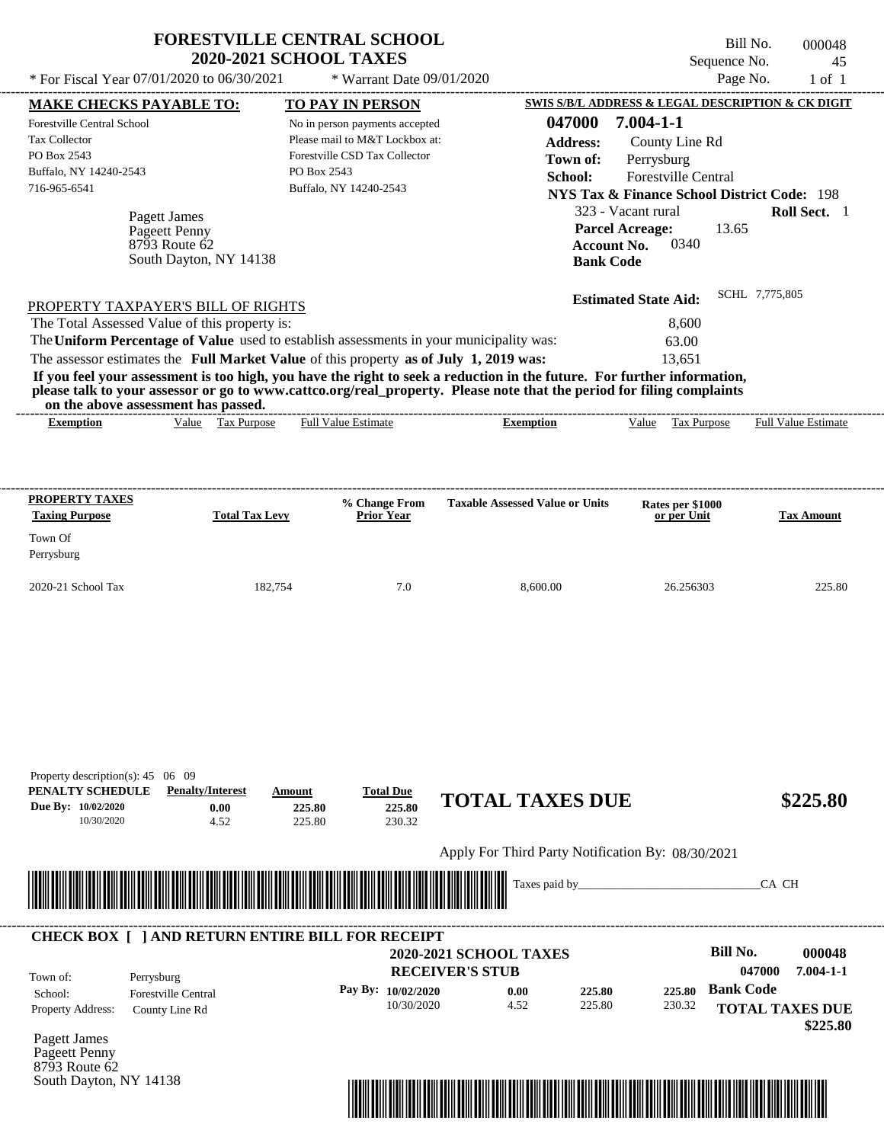|                                                                                                                                                                                                                                                                                         | <b>FORESTVILLE CENTRAL SCHOOL</b><br><b>2020-2021 SCHOOL TAXES</b> |                                        |                                                                                         | Bill No.<br>Sequence No. | 000048<br>45               |
|-----------------------------------------------------------------------------------------------------------------------------------------------------------------------------------------------------------------------------------------------------------------------------------------|--------------------------------------------------------------------|----------------------------------------|-----------------------------------------------------------------------------------------|--------------------------|----------------------------|
| * For Fiscal Year $07/01/2020$ to $06/30/2021$                                                                                                                                                                                                                                          | * Warrant Date $09/01/2020$                                        |                                        |                                                                                         | Page No.                 | $1$ of $1$                 |
| <b>MAKE CHECKS PAYABLE TO:</b>                                                                                                                                                                                                                                                          | <b>TO PAY IN PERSON</b>                                            |                                        | SWIS S/B/L ADDRESS & LEGAL DESCRIPTION & CK DIGIT                                       |                          |                            |
| Forestville Central School                                                                                                                                                                                                                                                              | No in person payments accepted                                     | 047000                                 | $7.004 - 1 - 1$                                                                         |                          |                            |
| <b>Tax Collector</b>                                                                                                                                                                                                                                                                    | Please mail to M&T Lockbox at:                                     | <b>Address:</b>                        | County Line Rd                                                                          |                          |                            |
| PO Box 2543                                                                                                                                                                                                                                                                             | Forestville CSD Tax Collector                                      | Town of:                               | Perrysburg                                                                              |                          |                            |
| Buffalo, NY 14240-2543                                                                                                                                                                                                                                                                  | PO Box 2543                                                        | School:                                | <b>Forestville Central</b>                                                              |                          |                            |
| 716-965-6541                                                                                                                                                                                                                                                                            | Buffalo, NY 14240-2543                                             |                                        | <b>NYS Tax &amp; Finance School District Code: 198</b>                                  |                          |                            |
| Pagett James<br>Pageett Penny<br>$87\overline{9}3$ Route 62<br>South Dayton, NY 14138                                                                                                                                                                                                   |                                                                    |                                        | 323 - Vacant rural<br><b>Parcel Acreage:</b><br>0340<br>Account No.<br><b>Bank Code</b> | 13.65                    | Roll Sect. 1               |
| PROPERTY TAXPAYER'S BILL OF RIGHTS<br>The Total Assessed Value of this property is:                                                                                                                                                                                                     |                                                                    |                                        | <b>Estimated State Aid:</b><br>8.600                                                    | SCHL 7,775,805           |                            |
| The Uniform Percentage of Value used to establish assessments in your municipality was:                                                                                                                                                                                                 |                                                                    |                                        | 63.00                                                                                   |                          |                            |
| The assessor estimates the Full Market Value of this property as of July 1, 2019 was:                                                                                                                                                                                                   |                                                                    |                                        | 13.651                                                                                  |                          |                            |
| If you feel your assessment is too high, you have the right to seek a reduction in the future. For further information,<br>please talk to your assessor or go to www.cattco.org/real_property. Please note that the period for filing complaints<br>on the above assessment has passed. |                                                                    |                                        |                                                                                         |                          |                            |
| Value Tax Purpose<br><b>Exemption</b>                                                                                                                                                                                                                                                   | <b>Full Value Estimate</b>                                         | <b>Exemption</b>                       | Tax Purpose<br>Value                                                                    |                          | <b>Full Value Estimate</b> |
|                                                                                                                                                                                                                                                                                         |                                                                    |                                        |                                                                                         |                          |                            |
|                                                                                                                                                                                                                                                                                         |                                                                    |                                        |                                                                                         |                          |                            |
| PROPERTY TAXES<br><b>Taxing Purpose</b><br><b>Total Tax Levy</b>                                                                                                                                                                                                                        | % Change From<br><b>Prior Year</b>                                 | <b>Taxable Assessed Value or Units</b> | Rates per \$1000<br>or per Unit                                                         |                          | <b>Tax Amount</b>          |

2020-21 School Tax 182,754 7.0 8,600.00 26.256303 225.80

| Property description(s): $45 \quad 06 \quad 09$<br>PENALTY SCHEDULE<br>Due By: 10/02/2020<br>10/30/2020 | <b>Penalty/Interest</b><br>0.00<br>4.52                 | Amount<br>225.80<br>225.80                                                                                           | <b>Total Due</b><br>225.80<br>230.32 | <b>TOTAL TAXES DUE</b>                                  |               |                                                   |        |                        | \$225.80                  |
|---------------------------------------------------------------------------------------------------------|---------------------------------------------------------|----------------------------------------------------------------------------------------------------------------------|--------------------------------------|---------------------------------------------------------|---------------|---------------------------------------------------|--------|------------------------|---------------------------|
|                                                                                                         |                                                         |                                                                                                                      |                                      |                                                         |               | Apply For Third Party Notification By: 08/30/2021 |        |                        |                           |
|                                                                                                         |                                                         | <u> Tanzania di Baratta di Baratta di Baratta di Baratta di Baratta di Baratta di Baratta di Baratta di Baratta </u> |                                      |                                                         | Taxes paid by |                                                   |        | CA CH                  |                           |
|                                                                                                         | <b>CHECK BOX [ ] AND RETURN ENTIRE BILL FOR RECEIPT</b> |                                                                                                                      |                                      |                                                         |               |                                                   |        |                        |                           |
| Town of:                                                                                                | Perrysburg                                              |                                                                                                                      |                                      | <b>2020-2021 SCHOOL TAXES</b><br><b>RECEIVER'S STUB</b> |               |                                                   |        | Bill No.<br>047000     | 000048<br>$7.004 - 1 - 1$ |
| School:                                                                                                 | <b>Forestville Central</b>                              |                                                                                                                      | Pay By: 10/02/2020                   |                                                         | 0.00          | 225.80                                            | 225.80 | <b>Bank Code</b>       |                           |
| Property Address:                                                                                       | County Line Rd                                          |                                                                                                                      | 10/30/2020                           |                                                         | 4.52          | 225.80                                            | 230.32 | <b>TOTAL TAXES DUE</b> | \$225.80                  |
| Pagett James<br>Pageett Penny<br>8793 Route 62<br>South Dayton, NY 14138                                |                                                         |                                                                                                                      |                                      |                                                         |               |                                                   |        |                        |                           |

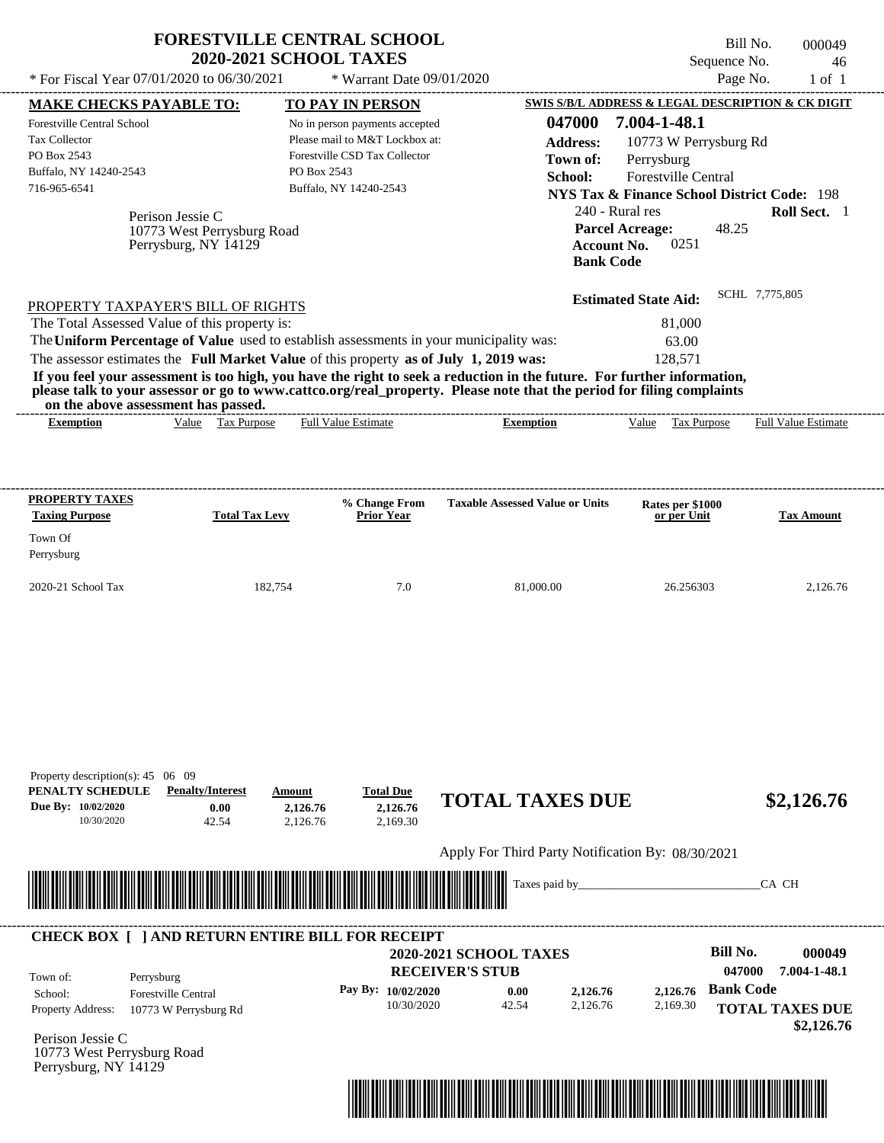|                                                                                                                                                                                                                                                                                                                                                                                                                                                                                                                             | <b>FORESTVILLE CENTRAL SCHOOL</b><br><b>2020-2021 SCHOOL TAXES</b>                                                                                                    |                                                                                                                                         | Bill No.<br>Sequence No.                                                                                                                                                                                   | 000049<br>46               |
|-----------------------------------------------------------------------------------------------------------------------------------------------------------------------------------------------------------------------------------------------------------------------------------------------------------------------------------------------------------------------------------------------------------------------------------------------------------------------------------------------------------------------------|-----------------------------------------------------------------------------------------------------------------------------------------------------------------------|-----------------------------------------------------------------------------------------------------------------------------------------|------------------------------------------------------------------------------------------------------------------------------------------------------------------------------------------------------------|----------------------------|
| * For Fiscal Year 07/01/2020 to 06/30/2021                                                                                                                                                                                                                                                                                                                                                                                                                                                                                  | * Warrant Date 09/01/2020                                                                                                                                             |                                                                                                                                         | Page No.                                                                                                                                                                                                   | $1$ of $1$                 |
| <b>MAKE CHECKS PAYABLE TO:</b><br>Forestville Central School<br>Tax Collector<br>PO Box 2543<br>Buffalo, NY 14240-2543<br>716-965-6541<br>Perison Jessie C<br>10773 West Perrysburg Road<br>Perrysburg, NY 14129                                                                                                                                                                                                                                                                                                            | <b>TO PAY IN PERSON</b><br>No in person payments accepted<br>Please mail to M&T Lockbox at:<br>Forestville CSD Tax Collector<br>PO Box 2543<br>Buffalo, NY 14240-2543 | 047000<br><b>Address:</b><br>Town of:<br>School:<br>240 - Rural res<br><b>Parcel Acreage:</b><br><b>Account No.</b><br><b>Bank Code</b> | SWIS S/B/L ADDRESS & LEGAL DESCRIPTION & CK DIGIT<br>7.004-1-48.1<br>10773 W Perrysburg Rd<br>Perrysburg<br>Forestville Central<br><b>NYS Tax &amp; Finance School District Code: 198</b><br>48.25<br>0251 | Roll Sect. 1               |
| PROPERTY TAXPAYER'S BILL OF RIGHTS<br>The Total Assessed Value of this property is:<br>The Uniform Percentage of Value used to establish assessments in your municipality was:<br>The assessor estimates the Full Market Value of this property as of July 1, 2019 was:<br>If you feel your assessment is too high, you have the right to seek a reduction in the future. For further information,<br>please talk to your assessor or go to www.cattco.org/real_property. Please note that the period for filing complaints |                                                                                                                                                                       |                                                                                                                                         | <b>Estimated State Aid:</b><br>81,000<br>63.00<br>128,571                                                                                                                                                  | SCHL 7,775,805             |
| on the above assessment has passed.<br>Value Tax Purpose<br><b>Exemption</b>                                                                                                                                                                                                                                                                                                                                                                                                                                                | <b>Full Value Estimate</b>                                                                                                                                            | <b>Exemption</b>                                                                                                                        | Value<br>Tax Purpose                                                                                                                                                                                       | <b>Full Value Estimate</b> |
| PROPERTY TAXES<br><b>Taxing Purpose</b><br>Town Of                                                                                                                                                                                                                                                                                                                                                                                                                                                                          | % Change From<br><b>Total Tax Levy</b><br><b>Prior Year</b>                                                                                                           | <b>Taxable Assessed Value or Units</b>                                                                                                  | Rates per \$1000<br>or per Unit                                                                                                                                                                            | <b>Tax Amount</b>          |
|                                                                                                                                                                                                                                                                                                                                                                                                                                                                                                                             |                                                                                                                                                                       |                                                                                                                                         |                                                                                                                                                                                                            |                            |
| Perrysburg<br>2020-21 School Tax                                                                                                                                                                                                                                                                                                                                                                                                                                                                                            | 182,754<br>7.0                                                                                                                                                        | 81,000.00                                                                                                                               | 26.256303                                                                                                                                                                                                  | 2,126.76                   |

Apply For Third Party Notification By: 08/30/2021



## Perison Jessie C **RECEIVER'S STUB Bill No. 000049 Pay By: 10/02/2020 b 0.00 c 2,126.76 b 2,126.76 Bank Code** Property Address: 10773 W Perrysburg Rd Perrysburg School: Forestville Central **TOTAL TAXES DUE \$2,126.76 2020-2021 SCHOOL TAXES 047000 7.004-1-48.1** 10/30/2020 42.54 **0.00** 2,126.76 **2,126.76** 2,169.30 **2,126.76** Town of: ---------------------------------------------------------------------------------------------------------------------------------------------------------------------------------------------------- **CHECK BOX [ ] AND RETURN ENTIRE BILL FOR RECEIPT**

10773 West Perrysburg Road Perrysburg, NY 14129

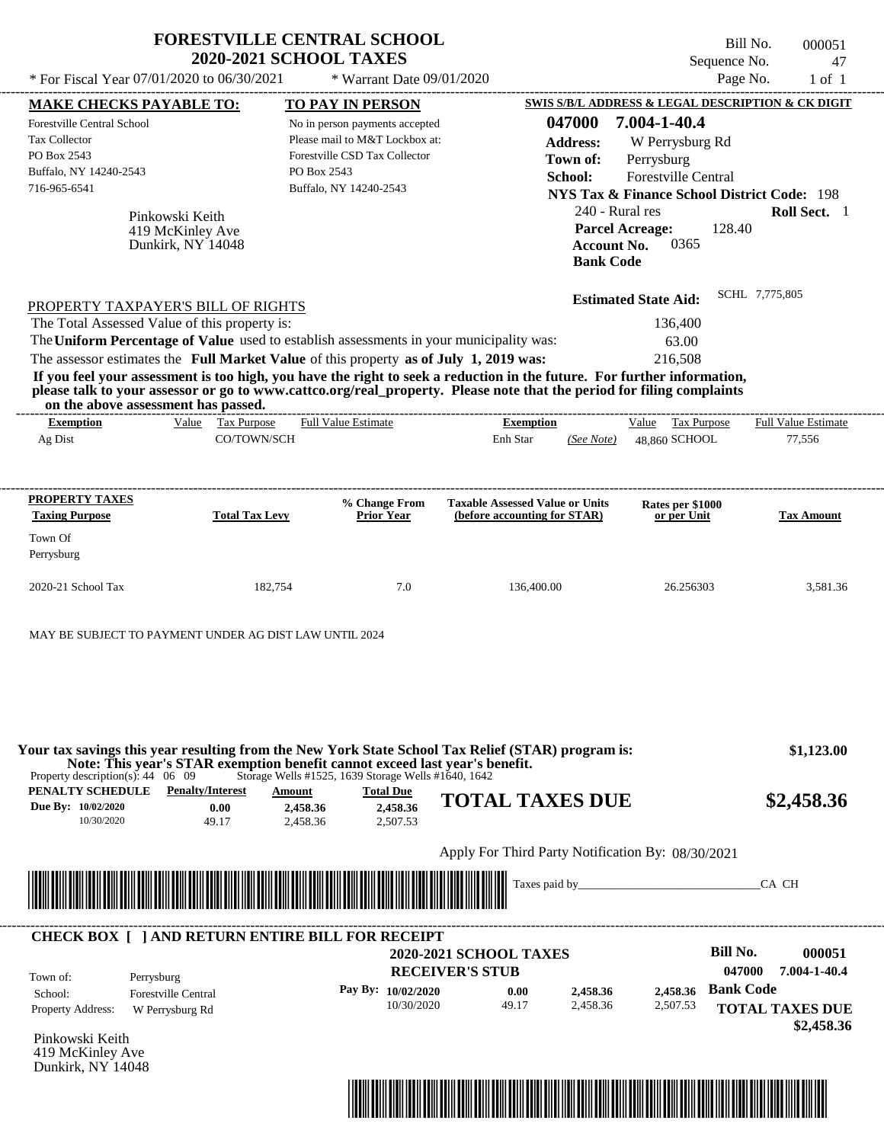|                                                                                                                                                                                                                                                                                         | <b>FORESTVILLE CENTRAL SCHOOL</b><br><b>2020-2021 SCHOOL TAXES</b>      |                                                   | Sequence No.                                           | Bill No.<br>000051<br>47   |
|-----------------------------------------------------------------------------------------------------------------------------------------------------------------------------------------------------------------------------------------------------------------------------------------|-------------------------------------------------------------------------|---------------------------------------------------|--------------------------------------------------------|----------------------------|
| * For Fiscal Year 07/01/2020 to 06/30/2021                                                                                                                                                                                                                                              | * Warrant Date 09/01/2020                                               |                                                   |                                                        | Page No.<br>$1$ of $1$     |
| <b>MAKE CHECKS PAYABLE TO:</b>                                                                                                                                                                                                                                                          | TO PAY IN PERSON                                                        |                                                   | SWIS S/B/L ADDRESS & LEGAL DESCRIPTION & CK DIGIT      |                            |
| Forestville Central School                                                                                                                                                                                                                                                              | No in person payments accepted                                          | 047000                                            | 7.004-1-40.4                                           |                            |
| <b>Tax Collector</b>                                                                                                                                                                                                                                                                    | Please mail to M&T Lockbox at:                                          | <b>Address:</b>                                   | W Perrysburg Rd                                        |                            |
| PO Box 2543                                                                                                                                                                                                                                                                             | Forestville CSD Tax Collector                                           | Town of:                                          | Perrysburg                                             |                            |
| Buffalo, NY 14240-2543                                                                                                                                                                                                                                                                  | PO Box 2543                                                             | School:                                           | Forestville Central                                    |                            |
| 716-965-6541                                                                                                                                                                                                                                                                            | Buffalo, NY 14240-2543                                                  |                                                   | <b>NYS Tax &amp; Finance School District Code: 198</b> |                            |
|                                                                                                                                                                                                                                                                                         |                                                                         |                                                   | 240 - Rural res                                        | Roll Sect. 1               |
| Pinkowski Keith                                                                                                                                                                                                                                                                         |                                                                         |                                                   | 128.40<br><b>Parcel Acreage:</b>                       |                            |
| 419 McKinley Ave<br>Dunkirk, NY 14048                                                                                                                                                                                                                                                   |                                                                         | <b>Account No.</b>                                | 0365                                                   |                            |
|                                                                                                                                                                                                                                                                                         |                                                                         | <b>Bank Code</b>                                  |                                                        |                            |
|                                                                                                                                                                                                                                                                                         |                                                                         |                                                   | <b>Estimated State Aid:</b>                            | SCHL 7,775,805             |
| PROPERTY TAXPAYER'S BILL OF RIGHTS                                                                                                                                                                                                                                                      |                                                                         |                                                   |                                                        |                            |
| The Total Assessed Value of this property is:                                                                                                                                                                                                                                           |                                                                         |                                                   | 136,400                                                |                            |
| The Uniform Percentage of Value used to establish assessments in your municipality was:                                                                                                                                                                                                 |                                                                         |                                                   | 63.00                                                  |                            |
| The assessor estimates the Full Market Value of this property as of July 1, 2019 was:                                                                                                                                                                                                   |                                                                         |                                                   | 216,508                                                |                            |
| If you feel your assessment is too high, you have the right to seek a reduction in the future. For further information,<br>please talk to your assessor or go to www.cattco.org/real_property. Please note that the period for filing complaints<br>on the above assessment has passed. |                                                                         |                                                   |                                                        |                            |
| Value Tax Purpose<br><b>Exemption</b>                                                                                                                                                                                                                                                   | <b>Full Value Estimate</b>                                              | <b>Exemption</b>                                  | Value Tax Purpose                                      | <b>Full Value Estimate</b> |
| Ag Dist<br>CO/TOWN/SCH                                                                                                                                                                                                                                                                  |                                                                         | Enh Star<br>(See Note)                            | 48.860 SCHOOL                                          | 77,556                     |
|                                                                                                                                                                                                                                                                                         |                                                                         |                                                   |                                                        |                            |
| PROPERTY TAXES                                                                                                                                                                                                                                                                          | % Change From                                                           | <b>Taxable Assessed Value or Units</b>            | Rates per \$1000                                       |                            |
| <b>Taxing Purpose</b><br><b>Total Tax Levy</b>                                                                                                                                                                                                                                          | <b>Prior Year</b>                                                       | (before accounting for STAR)                      | or per Unit                                            | <b>Tax Amount</b>          |
| Town Of                                                                                                                                                                                                                                                                                 |                                                                         |                                                   |                                                        |                            |
| Perrysburg                                                                                                                                                                                                                                                                              |                                                                         |                                                   |                                                        |                            |
| 2020-21 School Tax                                                                                                                                                                                                                                                                      | 182,754<br>7.0                                                          | 136,400.00                                        | 26.256303                                              | 3,581.36                   |
| MAY BE SUBJECT TO PAYMENT UNDER AG DIST LAW UNTIL 2024                                                                                                                                                                                                                                  |                                                                         |                                                   |                                                        |                            |
| Your tax savings this year resulting from the New York State School Tax Relief (STAR) program is:<br>Note: This year's STAR exemption benefit cannot exceed last year's benefit.<br>Property description(s): $44 \quad 06 \quad 09$<br>PENALTY SCHEDULE<br><b>Penalty/Interest</b>      | Storage Wells #1525, 1639 Storage Wells #1640, 1642<br><b>Total Due</b> |                                                   |                                                        | \$1,123.00                 |
| Due By: 10/02/2020<br>0.00                                                                                                                                                                                                                                                              | Amount<br>2,458.36<br>2,458.36                                          | <b>TOTAL TAXES DUE</b>                            |                                                        | \$2,458.36                 |
| 10/30/2020<br>49.17                                                                                                                                                                                                                                                                     | 2.458.36<br>2.507.53                                                    |                                                   |                                                        |                            |
|                                                                                                                                                                                                                                                                                         |                                                                         | Apply For Third Party Notification By: 08/30/2021 |                                                        |                            |
|                                                                                                                                                                                                                                                                                         |                                                                         |                                                   |                                                        |                            |
|                                                                                                                                                                                                                                                                                         |                                                                         | Taxes paid by_                                    |                                                        | CA CH                      |
| <b>CHECK BOX [ ] AND RETURN ENTIRE BILL FOR RECEIPT</b>                                                                                                                                                                                                                                 |                                                                         |                                                   |                                                        |                            |
|                                                                                                                                                                                                                                                                                         |                                                                         | <b>2020-2021 SCHOOL TAXES</b>                     | <b>Bill No.</b>                                        | 000051                     |
| Perrysburg<br>Town of:                                                                                                                                                                                                                                                                  |                                                                         | <b>RECEIVER'S STUB</b>                            |                                                        | 047000<br>7.004-1-40.4     |
| <b>Forestville Central</b><br>School:                                                                                                                                                                                                                                                   | Pay By: 10/02/2020                                                      | 0.00<br>2,458.36                                  | 2,458.36                                               | <b>Bank Code</b>           |
| Property Address:<br>W Perrysburg Rd                                                                                                                                                                                                                                                    | 10/30/2020                                                              | 49.17<br>2,458.36                                 | 2,507.53                                               | <b>TOTAL TAXES DUE</b>     |
|                                                                                                                                                                                                                                                                                         |                                                                         |                                                   |                                                        | \$2,458.36                 |
| Pinkowski Keith<br>419 McKinley Ave<br>Dunkirk, NY 14048                                                                                                                                                                                                                                |                                                                         |                                                   |                                                        |                            |

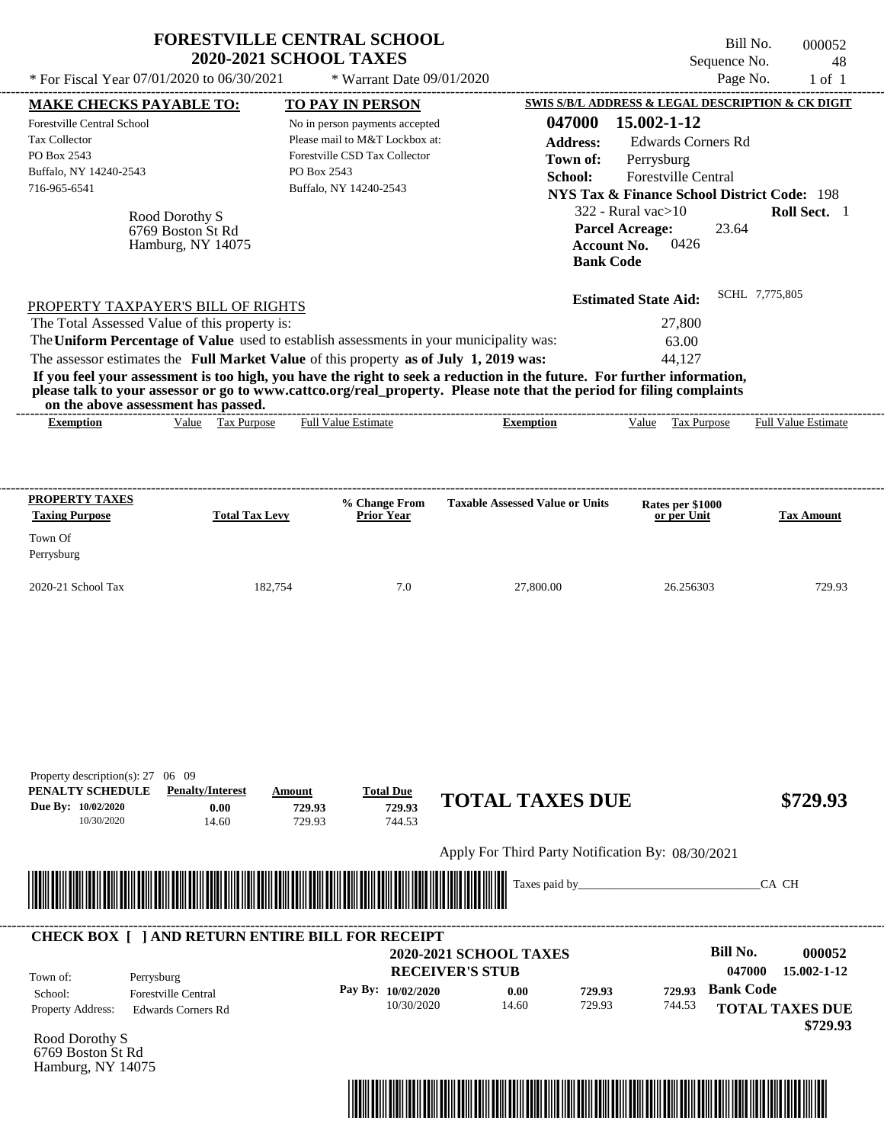|                                                                                                                                                                                                                                                                                                                                                                                                                                                                                                                             | <b>FORESTVILLE CENTRAL SCHOOL</b><br><b>2020-2021 SCHOOL TAXES</b> |                                       |                                                                                                   |                                                         |                                                  |                                                                                                                                                                                                   | Bill No.<br>Sequence No.  | 000052<br>48          |
|-----------------------------------------------------------------------------------------------------------------------------------------------------------------------------------------------------------------------------------------------------------------------------------------------------------------------------------------------------------------------------------------------------------------------------------------------------------------------------------------------------------------------------|--------------------------------------------------------------------|---------------------------------------|---------------------------------------------------------------------------------------------------|---------------------------------------------------------|--------------------------------------------------|---------------------------------------------------------------------------------------------------------------------------------------------------------------------------------------------------|---------------------------|-----------------------|
| * For Fiscal Year 07/01/2020 to 06/30/2021                                                                                                                                                                                                                                                                                                                                                                                                                                                                                  |                                                                    |                                       | * Warrant Date 09/01/2020                                                                         |                                                         |                                                  |                                                                                                                                                                                                   | Page No.                  | $1$ of $1$            |
| <b>MAKE CHECKS PAYABLE TO:</b>                                                                                                                                                                                                                                                                                                                                                                                                                                                                                              |                                                                    |                                       | <b>TO PAY IN PERSON</b>                                                                           |                                                         |                                                  | SWIS S/B/L ADDRESS & LEGAL DESCRIPTION & CK DIGIT                                                                                                                                                 |                           |                       |
| Forestville Central School<br><b>Tax Collector</b><br>PO Box 2543<br>Buffalo, NY 14240-2543<br>716-965-6541                                                                                                                                                                                                                                                                                                                                                                                                                 | Rood Dorothy S<br>6769 Boston St Rd                                | PO Box 2543<br>Buffalo, NY 14240-2543 | No in person payments accepted<br>Please mail to M&T Lockbox at:<br>Forestville CSD Tax Collector |                                                         | 047000<br><b>Address:</b><br>Town of:<br>School: | 15.002-1-12<br><b>Edwards Corners Rd</b><br>Perrysburg<br><b>Forestville Central</b><br><b>NYS Tax &amp; Finance School District Code: 198</b><br>322 - Rural vac $>10$<br><b>Parcel Acreage:</b> | 23.64                     | Roll Sect. 1          |
|                                                                                                                                                                                                                                                                                                                                                                                                                                                                                                                             | Hamburg, NY 14075                                                  |                                       |                                                                                                   |                                                         | <b>Bank Code</b>                                 | 0426<br><b>Account No.</b>                                                                                                                                                                        |                           |                       |
| PROPERTY TAXPAYER'S BILL OF RIGHTS<br>The Total Assessed Value of this property is:<br>The Uniform Percentage of Value used to establish assessments in your municipality was:<br>The assessor estimates the Full Market Value of this property as of July 1, 2019 was:<br>If you feel your assessment is too high, you have the right to seek a reduction in the future. For further information,<br>please talk to your assessor or go to www.cattco.org/real_property. Please note that the period for filing complaints |                                                                    |                                       |                                                                                                   |                                                         |                                                  | <b>Estimated State Aid:</b><br>27,800<br>63.00<br>44,127                                                                                                                                          | SCHL 7,775,805            |                       |
| on the above assessment has passed.<br><b>Exemption</b>                                                                                                                                                                                                                                                                                                                                                                                                                                                                     | Value Tax Purpose                                                  | <b>Full Value Estimate</b>            |                                                                                                   | <b>Exemption</b>                                        |                                                  | Value<br>Tax Purpose                                                                                                                                                                              |                           | Full Value Estimate   |
| <b>PROPERTY TAXES</b><br><b>Taxing Purpose</b>                                                                                                                                                                                                                                                                                                                                                                                                                                                                              | <b>Total Tax Levy</b>                                              |                                       | % Change From<br>Prior Year                                                                       | <b>Taxable Assessed Value or Units</b>                  |                                                  | Rates per \$1000<br>or per Unit                                                                                                                                                                   |                           | <b>Tax Amount</b>     |
| Town Of<br>Perrysburg                                                                                                                                                                                                                                                                                                                                                                                                                                                                                                       |                                                                    |                                       |                                                                                                   |                                                         |                                                  |                                                                                                                                                                                                   |                           |                       |
| 2020-21 School Tax                                                                                                                                                                                                                                                                                                                                                                                                                                                                                                          | 182,754                                                            |                                       | 7.0                                                                                               | 27,800.00                                               |                                                  | 26.256303                                                                                                                                                                                         |                           | 729.93                |
| Property description(s): 27 06 09<br>PENALTY SCHEDULE<br>Due By: 10/02/2020<br>10/30/2020                                                                                                                                                                                                                                                                                                                                                                                                                                   | <b>Penalty/Interest</b><br>0.00<br>14.60                           | Amount<br>729.93<br>729.93            | <b>Total Due</b><br>729.93<br>744.53                                                              | <b>TOTAL TAXES DUE</b>                                  |                                                  |                                                                                                                                                                                                   |                           | \$729.93              |
|                                                                                                                                                                                                                                                                                                                                                                                                                                                                                                                             |                                                                    |                                       |                                                                                                   | Apply For Third Party Notification By: 08/30/2021       |                                                  |                                                                                                                                                                                                   |                           |                       |
|                                                                                                                                                                                                                                                                                                                                                                                                                                                                                                                             |                                                                    |                                       |                                                                                                   |                                                         | Taxes paid by_                                   |                                                                                                                                                                                                   |                           | _CA CH                |
| <b>CHECK BOX [ ] AND RETURN ENTIRE BILL FOR RECEIPT</b>                                                                                                                                                                                                                                                                                                                                                                                                                                                                     |                                                                    |                                       |                                                                                                   |                                                         |                                                  |                                                                                                                                                                                                   |                           |                       |
| $T_{\alpha \mu}$ of<br>$Darriv$ huro                                                                                                                                                                                                                                                                                                                                                                                                                                                                                        |                                                                    |                                       |                                                                                                   | <b>2020-2021 SCHOOL TAXES</b><br><b>RECEIVER'S STUB</b> |                                                  |                                                                                                                                                                                                   | <b>Bill No.</b><br>047000 | 000052<br>15.002-1-12 |

**Pay By: 10/02/2020**

10/30/2020 14.60

**0.00**

Property Address: Edwards Corners Rd School: Forestville Central Town of:

Rood Dorothy S 6769 Boston St Rd Hamburg, NY 14075

Perrysburg



729.93 **729.93** **Bank Code 729.93**

744.53

**TOTAL TAXES DUE**

 **\$729.93**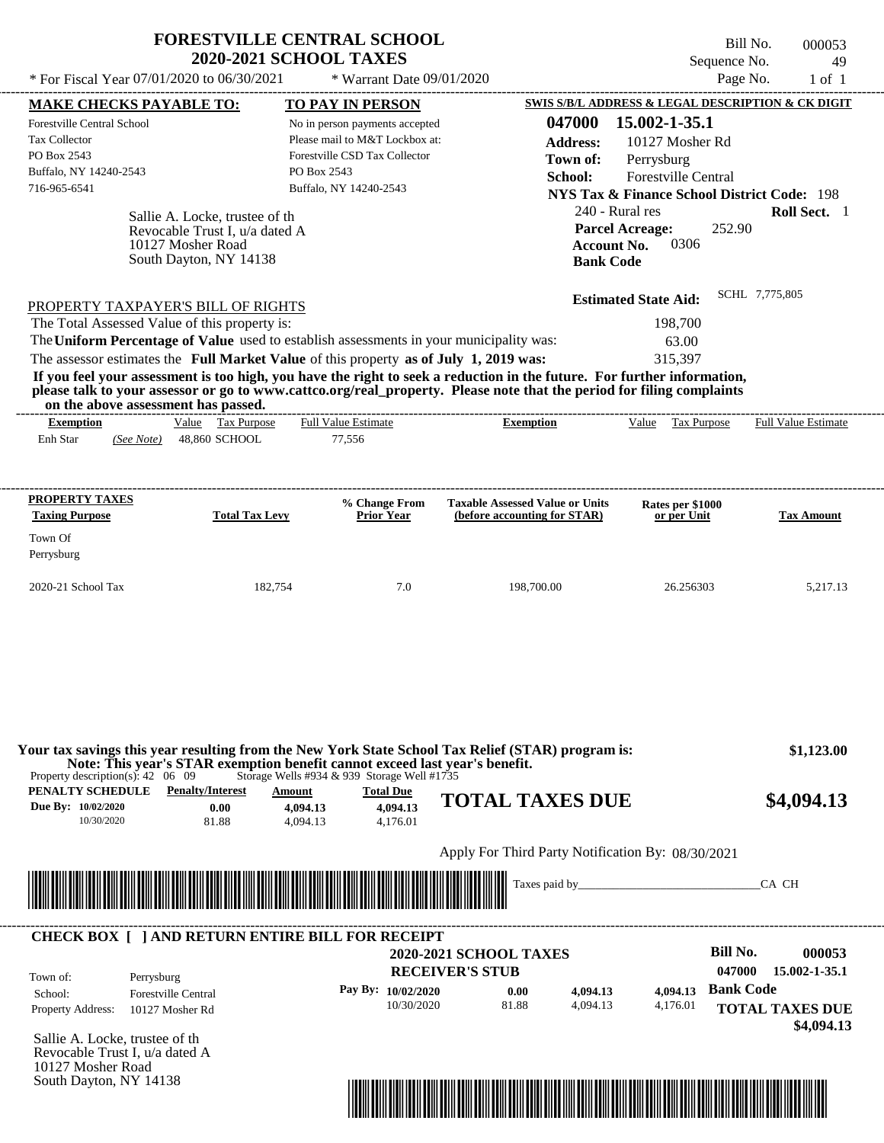| * For Fiscal Year $07/01/2020$ to $06/30/2021$ | <b>FORESTVILLE CENTRAL SCHOOL</b><br><b>2020-2021 SCHOOL TAXES</b><br>* Warrant Date $09/01/2020$ |                 | Bill No.<br>Sequence No.<br>Page No.              | 000053<br>49<br>$1$ of $1$ |
|------------------------------------------------|---------------------------------------------------------------------------------------------------|-----------------|---------------------------------------------------|----------------------------|
| <b>MAKE CHECKS PAYABLE TO:</b>                 | <b>TO PAY IN PERSON</b>                                                                           |                 | SWIS S/B/L ADDRESS & LEGAL DESCRIPTION & CK DIGIT |                            |
| Forestville Central School                     | No in person payments accepted                                                                    | 047000          | 15.002-1-35.1                                     |                            |
| Tax Collector                                  | Please mail to M&T Lockbox at:                                                                    | <b>Address:</b> | 10127 Mosher Rd                                   |                            |
| PO Box 2543                                    | Forestyille CSD Tax Collector                                                                     | Town of:        | Perrysburg                                        |                            |
| Buffalo, NY 14240-2543                         | PO Box 2543                                                                                       | School:         | <b>Forestville Central</b>                        |                            |

Sallie A. Locke, trustee of th **NYS Tax & Finance School District Code:** 198 240 - Rural res **Roll Sect.** 1 252.90 **Account No.** 0306 **Bank Code Estimated State Aid:** SCHL 7,775,805 PROPERTY TAXPAYER'S BILL OF RIGHTS The Total Assessed Value of this property is: 198,700 716-965-6541 Buffalo, NY 14240-2543 **Parcel Acreage:** Revocable Trust I, u/a dated A 10127 Mosher Road South Dayton, NY 14138

The assessor estimates the **Full Market Value** of this property **as of July 1, 2019 was:** 315,397 The **Uniform Percentage of Value** used to establish assessments in your municipality was: 63.00

**If you feel your assessment is too high, you have the right to seek a reduction in the future. For further information, please talk to your assessor or go to www.cattco.org/real\_property. Please note that the period for filing complaints on the above assessment has passed.** ----------------------------------------------------------------------------------------------------------------------------------------------------------------------------------------------------

| <b>Exemption</b> |            | Value | Tax Purpose   | <b>Full Value Estimate</b> | Exemption | Value | Tax Purpose | <b>Full Value Estimate</b> |
|------------------|------------|-------|---------------|----------------------------|-----------|-------|-------------|----------------------------|
| Enh Star         | (See Note) |       | 48.860 SCHOOL | 77,556                     |           |       |             |                            |
|                  |            |       |               |                            |           |       |             |                            |

| <b>PROPERTY TAXES</b><br><b>Taxing Purpose</b> | <b>Total Tax Levy</b> | % Change From<br><b>Prior Year</b> | <b>Taxable Assessed Value or Units</b><br>(before accounting for STAR) | Rates per \$1000<br>or per Unit | <b>Tax Amount</b> |
|------------------------------------------------|-----------------------|------------------------------------|------------------------------------------------------------------------|---------------------------------|-------------------|
| Town Of<br>Perrysburg                          |                       |                                    |                                                                        |                                 |                   |
| $2020-21$ School Tax                           | 182.754               | 7.0                                | 198,700.00                                                             | 26.256303                       | 5,217.13          |

| Property description(s): $42 \quad 06 \quad 09$      | Note: This year's STAR exemption benefit cannot exceed last year's benefit. | Storage Wells #934 & 939 Storage Well #1735 |                                          |                                                                           |  |                                                               |
|------------------------------------------------------|-----------------------------------------------------------------------------|---------------------------------------------|------------------------------------------|---------------------------------------------------------------------------|--|---------------------------------------------------------------|
| PENALTY SCHEDULE<br>Due By: 10/02/2020<br>10/30/2020 | <b>Penalty/Interest</b><br>0.00<br>81.88                                    | Amount<br>4.094.13<br>4,094.13              | <b>Total Due</b><br>4,094.13<br>4.176.01 | <b>TOTAL TAXES DUE</b>                                                    |  | \$4,094.13                                                    |
|                                                      |                                                                             |                                             |                                          | Apply For Third Party Notification By: 08/30/2021                         |  |                                                               |
|                                                      |                                                                             |                                             |                                          |                                                                           |  |                                                               |
|                                                      | <b>CHECK BOX [ ] AND RETURN ENTIRE BILL FOR RECEIPT</b>                     |                                             |                                          | Taxes paid by_<br><b>2020-2021 SCHOOL TAXES</b><br><b>RECEIVER'S STUB</b> |  | CA CH<br><b>Bill No.</b><br>000053<br>047000<br>15.002-1-35.1 |

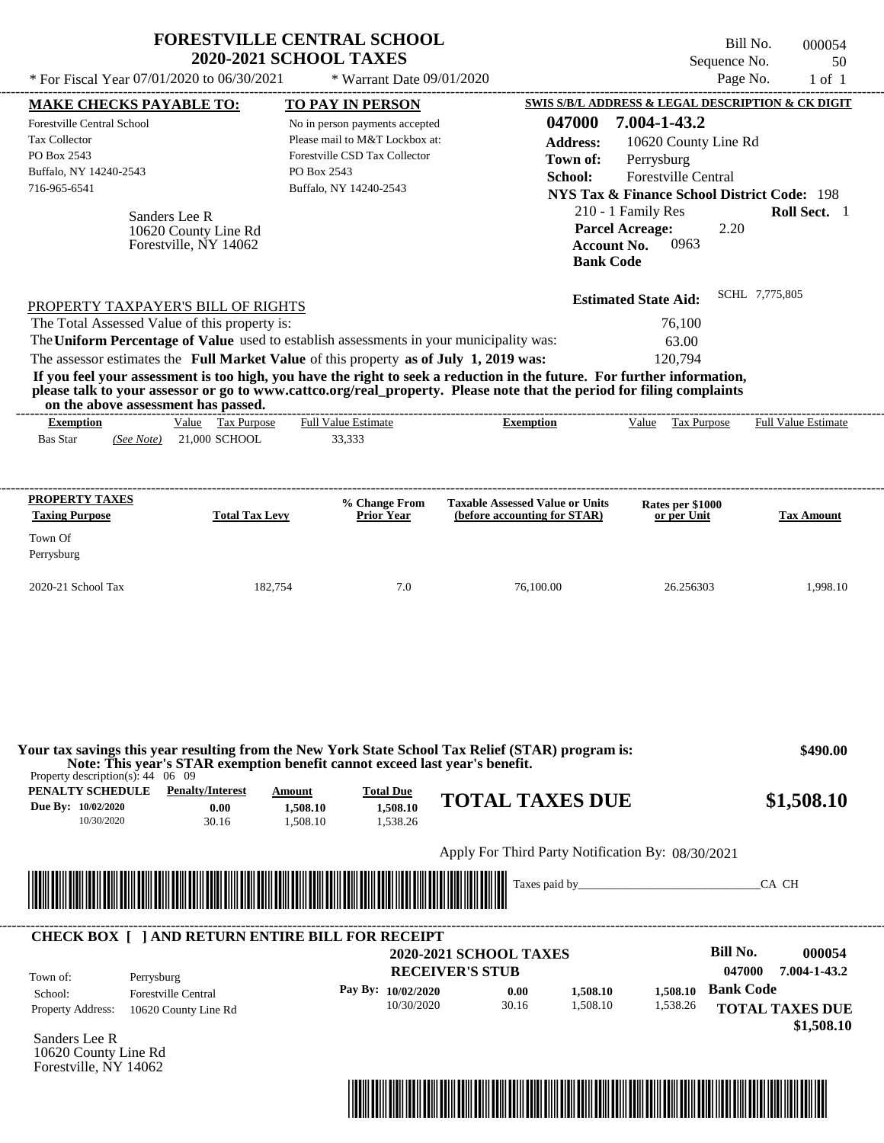|                                                                                                                                                                                                                                                                                                                | <b>FORESTVILLE CENTRAL SCHOOL</b><br>2020-2021 SCHOOL TAXES                 |                                                                                                                                            |                                                                                                                                                                                                                                                  |                                                                                                                                                                                                                                              | Bill No.<br>000054<br>Sequence No.<br>50                 |
|----------------------------------------------------------------------------------------------------------------------------------------------------------------------------------------------------------------------------------------------------------------------------------------------------------------|-----------------------------------------------------------------------------|--------------------------------------------------------------------------------------------------------------------------------------------|--------------------------------------------------------------------------------------------------------------------------------------------------------------------------------------------------------------------------------------------------|----------------------------------------------------------------------------------------------------------------------------------------------------------------------------------------------------------------------------------------------|----------------------------------------------------------|
| * For Fiscal Year 07/01/2020 to 06/30/2021                                                                                                                                                                                                                                                                     |                                                                             | * Warrant Date 09/01/2020                                                                                                                  |                                                                                                                                                                                                                                                  |                                                                                                                                                                                                                                              | Page No.<br>$1$ of $1$                                   |
| <b>MAKE CHECKS PAYABLE TO:</b>                                                                                                                                                                                                                                                                                 |                                                                             | <b>TO PAY IN PERSON</b>                                                                                                                    |                                                                                                                                                                                                                                                  |                                                                                                                                                                                                                                              | SWIS S/B/L ADDRESS & LEGAL DESCRIPTION & CK DIGIT        |
| Forestville Central School<br><b>Tax Collector</b><br>PO Box 2543<br>Buffalo, NY 14240-2543<br>716-965-6541<br>Sanders Lee R                                                                                                                                                                                   | 10620 County Line Rd<br>Forestville, NY 14062                               | No in person payments accepted<br>Please mail to M&T Lockbox at:<br>Forestville CSD Tax Collector<br>PO Box 2543<br>Buffalo, NY 14240-2543 | 047000<br><b>Address:</b><br>Town of:<br>School:                                                                                                                                                                                                 | 7.004-1-43.2<br>10620 County Line Rd<br>Perrysburg<br><b>Forestville Central</b><br><b>NYS Tax &amp; Finance School District Code: 198</b><br>210 - 1 Family Res<br><b>Parcel Acreage:</b><br>0963<br><b>Account No.</b><br><b>Bank Code</b> | Roll Sect. 1<br>2.20                                     |
|                                                                                                                                                                                                                                                                                                                |                                                                             |                                                                                                                                            |                                                                                                                                                                                                                                                  | <b>Estimated State Aid:</b>                                                                                                                                                                                                                  | SCHL 7,775,805                                           |
| PROPERTY TAXPAYER'S BILL OF RIGHTS<br>The Total Assessed Value of this property is:<br>The Uniform Percentage of Value used to establish assessments in your municipality was:<br>The assessor estimates the Full Market Value of this property as of July 1, 2019 was:<br>on the above assessment has passed. |                                                                             |                                                                                                                                            | If you feel your assessment is too high, you have the right to seek a reduction in the future. For further information,<br>please talk to your assessor or go to www.cattco.org/real_property. Please note that the period for filing complaints | 76,100<br>63.00<br>120,794                                                                                                                                                                                                                   |                                                          |
| <b>Exemption</b>                                                                                                                                                                                                                                                                                               | Value Tax Purpose                                                           | <b>Full Value Estimate</b><br>33,333                                                                                                       | <b>Exemption</b>                                                                                                                                                                                                                                 | Value Tax Purpose                                                                                                                                                                                                                            | <b>Full Value Estimate</b>                               |
| PROPERTY TAXES<br><b>Taxing Purpose</b><br>Town Of<br>Perrysburg<br>2020-21 School Tax                                                                                                                                                                                                                         | <b>Total Tax Levy</b><br>182,754                                            | % Change From<br><b>Prior Year</b><br>7.0                                                                                                  | <b>Taxable Assessed Value or Units</b><br>(before accounting for STAR)<br>76,100.00                                                                                                                                                              | Rates per \$1000<br>or per Unit<br>26.256303                                                                                                                                                                                                 | <b>Tax Amount</b><br>1.998.10                            |
|                                                                                                                                                                                                                                                                                                                |                                                                             |                                                                                                                                            |                                                                                                                                                                                                                                                  |                                                                                                                                                                                                                                              |                                                          |
| Property description(s): $44 \quad 06 \quad 09$                                                                                                                                                                                                                                                                | Note: This year's STAR exemption benefit cannot exceed last year's benefit. |                                                                                                                                            | Your tax savings this year resulting from the New York State School Tax Relief (STAR) program is:                                                                                                                                                |                                                                                                                                                                                                                                              | \$490.00                                                 |
| PENALTY SCHEDULE<br>Due By: 10/02/2020<br>10/30/2020                                                                                                                                                                                                                                                           | <b>Penalty/Interest</b><br>Amount<br>0.00<br>1,508.10<br>30.16<br>1,508.10  | <b>Total Due</b><br>1,508.10<br>1,538.26                                                                                                   | <b>TOTAL TAXES DUE</b>                                                                                                                                                                                                                           |                                                                                                                                                                                                                                              | \$1,508.10                                               |
|                                                                                                                                                                                                                                                                                                                |                                                                             |                                                                                                                                            | Apply For Third Party Notification By: 08/30/2021                                                                                                                                                                                                |                                                                                                                                                                                                                                              |                                                          |
|                                                                                                                                                                                                                                                                                                                |                                                                             |                                                                                                                                            | Taxes paid by_                                                                                                                                                                                                                                   |                                                                                                                                                                                                                                              | CA CH                                                    |
| <b>CHECK BOX [ ] AND RETURN ENTIRE BILL FOR RECEIPT</b><br>Town of:<br>Perrysburg                                                                                                                                                                                                                              |                                                                             |                                                                                                                                            | <b>2020-2021 SCHOOL TAXES</b><br><b>RECEIVER'S STUB</b>                                                                                                                                                                                          |                                                                                                                                                                                                                                              | <b>Bill No.</b><br>000054<br>047000<br>7.004-1-43.2      |
| <b>Forestville Central</b><br>School:<br><b>Property Address:</b><br>Sanders Lee R<br>10620 County Line Rd<br>Forestville, NY 14062                                                                                                                                                                            | 10620 County Line Rd                                                        | Pay By: 10/02/2020<br>10/30/2020                                                                                                           | 0.00<br>1,508.10<br>30.16<br>1.508.10                                                                                                                                                                                                            | 1,508.10<br>1,538.26                                                                                                                                                                                                                         | <b>Bank Code</b><br><b>TOTAL TAXES DUE</b><br>\$1,508.10 |

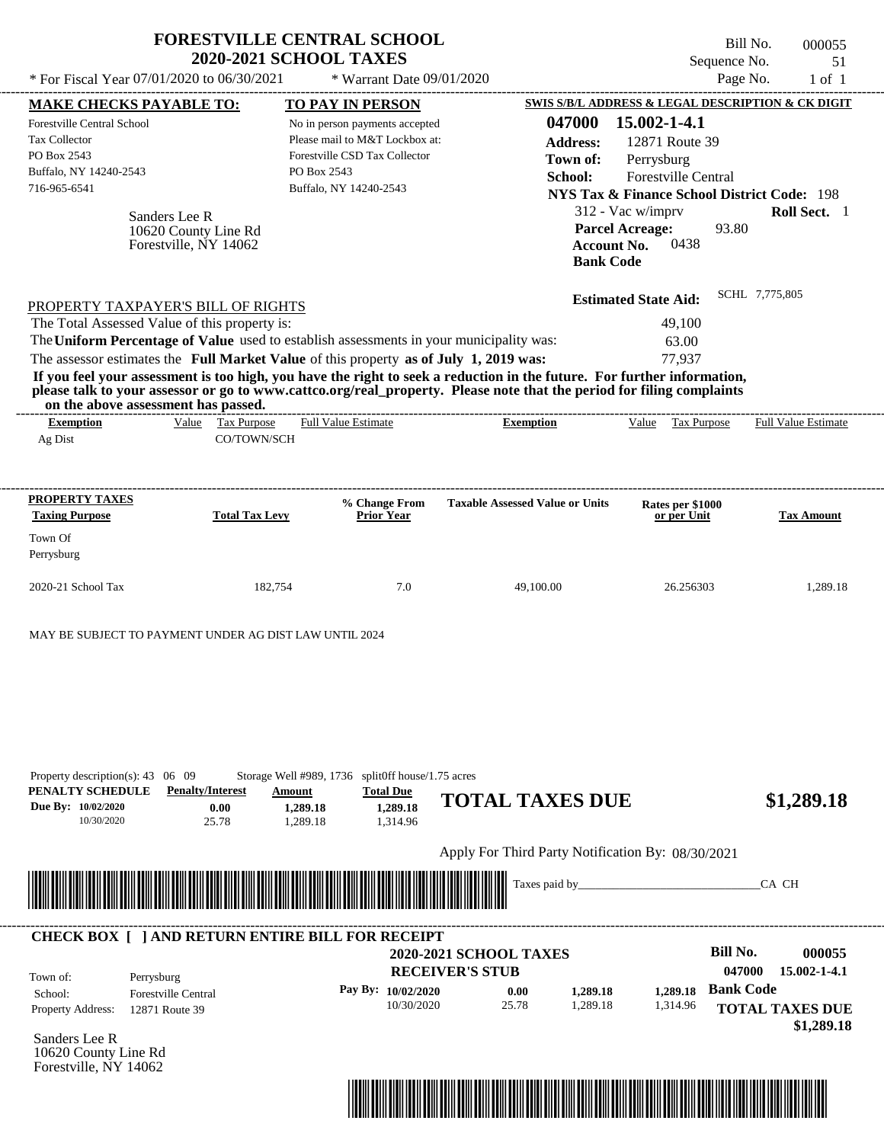|                                                                                                                                                                                                                                                                                                                                    | <b>2020-2021 SCHOOL TAXES</b>                                              | <b>FORESTVILLE CENTRAL SCHOOL</b>                                                                                                                      |                                                                                                                                                                                                                                                                      | Sequence No.                                                                                                                                                                                                             | Bill No.<br>000055<br>51                     |
|------------------------------------------------------------------------------------------------------------------------------------------------------------------------------------------------------------------------------------------------------------------------------------------------------------------------------------|----------------------------------------------------------------------------|--------------------------------------------------------------------------------------------------------------------------------------------------------|----------------------------------------------------------------------------------------------------------------------------------------------------------------------------------------------------------------------------------------------------------------------|--------------------------------------------------------------------------------------------------------------------------------------------------------------------------------------------------------------------------|----------------------------------------------|
| * For Fiscal Year 07/01/2020 to 06/30/2021                                                                                                                                                                                                                                                                                         |                                                                            | * Warrant Date 09/01/2020                                                                                                                              |                                                                                                                                                                                                                                                                      | Page No.                                                                                                                                                                                                                 | $1$ of $1$                                   |
| <b>MAKE CHECKS PAYABLE TO:</b><br><b>Forestville Central School</b><br><b>Tax Collector</b><br>PO Box 2543<br>Buffalo, NY 14240-2543<br>716-965-6541<br>Sanders Lee R<br>10620 County Line Rd<br>Forestville, NY 14062                                                                                                             | PO Box 2543                                                                | <b>TO PAY IN PERSON</b><br>No in person payments accepted<br>Please mail to M&T Lockbox at:<br>Forestville CSD Tax Collector<br>Buffalo, NY 14240-2543 | 047000<br><b>Address:</b><br>Town of:<br>School:<br><b>Parcel Acreage:</b><br><b>Account No.</b><br><b>Bank Code</b>                                                                                                                                                 | SWIS S/B/L ADDRESS & LEGAL DESCRIPTION & CK DIGIT<br>15.002-1-4.1<br>12871 Route 39<br>Perrysburg<br>Forestville Central<br><b>NYS Tax &amp; Finance School District Code: 198</b><br>312 - Vac w/imprv<br>93.80<br>0438 | Roll Sect. 1                                 |
| PROPERTY TAXPAYER'S BILL OF RIGHTS<br>The Total Assessed Value of this property is:<br>The Uniform Percentage of Value used to establish assessments in your municipality was:<br>The assessor estimates the Full Market Value of this property as of July 1, 2019 was:<br>on the above assessment has passed.<br><b>Exemption</b> | Value Tax Purpose                                                          | <b>Full Value Estimate</b>                                                                                                                             | If you feel your assessment is too high, you have the right to seek a reduction in the future. For further information,<br>please talk to your assessor or go to www.cattco.org/real_property. Please note that the period for filing complaints<br><b>Exemption</b> | <b>Estimated State Aid:</b><br>49,100<br>63.00<br>77,937<br>Value Tax Purpose                                                                                                                                            | SCHL 7,775,805<br><b>Full Value Estimate</b> |
| Ag Dist                                                                                                                                                                                                                                                                                                                            | CO/TOWN/SCH                                                                |                                                                                                                                                        |                                                                                                                                                                                                                                                                      |                                                                                                                                                                                                                          |                                              |
| Town Of<br>Perrysburg<br>2020-21 School Tax<br>MAY BE SUBJECT TO PAYMENT UNDER AG DIST LAW UNTIL 2024                                                                                                                                                                                                                              | 182,754                                                                    | 7.0                                                                                                                                                    | 49,100.00                                                                                                                                                                                                                                                            | 26.256303                                                                                                                                                                                                                | 1,289.18                                     |
|                                                                                                                                                                                                                                                                                                                                    |                                                                            |                                                                                                                                                        |                                                                                                                                                                                                                                                                      |                                                                                                                                                                                                                          |                                              |
| Property description(s): 43 06 09<br>PENALTY SCHEDULE<br>Due By: 10/02/2020<br>10/30/2020                                                                                                                                                                                                                                          | <b>Penalty/Interest</b><br>Amount<br>0.00<br>1,289.18<br>1,289.18<br>25.78 | Storage Well #989, 1736 split0ff house/1.75 acres<br><b>Total Due</b><br>1,289.18<br>1,314.96                                                          | <b>TOTAL TAXES DUE</b>                                                                                                                                                                                                                                               |                                                                                                                                                                                                                          | \$1,289.18                                   |
|                                                                                                                                                                                                                                                                                                                                    |                                                                            |                                                                                                                                                        | Apply For Third Party Notification By: 08/30/2021                                                                                                                                                                                                                    |                                                                                                                                                                                                                          |                                              |
| <u> 1989 - Andrea Stadt British, martin bir shekarar 1989 - Andrea Stadt British, martin bir shekarar 1981 - Andrea Stadt British, martin bir shekarar 1981 - Andrea Stadt British, martin bir shekarar 1981 - Andrea Stadt Brit</u>                                                                                               |                                                                            |                                                                                                                                                        | Taxes paid by_                                                                                                                                                                                                                                                       |                                                                                                                                                                                                                          | CA CH                                        |

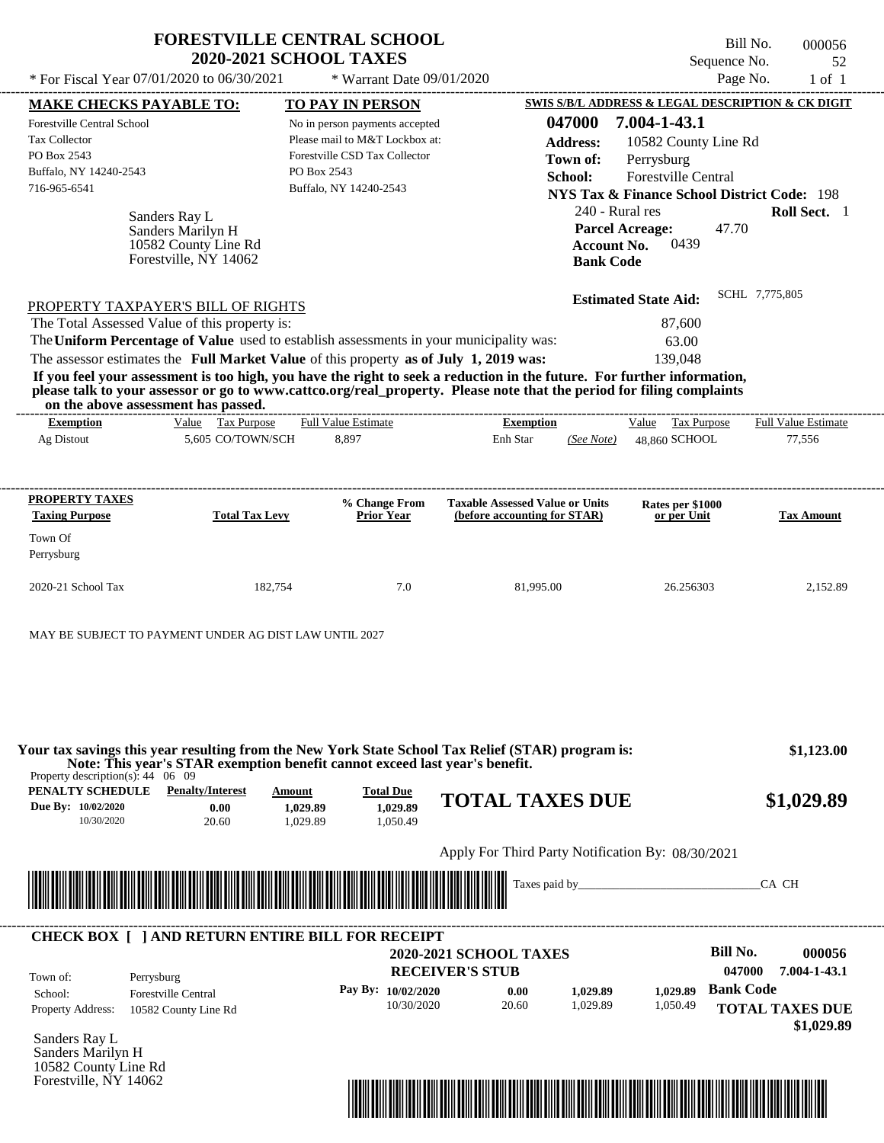|                                   |                                               | <b>2020-2021 SCHOOL TAXES</b>                                                                                                                                                                                                                    |                                        |                                                        | Sequence No.   | 52                                   |
|-----------------------------------|-----------------------------------------------|--------------------------------------------------------------------------------------------------------------------------------------------------------------------------------------------------------------------------------------------------|----------------------------------------|--------------------------------------------------------|----------------|--------------------------------------|
|                                   | * For Fiscal Year 07/01/2020 to 06/30/2021    | * Warrant Date 09/01/2020                                                                                                                                                                                                                        |                                        |                                                        | Page No.       | $1$ of $1$                           |
| <b>MAKE CHECKS PAYABLE TO:</b>    |                                               | TO PAY IN PERSON                                                                                                                                                                                                                                 |                                        | SWIS S/B/L ADDRESS & LEGAL DESCRIPTION & CK DIGIT      |                |                                      |
| <b>Forestville Central School</b> |                                               | No in person payments accepted                                                                                                                                                                                                                   | 047000                                 | 7.004-1-43.1                                           |                |                                      |
| <b>Tax Collector</b>              |                                               | Please mail to M&T Lockbox at:                                                                                                                                                                                                                   | <b>Address:</b>                        | 10582 County Line Rd                                   |                |                                      |
| PO Box 2543                       |                                               | Forestville CSD Tax Collector                                                                                                                                                                                                                    | Town of:                               | Perrysburg                                             |                |                                      |
| Buffalo, NY 14240-2543            |                                               | PO Box 2543                                                                                                                                                                                                                                      | School:                                | <b>Forestville Central</b>                             |                |                                      |
| 716-965-6541                      |                                               | Buffalo, NY 14240-2543                                                                                                                                                                                                                           |                                        | <b>NYS Tax &amp; Finance School District Code: 198</b> |                |                                      |
|                                   | Sanders Ray L                                 |                                                                                                                                                                                                                                                  |                                        | 240 - Rural res                                        |                | Roll Sect. 1                         |
|                                   | Sanders Marilyn H                             |                                                                                                                                                                                                                                                  |                                        | <b>Parcel Acreage:</b>                                 | 47.70          |                                      |
|                                   | 10582 County Line Rd                          |                                                                                                                                                                                                                                                  |                                        | 0439<br><b>Account No.</b>                             |                |                                      |
|                                   | Forestville, NY 14062                         |                                                                                                                                                                                                                                                  |                                        | <b>Bank Code</b>                                       |                |                                      |
|                                   |                                               |                                                                                                                                                                                                                                                  |                                        | <b>Estimated State Aid:</b>                            | SCHL 7,775,805 |                                      |
|                                   | PROPERTY TAXPAYER'S BILL OF RIGHTS            |                                                                                                                                                                                                                                                  |                                        |                                                        |                |                                      |
|                                   | The Total Assessed Value of this property is: |                                                                                                                                                                                                                                                  |                                        | 87,600                                                 |                |                                      |
|                                   |                                               | The Uniform Percentage of Value used to establish assessments in your municipality was:                                                                                                                                                          |                                        | 63.00                                                  |                |                                      |
|                                   |                                               | The assessor estimates the Full Market Value of this property as of July 1, 2019 was:                                                                                                                                                            |                                        | 139.048                                                |                |                                      |
|                                   | on the above assessment has passed.           | If you feel your assessment is too high, you have the right to seek a reduction in the future. For further information,<br>please talk to your assessor or go to www.cattco.org/real_property. Please note that the period for filing complaints |                                        |                                                        |                |                                      |
| <b>Exemption</b>                  | Value Tax Purpose<br>5,605 CO/TOWN/SCH        | <b>Full Value Estimate</b><br>8,897                                                                                                                                                                                                              | <b>Exemption</b><br>Enh Star           | Value Tax Purpose<br>(See Note)                        |                | <b>Full Value Estimate</b><br>77,556 |
| Ag Distout<br>PROPERTY TAXES      |                                               | % Change From                                                                                                                                                                                                                                    | <b>Taxable Assessed Value or Units</b> | 48.860 SCHOOL<br>Rates per \$1000                      |                |                                      |
| <b>Taxing Purpose</b>             | <b>Total Tax Levy</b>                         | <b>Prior Year</b>                                                                                                                                                                                                                                | (before accounting for STAR)           | or per Unit                                            |                | <b>Tax Amount</b>                    |
|                                   |                                               |                                                                                                                                                                                                                                                  |                                        |                                                        |                |                                      |
| Town Of<br>Perrysburg             |                                               |                                                                                                                                                                                                                                                  |                                        |                                                        |                |                                      |

| PENALTY SCHEDULE<br>Due By: 10/02/2020<br>10/30/2020 | <b>Penalty/Interest</b><br>0.00<br>20.60                | Amount<br>1,029.89<br>1.029.89                                                                                        | <b>Total Due</b><br>1,029.89<br>1,050.49 | <b>TOTAL TAXES DUE</b>                            |               |          | \$1,029.89             |
|------------------------------------------------------|---------------------------------------------------------|-----------------------------------------------------------------------------------------------------------------------|------------------------------------------|---------------------------------------------------|---------------|----------|------------------------|
|                                                      |                                                         |                                                                                                                       |                                          | Apply For Third Party Notification By: 08/30/2021 |               |          |                        |
|                                                      |                                                         |                                                                                                                       |                                          |                                                   |               |          |                        |
|                                                      |                                                         |                                                                                                                       |                                          |                                                   | Taxes paid by |          | CA CH                  |
|                                                      |                                                         | <u> Harry Harry Harry Harry Harry Harry Harry Harry Harry Harry Harry Harry Harry Harry Harry Harry Harry Harry H</u> |                                          | <u> III (III) maartala</u>                        |               |          |                        |
|                                                      | <b>CHECK BOX [ ] AND RETURN ENTIRE BILL FOR RECEIPT</b> |                                                                                                                       |                                          | <b>2020-2021 SCHOOL TAXES</b>                     |               |          | Bill No.<br>000056     |
|                                                      |                                                         |                                                                                                                       |                                          | <b>RECEIVER'S STUB</b>                            |               |          | 047000<br>7.004-1-43.1 |
| Town of:<br>School:                                  | Perrysburg<br><b>Forestville Central</b>                |                                                                                                                       | Pay By: 10/02/2020                       | 0.00                                              | 1,029.89      | 1,029.89 | <b>Bank Code</b>       |

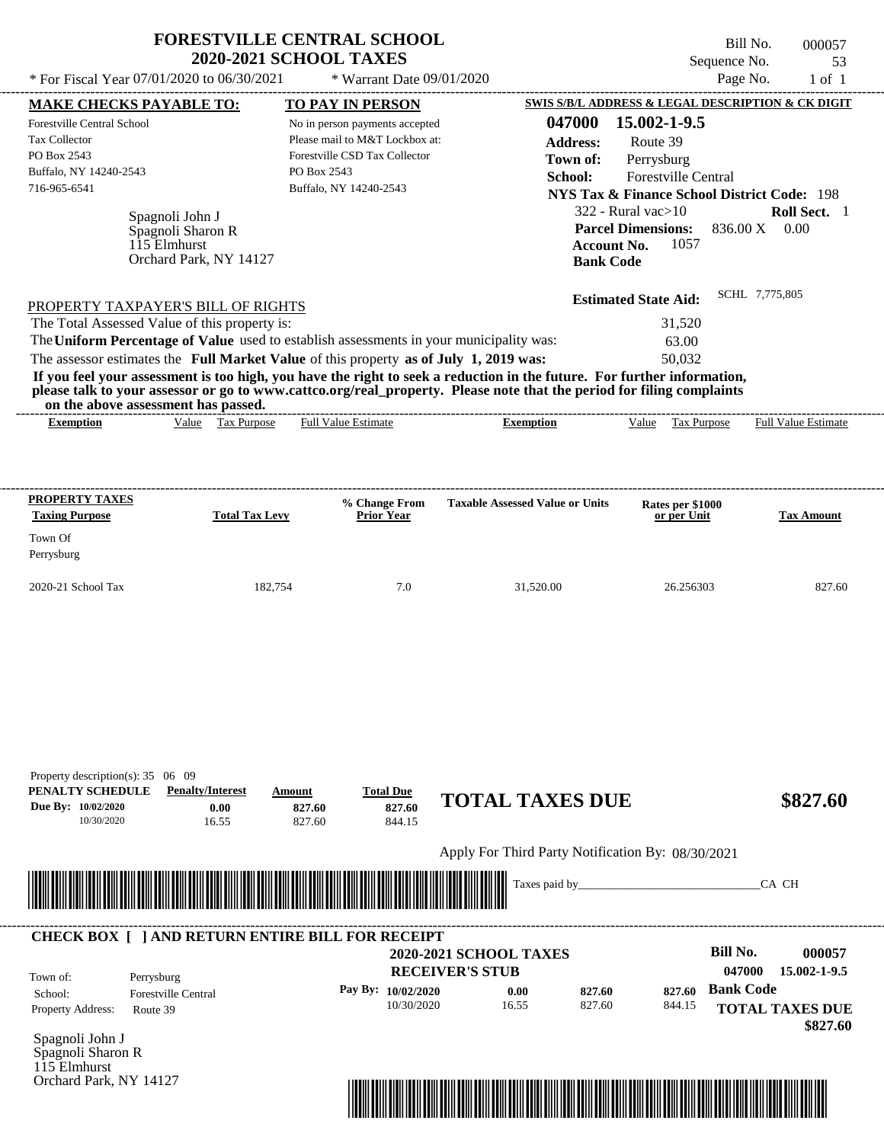|                                                                  |                                     | <b>FORESTVILLE CENTRAL SCHOOL</b><br><b>2020-2021 SCHOOL TAXES</b> |                                                                                                                                                                                                                                                  | Sequence No.                                           | Bill No.<br>000057<br>53 |
|------------------------------------------------------------------|-------------------------------------|--------------------------------------------------------------------|--------------------------------------------------------------------------------------------------------------------------------------------------------------------------------------------------------------------------------------------------|--------------------------------------------------------|--------------------------|
| * For Fiscal Year 07/01/2020 to 06/30/2021                       |                                     |                                                                    | * Warrant Date 09/01/2020                                                                                                                                                                                                                        | Page No.                                               | $1$ of $1$               |
| <b>MAKE CHECKS PAYABLE TO:</b>                                   |                                     | <b>TO PAY IN PERSON</b>                                            |                                                                                                                                                                                                                                                  | SWIS S/B/L ADDRESS & LEGAL DESCRIPTION & CK DIGIT      |                          |
| Forestville Central School                                       |                                     | No in person payments accepted                                     | 047000                                                                                                                                                                                                                                           | 15.002-1-9.5                                           |                          |
| Tax Collector                                                    |                                     | Please mail to M&T Lockbox at:                                     | <b>Address:</b>                                                                                                                                                                                                                                  | Route 39                                               |                          |
| PO Box 2543                                                      |                                     | Forestville CSD Tax Collector                                      | Town of:                                                                                                                                                                                                                                         | Perrysburg                                             |                          |
| Buffalo, NY 14240-2543                                           |                                     | PO Box 2543                                                        | School:                                                                                                                                                                                                                                          | <b>Forestville Central</b>                             |                          |
| 716-965-6541                                                     |                                     | Buffalo, NY 14240-2543                                             |                                                                                                                                                                                                                                                  | <b>NYS Tax &amp; Finance School District Code: 198</b> |                          |
|                                                                  | Spagnoli John J                     |                                                                    |                                                                                                                                                                                                                                                  | $322$ - Rural vac $>10$                                | Roll Sect. 1             |
|                                                                  | Spagnoli Sharon R                   |                                                                    |                                                                                                                                                                                                                                                  | <b>Parcel Dimensions:</b>                              | 836.00 X 0.00            |
|                                                                  | 115 Elmhurst                        |                                                                    |                                                                                                                                                                                                                                                  | 1057<br><b>Account No.</b>                             |                          |
|                                                                  | Orchard Park, NY 14127              |                                                                    |                                                                                                                                                                                                                                                  | <b>Bank Code</b>                                       |                          |
| PROPERTY TAXPAYER'S BILL OF RIGHTS                               |                                     |                                                                    |                                                                                                                                                                                                                                                  | <b>Estimated State Aid:</b>                            | SCHL 7,775,805           |
| The Total Assessed Value of this property is:                    |                                     |                                                                    |                                                                                                                                                                                                                                                  | 31,520                                                 |                          |
|                                                                  |                                     |                                                                    | The Uniform Percentage of Value used to establish assessments in your municipality was:                                                                                                                                                          | 63.00                                                  |                          |
|                                                                  |                                     |                                                                    | The assessor estimates the Full Market Value of this property as of July 1, 2019 was:                                                                                                                                                            | 50.032                                                 |                          |
|                                                                  | on the above assessment has passed. |                                                                    | If you feel your assessment is too high, you have the right to seek a reduction in the future. For further information,<br>please talk to your assessor or go to www.cattco.org/real_property. Please note that the period for filing complaints |                                                        |                          |
| <b>Exemption</b>                                                 | <b>Tax Purpose</b><br>Value         | <b>Full Value Estimate</b>                                         | <b>Exemption</b>                                                                                                                                                                                                                                 | Value<br>Tax Purpose                                   | Full Value Estimate      |
| PROPERTY TAXES<br><b>Taxing Purpose</b><br>Town Of<br>Perrysburg | <b>Total Tax Levy</b>               | % Change From<br>Prior Year                                        | <b>Taxable Assessed Value or Units</b>                                                                                                                                                                                                           | Rates per \$1000<br>or per Unit                        | <b>Tax Amount</b>        |
| 2020-21 School Tax                                               | 182,754                             | 7.0                                                                | 31,520.00                                                                                                                                                                                                                                        | 26.256303                                              | 827.60                   |
|                                                                  |                                     |                                                                    |                                                                                                                                                                                                                                                  |                                                        |                          |
| Property description(s): $35 \quad 06 \quad 09$                  |                                     |                                                                    |                                                                                                                                                                                                                                                  |                                                        |                          |

Apply For Third Party Notification By: 08/30/2021



827.60 **827.60**

## **RECEIVER'S STUB Bill No. 000057 Bank Code 827.60** Property Address: Route 39 Perrysburg School: Forestville Central **TOTAL TAXES DUE \$827.60 2020-2021 SCHOOL TAXES 047000 15.002-1-9.5 Pay By: 10/02/2020** 10/30/2020 16.55 **0.00** 827.60 **827.60** 844.15 Town of: ---------------------------------------------------------------------------------------------------------------------------------------------------------------------------------------------------- **CHECK BOX [ ] AND RETURN ENTIRE BILL FOR RECEIPT**

844.15

Spagnoli John J Spagnoli Sharon R 115 Elmhurst Orchard Park, NY 14127

10/30/2020 16.55

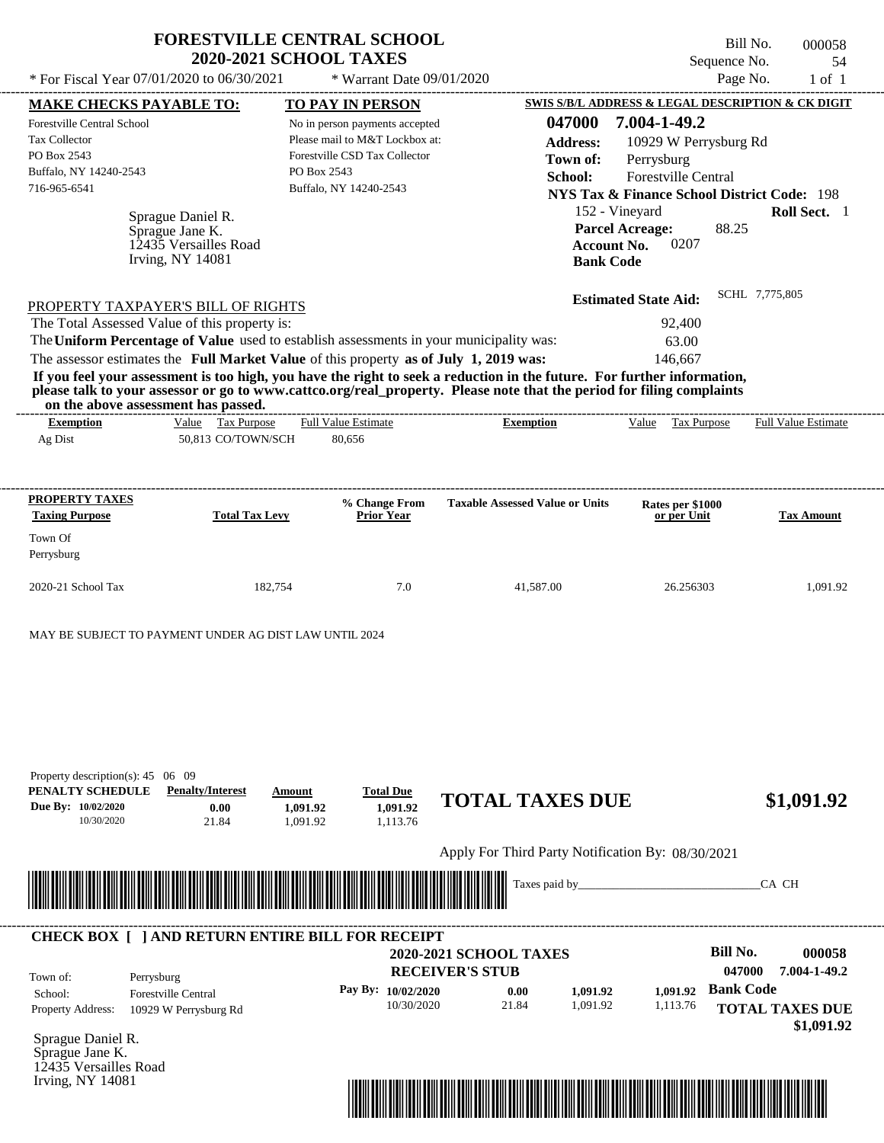| * For Fiscal Year 07/01/2020 to 06/30/2021                                                                  |                                                                                   | <b>FORESTVILLE CENTRAL SCHOOL</b><br><b>2020-2021 SCHOOL TAXES</b><br>* Warrant Date 09/01/2020                                                                                  |                                                                                                                         | Bill No.<br>Sequence No.<br>Page No.                                                                                                                                                   | 000058<br>54<br>$1$ of $1$ |
|-------------------------------------------------------------------------------------------------------------|-----------------------------------------------------------------------------------|----------------------------------------------------------------------------------------------------------------------------------------------------------------------------------|-------------------------------------------------------------------------------------------------------------------------|----------------------------------------------------------------------------------------------------------------------------------------------------------------------------------------|----------------------------|
| <b>MAKE CHECKS PAYABLE TO:</b>                                                                              |                                                                                   | TO PAY IN PERSON                                                                                                                                                                 |                                                                                                                         | SWIS S/B/L ADDRESS & LEGAL DESCRIPTION & CK DIGIT                                                                                                                                      |                            |
| <b>Forestville Central School</b><br>Tax Collector<br>PO Box 2543<br>Buffalo, NY 14240-2543<br>716-965-6541 | Sprague Daniel R.<br>Sprague Jane K.<br>12435 Versailles Road<br>Irving, NY 14081 | No in person payments accepted<br>Please mail to M&T Lockbox at:<br>Forestville CSD Tax Collector<br>PO Box 2543<br>Buffalo, NY 14240-2543                                       | 047000<br><b>Address:</b><br>Town of:<br>School:<br>152 - Vineyard<br><b>Account No.</b><br><b>Bank Code</b>            | 7.004-1-49.2<br>10929 W Perrysburg Rd<br>Perrysburg<br><b>Forestville Central</b><br><b>NYS Tax &amp; Finance School District Code: 198</b><br>88.25<br><b>Parcel Acreage:</b><br>0207 | Roll Sect. 1               |
| PROPERTY TAXPAYER'S BILL OF RIGHTS                                                                          |                                                                                   |                                                                                                                                                                                  |                                                                                                                         | <b>Estimated State Aid:</b>                                                                                                                                                            | SCHL 7,775,805             |
|                                                                                                             | The Total Assessed Value of this property is:                                     | The Uniform Percentage of Value used to establish assessments in your municipality was:<br>The assessor estimates the Full Market Value of this property as of July 1, 2019 was: | If you feel your assessment is too high, you have the right to seek a reduction in the future. For further information, | 92,400<br>63.00<br>146,667                                                                                                                                                             |                            |
|                                                                                                             | on the above assessment has passed.                                               |                                                                                                                                                                                  | please talk to your assessor or go to www.cattco.org/real_property. Please note that the period for filing complaints   |                                                                                                                                                                                        |                            |
| <b>Exemption</b>                                                                                            | Value Tax Purpose                                                                 | <b>Full Value Estimate</b>                                                                                                                                                       | <b>Exemption</b>                                                                                                        | Value Tax Purpose                                                                                                                                                                      | <b>Full Value Estimate</b> |
|                                                                                                             |                                                                                   |                                                                                                                                                                                  |                                                                                                                         |                                                                                                                                                                                        |                            |
| PROPERTY TAXES<br><b>Taxing Purpose</b>                                                                     | <b>Total Tax Levy</b>                                                             | % Change From<br><b>Prior Year</b>                                                                                                                                               | <b>Taxable Assessed Value or Units</b>                                                                                  | Rates per \$1000<br>or per Unit                                                                                                                                                        | <b>Tax Amount</b>          |
| Town Of<br>Perrysburg                                                                                       |                                                                                   |                                                                                                                                                                                  |                                                                                                                         |                                                                                                                                                                                        |                            |
| 2020-21 School Tax                                                                                          |                                                                                   | 182,754<br>7.0                                                                                                                                                                   | 41,587.00                                                                                                               | 26.256303                                                                                                                                                                              | 1,091.92                   |
| MAY BE SUBJECT TO PAYMENT UNDER AG DIST LAW UNTIL 2024                                                      |                                                                                   |                                                                                                                                                                                  |                                                                                                                         |                                                                                                                                                                                        |                            |
| Property description(s): $45 \quad 06 \quad 09$<br>PENALTY SCHEDULE                                         | <b>Penalty/Interest</b>                                                           | <b>Total Due</b><br>Amount                                                                                                                                                       |                                                                                                                         |                                                                                                                                                                                        |                            |
| Due By: 10/02/2020<br>10/30/2020                                                                            | 0.00<br>21.84                                                                     | 1,091.92<br>1,091.92<br>1,091.92<br>1,113.76                                                                                                                                     | <b>TOTAL TAXES DUE</b>                                                                                                  |                                                                                                                                                                                        | \$1,091.92                 |



| Town of:                                                 | Perrysburg                                          |         | <b>2020-2021 SCHOOL TAXES</b><br><b>RECEIVER'S STUB</b> |               |                      |                      | Bill No.<br>000058<br>7.004-1-49.2<br>047000             |
|----------------------------------------------------------|-----------------------------------------------------|---------|---------------------------------------------------------|---------------|----------------------|----------------------|----------------------------------------------------------|
| School:<br><b>Property Address:</b><br>Sprague Daniel R. | <b>Forestville Central</b><br>10929 W Perrysburg Rd | Pay By: | 10/02/2020<br>10/30/2020                                | 0.00<br>21.84 | 1.091.92<br>1.091.92 | 1.091.92<br>1,113.76 | <b>Bank Code</b><br><b>TOTAL TAXES DUE</b><br>\$1,091.92 |

Sprague Jane K. 12435 Versailles Road Irving, NY 14081

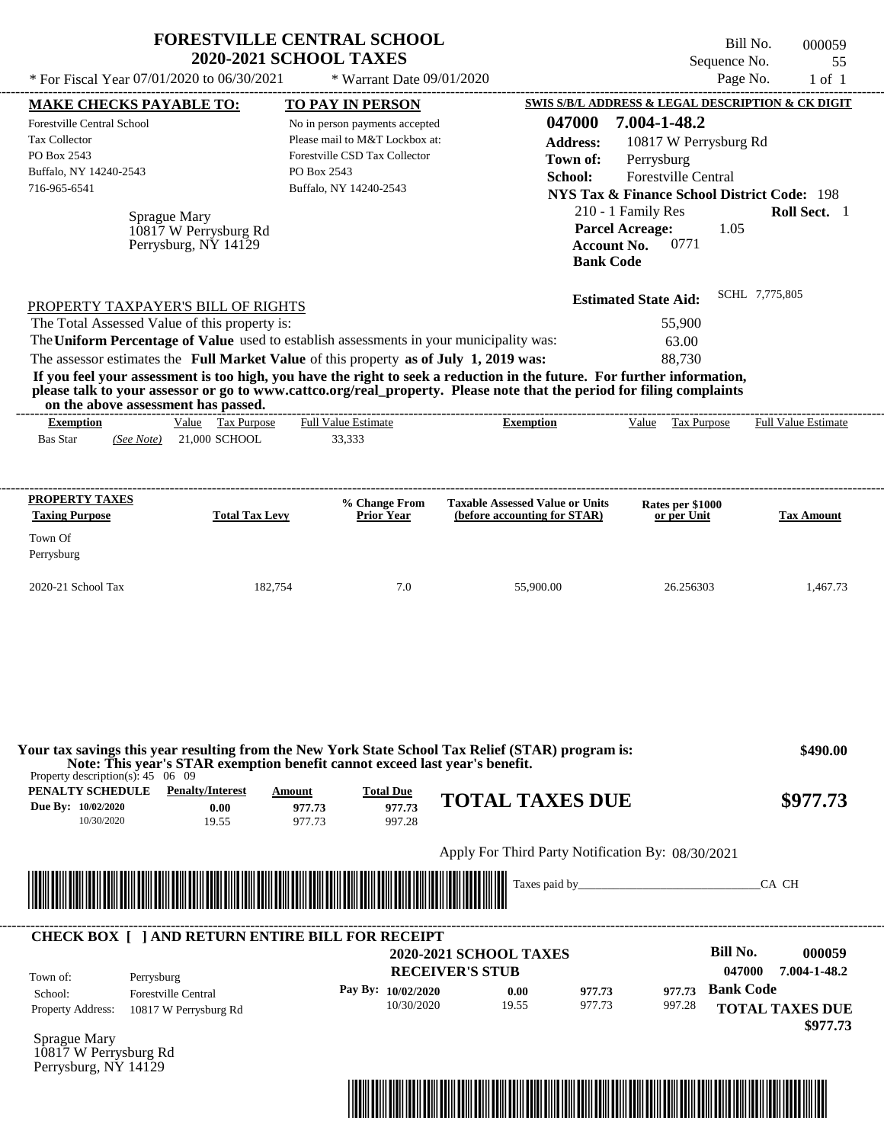| * For Fiscal Year 07/01/2020 to 06/30/2021                                                                                                                    | <b>FORESTVILLE CENTRAL SCHOOL</b><br><b>2020-2021 SCHOOL TAXES</b>                                                                                                                                    | * Warrant Date 09/01/2020                                                                                                                                             |                                                                                                                                                                                                                                                                      | Sequence No.<br>Page No.                                                                                                                                                                                                                                  | Bill No.<br>000059<br>55<br>$1$ of $1$                       |
|---------------------------------------------------------------------------------------------------------------------------------------------------------------|-------------------------------------------------------------------------------------------------------------------------------------------------------------------------------------------------------|-----------------------------------------------------------------------------------------------------------------------------------------------------------------------|----------------------------------------------------------------------------------------------------------------------------------------------------------------------------------------------------------------------------------------------------------------------|-----------------------------------------------------------------------------------------------------------------------------------------------------------------------------------------------------------------------------------------------------------|--------------------------------------------------------------|
| <b>MAKE CHECKS PAYABLE TO:</b><br><b>Forestville Central School</b><br>Tax Collector<br>PO Box 2543<br>Buffalo, NY 14240-2543<br>716-965-6541<br>Sprague Mary | 10817 W Perrysburg Rd<br>Perrysburg, NY 14129                                                                                                                                                         | <b>TO PAY IN PERSON</b><br>No in person payments accepted<br>Please mail to M&T Lockbox at:<br>Forestville CSD Tax Collector<br>PO Box 2543<br>Buffalo, NY 14240-2543 | 047000<br><b>Address:</b><br>Town of:<br>School:<br><b>Account No.</b><br><b>Bank Code</b>                                                                                                                                                                           | SWIS S/B/L ADDRESS & LEGAL DESCRIPTION & CK DIGIT<br>7.004-1-48.2<br>10817 W Perrysburg Rd<br>Perrysburg<br>Forestville Central<br><b>NYS Tax &amp; Finance School District Code: 198</b><br>210 - 1 Family Res<br><b>Parcel Acreage:</b><br>1.05<br>0771 | Roll Sect. 1                                                 |
| PROPERTY TAXPAYER'S BILL OF RIGHTS<br>The Total Assessed Value of this property is:<br>on the above assessment has passed.<br><b>Exemption</b>                | The Uniform Percentage of Value used to establish assessments in your municipality was:<br>The assessor estimates the Full Market Value of this property as of July 1, 2019 was:<br>Value Tax Purpose | ------------------------<br><b>Full Value Estimate</b>                                                                                                                | If you feel your assessment is too high, you have the right to seek a reduction in the future. For further information,<br>please talk to your assessor or go to www.cattco.org/real_property. Please note that the period for filing complaints<br><b>Exemption</b> | <b>Estimated State Aid:</b><br>55,900<br>63.00<br>88,730<br>Value Tax Purpose                                                                                                                                                                             | SCHL 7,775,805<br><b>Full Value Estimate</b>                 |
| Bas Star<br>(See Note)                                                                                                                                        | 21,000 SCHOOL                                                                                                                                                                                         | 33,333                                                                                                                                                                |                                                                                                                                                                                                                                                                      |                                                                                                                                                                                                                                                           |                                                              |
| PROPERTY TAXES<br><b>Taxing Purpose</b><br>Town Of<br>Perrysburg                                                                                              | <b>Total Tax Levy</b>                                                                                                                                                                                 | % Change From<br><b>Prior Year</b>                                                                                                                                    | <b>Taxable Assessed Value or Units</b><br>(before accounting for STAR)                                                                                                                                                                                               | Rates per \$1000<br>or per Unit                                                                                                                                                                                                                           | Tax Amount                                                   |
| 2020-21 School Tax                                                                                                                                            | 182,754                                                                                                                                                                                               | 7.0                                                                                                                                                                   | 55,900.00                                                                                                                                                                                                                                                            | 26.256303                                                                                                                                                                                                                                                 | 1,467.73                                                     |
|                                                                                                                                                               | Note: This year's STAR exemption benefit cannot exceed last year's benefit.                                                                                                                           |                                                                                                                                                                       | Your tax savings this year resulting from the New York State School Tax Relief (STAR) program is:                                                                                                                                                                    |                                                                                                                                                                                                                                                           | \$490.00                                                     |
| Property description(s): $45 \quad 06 \quad 09$<br><b>PENALTY SCHEDULE</b> Penalty/Interest<br>Due By: 10/02/2020<br>10/30/2020                               | Amount<br>0.00<br>977.73<br>19.55<br>977.73                                                                                                                                                           | <b>Total Due</b><br>977.73<br>997.28                                                                                                                                  | <b>TOTAL TAXES DUE</b>                                                                                                                                                                                                                                               |                                                                                                                                                                                                                                                           | \$977.73                                                     |
|                                                                                                                                                               |                                                                                                                                                                                                       |                                                                                                                                                                       | Apply For Third Party Notification By: 08/30/2021                                                                                                                                                                                                                    |                                                                                                                                                                                                                                                           |                                                              |
|                                                                                                                                                               |                                                                                                                                                                                                       |                                                                                                                                                                       |                                                                                                                                                                                                                                                                      |                                                                                                                                                                                                                                                           | CA CH                                                        |
| Town of:<br>Perrysburg<br><b>Forestville Central</b><br>School:<br><b>Property Address:</b><br>Sprague Mary<br>10817 W Perrysburg Rd<br>Perrysburg, NY 14129  | <b>CHECK BOX [ ] AND RETURN ENTIRE BILL FOR RECEIPT</b><br>10817 W Perrysburg Rd                                                                                                                      | Pay By: 10/02/2020<br>10/30/2020                                                                                                                                      | <b>2020-2021 SCHOOL TAXES</b><br><b>RECEIVER'S STUB</b><br>0.00<br>977.73<br>977.73<br>19.55                                                                                                                                                                         | <b>Bill No.</b><br>047000<br><b>Bank Code</b><br>977.73<br>997.28                                                                                                                                                                                         | 000059<br>7.004-1-48.2<br><b>TOTAL TAXES DUE</b><br>\$977.73 |

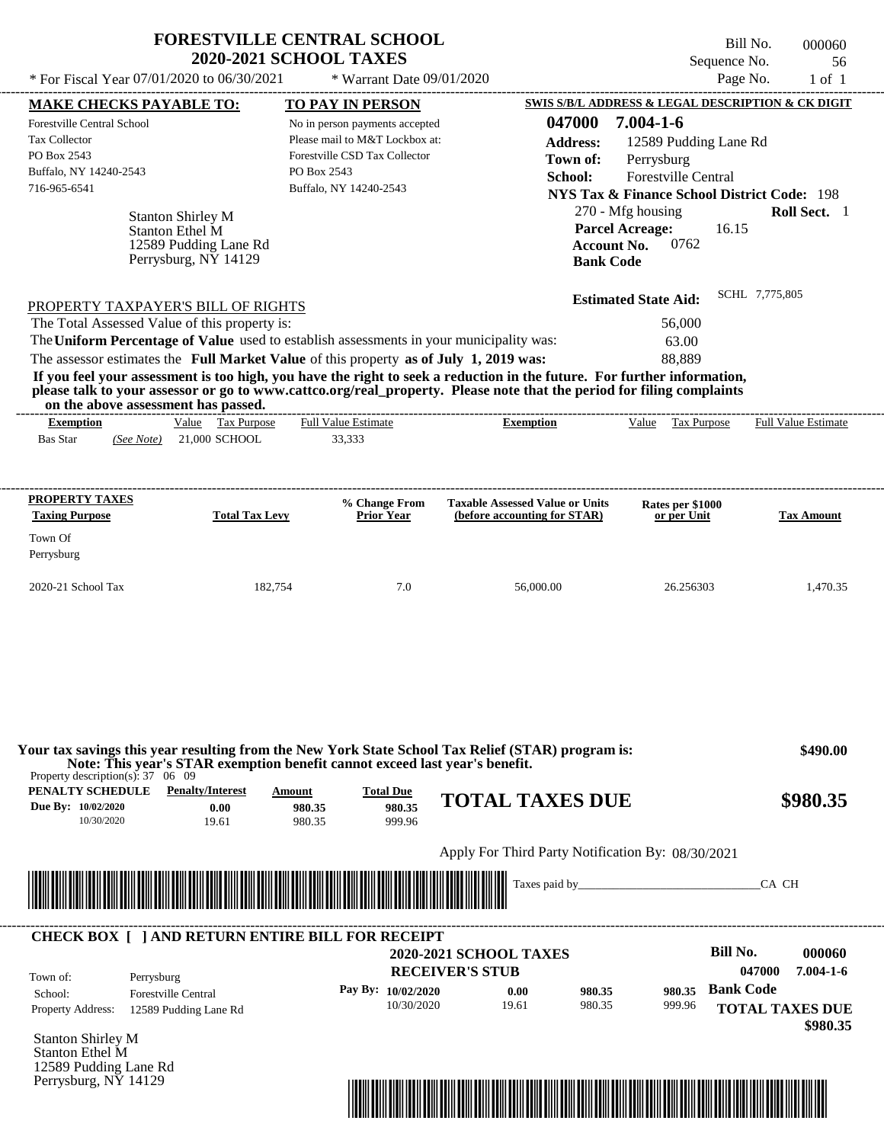| * For Fiscal Year 07/01/2020 to 06/30/2021                                                                                                                                                                                                                                                                                                                                                                                                                                                                                  | <b>FORESTVILLE CENTRAL SCHOOL</b><br><b>2020-2021 SCHOOL TAXES</b><br>* Warrant Date 09/01/2020                                                                |                                                                                                                      | Bill No.<br>Sequence No.<br>Page No.                                                                                                                                                                                                                     | 000060<br>56<br>$1$ of $1$ |
|-----------------------------------------------------------------------------------------------------------------------------------------------------------------------------------------------------------------------------------------------------------------------------------------------------------------------------------------------------------------------------------------------------------------------------------------------------------------------------------------------------------------------------|----------------------------------------------------------------------------------------------------------------------------------------------------------------|----------------------------------------------------------------------------------------------------------------------|----------------------------------------------------------------------------------------------------------------------------------------------------------------------------------------------------------------------------------------------------------|----------------------------|
|                                                                                                                                                                                                                                                                                                                                                                                                                                                                                                                             |                                                                                                                                                                |                                                                                                                      |                                                                                                                                                                                                                                                          |                            |
| <b>MAKE CHECKS PAYABLE TO:</b><br>Forestville Central School<br><b>Tax Collector</b><br>PO Box 2543<br>Buffalo, NY 14240-2543<br>716-965-6541<br><b>Stanton Shirley M</b><br>Stanton Ethel M<br>12589 Pudding Lane Rd<br>Perrysburg, NY 14129                                                                                                                                                                                                                                                                               | TO PAY IN PERSON<br>No in person payments accepted<br>Please mail to M&T Lockbox at:<br>Forestville CSD Tax Collector<br>PO Box 2543<br>Buffalo, NY 14240-2543 | 047000<br><b>Address:</b><br>Town of:<br>School:<br><b>Parcel Acreage:</b><br><b>Account No.</b><br><b>Bank Code</b> | <b>SWIS S/B/L ADDRESS &amp; LEGAL DESCRIPTION &amp; CK DIGIT</b><br>$7.004 - 1 - 6$<br>12589 Pudding Lane Rd<br>Perrysburg<br><b>Forestville Central</b><br><b>NYS Tax &amp; Finance School District Code: 198</b><br>270 - Mfg housing<br>16.15<br>0762 | Roll Sect. 1               |
| PROPERTY TAXPAYER'S BILL OF RIGHTS<br>The Total Assessed Value of this property is:<br>The Uniform Percentage of Value used to establish assessments in your municipality was:<br>The assessor estimates the Full Market Value of this property as of July 1, 2019 was:<br>If you feel your assessment is too high, you have the right to seek a reduction in the future. For further information,<br>please talk to your assessor or go to www.cattco.org/real_property. Please note that the period for filing complaints |                                                                                                                                                                |                                                                                                                      | <b>Estimated State Aid:</b><br>56,000<br>63.00<br>88,889                                                                                                                                                                                                 | SCHL 7,775,805             |
| on the above assessment has passed.<br>Value Tax Purpose<br><b>Exemption</b><br><b>Bas Star</b><br>21,000 SCHOOL<br>(See Note)                                                                                                                                                                                                                                                                                                                                                                                              | <b>Full Value Estimate</b><br>33,333                                                                                                                           | <b>Exemption</b>                                                                                                     | Value<br>Tax Purpose                                                                                                                                                                                                                                     | <b>Full Value Estimate</b> |
| PROPERTY TAXES<br><b>Taxing Purpose</b>                                                                                                                                                                                                                                                                                                                                                                                                                                                                                     | % Change From<br><b>Total Tax Levy</b><br><b>Prior Year</b>                                                                                                    | <b>Taxable Assessed Value or Units</b><br>(before accounting for STAR)                                               | Rates per \$1000<br>or per Unit                                                                                                                                                                                                                          | <b>Tax Amount</b>          |
| Town Of<br>Perrysburg                                                                                                                                                                                                                                                                                                                                                                                                                                                                                                       |                                                                                                                                                                |                                                                                                                      |                                                                                                                                                                                                                                                          |                            |
| 2020-21 School Tax                                                                                                                                                                                                                                                                                                                                                                                                                                                                                                          | 182,754<br>7.0                                                                                                                                                 | 56,000.00                                                                                                            | 26.256303                                                                                                                                                                                                                                                | 1,470.35                   |
| Your tax savings this year resulting from the New York State School Tax Relief (STAR) program is:                                                                                                                                                                                                                                                                                                                                                                                                                           | Note: This year's STAR exemption benefit cannot exceed last year's benefit.                                                                                    |                                                                                                                      |                                                                                                                                                                                                                                                          | \$490.00                   |

Apply For Third Party Notification By: 08/30/2021



| Town of:                 | Perrysburg                 | <b>2020-2021 SCHOOL TAXES</b><br><b>RECEIVER'S STUB</b> |       |        |        | Bill No.<br>047000     | 000060<br>$7.004 - 1 - 6$ |
|--------------------------|----------------------------|---------------------------------------------------------|-------|--------|--------|------------------------|---------------------------|
| School:                  | <b>Forestville Central</b> | Pay By: 10/02/2020                                      | 0.00  | 980.35 | 980.35 | <b>Bank Code</b>       |                           |
| <b>Property Address:</b> | 12589 Pudding Lane Rd      | 10/30/2020                                              | 19.61 | 980.35 | 999.96 | <b>TOTAL TAXES DUE</b> |                           |

Stanton Shirley M Stanton Ethel M 12589 Pudding Lane Rd Perrysburg, NY 14129

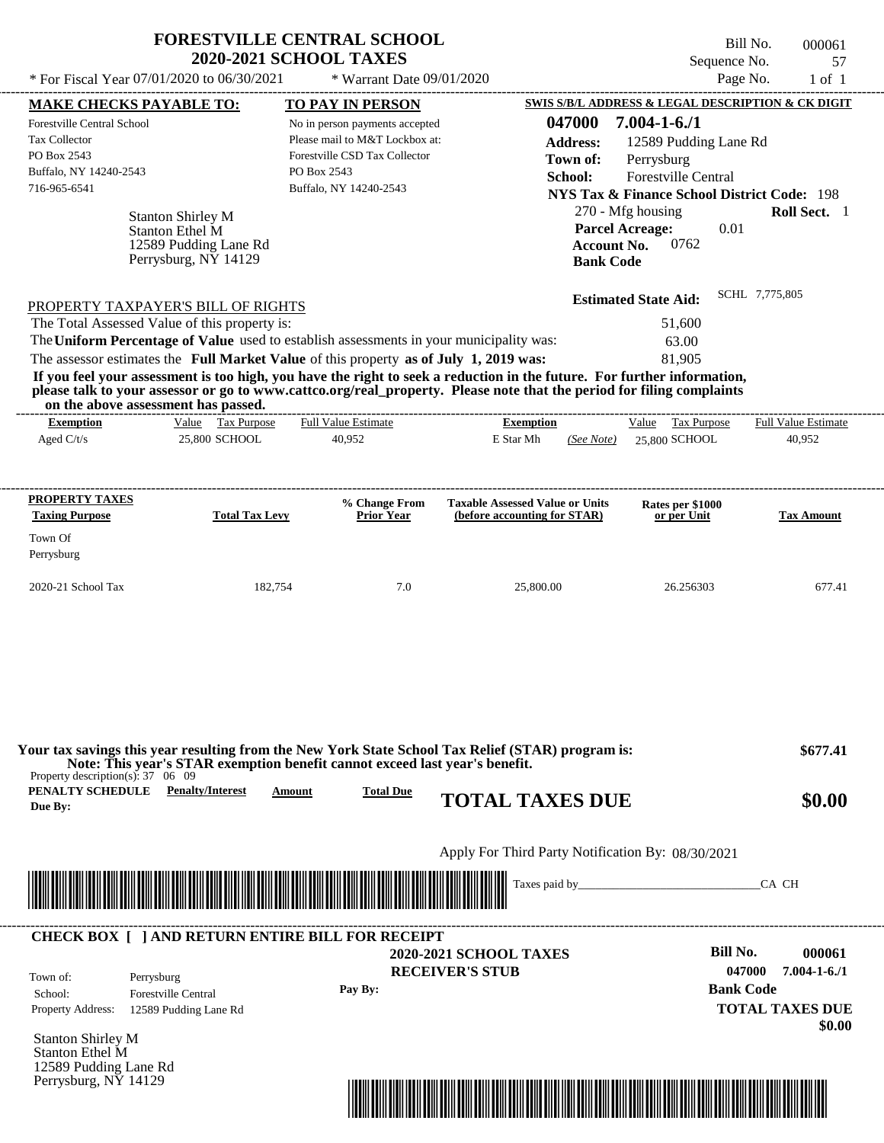| * For Fiscal Year $07/01/2020$ to $06/30/2021$                                                                                                                                                                                                                                          | <b>FORESTVILLE CENTRAL SCHOOL</b><br><b>2020-2021 SCHOOL TAXES</b><br>* Warrant Date 09/01/2020 |                         | Sequence No.                                                                                          | Bill No.<br>000061<br>57<br>Page No.<br>$1$ of $1$ |
|-----------------------------------------------------------------------------------------------------------------------------------------------------------------------------------------------------------------------------------------------------------------------------------------|-------------------------------------------------------------------------------------------------|-------------------------|-------------------------------------------------------------------------------------------------------|----------------------------------------------------|
| <b>MAKE CHECKS PAYABLE TO:</b>                                                                                                                                                                                                                                                          | <b>TO PAY IN PERSON</b>                                                                         |                         | SWIS S/B/L ADDRESS & LEGAL DESCRIPTION & CK DIGIT                                                     |                                                    |
| Forestville Central School                                                                                                                                                                                                                                                              | No in person payments accepted                                                                  | 047000                  | $7.004 - 1 - 6.71$                                                                                    |                                                    |
| <b>Tax Collector</b>                                                                                                                                                                                                                                                                    | Please mail to M&T Lockbox at:                                                                  | <b>Address:</b>         | 12589 Pudding Lane Rd                                                                                 |                                                    |
| PO Box 2543                                                                                                                                                                                                                                                                             | Forestville CSD Tax Collector                                                                   | Town of:                | Perrysburg                                                                                            |                                                    |
| Buffalo, NY 14240-2543                                                                                                                                                                                                                                                                  | PO Box 2543                                                                                     | School:                 | <b>Forestville Central</b>                                                                            |                                                    |
| 716-965-6541                                                                                                                                                                                                                                                                            | Buffalo, NY 14240-2543                                                                          |                         | <b>NYS Tax &amp; Finance School District Code: 198</b>                                                |                                                    |
| <b>Stanton Shirley M</b><br><b>Stanton Ethel M</b><br>12589 Pudding Lane Rd<br>Perrysburg, NY 14129                                                                                                                                                                                     |                                                                                                 |                         | 270 - Mfg housing<br><b>Parcel Acreage:</b><br>0.01<br>0762<br><b>Account No.</b><br><b>Bank Code</b> |                                                    |
| PROPERTY TAXPAYER'S BILL OF RIGHTS                                                                                                                                                                                                                                                      |                                                                                                 |                         | <b>Estimated State Aid:</b>                                                                           | SCHL 7,775,805                                     |
| The Total Assessed Value of this property is:                                                                                                                                                                                                                                           |                                                                                                 |                         | 51,600                                                                                                |                                                    |
| The Uniform Percentage of Value used to establish assessments in your municipality was:                                                                                                                                                                                                 |                                                                                                 |                         | 63.00                                                                                                 |                                                    |
| The assessor estimates the Full Market Value of this property as of July 1, 2019 was:                                                                                                                                                                                                   |                                                                                                 |                         | 81,905                                                                                                |                                                    |
| If you feel your assessment is too high, you have the right to seek a reduction in the future. For further information,<br>please talk to your assessor or go to www.cattco.org/real_property. Please note that the period for filing complaints<br>on the above assessment has passed. |                                                                                                 |                         |                                                                                                       |                                                    |
| <b>Exemption</b><br>Value Tax Purpose                                                                                                                                                                                                                                                   | <b>Full Value Estimate</b>                                                                      | <b>Exemption</b>        | Tax Purpose<br>Value                                                                                  | <b>Full Value Estimate</b>                         |
| Aged $C/t/s$<br>25,800 SCHOOL                                                                                                                                                                                                                                                           | 40,952                                                                                          | E Star Mh<br>(See Note) | 25,800 SCHOOL                                                                                         | 40,952                                             |

| <b>PROPERTY TAXES</b><br><b>Taxing Purpose</b> | <b>Total Tax Levy</b> | % Change From<br><b>Prior Year</b> | <b>Taxable Assessed Value or Units</b><br>(before accounting for STAR) | Rates per \$1000<br>or per Unit | <b>Tax Amount</b> |
|------------------------------------------------|-----------------------|------------------------------------|------------------------------------------------------------------------|---------------------------------|-------------------|
| Town Of<br>Perrysburg                          |                       |                                    |                                                                        |                                 |                   |
| $2020-21$ School Tax                           | 182.754               | 7.0                                | 25,800.00                                                              | 26.256303                       | 677.41            |

| Property description(s): 37 06 09               | Note: This year's STAR exemption benefit cannot exceed last year's benefit. |                                                                                                                      | Your tax savings this year resulting from the New York State School Tax Relief (STAR) program is: | \$677.41                     |
|-------------------------------------------------|-----------------------------------------------------------------------------|----------------------------------------------------------------------------------------------------------------------|---------------------------------------------------------------------------------------------------|------------------------------|
| PENALTY SCHEDULE<br>Due By:                     | <b>Penalty/Interest</b>                                                     | <b>Total Due</b><br>Amount                                                                                           | <b>TOTAL TAXES DUE</b>                                                                            | \$0.00                       |
|                                                 |                                                                             |                                                                                                                      | Apply For Third Party Notification By: 08/30/2021                                                 |                              |
|                                                 |                                                                             | <u> Tanzania di Baratta di Baratta di Baratta di Baratta di Baratta di Baratta di Baratta di Baratta di Baratta </u> | Taxes paid by____                                                                                 | CA CH                        |
|                                                 | <b>CHECK BOX [ ] AND RETURN ENTIRE BILL FOR RECEIPT</b>                     |                                                                                                                      | <b>2020-2021 SCHOOL TAXES</b>                                                                     | Bill No.<br>000061           |
| Town of:                                        | Perrysburg                                                                  |                                                                                                                      | <b>RECEIVER'S STUB</b>                                                                            | 047000<br>$7.004 - 1 - 6.71$ |
|                                                 | <b>Forestville Central</b>                                                  | Pay By:                                                                                                              |                                                                                                   | <b>Bank Code</b>             |
| School:                                         |                                                                             |                                                                                                                      |                                                                                                   | <b>TOTAL TAXES DUE</b>       |
| <b>Property Address:</b>                        | 12589 Pudding Lane Rd                                                       |                                                                                                                      |                                                                                                   | \$0.00                       |
| <b>Stanton Shirley M</b>                        |                                                                             |                                                                                                                      |                                                                                                   |                              |
| <b>Stanton Ethel M</b><br>12589 Pudding Lane Rd |                                                                             |                                                                                                                      |                                                                                                   |                              |

\*04700000006100000000000000\*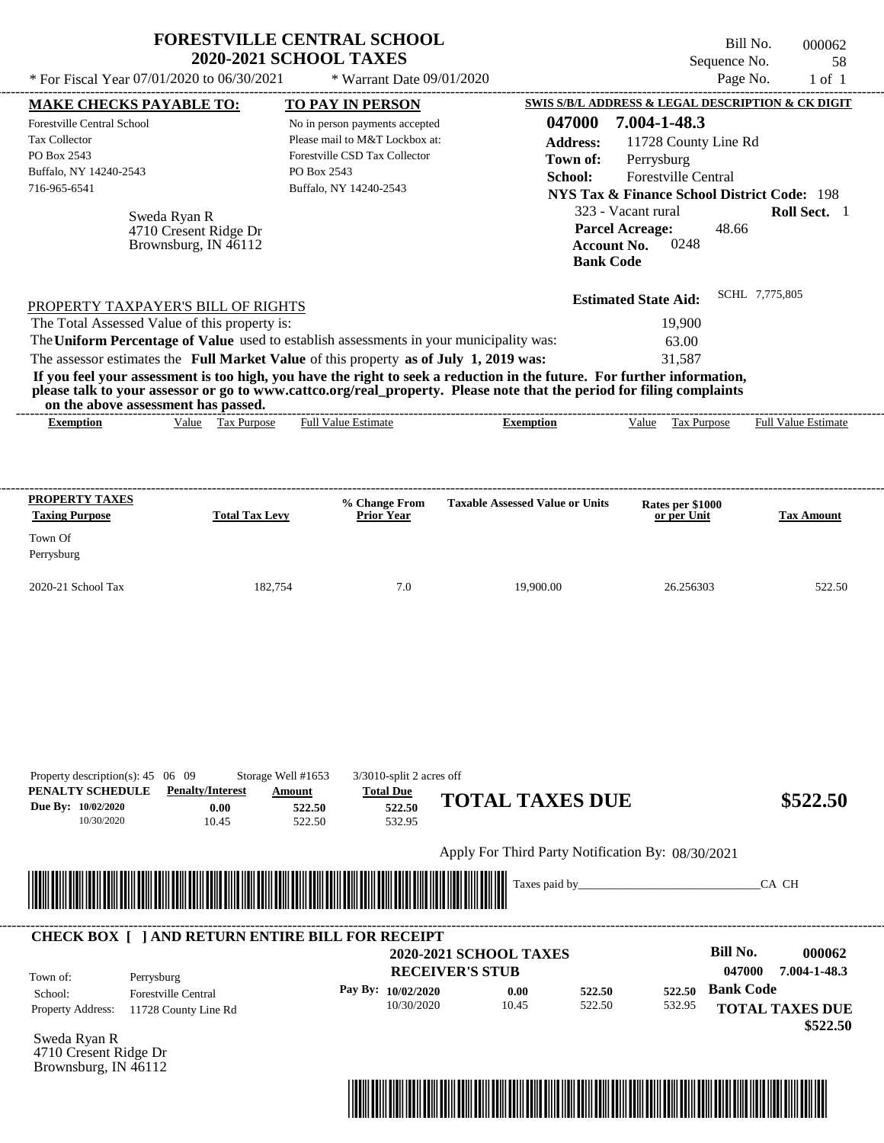|                                                                                                                                                                                           | <b>FORESTVILLE CENTRAL SCHOOL</b>                                                                                                                                                                                                                                                                                                                                                                                                                                                                                                                                  | <b>2020-2021 SCHOOL TAXES</b>                                                                                                                                  |                                                                |                                                   |                                                                                                                                                                                                                                                                                            | Bill No.<br>Sequence No.                      | 000062<br>58                                                 |
|-------------------------------------------------------------------------------------------------------------------------------------------------------------------------------------------|--------------------------------------------------------------------------------------------------------------------------------------------------------------------------------------------------------------------------------------------------------------------------------------------------------------------------------------------------------------------------------------------------------------------------------------------------------------------------------------------------------------------------------------------------------------------|----------------------------------------------------------------------------------------------------------------------------------------------------------------|----------------------------------------------------------------|---------------------------------------------------|--------------------------------------------------------------------------------------------------------------------------------------------------------------------------------------------------------------------------------------------------------------------------------------------|-----------------------------------------------|--------------------------------------------------------------|
| * For Fiscal Year 07/01/2020 to 06/30/2021                                                                                                                                                |                                                                                                                                                                                                                                                                                                                                                                                                                                                                                                                                                                    |                                                                                                                                                                | * Warrant Date 09/01/2020                                      |                                                   |                                                                                                                                                                                                                                                                                            | Page No.                                      | $1$ of $1$                                                   |
| <b>MAKE CHECKS PAYABLE TO:</b><br>Forestville Central School<br>Tax Collector<br>PO Box 2543<br>Buffalo, NY 14240-2543<br>716-965-6541                                                    | Sweda Ryan R<br>4710 Cresent Ridge Dr<br>Brownsburg, IN 46112                                                                                                                                                                                                                                                                                                                                                                                                                                                                                                      | TO PAY IN PERSON<br>No in person payments accepted<br>Please mail to M&T Lockbox at:<br>Forestville CSD Tax Collector<br>PO Box 2543<br>Buffalo, NY 14240-2543 |                                                                | 047000<br><b>Address:</b><br>Town of:<br>School:  | SWIS S/B/L ADDRESS & LEGAL DESCRIPTION & CK DIGIT<br>7.004-1-48.3<br>11728 County Line Rd<br>Perrysburg<br>Forestville Central<br><b>NYS Tax &amp; Finance School District Code: 198</b><br>323 - Vacant rural<br><b>Parcel Acreage:</b><br><b>Account No.</b><br>0248<br><b>Bank Code</b> | 48.66                                         | Roll Sect. 1                                                 |
|                                                                                                                                                                                           | PROPERTY TAXPAYER'S BILL OF RIGHTS<br>The Total Assessed Value of this property is:<br>The Uniform Percentage of Value used to establish assessments in your municipality was:<br>The assessor estimates the Full Market Value of this property as of July 1, 2019 was:<br>If you feel your assessment is too high, you have the right to seek a reduction in the future. For further information,<br>please talk to your assessor or go to www.cattco.org/real_property. Please note that the period for filing complaints<br>on the above assessment has passed. |                                                                                                                                                                |                                                                |                                                   | <b>Estimated State Aid:</b><br>19,900<br>63.00<br>31,587                                                                                                                                                                                                                                   | SCHL 7,775,805                                |                                                              |
| <b>Exemption</b>                                                                                                                                                                          | Value Tax Purpose                                                                                                                                                                                                                                                                                                                                                                                                                                                                                                                                                  | <b>Full Value Estimate</b>                                                                                                                                     |                                                                | <b>Exemption</b>                                  | Value Tax Purpose                                                                                                                                                                                                                                                                          |                                               | <b>Full Value Estimate</b>                                   |
| Town Of<br>Perrysburg<br>2020-21 School Tax                                                                                                                                               | 182,754                                                                                                                                                                                                                                                                                                                                                                                                                                                                                                                                                            |                                                                                                                                                                | 7.0                                                            | 19,900.00                                         | 26.256303                                                                                                                                                                                                                                                                                  |                                               | 522.50                                                       |
| Property description(s): $45 \quad 06 \quad 09$<br>PENALTY SCHEDULE<br>Due Bv: 10/02/2020<br>10/30/2020                                                                                   | <b>Penalty/Interest</b><br>0.00<br>10.45                                                                                                                                                                                                                                                                                                                                                                                                                                                                                                                           | Storage Well #1653<br><b>Total Due</b><br>Amount<br>522.50<br>522.50<br>522.50<br>532.95                                                                       | $3/3010$ -split 2 acres off                                    | <b>TOTAL TAXES DUE</b>                            |                                                                                                                                                                                                                                                                                            |                                               | \$522.50                                                     |
|                                                                                                                                                                                           |                                                                                                                                                                                                                                                                                                                                                                                                                                                                                                                                                                    |                                                                                                                                                                |                                                                | Apply For Third Party Notification By: 08/30/2021 |                                                                                                                                                                                                                                                                                            |                                               |                                                              |
|                                                                                                                                                                                           |                                                                                                                                                                                                                                                                                                                                                                                                                                                                                                                                                                    |                                                                                                                                                                |                                                                | Taxes paid by_                                    |                                                                                                                                                                                                                                                                                            | CA CH                                         |                                                              |
| <b>CHECK BOX [ ] AND RETURN ENTIRE BILL FOR RECEIPT</b><br>Town of:<br>Perrysburg<br>School:<br><b>Property Address:</b><br>Sweda Ryan R<br>4710 Cresent Ridge Dr<br>Brownsburg, IN 46112 | <b>Forestville Central</b><br>11728 County Line Rd                                                                                                                                                                                                                                                                                                                                                                                                                                                                                                                 | Pay By: 10/02/2020                                                                                                                                             | 2020-2021 SCHOOL TAXES<br><b>RECEIVER'S STUB</b><br>10/30/2020 | 0.00<br>522.50<br>522.50<br>10.45                 | 522.50<br>532.95                                                                                                                                                                                                                                                                           | <b>Bill No.</b><br>047000<br><b>Bank Code</b> | 000062<br>7.004-1-48.3<br><b>TOTAL TAXES DUE</b><br>\$522.50 |

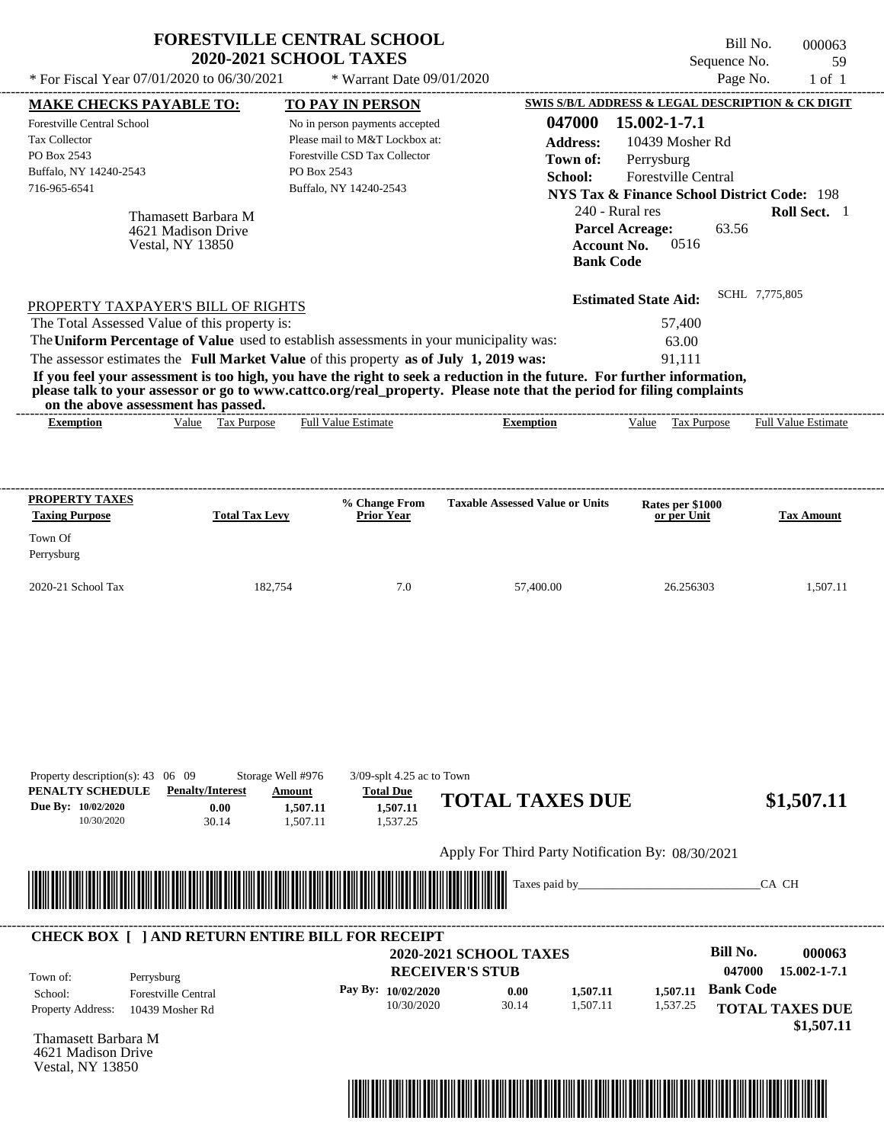| * For Fiscal Year 07/01/2020 to 06/30/2021                                                                                             |                                                                      | <b>FORESTVILLE CENTRAL SCHOOL</b><br><b>2020-2021 SCHOOL TAXES</b>                                                                                                               |                                                                                                                                                                                                                                                  | Bill No.<br>Sequence No.                                                                                                                                                                                                              | 000063<br>59               |
|----------------------------------------------------------------------------------------------------------------------------------------|----------------------------------------------------------------------|----------------------------------------------------------------------------------------------------------------------------------------------------------------------------------|--------------------------------------------------------------------------------------------------------------------------------------------------------------------------------------------------------------------------------------------------|---------------------------------------------------------------------------------------------------------------------------------------------------------------------------------------------------------------------------------------|----------------------------|
|                                                                                                                                        |                                                                      | * Warrant Date 09/01/2020                                                                                                                                                        |                                                                                                                                                                                                                                                  | Page No.                                                                                                                                                                                                                              | $1$ of $1$                 |
| <b>MAKE CHECKS PAYABLE TO:</b><br>Forestville Central School<br>Tax Collector<br>PO Box 2543<br>Buffalo, NY 14240-2543<br>716-965-6541 | Thamasett Barbara M<br>4621 Madison Drive<br><b>Vestal, NY 13850</b> | TO PAY IN PERSON<br>No in person payments accepted<br>Please mail to M&T Lockbox at:<br>Forestville CSD Tax Collector<br>PO Box 2543<br>Buffalo, NY 14240-2543                   | 047000<br><b>Address:</b><br>Town of:<br>School:<br>240 - Rural res<br><b>Account No.</b><br><b>Bank Code</b>                                                                                                                                    | SWIS S/B/L ADDRESS & LEGAL DESCRIPTION & CK DIGIT<br>15.002-1-7.1<br>10439 Mosher Rd<br>Perrysburg<br><b>Forestville Central</b><br><b>NYS Tax &amp; Finance School District Code: 198</b><br><b>Parcel Acreage:</b><br>63.56<br>0516 | Roll Sect. 1               |
| PROPERTY TAXPAYER'S BILL OF RIGHTS<br>The Total Assessed Value of this property is:                                                    |                                                                      | The Uniform Percentage of Value used to establish assessments in your municipality was:<br>The assessor estimates the Full Market Value of this property as of July 1, 2019 was: | If you feel your assessment is too high, you have the right to seek a reduction in the future. For further information,<br>please talk to your assessor or go to www.cattco.org/real_property. Please note that the period for filing complaints | <b>Estimated State Aid:</b><br>57,400<br>63.00<br>91,111                                                                                                                                                                              | SCHL 7,775,805             |
| on the above assessment has passed.<br><b>Exemption</b>                                                                                | Value Tax Purpose                                                    | <b>Full Value Estimate</b>                                                                                                                                                       | <b>Exemption</b>                                                                                                                                                                                                                                 | Value Tax Purpose                                                                                                                                                                                                                     | <b>Full Value Estimate</b> |
| <b>PROPERTY TAXES</b><br><b>Taxing Purpose</b><br>Town Of<br>Perrysburg                                                                | <b>Total Tax Levy</b>                                                | % Change From<br><b>Prior Year</b>                                                                                                                                               | <b>Taxable Assessed Value or Units</b>                                                                                                                                                                                                           | Rates per \$1000<br>or per Unit                                                                                                                                                                                                       | <b>Tax Amount</b>          |
| 2020-21 School Tax                                                                                                                     | 182,754                                                              | 7.0                                                                                                                                                                              | 57,400.00                                                                                                                                                                                                                                        | 26.256303                                                                                                                                                                                                                             | 1,507.11                   |
| Property description(s): 43 06 09<br>PENALTY SCHEDULE<br>Due By: 10/02/2020<br>10/30/2020                                              | Storage Well #976<br><b>Penalty/Interest</b><br>0.00<br>30.14        | $3/09$ -splt 4.25 ac to Town<br><b>Total Due</b><br>Amount<br>1,507.11<br>1,507.11<br>1,507.11<br>1,537.25                                                                       | <b>TOTAL TAXES DUE</b>                                                                                                                                                                                                                           |                                                                                                                                                                                                                                       | \$1,507.11                 |
|                                                                                                                                        |                                                                      |                                                                                                                                                                                  | Apply For Third Party Notification By: 08/30/2021                                                                                                                                                                                                |                                                                                                                                                                                                                                       |                            |
| <u> III de la contrada de la contrada de la contrada de la contrada de la contrada de la contrada de la contrada</u>                   |                                                                      |                                                                                                                                                                                  | Taxes paid by_                                                                                                                                                                                                                                   |                                                                                                                                                                                                                                       | CA CH                      |
|                                                                                                                                        |                                                                      | <b>CHECK BOX [ ] AND RETURN ENTIRE BILL FOR RECEIPT</b>                                                                                                                          | 2020-2021 SCHOOL TAXES<br><b>RECEIVER'S STUB</b>                                                                                                                                                                                                 | <b>Bill No.</b><br>047000                                                                                                                                                                                                             | 000063<br>15.002-1-7.1     |
| Town of:<br>Perrysburg<br>School:<br>Property Address:                                                                                 | <b>Forestville Central</b><br>$10439$ Mosher Rd                      | Pay By: 10/02/2020<br>10/30/2020                                                                                                                                                 | 1,507.11<br>0.00<br>30.14<br>1,507.11                                                                                                                                                                                                            | <b>Bank Code</b><br>1,507.11<br>1,537.25                                                                                                                                                                                              | <b>TOTAL TAXES DHE</b>     |

| School:                  | <b>Forestville Central</b> |
|--------------------------|----------------------------|
| <b>Property Address:</b> | 10439 Mosher Rd            |

Thamasett Barbara M 4621 Madison Drive Vestal, NY 13850



**TOTAL TAXES DUE**

 **\$1,507.11**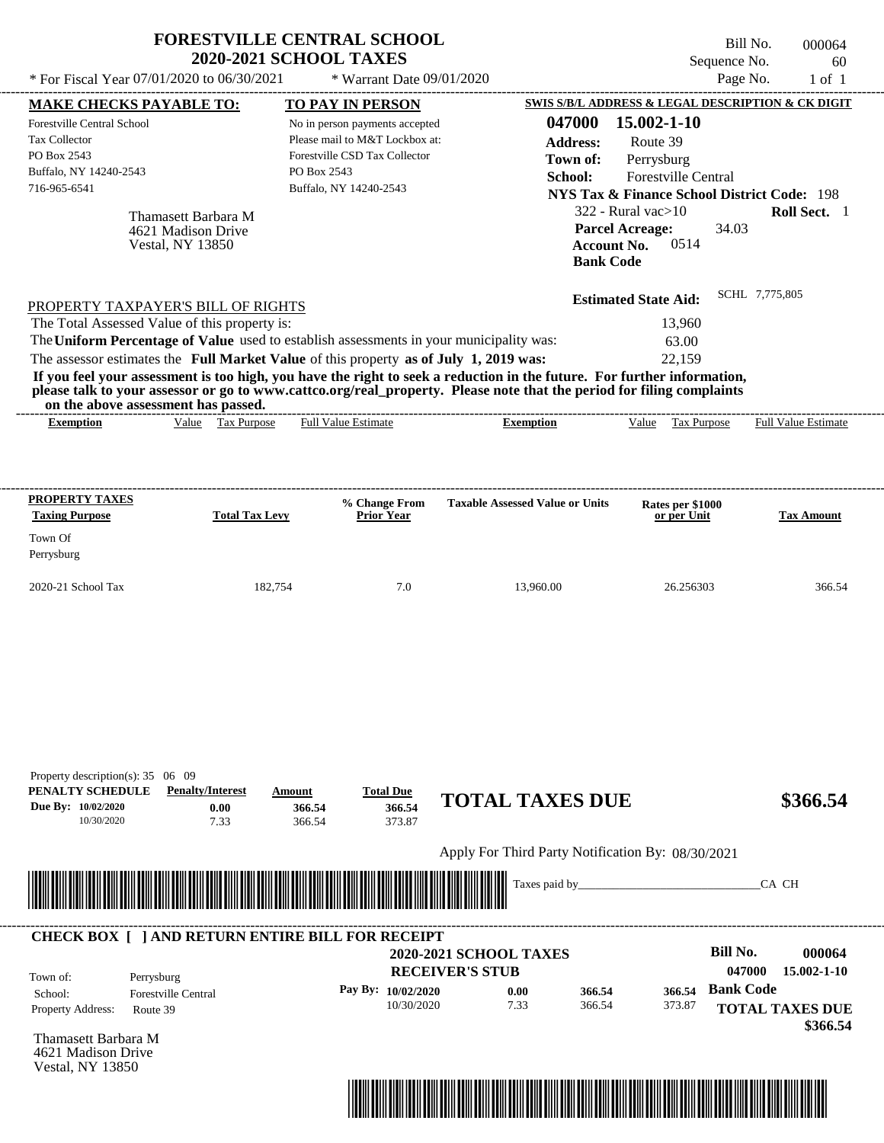|                                                                                                                                                                                                                                                                         |                                                                      | <b>2020-2021 SCHOOL TAXES</b> | <b>FORESTVILLE CENTRAL SCHOOL</b>                                                                                           |                                                                                                                                                                                                                                                  |                                                                                                                                                                                                                              | Bill No.<br>Sequence No. | 000064<br>60               |
|-------------------------------------------------------------------------------------------------------------------------------------------------------------------------------------------------------------------------------------------------------------------------|----------------------------------------------------------------------|-------------------------------|-----------------------------------------------------------------------------------------------------------------------------|--------------------------------------------------------------------------------------------------------------------------------------------------------------------------------------------------------------------------------------------------|------------------------------------------------------------------------------------------------------------------------------------------------------------------------------------------------------------------------------|--------------------------|----------------------------|
| * For Fiscal Year 07/01/2020 to 06/30/2021                                                                                                                                                                                                                              |                                                                      |                               | * Warrant Date 09/01/2020                                                                                                   |                                                                                                                                                                                                                                                  |                                                                                                                                                                                                                              | Page No.                 | $1$ of $1$                 |
| <b>MAKE CHECKS PAYABLE TO:</b>                                                                                                                                                                                                                                          |                                                                      |                               | TO PAY IN PERSON                                                                                                            |                                                                                                                                                                                                                                                  | SWIS S/B/L ADDRESS & LEGAL DESCRIPTION & CK DIGIT                                                                                                                                                                            |                          |                            |
| Forestville Central School<br>Tax Collector<br>PO Box 2543<br>Buffalo, NY 14240-2543<br>716-965-6541                                                                                                                                                                    | Thamasett Barbara M<br>4621 Madison Drive<br><b>Vestal, NY 13850</b> | PO Box 2543                   | No in person payments accepted<br>Please mail to M&T Lockbox at:<br>Forestville CSD Tax Collector<br>Buffalo, NY 14240-2543 | 047000<br><b>Address:</b><br>Town of:<br>School:                                                                                                                                                                                                 | 15.002-1-10<br>Route 39<br>Perrysburg<br>Forestville Central<br><b>NYS Tax &amp; Finance School District Code: 198</b><br>$322 - Rural vac > 10$<br><b>Parcel Acreage:</b><br>0514<br><b>Account No.</b><br><b>Bank Code</b> | 34.03                    | Roll Sect. 1               |
| PROPERTY TAXPAYER'S BILL OF RIGHTS<br>The Total Assessed Value of this property is:<br>The Uniform Percentage of Value used to establish assessments in your municipality was:<br>The assessor estimates the Full Market Value of this property as of July 1, 2019 was: |                                                                      |                               |                                                                                                                             |                                                                                                                                                                                                                                                  | <b>Estimated State Aid:</b><br>13,960<br>63.00<br>22,159                                                                                                                                                                     | SCHL 7,775,805           |                            |
| on the above assessment has passed.                                                                                                                                                                                                                                     |                                                                      |                               |                                                                                                                             | If you feel your assessment is too high, you have the right to seek a reduction in the future. For further information,<br>please talk to your assessor or go to www.cattco.org/real_property. Please note that the period for filing complaints |                                                                                                                                                                                                                              |                          |                            |
| Exemption                                                                                                                                                                                                                                                               | Value Tax Purpose                                                    |                               | <b>Full Value Estimate</b>                                                                                                  | <b>Exemption</b>                                                                                                                                                                                                                                 | Value<br>Tax Purpose                                                                                                                                                                                                         |                          | <b>Full Value Estimate</b> |
| PROPERTY TAXES<br><b>Taxing Purpose</b><br>Town Of<br>Perrysburg                                                                                                                                                                                                        |                                                                      | <b>Total Tax Levy</b>         | % Change From<br><b>Prior Year</b>                                                                                          | <b>Taxable Assessed Value or Units</b>                                                                                                                                                                                                           | Rates per \$1000<br>or per Unit                                                                                                                                                                                              |                          | <b>Tax Amount</b>          |
| 2020-21 School Tax                                                                                                                                                                                                                                                      |                                                                      | 182,754                       | 7.0                                                                                                                         | 13,960.00                                                                                                                                                                                                                                        | 26.256303                                                                                                                                                                                                                    |                          | 366.54                     |
| Property description(s): 35 06 09<br>PENALTY SCHEDULE<br>Due By: 10/02/2020<br>10/30/2020                                                                                                                                                                               | <b>Penalty/Interest</b><br>0.00<br>7.33                              | Amount<br>366.54<br>366.54    | <b>Total Due</b><br>366.54<br>373.87                                                                                        | <b>TOTAL TAXES DUE</b>                                                                                                                                                                                                                           |                                                                                                                                                                                                                              |                          | \$366.54                   |
|                                                                                                                                                                                                                                                                         |                                                                      |                               |                                                                                                                             | Apply For Third Party Notification By: 08/30/2021<br>Taxes paid by_                                                                                                                                                                              |                                                                                                                                                                                                                              | CA CH                    |                            |



Thamasett Barbara M 4621 Madison Drive Vestal, NY 13850

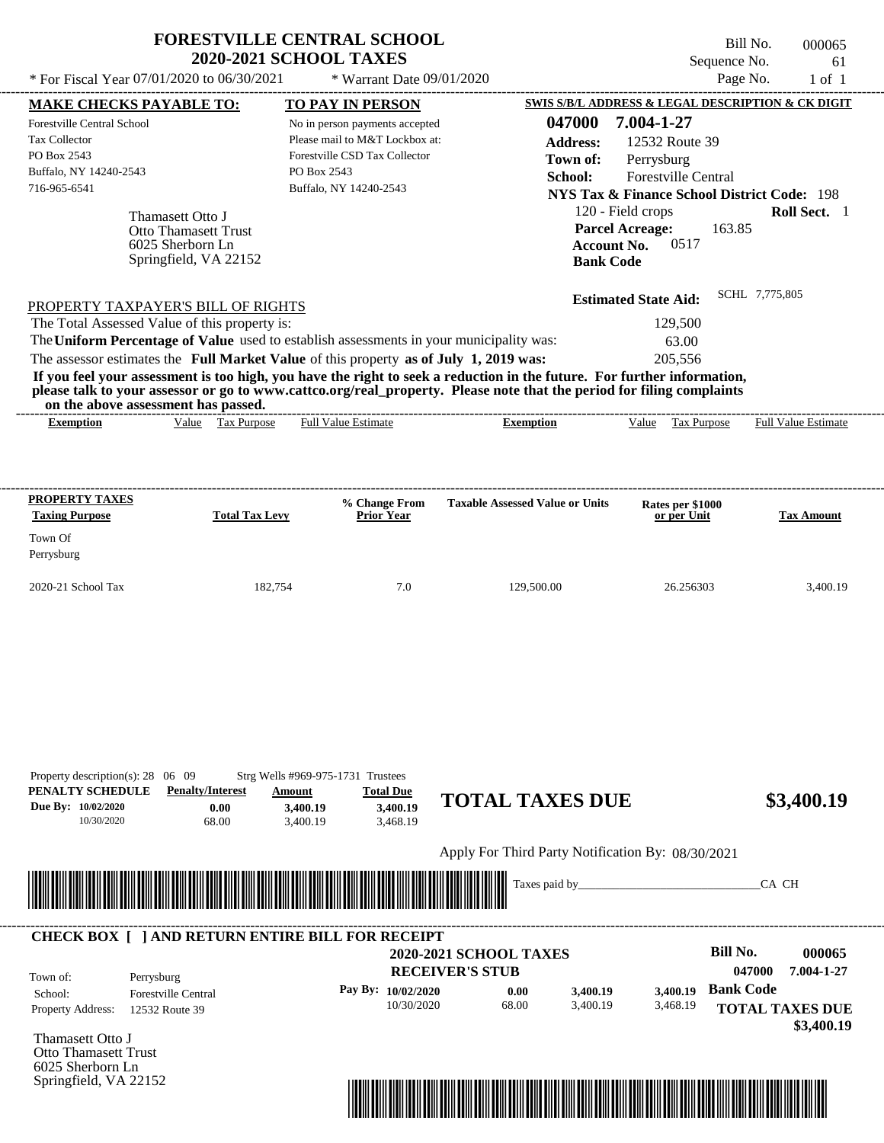|                                                                                                                              | <b>2020-2021 SCHOOL TAXES</b>                                                                | <b>FORESTVILLE CENTRAL SCHOOL</b>                                                                                                          |                                          |                                                                                                                                                                                                                                                  | Sequence No.                                                                                                                                                                                        | Bill No.<br>000065<br>61   |
|------------------------------------------------------------------------------------------------------------------------------|----------------------------------------------------------------------------------------------|--------------------------------------------------------------------------------------------------------------------------------------------|------------------------------------------|--------------------------------------------------------------------------------------------------------------------------------------------------------------------------------------------------------------------------------------------------|-----------------------------------------------------------------------------------------------------------------------------------------------------------------------------------------------------|----------------------------|
| * For Fiscal Year 07/01/2020 to 06/30/2021                                                                                   |                                                                                              |                                                                                                                                            | * Warrant Date 09/01/2020                |                                                                                                                                                                                                                                                  |                                                                                                                                                                                                     | Page No.<br>$1$ of $1$     |
| <b>MAKE CHECKS PAYABLE TO:</b>                                                                                               |                                                                                              | <b>TO PAY IN PERSON</b>                                                                                                                    |                                          |                                                                                                                                                                                                                                                  | SWIS S/B/L ADDRESS & LEGAL DESCRIPTION & CK DIGIT                                                                                                                                                   |                            |
| Forestville Central School<br>Tax Collector<br>PO Box 2543<br>Buffalo, NY 14240-2543<br>716-965-6541                         | Thamasett Otto J<br><b>Otto Thamasett Trust</b><br>6025 Sherborn Ln<br>Springfield, VA 22152 | No in person payments accepted<br>Please mail to M&T Lockbox at:<br>Forestville CSD Tax Collector<br>PO Box 2543<br>Buffalo, NY 14240-2543 |                                          | 047000<br><b>Address:</b><br>Town of:<br>School:<br><b>Account No.</b><br><b>Bank Code</b>                                                                                                                                                       | 7.004-1-27<br>12532 Route 39<br>Perrysburg<br><b>Forestville Central</b><br><b>NYS Tax &amp; Finance School District Code: 198</b><br>120 - Field crops<br><b>Parcel Acreage:</b><br>163.85<br>0517 | Roll Sect. 1               |
| PROPERTY TAXPAYER'S BILL OF RIGHTS                                                                                           |                                                                                              |                                                                                                                                            |                                          |                                                                                                                                                                                                                                                  | <b>Estimated State Aid:</b>                                                                                                                                                                         | SCHL 7,775,805             |
| The Total Assessed Value of this property is:                                                                                |                                                                                              |                                                                                                                                            |                                          |                                                                                                                                                                                                                                                  | 129,500                                                                                                                                                                                             |                            |
| The Uniform Percentage of Value used to establish assessments in your municipality was:                                      |                                                                                              |                                                                                                                                            |                                          |                                                                                                                                                                                                                                                  | 63.00                                                                                                                                                                                               |                            |
| The assessor estimates the Full Market Value of this property as of July 1, 2019 was:<br>on the above assessment has passed. |                                                                                              |                                                                                                                                            |                                          | If you feel your assessment is too high, you have the right to seek a reduction in the future. For further information,<br>please talk to your assessor or go to www.cattco.org/real_property. Please note that the period for filing complaints | 205,556                                                                                                                                                                                             |                            |
| <b>Exemption</b>                                                                                                             | Value Tax Purpose                                                                            | <b>Full Value Estimate</b>                                                                                                                 |                                          | <b>Exemption</b>                                                                                                                                                                                                                                 | Value<br><b>Tax Purpose</b>                                                                                                                                                                         | <b>Full Value Estimate</b> |
| <b>PROPERTY TAXES</b><br><b>Taxing Purpose</b>                                                                               | <b>Total Tax Levy</b>                                                                        |                                                                                                                                            | % Change From<br><b>Prior Year</b>       | <b>Taxable Assessed Value or Units</b>                                                                                                                                                                                                           | Rates per \$1000                                                                                                                                                                                    |                            |
|                                                                                                                              |                                                                                              |                                                                                                                                            |                                          |                                                                                                                                                                                                                                                  | or per Unit                                                                                                                                                                                         | <b>Tax Amount</b>          |
| Town Of<br>Perrysburg<br>2020-21 School Tax                                                                                  | 182,754                                                                                      |                                                                                                                                            | 7.0                                      | 129,500.00                                                                                                                                                                                                                                       | 26.256303                                                                                                                                                                                           | 3,400.19                   |
|                                                                                                                              |                                                                                              |                                                                                                                                            |                                          |                                                                                                                                                                                                                                                  |                                                                                                                                                                                                     |                            |
| Property description(s): 28 06 09<br>PENALTY SCHEDULE<br>Due By: 10/02/2020<br>10/30/2020                                    | <b>Penalty/Interest</b><br>0.00<br>68.00                                                     | Strg Wells #969-975-1731 Trustees<br>Amount<br>3,400.19<br>3,400.19                                                                        | <b>Total Due</b><br>3,400.19<br>3,468.19 | <b>TOTAL TAXES DUE</b>                                                                                                                                                                                                                           |                                                                                                                                                                                                     |                            |
|                                                                                                                              |                                                                                              |                                                                                                                                            |                                          |                                                                                                                                                                                                                                                  |                                                                                                                                                                                                     | \$3,400.19                 |
| <u> 1989 - Andrea Stadt Britain, Amerikaansk politiker (* 1958)</u>                                                          |                                                                                              |                                                                                                                                            |                                          | Apply For Third Party Notification By: 08/30/2021<br>Taxes paid by_                                                                                                                                                                              |                                                                                                                                                                                                     | CA CH                      |

| Town of:                 | Perrysburg                 | <b>2020-2021 SCHOOL TAXES</b><br><b>RECEIVER'S STUB</b> |       |          |          | <b>Bill No.</b><br>047000 | 000065<br>7.004-1-27 |
|--------------------------|----------------------------|---------------------------------------------------------|-------|----------|----------|---------------------------|----------------------|
| School:                  | <b>Forestville Central</b> | Pay By: 10/02/2020                                      | 0.00  | 3.400.19 | 3.400.19 | <b>Bank Code</b>          |                      |
| <b>Property Address:</b> | 12532 Route 39             | 10/30/2020                                              | 68.00 | 3.400.19 | 3,468.19 | <b>TOTAL TAXES DUE</b>    | \$3,400.19           |

Otto Thamasett Trust 6025 Sherborn Ln Springfield, VA 22152

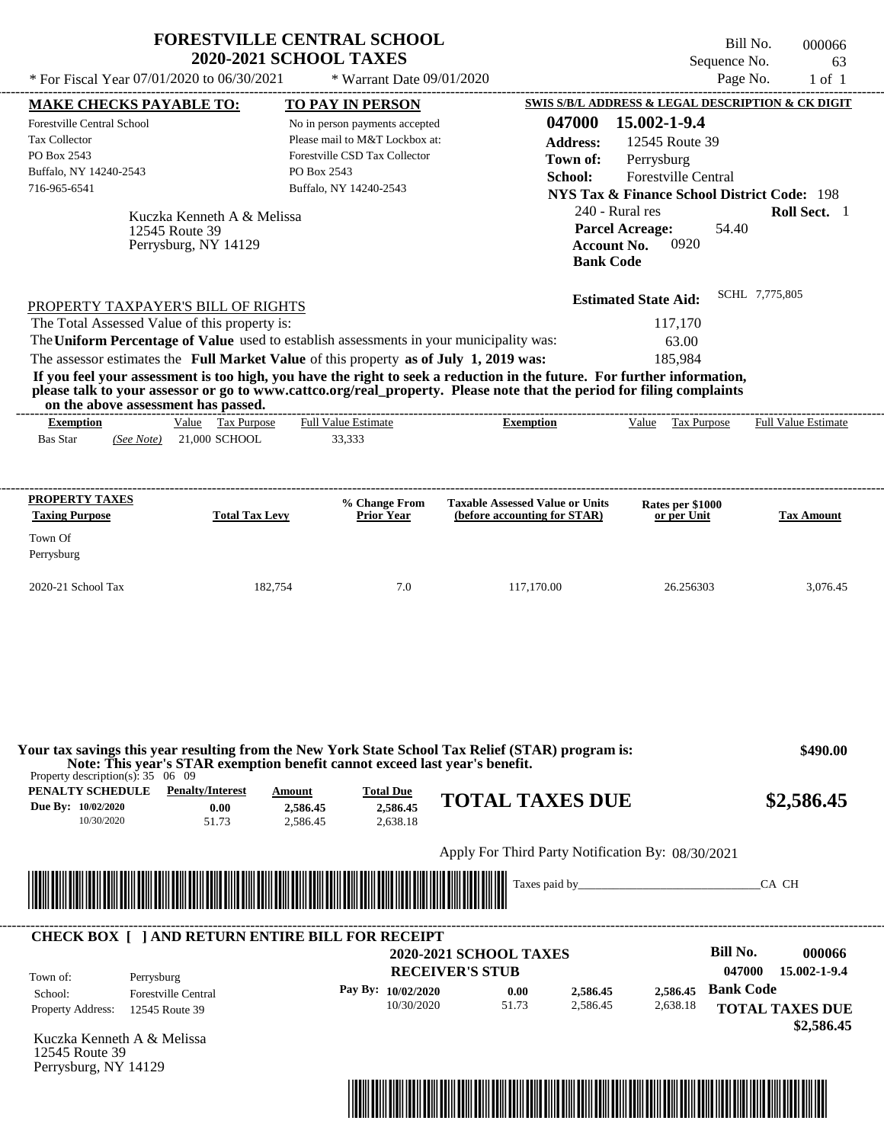|                                                                                                                                                                                                                                                                                                                | <b>FORESTVILLE CENTRAL SCHOOL</b><br><b>2020-2021 SCHOOL TAXES</b>          |                                                                                                                             |                                                                                                                                                                                                                                                  | Bill No.<br>Sequence No.                                                                                                                                        | 000066<br>63               |
|----------------------------------------------------------------------------------------------------------------------------------------------------------------------------------------------------------------------------------------------------------------------------------------------------------------|-----------------------------------------------------------------------------|-----------------------------------------------------------------------------------------------------------------------------|--------------------------------------------------------------------------------------------------------------------------------------------------------------------------------------------------------------------------------------------------|-----------------------------------------------------------------------------------------------------------------------------------------------------------------|----------------------------|
| * For Fiscal Year 07/01/2020 to 06/30/2021                                                                                                                                                                                                                                                                     |                                                                             | * Warrant Date 09/01/2020                                                                                                   |                                                                                                                                                                                                                                                  | Page No.                                                                                                                                                        | $1$ of $1$                 |
| <b>MAKE CHECKS PAYABLE TO:</b><br><b>Forestville Central School</b>                                                                                                                                                                                                                                            |                                                                             | TO PAY IN PERSON                                                                                                            | 047000                                                                                                                                                                                                                                           | SWIS S/B/L ADDRESS & LEGAL DESCRIPTION & CK DIGIT<br>15.002-1-9.4                                                                                               |                            |
| Tax Collector<br>PO Box 2543<br>Buffalo, NY 14240-2543<br>716-965-6541<br>12545 Route 39                                                                                                                                                                                                                       | PO Box 2543<br>Kuczka Kenneth A & Melissa<br>Perrysburg, NY 14129           | No in person payments accepted<br>Please mail to M&T Lockbox at:<br>Forestville CSD Tax Collector<br>Buffalo, NY 14240-2543 | <b>Address:</b><br>Town of:<br>School:<br>240 - Rural res<br><b>Account No.</b><br><b>Bank Code</b>                                                                                                                                              | 12545 Route 39<br>Perrysburg<br><b>Forestville Central</b><br><b>NYS Tax &amp; Finance School District Code: 198</b><br><b>Parcel Acreage:</b><br>54.40<br>0920 | Roll Sect. 1               |
| PROPERTY TAXPAYER'S BILL OF RIGHTS<br>The Total Assessed Value of this property is:<br>The Uniform Percentage of Value used to establish assessments in your municipality was:<br>The assessor estimates the Full Market Value of this property as of July 1, 2019 was:<br>on the above assessment has passed. |                                                                             |                                                                                                                             | If you feel your assessment is too high, you have the right to seek a reduction in the future. For further information,<br>please talk to your assessor or go to www.cattco.org/real_property. Please note that the period for filing complaints | <b>Estimated State Aid:</b><br>117,170<br>63.00<br>185,984                                                                                                      | SCHL 7,775,805             |
| <b>Exemption</b><br><b>Bas Star</b><br>(See Note)                                                                                                                                                                                                                                                              | Value Tax Purpose<br>21,000 SCHOOL                                          | <b>Full Value Estimate</b><br>33,333                                                                                        | <b>Exemption</b>                                                                                                                                                                                                                                 | Value Tax Purpose                                                                                                                                               | <b>Full Value Estimate</b> |
| <b>PROPERTY TAXES</b><br><b>Taxing Purpose</b><br>Town Of                                                                                                                                                                                                                                                      | <b>Total Tax Levy</b>                                                       | % Change From<br><b>Prior Year</b>                                                                                          | <b>Taxable Assessed Value or Units</b><br>(before accounting for STAR)                                                                                                                                                                           | Rates per \$1000<br>or per Unit                                                                                                                                 | <b>Tax Amount</b>          |
| Perrysburg<br>2020-21 School Tax                                                                                                                                                                                                                                                                               | 182,754                                                                     | 7.0                                                                                                                         | 117,170.00                                                                                                                                                                                                                                       | 26.256303                                                                                                                                                       | 3,076.45                   |
| Property description(s): $35 \quad 06 \quad 09$                                                                                                                                                                                                                                                                | Note: This year's STAR exemption benefit cannot exceed last year's benefit. |                                                                                                                             | Your tax savings this year resulting from the New York State School Tax Relief (STAR) program is:                                                                                                                                                |                                                                                                                                                                 | \$490.00                   |
| <b>PENALTY SCHEDULE</b> Penalty/Interest<br>Due By: 10/02/2020<br>10/30/2020                                                                                                                                                                                                                                   | Amount<br>0.00<br>2,586.45<br>51.73<br>2,586.45                             | <b>Total Due</b><br>2,586.45<br>2,638.18                                                                                    | <b>TOTAL TAXES DUE</b>                                                                                                                                                                                                                           |                                                                                                                                                                 | \$2,586.45                 |
| <u> 1989 - Andrea Stadt Britain, Amerikaansk politik foar de Amerikaansk kommunister (* 1958)</u>                                                                                                                                                                                                              |                                                                             |                                                                                                                             | Apply For Third Party Notification By: 08/30/2021<br>Taxes paid by____                                                                                                                                                                           |                                                                                                                                                                 | CA CH                      |
| <b>CHECK BOX [ ] AND RETURN ENTIRE BILL FOR RECEIPT</b>                                                                                                                                                                                                                                                        |                                                                             |                                                                                                                             |                                                                                                                                                                                                                                                  |                                                                                                                                                                 |                            |

|                          |                            | <b>2020-2021 SCHOOL TAXES</b> |       |          |          | <b>Bill No.</b>  | 000066                 |
|--------------------------|----------------------------|-------------------------------|-------|----------|----------|------------------|------------------------|
| Town of:                 | Perrysburg                 | <b>RECEIVER'S STUB</b>        |       |          |          | 047000           | 15.002-1-9.4           |
| School:                  | <b>Forestville Central</b> | Pay By: $10/02/2020$          | 0.00  | 2.586.45 | 2.586.45 | <b>Bank Code</b> |                        |
| <b>Property Address:</b> | 12545 Route 39             | 10/30/2020                    | 51.73 | 2.586.45 | 2,638.18 |                  | <b>TOTAL TAXES DUE</b> |
| __ _ _                   | .                          |                               |       |          |          |                  | \$2,586.45             |

Kuczka Kenneth A & Melissa 12545 Route 39 Perrysburg, NY 14129

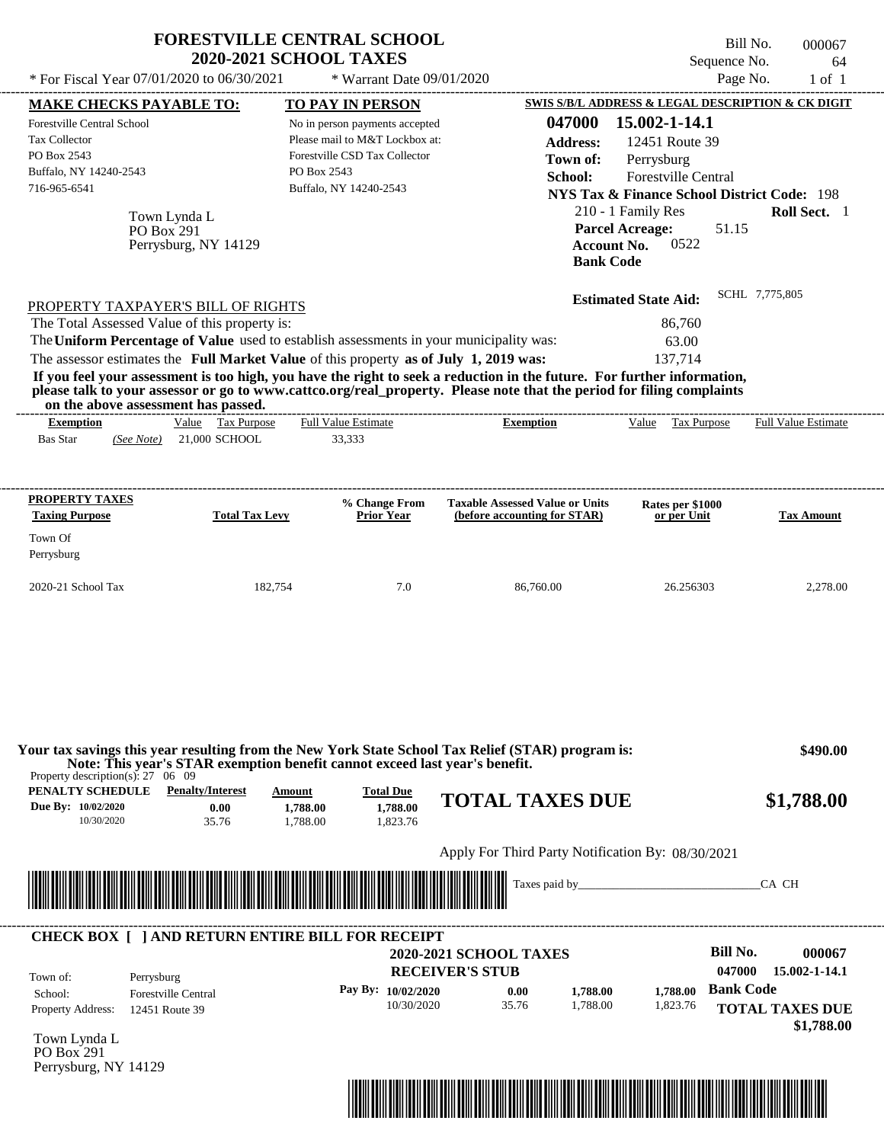| <b>FORESTVILLE CENTRAL SCHOOL</b>                                                                                                                                                                                                                | <b>2020-2021 SCHOOL TAXES</b>                                                                                                              |                                   |                                                   | Sequence No.                                                                                                                   | Bill No.<br>000067<br>64   |
|--------------------------------------------------------------------------------------------------------------------------------------------------------------------------------------------------------------------------------------------------|--------------------------------------------------------------------------------------------------------------------------------------------|-----------------------------------|---------------------------------------------------|--------------------------------------------------------------------------------------------------------------------------------|----------------------------|
| * For Fiscal Year 07/01/2020 to 06/30/2021                                                                                                                                                                                                       |                                                                                                                                            | * Warrant Date 09/01/2020         |                                                   |                                                                                                                                | Page No.<br>$1$ of $1$     |
| <b>MAKE CHECKS PAYABLE TO:</b>                                                                                                                                                                                                                   | <b>TO PAY IN PERSON</b>                                                                                                                    |                                   |                                                   | SWIS S/B/L ADDRESS & LEGAL DESCRIPTION & CK DIGIT                                                                              |                            |
| <b>Forestville Central School</b><br>Tax Collector<br>PO Box 2543<br>Buffalo, NY 14240-2543<br>716-965-6541                                                                                                                                      | No in person payments accepted<br>Please mail to M&T Lockbox at:<br>Forestville CSD Tax Collector<br>PO Box 2543<br>Buffalo, NY 14240-2543 |                                   | 047000<br><b>Address:</b><br>Town of:<br>School:  | 15.002-1-14.1<br>12451 Route 39<br>Perrysburg<br>Forestville Central<br><b>NYS Tax &amp; Finance School District Code: 198</b> |                            |
| Town Lynda L<br>PO Box 291<br>Perrysburg, NY 14129                                                                                                                                                                                               |                                                                                                                                            |                                   | <b>Bank Code</b>                                  | 210 - 1 Family Res<br><b>Parcel Acreage:</b><br>51.15<br>0522<br><b>Account No.</b>                                            | Roll Sect. 1               |
| PROPERTY TAXPAYER'S BILL OF RIGHTS                                                                                                                                                                                                               |                                                                                                                                            |                                   |                                                   | <b>Estimated State Aid:</b>                                                                                                    | SCHL 7,775,805             |
| The Total Assessed Value of this property is:                                                                                                                                                                                                    |                                                                                                                                            |                                   |                                                   | 86,760                                                                                                                         |                            |
| The Uniform Percentage of Value used to establish assessments in your municipality was:                                                                                                                                                          |                                                                                                                                            |                                   |                                                   | 63.00                                                                                                                          |                            |
| The assessor estimates the Full Market Value of this property as of July 1, 2019 was:                                                                                                                                                            |                                                                                                                                            |                                   |                                                   | 137,714                                                                                                                        |                            |
| If you feel your assessment is too high, you have the right to seek a reduction in the future. For further information,<br>please talk to your assessor or go to www.cattco.org/real_property. Please note that the period for filing complaints |                                                                                                                                            |                                   |                                                   |                                                                                                                                |                            |
| on the above assessment has passed.                                                                                                                                                                                                              |                                                                                                                                            | --------------------------------- |                                                   |                                                                                                                                |                            |
| Value Tax Purpose<br><b>Exemption</b><br>$(See Note)$ 21,000 SCHOOL<br><b>Bas Star</b>                                                                                                                                                           | Full Value Estimate<br>33,333                                                                                                              |                                   | <b>Exemption</b>                                  | Value Tax Purpose                                                                                                              | <b>Full Value Estimate</b> |
|                                                                                                                                                                                                                                                  |                                                                                                                                            |                                   |                                                   |                                                                                                                                |                            |
|                                                                                                                                                                                                                                                  |                                                                                                                                            |                                   |                                                   |                                                                                                                                |                            |
| <b>PROPERTY TAXES</b><br><b>Total Tax Levy</b>                                                                                                                                                                                                   |                                                                                                                                            | % Change From                     | <b>Taxable Assessed Value or Units</b>            | Rates per \$1000                                                                                                               |                            |
| <b>Taxing Purpose</b>                                                                                                                                                                                                                            |                                                                                                                                            | <b>Prior Year</b>                 | (before accounting for STAR)                      | or per Unit                                                                                                                    | <b>Tax Amount</b>          |
| Town Of<br>Perrysburg                                                                                                                                                                                                                            |                                                                                                                                            |                                   |                                                   |                                                                                                                                |                            |
|                                                                                                                                                                                                                                                  |                                                                                                                                            |                                   |                                                   |                                                                                                                                |                            |
| 2020-21 School Tax<br>182,754                                                                                                                                                                                                                    |                                                                                                                                            | 7.0                               | 86,760.00                                         | 26.256303                                                                                                                      | 2,278.00                   |
|                                                                                                                                                                                                                                                  |                                                                                                                                            |                                   |                                                   |                                                                                                                                |                            |
| Your tax savings this year resulting from the New York State School Tax Relief (STAR) program is:<br>Note: This year's STAR exemption benefit cannot exceed last year's benefit.<br>Property description(s): $27 \quad 06 \quad 09$              |                                                                                                                                            |                                   |                                                   |                                                                                                                                | \$490.00                   |
| PENALTY SCHEDULE<br><b>Penalty/Interest</b>                                                                                                                                                                                                      | Amount                                                                                                                                     | <b>Total Due</b>                  | <b>TOTAL TAXES DUE</b>                            |                                                                                                                                | \$1,788.00                 |
| Due By: 10/02/2020<br>0.00<br>10/30/2020<br>35.76                                                                                                                                                                                                | 1,788.00<br>1,788.00                                                                                                                       | 1,788.00<br>1,823.76              |                                                   |                                                                                                                                |                            |
|                                                                                                                                                                                                                                                  |                                                                                                                                            |                                   |                                                   |                                                                                                                                |                            |
|                                                                                                                                                                                                                                                  |                                                                                                                                            |                                   | Apply For Third Party Notification By: 08/30/2021 |                                                                                                                                |                            |
|                                                                                                                                                                                                                                                  |                                                                                                                                            |                                   |                                                   |                                                                                                                                | CA CH                      |
| <u> Indian American State of Barbara and The Barbara and The Barbara and The Barbara and The Barbara and The Barbara and The Barbara and The Barbara and The Barbara and The Barbara and The Barbara and The Barbara and The Bar</u>             |                                                                                                                                            |                                   |                                                   |                                                                                                                                |                            |
|                                                                                                                                                                                                                                                  |                                                                                                                                            |                                   |                                                   |                                                                                                                                |                            |
| <b>CHECK BOX [ ] AND RETURN ENTIRE BILL FOR RECEIPT</b>                                                                                                                                                                                          |                                                                                                                                            |                                   |                                                   |                                                                                                                                |                            |
|                                                                                                                                                                                                                                                  |                                                                                                                                            |                                   | <b>2020-2021 SCHOOL TAXES</b>                     | <b>Bill No.</b>                                                                                                                | 000067                     |
| Town of:<br>Perrysburg                                                                                                                                                                                                                           |                                                                                                                                            | <b>RECEIVER'S STUB</b>            |                                                   | 047000                                                                                                                         | 15.002-1-14.1              |
| <b>Forestville Central</b><br>School:                                                                                                                                                                                                            |                                                                                                                                            | Pay By: 10/02/2020<br>10/30/2020  | 0.00<br>1,788.00<br>35.76                         | 1,788.00                                                                                                                       | <b>Bank Code</b>           |
| Property Address:<br>12451 Route 39                                                                                                                                                                                                              |                                                                                                                                            |                                   | 1,788.00                                          | 1,823.76                                                                                                                       | <b>TOTAL TAXES DUE</b>     |
| Town Lynda L<br>PO Box 291<br>Perrysburg, NY 14129                                                                                                                                                                                               |                                                                                                                                            |                                   |                                                   |                                                                                                                                | \$1,788.00                 |

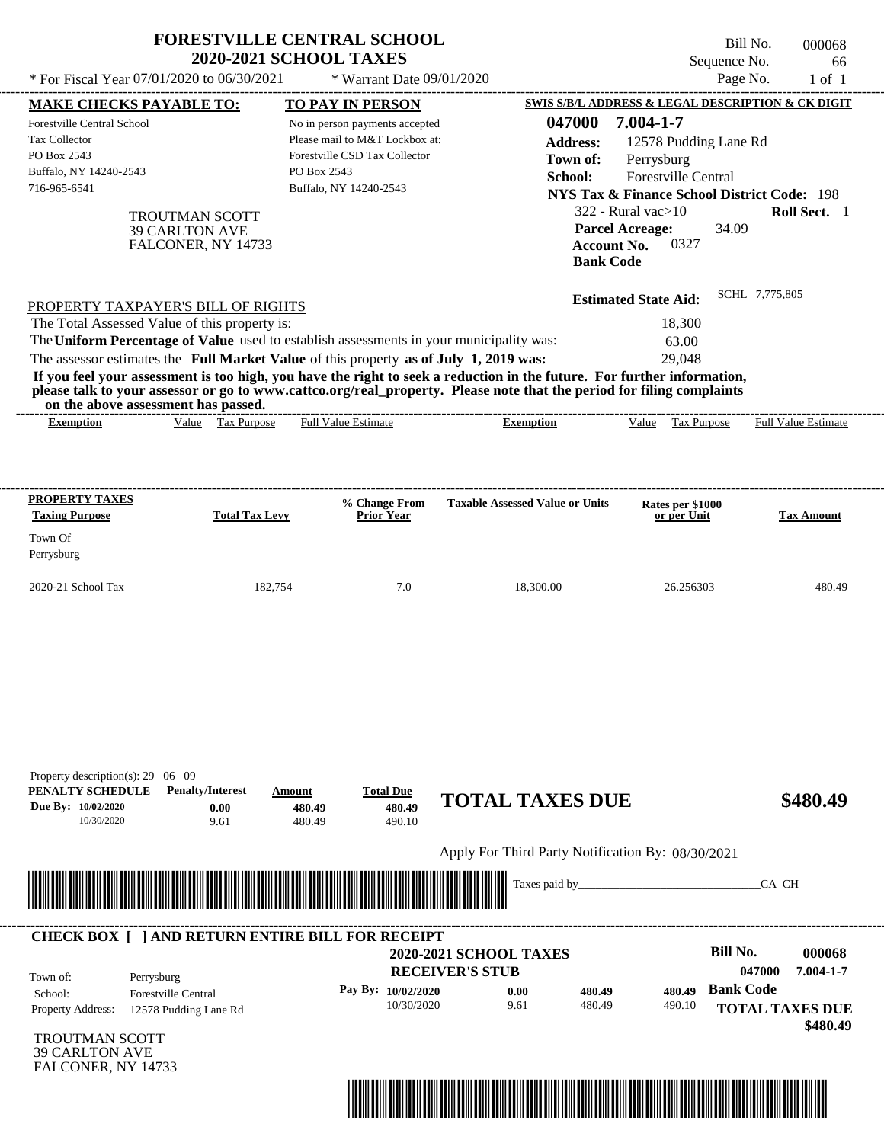| * For Fiscal Year 07/01/2020 to 06/30/2021                                                                                                    | <b>FORESTVILLE CENTRAL SCHOOL</b>                                                                                                                                                                                                                                                                                                                                                                                                                                                                                                                                  | <b>2020-2021 SCHOOL TAXES</b>                                                                                                                                         | * Warrant Date 09/01/2020                    |                                                   |                                                                                                                                                                  |                                           | Bill No.<br>Sequence No.<br>Page No. |        | 000068<br>66<br>$1$ of $1$ |
|-----------------------------------------------------------------------------------------------------------------------------------------------|--------------------------------------------------------------------------------------------------------------------------------------------------------------------------------------------------------------------------------------------------------------------------------------------------------------------------------------------------------------------------------------------------------------------------------------------------------------------------------------------------------------------------------------------------------------------|-----------------------------------------------------------------------------------------------------------------------------------------------------------------------|----------------------------------------------|---------------------------------------------------|------------------------------------------------------------------------------------------------------------------------------------------------------------------|-------------------------------------------|--------------------------------------|--------|----------------------------|
|                                                                                                                                               |                                                                                                                                                                                                                                                                                                                                                                                                                                                                                                                                                                    |                                                                                                                                                                       |                                              | SWIS S/B/L ADDRESS & LEGAL DESCRIPTION & CK DIGIT |                                                                                                                                                                  |                                           |                                      |        |                            |
| <b>MAKE CHECKS PAYABLE TO:</b><br>Forestville Central School<br><b>Tax Collector</b><br>PO Box 2543<br>Buffalo, NY 14240-2543<br>716-965-6541 | <b>TROUTMAN SCOTT</b><br><b>39 CARLTON AVE</b><br>FALCONER, NY 14733                                                                                                                                                                                                                                                                                                                                                                                                                                                                                               | <b>TO PAY IN PERSON</b><br>No in person payments accepted<br>Please mail to M&T Lockbox at:<br>Forestville CSD Tax Collector<br>PO Box 2543<br>Buffalo, NY 14240-2543 |                                              | 047000<br><b>Address:</b><br>Town of:<br>School:  | 7.004-1-7<br><b>NYS Tax &amp; Finance School District Code: 198</b><br>322 - Rural vac $>10$<br><b>Parcel Acreage:</b><br><b>Account No.</b><br><b>Bank Code</b> | Perrysburg<br>Forestville Central<br>0327 | 12578 Pudding Lane Rd<br>34.09       |        | Roll Sect. 1               |
|                                                                                                                                               | PROPERTY TAXPAYER'S BILL OF RIGHTS<br>The Total Assessed Value of this property is:<br>The Uniform Percentage of Value used to establish assessments in your municipality was:<br>The assessor estimates the Full Market Value of this property as of July 1, 2019 was:<br>If you feel your assessment is too high, you have the right to seek a reduction in the future. For further information,<br>please talk to your assessor or go to www.cattco.org/real_property. Please note that the period for filing complaints<br>on the above assessment has passed. |                                                                                                                                                                       |                                              |                                                   | <b>Estimated State Aid:</b>                                                                                                                                      | 18,300<br>63.00<br>29,048                 | SCHL 7,775,805                       |        |                            |
| <b>Exemption</b>                                                                                                                              | Value Tax Purpose                                                                                                                                                                                                                                                                                                                                                                                                                                                                                                                                                  | <b>Full Value Estimate</b>                                                                                                                                            |                                              | <b>Exemption</b>                                  | Value                                                                                                                                                            | Tax Purpose                               |                                      |        | <b>Full Value Estimate</b> |
| Perrysburg<br>2020-21 School Tax<br>Property description(s): 29 06 09<br>PENALTY SCHEDULE                                                     | 182,754<br><b>Penalty/Interest</b>                                                                                                                                                                                                                                                                                                                                                                                                                                                                                                                                 | Amount                                                                                                                                                                | 7.0<br><b>Total Due</b>                      | 18,300.00                                         |                                                                                                                                                                  | 26.256303                                 |                                      |        | 480.49                     |
| Due By: 10/02/2020<br>10/30/2020                                                                                                              | 0.00<br>9.61                                                                                                                                                                                                                                                                                                                                                                                                                                                                                                                                                       | 480.49<br>480.49                                                                                                                                                      | 480.49<br>490.10                             | <b>TOTAL TAXES DUE</b>                            |                                                                                                                                                                  |                                           |                                      |        | \$480.49                   |
|                                                                                                                                               |                                                                                                                                                                                                                                                                                                                                                                                                                                                                                                                                                                    |                                                                                                                                                                       |                                              | Apply For Third Party Notification By: 08/30/2021 |                                                                                                                                                                  |                                           |                                      |        |                            |
| <u> 1989 - Andrea Stadt Britain, Amerikaansk politiker (* 1958)</u>                                                                           |                                                                                                                                                                                                                                                                                                                                                                                                                                                                                                                                                                    |                                                                                                                                                                       |                                              | Taxes paid by_                                    |                                                                                                                                                                  |                                           |                                      | CA CH  |                            |
| <b>CHECK BOX [ ] AND RETURN ENTIRE BILL FOR RECEIPT</b><br>Town of:<br>School:<br>12578 Pudding Lane Rd                                       | Perrysburg<br>Forestville Central                                                                                                                                                                                                                                                                                                                                                                                                                                                                                                                                  |                                                                                                                                                                       | <b>RECEIVER'S STUB</b><br>Pay By: 10/02/2020 | <b>2020-2021 SCHOOL TAXES</b><br>0.00             | 480.49                                                                                                                                                           | 480.49<br>490.10                          | <b>Bill No.</b><br><b>Bank Code</b>  | 047000 | 000068<br>7.004-1-7        |

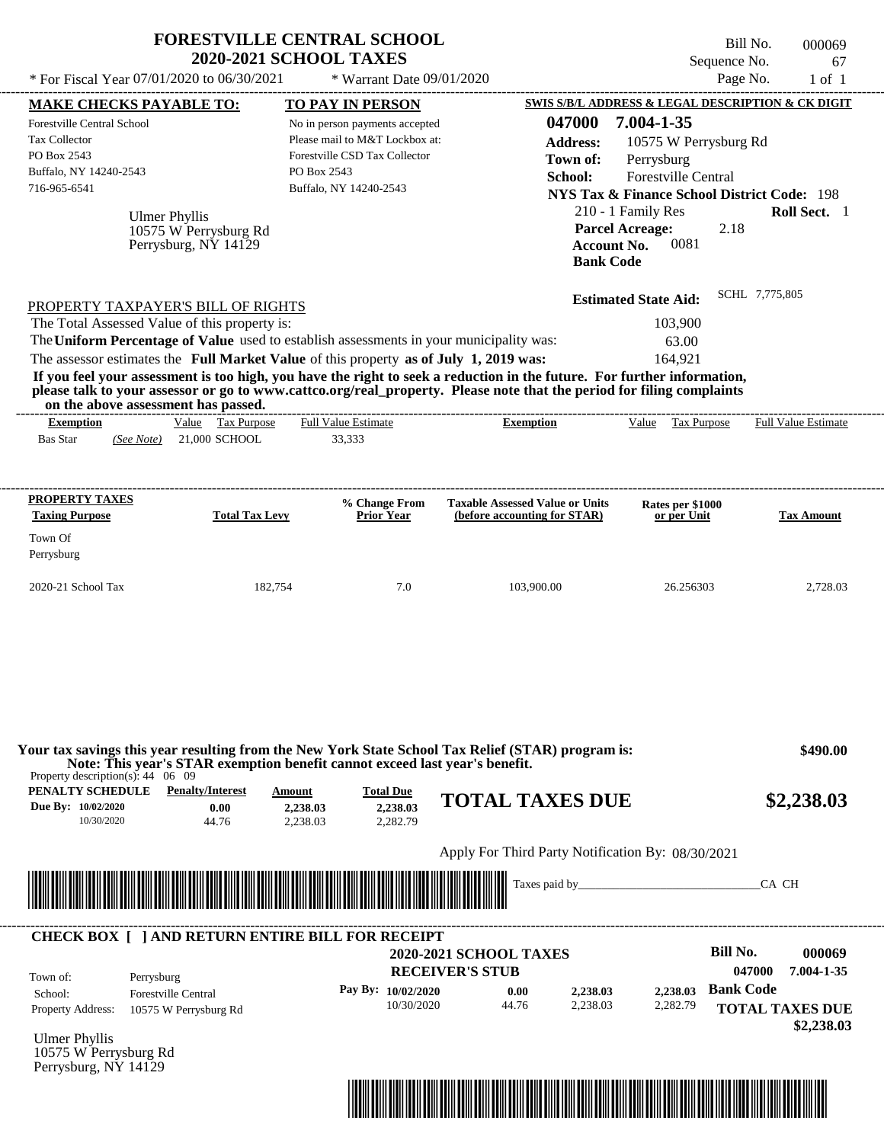| * For Fiscal Year 07/01/2020 to 06/30/2021                                                                                                                                                                                                                                                                     | <b>FORESTVILLE CENTRAL SCHOOL</b><br><b>2020-2021 SCHOOL TAXES</b>                                                             | * Warrant Date 09/01/2020                                                                                                                              |                                                                                                                                                                                                                                                  | Sequence No.                                                                                                                                                                                                                                                                  | Bill No.<br>000069<br>67<br>Page No.<br>$1$ of $1$                                         |
|----------------------------------------------------------------------------------------------------------------------------------------------------------------------------------------------------------------------------------------------------------------------------------------------------------------|--------------------------------------------------------------------------------------------------------------------------------|--------------------------------------------------------------------------------------------------------------------------------------------------------|--------------------------------------------------------------------------------------------------------------------------------------------------------------------------------------------------------------------------------------------------|-------------------------------------------------------------------------------------------------------------------------------------------------------------------------------------------------------------------------------------------------------------------------------|--------------------------------------------------------------------------------------------|
| <b>MAKE CHECKS PAYABLE TO:</b><br>Forestville Central School<br><b>Tax Collector</b><br>PO Box 2543<br>Buffalo, NY 14240-2543<br>716-965-6541<br>Ulmer Phyllis                                                                                                                                                 | PO Box 2543<br>10575 W Perrysburg Rd<br>Perrysburg, NY 14129                                                                   | <b>TO PAY IN PERSON</b><br>No in person payments accepted<br>Please mail to M&T Lockbox at:<br>Forestville CSD Tax Collector<br>Buffalo, NY 14240-2543 | 047000<br><b>Address:</b><br>Town of:<br>School:<br><b>Bank Code</b>                                                                                                                                                                             | SWIS S/B/L ADDRESS & LEGAL DESCRIPTION & CK DIGIT<br>7.004-1-35<br>10575 W Perrysburg Rd<br>Perrysburg<br>Forestville Central<br><b>NYS Tax &amp; Finance School District Code: 198</b><br>210 - 1 Family Res<br><b>Parcel Acreage:</b><br>2.18<br>0081<br><b>Account No.</b> | Roll Sect. 1                                                                               |
| PROPERTY TAXPAYER'S BILL OF RIGHTS<br>The Total Assessed Value of this property is:<br>The Uniform Percentage of Value used to establish assessments in your municipality was:<br>The assessor estimates the Full Market Value of this property as of July 1, 2019 was:<br>on the above assessment has passed. |                                                                                                                                |                                                                                                                                                        | If you feel your assessment is too high, you have the right to seek a reduction in the future. For further information,<br>please talk to your assessor or go to www.cattco.org/real_property. Please note that the period for filing complaints | <b>Estimated State Aid:</b><br>103,900<br>63.00<br>164,921                                                                                                                                                                                                                    | SCHL 7,775,805                                                                             |
| <b>Exemption</b><br><b>Bas Star</b><br>(See Note)                                                                                                                                                                                                                                                              | Value Tax Purpose<br>21,000 SCHOOL                                                                                             | <b>Full Value Estimate</b><br>33,333                                                                                                                   | <b>Exemption</b>                                                                                                                                                                                                                                 | Value Tax Purpose                                                                                                                                                                                                                                                             | <b>Full Value Estimate</b>                                                                 |
| PROPERTY TAXES<br><b>Taxing Purpose</b><br>Town Of<br>Perrysburg<br>2020-21 School Tax                                                                                                                                                                                                                         | <b>Total Tax Levy</b><br>182,754                                                                                               | % Change From<br><b>Prior Year</b><br>7.0                                                                                                              | <b>Taxable Assessed Value or Units</b><br>(before accounting for STAR)<br>103,900.00                                                                                                                                                             | Rates per \$1000<br>or per Unit<br>26.256303                                                                                                                                                                                                                                  | <b>Tax Amount</b><br>2,728.03                                                              |
| Property description(s): $44 \quad 06 \quad 09$<br><b>PENALTY SCHEDULE</b> Penalty/Interest<br>Due By: 10/02/2020<br>10/30/2020                                                                                                                                                                                | Note: This year's STAR exemption benefit cannot exceed last year's benefit.<br>Amount<br>0.00<br>2,238.03<br>2,238.03<br>44.76 | <b>Total Due</b><br>2,238.03<br>2,282.79                                                                                                               | Your tax savings this year resulting from the New York State School Tax Relief (STAR) program is:<br><b>TOTAL TAXES DUE</b>                                                                                                                      |                                                                                                                                                                                                                                                                               | \$490.00<br>\$2,238.03                                                                     |
|                                                                                                                                                                                                                                                                                                                |                                                                                                                                |                                                                                                                                                        | Apply For Third Party Notification By: 08/30/2021<br>Taxes paid by                                                                                                                                                                               |                                                                                                                                                                                                                                                                               | CA CH                                                                                      |
| <b>CHECK BOX [ ] AND RETURN ENTIRE BILL FOR RECEIPT</b><br>Town of:<br>Perrysburg<br><b>Forestville Central</b><br>School:<br>Property Address:<br><b>Ulmer Phyllis</b><br>10575 W Perrysburg Rd<br>Perrysburg, NY 14129                                                                                       | 10575 W Perrysburg Rd                                                                                                          | Pay By: 10/02/2020<br>10/30/2020                                                                                                                       | <b>2020-2021 SCHOOL TAXES</b><br><b>RECEIVER'S STUB</b><br>0.00<br>2,238.03<br>44.76<br>2,238.03                                                                                                                                                 | <b>Bill No.</b><br>2,238.03<br>2,282.79                                                                                                                                                                                                                                       | 000069<br>047000<br>7.004-1-35<br><b>Bank Code</b><br><b>TOTAL TAXES DUE</b><br>\$2,238.03 |

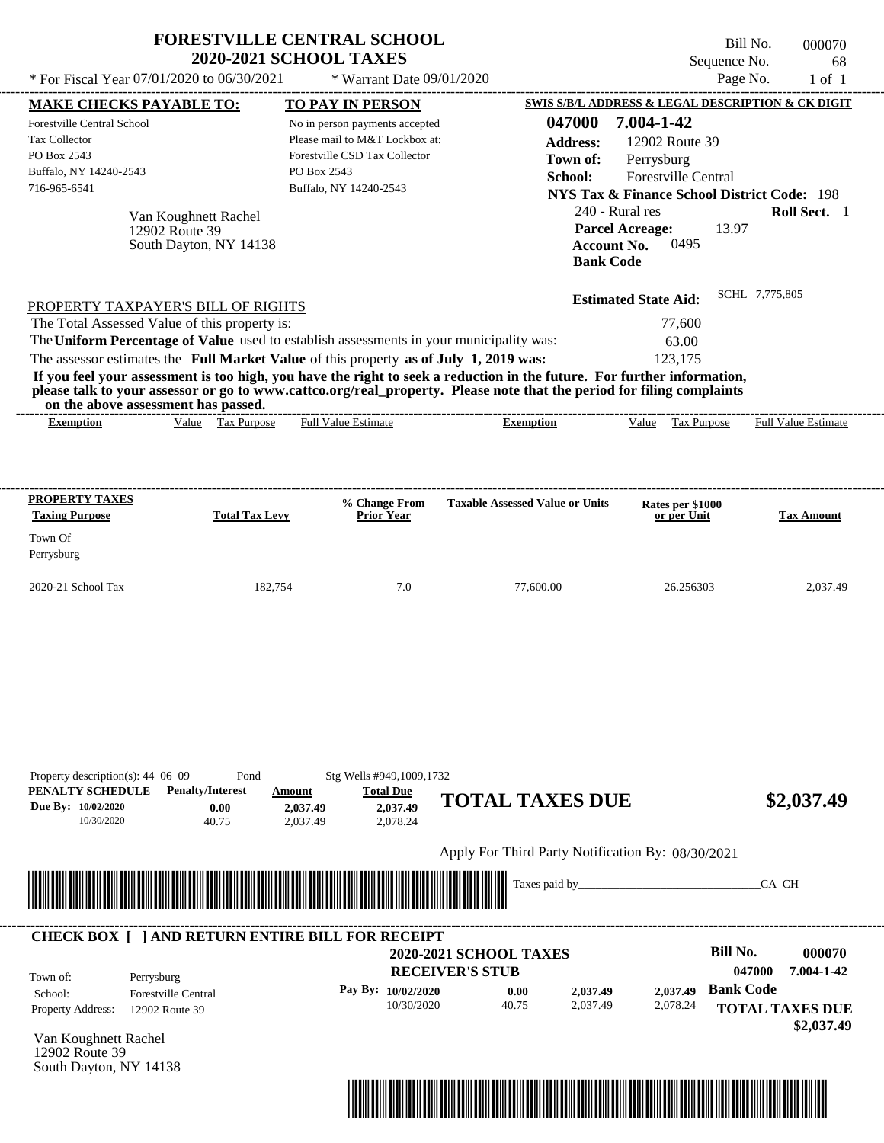| * For Fiscal Year 07/01/2020 to 06/30/2021                                                                                                                                                                                                                                                                                                                                                                                                                                                                                                                         | <b>FORESTVILLE CENTRAL SCHOOL</b><br><b>2020-2021 SCHOOL TAXES</b> | * Warrant Date 09/01/2020                                                                                                                              |                                                                                                                                         | Bill No.<br>Sequence No.<br>Page No.                                                                                                         | 000070<br>68<br>$1$ of $1$           |
|--------------------------------------------------------------------------------------------------------------------------------------------------------------------------------------------------------------------------------------------------------------------------------------------------------------------------------------------------------------------------------------------------------------------------------------------------------------------------------------------------------------------------------------------------------------------|--------------------------------------------------------------------|--------------------------------------------------------------------------------------------------------------------------------------------------------|-----------------------------------------------------------------------------------------------------------------------------------------|----------------------------------------------------------------------------------------------------------------------------------------------|--------------------------------------|
|                                                                                                                                                                                                                                                                                                                                                                                                                                                                                                                                                                    |                                                                    |                                                                                                                                                        |                                                                                                                                         | SWIS S/B/L ADDRESS & LEGAL DESCRIPTION & CK DIGIT                                                                                            |                                      |
| <b>MAKE CHECKS PAYABLE TO:</b><br>Forestville Central School<br><b>Tax Collector</b><br>PO Box 2543<br>Buffalo, NY 14240-2543<br>716-965-6541<br>Van Koughnett Rachel<br>12902 Route 39<br>South Dayton, NY 14138                                                                                                                                                                                                                                                                                                                                                  | PO Box 2543                                                        | <b>TO PAY IN PERSON</b><br>No in person payments accepted<br>Please mail to M&T Lockbox at:<br>Forestville CSD Tax Collector<br>Buffalo, NY 14240-2543 | 047000<br><b>Address:</b><br>Town of:<br>School:<br>240 - Rural res<br><b>Parcel Acreage:</b><br><b>Account No.</b><br><b>Bank Code</b> | 7.004-1-42<br>12902 Route 39<br>Perrysburg<br>Forestville Central<br><b>NYS Tax &amp; Finance School District Code: 198</b><br>13.97<br>0495 | Roll Sect. 1                         |
| PROPERTY TAXPAYER'S BILL OF RIGHTS<br>The Total Assessed Value of this property is:<br>The Uniform Percentage of Value used to establish assessments in your municipality was:<br>The assessor estimates the Full Market Value of this property as of July 1, 2019 was:<br>If you feel your assessment is too high, you have the right to seek a reduction in the future. For further information,<br>please talk to your assessor or go to www.cattco.org/real_property. Please note that the period for filing complaints<br>on the above assessment has passed. |                                                                    |                                                                                                                                                        |                                                                                                                                         | <b>Estimated State Aid:</b><br>77,600<br>63.00<br>123,175                                                                                    | SCHL 7,775,805                       |
| <b>Exemption</b>                                                                                                                                                                                                                                                                                                                                                                                                                                                                                                                                                   | Value Tax Purpose                                                  | Full Value Estimate                                                                                                                                    | <b>Exemption</b>                                                                                                                        | Tax Purpose<br>Value                                                                                                                         | <b>Full Value Estimate</b>           |
| <b>PROPERTY TAXES</b>                                                                                                                                                                                                                                                                                                                                                                                                                                                                                                                                              |                                                                    | % Change From                                                                                                                                          | <b>Taxable Assessed Value or Units</b>                                                                                                  |                                                                                                                                              |                                      |
| <b>Taxing Purpose</b>                                                                                                                                                                                                                                                                                                                                                                                                                                                                                                                                              | <b>Total Tax Levy</b>                                              | <b>Prior Year</b>                                                                                                                                      |                                                                                                                                         | Rates per \$1000<br>or per Unit                                                                                                              | <b>Tax Amount</b>                    |
| Town Of<br>Perrysburg                                                                                                                                                                                                                                                                                                                                                                                                                                                                                                                                              |                                                                    |                                                                                                                                                        |                                                                                                                                         |                                                                                                                                              |                                      |
| 2020-21 School Tax                                                                                                                                                                                                                                                                                                                                                                                                                                                                                                                                                 | 182,754                                                            | 7.0                                                                                                                                                    | 77,600.00                                                                                                                               | 26.256303                                                                                                                                    | 2,037.49                             |
| Property description(s): 44 06 09<br>PENALTY SCHEDULE<br><b>Penalty/Interest</b><br>Due By: 10/02/2020<br>0.00<br>10/30/2020<br>40.75                                                                                                                                                                                                                                                                                                                                                                                                                              | Pond<br>Amount<br>2,037.49<br>2,037.49                             | Stg Wells #949,1009,1732<br><b>Total Due</b><br>2.037.49<br>2,078.24                                                                                   | <b>TOTAL TAXES DUE</b>                                                                                                                  |                                                                                                                                              | \$2,037.49                           |
|                                                                                                                                                                                                                                                                                                                                                                                                                                                                                                                                                                    |                                                                    |                                                                                                                                                        | Apply For Third Party Notification By: 08/30/2021                                                                                       |                                                                                                                                              |                                      |
|                                                                                                                                                                                                                                                                                                                                                                                                                                                                                                                                                                    |                                                                    |                                                                                                                                                        | Taxes paid by_                                                                                                                          |                                                                                                                                              | CA CH                                |
| <b>CHECK BOX [ ] AND RETURN ENTIRE BILL FOR RECEIPT</b>                                                                                                                                                                                                                                                                                                                                                                                                                                                                                                            |                                                                    |                                                                                                                                                        |                                                                                                                                         |                                                                                                                                              |                                      |
| Town of:<br>Perrysburg                                                                                                                                                                                                                                                                                                                                                                                                                                                                                                                                             |                                                                    | Pay By: 10/02/2020                                                                                                                                     | <b>2020-2021 SCHOOL TAXES</b><br><b>RECEIVER'S STUB</b><br>0.00<br>2,037.49                                                             | <b>Bill No.</b><br><b>Bank Code</b><br>2,037.49                                                                                              | 000070<br>047000<br>7.004-1-42       |
| <b>Forestville Central</b><br>School:<br>Property Address:<br>12902 Route 39                                                                                                                                                                                                                                                                                                                                                                                                                                                                                       |                                                                    | 10/30/2020                                                                                                                                             | 40.75<br>2,037.49                                                                                                                       | 2,078.24                                                                                                                                     | <b>TOTAL TAXES DUE</b><br>\$2,037.49 |
| $\mathbf{V}$ and $\mathbf{V}$                                                                                                                                                                                                                                                                                                                                                                                                                                                                                                                                      |                                                                    |                                                                                                                                                        |                                                                                                                                         |                                                                                                                                              |                                      |

Van Koughnett Rachel 12902 Route 39 South Dayton, NY 14138

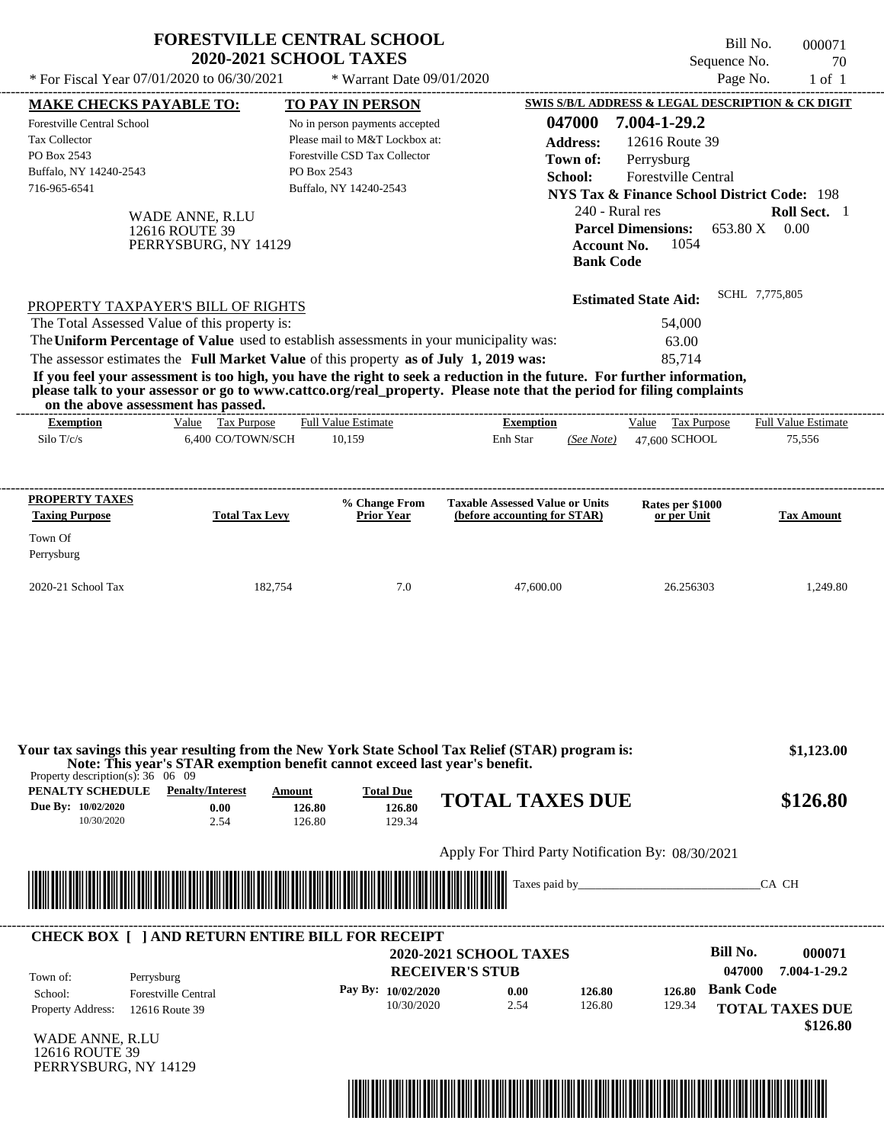|                                                                                                                                               | * For Fiscal Year 07/01/2020 to 06/30/2021                                                                                 | <b>FORESTVILLE CENTRAL SCHOOL</b><br><b>2020-2021 SCHOOL TAXES</b><br>* Warrant Date 09/01/2020                                                                                  |                                                                                                                                                                                                                                                  | Bill No.<br>Sequence No.<br>Page No.                                                                                                                                                                                                                             | 000071<br>70<br>$1$ of $1$           |
|-----------------------------------------------------------------------------------------------------------------------------------------------|----------------------------------------------------------------------------------------------------------------------------|----------------------------------------------------------------------------------------------------------------------------------------------------------------------------------|--------------------------------------------------------------------------------------------------------------------------------------------------------------------------------------------------------------------------------------------------|------------------------------------------------------------------------------------------------------------------------------------------------------------------------------------------------------------------------------------------------------------------|--------------------------------------|
| <b>MAKE CHECKS PAYABLE TO:</b><br><b>Forestville Central School</b><br>Tax Collector<br>PO Box 2543<br>Buffalo, NY 14240-2543<br>716-965-6541 | WADE ANNE, R.LU<br>12616 ROUTE 39<br>PERRYSBURG, NY 14129                                                                  | <b>TO PAY IN PERSON</b><br>No in person payments accepted<br>Please mail to M&T Lockbox at:<br>Forestville CSD Tax Collector<br>PO Box 2543<br>Buffalo, NY 14240-2543            | 047000<br><b>Address:</b><br>Town of:<br>School:<br><b>Bank Code</b>                                                                                                                                                                             | SWIS S/B/L ADDRESS & LEGAL DESCRIPTION & CK DIGIT<br>7.004-1-29.2<br>12616 Route 39<br>Perrysburg<br>Forestville Central<br><b>NYS Tax &amp; Finance School District Code: 198</b><br>240 - Rural res<br><b>Parcel Dimensions:</b><br>1054<br><b>Account No.</b> | Roll Sect. 1<br>653.80 X 0.00        |
|                                                                                                                                               | PROPERTY TAXPAYER'S BILL OF RIGHTS<br>The Total Assessed Value of this property is:<br>on the above assessment has passed. | The Uniform Percentage of Value used to establish assessments in your municipality was:<br>The assessor estimates the Full Market Value of this property as of July 1, 2019 was: | If you feel your assessment is too high, you have the right to seek a reduction in the future. For further information,<br>please talk to your assessor or go to www.cattco.org/real_property. Please note that the period for filing complaints | <b>Estimated State Aid:</b><br>54,000<br>63.00<br>85,714                                                                                                                                                                                                         | SCHL 7,775,805                       |
| <b>Exemption</b><br>Silo $T/c/s$                                                                                                              | Value Tax Purpose<br>6.400 CO/TOWN/SCH                                                                                     | <b>Full Value Estimate</b><br>10,159                                                                                                                                             | ---------------------------<br><b>Exemption</b><br>Enh Star<br>(See Note)                                                                                                                                                                        | Value Tax Purpose<br>47,600 SCHOOL                                                                                                                                                                                                                               | <b>Full Value Estimate</b><br>75,556 |
| <b>PROPERTY TAXES</b><br><b>Taxing Purpose</b><br>Town Of<br>Perrysburg                                                                       | <b>Total Tax Levy</b>                                                                                                      | % Change From<br><b>Prior Year</b>                                                                                                                                               | <b>Taxable Assessed Value or Units</b><br>(before accounting for STAR)                                                                                                                                                                           | Rates per \$1000<br>or per Unit                                                                                                                                                                                                                                  | <b>Tax Amount</b>                    |
| 2020-21 School Tax                                                                                                                            | 182,754                                                                                                                    | 7.0                                                                                                                                                                              | 47,600.00                                                                                                                                                                                                                                        | 26.256303                                                                                                                                                                                                                                                        | 1,249.80                             |
| Property description(s): $36 \quad 06 \quad 09$<br>PENALTY SCHEDULE<br>Due By: 10/02/2020<br>10/30/2020                                       | <b>Penalty/Interest</b><br>0.00<br>2.54                                                                                    | Note: This year's STAR exemption benefit cannot exceed last year's benefit.<br><b>Total Due</b><br>Amount<br>126.80<br>126.80<br>126.80<br>129.34                                | Your tax savings this year resulting from the New York State School Tax Relief (STAR) program is:<br><b>TOTAL TAXES DUE</b>                                                                                                                      |                                                                                                                                                                                                                                                                  | \$1,123.00<br>\$126.80               |
|                                                                                                                                               |                                                                                                                            |                                                                                                                                                                                  | Apply For Third Party Notification By: 08/30/2021                                                                                                                                                                                                |                                                                                                                                                                                                                                                                  |                                      |
|                                                                                                                                               | <u> 1989 - Andrea Stadt Britain, Amerikaansk politiker (* 1958)</u>                                                        |                                                                                                                                                                                  |                                                                                                                                                                                                                                                  |                                                                                                                                                                                                                                                                  | CA CH                                |
|                                                                                                                                               |                                                                                                                            | <b>CHECK BOX [ ] AND RETURN ENTIRE BILL FOR RECEIPT</b>                                                                                                                          | <b>2020-2021 SCHOOL TAXES</b>                                                                                                                                                                                                                    | <b>Bill No.</b>                                                                                                                                                                                                                                                  | 000071                               |

WADE ANNE, R.LU 12616 ROUTE 39 PERRYSBURG, NY 14129

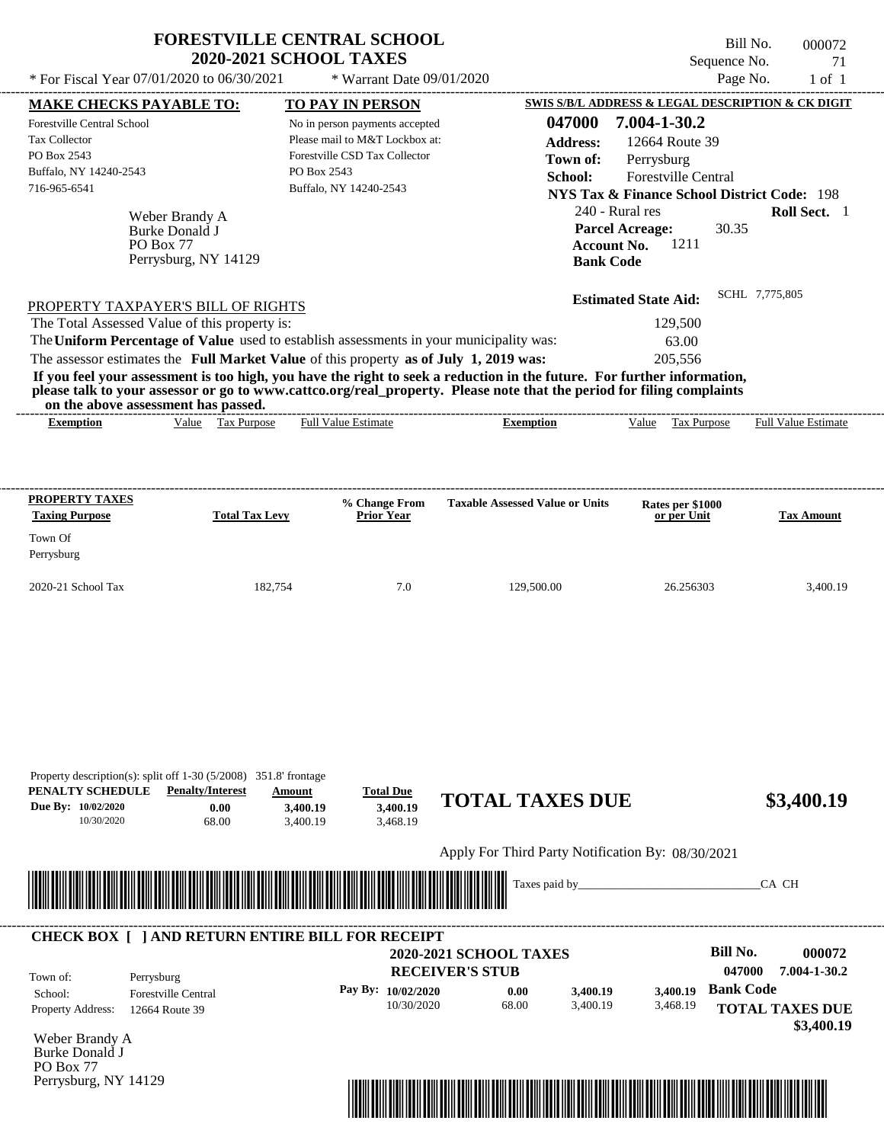| <b>MAKE CHECKS PAYABLE TO:</b><br><b>Forestville Central School</b><br>Tax Collector | * For Fiscal Year 07/01/2020 to 06/30/2021                                          | <b>2020-2021 SCHOOL TAXES</b>                                                           |                                                                                                                         | Sequence No.                                           | 71                         |
|--------------------------------------------------------------------------------------|-------------------------------------------------------------------------------------|-----------------------------------------------------------------------------------------|-------------------------------------------------------------------------------------------------------------------------|--------------------------------------------------------|----------------------------|
|                                                                                      |                                                                                     | * Warrant Date 09/01/2020                                                               |                                                                                                                         | Page No.                                               | $1$ of $1$                 |
|                                                                                      |                                                                                     | TO PAY IN PERSON                                                                        |                                                                                                                         | SWIS S/B/L ADDRESS & LEGAL DESCRIPTION & CK DIGIT      |                            |
|                                                                                      |                                                                                     | No in person payments accepted                                                          | 047000                                                                                                                  | 7.004-1-30.2                                           |                            |
|                                                                                      |                                                                                     | Please mail to M&T Lockbox at:                                                          | <b>Address:</b>                                                                                                         | 12664 Route 39                                         |                            |
| PO Box 2543                                                                          |                                                                                     | Forestville CSD Tax Collector                                                           | Town of:                                                                                                                | Perrysburg                                             |                            |
| Buffalo, NY 14240-2543                                                               |                                                                                     | PO Box 2543                                                                             | School:                                                                                                                 | <b>Forestville Central</b>                             |                            |
| 716-965-6541                                                                         |                                                                                     | Buffalo, NY 14240-2543                                                                  |                                                                                                                         | <b>NYS Tax &amp; Finance School District Code: 198</b> |                            |
|                                                                                      | Weber Brandy A                                                                      |                                                                                         |                                                                                                                         | 240 - Rural res                                        | Roll Sect. 1               |
|                                                                                      | Burke Donald J                                                                      |                                                                                         |                                                                                                                         | <b>Parcel Acreage:</b><br>30.35                        |                            |
|                                                                                      | PO Box 77                                                                           |                                                                                         |                                                                                                                         | 1211<br><b>Account No.</b>                             |                            |
|                                                                                      | Perrysburg, NY 14129                                                                |                                                                                         | <b>Bank Code</b>                                                                                                        |                                                        |                            |
|                                                                                      |                                                                                     |                                                                                         |                                                                                                                         | <b>Estimated State Aid:</b>                            | SCHL 7,775,805             |
|                                                                                      | PROPERTY TAXPAYER'S BILL OF RIGHTS<br>The Total Assessed Value of this property is: |                                                                                         |                                                                                                                         |                                                        |                            |
|                                                                                      |                                                                                     | The Uniform Percentage of Value used to establish assessments in your municipality was: |                                                                                                                         | 129,500                                                |                            |
|                                                                                      |                                                                                     |                                                                                         |                                                                                                                         | 63.00                                                  |                            |
|                                                                                      |                                                                                     | The assessor estimates the Full Market Value of this property as of July 1, 2019 was:   | If you feel your assessment is too high, you have the right to seek a reduction in the future. For further information, | 205,556                                                |                            |
|                                                                                      | on the above assessment has passed.                                                 | _________________________________                                                       | please talk to your assessor or go to www.cattco.org/real property. Please note that the period for filing complaints   |                                                        |                            |
| <b>Exemption</b>                                                                     | Value Tax Purpose                                                                   | <b>Full Value Estimate</b>                                                              | <b>Exemption</b>                                                                                                        | Value Tax Purpose                                      | <b>Full Value Estimate</b> |
|                                                                                      |                                                                                     |                                                                                         |                                                                                                                         |                                                        |                            |
| PROPERTY TAXES<br><b>Taxing Purpose</b><br>Town Of<br>Perrysburg                     | <b>Total Tax Levy</b>                                                               | % Change From<br><b>Prior Year</b>                                                      | <b>Taxable Assessed Value or Units</b>                                                                                  | Rates per \$1000<br>or per Unit                        | <b>Tax Amount</b>          |

| Apply For Third Party Notification By: 08/30/2021 |  |
|---------------------------------------------------|--|
|                                                   |  |



3,400.19

## Weber Brandy A **RECEIVER'S STUB Bill No. 000072 Bank Code** Property Address: 12664 Route 39 Perrysburg School: Forestville Central **TOTAL TAXES DUE \$3,400.19 2020-2021 SCHOOL TAXES 047000 7.004-1-30.2 Pay By: 10/02/2020** 10/30/2020 68.00 **0.00** 3,400.19 **3,400.19** 3,468.19 **3,400.19** Town of: ---------------------------------------------------------------------------------------------------------------------------------------------------------------------------------------------------- **CHECK BOX [ ] AND RETURN ENTIRE BILL FOR RECEIPT**

3,468.19

Burke Donald J PO Box 77 Perrysburg, NY 14129

10/30/2020 68.00

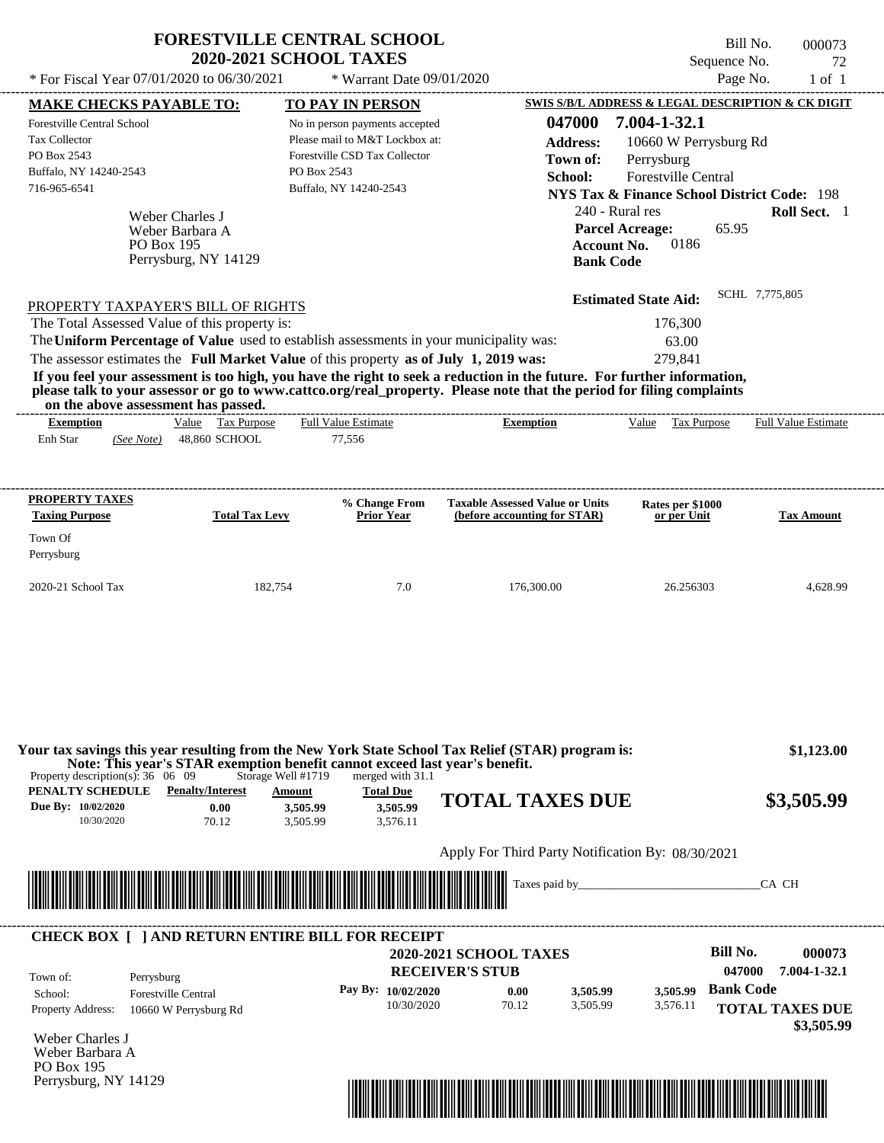|                                                                                                                                                                                                                                                                                                             | <b>FORESTVILLE CENTRAL SCHOOL</b><br><b>2020-2021 SCHOOL TAXES</b>                                                                                                                                  |                                                                  | Bill No.<br>Sequence No.                               | 000073<br>72                         |
|-------------------------------------------------------------------------------------------------------------------------------------------------------------------------------------------------------------------------------------------------------------------------------------------------------------|-----------------------------------------------------------------------------------------------------------------------------------------------------------------------------------------------------|------------------------------------------------------------------|--------------------------------------------------------|--------------------------------------|
| * For Fiscal Year 07/01/2020 to 06/30/2021                                                                                                                                                                                                                                                                  | * Warrant Date 09/01/2020                                                                                                                                                                           |                                                                  | Page No.                                               | $1$ of $1$                           |
| <b>MAKE CHECKS PAYABLE TO:</b>                                                                                                                                                                                                                                                                              | <b>TO PAY IN PERSON</b>                                                                                                                                                                             |                                                                  | SWIS S/B/L ADDRESS & LEGAL DESCRIPTION & CK DIGIT      |                                      |
| <b>Forestville Central School</b><br>Tax Collector<br>PO Box 2543                                                                                                                                                                                                                                           | No in person payments accepted<br>Please mail to M&T Lockbox at:<br>Forestville CSD Tax Collector                                                                                                   | 047000<br><b>Address:</b>                                        | 7.004-1-32.1<br>10660 W Perrysburg Rd                  |                                      |
| Buffalo, NY 14240-2543<br>716-965-6541                                                                                                                                                                                                                                                                      | PO Box 2543<br>Buffalo, NY 14240-2543                                                                                                                                                               | Town of:<br>School:                                              | Perrysburg<br>Forestville Central                      |                                      |
|                                                                                                                                                                                                                                                                                                             |                                                                                                                                                                                                     | 240 - Rural res                                                  | <b>NYS Tax &amp; Finance School District Code: 198</b> | Roll Sect. 1                         |
| Weber Charles J<br>Weber Barbara A<br>PO Box 195<br>Perrysburg, NY 14129                                                                                                                                                                                                                                    |                                                                                                                                                                                                     | <b>Parcel Acreage:</b><br><b>Account No.</b><br><b>Bank Code</b> | 65.95<br>0186                                          |                                      |
| PROPERTY TAXPAYER'S BILL OF RIGHTS                                                                                                                                                                                                                                                                          |                                                                                                                                                                                                     |                                                                  | <b>Estimated State Aid:</b>                            | SCHL 7,775,805                       |
| The Total Assessed Value of this property is:                                                                                                                                                                                                                                                               |                                                                                                                                                                                                     |                                                                  | 176,300                                                |                                      |
| The Uniform Percentage of Value used to establish assessments in your municipality was:<br>The assessor estimates the Full Market Value of this property as of July 1, 2019 was:<br>If you feel your assessment is too high, you have the right to seek a reduction in the future. For further information, |                                                                                                                                                                                                     |                                                                  | 63.00<br>279,841                                       |                                      |
| please talk to your assessor or go to www.cattco.org/real_property. Please note that the period for filing complaints<br>on the above assessment has passed.                                                                                                                                                |                                                                                                                                                                                                     |                                                                  |                                                        |                                      |
| <b>Exemption</b><br>Value Tax Purpose                                                                                                                                                                                                                                                                       | <b>Full Value Estimate</b>                                                                                                                                                                          | <b>Exemption</b>                                                 | Value<br>Tax Purpose                                   | <b>Full Value Estimate</b>           |
| 48,860 SCHOOL<br>Enh Star<br>(See Note)                                                                                                                                                                                                                                                                     | 77,556                                                                                                                                                                                              |                                                                  |                                                        |                                      |
| PROPERTY TAXES                                                                                                                                                                                                                                                                                              | % Change From                                                                                                                                                                                       | <b>Taxable Assessed Value or Units</b>                           | Rates per \$1000                                       |                                      |
| <b>Total Tax Levy</b><br><b>Taxing Purpose</b>                                                                                                                                                                                                                                                              | <b>Prior Year</b>                                                                                                                                                                                   | (before accounting for STAR)                                     | or per Unit                                            | <b>Tax Amount</b>                    |
| Town Of<br>Perrysburg                                                                                                                                                                                                                                                                                       |                                                                                                                                                                                                     |                                                                  |                                                        |                                      |
| 2020-21 School Tax                                                                                                                                                                                                                                                                                          | 182,754<br>7.0                                                                                                                                                                                      | 176,300.00                                                       | 26.256303                                              | 4,628.99                             |
| Your tax savings this year resulting from the New York State School Tax Relief (STAR) program is:<br>Property description(s): $36 \quad 06 \quad 09$<br>PENALTY SCHEDULE<br><b>Penalty/Interest</b><br>Due By: 10/02/2020<br>0.00<br>10/30/2020<br>70.12                                                    | Note: This year's STAR exemption benefit cannot exceed last year's benefit.<br>Storage Well #1719<br>merged with 31.1<br><b>Total Due</b><br>Amount<br>3.505.99<br>3,505.99<br>3,576.11<br>3.505.99 | <b>TOTAL TAXES DUE</b>                                           |                                                        | \$1,123.00<br>\$3,505.99             |
|                                                                                                                                                                                                                                                                                                             |                                                                                                                                                                                                     | Apply For Third Party Notification By: 08/30/2021                |                                                        |                                      |
| <u> Indian American State of Barbara and The Barbara and The Barbara and The Barbara and The Barbara and The Barbara and The Barbara and The Barbara and The Barbara and The Barbara and The Barbara and The Barbara and The Bar</u>                                                                        |                                                                                                                                                                                                     | Taxes paid by_                                                   |                                                        | CA CH                                |
| <b>CHECK BOX [ ] AND RETURN ENTIRE BILL FOR RECEIPT</b>                                                                                                                                                                                                                                                     |                                                                                                                                                                                                     |                                                                  |                                                        |                                      |
|                                                                                                                                                                                                                                                                                                             | <b>RECEIVER'S STUB</b>                                                                                                                                                                              | 2020-2021 SCHOOL TAXES                                           | <b>Bill No.</b><br>047000                              | 000073<br>7.004-1-32.1               |
| Town of:<br>Perrysburg<br><b>Forestville Central</b><br>School:                                                                                                                                                                                                                                             | Pay By: 10/02/2020                                                                                                                                                                                  | 0.00<br>3,505.99                                                 | <b>Bank Code</b><br>3,505.99                           |                                      |
| Property Address:<br>10660 W Perrysburg Rd                                                                                                                                                                                                                                                                  | 10/30/2020                                                                                                                                                                                          | 70.12<br>3,505.99                                                | 3,576.11                                               | <b>TOTAL TAXES DUE</b><br>\$3,505.99 |
| Weber Charles J<br>Weber Barbara A<br>PO Box 195                                                                                                                                                                                                                                                            |                                                                                                                                                                                                     |                                                                  |                                                        |                                      |

Perrysburg, NY 14129

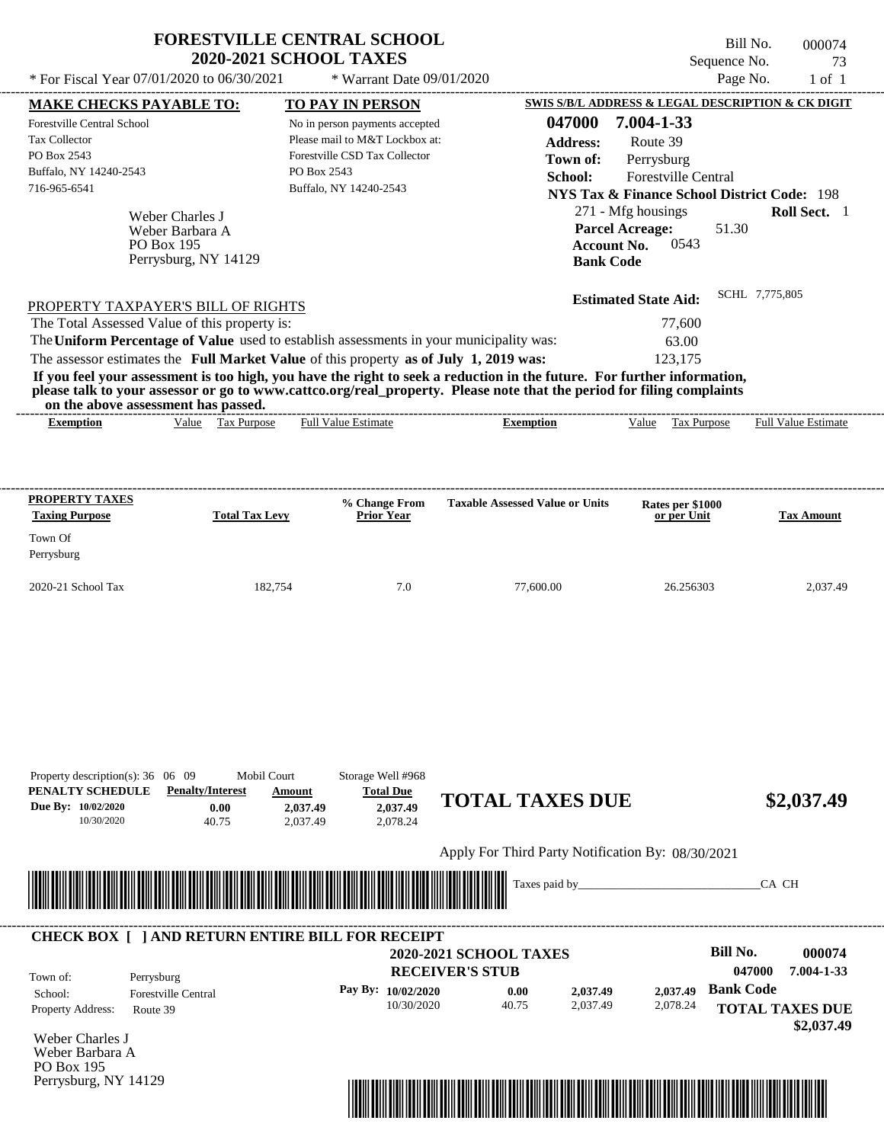|                                                                                                                                                                                                                                                                                         |                                                       |                              |                                | <b>FORESTVILLE CENTRAL SCHOOL</b><br><b>2020-2021 SCHOOL TAXES</b>                                                          |                                                   |                                                  |                                                                                                                                                    | Bill No.<br>Sequence No. |                | 000074<br>73        |
|-----------------------------------------------------------------------------------------------------------------------------------------------------------------------------------------------------------------------------------------------------------------------------------------|-------------------------------------------------------|------------------------------|--------------------------------|-----------------------------------------------------------------------------------------------------------------------------|---------------------------------------------------|--------------------------------------------------|----------------------------------------------------------------------------------------------------------------------------------------------------|--------------------------|----------------|---------------------|
| * For Fiscal Year 07/01/2020 to 06/30/2021                                                                                                                                                                                                                                              |                                                       |                              |                                | * Warrant Date 09/01/2020                                                                                                   |                                                   |                                                  |                                                                                                                                                    | Page No.                 |                | $1$ of $1$          |
| <b>MAKE CHECKS PAYABLE TO:</b>                                                                                                                                                                                                                                                          |                                                       |                              |                                | <b>TO PAY IN PERSON</b>                                                                                                     |                                                   |                                                  | SWIS S/B/L ADDRESS & LEGAL DESCRIPTION & CK DIGIT                                                                                                  |                          |                |                     |
| Forestville Central School<br>Tax Collector<br>PO Box 2543<br>Buffalo, NY 14240-2543<br>716-965-6541                                                                                                                                                                                    | Weber Charles J                                       |                              | PO Box 2543                    | No in person payments accepted<br>Please mail to M&T Lockbox at:<br>Forestville CSD Tax Collector<br>Buffalo, NY 14240-2543 |                                                   | 047000<br><b>Address:</b><br>Town of:<br>School: | 7.004-1-33<br>Route 39<br>Perrysburg<br><b>Forestville Central</b><br><b>NYS Tax &amp; Finance School District Code: 198</b><br>271 - Mfg housings |                          |                | Roll Sect. 1        |
|                                                                                                                                                                                                                                                                                         | Weber Barbara A<br>PO Box 195<br>Perrysburg, NY 14129 |                              |                                |                                                                                                                             |                                                   | <b>Bank Code</b>                                 | <b>Parcel Acreage:</b><br>0543<br><b>Account No.</b>                                                                                               | 51.30                    |                |                     |
| PROPERTY TAXPAYER'S BILL OF RIGHTS                                                                                                                                                                                                                                                      |                                                       |                              |                                |                                                                                                                             |                                                   |                                                  | <b>Estimated State Aid:</b>                                                                                                                        |                          | SCHL 7,775,805 |                     |
| The Total Assessed Value of this property is:                                                                                                                                                                                                                                           |                                                       |                              |                                |                                                                                                                             |                                                   |                                                  | 77,600                                                                                                                                             |                          |                |                     |
| The Uniform Percentage of Value used to establish assessments in your municipality was:                                                                                                                                                                                                 |                                                       |                              |                                |                                                                                                                             |                                                   |                                                  | 63.00                                                                                                                                              |                          |                |                     |
| The assessor estimates the Full Market Value of this property as of July 1, 2019 was:                                                                                                                                                                                                   |                                                       |                              |                                |                                                                                                                             |                                                   |                                                  | 123,175                                                                                                                                            |                          |                |                     |
| If you feel your assessment is too high, you have the right to seek a reduction in the future. For further information,<br>please talk to your assessor or go to www.cattco.org/real_property. Please note that the period for filing complaints<br>on the above assessment has passed. |                                                       |                              |                                |                                                                                                                             |                                                   |                                                  |                                                                                                                                                    |                          |                |                     |
| <b>Exemption</b>                                                                                                                                                                                                                                                                        | Value                                                 | <b>Tax Purpose</b>           |                                | <b>Full Value Estimate</b>                                                                                                  | <b>Exemption</b>                                  |                                                  | Value                                                                                                                                              | Tax Purpose              |                | Full Value Estimate |
| PROPERTY TAXES<br><b>Taxing Purpose</b><br>Town Of<br>Perrysburg                                                                                                                                                                                                                        |                                                       | <b>Total Tax Levy</b>        |                                | % Change From<br>Prior Year                                                                                                 | <b>Taxable Assessed Value or Units</b>            |                                                  | Rates per \$1000<br>or per Unit                                                                                                                    |                          |                | <b>Tax Amount</b>   |
| 2020-21 School Tax                                                                                                                                                                                                                                                                      |                                                       |                              | 182,754                        | 7.0                                                                                                                         |                                                   | 77,600.00                                        | 26.256303                                                                                                                                          |                          |                | 2,037.49            |
| Property description(s): 36 06 09<br>PENALTY SCHEDULE<br>Due By: 10/02/2020<br>10/30/2020                                                                                                                                                                                               | <b>Penalty/Interest</b>                               | Mobil Court<br>0.00<br>40.75 | Amount<br>2,037.49<br>2.037.49 | Storage Well #968<br><b>Total Due</b><br>2,037.49<br>2.078.24                                                               | <b>TOTAL TAXES DUE</b>                            |                                                  |                                                                                                                                                    |                          |                | \$2,037.49          |
|                                                                                                                                                                                                                                                                                         |                                                       |                              |                                |                                                                                                                             | Apply For Third Party Notification By: 08/30/2021 |                                                  |                                                                                                                                                    |                          |                |                     |
|                                                                                                                                                                                                                                                                                         |                                                       |                              |                                |                                                                                                                             |                                                   | Taxes paid by_                                   |                                                                                                                                                    |                          | CA CH          |                     |
|                                                                                                                                                                                                                                                                                         |                                                       |                              |                                |                                                                                                                             |                                                   |                                                  |                                                                                                                                                    |                          |                |                     |
| CHECK ROY I JAND RETURN ENTIRE RILL FOR RECEIPT                                                                                                                                                                                                                                         |                                                       |                              |                                |                                                                                                                             |                                                   |                                                  |                                                                                                                                                    |                          |                |                     |

| Town of:                                | <b>CHECK BOX [ ] AND RETURN ENTIRE BILL FOR RECEIPT</b><br>Perrysburg | <b>2020-2021 SCHOOL TAXES</b><br><b>RECEIVER'S STUB</b> |       |          |          | Bill No.<br>047000 | 000074<br>7.004-1-33                 |
|-----------------------------------------|-----------------------------------------------------------------------|---------------------------------------------------------|-------|----------|----------|--------------------|--------------------------------------|
| School:                                 | <b>Forestville Central</b>                                            | Pay By: 10/02/2020                                      | 0.00  | 2.037.49 | 2.037.49 | <b>Bank Code</b>   |                                      |
| <b>Property Address:</b><br>--- - - - - | Route 39                                                              | 10/30/2020                                              | 40.75 | 2.037.49 | 2,078.24 |                    | <b>TOTAL TAXES DUE</b><br>\$2,037.49 |

Weber Charles J Weber Barbara A PO Box 195 Perrysburg, NY 14129

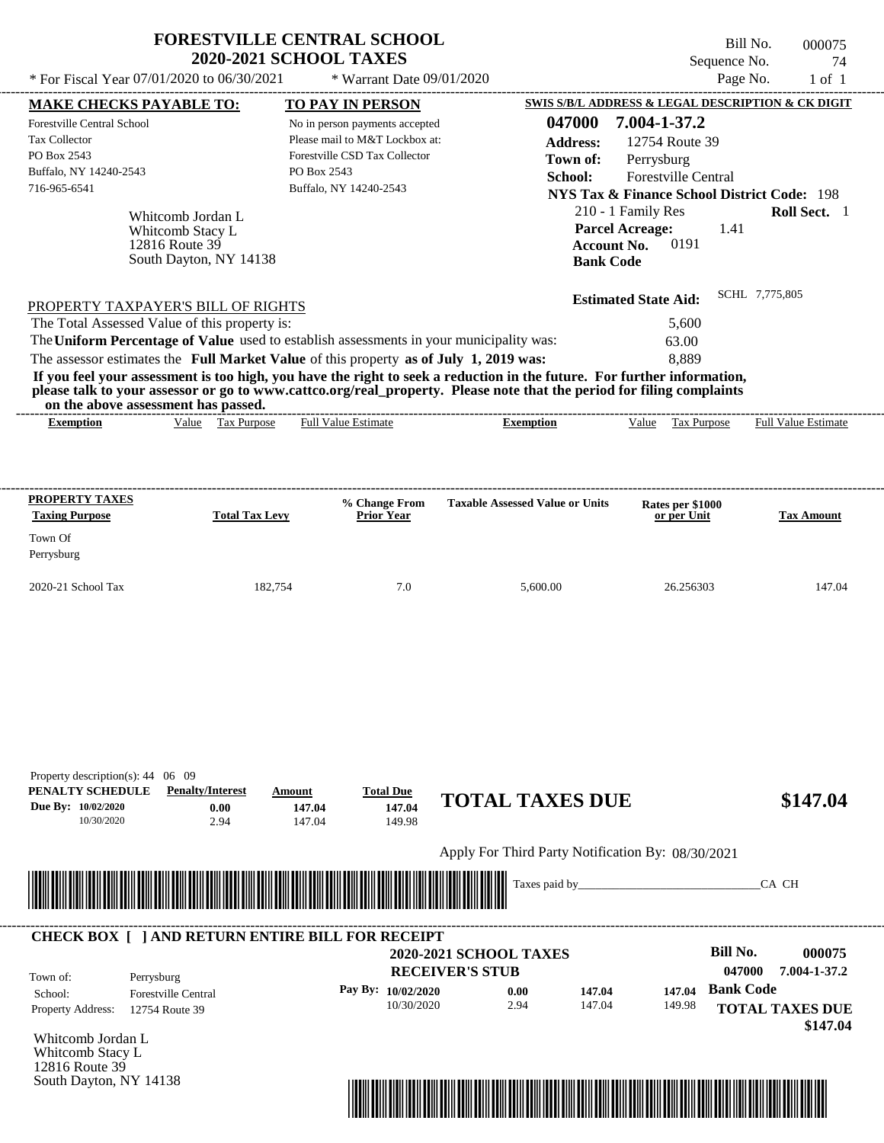| * For Fiscal Year 07/01/2020 to 06/30/2021                                                                                                                                                                                                                                                                     |                                                                                   | <b>2020-2021 SCHOOL TAXES</b><br>* Warrant Date 09/01/2020                                                                                                     |                                                                                                                                                                                                                                                  | Sequence No.                                                                                                                                                                                                                                       | 74<br>Page No.<br>$1$ of $1$ |
|----------------------------------------------------------------------------------------------------------------------------------------------------------------------------------------------------------------------------------------------------------------------------------------------------------------|-----------------------------------------------------------------------------------|----------------------------------------------------------------------------------------------------------------------------------------------------------------|--------------------------------------------------------------------------------------------------------------------------------------------------------------------------------------------------------------------------------------------------|----------------------------------------------------------------------------------------------------------------------------------------------------------------------------------------------------------------------------------------------------|------------------------------|
| <b>MAKE CHECKS PAYABLE TO:</b><br><b>Forestville Central School</b><br>Tax Collector<br>PO Box 2543<br>Buffalo, NY 14240-2543<br>716-965-6541                                                                                                                                                                  | Whitcomb Jordan L<br>Whitcomb Stacy L<br>12816 Route 39<br>South Dayton, NY 14138 | TO PAY IN PERSON<br>No in person payments accepted<br>Please mail to M&T Lockbox at:<br>Forestville CSD Tax Collector<br>PO Box 2543<br>Buffalo, NY 14240-2543 | 047000<br><b>Address:</b><br>Town of:<br>School:<br><b>Account No.</b><br><b>Bank Code</b>                                                                                                                                                       | SWIS S/B/L ADDRESS & LEGAL DESCRIPTION & CK DIGIT<br>7.004-1-37.2<br>12754 Route 39<br>Perrysburg<br>Forestville Central<br><b>NYS Tax &amp; Finance School District Code: 198</b><br>210 - 1 Family Res<br><b>Parcel Acreage:</b><br>1.41<br>0191 | <b>Roll Sect.</b> 1          |
| PROPERTY TAXPAYER'S BILL OF RIGHTS<br>The Total Assessed Value of this property is:<br>The Uniform Percentage of Value used to establish assessments in your municipality was:<br>The assessor estimates the Full Market Value of this property as of July 1, 2019 was:<br>on the above assessment has passed. |                                                                                   |                                                                                                                                                                | If you feel your assessment is too high, you have the right to seek a reduction in the future. For further information,<br>please talk to your assessor or go to www.cattco.org/real_property. Please note that the period for filing complaints | <b>Estimated State Aid:</b><br>5,600<br>63.00<br>8,889                                                                                                                                                                                             | SCHL 7,775,805               |
|                                                                                                                                                                                                                                                                                                                |                                                                                   |                                                                                                                                                                |                                                                                                                                                                                                                                                  |                                                                                                                                                                                                                                                    |                              |
| <b>Exemption</b>                                                                                                                                                                                                                                                                                               | Value Tax Purpose                                                                 | <b>Full Value Estimate</b>                                                                                                                                     | <b>Exemption</b>                                                                                                                                                                                                                                 | Value Tax Purpose                                                                                                                                                                                                                                  | <b>Full Value Estimate</b>   |
| <b>PROPERTY TAXES</b><br><b>Taxing Purpose</b><br>Town Of<br>Perrysburg                                                                                                                                                                                                                                        | <b>Total Tax Levy</b>                                                             | <b>% Change From</b><br><b>Prior Year</b>                                                                                                                      | <b>Taxable Assessed Value or Units</b>                                                                                                                                                                                                           | Rates per \$1000<br>or per Unit                                                                                                                                                                                                                    | <b>Tax Amount</b>            |
|                                                                                                                                                                                                                                                                                                                | 182,754                                                                           | 7.0                                                                                                                                                            | 5,600.00                                                                                                                                                                                                                                         | 26.256303                                                                                                                                                                                                                                          | 147.04                       |
| 2020-21 School Tax<br>Property description(s): 44 06 09<br>PENALTY SCHEDULE<br>Due By: 10/02/2020                                                                                                                                                                                                              | <b>Penalty/Interest</b><br>Amount<br>0.00                                         | <b>Total Due</b><br>147.04<br>147.04                                                                                                                           | <b>TOTAL TAXES DUE</b>                                                                                                                                                                                                                           |                                                                                                                                                                                                                                                    | \$147.04                     |
| 10/30/2020                                                                                                                                                                                                                                                                                                     | 2.94                                                                              | 149.98<br>147.04                                                                                                                                               | Apply For Third Party Notification By: 08/30/2021                                                                                                                                                                                                |                                                                                                                                                                                                                                                    |                              |

| Town of:                 | Perrysburg                 | <b>2020-2021 SCHOOL TAXES</b><br><b>RECEIVER'S STUB</b> |      |        |        | <b>Bill No.</b><br>047000 | 000075<br>7.004-1-37.2 |
|--------------------------|----------------------------|---------------------------------------------------------|------|--------|--------|---------------------------|------------------------|
| School:                  | <b>Forestville Central</b> | Pay By: $10/02/2020$                                    | 0.00 | 147.04 | 147.04 | <b>Bank Code</b>          |                        |
| <b>Property Address:</b> | 12754 Route 39             | 10/30/2020                                              | 2.94 | 147.04 | 149.98 |                           | <b>TOTAL TAXES DUE</b> |

Whitcomb Jordan L Whitcomb Stacy L 12816 Route 39 South Dayton, NY 14138

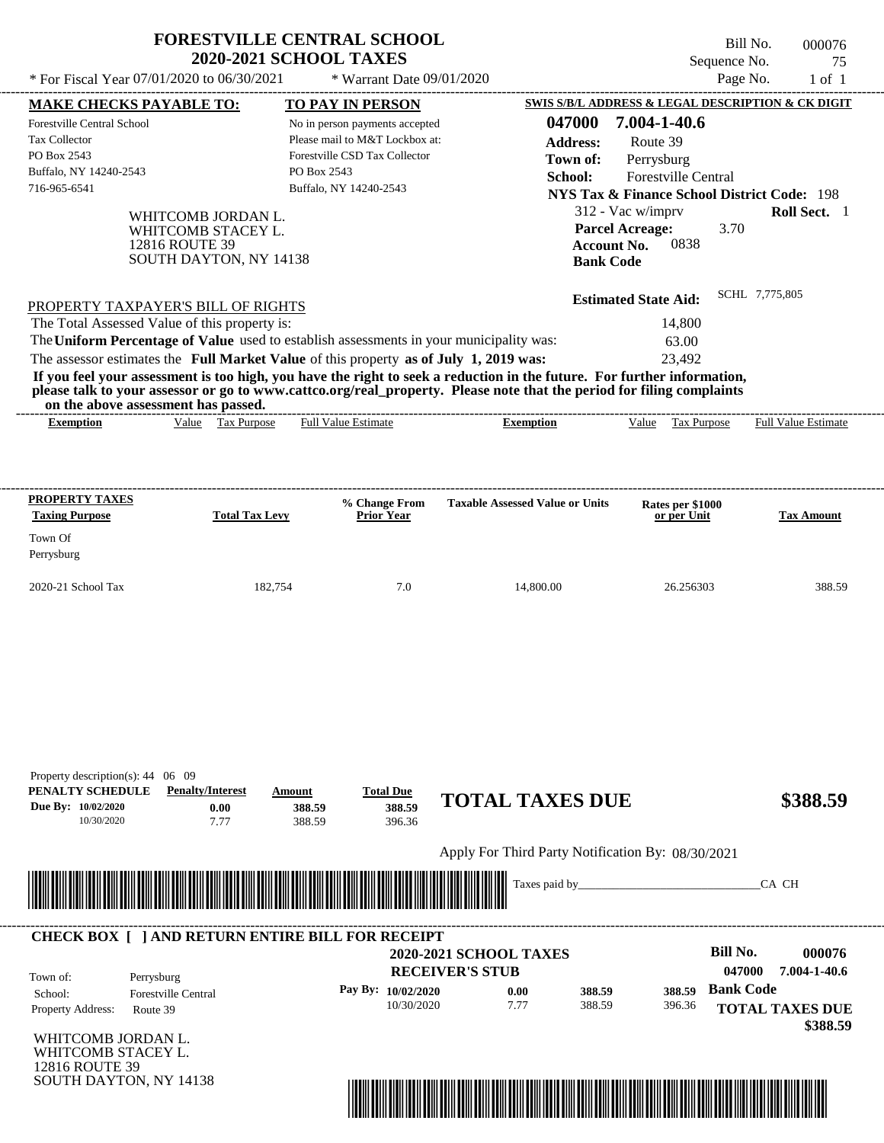|                                                                  |                                                                                      | <b>FORESTVILLE CENTRAL SCHOOL</b><br><b>2020-2021 SCHOOL TAXES</b>                      |                                                                                                                                                                                                                                                  | Sequence No.                                                                                          | Bill No.<br>000076<br>75   |
|------------------------------------------------------------------|--------------------------------------------------------------------------------------|-----------------------------------------------------------------------------------------|--------------------------------------------------------------------------------------------------------------------------------------------------------------------------------------------------------------------------------------------------|-------------------------------------------------------------------------------------------------------|----------------------------|
|                                                                  | * For Fiscal Year 07/01/2020 to 06/30/2021                                           | * Warrant Date 09/01/2020                                                               |                                                                                                                                                                                                                                                  |                                                                                                       | Page No.<br>$1$ of $1$     |
| <b>MAKE CHECKS PAYABLE TO:</b>                                   |                                                                                      | TO PAY IN PERSON                                                                        |                                                                                                                                                                                                                                                  | SWIS S/B/L ADDRESS & LEGAL DESCRIPTION & CK DIGIT                                                     |                            |
| Forestville Central School                                       |                                                                                      | No in person payments accepted                                                          | 047000                                                                                                                                                                                                                                           | 7.004-1-40.6                                                                                          |                            |
| <b>Tax Collector</b>                                             |                                                                                      | Please mail to M&T Lockbox at:                                                          | <b>Address:</b>                                                                                                                                                                                                                                  | Route 39                                                                                              |                            |
| PO Box 2543                                                      |                                                                                      | Forestville CSD Tax Collector                                                           | Town of:                                                                                                                                                                                                                                         | Perrysburg                                                                                            |                            |
| Buffalo, NY 14240-2543                                           |                                                                                      | PO Box 2543                                                                             | School:                                                                                                                                                                                                                                          | <b>Forestville Central</b>                                                                            |                            |
| 716-965-6541                                                     |                                                                                      | Buffalo, NY 14240-2543                                                                  |                                                                                                                                                                                                                                                  | <b>NYS Tax &amp; Finance School District Code: 198</b>                                                |                            |
|                                                                  | WHITCOMB JORDAN L.<br>WHITCOMB STACEY L.<br>12816 ROUTE 39<br>SOUTH DAYTON, NY 14138 |                                                                                         |                                                                                                                                                                                                                                                  | 312 - Vac w/imprv<br>3.70<br><b>Parcel Acreage:</b><br>0838<br><b>Account No.</b><br><b>Bank Code</b> | Roll Sect. 1               |
|                                                                  | PROPERTY TAXPAYER'S BILL OF RIGHTS                                                   |                                                                                         |                                                                                                                                                                                                                                                  | <b>Estimated State Aid:</b>                                                                           | SCHL 7,775,805             |
|                                                                  | The Total Assessed Value of this property is:                                        |                                                                                         |                                                                                                                                                                                                                                                  | 14,800                                                                                                |                            |
|                                                                  |                                                                                      | The Uniform Percentage of Value used to establish assessments in your municipality was: |                                                                                                                                                                                                                                                  | 63.00                                                                                                 |                            |
|                                                                  |                                                                                      | The assessor estimates the Full Market Value of this property as of July 1, 2019 was:   |                                                                                                                                                                                                                                                  | 23,492                                                                                                |                            |
|                                                                  | on the above assessment has passed.                                                  |                                                                                         | If you feel your assessment is too high, you have the right to seek a reduction in the future. For further information,<br>please talk to your assessor or go to www.cattco.org/real_property. Please note that the period for filing complaints |                                                                                                       |                            |
| <b>Exemption</b>                                                 | Value Tax Purpose                                                                    | <b>Full Value Estimate</b>                                                              | <b>Exemption</b>                                                                                                                                                                                                                                 | Value<br><b>Tax Purpose</b>                                                                           | <b>Full Value Estimate</b> |
|                                                                  |                                                                                      | % Change From                                                                           | <b>Taxable Assessed Value or Units</b>                                                                                                                                                                                                           | Rates per \$1000                                                                                      |                            |
| PROPERTY TAXES<br><b>Taxing Purpose</b><br>Town Of<br>Perrysburg | <b>Total Tax Levy</b>                                                                | Prior Year                                                                              |                                                                                                                                                                                                                                                  | or per Unit                                                                                           | <b>Tax Amount</b>          |
| 2020-21 School Tax                                               | 182,754                                                                              | 7.0                                                                                     | 14,800.00                                                                                                                                                                                                                                        | 26.256303                                                                                             |                            |
| Property description(s): 44 06 09<br>PENALTY SCHEDULE            | <b>Penalty/Interest</b>                                                              | <b>Total Due</b><br>Amount                                                              | <b>TOTAL TAXES DUE</b>                                                                                                                                                                                                                           |                                                                                                       |                            |
| Due By: 10/02/2020<br>10/30/2020                                 | 0.00<br>7.77                                                                         | 388.59<br>388.59<br>388.59<br>396.36                                                    |                                                                                                                                                                                                                                                  |                                                                                                       | 388.59<br>\$388.59         |
|                                                                  |                                                                                      |                                                                                         | Apply For Third Party Notification By: 08/30/2021                                                                                                                                                                                                |                                                                                                       |                            |

| Town of:                                     | CHECK BOX     AND RETURN ENTIRE BILL FOR RECEIPT<br>Perrysburg | <b>2020-2021 SCHOOL TAXES</b><br><b>RECEIVER'S STUB</b> |      |        |        | Bill No.<br>047000 | 000076<br>7.004-1-40.6             |
|----------------------------------------------|----------------------------------------------------------------|---------------------------------------------------------|------|--------|--------|--------------------|------------------------------------|
| School:                                      | <b>Forestville Central</b>                                     | Pay By: $10/02/2020$                                    | 0.00 | 388.59 | 388.59 | <b>Bank Code</b>   |                                    |
| <b>Property Address:</b><br>WHITCOMD IODDANI | Route 39                                                       | 10/30/2020                                              | 7.77 | 388.59 | 396.36 |                    | <b>TOTAL TAXES DUE</b><br>\$388.59 |

WHITCOMB JORDAN L. WHITCOMB STACEY L. 12816 ROUTE 39 SOUTH DAYTON, NY 14138

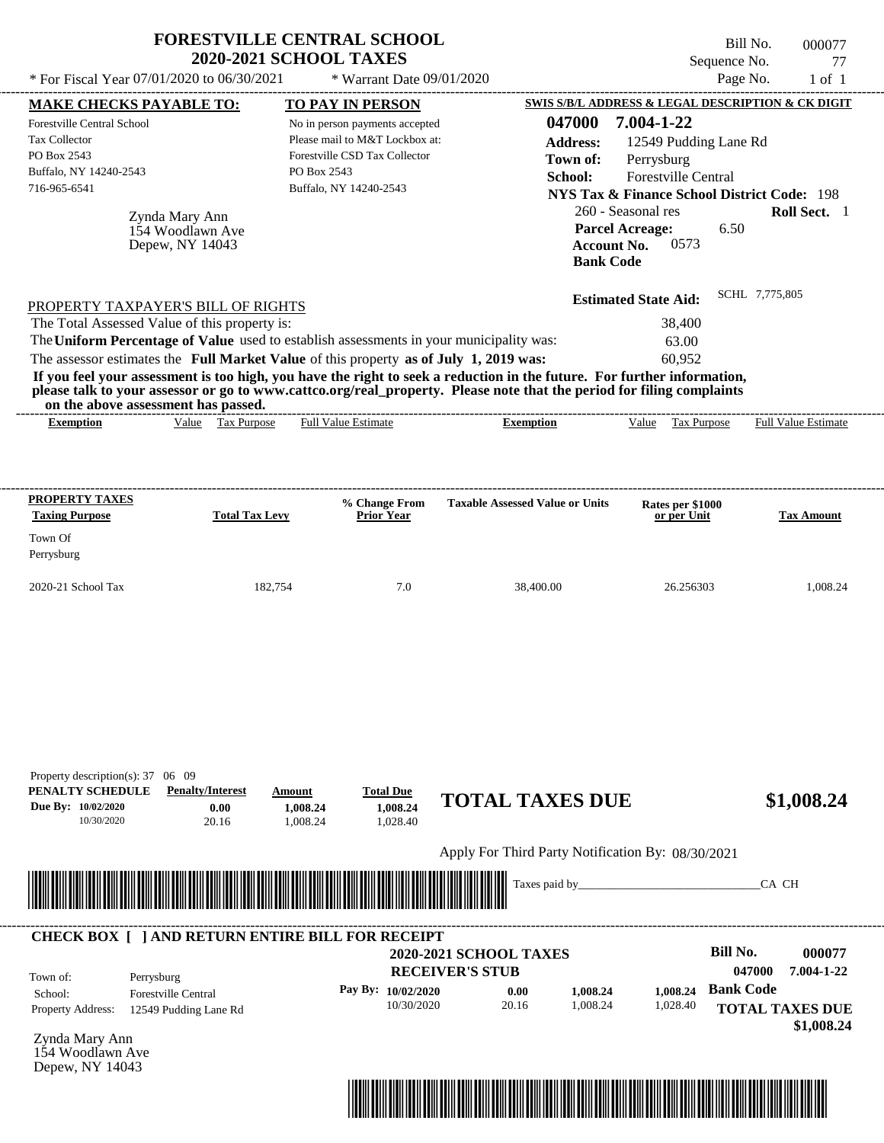|                                                                                                             |                                                       | <b>FORESTVILLE CENTRAL SCHOOL</b><br><b>2020-2021 SCHOOL TAXES</b>                                                                         |                                                                                                                                                                                                                                                  | Sequence No.                                                                                                                                                                                       | Bill No.<br>000077<br>77   |
|-------------------------------------------------------------------------------------------------------------|-------------------------------------------------------|--------------------------------------------------------------------------------------------------------------------------------------------|--------------------------------------------------------------------------------------------------------------------------------------------------------------------------------------------------------------------------------------------------|----------------------------------------------------------------------------------------------------------------------------------------------------------------------------------------------------|----------------------------|
| * For Fiscal Year 07/01/2020 to 06/30/2021                                                                  |                                                       | * Warrant Date 09/01/2020                                                                                                                  |                                                                                                                                                                                                                                                  |                                                                                                                                                                                                    | Page No.<br>$1$ of $1$     |
| <b>MAKE CHECKS PAYABLE TO:</b>                                                                              |                                                       | TO PAY IN PERSON                                                                                                                           |                                                                                                                                                                                                                                                  | SWIS S/B/L ADDRESS & LEGAL DESCRIPTION & CK DIGIT                                                                                                                                                  |                            |
| <b>Forestville Central School</b><br>Tax Collector<br>PO Box 2543<br>Buffalo, NY 14240-2543<br>716-965-6541 | Zynda Mary Ann<br>154 Woodlawn Ave<br>Depew, NY 14043 | No in person payments accepted<br>Please mail to M&T Lockbox at:<br>Forestville CSD Tax Collector<br>PO Box 2543<br>Buffalo, NY 14240-2543 | 047000<br><b>Address:</b><br>Town of:<br>School:<br><b>Account No.</b><br><b>Bank Code</b>                                                                                                                                                       | 7.004-1-22<br>12549 Pudding Lane Rd<br>Perrysburg<br>Forestville Central<br><b>NYS Tax &amp; Finance School District Code: 198</b><br>260 - Seasonal res<br><b>Parcel Acreage:</b><br>6.50<br>0573 | Roll Sect. 1               |
| PROPERTY TAXPAYER'S BILL OF RIGHTS                                                                          |                                                       |                                                                                                                                            |                                                                                                                                                                                                                                                  | <b>Estimated State Aid:</b>                                                                                                                                                                        | SCHL 7,775,805             |
| The Total Assessed Value of this property is:                                                               |                                                       |                                                                                                                                            |                                                                                                                                                                                                                                                  | 38,400                                                                                                                                                                                             |                            |
|                                                                                                             |                                                       | The Uniform Percentage of Value used to establish assessments in your municipality was:                                                    |                                                                                                                                                                                                                                                  | 63.00                                                                                                                                                                                              |                            |
|                                                                                                             |                                                       | The assessor estimates the Full Market Value of this property as of July 1, 2019 was:                                                      |                                                                                                                                                                                                                                                  | 60.952                                                                                                                                                                                             |                            |
| on the above assessment has passed.                                                                         |                                                       |                                                                                                                                            | If you feel your assessment is too high, you have the right to seek a reduction in the future. For further information,<br>please talk to your assessor or go to www.cattco.org/real property. Please note that the period for filing complaints |                                                                                                                                                                                                    |                            |
| <b>Exemption</b>                                                                                            | Value Tax Purpose                                     | ______________________________<br>Full Value Estimate                                                                                      | <b>Exemption</b>                                                                                                                                                                                                                                 | Value Tax Purpose                                                                                                                                                                                  | <b>Full Value Estimate</b> |
|                                                                                                             |                                                       | % Change From                                                                                                                              | <b>Taxable Assessed Value or Units</b>                                                                                                                                                                                                           | Rates per \$1000                                                                                                                                                                                   |                            |
| PROPERTY TAXES<br><b>Taxing Purpose</b><br>Town Of<br>Perrysburg                                            | <b>Total Tax Levy</b>                                 | <b>Prior Year</b>                                                                                                                          |                                                                                                                                                                                                                                                  | or per Unit                                                                                                                                                                                        | <b>Tax Amount</b>          |
| 2020-21 School Tax                                                                                          | 182,754                                               | 7.0                                                                                                                                        | 38,400.00                                                                                                                                                                                                                                        | 26.256303                                                                                                                                                                                          | 1,008.24                   |
|                                                                                                             |                                                       |                                                                                                                                            |                                                                                                                                                                                                                                                  |                                                                                                                                                                                                    |                            |
| Property description(s): $37 \quad 06 \quad 09$<br>PENALTY SCHEDULE<br>Due By: 10/02/2020<br>10/30/2020     | <b>Penalty/Interest</b><br>0.00<br>20.16              | <b>Total Due</b><br>Amount<br>1,008.24<br>1,008.24<br>1,028.40<br>1,008.24                                                                 | <b>TOTAL TAXES DUE</b>                                                                                                                                                                                                                           |                                                                                                                                                                                                    | \$1,008.24                 |
|                                                                                                             |                                                       |                                                                                                                                            | Apply For Third Party Notification By: 08/30/2021                                                                                                                                                                                                |                                                                                                                                                                                                    |                            |
|                                                                                                             |                                                       |                                                                                                                                            | Taxes paid by_                                                                                                                                                                                                                                   |                                                                                                                                                                                                    | CA CH                      |

| Town of:                 | CHECK BOX   TAND RETURN ENTIRE BILL FOR RECEIPT<br>Perrysburg | <b>2020-2021 SCHOOL TAXES</b><br><b>RECEIVER'S STUB</b> |       |          |          | Bill No.<br>047000 | 000077<br>7.004-1-22                 |
|--------------------------|---------------------------------------------------------------|---------------------------------------------------------|-------|----------|----------|--------------------|--------------------------------------|
| School:                  | <b>Forestville Central</b>                                    | Pay By: 10/02/2020                                      | 0.00  | 1.008.24 | 1.008.24 | <b>Bank Code</b>   |                                      |
| <b>Property Address:</b> | 12549 Pudding Lane Rd                                         | 10/30/2020                                              | 20.16 | 1.008.24 | 1,028.40 |                    | <b>TOTAL TAXES DUE</b><br>\$1,008.24 |

Zynda Mary Ann 154 Woodlawn Ave Depew, NY 14043

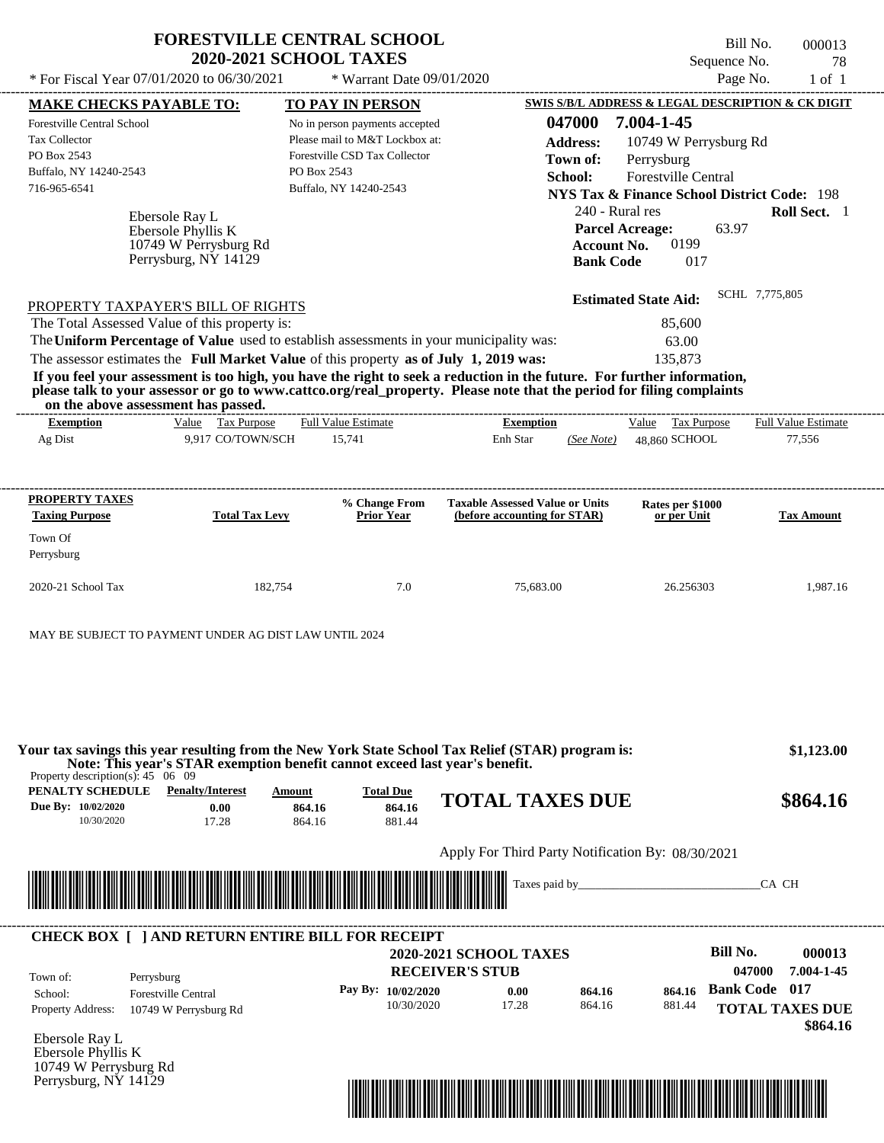|                                                                                                                                                                                                                                                                                            |                                                                                                                                                                     |                                                                                                                                                                                                                                          |                                                                                                                                                                                                                     |                                                                                                                                    |                                                                                                                                                                                                                                                                                                                                       | Bill No.<br>000013<br>78                                                                                                                                                                                                                                                                                                                                                                                                                                                                                                                                                                                                      |
|--------------------------------------------------------------------------------------------------------------------------------------------------------------------------------------------------------------------------------------------------------------------------------------------|---------------------------------------------------------------------------------------------------------------------------------------------------------------------|------------------------------------------------------------------------------------------------------------------------------------------------------------------------------------------------------------------------------------------|---------------------------------------------------------------------------------------------------------------------------------------------------------------------------------------------------------------------|------------------------------------------------------------------------------------------------------------------------------------|---------------------------------------------------------------------------------------------------------------------------------------------------------------------------------------------------------------------------------------------------------------------------------------------------------------------------------------|-------------------------------------------------------------------------------------------------------------------------------------------------------------------------------------------------------------------------------------------------------------------------------------------------------------------------------------------------------------------------------------------------------------------------------------------------------------------------------------------------------------------------------------------------------------------------------------------------------------------------------|
|                                                                                                                                                                                                                                                                                            |                                                                                                                                                                     |                                                                                                                                                                                                                                          |                                                                                                                                                                                                                     |                                                                                                                                    |                                                                                                                                                                                                                                                                                                                                       | Page No.<br>$1$ of $1$                                                                                                                                                                                                                                                                                                                                                                                                                                                                                                                                                                                                        |
|                                                                                                                                                                                                                                                                                            |                                                                                                                                                                     |                                                                                                                                                                                                                                          |                                                                                                                                                                                                                     |                                                                                                                                    |                                                                                                                                                                                                                                                                                                                                       |                                                                                                                                                                                                                                                                                                                                                                                                                                                                                                                                                                                                                               |
|                                                                                                                                                                                                                                                                                            |                                                                                                                                                                     |                                                                                                                                                                                                                                          |                                                                                                                                                                                                                     | 047000                                                                                                                             |                                                                                                                                                                                                                                                                                                                                       |                                                                                                                                                                                                                                                                                                                                                                                                                                                                                                                                                                                                                               |
|                                                                                                                                                                                                                                                                                            |                                                                                                                                                                     |                                                                                                                                                                                                                                          |                                                                                                                                                                                                                     |                                                                                                                                    |                                                                                                                                                                                                                                                                                                                                       |                                                                                                                                                                                                                                                                                                                                                                                                                                                                                                                                                                                                                               |
|                                                                                                                                                                                                                                                                                            |                                                                                                                                                                     |                                                                                                                                                                                                                                          |                                                                                                                                                                                                                     |                                                                                                                                    |                                                                                                                                                                                                                                                                                                                                       |                                                                                                                                                                                                                                                                                                                                                                                                                                                                                                                                                                                                                               |
|                                                                                                                                                                                                                                                                                            |                                                                                                                                                                     |                                                                                                                                                                                                                                          |                                                                                                                                                                                                                     |                                                                                                                                    |                                                                                                                                                                                                                                                                                                                                       |                                                                                                                                                                                                                                                                                                                                                                                                                                                                                                                                                                                                                               |
|                                                                                                                                                                                                                                                                                            |                                                                                                                                                                     |                                                                                                                                                                                                                                          |                                                                                                                                                                                                                     |                                                                                                                                    |                                                                                                                                                                                                                                                                                                                                       |                                                                                                                                                                                                                                                                                                                                                                                                                                                                                                                                                                                                                               |
|                                                                                                                                                                                                                                                                                            |                                                                                                                                                                     |                                                                                                                                                                                                                                          |                                                                                                                                                                                                                     |                                                                                                                                    |                                                                                                                                                                                                                                                                                                                                       | Roll Sect. 1                                                                                                                                                                                                                                                                                                                                                                                                                                                                                                                                                                                                                  |
|                                                                                                                                                                                                                                                                                            |                                                                                                                                                                     |                                                                                                                                                                                                                                          |                                                                                                                                                                                                                     |                                                                                                                                    |                                                                                                                                                                                                                                                                                                                                       |                                                                                                                                                                                                                                                                                                                                                                                                                                                                                                                                                                                                                               |
|                                                                                                                                                                                                                                                                                            |                                                                                                                                                                     |                                                                                                                                                                                                                                          |                                                                                                                                                                                                                     |                                                                                                                                    |                                                                                                                                                                                                                                                                                                                                       |                                                                                                                                                                                                                                                                                                                                                                                                                                                                                                                                                                                                                               |
|                                                                                                                                                                                                                                                                                            |                                                                                                                                                                     |                                                                                                                                                                                                                                          |                                                                                                                                                                                                                     |                                                                                                                                    |                                                                                                                                                                                                                                                                                                                                       |                                                                                                                                                                                                                                                                                                                                                                                                                                                                                                                                                                                                                               |
|                                                                                                                                                                                                                                                                                            |                                                                                                                                                                     |                                                                                                                                                                                                                                          |                                                                                                                                                                                                                     |                                                                                                                                    |                                                                                                                                                                                                                                                                                                                                       |                                                                                                                                                                                                                                                                                                                                                                                                                                                                                                                                                                                                                               |
|                                                                                                                                                                                                                                                                                            |                                                                                                                                                                     |                                                                                                                                                                                                                                          |                                                                                                                                                                                                                     |                                                                                                                                    |                                                                                                                                                                                                                                                                                                                                       | SCHL 7,775,805                                                                                                                                                                                                                                                                                                                                                                                                                                                                                                                                                                                                                |
|                                                                                                                                                                                                                                                                                            |                                                                                                                                                                     |                                                                                                                                                                                                                                          |                                                                                                                                                                                                                     |                                                                                                                                    | 85,600                                                                                                                                                                                                                                                                                                                                |                                                                                                                                                                                                                                                                                                                                                                                                                                                                                                                                                                                                                               |
|                                                                                                                                                                                                                                                                                            |                                                                                                                                                                     |                                                                                                                                                                                                                                          |                                                                                                                                                                                                                     |                                                                                                                                    |                                                                                                                                                                                                                                                                                                                                       |                                                                                                                                                                                                                                                                                                                                                                                                                                                                                                                                                                                                                               |
|                                                                                                                                                                                                                                                                                            |                                                                                                                                                                     |                                                                                                                                                                                                                                          |                                                                                                                                                                                                                     |                                                                                                                                    |                                                                                                                                                                                                                                                                                                                                       |                                                                                                                                                                                                                                                                                                                                                                                                                                                                                                                                                                                                                               |
|                                                                                                                                                                                                                                                                                            |                                                                                                                                                                     |                                                                                                                                                                                                                                          |                                                                                                                                                                                                                     |                                                                                                                                    | Value Tax Purpose                                                                                                                                                                                                                                                                                                                     | <b>Full Value Estimate</b>                                                                                                                                                                                                                                                                                                                                                                                                                                                                                                                                                                                                    |
|                                                                                                                                                                                                                                                                                            |                                                                                                                                                                     | 15,741                                                                                                                                                                                                                                   | Enh Star                                                                                                                                                                                                            | (See Note)                                                                                                                         | 48.860 SCHOOL                                                                                                                                                                                                                                                                                                                         | 77,556                                                                                                                                                                                                                                                                                                                                                                                                                                                                                                                                                                                                                        |
|                                                                                                                                                                                                                                                                                            |                                                                                                                                                                     | % Change From<br><b>Prior Year</b>                                                                                                                                                                                                       |                                                                                                                                                                                                                     |                                                                                                                                    | Rates per \$1000<br>or per Unit                                                                                                                                                                                                                                                                                                       | <b>Tax Amount</b>                                                                                                                                                                                                                                                                                                                                                                                                                                                                                                                                                                                                             |
|                                                                                                                                                                                                                                                                                            |                                                                                                                                                                     | 7.0                                                                                                                                                                                                                                      |                                                                                                                                                                                                                     |                                                                                                                                    | 26.256303                                                                                                                                                                                                                                                                                                                             | 1,987.16                                                                                                                                                                                                                                                                                                                                                                                                                                                                                                                                                                                                                      |
|                                                                                                                                                                                                                                                                                            |                                                                                                                                                                     |                                                                                                                                                                                                                                          |                                                                                                                                                                                                                     |                                                                                                                                    |                                                                                                                                                                                                                                                                                                                                       |                                                                                                                                                                                                                                                                                                                                                                                                                                                                                                                                                                                                                               |
| Your tax savings this year resulting from the New York State School Tax Relief (STAR) program is:<br>Note: This year's STAR exemption benefit cannot exceed last year's benefit.<br>Property description(s): $45 \quad 06 \quad 09$<br>PENALTY SCHEDULE<br><b>Penalty/Interest</b><br>0.00 | Amount<br>864.16                                                                                                                                                    | <b>Total Due</b><br>864.16                                                                                                                                                                                                               | <b>TOTAL TAXES DUE</b>                                                                                                                                                                                              |                                                                                                                                    |                                                                                                                                                                                                                                                                                                                                       | \$1,123.00<br>\$864.16                                                                                                                                                                                                                                                                                                                                                                                                                                                                                                                                                                                                        |
|                                                                                                                                                                                                                                                                                            | <b>MAKE CHECKS PAYABLE TO:</b><br>Forestville Central School<br>Ebersole Ray L<br>Ebersole Phyllis K<br>Perrysburg, NY 14129<br>on the above assessment has passed. | * For Fiscal Year 07/01/2020 to 06/30/2021<br>10749 W Perrysburg Rd<br>PROPERTY TAXPAYER'S BILL OF RIGHTS<br>The Total Assessed Value of this property is:<br>Value Tax Purpose<br>9,917 CO/TOWN/SCH<br><b>Total Tax Levy</b><br>182,754 | <b>2020-2021 SCHOOL TAXES</b><br>TO PAY IN PERSON<br>Forestville CSD Tax Collector<br>PO Box 2543<br>Buffalo, NY 14240-2543<br><b>Full Value Estimate</b><br>MAY BE SUBJECT TO PAYMENT UNDER AG DIST LAW UNTIL 2024 | <b>FORESTVILLE CENTRAL SCHOOL</b><br>* Warrant Date 09/01/2020<br>No in person payments accepted<br>Please mail to M&T Lockbox at: | <b>Address:</b><br>Town of:<br>School:<br>The Uniform Percentage of Value used to establish assessments in your municipality was:<br>The assessor estimates the Full Market Value of this property as of July 1, 2019 was:<br><b>Exemption</b><br><b>Taxable Assessed Value or Units</b><br>(before accounting for STAR)<br>75,683.00 | Sequence No.<br>SWIS S/B/L ADDRESS & LEGAL DESCRIPTION & CK DIGIT<br>7.004-1-45<br>10749 W Perrysburg Rd<br>Perrysburg<br>Forestville Central<br><b>NYS Tax &amp; Finance School District Code: 198</b><br>240 - Rural res<br><b>Parcel Acreage:</b><br>63.97<br>0199<br><b>Account No.</b><br><b>Bank Code</b><br>017<br><b>Estimated State Aid:</b><br>63.00<br>135,873<br>If you feel your assessment is too high, you have the right to seek a reduction in the future. For further information,<br>please talk to your assessor or go to www.cattco.org/real_property. Please note that the period for filing complaints |

Apply For Third Party Notification By: 08/30/2021



| Town of:                 | Perrysburg                 | <b>2020-2021 SCHOOL TAXES</b><br><b>RECEIVER'S STUB</b> |       |        |        | Bill No.<br>047000     | 000013<br>7.004-1-45 |
|--------------------------|----------------------------|---------------------------------------------------------|-------|--------|--------|------------------------|----------------------|
| School:                  | <b>Forestville Central</b> | Pay By: 10/02/2020                                      | 0.00  | 864.16 | 864.16 | <b>Bank Code</b> 017   |                      |
| <b>Property Address:</b> | 10749 W Perrysburg Rd      | 10/30/2020                                              | 17.28 | 864.16 | 881.44 | <b>TOTAL TAXES DUE</b> |                      |

Ebersole Ray L Ebersole Phyllis K 10749 W Perrysburg Rd Perrysburg, NY 14129

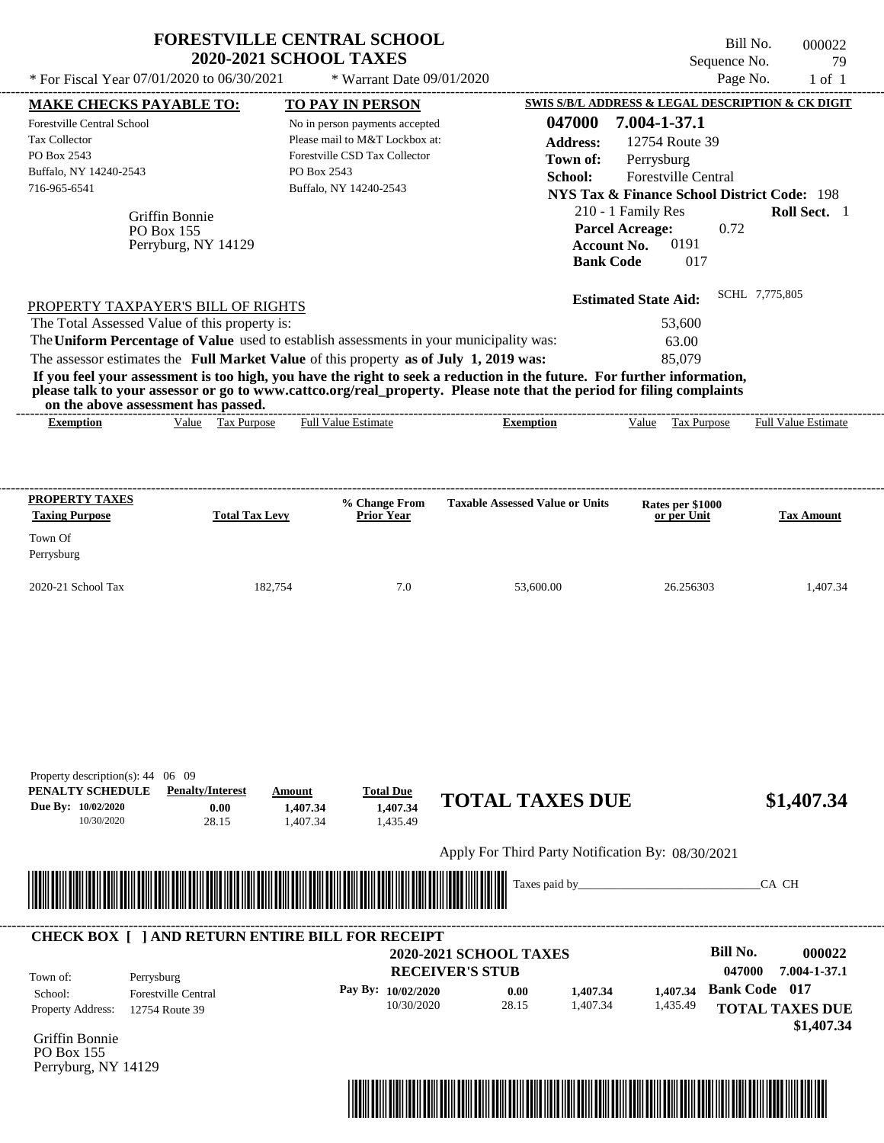|                                                                                                                                                                                                                                                                                                                |                                           | <b>FORESTVILLE CENTRAL SCHOOL</b><br><b>2020-2021 SCHOOL TAXES</b>                                                                                                    |                                                                                                                                                                                                                                                  | Sequence No.                                                                                                                                                                                                                                              | Bill No.<br>000022<br>79                       |
|----------------------------------------------------------------------------------------------------------------------------------------------------------------------------------------------------------------------------------------------------------------------------------------------------------------|-------------------------------------------|-----------------------------------------------------------------------------------------------------------------------------------------------------------------------|--------------------------------------------------------------------------------------------------------------------------------------------------------------------------------------------------------------------------------------------------|-----------------------------------------------------------------------------------------------------------------------------------------------------------------------------------------------------------------------------------------------------------|------------------------------------------------|
| * For Fiscal Year 07/01/2020 to 06/30/2021                                                                                                                                                                                                                                                                     |                                           | * Warrant Date 09/01/2020                                                                                                                                             |                                                                                                                                                                                                                                                  | Page No.                                                                                                                                                                                                                                                  | $1$ of $1$                                     |
| <b>MAKE CHECKS PAYABLE TO:</b><br><b>Forestville Central School</b><br>Tax Collector<br>PO Box 2543<br>Buffalo, NY 14240-2543<br>716-965-6541<br>Griffin Bonnie<br>PO Box 155                                                                                                                                  | Perryburg, NY 14129                       | <b>TO PAY IN PERSON</b><br>No in person payments accepted<br>Please mail to M&T Lockbox at:<br>Forestville CSD Tax Collector<br>PO Box 2543<br>Buffalo, NY 14240-2543 | 047000<br><b>Address:</b><br>Town of:<br>School:<br><b>Account No.</b><br><b>Bank Code</b>                                                                                                                                                       | SWIS S/B/L ADDRESS & LEGAL DESCRIPTION & CK DIGIT<br>7.004-1-37.1<br>12754 Route 39<br>Perrysburg<br>Forestville Central<br><b>NYS Tax &amp; Finance School District Code: 198</b><br>210 - 1 Family Res<br><b>Parcel Acreage:</b><br>0.72<br>0191<br>017 | <b>Roll Sect.</b> 1                            |
| PROPERTY TAXPAYER'S BILL OF RIGHTS<br>The Total Assessed Value of this property is:<br>The Uniform Percentage of Value used to establish assessments in your municipality was:<br>The assessor estimates the Full Market Value of this property as of July 1, 2019 was:<br>on the above assessment has passed. |                                           |                                                                                                                                                                       | If you feel your assessment is too high, you have the right to seek a reduction in the future. For further information,<br>please talk to your assessor or go to www.cattco.org/real_property. Please note that the period for filing complaints | <b>Estimated State Aid:</b><br>53,600<br>63.00<br>85,079                                                                                                                                                                                                  | SCHL 7,775,805                                 |
| <b>Exemption</b>                                                                                                                                                                                                                                                                                               | Value Tax Purpose                         | <b>Full Value Estimate</b>                                                                                                                                            | <b>Exemption</b>                                                                                                                                                                                                                                 | Value<br>Tax Purpose                                                                                                                                                                                                                                      | Full Value Estimate                            |
| PROPERTY TAXES<br><b>Taxing Purpose</b><br>Town Of<br>Perrysburg<br>2020-21 School Tax                                                                                                                                                                                                                         | <b>Total Tax Levy</b><br>182,754          | % Change From<br><b>Prior Year</b><br>7.0                                                                                                                             | <b>Taxable Assessed Value or Units</b><br>53,600.00                                                                                                                                                                                              | Rates per \$1000<br>or per Unit<br>26.256303                                                                                                                                                                                                              | <b>Tax Amount</b><br>1,407.34                  |
| Property description(s): $44 \quad 06 \quad 09$<br>PENALTY SCHEDULE<br>Due Bv: 10/02/2020                                                                                                                                                                                                                      | <b>Penalty/Interest</b><br>Amount<br>0.00 | <b>Total Due</b><br>1,407.34<br>1,407.34                                                                                                                              | <b>TOTAL TAXES DUE</b>                                                                                                                                                                                                                           |                                                                                                                                                                                                                                                           | \$1,407.34                                     |
| 10/30/2020                                                                                                                                                                                                                                                                                                     | 28.15                                     | 1,407.34<br>1,435.49                                                                                                                                                  |                                                                                                                                                                                                                                                  |                                                                                                                                                                                                                                                           |                                                |
|                                                                                                                                                                                                                                                                                                                |                                           |                                                                                                                                                                       | Apply For Third Party Notification By: 08/30/2021                                                                                                                                                                                                |                                                                                                                                                                                                                                                           |                                                |
|                                                                                                                                                                                                                                                                                                                |                                           |                                                                                                                                                                       | Taxes paid by_                                                                                                                                                                                                                                   |                                                                                                                                                                                                                                                           | CA CH                                          |
| <b>CHECK BOX [ ] AND RETURN ENTIRE BILL FOR RECEIPT</b>                                                                                                                                                                                                                                                        |                                           |                                                                                                                                                                       |                                                                                                                                                                                                                                                  |                                                                                                                                                                                                                                                           |                                                |
| Town of:<br>Perrysburg<br>School:                                                                                                                                                                                                                                                                              | <b>Forestville Central</b>                | Pay By: 10/02/2020                                                                                                                                                    | 2020-2021 SCHOOL TAXES<br><b>RECEIVER'S STUB</b><br>0.00<br>1,407.34                                                                                                                                                                             | <b>Bill No.</b><br>047000<br>1,407.34                                                                                                                                                                                                                     | 000022<br>7.004-1-37.1<br><b>Bank Code 017</b> |
| Property Address:<br>12754 Route 39                                                                                                                                                                                                                                                                            |                                           | 10/30/2020                                                                                                                                                            | 28.15<br>1,407.34                                                                                                                                                                                                                                | 1,435.49                                                                                                                                                                                                                                                  | <b>TOTAL TAXES DUE</b>                         |

Griffin Bonnie PO Box 155 Perryburg, NY 14129



 **\$1,407.34**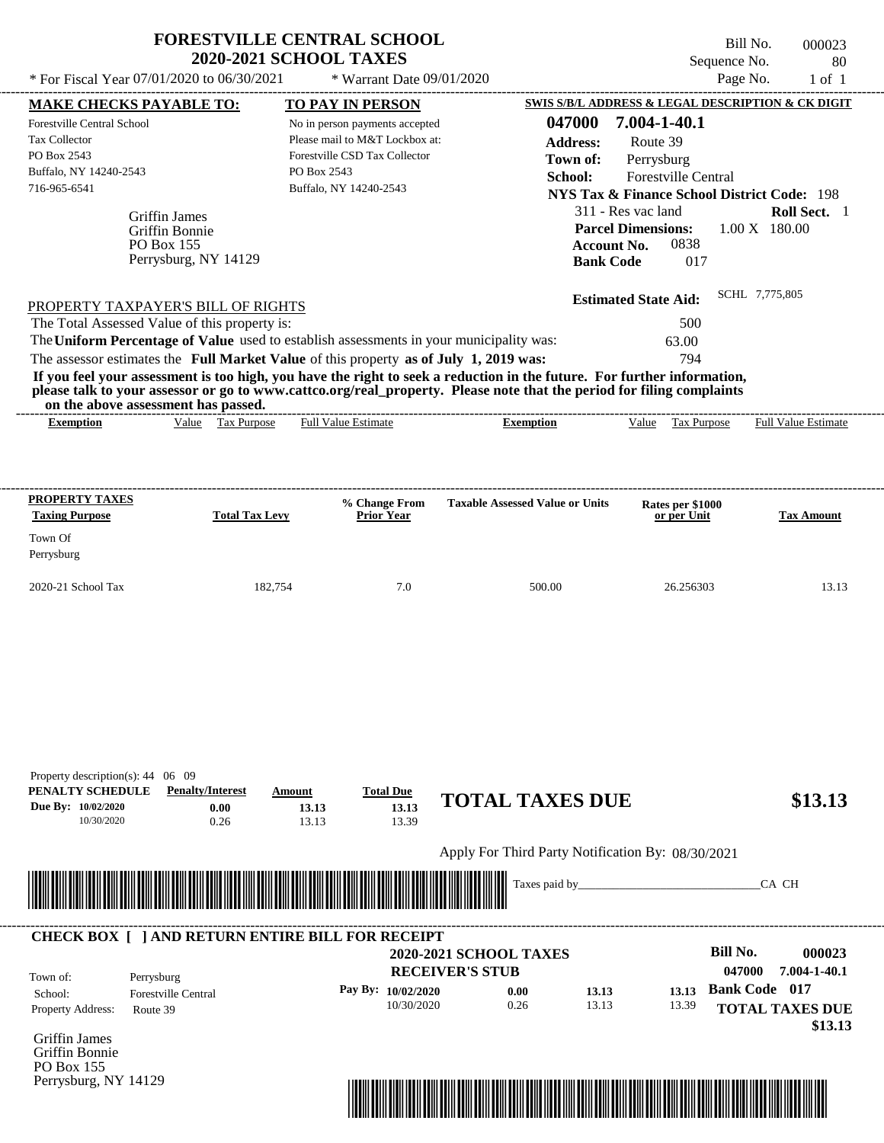|                                                                                                                 |                                                                                     | <b>FORESTVILLE CENTRAL SCHOOL</b><br><b>2020-2021 SCHOOL TAXES</b>                                                                                                               |                                                                                                                                                                                                                                                  | Sequence No.                                                                                                                                                                                     | Bill No.<br>000023<br>80        |
|-----------------------------------------------------------------------------------------------------------------|-------------------------------------------------------------------------------------|----------------------------------------------------------------------------------------------------------------------------------------------------------------------------------|--------------------------------------------------------------------------------------------------------------------------------------------------------------------------------------------------------------------------------------------------|--------------------------------------------------------------------------------------------------------------------------------------------------------------------------------------------------|---------------------------------|
| * For Fiscal Year 07/01/2020 to 06/30/2021                                                                      |                                                                                     | * Warrant Date 09/01/2020                                                                                                                                                        |                                                                                                                                                                                                                                                  |                                                                                                                                                                                                  | Page No.<br>$1$ of $1$          |
| <b>MAKE CHECKS PAYABLE TO:</b>                                                                                  |                                                                                     | TO PAY IN PERSON                                                                                                                                                                 |                                                                                                                                                                                                                                                  | SWIS S/B/L ADDRESS & LEGAL DESCRIPTION & CK DIGIT                                                                                                                                                |                                 |
| Forestville Central School<br><b>Tax Collector</b><br>PO Box 2543<br>Buffalo, NY 14240-2543<br>716-965-6541     | <b>Griffin James</b><br>Griffin Bonnie<br>PO Box 155<br>Perrysburg, NY 14129        | No in person payments accepted<br>Please mail to M&T Lockbox at:<br>Forestville CSD Tax Collector<br>PO Box 2543<br>Buffalo, NY 14240-2543                                       | 047000<br><b>Address:</b><br>Town of:<br>School:<br><b>Account No.</b><br><b>Bank Code</b>                                                                                                                                                       | 7.004-1-40.1<br>Route 39<br>Perrysburg<br><b>Forestville Central</b><br><b>NYS Tax &amp; Finance School District Code: 198</b><br>311 - Res vac land<br><b>Parcel Dimensions:</b><br>0838<br>017 | Roll Sect. 1<br>$1.00 X$ 180.00 |
|                                                                                                                 | PROPERTY TAXPAYER'S BILL OF RIGHTS<br>The Total Assessed Value of this property is: | The Uniform Percentage of Value used to establish assessments in your municipality was:<br>The assessor estimates the Full Market Value of this property as of July 1, 2019 was: | If you feel your assessment is too high, you have the right to seek a reduction in the future. For further information,<br>please talk to your assessor or go to www.cattco.org/real_property. Please note that the period for filing complaints | <b>Estimated State Aid:</b><br>500<br>63.00<br>794                                                                                                                                               | SCHL 7,775,805                  |
| <b>Exemption</b>                                                                                                | on the above assessment has passed.<br>Value Tax Purpose                            | <b>Full Value Estimate</b>                                                                                                                                                       | <b>Exemption</b>                                                                                                                                                                                                                                 | Value<br><b>Tax Purpose</b>                                                                                                                                                                      | <b>Full Value Estimate</b>      |
| PROPERTY TAXES<br><b>Taxing Purpose</b>                                                                         | <b>Total Tax Levy</b>                                                               | % Change From<br>Prior Year                                                                                                                                                      | <b>Taxable Assessed Value or Units</b>                                                                                                                                                                                                           | Rates per \$1000<br>or per Unit                                                                                                                                                                  | <b>Tax Amount</b>               |
| Town Of<br>Perrysburg                                                                                           |                                                                                     |                                                                                                                                                                                  |                                                                                                                                                                                                                                                  |                                                                                                                                                                                                  |                                 |
|                                                                                                                 | 182,754                                                                             | 7.0                                                                                                                                                                              | 500.00                                                                                                                                                                                                                                           | 26.256303                                                                                                                                                                                        | 13.13                           |
| 2020-21 School Tax<br>Property description(s): 44 06 09<br>PENALTY SCHEDULE<br>Due By: 10/02/2020<br>10/30/2020 | <b>Penalty/Interest</b><br>0.00<br>0.26                                             | <b>Total Due</b><br>Amount<br>13.13<br>13.13<br>13.39<br>13.13                                                                                                                   | <b>TOTAL TAXES DUE</b>                                                                                                                                                                                                                           |                                                                                                                                                                                                  | \$13.13                         |
|                                                                                                                 |                                                                                     |                                                                                                                                                                                  |                                                                                                                                                                                                                                                  |                                                                                                                                                                                                  |                                 |
|                                                                                                                 |                                                                                     |                                                                                                                                                                                  | Apply For Third Party Notification By: 08/30/2021<br>Taxes paid by_                                                                                                                                                                              |                                                                                                                                                                                                  | CA CH                           |

| Town of:                 | Perrysburg                 | <b>2020-2021 SCHOOL TAXES</b><br><b>RECEIVER'S STUB</b> |      |       |       | Bill No.<br>000023<br>7.004-1-40.1<br>047000 |
|--------------------------|----------------------------|---------------------------------------------------------|------|-------|-------|----------------------------------------------|
| School:                  | <b>Forestville Central</b> | Pay By: $10/02/2020$                                    | 0.00 | 13.13 | 13.13 | <b>Bank Code</b> 017                         |
| <b>Property Address:</b> | Route 39                   | 10/30/2020                                              | 0.26 | 13.13 | 13.39 | <b>TOTAL TAXES DUE</b>                       |

Griffin James Griffin Bonnie PO Box 155 Perrysburg, NY 14129

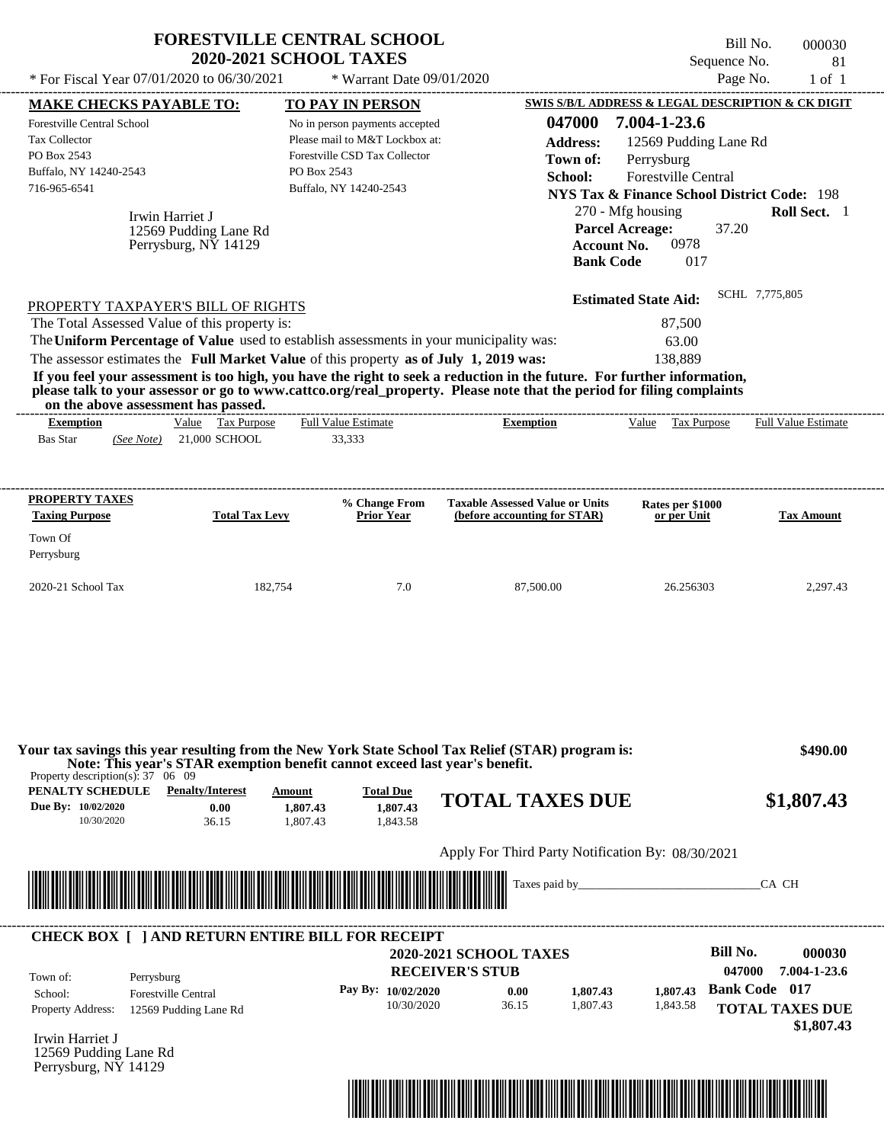| <b>FORESTVILLE CENTRAL SCHOOL</b>                                                                                                                                                                                                                                                                                                                                                                                                                                                                                                                                                       | <b>2020-2021 SCHOOL TAXES</b>                                                                                                                                  |                                      |                                                                 |                                                                                                                                                                                                                                                                                                          | Bill No.<br>Sequence No.                   | 000030<br>81                                     |
|-----------------------------------------------------------------------------------------------------------------------------------------------------------------------------------------------------------------------------------------------------------------------------------------------------------------------------------------------------------------------------------------------------------------------------------------------------------------------------------------------------------------------------------------------------------------------------------------|----------------------------------------------------------------------------------------------------------------------------------------------------------------|--------------------------------------|-----------------------------------------------------------------|----------------------------------------------------------------------------------------------------------------------------------------------------------------------------------------------------------------------------------------------------------------------------------------------------------|--------------------------------------------|--------------------------------------------------|
| * For Fiscal Year 07/01/2020 to 06/30/2021                                                                                                                                                                                                                                                                                                                                                                                                                                                                                                                                              |                                                                                                                                                                | * Warrant Date 09/01/2020            |                                                                 |                                                                                                                                                                                                                                                                                                          | Page No.                                   | 1 of 1                                           |
| <b>MAKE CHECKS PAYABLE TO:</b><br>Forestville Central School<br>Tax Collector<br>PO Box 2543<br>Buffalo, NY 14240-2543<br>716-965-6541<br>Irwin Harriet J<br>12569 Pudding Lane Rd<br>Perrysburg, NY 14129                                                                                                                                                                                                                                                                                                                                                                              | TO PAY IN PERSON<br>No in person payments accepted<br>Please mail to M&T Lockbox at:<br>Forestville CSD Tax Collector<br>PO Box 2543<br>Buffalo, NY 14240-2543 |                                      | 047000<br><b>Address:</b><br>Town of:<br>School:                | SWIS S/B/L ADDRESS & LEGAL DESCRIPTION & CK DIGIT<br>7.004-1-23.6<br>12569 Pudding Lane Rd<br>Perrysburg<br><b>Forestville Central</b><br><b>NYS Tax &amp; Finance School District Code: 198</b><br>270 - Mfg housing<br><b>Parcel Acreage:</b><br><b>Account No.</b><br>0978<br><b>Bank Code</b><br>017 | 37.20                                      | Roll Sect. 1                                     |
| PROPERTY TAXPAYER'S BILL OF RIGHTS<br>The Total Assessed Value of this property is:<br>The Uniform Percentage of Value used to establish assessments in your municipality was:<br>The assessor estimates the Full Market Value of this property as of July 1, 2019 was:<br>If you feel your assessment is too high, you have the right to seek a reduction in the future. For further information,<br>please talk to your assessor or go to www.cattco.org/real_property. Please note that the period for filing complaints<br>on the above assessment has passed.<br>Value Tax Purpose |                                                                                                                                                                |                                      |                                                                 | <b>Estimated State Aid:</b><br>87,500<br>63.00<br>138,889<br>Value Tax Purpose                                                                                                                                                                                                                           | SCHL 7,775,805                             | <b>Full Value Estimate</b>                       |
| <b>Exemption</b><br><b>Bas Star</b><br>21,000 SCHOOL<br>(See Note)                                                                                                                                                                                                                                                                                                                                                                                                                                                                                                                      | <b>Full Value Estimate</b><br>33,333                                                                                                                           |                                      | <b>Exemption</b>                                                |                                                                                                                                                                                                                                                                                                          |                                            |                                                  |
| Town Of<br>Perrysburg<br>2020-21 School Tax<br>182,754                                                                                                                                                                                                                                                                                                                                                                                                                                                                                                                                  |                                                                                                                                                                | 7.0                                  | 87,500.00                                                       | 26.256303                                                                                                                                                                                                                                                                                                |                                            | 2,297.43                                         |
| Your tax savings this year resulting from the New York State School Tax Relief (STAR) program is:<br>Note: This year's STAR exemption benefit cannot exceed last year's benefit.<br>Property description(s): $37 \quad 06 \quad 09$<br><b>PENALTY SCHEDULE</b> Penalty/Interest                                                                                                                                                                                                                                                                                                         |                                                                                                                                                                |                                      |                                                                 |                                                                                                                                                                                                                                                                                                          |                                            | \$490.00                                         |
| Due By: 10/02/2020<br>0.00<br>10/30/2020<br>36.15                                                                                                                                                                                                                                                                                                                                                                                                                                                                                                                                       | <b>Total Due</b><br>Amount<br>1,807.43                                                                                                                         | 1.807.43                             | <b>TOTAL TAXES DUE</b>                                          |                                                                                                                                                                                                                                                                                                          |                                            | \$1,807.43                                       |
|                                                                                                                                                                                                                                                                                                                                                                                                                                                                                                                                                                                         | 1,807.43                                                                                                                                                       | 1,843.58                             |                                                                 |                                                                                                                                                                                                                                                                                                          |                                            |                                                  |
|                                                                                                                                                                                                                                                                                                                                                                                                                                                                                                                                                                                         |                                                                                                                                                                |                                      | Apply For Third Party Notification By: 08/30/2021               |                                                                                                                                                                                                                                                                                                          |                                            |                                                  |
|                                                                                                                                                                                                                                                                                                                                                                                                                                                                                                                                                                                         |                                                                                                                                                                |                                      | Taxes paid by_                                                  |                                                                                                                                                                                                                                                                                                          | CA CH                                      |                                                  |
| <b>CHECK BOX [ ] AND RETURN ENTIRE BILL FOR RECEIPT</b><br>Perrysburg<br>Town of:<br>School:<br><b>Forestville Central</b><br><b>Property Address:</b><br>12569 Pudding Lane Rd                                                                                                                                                                                                                                                                                                                                                                                                         | Pay By: 10/02/2020                                                                                                                                             | <b>RECEIVER'S STUB</b><br>10/30/2020 | 2020-2021 SCHOOL TAXES<br>1,807.43<br>0.00<br>36.15<br>1.807.43 | 1,807.43<br>1,843.58                                                                                                                                                                                                                                                                                     | Bill No.<br>047000<br><b>Bank Code</b> 017 | 000030<br>7.004-1-23.6<br><b>TOTAL TAXES DUE</b> |
| Irwin Harriet J<br>12569 Pudding Lane Rd<br>Perrysburg, NY 14129                                                                                                                                                                                                                                                                                                                                                                                                                                                                                                                        |                                                                                                                                                                |                                      |                                                                 |                                                                                                                                                                                                                                                                                                          |                                            | \$1,807.43                                       |

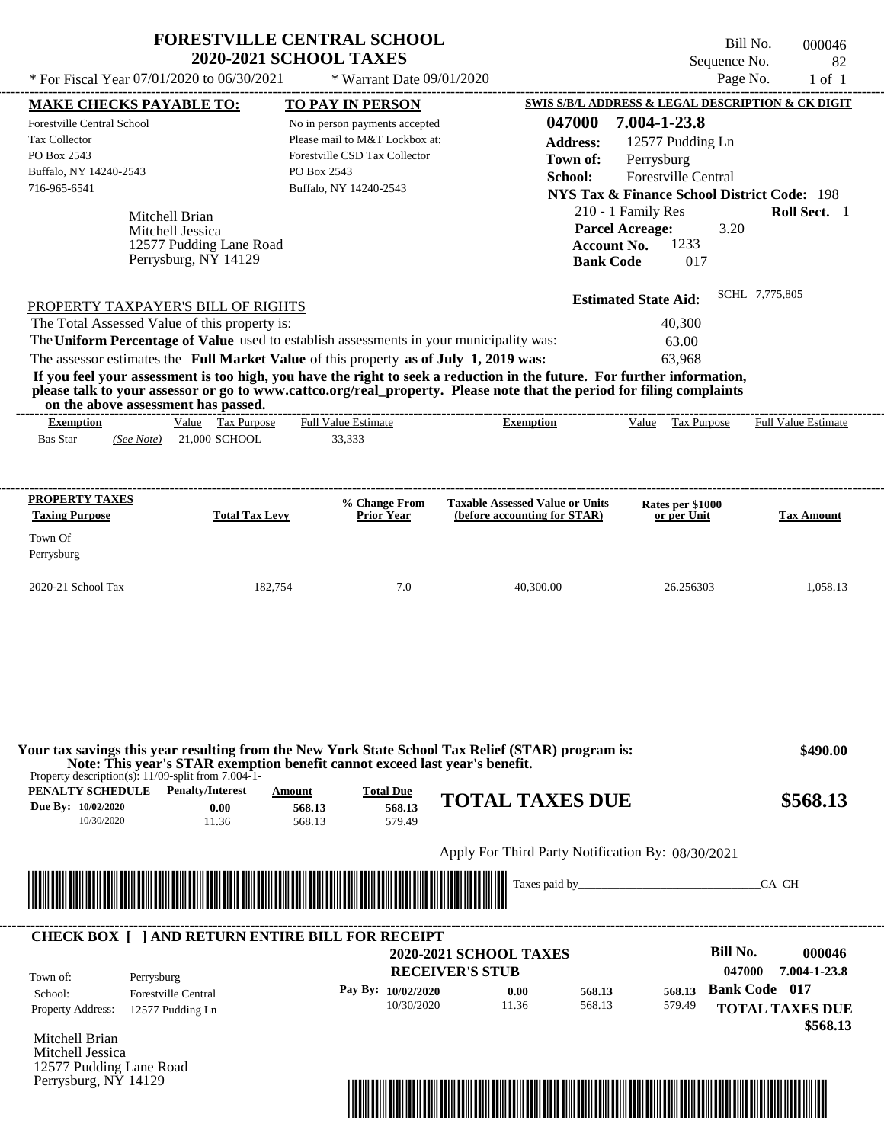|                                                                                                                                                                                 |                                                 | <b>FORESTVILLE CENTRAL SCHOOL</b><br><b>2020-2021 SCHOOL TAXES</b>                                                                                                                                                                                                                                                                                                                                                                   |                                                                        |                                                                                                                                                                                        | Bill No.<br>Sequence No. | 000046<br>82               |
|---------------------------------------------------------------------------------------------------------------------------------------------------------------------------------|-------------------------------------------------|--------------------------------------------------------------------------------------------------------------------------------------------------------------------------------------------------------------------------------------------------------------------------------------------------------------------------------------------------------------------------------------------------------------------------------------|------------------------------------------------------------------------|----------------------------------------------------------------------------------------------------------------------------------------------------------------------------------------|--------------------------|----------------------------|
| * For Fiscal Year 07/01/2020 to 06/30/2021                                                                                                                                      |                                                 | * Warrant Date 09/01/2020                                                                                                                                                                                                                                                                                                                                                                                                            |                                                                        |                                                                                                                                                                                        | Page No.                 | $1$ of $1$                 |
| <b>MAKE CHECKS PAYABLE TO:</b>                                                                                                                                                  |                                                 | TO PAY IN PERSON                                                                                                                                                                                                                                                                                                                                                                                                                     |                                                                        | SWIS S/B/L ADDRESS & LEGAL DESCRIPTION & CK DIGIT                                                                                                                                      |                          |                            |
| Forestville Central School<br><b>Tax Collector</b><br>PO Box 2543<br>Buffalo, NY 14240-2543<br>716-965-6541                                                                     | Mitchell Brian<br>Mitchell Jessica              | No in person payments accepted<br>Please mail to M&T Lockbox at:<br>Forestville CSD Tax Collector<br>PO Box 2543<br>Buffalo, NY 14240-2543                                                                                                                                                                                                                                                                                           | 047000<br><b>Address:</b><br>Town of:<br>School:                       | 7.004-1-23.8<br>12577 Pudding Ln<br>Perrysburg<br><b>Forestville Central</b><br><b>NYS Tax &amp; Finance School District Code: 198</b><br>210 - 1 Family Res<br><b>Parcel Acreage:</b> | 3.20                     | Roll Sect. 1               |
|                                                                                                                                                                                 | 12577 Pudding Lane Road<br>Perrysburg, NY 14129 |                                                                                                                                                                                                                                                                                                                                                                                                                                      |                                                                        | 1233<br><b>Account No.</b><br><b>Bank Code</b>                                                                                                                                         | 017                      |                            |
|                                                                                                                                                                                 |                                                 |                                                                                                                                                                                                                                                                                                                                                                                                                                      |                                                                        |                                                                                                                                                                                        |                          | SCHL 7,775,805             |
|                                                                                                                                                                                 |                                                 | The Uniform Percentage of Value used to establish assessments in your municipality was:<br>The assessor estimates the Full Market Value of this property as of July 1, 2019 was:<br>If you feel your assessment is too high, you have the right to seek a reduction in the future. For further information,<br>please talk to your assessor or go to www.cattco.org/real_property. Please note that the period for filing complaints |                                                                        | <b>Estimated State Aid:</b><br>40,300<br>63.00<br>63,968                                                                                                                               |                          |                            |
| PROPERTY TAXPAYER'S BILL OF RIGHTS<br>The Total Assessed Value of this property is:<br>on the above assessment has passed.<br><b>Exemption</b><br><b>Bas Star</b><br>(See Note) | Value Tax Purpose<br>21,000 SCHOOL              | <b>Full Value Estimate</b><br>33,333                                                                                                                                                                                                                                                                                                                                                                                                 | <b>Exemption</b>                                                       | Value Tax Purpose                                                                                                                                                                      |                          | <b>Full Value Estimate</b> |
| PROPERTY TAXES<br><b>Taxing Purpose</b><br>Town Of<br>Perrysburg                                                                                                                | <b>Total Tax Levy</b>                           | % Change From<br><b>Prior Year</b>                                                                                                                                                                                                                                                                                                                                                                                                   | <b>Taxable Assessed Value or Units</b><br>(before accounting for STAR) | Rates per \$1000<br>or per Unit                                                                                                                                                        |                          | <b>Tax Amount</b>          |

| PENALTY SCHEDULE                 | Property description(s): 11/09-split from 7.004-1-<br><b>Penalty/Interest</b> | Amount                                                                                                               | <b>Total Due</b>   |                                                   |        |                                                |
|----------------------------------|-------------------------------------------------------------------------------|----------------------------------------------------------------------------------------------------------------------|--------------------|---------------------------------------------------|--------|------------------------------------------------|
| Due By: 10/02/2020<br>10/30/2020 | 0.00<br>11.36                                                                 | 568.13<br>568.13                                                                                                     | 568.13<br>579.49   | <b>TOTAL TAXES DUE</b>                            |        | \$568.13                                       |
|                                  |                                                                               |                                                                                                                      |                    | Apply For Third Party Notification By: 08/30/2021 |        |                                                |
|                                  |                                                                               |                                                                                                                      |                    |                                                   |        |                                                |
|                                  |                                                                               | <u> 1989 - Andrea Stadt British, martin Andrew Martin British, martin Andrew Martin British, martin British, mar</u> |                    | Taxes paid by                                     |        | CA CH                                          |
|                                  | <b>CHECK BOX [ ] AND RETURN ENTIRE BILL FOR RECEIPT</b>                       |                                                                                                                      |                    |                                                   |        |                                                |
|                                  |                                                                               |                                                                                                                      |                    | <b>2020-2021 SCHOOL TAXES</b>                     |        | Bill No.<br>000046                             |
| Town of:<br>School:              | Perrysburg<br><b>Forestville Central</b>                                      |                                                                                                                      | Pay By: 10/02/2020 | <b>RECEIVER'S STUB</b><br>0.00<br>568.13          | 568.13 | 047000<br>7.004-1-23.8<br><b>Bank Code 017</b> |

\*04700000004600000000056813\*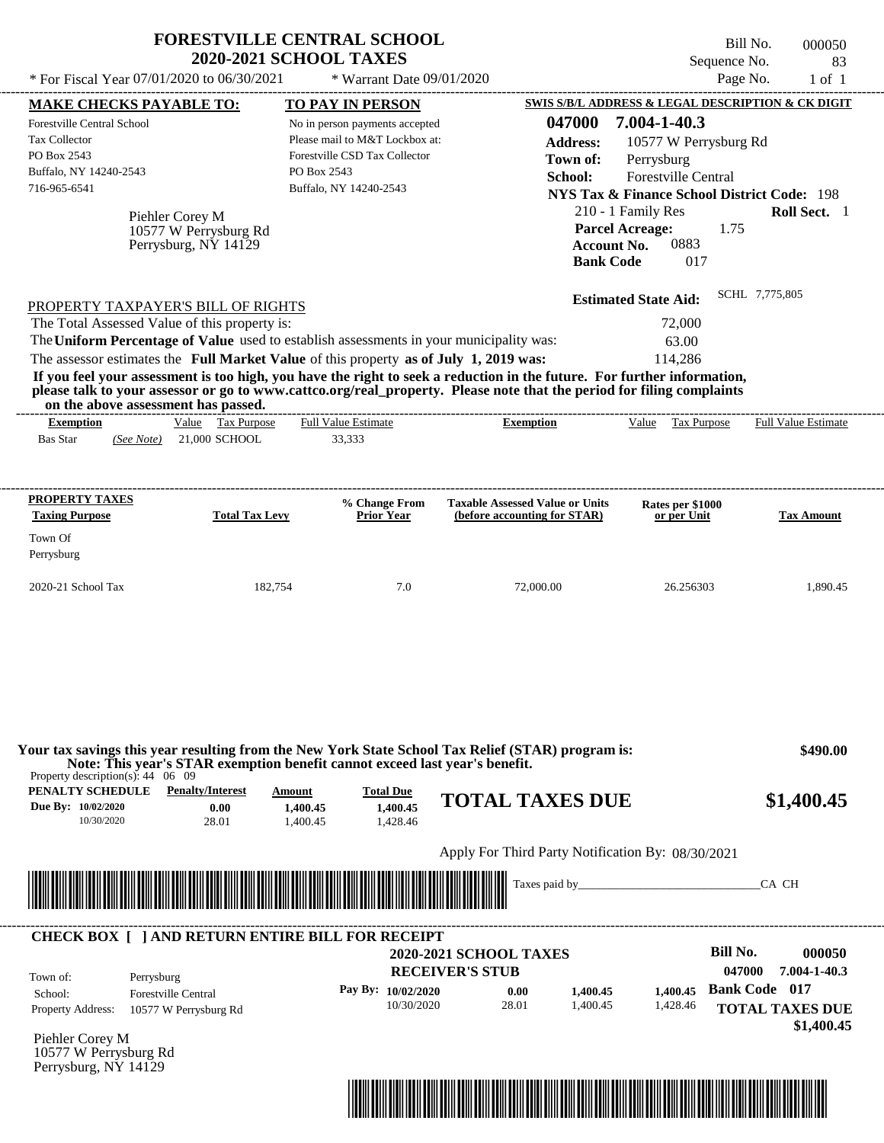| <b>FORESTVILLE CENTRAL SCHOOL</b>                                                                                                                                                                                                                                                                                                                                                                                                                                                                                           | 2020-2021 SCHOOL TAXES                                                                                                                     |                             |                                                                        |                                                                                                                                                                                                                                                      | Bill No.<br>Sequence No.  | 000050<br>83                         |
|-----------------------------------------------------------------------------------------------------------------------------------------------------------------------------------------------------------------------------------------------------------------------------------------------------------------------------------------------------------------------------------------------------------------------------------------------------------------------------------------------------------------------------|--------------------------------------------------------------------------------------------------------------------------------------------|-----------------------------|------------------------------------------------------------------------|------------------------------------------------------------------------------------------------------------------------------------------------------------------------------------------------------------------------------------------------------|---------------------------|--------------------------------------|
| * For Fiscal Year 07/01/2020 to 06/30/2021                                                                                                                                                                                                                                                                                                                                                                                                                                                                                  |                                                                                                                                            | * Warrant Date $09/01/2020$ |                                                                        |                                                                                                                                                                                                                                                      | Page No.                  | $1$ of $1$                           |
| <b>MAKE CHECKS PAYABLE TO:</b>                                                                                                                                                                                                                                                                                                                                                                                                                                                                                              | TO PAY IN PERSON                                                                                                                           |                             |                                                                        | SWIS S/B/L ADDRESS & LEGAL DESCRIPTION & CK DIGIT                                                                                                                                                                                                    |                           |                                      |
| Forestville Central School<br><b>Tax Collector</b><br>PO Box 2543<br>Buffalo, NY 14240-2543<br>716-965-6541<br>Piehler Corey M<br>10577 W Perrysburg Rd<br>Perrysburg, NY 14129                                                                                                                                                                                                                                                                                                                                             | No in person payments accepted<br>Please mail to M&T Lockbox at:<br>Forestville CSD Tax Collector<br>PO Box 2543<br>Buffalo, NY 14240-2543 |                             | 047000<br><b>Address:</b><br>Town of:<br>School:                       | 7.004-1-40.3<br>10577 W Perrysburg Rd<br>Perrysburg<br><b>Forestville Central</b><br><b>NYS Tax &amp; Finance School District Code: 198</b><br>210 - 1 Family Res<br><b>Parcel Acreage:</b><br>0883<br><b>Account No.</b><br><b>Bank Code</b><br>017 | 1.75                      | Roll Sect. 1                         |
|                                                                                                                                                                                                                                                                                                                                                                                                                                                                                                                             |                                                                                                                                            |                             |                                                                        | <b>Estimated State Aid:</b>                                                                                                                                                                                                                          | SCHL 7,775,805            |                                      |
| PROPERTY TAXPAYER'S BILL OF RIGHTS<br>The Total Assessed Value of this property is:<br>The Uniform Percentage of Value used to establish assessments in your municipality was:<br>The assessor estimates the Full Market Value of this property as of July 1, 2019 was:<br>If you feel your assessment is too high, you have the right to seek a reduction in the future. For further information,<br>please talk to your assessor or go to www.cattco.org/real_property. Please note that the period for filing complaints |                                                                                                                                            |                             |                                                                        | 72,000<br>63.00<br>114,286                                                                                                                                                                                                                           |                           |                                      |
| on the above assessment has passed.<br>Value Tax Purpose<br><b>Exemption</b>                                                                                                                                                                                                                                                                                                                                                                                                                                                | <b>Full Value Estimate</b>                                                                                                                 |                             | <b>Exemption</b>                                                       | Value Tax Purpose                                                                                                                                                                                                                                    |                           | <b>Full Value Estimate</b>           |
| <b>Bas Star</b><br>21,000 SCHOOL<br>(See Note)                                                                                                                                                                                                                                                                                                                                                                                                                                                                              | 33,333                                                                                                                                     |                             |                                                                        |                                                                                                                                                                                                                                                      |                           |                                      |
| PROPERTY TAXES                                                                                                                                                                                                                                                                                                                                                                                                                                                                                                              |                                                                                                                                            |                             |                                                                        |                                                                                                                                                                                                                                                      |                           |                                      |
| <b>Total Tax Levy</b><br><b>Taxing Purpose</b>                                                                                                                                                                                                                                                                                                                                                                                                                                                                              | % Change From<br><b>Prior Year</b>                                                                                                         |                             | <b>Taxable Assessed Value or Units</b><br>(before accounting for STAR) | Rates per \$1000<br>or per Unit                                                                                                                                                                                                                      |                           | <b>Tax Amount</b>                    |
| Town Of<br>Perrysburg                                                                                                                                                                                                                                                                                                                                                                                                                                                                                                       |                                                                                                                                            |                             |                                                                        |                                                                                                                                                                                                                                                      |                           |                                      |
| 2020-21 School Tax<br>182,754                                                                                                                                                                                                                                                                                                                                                                                                                                                                                               |                                                                                                                                            | 7.0                         | 72,000.00                                                              | 26.256303                                                                                                                                                                                                                                            |                           | 1,890.45                             |
| Your tax savings this year resulting from the New York State School Tax Relief (STAR) program is:<br>Note: This year's STAR exemption benefit cannot exceed last year's benefit.<br>Property description(s): $44 \quad 06 \quad 09$<br>PENALTY SCHEDULE<br><b>Penalty/Interest</b><br>Due By: 10/02/2020<br>0.00<br>10/30/2020<br>28.01                                                                                                                                                                                     | <b>Total Due</b><br>Amount<br>1,400.45<br>1,400.45                                                                                         | 1,400.45<br>1,428.46        | <b>TOTAL TAXES DUE</b>                                                 |                                                                                                                                                                                                                                                      |                           | \$490.00<br>\$1,400.45               |
|                                                                                                                                                                                                                                                                                                                                                                                                                                                                                                                             |                                                                                                                                            |                             | Apply For Third Party Notification By: 08/30/2021                      |                                                                                                                                                                                                                                                      |                           |                                      |
|                                                                                                                                                                                                                                                                                                                                                                                                                                                                                                                             |                                                                                                                                            |                             | Taxes paid by_                                                         |                                                                                                                                                                                                                                                      |                           | CA CH                                |
| <b>CHECK BOX [ ] AND RETURN ENTIRE BILL FOR RECEIPT</b><br>Town of:<br>Perrysburg                                                                                                                                                                                                                                                                                                                                                                                                                                           |                                                                                                                                            | <b>RECEIVER'S STUB</b>      | <b>2020-2021 SCHOOL TAXES</b>                                          |                                                                                                                                                                                                                                                      | <b>Bill No.</b><br>047000 | 000050<br>7.004-1-40.3               |
| <b>Forestville Central</b><br>School:<br><b>Property Address:</b><br>10577 W Perrysburg Rd<br>Piehler Corey M                                                                                                                                                                                                                                                                                                                                                                                                               | Pay By: 10/02/2020                                                                                                                         | 10/30/2020                  | 0.00<br>1,400.45<br>28.01<br>1.400.45                                  | 1,400.45<br>1,428.46                                                                                                                                                                                                                                 | <b>Bank Code</b> 017      | <b>TOTAL TAXES DUE</b><br>\$1,400.45 |
| 10577 W Perrysburg Rd<br>Perrysburg, NY 14129                                                                                                                                                                                                                                                                                                                                                                                                                                                                               |                                                                                                                                            |                             |                                                                        |                                                                                                                                                                                                                                                      |                           |                                      |

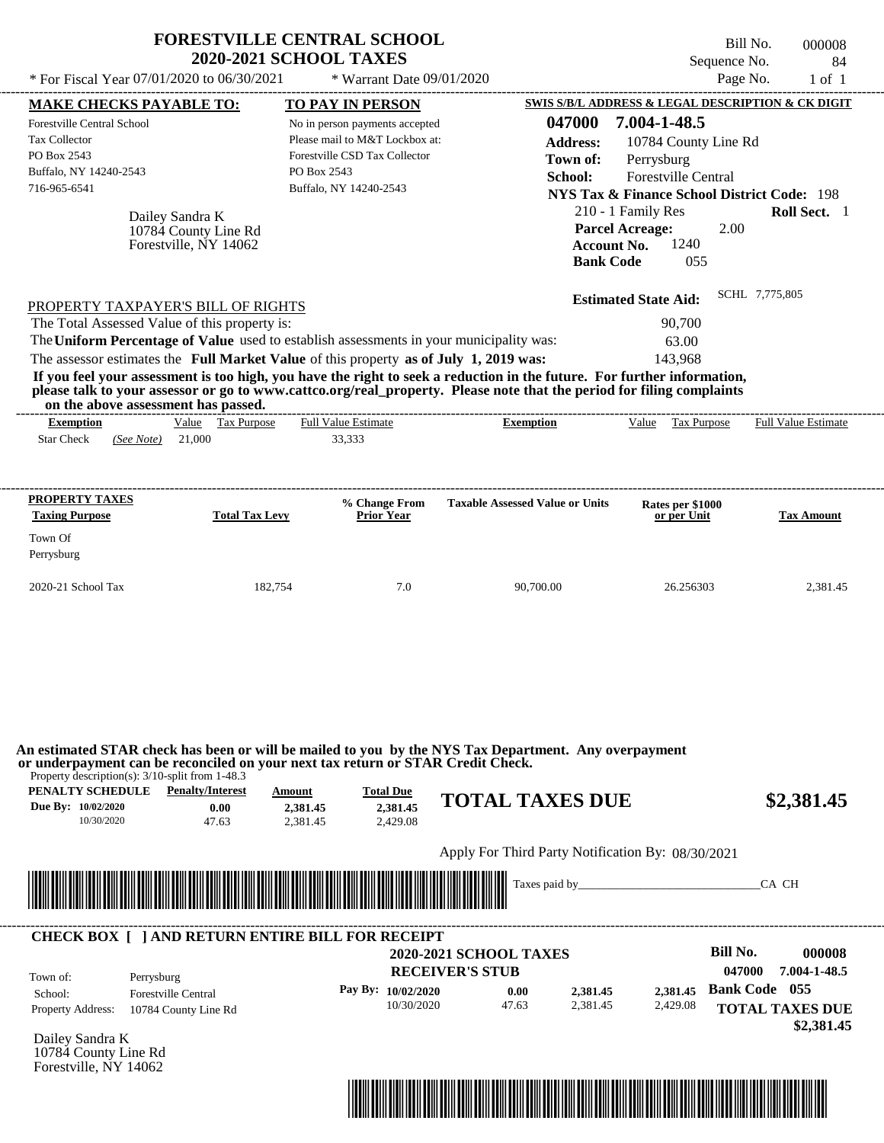| * For Fiscal Year 07/01/2020 to 06/30/2021                                                                                                                                                                                                                                                                                                                                                                                                                                                                                                                         | <b>FORESTVILLE CENTRAL SCHOOL</b><br><b>2020-2021 SCHOOL TAXES</b><br>* Warrant Date 09/01/2020                                                                       |                                                                                            | Bill No.<br>Sequence No.<br>Page No.                                                                                                                                                                       | 000008<br>84<br>$1$ of $1$                                   |
|--------------------------------------------------------------------------------------------------------------------------------------------------------------------------------------------------------------------------------------------------------------------------------------------------------------------------------------------------------------------------------------------------------------------------------------------------------------------------------------------------------------------------------------------------------------------|-----------------------------------------------------------------------------------------------------------------------------------------------------------------------|--------------------------------------------------------------------------------------------|------------------------------------------------------------------------------------------------------------------------------------------------------------------------------------------------------------|--------------------------------------------------------------|
|                                                                                                                                                                                                                                                                                                                                                                                                                                                                                                                                                                    |                                                                                                                                                                       |                                                                                            | SWIS S/B/L ADDRESS & LEGAL DESCRIPTION & CK DIGIT                                                                                                                                                          |                                                              |
| <b>MAKE CHECKS PAYABLE TO:</b><br><b>Forestville Central School</b><br>Tax Collector<br>PO Box 2543<br>Buffalo, NY 14240-2543<br>716-965-6541<br>Dailey Sandra K<br>10784 County Line Rd<br>Forestville, NY 14062                                                                                                                                                                                                                                                                                                                                                  | <b>TO PAY IN PERSON</b><br>No in person payments accepted<br>Please mail to M&T Lockbox at:<br>Forestville CSD Tax Collector<br>PO Box 2543<br>Buffalo, NY 14240-2543 | 047000<br><b>Address:</b><br>Town of:<br>School:<br><b>Account No.</b><br><b>Bank Code</b> | 7.004-1-48.5<br>10784 County Line Rd<br>Perrysburg<br>Forestville Central<br><b>NYS Tax &amp; Finance School District Code: 198</b><br>210 - 1 Family Res<br><b>Parcel Acreage:</b><br>2.00<br>1240<br>055 | <b>Roll Sect.</b> 1                                          |
| PROPERTY TAXPAYER'S BILL OF RIGHTS<br>The Total Assessed Value of this property is:<br>The Uniform Percentage of Value used to establish assessments in your municipality was:<br>The assessor estimates the Full Market Value of this property as of July 1, 2019 was:<br>If you feel your assessment is too high, you have the right to seek a reduction in the future. For further information,<br>please talk to your assessor or go to www.cattco.org/real_property. Please note that the period for filing complaints<br>on the above assessment has passed. |                                                                                                                                                                       |                                                                                            | <b>Estimated State Aid:</b><br>90,700<br>63.00<br>143.968                                                                                                                                                  | SCHL 7,775,805                                               |
| <b>Exemption</b><br>Value Tax Purpose<br><b>Star Check</b><br>21,000<br>(See Note)                                                                                                                                                                                                                                                                                                                                                                                                                                                                                 | <b>Full Value Estimate</b><br>33,333                                                                                                                                  | <b>Exemption</b>                                                                           | Value<br>Tax Purpose                                                                                                                                                                                       | Full Value Estimate                                          |
| PROPERTY TAXES                                                                                                                                                                                                                                                                                                                                                                                                                                                                                                                                                     | % Change From                                                                                                                                                         | <b>Taxable Assessed Value or Units</b>                                                     | Rates per \$1000                                                                                                                                                                                           |                                                              |
| <b>Total Tax Levy</b><br><b>Taxing Purpose</b><br>Town Of<br>Perrysburg                                                                                                                                                                                                                                                                                                                                                                                                                                                                                            | <b>Prior Year</b>                                                                                                                                                     |                                                                                            | or per Unit                                                                                                                                                                                                | <b>Tax Amount</b>                                            |
| 2020-21 School Tax                                                                                                                                                                                                                                                                                                                                                                                                                                                                                                                                                 | 182,754<br>7.0                                                                                                                                                        | 90,700.00                                                                                  | 26.256303                                                                                                                                                                                                  | 2,381.45                                                     |
| An estimated STAR check has been or will be mailed to you by the NYS Tax Department. Any overpayment<br>or underpayment can be reconciled on your next tax return or STAR Credit Check.<br>Property description(s): 3/10-split from 1-48.3<br><b>PENALTY SCHEDULE</b> Penalty/Interest<br>Due By: 10/02/2020<br>0.00<br>10/30/2020<br>47.63                                                                                                                                                                                                                        | Amount<br><b>Total Due</b><br>2,381.45<br>2,381.45<br>2,381.45<br>2,429.08                                                                                            | <b>TOTAL TAXES DUE</b>                                                                     |                                                                                                                                                                                                            | \$2,381.45                                                   |
|                                                                                                                                                                                                                                                                                                                                                                                                                                                                                                                                                                    |                                                                                                                                                                       | Apply For Third Party Notification By: 08/30/2021                                          |                                                                                                                                                                                                            |                                                              |
| <u> 1999 - 1999 - 1999 - 1999 - 1999 - 1999 - 1999 - 1999 - 1999 - 1999 - 1999 - 1999 - 1999 - 1999 - 1999 - 199</u>                                                                                                                                                                                                                                                                                                                                                                                                                                               |                                                                                                                                                                       | Taxes paid by_                                                                             |                                                                                                                                                                                                            | CA CH                                                        |
| <b>CHECK BOX [ ] AND RETURN ENTIRE BILL FOR RECEIPT</b><br>Town of:<br>Perrysburg                                                                                                                                                                                                                                                                                                                                                                                                                                                                                  |                                                                                                                                                                       | 2020-2021 SCHOOL TAXES<br><b>RECEIVER'S STUB</b>                                           | <b>Bill No.</b><br>047000                                                                                                                                                                                  | 000008<br>7.004-1-48.5                                       |
| <b>Forestville Central</b><br>School:<br><b>Property Address:</b><br>10784 County Line Rd                                                                                                                                                                                                                                                                                                                                                                                                                                                                          | Pay By: 10/02/2020<br>10/30/2020                                                                                                                                      | 2,381.45<br>0.00<br>47.63<br>2,381.45                                                      | 2,381.45<br>2,429.08                                                                                                                                                                                       | <b>Bank Code</b> 055<br><b>TOTAL TAXES DUE</b><br>\$2,381.45 |

Dailey Sandra K 10784 County Line Rd Forestville, NY 14062

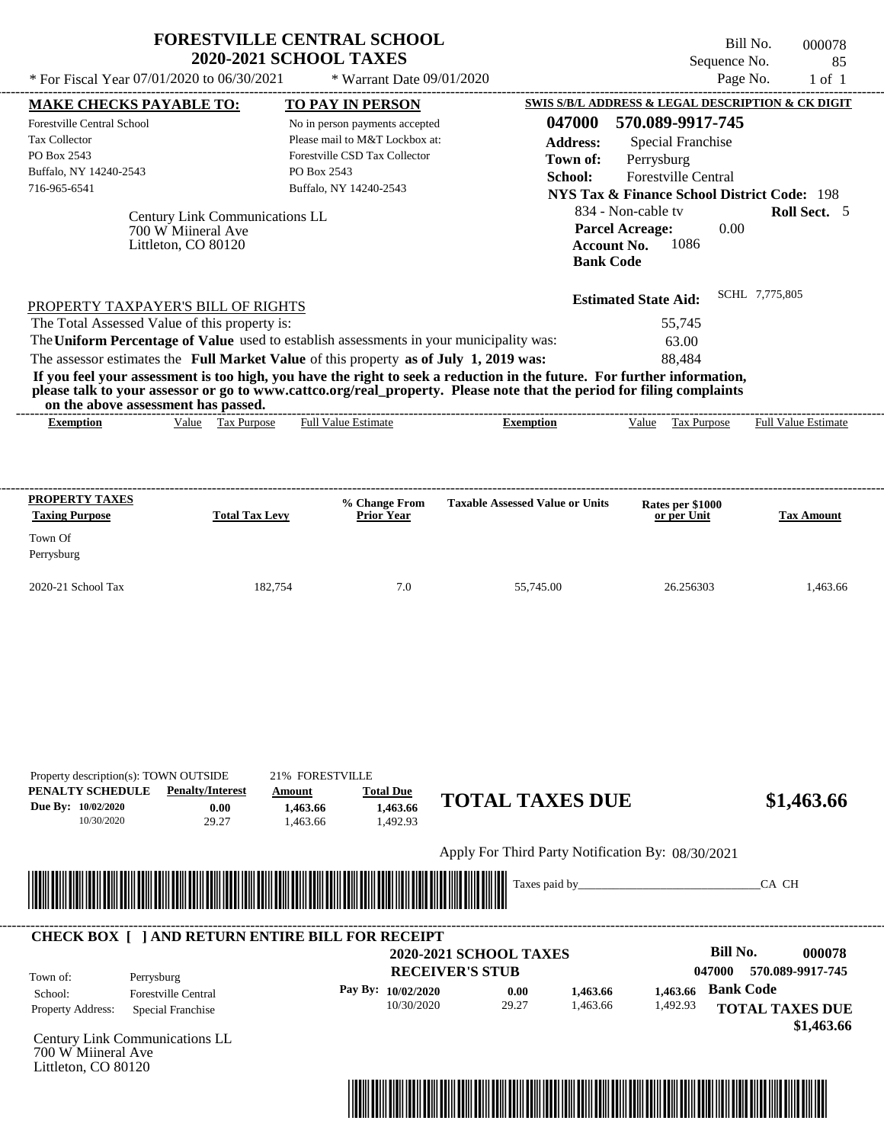| * For Fiscal Year 07/01/2020 to 06/30/2021                                                                                                                                                                                                                                | * Warrant Date $09/01/2020$                                                           |                                        | Page No.                                               | $1$ of $1$                 |
|---------------------------------------------------------------------------------------------------------------------------------------------------------------------------------------------------------------------------------------------------------------------------|---------------------------------------------------------------------------------------|----------------------------------------|--------------------------------------------------------|----------------------------|
| <b>MAKE CHECKS PAYABLE TO:</b>                                                                                                                                                                                                                                            | TO PAY IN PERSON                                                                      |                                        | SWIS S/B/L ADDRESS & LEGAL DESCRIPTION & CK DIGIT      |                            |
| Forestville Central School                                                                                                                                                                                                                                                | No in person payments accepted                                                        | 047000                                 | 570.089-9917-745                                       |                            |
| Tax Collector                                                                                                                                                                                                                                                             | Please mail to M&T Lockbox at:                                                        | <b>Address:</b>                        | <b>Special Franchise</b>                               |                            |
| PO Box 2543                                                                                                                                                                                                                                                               | Forestville CSD Tax Collector                                                         | Town of:                               | Perrysburg                                             |                            |
| Buffalo, NY 14240-2543                                                                                                                                                                                                                                                    | PO Box 2543                                                                           | School:                                | <b>Forestville Central</b>                             |                            |
| 716-965-6541                                                                                                                                                                                                                                                              | Buffalo, NY 14240-2543                                                                |                                        | <b>NYS Tax &amp; Finance School District Code: 198</b> |                            |
|                                                                                                                                                                                                                                                                           |                                                                                       |                                        | 834 - Non-cable tv                                     | <b>Roll Sect.</b> 5        |
| Century Link Communications LL<br>700 W Miineral Ave                                                                                                                                                                                                                      |                                                                                       |                                        | <b>Parcel Acreage:</b><br>0.00                         |                            |
| Littleton, CO 80120                                                                                                                                                                                                                                                       |                                                                                       |                                        | 1086<br><b>Account No.</b>                             |                            |
|                                                                                                                                                                                                                                                                           |                                                                                       | <b>Bank Code</b>                       |                                                        |                            |
|                                                                                                                                                                                                                                                                           |                                                                                       |                                        | <b>Estimated State Aid:</b>                            | SCHL 7,775,805             |
| PROPERTY TAXPAYER'S BILL OF RIGHTS                                                                                                                                                                                                                                        |                                                                                       |                                        |                                                        |                            |
| The Total Assessed Value of this property is:                                                                                                                                                                                                                             |                                                                                       |                                        | 55.745                                                 |                            |
| The Uniform Percentage of Value used to establish assessments in your municipality was:                                                                                                                                                                                   |                                                                                       |                                        | 63.00                                                  |                            |
|                                                                                                                                                                                                                                                                           | The assessor estimates the Full Market Value of this property as of July 1, 2019 was: |                                        | 88.484                                                 |                            |
| on the above assessment has passed.                                                                                                                                                                                                                                       |                                                                                       |                                        |                                                        |                            |
| Value Tax Purpose<br><b>Exemption</b>                                                                                                                                                                                                                                     | <b>Full Value Estimate</b>                                                            | <b>Exemption</b>                       | Value Tax Purpose                                      | <b>Full Value Estimate</b> |
|                                                                                                                                                                                                                                                                           |                                                                                       |                                        |                                                        |                            |
| If you feel your assessment is too high, you have the right to seek a reduction in the future. For further information,<br>please talk to your assessor or go to www.cattco.org/real property. Please note that the period for filing complaints<br><b>PROPERTY TAXES</b> | % Change From                                                                         | <b>Taxable Assessed Value or Units</b> |                                                        |                            |
|                                                                                                                                                                                                                                                                           | <b>Total Tax Levy</b><br><b>Prior Year</b>                                            |                                        | Rates per \$1000<br>or per Unit                        | <b>Tax Amount</b>          |
|                                                                                                                                                                                                                                                                           |                                                                                       |                                        |                                                        |                            |
|                                                                                                                                                                                                                                                                           |                                                                                       |                                        |                                                        |                            |
|                                                                                                                                                                                                                                                                           |                                                                                       |                                        |                                                        |                            |
|                                                                                                                                                                                                                                                                           | 182,754<br>7.0                                                                        | 55,745.00                              | 26.256303                                              |                            |
|                                                                                                                                                                                                                                                                           |                                                                                       |                                        |                                                        | 1.463.66                   |
|                                                                                                                                                                                                                                                                           |                                                                                       |                                        |                                                        |                            |
|                                                                                                                                                                                                                                                                           |                                                                                       |                                        |                                                        |                            |
|                                                                                                                                                                                                                                                                           |                                                                                       |                                        |                                                        |                            |
|                                                                                                                                                                                                                                                                           |                                                                                       |                                        |                                                        |                            |
| <b>Taxing Purpose</b><br>Town Of<br>Perrysburg<br>2020-21 School Tax                                                                                                                                                                                                      |                                                                                       |                                        |                                                        |                            |
|                                                                                                                                                                                                                                                                           |                                                                                       |                                        |                                                        |                            |

**1,463.66 TOTAL TAXES DUE \$1,463.66**

Apply For Third Party Notification By: 08/30/2021



1,463.66 **1,463.66**

**Due By: 10/02/2020**

10/30/2020 29.27

**0.00**

## Century Link Communications LL **RECEIVER'S STUB Bill No. 000078 Bank Code 1,463.66** Property Address: Special Franchise Perrysburg School: Forestville Central **TOTAL TAXES DUE \$1,463.66 2020-2021 SCHOOL TAXES 047000 570.089-9917-745 Pay By: 10/02/2020** 10/30/2020 29.27 **0.00** 1,463.66 **1,463.66** 1,492.93 700 W Miineral Ave Town of: Littleton, CO 80120 ---------------------------------------------------------------------------------------------------------------------------------------------------------------------------------------------------- **CHECK BOX [ ] AND RETURN ENTIRE BILL FOR RECEIPT**

1,492.93

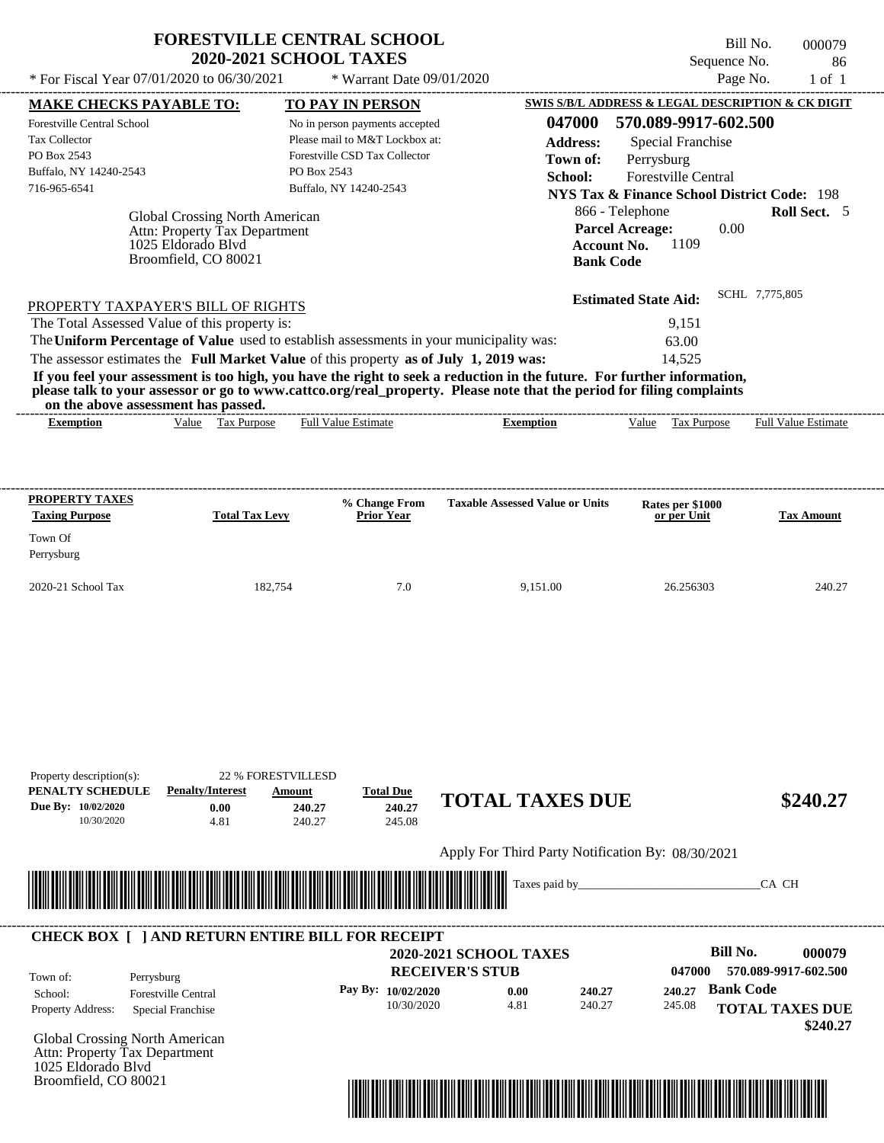|                                                                                                                                                                                                                                                                                         | <b>FORESTVILLE CENTRAL SCHOOL</b><br><b>2020-2021 SCHOOL TAXES</b> |                                        | Bill No.<br>Sequence No.                                                                            | 000079<br>86               |
|-----------------------------------------------------------------------------------------------------------------------------------------------------------------------------------------------------------------------------------------------------------------------------------------|--------------------------------------------------------------------|----------------------------------------|-----------------------------------------------------------------------------------------------------|----------------------------|
| * For Fiscal Year $07/01/2020$ to $06/30/2021$                                                                                                                                                                                                                                          | * Warrant Date $09/01/2020$                                        |                                        | Page No.                                                                                            | $1$ of $1$                 |
| <b>MAKE CHECKS PAYABLE TO:</b>                                                                                                                                                                                                                                                          | <b>TO PAY IN PERSON</b>                                            |                                        | SWIS S/B/L ADDRESS & LEGAL DESCRIPTION & CK DIGIT                                                   |                            |
| <b>Forestville Central School</b>                                                                                                                                                                                                                                                       | No in person payments accepted                                     | 047000                                 | 570.089-9917-602.500                                                                                |                            |
| <b>Tax Collector</b>                                                                                                                                                                                                                                                                    | Please mail to M&T Lockbox at:                                     | Address:                               | Special Franchise                                                                                   |                            |
| PO Box 2543                                                                                                                                                                                                                                                                             | Forestville CSD Tax Collector                                      | Town of:                               | Perrysburg                                                                                          |                            |
| Buffalo, NY 14240-2543                                                                                                                                                                                                                                                                  | PO Box 2543                                                        | School:                                | <b>Forestville Central</b>                                                                          |                            |
| 716-965-6541                                                                                                                                                                                                                                                                            | Buffalo, NY 14240-2543                                             |                                        | NYS Tax & Finance School District Code: 198                                                         |                            |
| <b>Global Crossing North American</b><br>Attn: Property Tax Department<br>1025 Eldorado Blyd<br>Broomfield, CO 80021                                                                                                                                                                    |                                                                    |                                        | 866 - Telephone<br><b>Parcel Acreage:</b><br>0.00<br>1109<br><b>Account No.</b><br><b>Bank Code</b> | Roll Sect. 5               |
| PROPERTY TAXPAYER'S BILL OF RIGHTS<br>The Total Assessed Value of this property is:                                                                                                                                                                                                     |                                                                    |                                        | <b>Estimated State Aid:</b><br>9,151                                                                | SCHL 7,775,805             |
| The Uniform Percentage of Value used to establish assessments in your municipality was:                                                                                                                                                                                                 |                                                                    |                                        | 63.00                                                                                               |                            |
| The assessor estimates the Full Market Value of this property as of July 1, 2019 was:                                                                                                                                                                                                   |                                                                    |                                        | 14.525                                                                                              |                            |
| If you feel your assessment is too high, you have the right to seek a reduction in the future. For further information,<br>please talk to your assessor or go to www.cattco.org/real_property. Please note that the period for filing complaints<br>on the above assessment has passed. |                                                                    |                                        |                                                                                                     |                            |
| Value Tax Purpose<br><b>Exemption</b>                                                                                                                                                                                                                                                   | <b>Full Value Estimate</b>                                         | <b>Exemption</b>                       | Tax Purpose<br>Value                                                                                | <b>Full Value Estimate</b> |
|                                                                                                                                                                                                                                                                                         |                                                                    |                                        |                                                                                                     |                            |
| <b>PROPERTY TAXES</b>                                                                                                                                                                                                                                                                   | % Change From                                                      | <b>Taxable Assessed Value or Units</b> | Rates per \$1000                                                                                    |                            |

2020-21 School Tax 182,754 7.0 9,151.00 26.256303 240.27

Town Of Perrysburg

| Property description(s): |                                                               | <b>22 % FORESTVILLESD</b> |                    |                                                   |               |        |                  |                        |
|--------------------------|---------------------------------------------------------------|---------------------------|--------------------|---------------------------------------------------|---------------|--------|------------------|------------------------|
| PENALTY SCHEDULE         | <b>Penalty/Interest</b>                                       | Amount                    | <b>Total Due</b>   |                                                   |               |        |                  |                        |
| Due By: 10/02/2020       | 0.00                                                          | 240.27                    | 240.27             | <b>TOTAL TAXES DUE</b>                            |               |        |                  | \$240.27               |
| 10/30/2020               | 4.81                                                          | 240.27                    | 245.08             |                                                   |               |        |                  |                        |
|                          |                                                               |                           |                    | Apply For Third Party Notification By: 08/30/2021 |               |        |                  |                        |
|                          |                                                               |                           |                    |                                                   | Taxes paid by |        | CA CH            |                        |
|                          | <u> 1989 - Andrea Stadt British, fransk politik (d. 1989)</u> |                           |                    |                                                   |               |        |                  |                        |
|                          |                                                               |                           |                    |                                                   |               |        |                  |                        |
|                          | <b>CHECK BOX [ ] AND RETURN ENTIRE BILL FOR RECEIPT</b>       |                           |                    |                                                   |               |        |                  |                        |
|                          |                                                               |                           |                    | <b>2020-2021 SCHOOL TAXES</b>                     |               |        | Bill No.         | 000079                 |
| Town of:                 | Perrysburg                                                    |                           |                    | <b>RECEIVER'S STUB</b>                            |               | 047000 |                  | 570.089-9917-602.500   |
| School:                  | <b>Forestville Central</b>                                    |                           | Pay By: 10/02/2020 | 0.00                                              | 240.27        | 240.27 | <b>Bank Code</b> |                        |
| Property Address:        | Special Franchise                                             |                           | 10/30/2020         | 4.81                                              | 240.27        | 245.08 |                  | <b>TOTAL TAXES DUE</b> |
|                          |                                                               |                           |                    |                                                   |               |        |                  | \$240.27               |
|                          | Global Crossing North American                                |                           |                    |                                                   |               |        |                  |                        |
|                          | Attn: Property Tax Department                                 |                           |                    |                                                   |               |        |                  |                        |
| 1025 Eldorado Blyd       |                                                               |                           |                    |                                                   |               |        |                  |                        |
| Broomfield, CO 80021     |                                                               |                           |                    |                                                   |               |        |                  |                        |

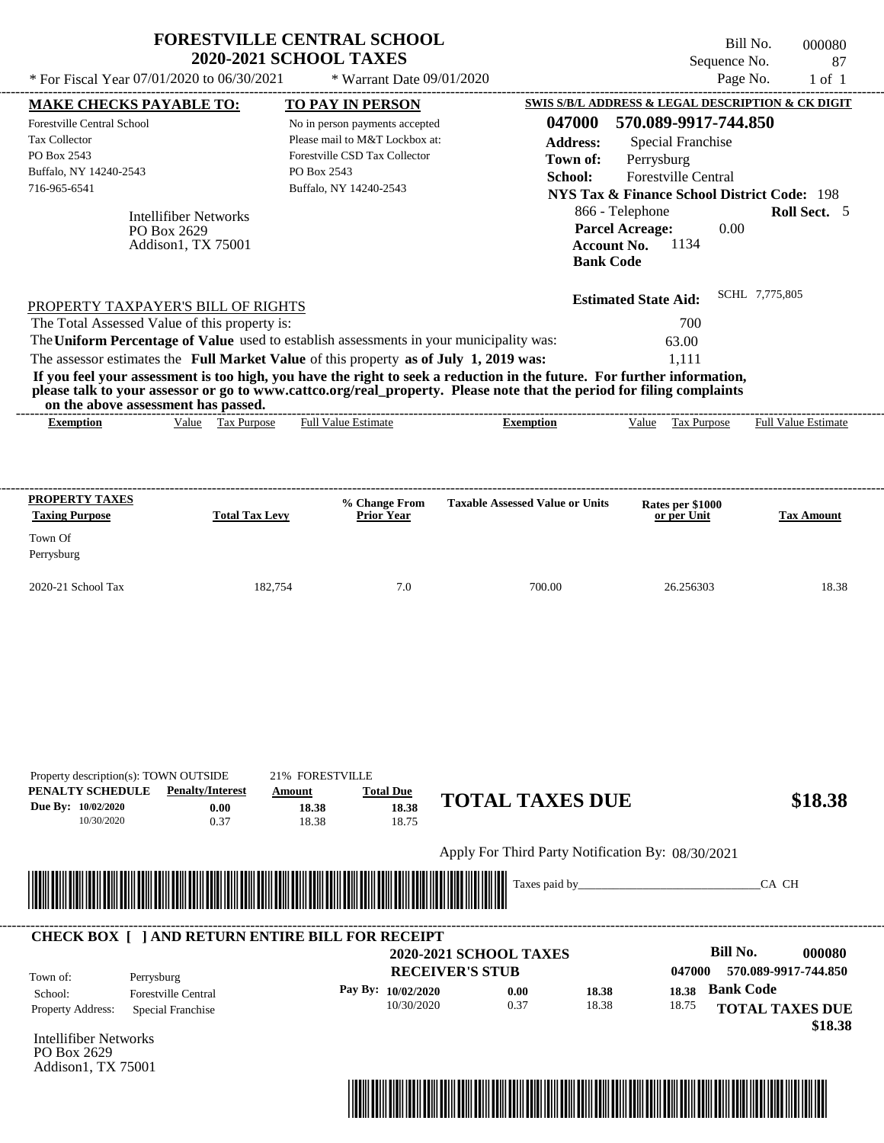| * For Fiscal Year 07/01/2020 to 06/30/2021                                                                                                                                                                                                                              |                                                    | <b>FORESTVILLE CENTRAL SCHOOL</b><br><b>2020-2021 SCHOOL TAXES</b><br>* Warrant Date $09/01/2020$                                          |                                                                                                                                                                                                                                                  | Bill No.<br>Sequence No.<br>Page No.                                                                                                                                                                  | 000080<br>87<br>$1$ of $1$ |
|-------------------------------------------------------------------------------------------------------------------------------------------------------------------------------------------------------------------------------------------------------------------------|----------------------------------------------------|--------------------------------------------------------------------------------------------------------------------------------------------|--------------------------------------------------------------------------------------------------------------------------------------------------------------------------------------------------------------------------------------------------|-------------------------------------------------------------------------------------------------------------------------------------------------------------------------------------------------------|----------------------------|
| <b>MAKE CHECKS PAYABLE TO:</b>                                                                                                                                                                                                                                          |                                                    | <b>TO PAY IN PERSON</b>                                                                                                                    |                                                                                                                                                                                                                                                  | SWIS S/B/L ADDRESS & LEGAL DESCRIPTION & CK DIGIT                                                                                                                                                     |                            |
| <b>Forestville Central School</b><br><b>Tax Collector</b><br>PO Box 2543<br>Buffalo, NY 14240-2543<br>716-965-6541<br>PO Box 2629                                                                                                                                       | <b>Intellifiber Networks</b><br>Addison1, TX 75001 | No in person payments accepted<br>Please mail to M&T Lockbox at:<br>Forestville CSD Tax Collector<br>PO Box 2543<br>Buffalo, NY 14240-2543 | 047000<br><b>Address:</b><br>Town of:<br>School:<br><b>Account No.</b><br><b>Bank Code</b>                                                                                                                                                       | 570.089-9917-744.850<br>Special Franchise<br>Perrysburg<br>Forestville Central<br><b>NYS Tax &amp; Finance School District Code: 198</b><br>866 - Telephone<br><b>Parcel Acreage:</b><br>0.00<br>1134 | Roll Sect. 5               |
| PROPERTY TAXPAYER'S BILL OF RIGHTS<br>The Total Assessed Value of this property is:<br>The Uniform Percentage of Value used to establish assessments in your municipality was:<br>The assessor estimates the Full Market Value of this property as of July 1, 2019 was: |                                                    |                                                                                                                                            | If you feel your assessment is too high, you have the right to seek a reduction in the future. For further information,<br>please talk to your assessor or go to www.cattco.org/real_property. Please note that the period for filing complaints | <b>Estimated State Aid:</b><br>700<br>63.00<br>1,111                                                                                                                                                  | SCHL 7,775,805             |
| on the above assessment has passed.<br><b>Exemption</b>                                                                                                                                                                                                                 | Value Tax Purpose                                  | <b>Full Value Estimate</b>                                                                                                                 | <b>Exemption</b>                                                                                                                                                                                                                                 | Value Tax Purpose                                                                                                                                                                                     | <b>Full Value Estimate</b> |
|                                                                                                                                                                                                                                                                         |                                                    |                                                                                                                                            |                                                                                                                                                                                                                                                  |                                                                                                                                                                                                       |                            |
| <b>Taxing Purpose</b>                                                                                                                                                                                                                                                   | <b>Total Tax Levy</b>                              | % Change From<br><b>Prior Year</b>                                                                                                         | <b>Taxable Assessed Value or Units</b>                                                                                                                                                                                                           | Rates per \$1000<br>or per Unit                                                                                                                                                                       | <b>Tax Amount</b>          |
| PROPERTY TAXES<br>Town Of<br>Perrysburg<br>2020-21 School Tax                                                                                                                                                                                                           | 182,754                                            | 7.0                                                                                                                                        | 700.00                                                                                                                                                                                                                                           | 26.256303                                                                                                                                                                                             | 18.38                      |
| Property description(s): TOWN OUTSIDE<br>PENALTY SCHEDULE<br>Due By: 10/02/2020<br>10/30/2020                                                                                                                                                                           | <b>Penalty/Interest</b><br>Amount<br>0.00<br>0.37  | 21% FORESTVILLE<br><b>Total Due</b><br>18.38<br>18.38<br>18.38<br>18.75                                                                    | <b>TOTAL TAXES DUE</b>                                                                                                                                                                                                                           |                                                                                                                                                                                                       |                            |
|                                                                                                                                                                                                                                                                         |                                                    |                                                                                                                                            | Apply For Third Party Notification By: 08/30/2021                                                                                                                                                                                                |                                                                                                                                                                                                       | \$18.38                    |

| Town of:                 | Perrysburg                 | <b>2020-2021 SCHOOL TAXES</b><br><b>RECEIVER'S STUB</b> |      |       | Bill No.<br>000080<br>570.089-9917-744.850<br>047000 |
|--------------------------|----------------------------|---------------------------------------------------------|------|-------|------------------------------------------------------|
| School:                  | <b>Forestville Central</b> | Pay By: 10/02/2020                                      | 0.00 | 18.38 | <b>Bank Code</b><br>18.38                            |
| <b>Property Address:</b> | Special Franchise          | 10/30/2020                                              | 0.37 | 18.38 | 18.75<br><b>TOTAL TAXES DUE</b>                      |

Intellifiber Networks PO Box 2629 Addison1, TX 75001

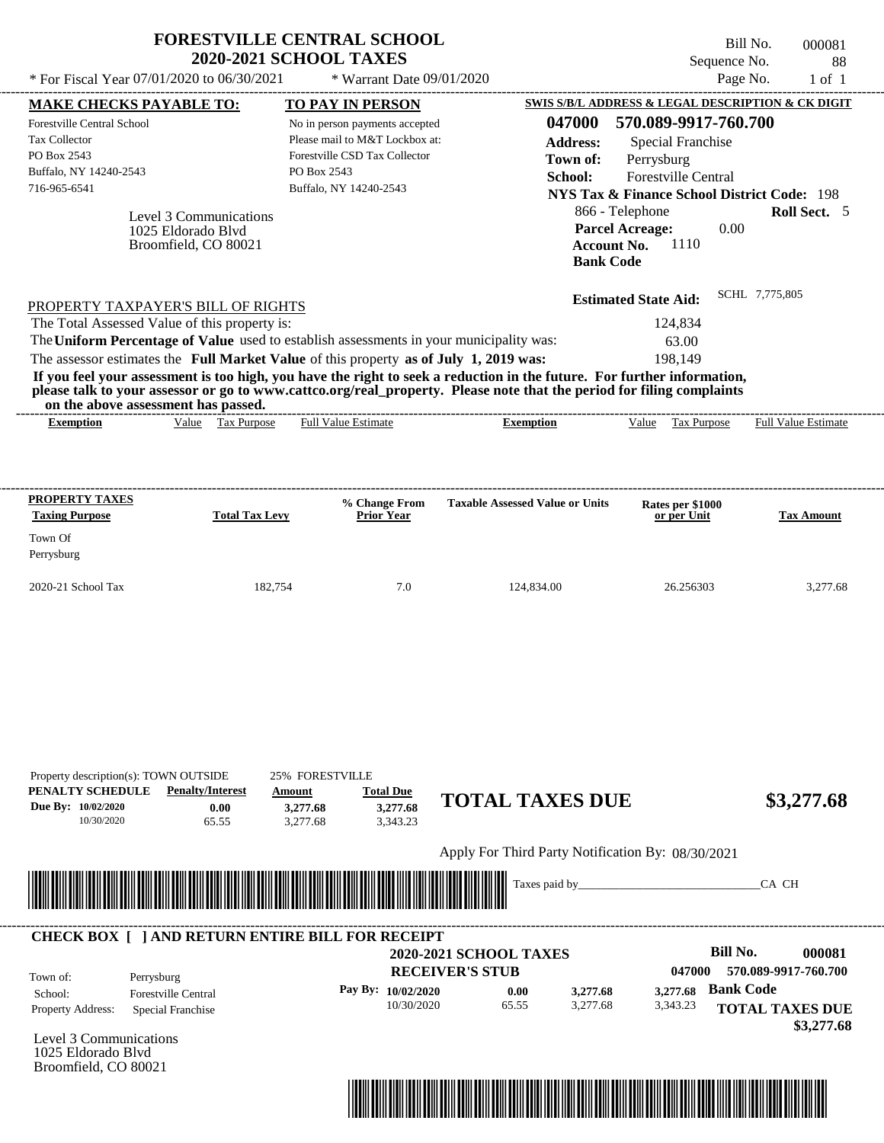|                                                                                                                                                                                                                                                  | <b>2020-2021 SCHOOL TAXES</b>                                                                        |                                                   | Sequence No.                                           | Bill No.<br>000081<br>88   |
|--------------------------------------------------------------------------------------------------------------------------------------------------------------------------------------------------------------------------------------------------|------------------------------------------------------------------------------------------------------|---------------------------------------------------|--------------------------------------------------------|----------------------------|
| * For Fiscal Year 07/01/2020 to 06/30/2021                                                                                                                                                                                                       | * Warrant Date 09/01/2020                                                                            |                                                   | Page No.                                               | $1$ of $1$                 |
| <b>MAKE CHECKS PAYABLE TO:</b>                                                                                                                                                                                                                   | TO PAY IN PERSON                                                                                     |                                                   | SWIS S/B/L ADDRESS & LEGAL DESCRIPTION & CK DIGIT      |                            |
| <b>Forestville Central School</b>                                                                                                                                                                                                                | No in person payments accepted                                                                       | 047000                                            | 570.089-9917-760.700                                   |                            |
| Tax Collector                                                                                                                                                                                                                                    | Please mail to M&T Lockbox at:                                                                       | <b>Address:</b>                                   | <b>Special Franchise</b>                               |                            |
| PO Box 2543                                                                                                                                                                                                                                      | Forestville CSD Tax Collector                                                                        | Town of:                                          | Perrysburg                                             |                            |
| Buffalo, NY 14240-2543                                                                                                                                                                                                                           | PO Box 2543                                                                                          | School:                                           | Forestville Central                                    |                            |
| 716-965-6541                                                                                                                                                                                                                                     | Buffalo, NY 14240-2543                                                                               |                                                   | <b>NYS Tax &amp; Finance School District Code: 198</b> |                            |
|                                                                                                                                                                                                                                                  |                                                                                                      |                                                   | 866 - Telephone                                        | <b>Roll Sect.</b> 5        |
| Level 3 Communications                                                                                                                                                                                                                           |                                                                                                      |                                                   | <b>Parcel Acreage:</b><br>0.00                         |                            |
| 1025 Eldorado Blyd<br>Broomfield, CO 80021                                                                                                                                                                                                       |                                                                                                      | <b>Account No.</b>                                | 1110                                                   |                            |
|                                                                                                                                                                                                                                                  |                                                                                                      | <b>Bank Code</b>                                  |                                                        |                            |
|                                                                                                                                                                                                                                                  |                                                                                                      |                                                   |                                                        |                            |
| PROPERTY TAXPAYER'S BILL OF RIGHTS                                                                                                                                                                                                               |                                                                                                      |                                                   | <b>Estimated State Aid:</b>                            | SCHL 7,775,805             |
| The Total Assessed Value of this property is:                                                                                                                                                                                                    |                                                                                                      |                                                   | 124,834                                                |                            |
| The Uniform Percentage of Value used to establish assessments in your municipality was:                                                                                                                                                          |                                                                                                      |                                                   | 63.00                                                  |                            |
| The assessor estimates the Full Market Value of this property as of July 1, 2019 was:                                                                                                                                                            |                                                                                                      |                                                   | 198,149                                                |                            |
| If you feel your assessment is too high, you have the right to seek a reduction in the future. For further information,<br>please talk to your assessor or go to www.cattco.org/real property. Please note that the period for filing complaints |                                                                                                      |                                                   |                                                        |                            |
| on the above assessment has passed.<br>Value Tax Purpose<br><b>Exemption</b>                                                                                                                                                                     | <b>Full Value Estimate</b>                                                                           | <b>Exemption</b>                                  | Value Tax Purpose                                      | <b>Full Value Estimate</b> |
|                                                                                                                                                                                                                                                  |                                                                                                      |                                                   |                                                        |                            |
| <b>PROPERTY TAXES</b><br><b>Total Tax Levy</b><br><b>Taxing Purpose</b><br>Town Of<br>Perrysburg                                                                                                                                                 | <b>% Change From</b><br><b>Prior Year</b>                                                            | <b>Taxable Assessed Value or Units</b>            | Rates per \$1000<br>or per Unit                        | <b>Tax Amount</b>          |
| 2020-21 School Tax                                                                                                                                                                                                                               | 182,754<br>7.0                                                                                       | 124,834.00                                        | 26.256303                                              | 3,277.68                   |
|                                                                                                                                                                                                                                                  |                                                                                                      |                                                   |                                                        |                            |
|                                                                                                                                                                                                                                                  |                                                                                                      |                                                   |                                                        |                            |
| Property description(s): TOWN OUTSIDE<br>PENALTY SCHEDULE<br><b>Penalty/Interest</b><br>Due By: 10/02/2020<br>0.00<br>10/30/2020<br>65.55                                                                                                        | <b>25% FORESTVILLE</b><br><b>Total Due</b><br>Amount<br>3,277.68<br>3,277.68<br>3,277.68<br>3,343.23 | <b>TOTAL TAXES DUE</b>                            |                                                        |                            |
|                                                                                                                                                                                                                                                  |                                                                                                      | Apply For Third Party Notification By: 08/30/2021 |                                                        | \$3,277.68                 |
|                                                                                                                                                                                                                                                  |                                                                                                      |                                                   |                                                        |                            |
|                                                                                                                                                                                                                                                  |                                                                                                      | Taxes paid by_                                    |                                                        | CA CH                      |

**RECEIVER'S STUB**

10/30/2020 65.55

**0.00**

**Pay By: 10/02/2020**

| Town of:          | Perrysburg                 |
|-------------------|----------------------------|
| School:           | <b>Forestville Central</b> |
| Property Address: | Special Franchise          |

Level 3 Communications 1025 Eldorado Blvd Broomfield, CO 80021



3,277.68 **3,277.68** **Bank Code 3,277.68**

3,343.23

**TOTAL TAXES DUE**

 **\$3,277.68**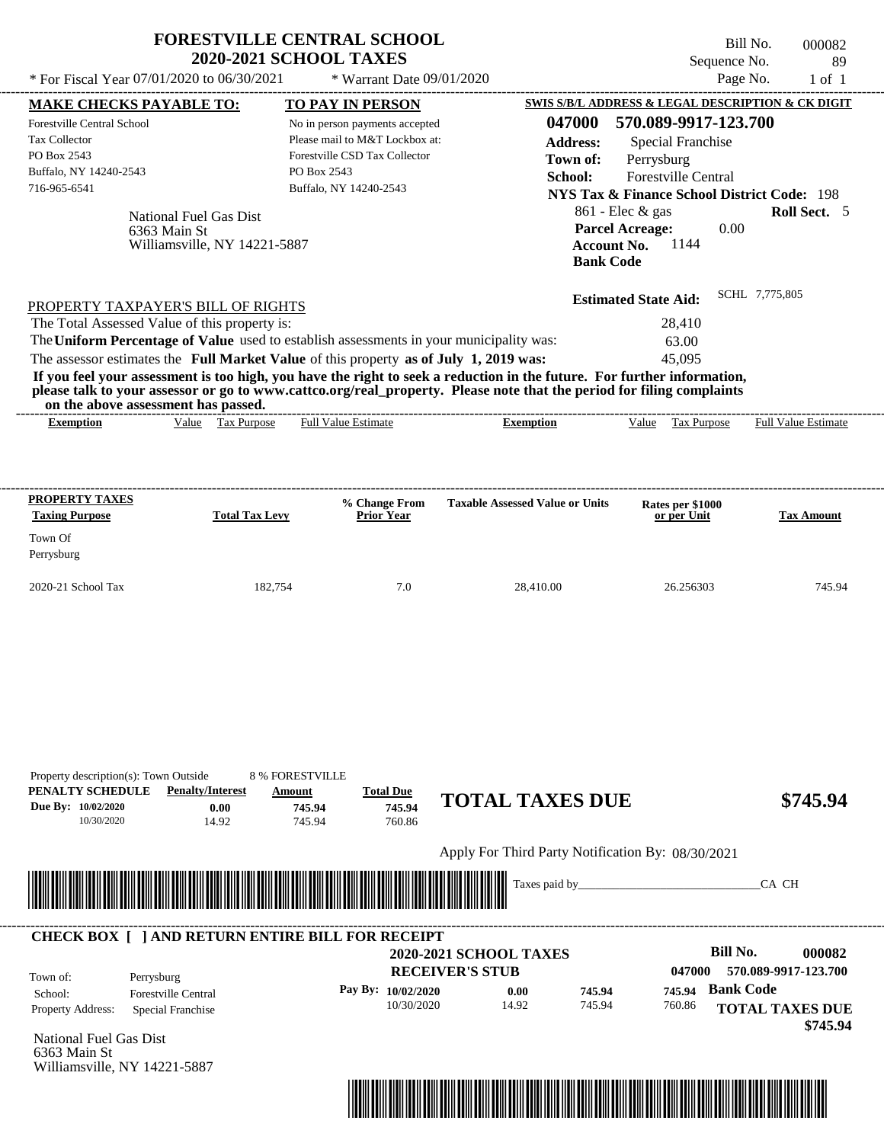|                                                                                                                                              |                              | <b>2020-2021 SCHOOL TAXES</b>                                                                                                              |                                                                                                                                           | Sequence No.                                                                                                                                                          | Bill No.<br>000082<br>89   |
|----------------------------------------------------------------------------------------------------------------------------------------------|------------------------------|--------------------------------------------------------------------------------------------------------------------------------------------|-------------------------------------------------------------------------------------------------------------------------------------------|-----------------------------------------------------------------------------------------------------------------------------------------------------------------------|----------------------------|
| * For Fiscal Year 07/01/2020 to 06/30/2021                                                                                                   |                              | * Warrant Date 09/01/2020                                                                                                                  |                                                                                                                                           | Page No.                                                                                                                                                              | $1$ of $1$                 |
| <b>MAKE CHECKS PAYABLE TO:</b>                                                                                                               |                              | <b>TO PAY IN PERSON</b>                                                                                                                    |                                                                                                                                           | SWIS S/B/L ADDRESS & LEGAL DESCRIPTION & CK DIGIT                                                                                                                     |                            |
| <b>Forestville Central School</b><br><b>Tax Collector</b><br>PO Box 2543<br>Buffalo, NY 14240-2543<br>716-965-6541<br>National Fuel Gas Dist |                              | No in person payments accepted<br>Please mail to M&T Lockbox at:<br>Forestville CSD Tax Collector<br>PO Box 2543<br>Buffalo, NY 14240-2543 | 047000<br><b>Address:</b><br>Town of:<br>School:                                                                                          | 570.089-9917-123.700<br><b>Special Franchise</b><br>Perrysburg<br>Forestville Central<br><b>NYS Tax &amp; Finance School District Code: 198</b><br>$861$ - Elec & gas | <b>Roll Sect.</b> 5        |
| 6363 Main St                                                                                                                                 | Williamsville, NY 14221-5887 |                                                                                                                                            | <b>Account No.</b><br><b>Bank Code</b>                                                                                                    | <b>Parcel Acreage:</b><br>0.00<br>1144                                                                                                                                |                            |
| PROPERTY TAXPAYER'S BILL OF RIGHTS                                                                                                           |                              |                                                                                                                                            |                                                                                                                                           | <b>Estimated State Aid:</b>                                                                                                                                           | SCHL 7,775,805             |
| The Total Assessed Value of this property is:                                                                                                |                              |                                                                                                                                            |                                                                                                                                           | 28,410                                                                                                                                                                |                            |
| The Uniform Percentage of Value used to establish assessments in your municipality was:                                                      |                              |                                                                                                                                            |                                                                                                                                           | 63.00                                                                                                                                                                 |                            |
| The assessor estimates the Full Market Value of this property as of July 1, 2019 was:                                                        |                              |                                                                                                                                            |                                                                                                                                           | 45,095                                                                                                                                                                |                            |
| on the above assessment has passed.<br><b>Exemption</b>                                                                                      | Value Tax Purpose            | <b>Full Value Estimate</b>                                                                                                                 | please talk to your assessor or go to www.cattco.org/real_property. Please note that the period for filing complaints<br><b>Exemption</b> | If you feel your assessment is too high, you have the right to seek a reduction in the future. For further information,<br>Value<br>Tax Purpose                       |                            |
|                                                                                                                                              |                              |                                                                                                                                            |                                                                                                                                           |                                                                                                                                                                       |                            |
|                                                                                                                                              |                              | % Change From                                                                                                                              | <b>Taxable Assessed Value or Units</b>                                                                                                    | Rates per \$1000                                                                                                                                                      | <b>Full Value Estimate</b> |
| PROPERTY TAXES<br><b>Taxing Purpose</b><br>Town Of<br>Perrysburg                                                                             | <b>Total Tax Levy</b>        | <b>Prior Year</b>                                                                                                                          |                                                                                                                                           | or per Unit                                                                                                                                                           | <b>Tax Amount</b>          |
|                                                                                                                                              | 182,754                      | 7.0                                                                                                                                        | 28.410.00                                                                                                                                 | 26.256303                                                                                                                                                             |                            |
| 2020-21 School Tax                                                                                                                           |                              |                                                                                                                                            |                                                                                                                                           |                                                                                                                                                                       | 745.94                     |

Apply For Third Party Notification By: 08/30/2021



745.94

## **RECEIVER'S STUB Bill No. 000082 Bank Code 745.94** Property Address: Special Franchise Perrysburg School: Forestville Central **TOTAL TAXES DUE \$745.94 2020-2021 SCHOOL TAXES 047000 570.089-9917-123.700 Pay By: 10/02/2020** 10/30/2020 14.92 **0.00** 745.94 **745.94** 760.86 Town of: ---------------------------------------------------------------------------------------------------------------------------------------------------------------------------------------------------- **CHECK BOX [ ] AND RETURN ENTIRE BILL FOR RECEIPT**

760.86

National Fuel Gas Dist 6363 Main St Williamsville, NY 14221-5887

10/30/2020 14.92

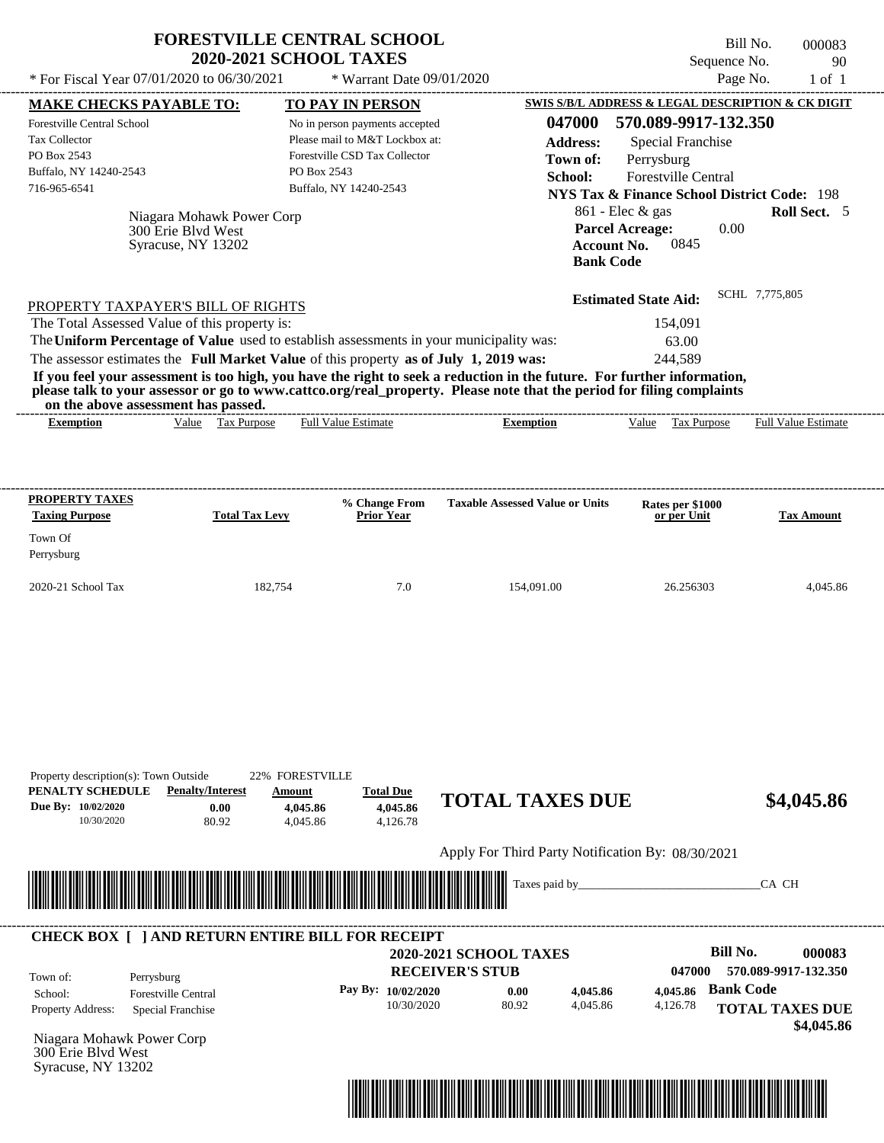| * For Fiscal Year $07/01/2020$ to $06/30/2021$                                                                                                                                                                                                                          | <b>FORESTVILLE CENTRAL SCHOOL</b><br><b>2020-2021 SCHOOL TAXES</b>    | * Warrant Date 09/01/2020                                                                                                                                      |                                                                                                                                                                                                                                                  | Bill No.<br>Sequence No.<br>Page No.                                                                                                                                                                                                                               | 000083<br>90<br>$1$ of $1$ |
|-------------------------------------------------------------------------------------------------------------------------------------------------------------------------------------------------------------------------------------------------------------------------|-----------------------------------------------------------------------|----------------------------------------------------------------------------------------------------------------------------------------------------------------|--------------------------------------------------------------------------------------------------------------------------------------------------------------------------------------------------------------------------------------------------|--------------------------------------------------------------------------------------------------------------------------------------------------------------------------------------------------------------------------------------------------------------------|----------------------------|
| <b>MAKE CHECKS PAYABLE TO:</b><br><b>Forestville Central School</b><br>Tax Collector<br>PO Box 2543<br>Buffalo, NY 14240-2543<br>716-965-6541                                                                                                                           | Niagara Mohawk Power Corp<br>300 Erie Blvd West<br>Syracuse, NY 13202 | TO PAY IN PERSON<br>No in person payments accepted<br>Please mail to M&T Lockbox at:<br>Forestville CSD Tax Collector<br>PO Box 2543<br>Buffalo, NY 14240-2543 | 047000<br><b>Address:</b><br>Town of:<br>School:<br>Account No.<br><b>Bank Code</b>                                                                                                                                                              | SWIS S/B/L ADDRESS & LEGAL DESCRIPTION & CK DIGIT<br>570.089-9917-132.350<br><b>Special Franchise</b><br>Perrysburg<br>Forestville Central<br><b>NYS Tax &amp; Finance School District Code: 198</b><br>861 - Elec & gas<br>0.00<br><b>Parcel Acreage:</b><br>0845 | Roll Sect. 5               |
| PROPERTY TAXPAYER'S BILL OF RIGHTS<br>The Total Assessed Value of this property is:<br>The Uniform Percentage of Value used to establish assessments in your municipality was:<br>The assessor estimates the Full Market Value of this property as of July 1, 2019 was: |                                                                       |                                                                                                                                                                | If you feel your assessment is too high, you have the right to seek a reduction in the future. For further information,<br>please talk to your assessor or go to www.cattco.org/real_property. Please note that the period for filing complaints | <b>Estimated State Aid:</b><br>154,091<br>63.00<br>244.589                                                                                                                                                                                                         | SCHL 7,775,805             |
| on the above assessment has passed.<br><b>Exemption</b>                                                                                                                                                                                                                 | Value Tax Purpose                                                     | <b>Full Value Estimate</b>                                                                                                                                     | Exemption                                                                                                                                                                                                                                        | Value Tax Purpose                                                                                                                                                                                                                                                  | <b>Full Value Estimate</b> |
|                                                                                                                                                                                                                                                                         |                                                                       |                                                                                                                                                                |                                                                                                                                                                                                                                                  |                                                                                                                                                                                                                                                                    |                            |
| <b>Taxing Purpose</b>                                                                                                                                                                                                                                                   | <b>Total Tax Levy</b>                                                 | % Change From<br><b>Prior Year</b>                                                                                                                             | <b>Taxable Assessed Value or Units</b>                                                                                                                                                                                                           | Rates per \$1000<br>or per Unit                                                                                                                                                                                                                                    | <b>Tax Amount</b>          |
|                                                                                                                                                                                                                                                                         | 182,754                                                               | 7.0                                                                                                                                                            | 154,091.00                                                                                                                                                                                                                                       | 26.256303                                                                                                                                                                                                                                                          | 4,045.86                   |
| PROPERTY TAXES<br>Town Of<br>Perrysburg<br>2020-21 School Tax<br>Property description(s): Town Outside<br>PENALTY SCHEDULE<br>Due By: 10/02/2020<br>10/30/2020                                                                                                          | 22% FORESTVILLE<br><b>Penalty/Interest</b><br>Amount<br>0.00<br>80.92 | <b>Total Due</b><br>4,045.86<br>4,045.86<br>4,045.86<br>4,126.78                                                                                               | <b>TOTAL TAXES DUE</b>                                                                                                                                                                                                                           |                                                                                                                                                                                                                                                                    |                            |
|                                                                                                                                                                                                                                                                         |                                                                       |                                                                                                                                                                | Apply For Third Party Notification By: 08/30/2021                                                                                                                                                                                                |                                                                                                                                                                                                                                                                    | \$4,045.86                 |

| Town of:                                 | Perrysburg                                      | <b>2020-2021 SCHOOL TAXES</b><br><b>RECEIVER'S STUB</b> |               |                      | 047000               | Bill No.<br>000083<br>570.089-9917-132.350 |
|------------------------------------------|-------------------------------------------------|---------------------------------------------------------|---------------|----------------------|----------------------|--------------------------------------------|
| School:<br><b>Property Address:</b>      | <b>Forestville Central</b><br>Special Franchise | Pay By: $10/02/2020$<br>10/30/2020                      | 0.00<br>80.92 | 4,045.86<br>4.045.86 | 4.045.86<br>4,126.78 | <b>Bank Code</b><br><b>TOTAL TAXES DUE</b> |
| 300 Erie Blyd West<br>Syracuse, NY 13202 | Niagara Mohawk Power Corp                       |                                                         |               |                      |                      | \$4,045.86                                 |

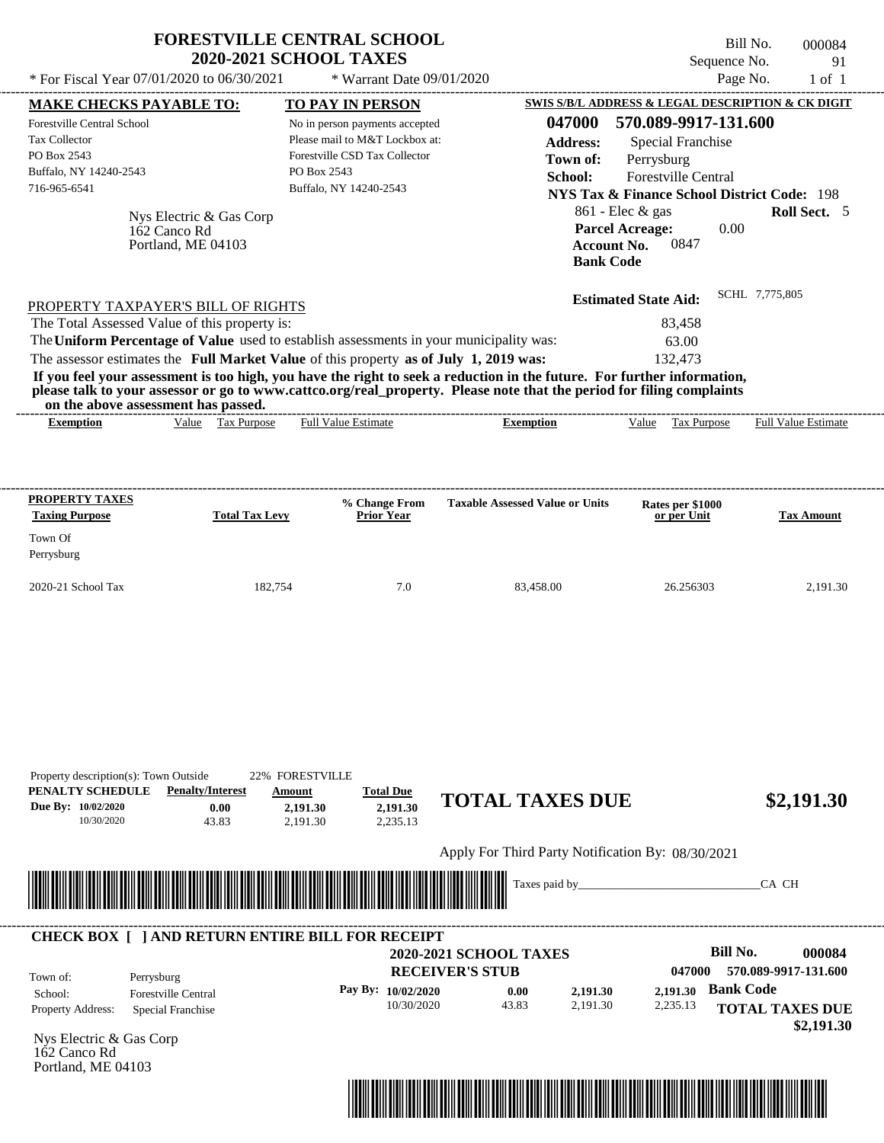|                                                                                                                                                                                                                                                                                                                                                                                  | <b>FORESTVILLE CENTRAL SCHOOL</b><br><b>2020-2021 SCHOOL TAXES</b>                                               |                                                  | Sequence No.                                                                                    | Bill No.<br>000084<br>91   |
|----------------------------------------------------------------------------------------------------------------------------------------------------------------------------------------------------------------------------------------------------------------------------------------------------------------------------------------------------------------------------------|------------------------------------------------------------------------------------------------------------------|--------------------------------------------------|-------------------------------------------------------------------------------------------------|----------------------------|
| * For Fiscal Year 07/01/2020 to 06/30/2021                                                                                                                                                                                                                                                                                                                                       | * Warrant Date 09/01/2020                                                                                        |                                                  |                                                                                                 | Page No.<br>$1$ of $1$     |
| <b>MAKE CHECKS PAYABLE TO:</b>                                                                                                                                                                                                                                                                                                                                                   | <b>TO PAY IN PERSON</b>                                                                                          |                                                  | <b>SWIS S/B/L ADDRESS &amp; LEGAL DESCRIPTION &amp; CK DIGIT</b>                                |                            |
| <b>Forestville Central School</b><br><b>Tax Collector</b><br>PO Box 2543<br>Buffalo, NY 14240-2543                                                                                                                                                                                                                                                                               | No in person payments accepted<br>Please mail to M&T Lockbox at:<br>Forestville CSD Tax Collector<br>PO Box 2543 | 047000<br><b>Address:</b><br>Town of:<br>School: | 570.089-9917-131.600<br>Special Franchise<br>Perrysburg<br><b>Forestville Central</b>           |                            |
| 716-965-6541                                                                                                                                                                                                                                                                                                                                                                     | Buffalo, NY 14240-2543                                                                                           |                                                  | NYS Tax & Finance School District Code: 198                                                     |                            |
| Nys Electric & Gas Corp<br>162 Canco Rd<br>Portland, ME 04103                                                                                                                                                                                                                                                                                                                    |                                                                                                                  |                                                  | $861$ - Elec & gas<br><b>Parcel Acreage:</b><br>0.00<br>0847<br>Account No.<br><b>Bank Code</b> | Roll Sect. 5               |
| PROPERTY TAXPAYER'S BILL OF RIGHTS<br>The Total Assessed Value of this property is:<br>The Uniform Percentage of Value used to establish assessments in your municipality was:                                                                                                                                                                                                   |                                                                                                                  |                                                  | <b>Estimated State Aid:</b><br>83,458<br>63.00                                                  | SCHL 7,775,805             |
| The assessor estimates the Full Market Value of this property as of July 1, 2019 was:<br>If you feel your assessment is too high, you have the right to seek a reduction in the future. For further information,<br>please talk to your assessor or go to www.cattco.org/real property. Please note that the period for filing complaints<br>on the above assessment has passed. |                                                                                                                  |                                                  | 132,473                                                                                         |                            |
| <b>Tax Purpose</b><br>Value<br>Exemption                                                                                                                                                                                                                                                                                                                                         | <b>Full Value Estimate</b>                                                                                       | <b>Exemption</b>                                 | Value<br><b>Tax Purpose</b>                                                                     | <b>Full Value Estimate</b> |
|                                                                                                                                                                                                                                                                                                                                                                                  |                                                                                                                  |                                                  |                                                                                                 |                            |
| <b>PROPERTY TAXES</b><br><b>Total Tax Levy</b><br><b>Taxing Purpose</b>                                                                                                                                                                                                                                                                                                          | % Change From<br><b>Prior Year</b>                                                                               | <b>Taxable Assessed Value or Units</b>           | Rates per \$1000<br>or per Unit                                                                 | <b>Tax Amount</b>          |
| Town Of<br>Perrysburg                                                                                                                                                                                                                                                                                                                                                            |                                                                                                                  |                                                  |                                                                                                 |                            |
| 2020-21 School Tax<br>182,754                                                                                                                                                                                                                                                                                                                                                    | 7.0                                                                                                              | 83,458.00                                        | 26.256303                                                                                       | 2,191.30                   |

| PENALTY SCHEDULE<br>Due By: 10/02/2020<br>10/30/2020 | <b>Penalty/Interest</b><br>0.00<br>43.83                | Amount<br>2,191.30<br>2,191.30               | <b>Total Due</b><br>2,191.30<br>2,235.13 | <b>TOTAL TAXES DUE</b>                                  |                      |                      | \$2,191.30                                 |
|------------------------------------------------------|---------------------------------------------------------|----------------------------------------------|------------------------------------------|---------------------------------------------------------|----------------------|----------------------|--------------------------------------------|
|                                                      |                                                         |                                              |                                          | Apply For Third Party Notification By: 08/30/2021       |                      |                      |                                            |
|                                                      |                                                         | A DINI DINI DINI DINI DINI DINI DINI NJIJI V |                                          | <u> HIII III III III III II</u><br>Taxes paid by_       |                      |                      | CA CH                                      |
|                                                      |                                                         |                                              |                                          |                                                         |                      |                      |                                            |
|                                                      | <b>CHECK BOX [ ] AND RETURN ENTIRE BILL FOR RECEIPT</b> |                                              |                                          |                                                         |                      |                      | <b>Bill No.</b>                            |
| Town of:                                             | Perrysburg                                              |                                              |                                          | <b>2020-2021 SCHOOL TAXES</b><br><b>RECEIVER'S STUB</b> |                      | 047000               | 000084<br>570.089-9917-131.600             |
| School:<br>Property Address:                         | <b>Forestville Central</b><br>Special Franchise         |                                              | Pay By: 10/02/2020<br>10/30/2020         | 0.00<br>43.83                                           | 2,191.30<br>2,191.30 | 2,191.30<br>2,235.13 | <b>Bank Code</b><br><b>TOTAL TAXES DUE</b> |
| Nys Electric & Gas Corp<br>162 Canco Rd              |                                                         |                                              |                                          |                                                         |                      |                      | \$2,191.30                                 |
| Portland, ME 04103                                   |                                                         |                                              |                                          |                                                         |                      |                      |                                            |
|                                                      |                                                         |                                              |                                          |                                                         |                      |                      |                                            |

Property description(s): Town Outside 22% FORESTVILLE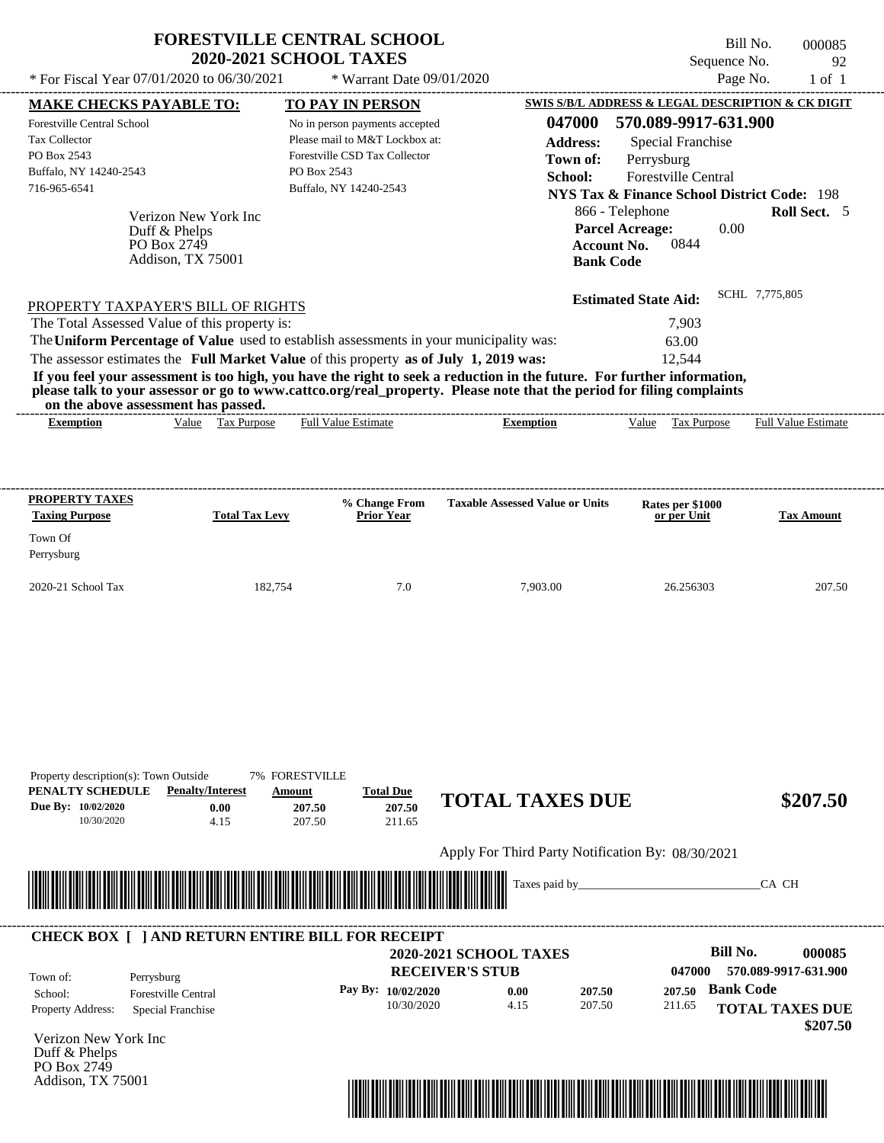|                                                                                                                    | * For Fiscal Year 07/01/2020 to 06/30/2021                                          | <b>2020-2021 SCHOOL TAXES</b><br>* Warrant Date 09/01/2020                                                                                                                                                                                                                                                                                                                                                                                                         |                                                                                            | Sequence No.<br>Page No.                                                                                                                                                                                     | 92<br>$1$ of $1$           |
|--------------------------------------------------------------------------------------------------------------------|-------------------------------------------------------------------------------------|--------------------------------------------------------------------------------------------------------------------------------------------------------------------------------------------------------------------------------------------------------------------------------------------------------------------------------------------------------------------------------------------------------------------------------------------------------------------|--------------------------------------------------------------------------------------------|--------------------------------------------------------------------------------------------------------------------------------------------------------------------------------------------------------------|----------------------------|
| <b>MAKE CHECKS PAYABLE TO:</b>                                                                                     |                                                                                     | TO PAY IN PERSON                                                                                                                                                                                                                                                                                                                                                                                                                                                   |                                                                                            | <b>SWIS S/B/L ADDRESS &amp; LEGAL DESCRIPTION &amp; CK DIGIT</b>                                                                                                                                             |                            |
| <b>Forestville Central School</b><br><b>Tax Collector</b><br>PO Box 2543<br>Buffalo, NY 14240-2543<br>716-965-6541 | Verizon New York Inc<br>Duff & Phelps<br>PO Box 2749<br>Addison, TX 75001           | No in person payments accepted<br>Please mail to M&T Lockbox at:<br>Forestville CSD Tax Collector<br>PO Box 2543<br>Buffalo, NY 14240-2543                                                                                                                                                                                                                                                                                                                         | 047000<br><b>Address:</b><br>Town of:<br>School:<br><b>Account No.</b><br><b>Bank Code</b> | 570.089-9917-631.900<br>Special Franchise<br>Perrysburg<br><b>Forestville Central</b><br><b>NYS Tax &amp; Finance School District Code: 198</b><br>866 - Telephone<br><b>Parcel Acreage:</b><br>0.00<br>0844 | Roll Sect. 5               |
|                                                                                                                    | PROPERTY TAXPAYER'S BILL OF RIGHTS<br>The Total Assessed Value of this property is: |                                                                                                                                                                                                                                                                                                                                                                                                                                                                    |                                                                                            | <b>Estimated State Aid:</b><br>7,903                                                                                                                                                                         | SCHL 7,775,805             |
| <b>Exemption</b>                                                                                                   | on the above assessment has passed.<br>Value Tax Purpose                            | The Uniform Percentage of Value used to establish assessments in your municipality was:<br>The assessor estimates the Full Market Value of this property as of July 1, 2019 was:<br>If you feel your assessment is too high, you have the right to seek a reduction in the future. For further information,<br>please talk to your assessor or go to www.cattco.org/real_property. Please note that the period for filing complaints<br><b>Full Value Estimate</b> | <b>Exemption</b>                                                                           | 63.00<br>12,544<br>Value Tax Purpose                                                                                                                                                                         | <b>Full Value Estimate</b> |
| PROPERTY TAXES<br><b>Taxing Purpose</b><br>Town Of                                                                 | <b>Total Tax Levy</b>                                                               | % Change From<br><b>Prior Year</b>                                                                                                                                                                                                                                                                                                                                                                                                                                 | <b>Taxable Assessed Value or Units</b>                                                     | Rates per \$1000<br>or per Unit                                                                                                                                                                              | <b>Tax Amount</b>          |

| PENALTY SCHEDULE<br>Due By: 10/02/2020<br>10/30/2020 | <b>Penalty/Interest</b><br>0.00<br>4.15                 | Amount<br>207.50<br>207.50 | <b>Total Due</b><br>207.50<br>211.65 | <b>TOTAL TAXES DUE</b>                            |               |        |                        | \$207.50 |
|------------------------------------------------------|---------------------------------------------------------|----------------------------|--------------------------------------|---------------------------------------------------|---------------|--------|------------------------|----------|
|                                                      |                                                         |                            |                                      | Apply For Third Party Notification By: 08/30/2021 |               |        |                        |          |
|                                                      |                                                         |                            |                                      |                                                   | Taxes paid by |        | CA CH                  |          |
|                                                      |                                                         |                            |                                      |                                                   |               |        |                        |          |
|                                                      | <b>CHECK BOX [ ] AND RETURN ENTIRE BILL FOR RECEIPT</b> |                            |                                      |                                                   |               |        |                        |          |
|                                                      |                                                         |                            |                                      | <b>2020-2021 SCHOOL TAXES</b>                     |               |        | <b>Bill No.</b>        | 000085   |
| Town of:                                             | Perrysburg                                              |                            | <b>RECEIVER'S STUB</b>               |                                                   |               | 047000 | 570.089-9917-631.900   |          |
| School:                                              | Forestville Central                                     |                            | Pay By: 10/02/2020                   | 0.00                                              | 207.50        | 207.50 | <b>Bank Code</b>       |          |
| Property Address:                                    | Special Franchise                                       |                            | 10/30/2020                           | 4.15                                              | 207.50        | 211.65 | <b>TOTAL TAXES DUE</b> | \$207.50 |
| Verizon New York Inc                                 |                                                         |                            |                                      |                                                   |               |        |                        |          |
| Duff & Phelps                                        |                                                         |                            |                                      |                                                   |               |        |                        |          |
| PO Box 2749                                          |                                                         |                            |                                      |                                                   |               |        |                        |          |
| Addison, TX 75001                                    |                                                         |                            |                                      |                                                   |               |        |                        |          |
|                                                      |                                                         |                            |                                      |                                                   |               |        |                        |          |

Property description(s): Town Outside 7% FORESTVILLE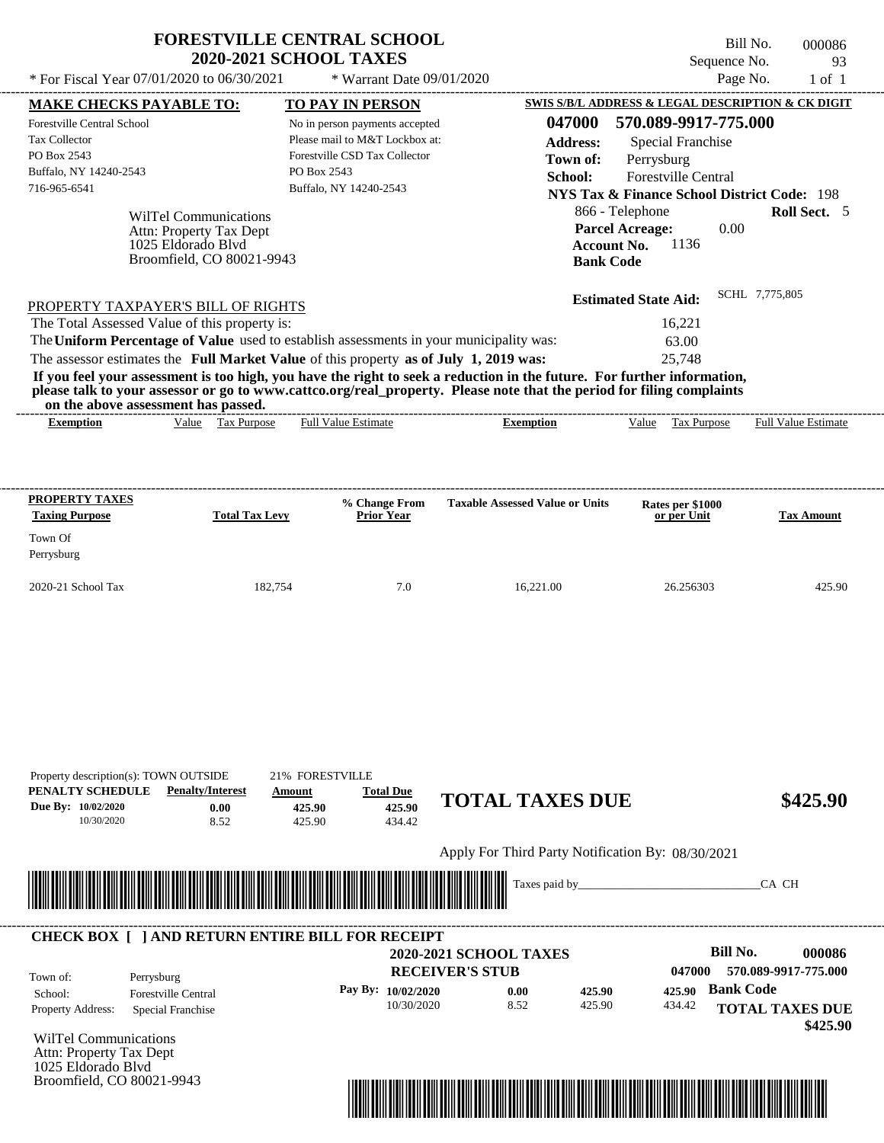| * For Fiscal Year $07/01/2020$ to $06/30/2021$                                                                             |                                                                                                     | <b>FORESTVILLE CENTRAL SCHOOL</b><br><b>2020-2021 SCHOOL TAXES</b><br>* Warrant Date 09/01/2020                                                                                  |                                                                                                                                                                                                                                                  | Sequence No.                                                                                                                                                                                                                | Bill No.<br>000086<br>93<br>Page No.<br>$1$ of $1$ |
|----------------------------------------------------------------------------------------------------------------------------|-----------------------------------------------------------------------------------------------------|----------------------------------------------------------------------------------------------------------------------------------------------------------------------------------|--------------------------------------------------------------------------------------------------------------------------------------------------------------------------------------------------------------------------------------------------|-----------------------------------------------------------------------------------------------------------------------------------------------------------------------------------------------------------------------------|----------------------------------------------------|
| <b>MAKE CHECKS PAYABLE TO:</b>                                                                                             |                                                                                                     | <b>TO PAY IN PERSON</b>                                                                                                                                                          |                                                                                                                                                                                                                                                  | <b>SWIS S/B/L ADDRESS &amp; LEGAL DESCRIPTION &amp; CK DIGIT</b>                                                                                                                                                            |                                                    |
| <b>Forestville Central School</b><br><b>Tax Collector</b><br>PO Box 2543<br>Buffalo, NY 14240-2543<br>716-965-6541         | WilTel Communications<br>Attn: Property Tax Dept<br>1025 Eldorado Blyd<br>Broomfield, CO 80021-9943 | No in person payments accepted<br>Please mail to M&T Lockbox at:<br>Forestville CSD Tax Collector<br>PO Box 2543<br>Buffalo, NY 14240-2543                                       | 047000<br><b>Address:</b><br>Town of:<br>School:<br><b>Bank Code</b>                                                                                                                                                                             | 570.089-9917-775.000<br>Special Franchise<br>Perrysburg<br><b>Forestville Central</b><br><b>NYS Tax &amp; Finance School District Code: 198</b><br>866 - Telephone<br><b>Parcel Acreage:</b><br>0.00<br>1136<br>Account No. | Roll Sect. 5                                       |
| PROPERTY TAXPAYER'S BILL OF RIGHTS<br>The Total Assessed Value of this property is:<br>on the above assessment has passed. |                                                                                                     | The Uniform Percentage of Value used to establish assessments in your municipality was:<br>The assessor estimates the Full Market Value of this property as of July 1, 2019 was: | If you feel your assessment is too high, you have the right to seek a reduction in the future. For further information,<br>please talk to your assessor or go to www.cattco.org/real_property. Please note that the period for filing complaints | <b>Estimated State Aid:</b><br>16,221<br>63.00<br>25,748                                                                                                                                                                    | SCHL 7,775,805                                     |
| <b>Exemption</b>                                                                                                           | Value Tax Purpose                                                                                   | <b>Full Value Estimate</b>                                                                                                                                                       | <b>Exemption</b>                                                                                                                                                                                                                                 | Value Tax Purpose                                                                                                                                                                                                           | <b>Full Value Estimate</b>                         |
|                                                                                                                            |                                                                                                     | % Change From                                                                                                                                                                    | <b>Taxable Assessed Value or Units</b>                                                                                                                                                                                                           | Rates per \$1000                                                                                                                                                                                                            |                                                    |

2020-21 School Tax 182,754 7.0 16,221.00 26.256303 425.90

|                         | Property description(s): TOWN OUTSIDE                   | 21% FORESTVILLE                                      |                    |                                                   |        |        |                  |                        |
|-------------------------|---------------------------------------------------------|------------------------------------------------------|--------------------|---------------------------------------------------|--------|--------|------------------|------------------------|
| PENALTY SCHEDULE        | <b>Penalty/Interest</b>                                 | Amount                                               | <b>Total Due</b>   | <b>TOTAL TAXES DUE</b>                            |        |        |                  |                        |
| Due By: 10/02/2020      | 0.00                                                    | 425.90                                               | 425.90             |                                                   |        |        |                  | \$425.90               |
| 10/30/2020              | 8.52                                                    | 425.90                                               | 434.42             |                                                   |        |        |                  |                        |
|                         |                                                         |                                                      |                    | Apply For Third Party Notification By: 08/30/2021 |        |        |                  |                        |
|                         |                                                         |                                                      |                    |                                                   |        |        |                  |                        |
|                         |                                                         | <u> 1989 - Johann Stoff, Amerikaansk politiker (</u> |                    | Taxes paid by                                     |        |        | CA CH            |                        |
|                         |                                                         |                                                      |                    |                                                   |        |        |                  |                        |
|                         |                                                         |                                                      |                    |                                                   |        |        |                  |                        |
|                         | <b>CHECK BOX [ ] AND RETURN ENTIRE BILL FOR RECEIPT</b> |                                                      |                    | <b>2020-2021 SCHOOL TAXES</b>                     |        |        | Bill No.         | 000086                 |
|                         |                                                         |                                                      |                    |                                                   |        | 047000 |                  | 570.089-9917-775.000   |
| Town of:                | Perrysburg                                              |                                                      |                    | <b>RECEIVER'S STUB</b>                            |        |        |                  |                        |
| School:                 | <b>Forestville Central</b>                              |                                                      | Pay By: 10/02/2020 | 0.00                                              | 425.90 | 425.90 | <b>Bank Code</b> |                        |
| Property Address:       | Special Franchise                                       |                                                      | 10/30/2020         | 8.52                                              | 425.90 | 434.42 |                  | <b>TOTAL TAXES DUE</b> |
|                         |                                                         |                                                      |                    |                                                   |        |        |                  | \$425.90               |
| WilTel Communications   |                                                         |                                                      |                    |                                                   |        |        |                  |                        |
| Attn: Property Tax Dept |                                                         |                                                      |                    |                                                   |        |        |                  |                        |
| 1025 Eldorado Blvd      |                                                         |                                                      |                    |                                                   |        |        |                  |                        |

Broomfield, CO 80021-9943

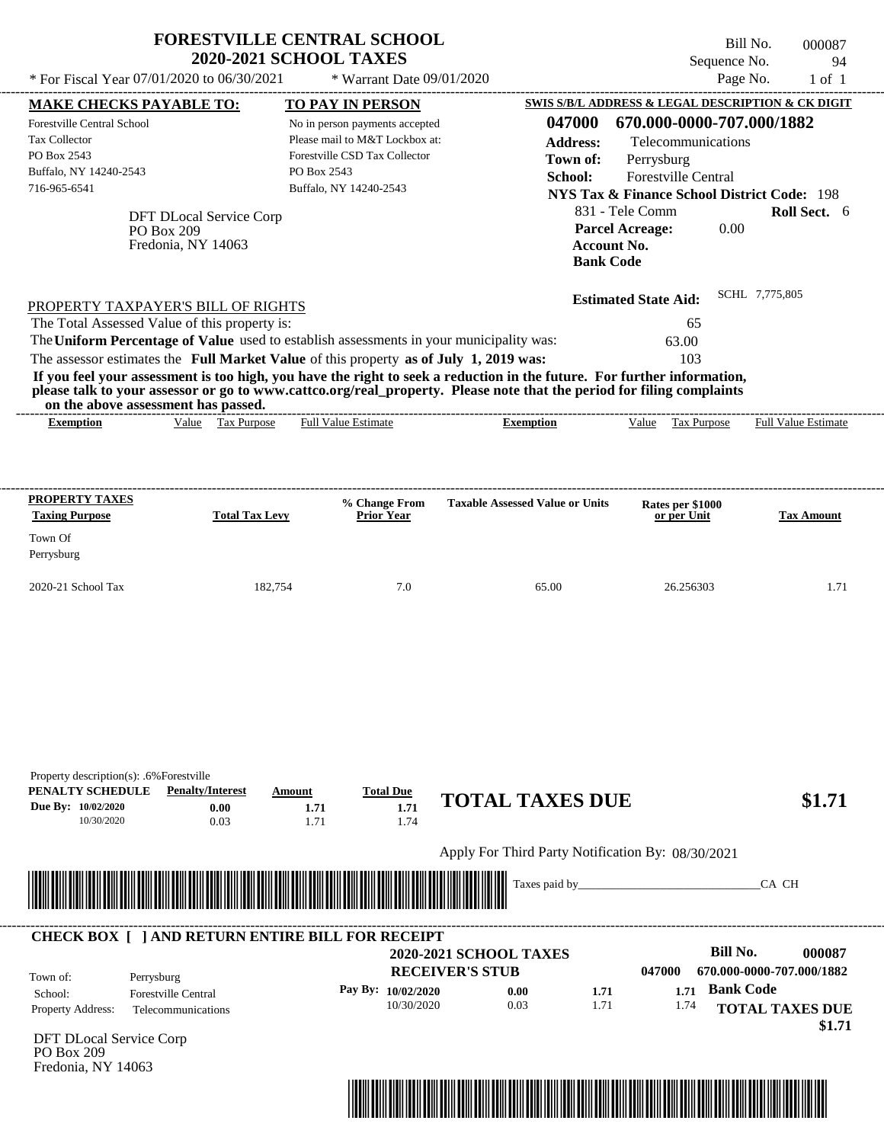| * For Fiscal Year 07/01/2020 to 06/30/2021                                                                                                                                                                                                                                                                                                                                                                                                                                                                                                                         | <b>FORESTVILLE CENTRAL SCHOOL</b><br><b>2020-2021 SCHOOL TAXES</b><br>* Warrant Date 09/01/2020                                                                |                                                                                            | Bill No.<br>Sequence No.<br>Page No.                                                                                                                                                                                                                     | 000087<br>94<br>$1$ of $1$ |
|--------------------------------------------------------------------------------------------------------------------------------------------------------------------------------------------------------------------------------------------------------------------------------------------------------------------------------------------------------------------------------------------------------------------------------------------------------------------------------------------------------------------------------------------------------------------|----------------------------------------------------------------------------------------------------------------------------------------------------------------|--------------------------------------------------------------------------------------------|----------------------------------------------------------------------------------------------------------------------------------------------------------------------------------------------------------------------------------------------------------|----------------------------|
|                                                                                                                                                                                                                                                                                                                                                                                                                                                                                                                                                                    |                                                                                                                                                                |                                                                                            |                                                                                                                                                                                                                                                          |                            |
| <b>MAKE CHECKS PAYABLE TO:</b><br><b>Forestville Central School</b><br>Tax Collector<br>PO Box 2543<br>Buffalo, NY 14240-2543<br>716-965-6541<br>DFT DLocal Service Corp<br>PO Box 209<br>Fredonia, NY 14063                                                                                                                                                                                                                                                                                                                                                       | TO PAY IN PERSON<br>No in person payments accepted<br>Please mail to M&T Lockbox at:<br>Forestville CSD Tax Collector<br>PO Box 2543<br>Buffalo, NY 14240-2543 | 047000<br><b>Address:</b><br>Town of:<br>School:<br><b>Account No.</b><br><b>Bank Code</b> | SWIS S/B/L ADDRESS & LEGAL DESCRIPTION & CK DIGIT<br>670.000-0000-707.000/1882<br>Telecommunications<br>Perrysburg<br>Forestville Central<br><b>NYS Tax &amp; Finance School District Code: 198</b><br>831 - Tele Comm<br><b>Parcel Acreage:</b><br>0.00 | <b>Roll Sect.</b> 6        |
| PROPERTY TAXPAYER'S BILL OF RIGHTS<br>The Total Assessed Value of this property is:<br>The Uniform Percentage of Value used to establish assessments in your municipality was:<br>The assessor estimates the Full Market Value of this property as of July 1, 2019 was:<br>If you feel your assessment is too high, you have the right to seek a reduction in the future. For further information,<br>please talk to your assessor or go to www.cattco.org/real property. Please note that the period for filing complaints<br>on the above assessment has passed. |                                                                                                                                                                |                                                                                            | <b>Estimated State Aid:</b><br>65<br>63.00<br>103                                                                                                                                                                                                        | SCHL 7.775.805             |
| Value Tax Purpose<br><b>Exemption</b>                                                                                                                                                                                                                                                                                                                                                                                                                                                                                                                              | ___________________________<br><b>Full Value Estimate</b>                                                                                                      | <b>Exemption</b>                                                                           | Value Tax Purpose                                                                                                                                                                                                                                        | <b>Full Value Estimate</b> |
| <b>PROPERTY TAXES</b><br><b>Total Tax Levy</b><br><b>Taxing Purpose</b><br>Town Of<br>Perrysburg                                                                                                                                                                                                                                                                                                                                                                                                                                                                   | % Change From<br><b>Prior Year</b>                                                                                                                             | <b>Taxable Assessed Value or Units</b>                                                     | Rates per \$1000<br>or per Unit                                                                                                                                                                                                                          | <b>Tax Amount</b>          |
| 2020-21 School Tax<br>182,754                                                                                                                                                                                                                                                                                                                                                                                                                                                                                                                                      | 7.0                                                                                                                                                            | 65.00                                                                                      | 26.256303                                                                                                                                                                                                                                                | 1.71                       |
| Property description(s): .6% Forestville<br>PENALTY SCHEDULE<br><b>Penalty/Interest</b><br>Due By: 10/02/2020<br>0.00<br>0.03<br>10/30/2020                                                                                                                                                                                                                                                                                                                                                                                                                        | <b>Total Due</b><br>Amount<br>1.71<br>1.71<br>1.71<br>1.74                                                                                                     | <b>TOTAL TAXES DUE</b>                                                                     |                                                                                                                                                                                                                                                          | \$1.71                     |
|                                                                                                                                                                                                                                                                                                                                                                                                                                                                                                                                                                    |                                                                                                                                                                | Apply For Third Party Notification By: 08/30/2021                                          |                                                                                                                                                                                                                                                          |                            |
|                                                                                                                                                                                                                                                                                                                                                                                                                                                                                                                                                                    |                                                                                                                                                                | Taxes paid by_                                                                             |                                                                                                                                                                                                                                                          | CA CH                      |

| <b>CHECK BOX 1</b>       | <b>JAND RETURN ENTIRE BILL FOR RECEIPT</b> |                        |                               |      |        |                                  |
|--------------------------|--------------------------------------------|------------------------|-------------------------------|------|--------|----------------------------------|
|                          |                                            |                        | <b>2020-2021 SCHOOL TAXES</b> |      |        | Bill No.<br>000087               |
| Town of:                 | Perrysburg                                 | <b>RECEIVER'S STUB</b> |                               |      | 047000 | 670.000-0000-707.000/1882        |
| School:                  | <b>Forestville Central</b>                 | Pay By: $10/02/2020$   | 0.00                          | 1.71 | 1.71   | <b>Bank Code</b>                 |
| <b>Property Address:</b> | Telecommunications                         | 10/30/2020             | 0.03                          | 1.71 | 1.74   | <b>TOTAL TAXES DUE</b><br>\$1.71 |

DFT DLocal Service Corp PO Box 209 Fredonia, NY 14063

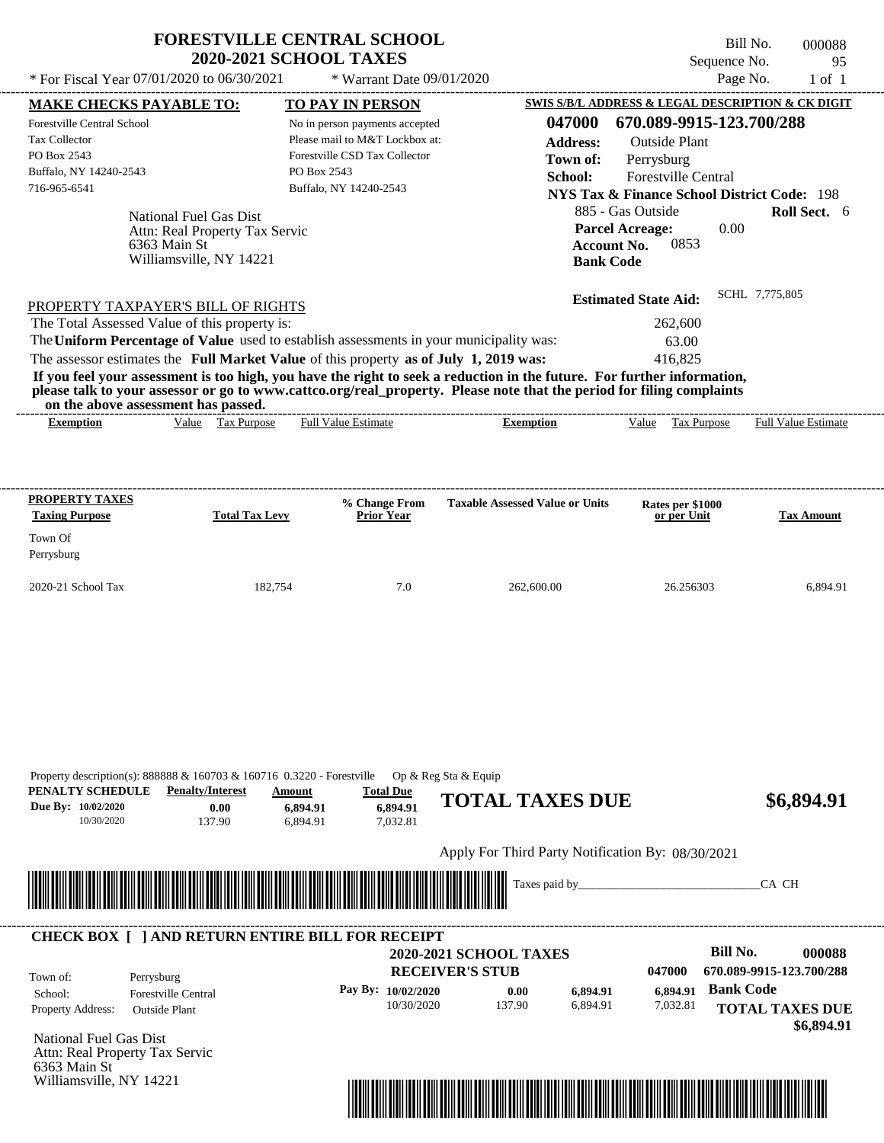|                                                                                                                                              |              | <b>2020-2021 SCHOOL TAXES</b>                             |                                                                                                                                                                                                                |                                                                                                                                                                                                                                                                      | Sequence No.                                                                                                                                                                                | 95                                              |  |
|----------------------------------------------------------------------------------------------------------------------------------------------|--------------|-----------------------------------------------------------|----------------------------------------------------------------------------------------------------------------------------------------------------------------------------------------------------------------|----------------------------------------------------------------------------------------------------------------------------------------------------------------------------------------------------------------------------------------------------------------------|---------------------------------------------------------------------------------------------------------------------------------------------------------------------------------------------|-------------------------------------------------|--|
| * For Fiscal Year 07/01/2020 to 06/30/2021                                                                                                   |              |                                                           | * Warrant Date 09/01/2020                                                                                                                                                                                      |                                                                                                                                                                                                                                                                      |                                                                                                                                                                                             | Page No.<br>$1$ of $1$                          |  |
| <b>MAKE CHECKS PAYABLE TO:</b>                                                                                                               |              |                                                           | <b>TO PAY IN PERSON</b>                                                                                                                                                                                        |                                                                                                                                                                                                                                                                      | <b>SWIS S/B/L ADDRESS &amp; LEGAL DESCRIPTION &amp; CK DIGIT</b>                                                                                                                            |                                                 |  |
| <b>Forestville Central School</b><br><b>Tax Collector</b><br>PO Box 2543<br>Buffalo, NY 14240-2543<br>716-965-6541<br>National Fuel Gas Dist |              |                                                           | No in person payments accepted<br>Please mail to M&T Lockbox at:<br>Forestville CSD Tax Collector<br>PO Box 2543<br>Buffalo, NY 14240-2543                                                                     | 047000<br><b>Address:</b><br>Town of:<br>School:                                                                                                                                                                                                                     | 670.089-9915-123.700/288<br><b>Outside Plant</b><br>Perrysburg<br><b>Forestville Central</b><br><b>NYS Tax &amp; Finance School District Code: 198</b><br>Roll Sect. 6<br>885 - Gas Outside |                                                 |  |
|                                                                                                                                              | 6363 Main St | Attn: Real Property Tax Servic<br>Williamsville, NY 14221 |                                                                                                                                                                                                                | <b>Bank Code</b>                                                                                                                                                                                                                                                     | 0.00<br><b>Parcel Acreage:</b><br>0853<br><b>Account No.</b>                                                                                                                                |                                                 |  |
| PROPERTY TAXPAYER'S BILL OF RIGHTS<br>The Total Assessed Value of this property is:                                                          |              |                                                           |                                                                                                                                                                                                                |                                                                                                                                                                                                                                                                      | 262,600                                                                                                                                                                                     |                                                 |  |
| on the above assessment has passed.<br><b>Exemption</b>                                                                                      |              | Value Tax Purpose                                         | The Uniform Percentage of Value used to establish assessments in your municipality was:<br>The assessor estimates the Full Market Value of this property as of July 1, 2019 was:<br><b>Full Value Estimate</b> | If you feel your assessment is too high, you have the right to seek a reduction in the future. For further information,<br>please talk to your assessor or go to www.cattco.org/real_property. Please note that the period for filing complaints<br><b>Exemption</b> | 63.00<br>416,825<br>Value Tax Purpose                                                                                                                                                       |                                                 |  |
| PROPERTY TAXES<br><b>Taxing Purpose</b>                                                                                                      |              | <b>Total Tax Levy</b>                                     | % Change From<br><b>Prior Year</b>                                                                                                                                                                             | <b>Taxable Assessed Value or Units</b>                                                                                                                                                                                                                               | Rates per \$1000<br>or per Unit                                                                                                                                                             | <b>Full Value Estimate</b><br><b>Tax Amount</b> |  |
| Town Of<br>Perrysburg                                                                                                                        |              |                                                           |                                                                                                                                                                                                                |                                                                                                                                                                                                                                                                      |                                                                                                                                                                                             |                                                 |  |



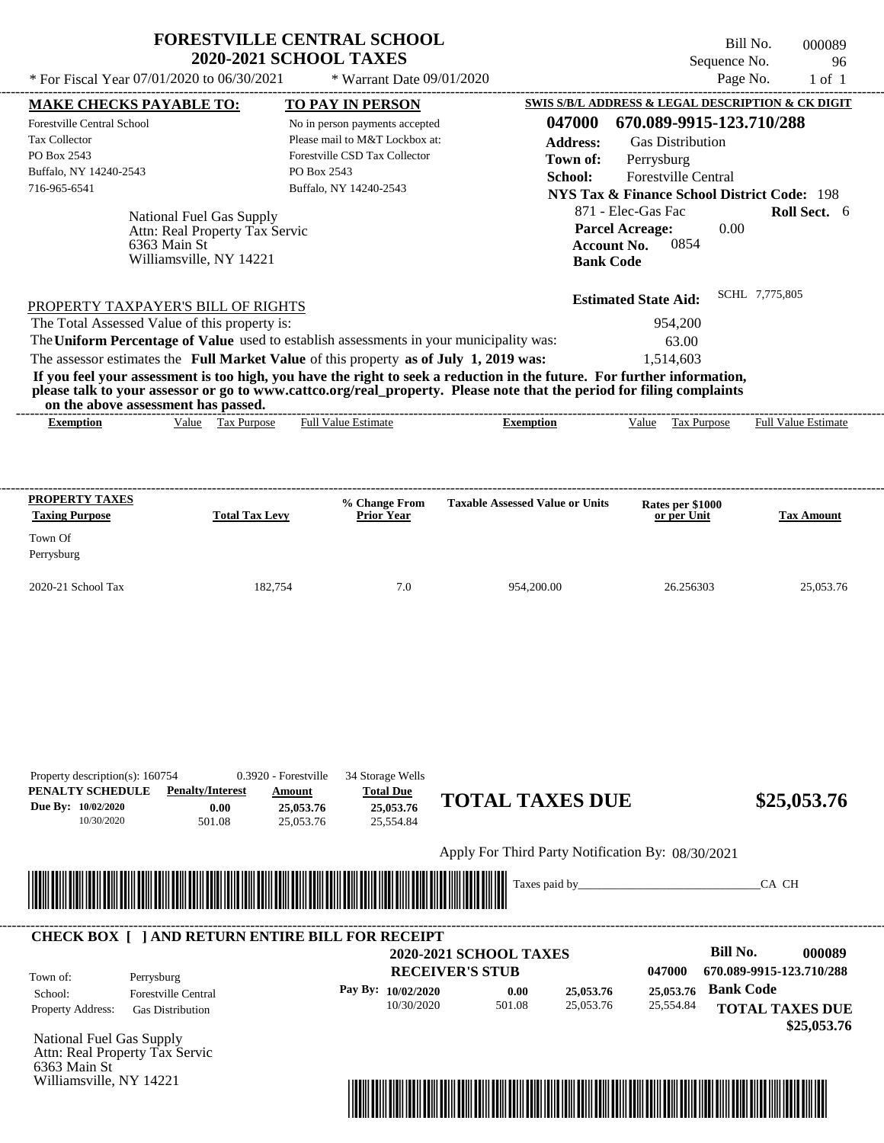| <b>FORESTVILLE CENTRAL SCHOOL</b> |  |
|-----------------------------------|--|
| <b>2020-2021 SCHOOL TAXES</b>     |  |

Bill No. 000089 Sequence No. 96

| * For Fiscal Year 07/01/2020 to 06/30/2021                                                                  |                                                                                                       | * Warrant Date 09/01/2020                                                                                                                  |                                                                                                                                                                                                                                                  |                                                                                                                                             | Page No.<br>$1$ of $1$                       |
|-------------------------------------------------------------------------------------------------------------|-------------------------------------------------------------------------------------------------------|--------------------------------------------------------------------------------------------------------------------------------------------|--------------------------------------------------------------------------------------------------------------------------------------------------------------------------------------------------------------------------------------------------|---------------------------------------------------------------------------------------------------------------------------------------------|----------------------------------------------|
| <b>MAKE CHECKS PAYABLE TO:</b>                                                                              |                                                                                                       | <b>TO PAY IN PERSON</b>                                                                                                                    |                                                                                                                                                                                                                                                  | SWIS S/B/L ADDRESS & LEGAL DESCRIPTION & CK DIGIT                                                                                           |                                              |
| Forestville Central School<br><b>Tax Collector</b><br>PO Box 2543<br>Buffalo, NY 14240-2543<br>716-965-6541 |                                                                                                       | No in person payments accepted<br>Please mail to M&T Lockbox at:<br>Forestville CSD Tax Collector<br>PO Box 2543<br>Buffalo, NY 14240-2543 | 047000<br><b>Address:</b><br>Town of:<br>School:                                                                                                                                                                                                 | 670.089-9915-123.710/288<br>Gas Distribution<br>Perrysburg<br>Forestville Central<br><b>NYS Tax &amp; Finance School District Code: 198</b> |                                              |
|                                                                                                             | National Fuel Gas Supply<br>Attn: Real Property Tax Servic<br>6363 Main St<br>Williamsville, NY 14221 |                                                                                                                                            |                                                                                                                                                                                                                                                  | 871 - Elec-Gas Fac<br>0.00<br><b>Parcel Acreage:</b><br>0854<br><b>Account No.</b><br><b>Bank Code</b>                                      | Roll Sect. 6                                 |
| PROPERTY TAXPAYER'S BILL OF RIGHTS<br>The Total Assessed Value of this property is:                         |                                                                                                       | The Uniform Percentage of Value used to establish assessments in your municipality was:                                                    |                                                                                                                                                                                                                                                  | <b>Estimated State Aid:</b><br>954,200<br>63.00                                                                                             | SCHL 7,775,805                               |
| on the above assessment has passed.                                                                         |                                                                                                       | The assessor estimates the Full Market Value of this property as of July 1, 2019 was:                                                      | If you feel your assessment is too high, you have the right to seek a reduction in the future. For further information,<br>please talk to your assessor or go to www.cattco.org/real_property. Please note that the period for filing complaints | 1,514,603                                                                                                                                   |                                              |
| <b>Exemption</b>                                                                                            | Value Tax Purpose                                                                                     | <b>Full Value Estimate</b>                                                                                                                 | <b>Exemption</b>                                                                                                                                                                                                                                 | Value Tax Purpose                                                                                                                           | <b>Full Value Estimate</b>                   |
|                                                                                                             |                                                                                                       |                                                                                                                                            |                                                                                                                                                                                                                                                  |                                                                                                                                             |                                              |
| PROPERTY TAXES                                                                                              |                                                                                                       | % Change From                                                                                                                              | <b>Taxable Assessed Value or Units</b>                                                                                                                                                                                                           | Rates per \$1000                                                                                                                            |                                              |
| <b>Taxing Purpose</b>                                                                                       | <b>Total Tax Levy</b>                                                                                 | <b>Prior Year</b>                                                                                                                          |                                                                                                                                                                                                                                                  | or per Unit                                                                                                                                 | <b>Tax Amount</b>                            |
| Town Of                                                                                                     |                                                                                                       |                                                                                                                                            |                                                                                                                                                                                                                                                  |                                                                                                                                             |                                              |
| Perrysburg                                                                                                  |                                                                                                       |                                                                                                                                            |                                                                                                                                                                                                                                                  |                                                                                                                                             |                                              |
| 2020-21 School Tax                                                                                          | 182,754                                                                                               | 7.0                                                                                                                                        | 954,200.00                                                                                                                                                                                                                                       | 26.256303                                                                                                                                   | 25,053.76                                    |
| Property description(s): 160754<br>PENALTY SCHEDULE<br>Due By: 10/02/2020<br>10/30/2020                     | 0.3920 - Forestville<br><b>Penalty/Interest</b><br>0.00<br>501.08                                     | 34 Storage Wells<br><b>Total Due</b><br>Amount<br>25,053.76<br>25,053.76<br>25,053.76<br>25.554.84                                         | <b>TOTAL TAXES DUE</b>                                                                                                                                                                                                                           |                                                                                                                                             | \$25,053.76                                  |
|                                                                                                             |                                                                                                       |                                                                                                                                            | Apply For Third Party Notification By: 08/30/2021                                                                                                                                                                                                |                                                                                                                                             |                                              |
|                                                                                                             |                                                                                                       |                                                                                                                                            | Taxes paid by                                                                                                                                                                                                                                    |                                                                                                                                             | CA CH                                        |
|                                                                                                             |                                                                                                       | <b>CHECK BOX [ ] AND RETURN ENTIRE BILL FOR RECEIPT</b>                                                                                    | 2020-2021 SCHOOL TAXES                                                                                                                                                                                                                           | <b>Bill No.</b>                                                                                                                             | 000089                                       |
| Town of:<br>Perrysburg<br>School:                                                                           | <b>Forestville Central</b>                                                                            | Pay By: 10/02/2020                                                                                                                         | <b>RECEIVER'S STUB</b><br>0.00<br>25,053.76                                                                                                                                                                                                      | 047000<br>25,053.76                                                                                                                         | 670.089-9915-123.710/288<br><b>Bank Code</b> |
| Property Address:                                                                                           | <b>Gas Distribution</b>                                                                               | 10/30/2020                                                                                                                                 | 501.08<br>25,053.76                                                                                                                                                                                                                              | 25,554.84                                                                                                                                   | <b>TOTAL TAXES DUE</b><br>\$25,053.76        |
| National Fuel Gas Supply                                                                                    |                                                                                                       |                                                                                                                                            |                                                                                                                                                                                                                                                  |                                                                                                                                             |                                              |

National Fuel Gas Supply Attn: Real Property Tax Servic 6363 Main St Williamsville, NY 14221

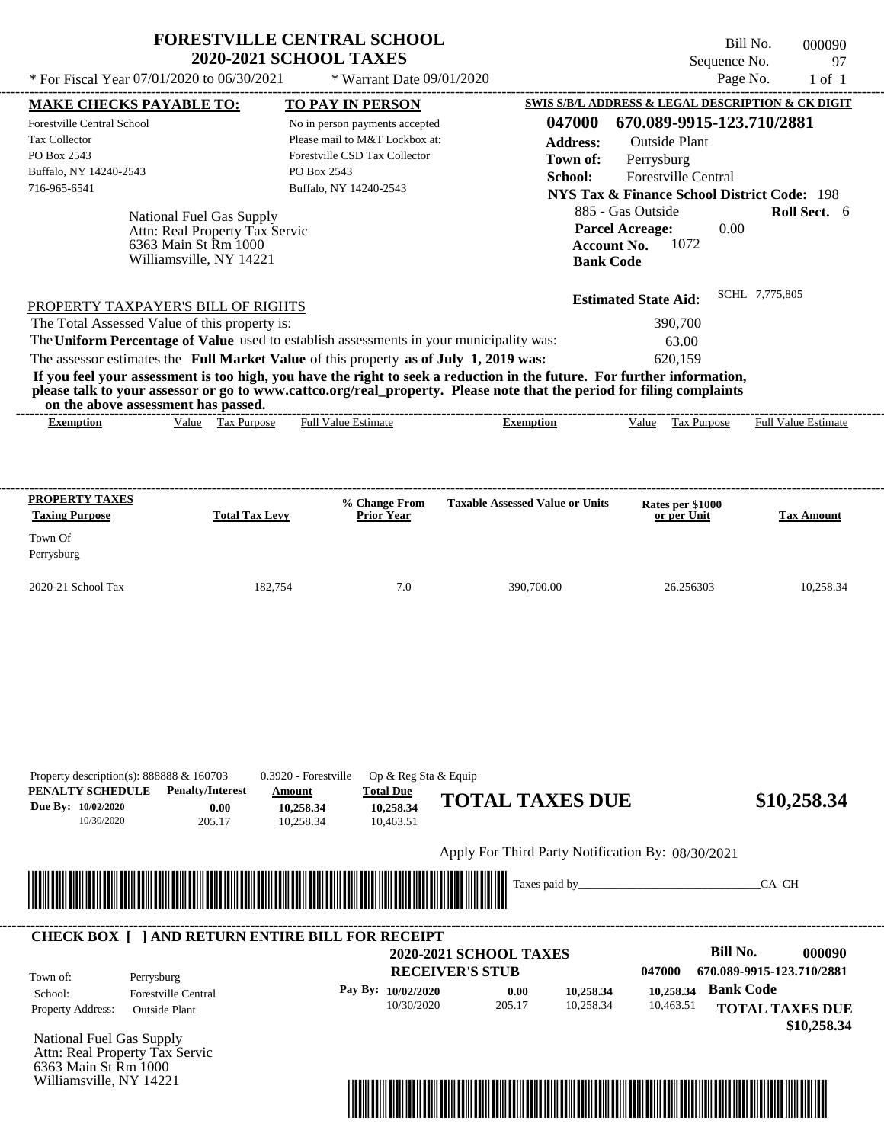|                                                                                                                                                                                                                                                                                                                                                                                                                                                                                                                             | <b>FORESTVILLE CENTRAL SCHOOL</b><br><b>2020-2021 SCHOOL TAXES</b>                                                                         |                                                                                            | Bill No.<br>Sequence No.                                                                                                                                                                                               | 000090<br>97               |
|-----------------------------------------------------------------------------------------------------------------------------------------------------------------------------------------------------------------------------------------------------------------------------------------------------------------------------------------------------------------------------------------------------------------------------------------------------------------------------------------------------------------------------|--------------------------------------------------------------------------------------------------------------------------------------------|--------------------------------------------------------------------------------------------|------------------------------------------------------------------------------------------------------------------------------------------------------------------------------------------------------------------------|----------------------------|
| * For Fiscal Year 07/01/2020 to 06/30/2021                                                                                                                                                                                                                                                                                                                                                                                                                                                                                  | * Warrant Date 09/01/2020                                                                                                                  |                                                                                            | Page No.                                                                                                                                                                                                               | $1$ of $1$                 |
| <u>MAKE CHECKS PAYABLE TO:</u>                                                                                                                                                                                                                                                                                                                                                                                                                                                                                              | <b>TO PAY IN PERSON</b>                                                                                                                    |                                                                                            | SWIS S/B/L ADDRESS & LEGAL DESCRIPTION & CK DIGIT                                                                                                                                                                      |                            |
| Forestville Central School<br><b>Tax Collector</b><br>PO Box 2543<br>Buffalo, NY 14240-2543<br>716-965-6541<br><b>National Fuel Gas Supply</b><br>Attn: Real Property Tax Servic<br>6363 Main St Rm 1000<br>Williamsville, NY 14221                                                                                                                                                                                                                                                                                         | No in person payments accepted<br>Please mail to M&T Lockbox at:<br>Forestville CSD Tax Collector<br>PO Box 2543<br>Buffalo, NY 14240-2543 | 047000<br><b>Address:</b><br>Town of:<br>School:<br><b>Account No.</b><br><b>Bank Code</b> | 670.089-9915-123.710/2881<br><b>Outside Plant</b><br>Perrysburg<br><b>Forestville Central</b><br><b>NYS Tax &amp; Finance School District Code: 198</b><br>885 - Gas Outside<br>0.00<br><b>Parcel Acreage:</b><br>1072 | Roll Sect. 6               |
| PROPERTY TAXPAYER'S BILL OF RIGHTS<br>The Total Assessed Value of this property is:<br>The Uniform Percentage of Value used to establish assessments in your municipality was:<br>The assessor estimates the Full Market Value of this property as of July 1, 2019 was:<br>If you feel your assessment is too high, you have the right to seek a reduction in the future. For further information,<br>please talk to your assessor or go to www.cattco.org/real_property. Please note that the period for filing complaints |                                                                                                                                            |                                                                                            | SCHL 7,775,805<br><b>Estimated State Aid:</b><br>390,700<br>63.00<br>620.159                                                                                                                                           |                            |
| on the above assessment has passed.<br>Value Tax Purpose<br><b>Exemption</b>                                                                                                                                                                                                                                                                                                                                                                                                                                                | <b>Full Value Estimate</b>                                                                                                                 | <b>Exemption</b>                                                                           | Tax Purpose<br>Value                                                                                                                                                                                                   | <b>Full Value Estimate</b> |
|                                                                                                                                                                                                                                                                                                                                                                                                                                                                                                                             |                                                                                                                                            |                                                                                            |                                                                                                                                                                                                                        |                            |
| <b>Taxing Purpose</b><br><b>Total Tax Levy</b>                                                                                                                                                                                                                                                                                                                                                                                                                                                                              | % Change From<br><b>Prior Year</b>                                                                                                         | <b>Taxable Assessed Value or Units</b>                                                     | Rates per \$1000<br>or per Unit                                                                                                                                                                                        | <b>Tax Amount</b>          |
| 2020-21 School Tax                                                                                                                                                                                                                                                                                                                                                                                                                                                                                                          | 182,754<br>7.0                                                                                                                             | 390,700.00                                                                                 | 26.256303                                                                                                                                                                                                              | 10,258.34                  |
| PROPERTY TAXES<br>Town Of<br>Perrysburg<br>Property description(s): 888888 & 160703<br>PENALTY SCHEDULE<br><b>Penalty/Interest</b><br>Due By: 10/02/2020<br>0.00                                                                                                                                                                                                                                                                                                                                                            | 0.3920 - Forestville<br>Op & Reg Sta & Equip<br><b>Total Due</b><br>Amount<br>10,258.34<br>10,258.34                                       | <b>TOTAL TAXES DUE</b>                                                                     |                                                                                                                                                                                                                        |                            |
| 10/30/2020<br>205.17                                                                                                                                                                                                                                                                                                                                                                                                                                                                                                        | 10,258.34<br>10,463.51                                                                                                                     | Apply For Third Party Notification By: 08/30/2021                                          |                                                                                                                                                                                                                        | \$10,258.34                |



National Fuel Gas Supply Attn: Real Property Tax Servic 6363 Main St Rm 1000 Williamsville, NY 14221

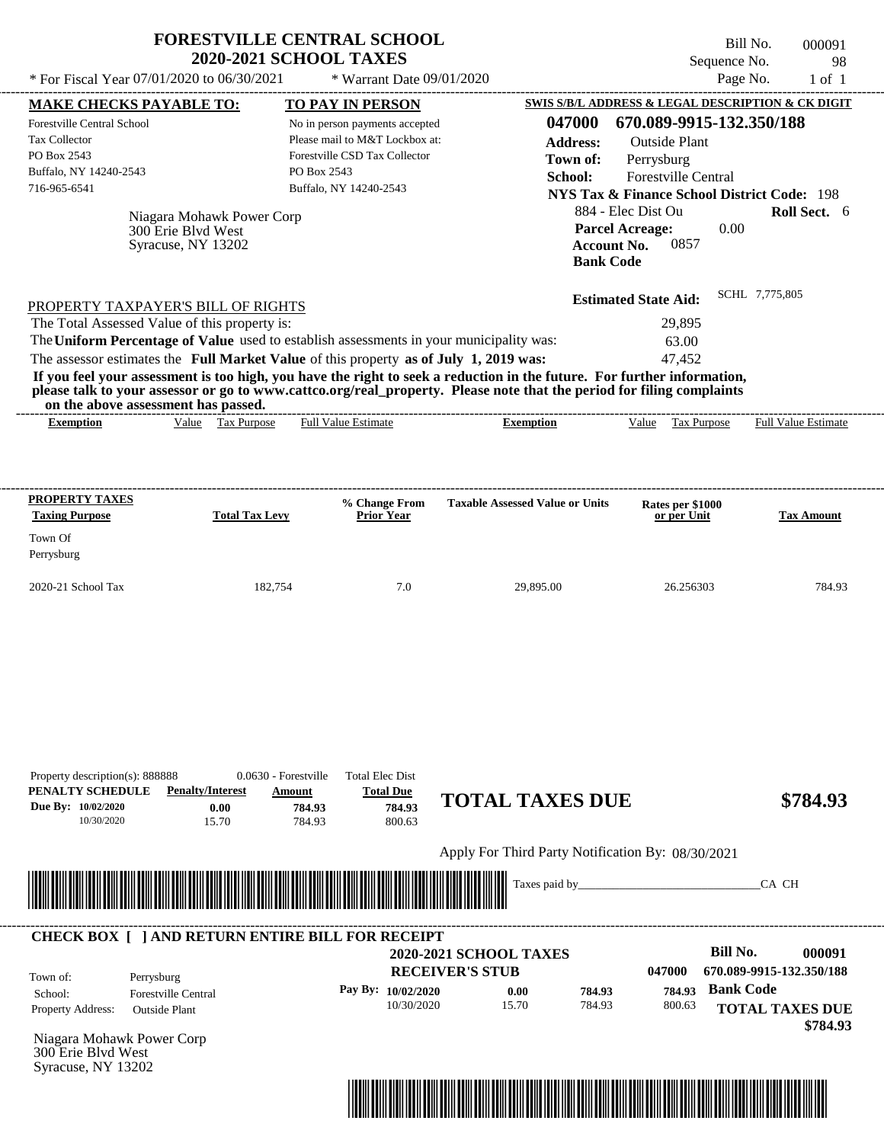|                                                                                                                                                                                                                 |                                          | <b>FORESTVILLE CENTRAL SCHOOL</b><br><b>2020-2021 SCHOOL TAXES</b>                                                                                                                                                                   |                                                                                                                                                                                                                                                  |                                                                                                                                                                                                                                                          | Bill No.<br>Sequence No. | 000091<br>98               |  |
|-----------------------------------------------------------------------------------------------------------------------------------------------------------------------------------------------------------------|------------------------------------------|--------------------------------------------------------------------------------------------------------------------------------------------------------------------------------------------------------------------------------------|--------------------------------------------------------------------------------------------------------------------------------------------------------------------------------------------------------------------------------------------------|----------------------------------------------------------------------------------------------------------------------------------------------------------------------------------------------------------------------------------------------------------|--------------------------|----------------------------|--|
| * For Fiscal Year 07/01/2020 to 06/30/2021                                                                                                                                                                      |                                          | * Warrant Date 09/01/2020                                                                                                                                                                                                            |                                                                                                                                                                                                                                                  |                                                                                                                                                                                                                                                          | Page No.                 | $1$ of $1$                 |  |
|                                                                                                                                                                                                                 |                                          | TO PAY IN PERSON                                                                                                                                                                                                                     |                                                                                                                                                                                                                                                  | SWIS S/B/L ADDRESS & LEGAL DESCRIPTION & CK DIGIT                                                                                                                                                                                                        |                          |                            |  |
| <b>MAKE CHECKS PAYABLE TO:</b><br>Forestville Central School<br>Tax Collector<br>PO Box 2543<br>Buffalo, NY 14240-2543<br>716-965-6541<br>Niagara Mohawk Power Corp<br>300 Erie Blvd West<br>Syracuse, NY 13202 |                                          | No in person payments accepted<br>Please mail to M&T Lockbox at:<br>Forestville CSD Tax Collector<br>PO Box 2543<br>Buffalo, NY 14240-2543                                                                                           | 047000<br><b>Address:</b><br>Town of:<br>School:                                                                                                                                                                                                 | 670.089-9915-132.350/188<br><b>Outside Plant</b><br>Perrysburg<br><b>Forestville Central</b><br><b>NYS Tax &amp; Finance School District Code: 198</b><br>884 - Elec Dist Ou<br><b>Parcel Acreage:</b><br><b>Account No.</b><br>0857<br><b>Bank Code</b> |                          | Roll Sect. 6<br>0.00       |  |
| PROPERTY TAXPAYER'S BILL OF RIGHTS<br>The Total Assessed Value of this property is:                                                                                                                             |                                          | The Uniform Percentage of Value used to establish assessments in your municipality was:<br>The assessor estimates the Full Market Value of this property as of July 1, 2019 was:                                                     | If you feel your assessment is too high, you have the right to seek a reduction in the future. For further information,<br>please talk to your assessor or go to www.cattco.org/real_property. Please note that the period for filing complaints | <b>Estimated State Aid:</b><br>29,895<br>63.00<br>47,452                                                                                                                                                                                                 | SCHL 7,775,805           |                            |  |
| on the above assessment has passed.<br><b>Exemption</b>                                                                                                                                                         | Value Tax Purpose                        | <b>Full Value Estimate</b>                                                                                                                                                                                                           | <b>Exemption</b>                                                                                                                                                                                                                                 | Value Tax Purpose                                                                                                                                                                                                                                        |                          | <b>Full Value Estimate</b> |  |
|                                                                                                                                                                                                                 |                                          |                                                                                                                                                                                                                                      |                                                                                                                                                                                                                                                  |                                                                                                                                                                                                                                                          |                          |                            |  |
| <b>PROPERTY TAXES</b><br><b>Taxing Purpose</b><br>Town Of<br>Perrysburg                                                                                                                                         | <b>Total Tax Levy</b>                    | % Change From<br><b>Prior Year</b>                                                                                                                                                                                                   | <b>Taxable Assessed Value or Units</b>                                                                                                                                                                                                           | Rates per \$1000<br>or per Unit                                                                                                                                                                                                                          |                          | <b>Tax Amount</b>          |  |
|                                                                                                                                                                                                                 | 182,754                                  | 7.0                                                                                                                                                                                                                                  | 29,895.00                                                                                                                                                                                                                                        | 26.256303                                                                                                                                                                                                                                                |                          | 784.93                     |  |
| 2020-21 School Tax<br>Property description(s): 888888<br>PENALTY SCHEDULE<br>Due By: 10/02/2020<br>10/30/2020                                                                                                   | <b>Penalty/Interest</b><br>0.00<br>15.70 | 0.0630 - Forestville<br><b>Total Elec Dist</b><br><b>Total Due</b><br>Amount<br>784.93<br>784.93<br>800.63<br>784.93                                                                                                                 | <b>TOTAL TAXES DUE</b>                                                                                                                                                                                                                           |                                                                                                                                                                                                                                                          |                          |                            |  |
|                                                                                                                                                                                                                 |                                          |                                                                                                                                                                                                                                      |                                                                                                                                                                                                                                                  |                                                                                                                                                                                                                                                          |                          | \$784.93                   |  |
|                                                                                                                                                                                                                 |                                          | <u> Indian American State of Barbara and The Barbara and The Barbara and The Barbara and The Barbara and The Barbara and The Barbara and The Barbara and The Barbara and The Barbara and The Barbara and The Barbara and The Bar</u> | Apply For Third Party Notification By: 08/30/2021                                                                                                                                                                                                |                                                                                                                                                                                                                                                          |                          |                            |  |

|                          |                            | <b>2020-2021 SCHOOL TAXES</b> |       |        |        | Bill No.                 | 000091 |
|--------------------------|----------------------------|-------------------------------|-------|--------|--------|--------------------------|--------|
| Town of:                 | Perrysburg                 | <b>RECEIVER'S STUB</b>        |       |        | 047000 | 670.089-9915-132.350/188 |        |
| School:                  | <b>Forestville Central</b> | Pay By: 10/02/2020            | 0.00  | 784.93 | 784.93 | <b>Bank Code</b>         |        |
| <b>Property Address:</b> | Outside Plant              | 10/30/2020                    | 15.70 | 784.93 | 800.63 | <b>TOTAL TAXES DUE</b>   |        |

Niagara Mohawk Power Corp 300 Erie Blvd West Syracuse, NY 13202

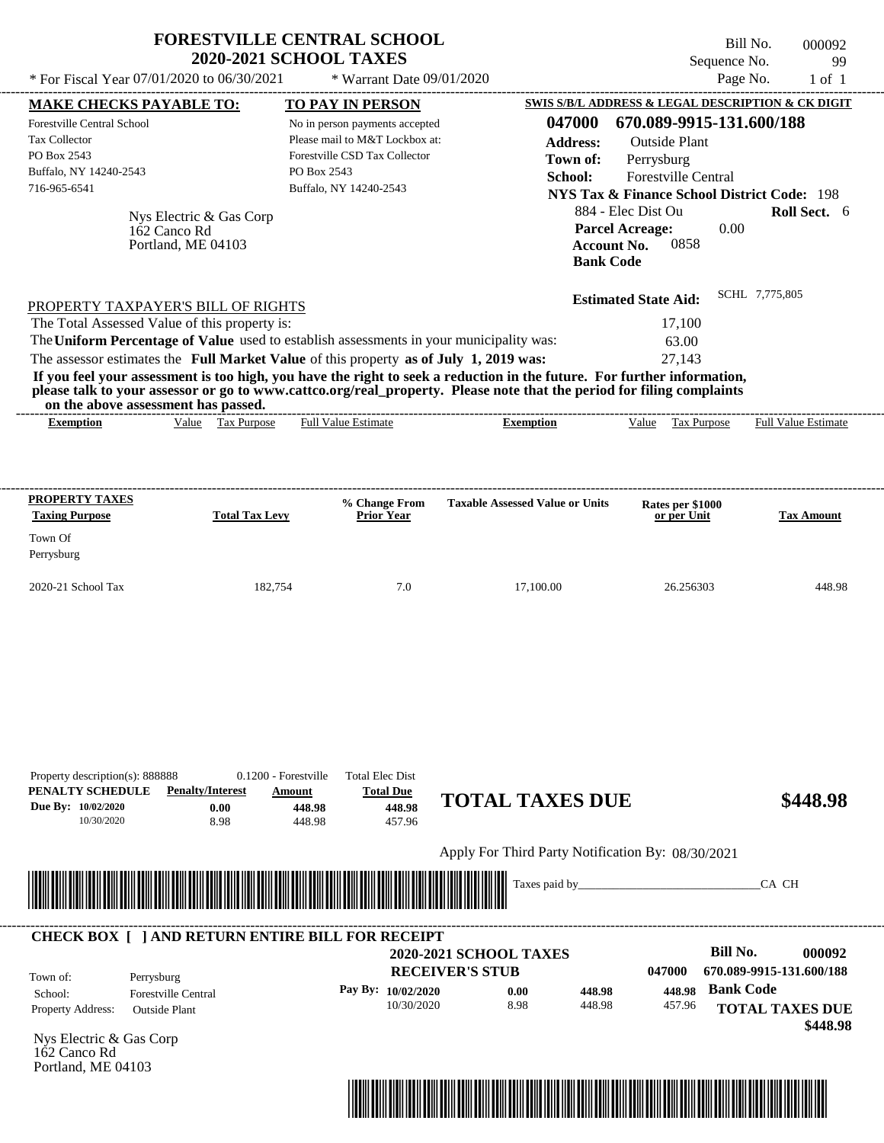| * For Fiscal Year 07/01/2020 to 06/30/2021              |                                         |                       |                                                                                                                                                                                                                                                                                                                                           |                                        |                                                                  |             |                            |
|---------------------------------------------------------|-----------------------------------------|-----------------------|-------------------------------------------------------------------------------------------------------------------------------------------------------------------------------------------------------------------------------------------------------------------------------------------------------------------------------------------|----------------------------------------|------------------------------------------------------------------|-------------|----------------------------|
|                                                         |                                         |                       | * Warrant Date 09/01/2020                                                                                                                                                                                                                                                                                                                 |                                        |                                                                  | Page No.    | $1$ of $1$                 |
| <b>MAKE CHECKS PAYABLE TO:</b>                          |                                         |                       | <b>TO PAY IN PERSON</b>                                                                                                                                                                                                                                                                                                                   |                                        | <b>SWIS S/B/L ADDRESS &amp; LEGAL DESCRIPTION &amp; CK DIGIT</b> |             |                            |
| <b>Forestville Central School</b>                       |                                         |                       | No in person payments accepted                                                                                                                                                                                                                                                                                                            | 047000                                 | 670.089-9915-131.600/188                                         |             |                            |
| <b>Tax Collector</b>                                    |                                         |                       | Please mail to M&T Lockbox at:                                                                                                                                                                                                                                                                                                            | <b>Address:</b>                        | <b>Outside Plant</b>                                             |             |                            |
| PO Box 2543                                             |                                         |                       | Forestville CSD Tax Collector                                                                                                                                                                                                                                                                                                             | Town of:                               | Perrysburg                                                       |             |                            |
| Buffalo, NY 14240-2543                                  |                                         |                       | PO Box 2543                                                                                                                                                                                                                                                                                                                               | School:                                | <b>Forestville Central</b>                                       |             |                            |
| 716-965-6541                                            |                                         |                       | Buffalo, NY 14240-2543                                                                                                                                                                                                                                                                                                                    |                                        | <b>NYS Tax &amp; Finance School District Code: 198</b>           |             |                            |
|                                                         |                                         |                       |                                                                                                                                                                                                                                                                                                                                           |                                        | 884 - Elec Dist Ou                                               |             | Roll Sect. 6               |
|                                                         | Nys Electric & Gas Corp<br>162 Canco Rd |                       |                                                                                                                                                                                                                                                                                                                                           |                                        | <b>Parcel Acreage:</b>                                           | 0.00        |                            |
|                                                         | Portland, ME 04103                      |                       |                                                                                                                                                                                                                                                                                                                                           |                                        | 0858<br><b>Account No.</b>                                       |             |                            |
|                                                         |                                         |                       |                                                                                                                                                                                                                                                                                                                                           |                                        | <b>Bank Code</b>                                                 |             |                            |
|                                                         |                                         |                       |                                                                                                                                                                                                                                                                                                                                           |                                        | <b>Estimated State Aid:</b>                                      |             | SCHL 7,775,805             |
|                                                         |                                         |                       |                                                                                                                                                                                                                                                                                                                                           |                                        |                                                                  |             |                            |
| PROPERTY TAXPAYER'S BILL OF RIGHTS                      |                                         |                       |                                                                                                                                                                                                                                                                                                                                           |                                        |                                                                  |             |                            |
| The Total Assessed Value of this property is:           |                                         |                       |                                                                                                                                                                                                                                                                                                                                           |                                        | 17.100                                                           |             |                            |
|                                                         |                                         |                       | The Uniform Percentage of Value used to establish assessments in your municipality was:                                                                                                                                                                                                                                                   |                                        | 63.00                                                            |             |                            |
|                                                         |                                         |                       | The assessor estimates the Full Market Value of this property as of July 1, 2019 was:<br>If you feel your assessment is too high, you have the right to seek a reduction in the future. For further information,<br>please talk to your assessor or go to www.cattco.org/real property. Please note that the period for filing complaints |                                        | 27.143                                                           |             |                            |
| on the above assessment has passed.<br><b>Exemption</b> | Value Tax Purpose                       |                       | <b>Full Value Estimate</b>                                                                                                                                                                                                                                                                                                                | <b>Exemption</b>                       | Value                                                            | Tax Purpose | <b>Full Value Estimate</b> |
| PROPERTY TAXES<br><b>Taxing Purpose</b>                 |                                         | <b>Total Tax Levy</b> | % Change From<br><b>Prior Year</b>                                                                                                                                                                                                                                                                                                        | <b>Taxable Assessed Value or Units</b> | Rates per \$1000<br>or per Unit                                  |             | <b>Tax Amount</b>          |
|                                                         |                                         |                       |                                                                                                                                                                                                                                                                                                                                           |                                        |                                                                  |             |                            |
|                                                         |                                         |                       |                                                                                                                                                                                                                                                                                                                                           |                                        |                                                                  |             |                            |
| Town Of<br>Perrysburg<br>2020-21 School Tax             |                                         | 182,754               | 7.0                                                                                                                                                                                                                                                                                                                                       | 17,100.00                              | 26.256303                                                        |             | 448.98                     |

| Property description(s): 888888 |                         | 0.1200 - Forestville | <b>Total Elec Dist</b> |                        |
|---------------------------------|-------------------------|----------------------|------------------------|------------------------|
| PENALTY SCHEDULE                | <b>Penalty/Interest</b> | Amount               | <b>Total Due</b>       | <b>TOTAL TAXES DUE</b> |
| <b>Due By: 10/02/2020</b>       | 0.00                    | 448.98               | 448.98                 |                        |
| 10/30/2020                      | 8.98                    | 448.98               | 457.96                 |                        |
|                                 |                         |                      |                        |                        |

Apply For Third Party Notification By: 08/30/2021

**448.98 TOTAL TAXES DUE \$448.98**



## **RECEIVER'S STUB Bill No. 000092 Bank Code 448.98** Property Address: Outside Plant Perrysburg School: Forestville Central **TOTAL TAXES DUE \$448.98 2020-2021 SCHOOL TAXES 047000 670.089-9915-131.600/188 Pay By: 10/02/2020** 10/30/2020 8.98 **0.00** 448.98 **448.98** 457.96 Town of: ---------------------------------------------------------------------------------------------------------------------------------------------------------------------------------------------------- **CHECK BOX [ ] AND RETURN ENTIRE BILL FOR RECEIPT**

Nys Electric & Gas Corp 162 Canco Rd Portland, ME 04103